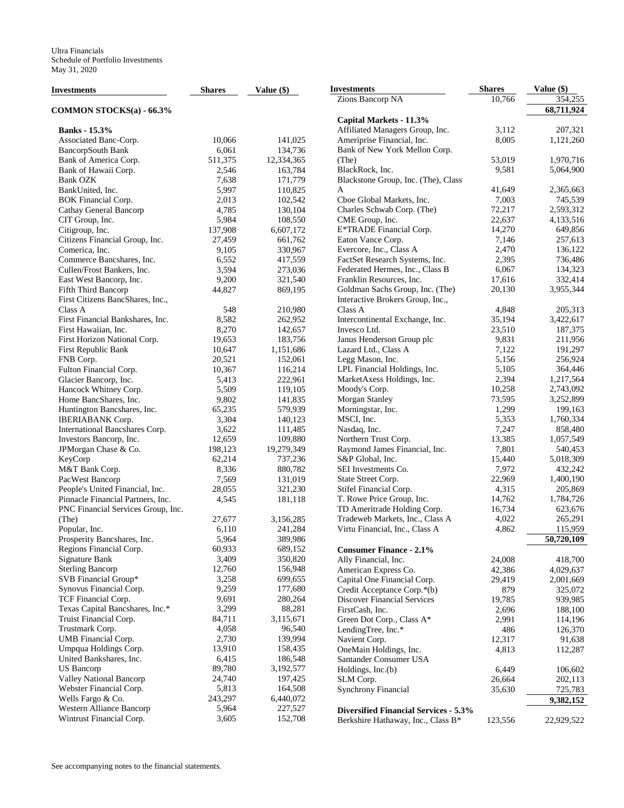| Investments                        | <b>Shares</b> | Value $(\$)$ | <b>Investments</b>                           | <b>Shares</b> | Value (\$)         |
|------------------------------------|---------------|--------------|----------------------------------------------|---------------|--------------------|
|                                    |               |              | Zions Bancorp NA                             | 10,766        | 354,255            |
| COMMON STOCKS(a) - 66.3%           |               |              |                                              |               | 68,711,924         |
|                                    |               |              | Capital Markets - 11.3%                      |               |                    |
| <b>Banks</b> - 15.3%               |               |              | Affiliated Managers Group, Inc.              | 3,112         | 207,321            |
| Associated Banc-Corp.              | 10,066        | 141,025      | Ameriprise Financial, Inc.                   | 8,005         | 1,121,260          |
| BancorpSouth Bank                  | 6,061         | 134,736      | Bank of New York Mellon Corp.                |               |                    |
| Bank of America Corp.              | 511,375       | 12,334,365   | (The)                                        | 53,019        | 1,970,716          |
| Bank of Hawaii Corp.               | 2,546         | 163,784      | BlackRock, Inc.                              | 9,581         | 5,064,900          |
| <b>Bank OZK</b>                    | 7,638         | 171,779      | Blackstone Group, Inc. (The), Class          |               |                    |
| BankUnited, Inc.                   | 5,997         | 110,825      | A                                            | 41.649        | 2,365,663          |
| <b>BOK</b> Financial Corp.         | 2,013         | 102,542      | Cboe Global Markets, Inc.                    | 7,003         | 745,539            |
| Cathay General Bancorp             | 4,785         | 130,104      | Charles Schwab Corp. (The)                   | 72,217        | 2,593,312          |
| CIT Group, Inc.                    | 5,984         | 108,550      | CME Group, Inc.                              | 22,637        | 4,133,516          |
| Citigroup, Inc.                    | 137,908       | 6,607,172    | E*TRADE Financial Corp.                      | 14,270        | 649,856            |
| Citizens Financial Group, Inc.     | 27,459        |              | Eaton Vance Corp.                            | 7,146         | 257,613            |
|                                    |               | 661,762      |                                              | 2,470         | 136,122            |
| Comerica, Inc.                     | 9,105         | 330,967      | Evercore, Inc., Class A                      |               |                    |
| Commerce Bancshares, Inc.          | 6,552         | 417,559      | FactSet Research Systems, Inc.               | 2,395         | 736,486            |
| Cullen/Frost Bankers, Inc.         | 3,594         | 273,036      | Federated Hermes, Inc., Class B              | 6,067         | 134,323            |
| East West Bancorp, Inc.            | 9,200         | 321,540      | Franklin Resources, Inc.                     | 17,616        | 332,414            |
| Fifth Third Bancorp                | 44,827        | 869,195      | Goldman Sachs Group, Inc. (The)              | 20,130        | 3,955,344          |
| First Citizens BancShares, Inc.,   |               |              | Interactive Brokers Group, Inc.,             |               |                    |
| Class A                            | 548           | 210,980      | Class A                                      | 4,848         | 205,313            |
| First Financial Bankshares, Inc.   | 8,582         | 262,952      | Intercontinental Exchange, Inc.              | 35,194        | 3,422,617          |
| First Hawaiian, Inc.               | 8,270         | 142,657      | Invesco Ltd.                                 | 23,510        | 187,375            |
| First Horizon National Corp.       | 19,653        | 183,756      | Janus Henderson Group plc                    | 9,831         | 211,956            |
| First Republic Bank                | 10,647        | 1,151,686    | Lazard Ltd., Class A                         | 7,122         | 191,297            |
| FNB Corp.                          | 20,521        | 152,061      | Legg Mason, Inc.                             | 5,156         | 256,924            |
| Fulton Financial Corp.             | 10,367        | 116,214      | LPL Financial Holdings, Inc.                 | 5,105         | 364,446            |
| Glacier Bancorp, Inc.              | 5,413         | 222,961      | MarketAxess Holdings, Inc.                   | 2,394         | 1,217,564          |
| Hancock Whitney Corp.              | 5,509         | 119,105      | Moody's Corp.                                | 10,258        | 2,743,092          |
| Home BancShares, Inc.              | 9,802         | 141,835      | Morgan Stanley                               | 73,595        | 3,252,899          |
| Huntington Bancshares, Inc.        | 65,235        | 579,939      | Morningstar, Inc.                            | 1,299         | 199,163            |
| <b>IBERIABANK</b> Corp.            | 3,304         | 140,123      | MSCI, Inc.                                   | 5,353         | 1,760,334          |
| International Bancshares Corp.     | 3,622         | 111,485      | Nasdaq, Inc.                                 | 7,247         | 858,480            |
| Investors Bancorp, Inc.            | 12,659        | 109,880      | Northern Trust Corp.                         | 13,385        | 1,057,549          |
| JPMorgan Chase & Co.               | 198,123       | 19,279,349   | Raymond James Financial, Inc.                | 7,801         | 540,453            |
| KeyCorp                            | 62,214        | 737,236      | S&P Global, Inc.                             | 15,440        | 5,018,309          |
| M&T Bank Corp.                     | 8,336         | 880,782      | SEI Investments Co.                          | 7,972         | 432,242            |
| PacWest Bancorp                    | 7,569         | 131,019      | State Street Corp.                           | 22,969        | 1,400,190          |
| People's United Financial, Inc.    | 28,055        | 321,230      | Stifel Financial Corp.                       | 4,315         | 205,869            |
| Pinnacle Financial Partners, Inc.  | 4,545         | 181,118      | T. Rowe Price Group, Inc.                    | 14,762        | 1,784,726          |
|                                    |               |              | TD Ameritrade Holding Corp.                  | 16,734        | 623,676            |
| PNC Financial Services Group, Inc. | 27,677        |              | Tradeweb Markets, Inc., Class A              | 4,022         |                    |
| (The)                              |               | 3,156,285    | Virtu Financial, Inc., Class A               | 4,862         | 265,291<br>115,959 |
| Popular, Inc.                      | 6,110         | 241,284      |                                              |               |                    |
| Prosperity Bancshares, Inc.        | 5,964         | 389,986      |                                              |               | 50,720,109         |
| Regions Financial Corp.            | 60,933        | 689,152      | <b>Consumer Finance - 2.1%</b>               |               |                    |
| Signature Bank                     | 3,409         | 350,820      | Ally Financial, Inc.                         | 24,008        | 418,700            |
| <b>Sterling Bancorp</b>            | 12,760        | 156,948      | American Express Co.                         | 42,386        | 4,029,637          |
| SVB Financial Group*               | 3,258         | 699,655      | Capital One Financial Corp.                  | 29,419        | 2,001,669          |
| Synovus Financial Corp.            | 9,259         | 177,680      | Credit Acceptance Corp.*(b)                  | 879           | 325,072            |
| TCF Financial Corp.                | 9,691         | 280,264      | <b>Discover Financial Services</b>           | 19,785        | 939,985            |
| Texas Capital Bancshares, Inc.*    | 3,299         | 88,281       | FirstCash, Inc.                              | 2,696         | 188,100            |
| Truist Financial Corp.             | 84,711        | 3,115,671    | Green Dot Corp., Class A*                    | 2,991         | 114,196            |
| Trustmark Corp.                    | 4,058         | 96,540       | LendingTree, Inc.*                           | 486           | 126,370            |
| UMB Financial Corp.                | 2,730         | 139,994      | Navient Corp.                                | 12,317        | 91,638             |
| Umpqua Holdings Corp.              | 13,910        | 158,435      | OneMain Holdings, Inc.                       | 4,813         | 112,287            |
| United Bankshares, Inc.            | 6,415         | 186,548      | Santander Consumer USA                       |               |                    |
| <b>US</b> Bancorp                  | 89,780        | 3,192,577    | Holdings, Inc.(b)                            | 6,449         | 106,602            |
| Valley National Bancorp            | 24,740        | 197,425      | SLM Corp.                                    | 26,664        | 202,113            |
| Webster Financial Corp.            | 5,813         | 164,508      | <b>Synchrony Financial</b>                   | 35,630        | 725,783            |
| Wells Fargo & Co.                  | 243,297       | 6,440,072    |                                              |               | 9,382,152          |
| Western Alliance Bancorp           | 5,964         | 227,527      | <b>Diversified Financial Services - 5.3%</b> |               |                    |
| Wintrust Financial Corp.           | 3,605         | 152,708      | Berkshire Hathaway, Inc., Class B*           | 123,556       | 22,929,522         |
|                                    |               |              |                                              |               |                    |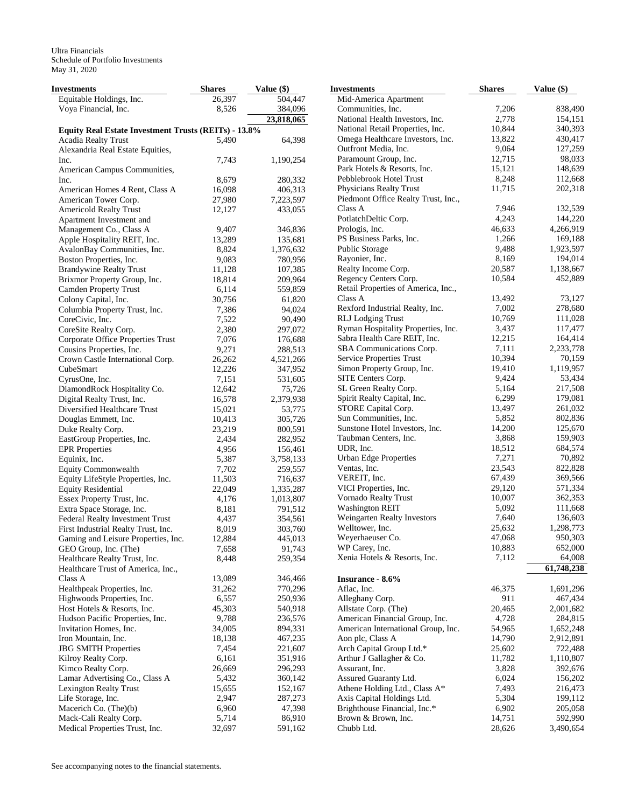Ultra Financials Schedule of Portfolio Investments May 31, 2020

| <b>Investments</b>                                           | <b>Shares</b>  | Value (\$)           | <b>Investments</b>                  | <b>Shares</b>   | Value (\$)         |
|--------------------------------------------------------------|----------------|----------------------|-------------------------------------|-----------------|--------------------|
| Equitable Holdings, Inc.                                     | 26,397         | 504,447              | Mid-America Apartment               |                 |                    |
| Voya Financial, Inc.                                         | 8,526          | 384,096              | Communities, Inc.                   | 7,206           | 838,490            |
|                                                              |                | 23,818,065           | National Health Investors, Inc.     | 2,778           | 154,151            |
| Equity Real Estate Investment Trusts (REITs) - 13.8%         |                |                      | National Retail Properties, Inc.    | 10,844          | 340,393            |
| Acadia Realty Trust                                          | 5,490          | 64,398               | Omega Healthcare Investors, Inc.    | 13,822          | 430,417            |
| Alexandria Real Estate Equities,                             |                |                      | Outfront Media, Inc.                | 9,064           | 127,259            |
| Inc.                                                         | 7,743          | 1,190,254            | Paramount Group, Inc.               | 12,715          | 98,033             |
| American Campus Communities,                                 |                |                      | Park Hotels & Resorts, Inc.         | 15,121          | 148,639            |
| Inc.                                                         | 8,679          | 280,332              | Pebblebrook Hotel Trust             | 8,248           | 112,668            |
| American Homes 4 Rent, Class A                               | 16,098         | 406,313              | Physicians Realty Trust             | 11,715          | 202,318            |
| American Tower Corp.                                         | 27,980         | 7,223,597            | Piedmont Office Realty Trust, Inc., |                 |                    |
| <b>Americold Realty Trust</b>                                | 12,127         | 433,055              | Class A                             | 7,946           | 132,539            |
| Apartment Investment and                                     |                |                      | PotlatchDeltic Corp.                | 4,243           | 144,220            |
| Management Co., Class A                                      | 9,407          | 346,836              | Prologis, Inc.                      | 46,633          | 4,266,919          |
| Apple Hospitality REIT, Inc.                                 | 13,289         | 135,681              | PS Business Parks, Inc.             | 1,266           | 169,188            |
| AvalonBay Communities, Inc.                                  | 8,824          | 1,376,632            | Public Storage                      | 9,488           | 1,923,597          |
| Boston Properties, Inc.                                      | 9,083          | 780,956              | Rayonier, Inc.                      | 8,169           | 194,014            |
| <b>Brandywine Realty Trust</b>                               | 11,128         | 107,385              | Realty Income Corp.                 | 20,587          | 1,138,667          |
| Brixmor Property Group, Inc.                                 | 18,814         | 209,964              | Regency Centers Corp.               | 10,584          | 452,889            |
| <b>Camden Property Trust</b>                                 | 6,114          | 559,859              | Retail Properties of America, Inc., |                 |                    |
| Colony Capital, Inc.                                         | 30,756         | 61,820               | Class A                             | 13,492          | 73,127             |
| Columbia Property Trust, Inc.                                | 7,386          | 94,024               | Rexford Industrial Realty, Inc.     | 7,002           | 278,680            |
| CoreCivic, Inc.                                              | 7,522          | 90,490               | <b>RLJ</b> Lodging Trust            | 10,769          | 111,028            |
| CoreSite Realty Corp.                                        | 2,380          | 297,072              | Ryman Hospitality Properties, Inc.  | 3,437           | 117,477            |
| Corporate Office Properties Trust                            | 7,076          | 176,688              | Sabra Health Care REIT, Inc.        | 12,215          | 164,414            |
| Cousins Properties, Inc.                                     | 9,271          | 288,513              | SBA Communications Corp.            | 7,111           | 2,233,778          |
| Crown Castle International Corp.                             | 26,262         | 4,521,266            | Service Properties Trust            | 10,394          | 70,159             |
| CubeSmart                                                    | 12,226         | 347,952              | Simon Property Group, Inc.          | 19,410          | 1,119,957          |
| CyrusOne, Inc.                                               | 7,151          | 531,605              | SITE Centers Corp.                  | 9,424           | 53,434             |
| DiamondRock Hospitality Co.                                  | 12,642         | 75,726               | SL Green Realty Corp.               | 5,164           | 217,508            |
| Digital Realty Trust, Inc.                                   | 16,578         | 2,379,938            | Spirit Realty Capital, Inc.         | 6,299           | 179,081            |
| Diversified Healthcare Trust                                 | 15,021         | 53,775               | STORE Capital Corp.                 | 13,497          | 261,032            |
| Douglas Emmett, Inc.                                         | 10,413         | 305,726              | Sun Communities, Inc.               | 5,852           | 802,836            |
| Duke Realty Corp.                                            | 23,219         | 800,591              | Sunstone Hotel Investors, Inc.      | 14,200          | 125,670            |
| EastGroup Properties, Inc.                                   | 2,434          | 282,952              | Taubman Centers, Inc.               | 3,868           | 159,903            |
| <b>EPR</b> Properties                                        | 4,956          | 156,461              | UDR, Inc.                           | 18,512          | 684,574<br>70,892  |
| Equinix, Inc.                                                | 5,387          | 3,758,133            | <b>Urban Edge Properties</b>        | 7,271<br>23,543 |                    |
| Equity Commonwealth                                          | 7,702          | 259,557              | Ventas, Inc.<br>VEREIT, Inc.        | 67,439          | 822,828<br>369,566 |
| Equity LifeStyle Properties, Inc.                            | 11,503         | 716,637              | VICI Properties, Inc.               | 29,120          | 571,334            |
| <b>Equity Residential</b>                                    | 22,049         | 1,335,287            | Vornado Realty Trust                | 10,007          | 362,353            |
| Essex Property Trust, Inc.                                   | 4,176<br>8,181 | 1,013,807<br>791,512 | <b>Washington REIT</b>              | 5,092           | 111,668            |
| Extra Space Storage, Inc.<br>Federal Realty Investment Trust | 4,437          | 354,561              | Weingarten Realty Investors         | 7,640           | 136,603            |
| First Industrial Realty Trust, Inc.                          | 8,019          | 303,760              | Welltower, Inc.                     | 25,632          | 1,298,773          |
|                                                              | 12.884         | 445,013              | Weyerhaeuser Co.                    | 47,068          | 950,303            |
| Gaming and Leisure Properties, Inc.<br>GEO Group, Inc. (The) | 7,658          | 91,743               | WP Carey, Inc.                      | 10,883          | 652,000            |
| Healthcare Realty Trust, Inc.                                | 8,448          | 259,354              | Xenia Hotels & Resorts, Inc.        | 7,112           | 64,008             |
| Healthcare Trust of America, Inc.,                           |                |                      |                                     |                 | 61,748,238         |
| Class A                                                      | 13,089         | 346,466              | <b>Insurance - 8.6%</b>             |                 |                    |
| Healthpeak Properties, Inc.                                  | 31,262         | 770,296              | Aflac, Inc.                         | 46,375          | 1,691,296          |
| Highwoods Properties, Inc.                                   | 6,557          | 250,936              | Alleghany Corp.                     | 911             | 467,434            |
| Host Hotels & Resorts, Inc.                                  | 45,303         | 540,918              | Allstate Corp. (The)                | 20,465          | 2,001,682          |
| Hudson Pacific Properties, Inc.                              | 9,788          | 236,576              | American Financial Group, Inc.      | 4,728           | 284,815            |
| Invitation Homes, Inc.                                       | 34,005         | 894,331              | American International Group, Inc.  | 54,965          | 1,652,248          |
| Iron Mountain, Inc.                                          | 18,138         | 467,235              | Aon plc, Class A                    | 14,790          | 2,912,891          |
| <b>JBG SMITH Properties</b>                                  | 7,454          | 221,607              | Arch Capital Group Ltd.*            | 25,602          | 722,488            |
| Kilroy Realty Corp.                                          | 6,161          | 351,916              | Arthur J Gallagher & Co.            | 11,782          | 1,110,807          |
| Kimco Realty Corp.                                           | 26,669         | 296,293              | Assurant, Inc.                      | 3,828           | 392,676            |
| Lamar Advertising Co., Class A                               | 5,432          | 360,142              | Assured Guaranty Ltd.               | 6,024           | 156,202            |
| Lexington Realty Trust                                       | 15,655         | 152,167              | Athene Holding Ltd., Class A*       | 7,493           | 216,473            |
| Life Storage, Inc.                                           | 2,947          | 287,273              | Axis Capital Holdings Ltd.          | 5,304           | 199,112            |
| Macerich Co. (The)(b)                                        | 6,960          | 47,398               | Brighthouse Financial, Inc.*        | 6,902           | 205,058            |
| Mack-Cali Realty Corp.                                       | 5,714          | 86,910               | Brown & Brown, Inc.                 | 14,751          | 592,990            |
| Medical Properties Trust, Inc.                               | 32,697         | 591,162              | Chubb Ltd.                          | 28,626          | 3,490,654          |
|                                                              |                |                      |                                     |                 |                    |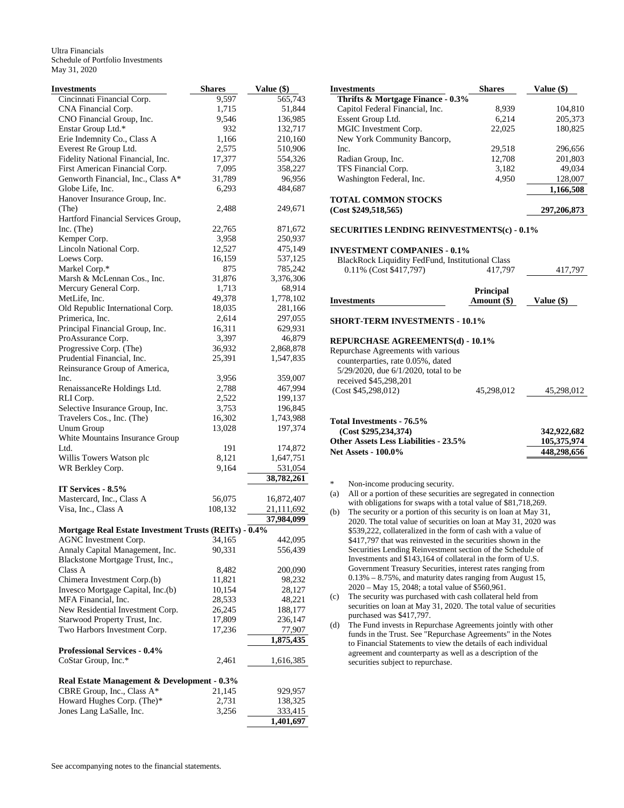Ultra Financials Schedule of Portfolio Investments May 31, 2020

| Investments                                           | <b>Shares</b>   | Value (\$)         |
|-------------------------------------------------------|-----------------|--------------------|
| Cincinnati Financial Corp.                            | 9,597           | 565,743            |
| CNA Financial Corp.                                   | 1,715           | 51,844             |
| CNO Financial Group, Inc.                             | 9,546           | 136,985            |
| Enstar Group Ltd.*                                    | 932             | 132,717            |
| Erie Indemnity Co., Class A                           | 1,166           | 210,160            |
| Everest Re Group Ltd.                                 | 2,575           | 510,906            |
| Fidelity National Financial, Inc.                     | 17,377          | 554,326            |
| First American Financial Corp.                        | 7,095           | 358,227            |
| Genworth Financial, Inc., Class A*                    | 31,789          | 96,956             |
| Globe Life, Inc.                                      | 6,293           | 484,687            |
| Hanover Insurance Group, Inc.                         |                 |                    |
| (The)                                                 | 2,488           | 249,671            |
| Hartford Financial Services Group,                    |                 |                    |
| Inc. $(The)$<br>Kemper Corp.                          | 22,765<br>3,958 | 871,672<br>250,937 |
| Lincoln National Corp.                                |                 |                    |
| Loews Corp.                                           | 12,527          | 475,149<br>537,125 |
| Markel Corp.*                                         | 16,159<br>875   | 785,242            |
| Marsh & McLennan Cos., Inc.                           | 31,876          | 3,376,306          |
| Mercury General Corp.                                 | 1,713           | 68,914             |
| MetLife, Inc.                                         | 49,378          | 1,778,102          |
| Old Republic International Corp.                      | 18,035          | 281,166            |
| Primerica, Inc.                                       | 2,614           | 297,055            |
| Principal Financial Group, Inc.                       | 16,311          | 629,931            |
| ProAssurance Corp.                                    | 3,397           | 46,879             |
| Progressive Corp. (The)                               | 36,932          | 2,868,878          |
| Prudential Financial, Inc.                            | 25,391          | 1,547,835          |
| Reinsurance Group of America,                         |                 |                    |
| Inc.                                                  | 3,956           | 359,007            |
| RenaissanceRe Holdings Ltd.                           | 2,788           | 467,994            |
| RLI Corp.                                             | 2,522           | 199,137            |
| Selective Insurance Group, Inc.                       | 3,753           | 196,845            |
| Travelers Cos., Inc. (The)                            | 16,302          | 1,743,988          |
| <b>Unum Group</b>                                     | 13,028          | 197,374            |
| White Mountains Insurance Group                       |                 |                    |
| Ltd.                                                  | 191             | 174,872            |
| Willis Towers Watson plc                              | 8,121           | 1,647,751          |
| WR Berkley Corp.                                      | 9,164           | 531,054            |
|                                                       |                 | 38,782,261         |
| IT Services - 8.5%                                    |                 |                    |
| Mastercard, Inc., Class A                             | 56,075          | 16,872,407         |
| Visa, Inc., Class A                                   | 108,132         | 21,111,692         |
|                                                       |                 | 37,984,099         |
| Mortgage Real Estate Investment Trusts (REITs) - 0.4% |                 |                    |
| AGNC Investment Corp. 34,165                          |                 | 442,095            |
| Annaly Capital Management, Inc.                       | 90,331          | 556,439            |
| Blackstone Mortgage Trust, Inc.,                      |                 |                    |
| Class A                                               | 8,482           | 200,090            |
| Chimera Investment Corp.(b)                           | 11,821          | 98,232             |
| Invesco Mortgage Capital, Inc.(b)                     | 10,154          | 28,127             |
| MFA Financial, Inc.                                   | 28,533          | 48,221             |
| New Residential Investment Corp.                      | 26,245          | 188,177            |
| Starwood Property Trust, Inc.                         | 17,809          | 236,147            |
| Two Harbors Investment Corp.                          | 17,236          | 77,907             |
|                                                       |                 | 1,875,435          |
| <b>Professional Services - 0.4%</b>                   |                 |                    |
| CoStar Group, Inc.*                                   | 2,461           | 1,616,385          |
| Real Estate Management & Development - 0.3%           |                 |                    |
| CBRE Group, Inc., Class A*                            | 21,145          | 929,957            |
| Howard Hughes Corp. (The)*                            | 2,731           | 138,325            |
| Jones Lang LaSalle, Inc.                              | 3,256           | 333,415            |
|                                                       |                 | 1,401,697          |

| <b>Investments</b>                | <b>Shares</b> | Value (\$)  |
|-----------------------------------|---------------|-------------|
| Thrifts & Mortgage Finance - 0.3% |               |             |
| Capitol Federal Financial, Inc.   | 8.939         | 104.810     |
| Essent Group Ltd.                 | 6.214         | 205,373     |
| MGIC Investment Corp.             | 22,025        | 180.825     |
| New York Community Bancorp,       |               |             |
| Inc.                              | 29,518        | 296,656     |
| Radian Group, Inc.                | 12.708        | 201.803     |
| TFS Financial Corp.               | 3.182         | 49.034      |
| Washington Federal, Inc.          | 4.950         | 128,007     |
|                                   |               | 1,166,508   |
| TOTAL COMMON STOCKS               |               |             |
| (Cost \$249,518,565)              |               | 297,206,873 |

# **SECURITIES LENDING REINVESTMENTS(c) - 0.1%**

#### **INVESTMENT COMPANIES - 0.1%**

|                                                  | <b>Principal</b> |         |
|--------------------------------------------------|------------------|---------|
| $0.11\%$ (Cost \$417,797)                        | 417.797          | 417.797 |
| BlackRock Liquidity FedFund, Institutional Class |                  |         |

|             | $         -$ |              |
|-------------|--------------|--------------|
| Investments | Amount (\$)  | Value $(\$)$ |
|             |              |              |

# **SHORT-TERM INVESTMENTS - 10.1%**

# **REPURCHASE AGREEMENTS(d) - 10.1%**

Repurchase Agreements with various counterparties, rate 0.05%, dated 5/29/2020, due 6/1/2020, total to be received \$45,298,201 (Cost \$45,298,012) 45,298,012 45,298,012

## **Total Investments - 76.5% (Cost \$295,234,374) 342,922,682** Other Assets Less Liabilities - 23.5% 105,375,974<br>Net Assets - 100.0% 148,298,656 **Net Assets - 100.0%**

\* Non-income producing security.

- (a) All or a portion of these securities are segregated in connection with obligations for swaps with a total value of \$81,718,269.
- (b) The security or a portion of this security is on loan at May 31, 2020. The total value of securities on loan at May 31, 2020 was \$539,222, collateralized in the form of cash with a value of \$417,797 that was reinvested in the securities shown in the Securities Lending Reinvestment section of the Schedule of Investments and \$143,164 of collateral in the form of U.S. Government Treasury Securities, interest rates ranging from 0.13% – 8.75%, and maturity dates ranging from August 15, 2020 – May 15, 2048; a total value of \$560,961.
- (c) The security was purchased with cash collateral held from securities on loan at May 31, 2020. The total value of securities purchased was \$417,797.
- (d) The Fund invests in Repurchase Agreements jointly with other funds in the Trust. See "Repurchase Agreements" in the Notes to Financial Statements to view the details of each individual agreement and counterparty as well as a description of the securities subject to repurchase.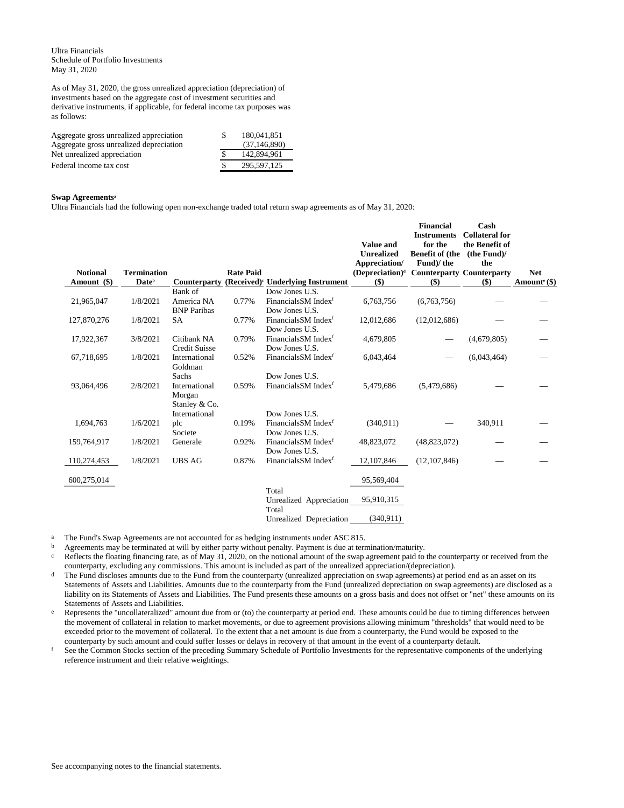Ultra Financials Schedule of Portfolio Investments May 31, 2020

As of May 31, 2020, the gross unrealized appreciation (depreciation) of investments based on the aggregate cost of investment securities and derivative instruments, if applicable, for federal income tax purposes was as follows:

| Aggregate gross unrealized appreciation | -S | 180.041.851    |
|-----------------------------------------|----|----------------|
| Aggregate gross unrealized depreciation |    | (37, 146, 890) |
| Net unrealized appreciation             |    | 142,894,961    |
| Federal income tax cost                 |    | 295.597.125    |

#### **Swap Agreements<sup>a</sup>**

Ultra Financials had the following open non-exchange traded total return swap agreements as of May 31, 2020:

|                 |                          |                      |                  |                                               | <b>Value and</b><br><b>Unrealized</b> | <b>Financial</b><br><b>Instruments</b><br>for the<br><b>Benefit of (the</b> | Cash<br><b>Collateral for</b><br>the Benefit of<br>(the Fund) |                          |
|-----------------|--------------------------|----------------------|------------------|-----------------------------------------------|---------------------------------------|-----------------------------------------------------------------------------|---------------------------------------------------------------|--------------------------|
|                 |                          |                      |                  |                                               | Appreciation/                         | Fund)/the                                                                   | the                                                           |                          |
| <b>Notional</b> | <b>Termination</b>       |                      | <b>Rate Paid</b> |                                               | (Depreciation) <sup>d</sup>           | <b>Counterparty Counterparty</b>                                            |                                                               | <b>Net</b>               |
| Amount (\$)     | <b>Date</b> <sup>b</sup> | Counterparty         |                  | (Received) <sup>c</sup> Underlying Instrument | $($)$                                 | $($)$                                                                       | $($ \$)                                                       | Amount <sup>e</sup> (\$) |
|                 |                          | Bank of              |                  | Dow Jones U.S.                                |                                       |                                                                             |                                                               |                          |
| 21,965,047      | 1/8/2021                 | America NA           | 0.77%            | Financials SM Index <sup>f</sup>              | 6,763,756                             | (6,763,756)                                                                 |                                                               |                          |
|                 |                          | <b>BNP</b> Paribas   |                  | Dow Jones U.S.                                |                                       |                                                                             |                                                               |                          |
| 127,870,276     | 1/8/2021                 | <b>SA</b>            | 0.77%            | Financials SM Index <sup>f</sup>              | 12,012,686                            | (12,012,686)                                                                |                                                               |                          |
|                 |                          |                      |                  | Dow Jones U.S.                                |                                       |                                                                             |                                                               |                          |
| 17,922,367      | 3/8/2021                 | Citibank NA          | 0.79%            | Financials SM Index <sup>f</sup>              | 4,679,805                             |                                                                             | (4,679,805)                                                   |                          |
|                 |                          | <b>Credit Suisse</b> |                  | Dow Jones U.S.                                |                                       |                                                                             |                                                               |                          |
| 67,718,695      | 1/8/2021                 | International        | 0.52%            | Financials SM Index <sup>f</sup>              | 6,043,464                             |                                                                             | (6,043,464)                                                   |                          |
|                 |                          | Goldman              |                  |                                               |                                       |                                                                             |                                                               |                          |
|                 |                          | Sachs                |                  | Dow Jones U.S.                                |                                       |                                                                             |                                                               |                          |
| 93,064,496      | 2/8/2021                 | International        | 0.59%            | Financials SM Index <sup>f</sup>              | 5,479,686                             | (5,479,686)                                                                 |                                                               |                          |
|                 |                          | Morgan               |                  |                                               |                                       |                                                                             |                                                               |                          |
|                 |                          | Stanley & Co.        |                  |                                               |                                       |                                                                             |                                                               |                          |
|                 |                          | International        |                  | Dow Jones U.S.                                |                                       |                                                                             |                                                               |                          |
| 1,694,763       | 1/6/2021                 | plc                  | 0.19%            | Financials SM Index <sup>f</sup>              | (340.911)                             |                                                                             | 340,911                                                       |                          |
|                 |                          | Societe              |                  | Dow Jones U.S.                                |                                       |                                                                             |                                                               |                          |
| 159,764,917     | 1/8/2021                 | Generale             | 0.92%            | Financials SM Index <sup>f</sup>              | 48,823,072                            | (48, 823, 072)                                                              |                                                               |                          |
|                 |                          |                      |                  | Dow Jones U.S.                                |                                       |                                                                             |                                                               |                          |
| 110,274,453     | 1/8/2021                 | <b>UBS AG</b>        | 0.87%            | Financials SM Index <sup>f</sup>              | 12,107,846                            | (12, 107, 846)                                                              |                                                               |                          |
|                 |                          |                      |                  |                                               |                                       |                                                                             |                                                               |                          |
| 600,275,014     |                          |                      |                  |                                               | 95,569,404                            |                                                                             |                                                               |                          |
|                 |                          |                      |                  | Total                                         |                                       |                                                                             |                                                               |                          |
|                 |                          |                      |                  | Unrealized Appreciation                       | 95,910,315                            |                                                                             |                                                               |                          |
|                 |                          |                      |                  | Total                                         |                                       |                                                                             |                                                               |                          |
|                 |                          |                      |                  | Unrealized Depreciation                       | (340, 911)                            |                                                                             |                                                               |                          |

<sup>a</sup> The Fund's Swap Agreements are not accounted for as hedging instruments under ASC 815.

b Agreements may be terminated at will by either party without penalty. Payment is due at termination/maturity.<br>  $\frac{1}{2}$  Reflects the floating financing rate, as of May 31, 2020, on the notional amount of the swap agree

Reflects the floating financing rate, as of May 31, 2020, on the notional amount of the swap agreement paid to the counterparty or received from the counterparty, excluding any commissions. This amount is included as part of the unrealized appreciation/(depreciation).

The Fund discloses amounts due to the Fund from the counterparty (unrealized appreciation on swap agreements) at period end as an asset on its Statements of Assets and Liabilities. Amounts due to the counterparty from the Fund (unrealized depreciation on swap agreements) are disclosed as a liability on its Statements of Assets and Liabilities. The Fund presents these amounts on a gross basis and does not offset or "net" these amounts on its Statements of Assets and Liabilities.

e Represents the "uncollateralized" amount due from or (to) the counterparty at period end. These amounts could be due to timing differences between the movement of collateral in relation to market movements, or due to agreement provisions allowing minimum "thresholds" that would need to be exceeded prior to the movement of collateral. To the extent that a net amount is due from a counterparty, the Fund would be exposed to the counterparty by such amount and could suffer losses or delays in recovery of that amount in the event of a counterparty default.

f See the Common Stocks section of the preceding Summary Schedule of Portfolio Investments for the representative components of the underlying reference instrument and their relative weightings.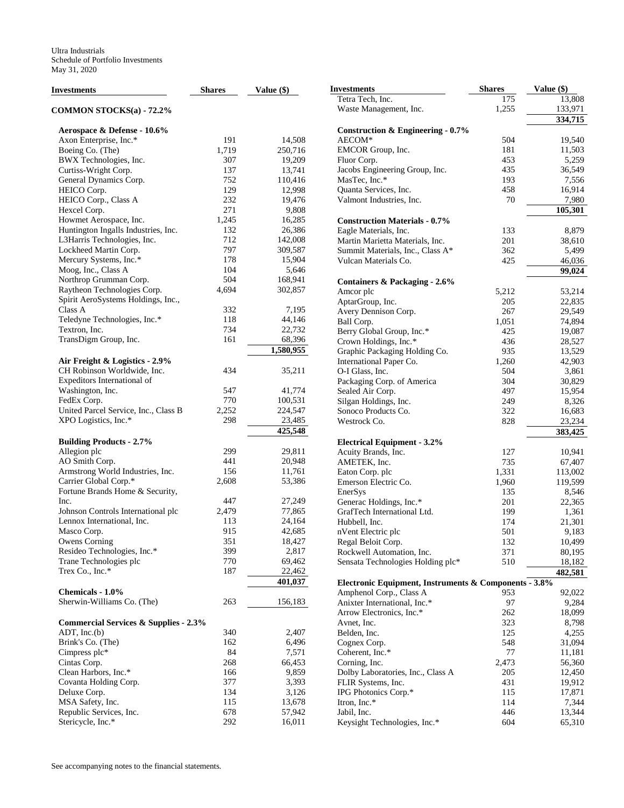| <b>Investments</b>                               | <b>Shares</b> | Value $(\$)$ | <b>Investments</b>                                    | <b>Shares</b> | Value (\$)       |
|--------------------------------------------------|---------------|--------------|-------------------------------------------------------|---------------|------------------|
|                                                  |               |              | Tetra Tech, Inc.                                      | 175           | 13,808           |
| COMMON STOCKS(a) - 72.2%                         |               |              | Waste Management, Inc.                                | 1,255         | 133,971          |
|                                                  |               |              |                                                       |               | 334,715          |
| Aerospace & Defense - 10.6%                      |               |              | <b>Construction &amp; Engineering - 0.7%</b>          |               |                  |
| Axon Enterprise, Inc.*                           | 191           | 14,508       | AECOM*                                                | 504           | 19,540           |
| Boeing Co. (The)                                 | 1,719         | 250,716      | EMCOR Group, Inc.                                     | 181           | 11,503           |
| BWX Technologies, Inc.                           | 307           | 19,209       | Fluor Corp.                                           | 453           | 5,259            |
| Curtiss-Wright Corp.                             | 137           | 13,741       | Jacobs Engineering Group, Inc.                        | 435           | 36,549           |
| General Dynamics Corp.                           | 752           | 110,416      | MasTec, Inc.*                                         | 193           | 7,556            |
| HEICO Corp.                                      | 129           | 12,998       | Quanta Services, Inc.                                 | 458           | 16,914           |
| HEICO Corp., Class A                             | 232           | 19,476       | Valmont Industries, Inc.                              | 70            | 7,980            |
| Hexcel Corp.                                     | 271           | 9,808        |                                                       |               | 105,301          |
| Howmet Aerospace, Inc.                           | 1,245         | 16,285       | <b>Construction Materials - 0.7%</b>                  |               |                  |
| Huntington Ingalls Industries, Inc.              | 132           | 26,386       | Eagle Materials, Inc.                                 | 133           | 8,879            |
| L3Harris Technologies, Inc.                      | 712           | 142,008      | Martin Marietta Materials, Inc.                       | 201           | 38,610           |
| Lockheed Martin Corp.                            | 797           | 309,587      | Summit Materials, Inc., Class A*                      | 362           | 5,499            |
| Mercury Systems, Inc.*                           | 178           | 15,904       | Vulcan Materials Co.                                  | 425           | 46,036           |
| Moog, Inc., Class A                              | 104           | 5,646        |                                                       |               | 99,024           |
| Northrop Grumman Corp.                           | 504           | 168,941      |                                                       |               |                  |
| Raytheon Technologies Corp.                      | 4,694         | 302,857      | Containers & Packaging - 2.6%                         |               |                  |
|                                                  |               |              | Amcor plc                                             | 5,212         | 53,214           |
| Spirit AeroSystems Holdings, Inc.,               |               |              | AptarGroup, Inc.                                      | 205           | 22,835           |
| Class A                                          | 332           | 7,195        | Avery Dennison Corp.                                  | 267           | 29,549           |
| Teledyne Technologies, Inc.*                     | 118           | 44,146       | Ball Corp.                                            | 1,051         | 74,894           |
| Textron, Inc.                                    | 734           | 22,732       | Berry Global Group, Inc.*                             | 425           | 19,087           |
| TransDigm Group, Inc.                            | 161           | 68,396       | Crown Holdings, Inc.*                                 | 436           | 28,527           |
|                                                  |               | 1,580,955    | Graphic Packaging Holding Co.                         | 935           | 13,529           |
| Air Freight & Logistics - 2.9%                   |               |              | International Paper Co.                               | 1,260         | 42,903           |
| CH Robinson Worldwide, Inc.                      | 434           | 35,211       | O-I Glass, Inc.                                       | 504           | 3,861            |
| Expeditors International of                      |               |              | Packaging Corp. of America                            | 304           | 30,829           |
| Washington, Inc.                                 | 547           | 41,774       | Sealed Air Corp.                                      | 497           | 15,954           |
| FedEx Corp.                                      | 770           | 100,531      | Silgan Holdings, Inc.                                 | 249           | 8,326            |
| United Parcel Service, Inc., Class B             | 2,252         | 224,547      | Sonoco Products Co.                                   | 322           | 16,683           |
| XPO Logistics, Inc.*                             | 298           | 23,485       | Westrock Co.                                          | 828           | 23,234           |
|                                                  |               | 425,548      |                                                       |               | 383,425          |
| <b>Building Products - 2.7%</b>                  |               |              | <b>Electrical Equipment - 3.2%</b>                    |               |                  |
| Allegion plc                                     | 299           | 29,811       | Acuity Brands, Inc.                                   | 127           | 10,941           |
| AO Smith Corp.                                   | 441           | 20,948       | AMETEK, Inc.                                          | 735           | 67,407           |
| Armstrong World Industries, Inc.                 | 156           | 11,761       | Eaton Corp. plc                                       | 1,331         | 113,002          |
| Carrier Global Corp.*                            | 2,608         | 53,386       | Emerson Electric Co.                                  | 1,960         | 119,599          |
| Fortune Brands Home & Security,                  |               |              | EnerSys                                               | 135           | 8,546            |
| Inc.                                             | 447           | 27,249       | Generac Holdings, Inc.*                               | 201           | 22,365           |
| Johnson Controls International plc               | 2,479         | 77,865       | GrafTech International Ltd.                           | 199           | 1,361            |
| Lennox International, Inc.                       | 113           | 24,164       | Hubbell, Inc.                                         | 174           | 21,301           |
| Masco Corp.                                      | 915           | 42,685       |                                                       | 501           | 9,183            |
| <b>Owens Corning</b>                             | 351           | 18,427       | nVent Electric plc                                    | 132           | 10,499           |
| Resideo Technologies, Inc.*                      | 399           | 2,817        | Regal Beloit Corp.<br>Rockwell Automation, Inc.       | 371           |                  |
| Trane Technologies plc                           | 770           | 69,462       |                                                       |               | 80,195<br>18,182 |
| Trex Co., Inc.*                                  | 187           | 22,462       | Sensata Technologies Holding plc*                     | 510           |                  |
|                                                  |               |              |                                                       |               | 482,581          |
|                                                  |               | 401,037      | Electronic Equipment, Instruments & Components - 3.8% |               |                  |
| Chemicals - 1.0%                                 |               |              | Amphenol Corp., Class A                               | 953           | 92,022           |
| Sherwin-Williams Co. (The)                       | 263           | 156,183      | Anixter International, Inc.*                          | 97            | 9,284            |
|                                                  |               |              | Arrow Electronics, Inc.*                              | 262           | 18,099           |
| <b>Commercial Services &amp; Supplies - 2.3%</b> |               |              | Avnet, Inc.                                           | 323           | 8,798            |
| $ADT$ , Inc. $(b)$                               | 340           | 2,407        | Belden, Inc.                                          | 125           | 4,255            |
| Brink's Co. (The)                                | 162           | 6,496        | Cognex Corp.                                          | 548           | 31,094           |
| Cimpress plc*                                    | 84            | 7,571        | Coherent, Inc.*                                       | 77            | 11,181           |
| Cintas Corp.                                     | 268           | 66,453       | Corning, Inc.                                         | 2,473         | 56,360           |
| Clean Harbors, Inc.*                             | 166           | 9,859        | Dolby Laboratories, Inc., Class A                     | 205           | 12,450           |
| Covanta Holding Corp.                            | 377           | 3,393        | FLIR Systems, Inc.                                    | 431           | 19,912           |
| Deluxe Corp.                                     | 134           | 3,126        | IPG Photonics Corp.*                                  | 115           | 17,871           |
| MSA Safety, Inc.                                 | 115           | 13,678       | Itron, Inc.*                                          | 114           | 7,344            |
| Republic Services, Inc.                          | 678           | 57,942       | Jabil, Inc.                                           | 446           | 13,344           |
| Stericycle, Inc.*                                | 292           | 16,011       | Keysight Technologies, Inc.*                          | 604           | 65,310           |
|                                                  |               |              |                                                       |               |                  |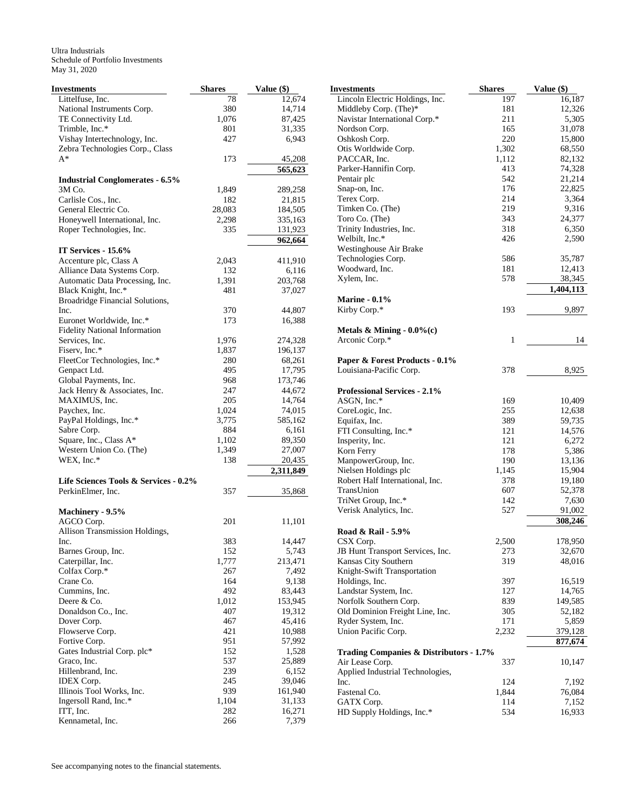Ultra Industrials Schedule of Portfolio Investments May 31, 2020

| Investments                            | <b>Shares</b> | Value (\$) |
|----------------------------------------|---------------|------------|
| Littelfuse, Inc.                       | 78            | 12,674     |
| National Instruments Corp.             | 380           | 14,714     |
| TE Connectivity Ltd.                   | 1,076         | 87,425     |
| Trimble, Inc.*                         | 801           | 31,335     |
| Vishay Intertechnology, Inc.           | 427           | 6,943      |
| Zebra Technologies Corp., Class        |               |            |
| $A^*$                                  | 173           | 45,208     |
|                                        |               | 565,623    |
| <b>Industrial Conglomerates - 6.5%</b> |               |            |
| 3M Co.                                 | 1,849         | 289,258    |
| Carlisle Cos., Inc.                    | 182           | 21,815     |
| General Electric Co.                   | 28,083        | 184,505    |
| Honeywell International, Inc.          | 2,298         | 335,163    |
| Roper Technologies, Inc.               | 335           | 131,923    |
|                                        |               | 962,664    |
| IT Services - 15.6%                    |               |            |
| Accenture plc, Class A                 | 2,043         | 411,910    |
| Alliance Data Systems Corp.            | 132           | 6,116      |
| Automatic Data Processing, Inc.        | 1,391         | 203,768    |
| Black Knight, Inc.*                    | 481           | 37,027     |
| Broadridge Financial Solutions,        |               |            |
| Inc.                                   | 370           | 44,807     |
| Euronet Worldwide, Inc.*               | 173           | 16,388     |
| <b>Fidelity National Information</b>   |               |            |
| Services, Inc.                         | 1,976         | 274,328    |
| Fiserv, Inc.*                          | 1,837         | 196,137    |
| FleetCor Technologies, Inc.*           | 280           | 68,261     |
| Genpact Ltd.                           | 495           | 17,795     |
| Global Payments, Inc.                  | 968           | 173,746    |
| Jack Henry & Associates, Inc.          | 247           | 44,672     |
| MAXIMUS, Inc.                          | 205           | 14,764     |
| Paychex, Inc.                          | 1,024         | 74,015     |
| PayPal Holdings, Inc.*                 | 3,775         | 585,162    |
| Sabre Corp.                            | 884           | 6,161      |
| Square, Inc., Class A*                 | 1,102         | 89,350     |
| Western Union Co. (The)                | 1,349         | 27,007     |
| WEX, Inc.*                             | 138           | 20,435     |
|                                        |               | 2,311,849  |
| Life Sciences Tools & Services - 0.2%  |               |            |
| PerkinElmer, Inc.                      | 357           | 35,868     |
|                                        |               |            |
| Machinery - 9.5%                       |               |            |
| AGCO Corp.                             | 201           | 11,101     |
| Allison Transmission Holdings,         |               |            |
| Inc.                                   | 383           | 14,447     |
| Barnes Group, Inc.                     | 152           | 5,743      |
| Caterpillar, Inc.                      | 1,777         | 213,471    |
| Colfax Corp.*                          | 267           | 7,492      |
| Crane Co.                              | 164           | 9,138      |
| Cummins, Inc.                          | 492           | 83,443     |
| Deere & Co.                            | 1,012         | 153,945    |
| Donaldson Co., Inc.                    | 407           | 19,312     |
| Dover Corp.                            | 467           | 45,416     |
| Flowserve Corp.                        | 421           | 10,988     |
| Fortive Corp.                          | 951           | 57,992     |
| Gates Industrial Corp. plc*            | 152           | 1,528      |
| Graco, Inc.                            | 537           | 25,889     |
| Hillenbrand, Inc.                      | 239           | 6,152      |
| IDEX Corp.                             | 245           | 39,046     |
| Illinois Tool Works, Inc.              | 939           | 161,940    |
| Ingersoll Rand, Inc.*                  | 1,104         | 31,133     |
| ITT, Inc.                              | 282           | 16,271     |
| Kennametal, Inc.                       | 266           | 7,379      |

| <b>Investments</b>                                         | <b>Shares</b> | Value (\$)       |
|------------------------------------------------------------|---------------|------------------|
| Lincoln Electric Holdings, Inc.                            | 197           | 16,187           |
| Middleby Corp. (The)*                                      | 181           | 12,326           |
| Navistar International Corp.*                              | 211           | 5,305            |
| Nordson Corp.                                              | 165           | 31,078           |
| Oshkosh Corp.                                              | 220           | 15,800           |
| Otis Worldwide Corp.                                       | 1,302         | 68,550           |
| PACCAR, Inc.                                               | 1,112         | 82,132           |
| Parker-Hannifin Corp.                                      | 413           | 74,328           |
| Pentair plc                                                | 542<br>176    | 21,214           |
| Snap-on, Inc.<br>Terex Corp.                               | 214           | 22,825<br>3,364  |
| Timken Co. (The)                                           | 219           | 9,316            |
| Toro Co. (The)                                             | 343           | 24,377           |
| Trinity Industries, Inc.                                   | 318           | 6,350            |
| Welbilt, Inc.*                                             | 426           | 2,590            |
| Westinghouse Air Brake                                     |               |                  |
| Technologies Corp.                                         | 586           | 35,787           |
| Woodward, Inc.                                             | 181           | 12,413           |
| Xylem, Inc.                                                | 578           | 38,345           |
|                                                            |               | 1,404,113        |
| <b>Marine - 0.1%</b><br>Kirby Corp.*                       | 193           | 9,897            |
|                                                            |               |                  |
| Metals & Mining - $0.0\%$ (c)                              |               |                  |
| Arconic Corp.*                                             | 1             | 14               |
| Paper & Forest Products - 0.1%                             |               |                  |
| Louisiana-Pacific Corp.                                    | 378           | 8,925            |
|                                                            |               |                  |
| <b>Professional Services - 2.1%</b>                        |               |                  |
| ASGN, Inc.*                                                | 169           | 10,409           |
| CoreLogic, Inc.                                            | 255           | 12,638           |
| Equifax, Inc.                                              | 389           | 59,735           |
| FTI Consulting, Inc.*                                      | 121           | 14,576           |
| Insperity, Inc.                                            | 121           | 6,272            |
| Korn Ferry                                                 | 178           | 5,386            |
| ManpowerGroup, Inc.<br>Nielsen Holdings plc                | 190<br>1,145  | 13,136<br>15,904 |
| Robert Half International, Inc.                            | 378           | 19,180           |
| TransUnion                                                 | 607           | 52,378           |
| TriNet Group, Inc.*                                        | 142           | 7,630            |
| Verisk Analytics, Inc.                                     | 527           | 91,002           |
|                                                            |               | 308,246          |
| Road & Rail - 5.9%                                         |               |                  |
| CSX Corp.                                                  | 2,500         | 178,950          |
| JB Hunt Transport Services, Inc.                           | 273<br>319    | 32,670<br>48,016 |
| Kansas City Southern<br>Knight-Swift Transportation        |               |                  |
| Holdings, Inc.                                             | 397           | 16,519           |
| Landstar System, Inc.                                      | 127           | 14,765           |
| Norfolk Southern Corp.                                     | 839           | 149,585          |
| Old Dominion Freight Line, Inc.                            | 305           | 52,182           |
| Ryder System, Inc.                                         | 171           | 5,859            |
| Union Pacific Corp.                                        | 2,232         | 379,128          |
|                                                            |               | 877,674          |
| Trading Companies & Distributors - 1.7%<br>Air Lease Corp. | 337           | 10,147           |
| Applied Industrial Technologies,                           |               |                  |
| Inc.                                                       | 124           | 7,192            |
| Fastenal Co.                                               | 1,844         | 76,084           |
| GATX Corp.                                                 | 114           | 7,152            |
| HD Supply Holdings, Inc.*                                  | 534           | 16,933           |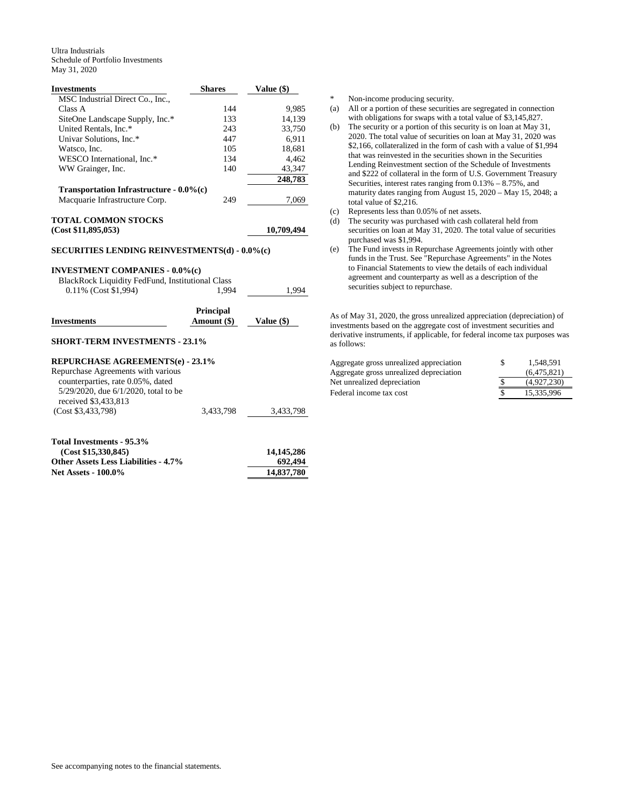Ultra Industrials Schedule of Portfolio Investments May 31, 2020

| <b>Investments</b>                                                                                                                                                        | <b>Shares</b>                   | Value (\$)   |
|---------------------------------------------------------------------------------------------------------------------------------------------------------------------------|---------------------------------|--------------|
| MSC Industrial Direct Co., Inc.,                                                                                                                                          |                                 |              |
| Class A                                                                                                                                                                   | 144                             | 9,985        |
| SiteOne Landscape Supply, Inc.*                                                                                                                                           | 133                             | 14,139       |
| United Rentals, Inc.*                                                                                                                                                     | 243                             | 33,750       |
| Univar Solutions, Inc.*                                                                                                                                                   | 447                             | 6,911        |
| Watsco, Inc.                                                                                                                                                              | 105                             | 18,681       |
| WESCO International, Inc.*                                                                                                                                                | 134                             | 4,462        |
| WW Grainger, Inc.                                                                                                                                                         | 140                             | 43,347       |
|                                                                                                                                                                           |                                 | 248,783      |
| Transportation Infrastructure - $0.0\%$ (c)                                                                                                                               |                                 |              |
| Macquarie Infrastructure Corp.                                                                                                                                            | 249                             | 7,069        |
| <b>TOTAL COMMON STOCKS</b>                                                                                                                                                |                                 |              |
| (Cost \$11,895,053)                                                                                                                                                       |                                 | 10,709,494   |
|                                                                                                                                                                           |                                 |              |
| <b>SECURITIES LENDING REINVESTMENTS(d) - 0.0%(c)</b><br><b>INVESTMENT COMPANIES - 0.0%(c)</b><br>BlackRock Liquidity FedFund, Institutional Class<br>0.11% (Cost \$1,994) | 1.994                           |              |
|                                                                                                                                                                           |                                 | 1,994        |
| <b>Investments</b>                                                                                                                                                        | <b>Principal</b><br>Amount (\$) | Value $(\$)$ |
| <b>SHORT-TERM INVESTMENTS - 23.1%</b>                                                                                                                                     |                                 |              |
| <b>REPURCHASE AGREEMENTS(e) - 23.1%</b>                                                                                                                                   |                                 |              |
| Repurchase Agreements with various                                                                                                                                        |                                 |              |
| counterparties, rate 0.05%, dated                                                                                                                                         |                                 |              |
| 5/29/2020, due 6/1/2020, total to be                                                                                                                                      |                                 |              |
| received \$3,433,813                                                                                                                                                      |                                 |              |
| (Cost \$3,433,798)                                                                                                                                                        | 3,433,798                       | 3,433,798    |

| Total Investments - 95.3%                   |            |
|---------------------------------------------|------------|
| (Cost \$15,330,845)                         | 14.145.286 |
| <b>Other Assets Less Liabilities - 4.7%</b> | 692,494    |
| <b>Net Assets - 100.0%</b>                  | 14,837,780 |

\* Non-income producing security.

- (a) All or a portion of these securities are segregated in connection with obligations for swaps with a total value of \$3,145,827.
- (b) The security or a portion of this security is on loan at May 31, 2020. The total value of securities on loan at May 31, 2020 was \$2,166, collateralized in the form of cash with a value of \$1,994 that was reinvested in the securities shown in the Securities Lending Reinvestment section of the Schedule of Investments and \$222 of collateral in the form of U.S. Government Treasury Securities, interest rates ranging from 0.13% – 8.75%, and maturity dates ranging from August 15, 2020 – May 15, 2048; a total value of \$2,216.
- (c) Represents less than 0.05% of net assets.
- (d) The security was purchased with cash collateral held from securities on loan at May 31, 2020. The total value of securities purchased was \$1,994.
- (e) The Fund invests in Repurchase Agreements jointly with other funds in the Trust. See "Repurchase Agreements" in the Notes to Financial Statements to view the details of each individual agreement and counterparty as well as a description of the securities subject to repurchase.

As of May 31, 2020, the gross unrealized appreciation (depreciation) of investments based on the aggregate cost of investment securities and derivative instruments, if applicable, for federal income tax purposes was as follows:

| Aggregate gross unrealized appreciation | 1.548.591   |
|-----------------------------------------|-------------|
| Aggregate gross unrealized depreciation | (6.475.821) |
| Net unrealized depreciation             | (4.927.230) |
| Federal income tax cost                 | 15.335.996  |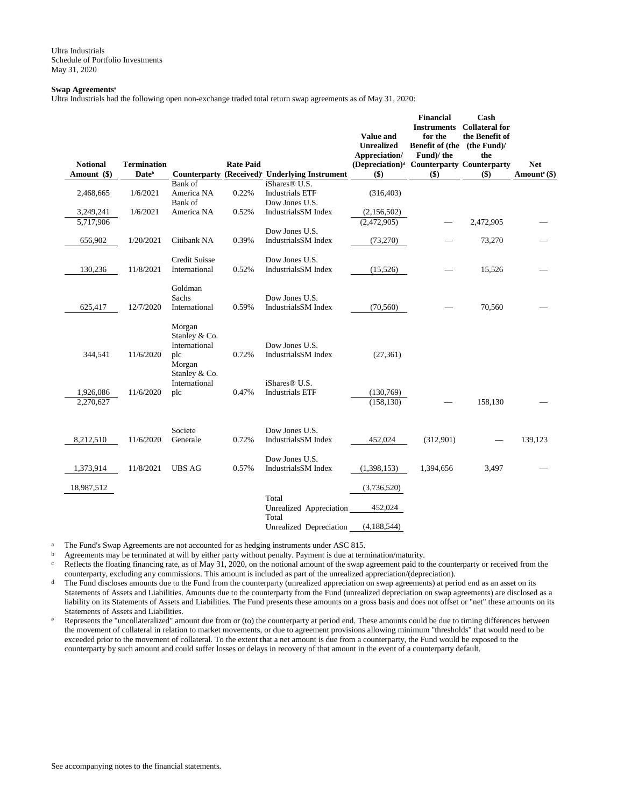Ultra Industrials Schedule of Portfolio Investments May 31, 2020

### **Swap Agreements<sup>a</sup>**

Ultra Industrials had the following open non-exchange traded total return swap agreements as of May 31, 2020:

| <b>Notional</b>        | <b>Termination</b> |                                                                            | <b>Rate Paid</b> |                                                                       | <b>Value and</b><br><b>Unrealized</b><br>Appreciation/<br>(Depreciation) <sup>d</sup> Counterparty Counterparty | <b>Financial</b><br><b>Instruments</b><br>for the<br>Benefit of (the (the Fund)/<br>Fund)/ the | Cash<br><b>Collateral for</b><br>the Benefit of<br>the | <b>Net</b>                 |
|------------------------|--------------------|----------------------------------------------------------------------------|------------------|-----------------------------------------------------------------------|-----------------------------------------------------------------------------------------------------------------|------------------------------------------------------------------------------------------------|--------------------------------------------------------|----------------------------|
| Amount (\$)            | Date <sup>b</sup>  | Counterparty                                                               |                  | (Received) <sup>c</sup> Underlying Instrument                         | $($)$                                                                                                           | $($)$                                                                                          | $($)$                                                  | Amount <sup>e</sup> $(\$)$ |
| 2,468,665              | 1/6/2021           | Bank of<br>America NA<br>Bank of                                           | 0.22%            | iShares <sup>®</sup> U.S.<br><b>Industrials ETF</b><br>Dow Jones U.S. | (316, 403)                                                                                                      |                                                                                                |                                                        |                            |
| 3,249,241              | 1/6/2021           | America NA                                                                 | 0.52%            | Industrials SM Index                                                  | (2,156,502)                                                                                                     |                                                                                                |                                                        |                            |
| 5,717,906              |                    |                                                                            |                  |                                                                       | (2,472,905)                                                                                                     |                                                                                                | 2,472,905                                              |                            |
| 656,902                | 1/20/2021          | Citibank NA                                                                | 0.39%            | Dow Jones U.S.<br>IndustrialsSM Index                                 | (73,270)                                                                                                        |                                                                                                | 73,270                                                 |                            |
| 130,236                | 11/8/2021          | <b>Credit Suisse</b><br>International                                      | 0.52%            | Dow Jones U.S.<br>IndustrialsSM Index                                 | (15,526)                                                                                                        |                                                                                                | 15,526                                                 |                            |
| 625,417                | 12/7/2020          | Goldman<br>Sachs<br>International                                          | 0.59%            | Dow Jones U.S.<br>Industrials SM Index                                | (70, 560)                                                                                                       |                                                                                                | 70,560                                                 |                            |
| 344,541                | 11/6/2020          | Morgan<br>Stanley & Co.<br>International<br>plc<br>Morgan<br>Stanley & Co. | 0.72%            | Dow Jones U.S.<br>Industrials SM Index                                | (27, 361)                                                                                                       |                                                                                                |                                                        |                            |
| 1,926,086<br>2,270,627 | 11/6/2020          | International<br>plc                                                       | 0.47%            | iShares <sup>®</sup> U.S.<br><b>Industrials ETF</b>                   | (130,769)<br>(158, 130)                                                                                         |                                                                                                | 158,130                                                |                            |
| 8,212,510              | 11/6/2020          | Societe<br>Generale                                                        | 0.72%            | Dow Jones U.S.<br>IndustrialsSM Index                                 | 452,024                                                                                                         | (312,901)                                                                                      |                                                        | 139,123                    |
| 1,373,914              | 11/8/2021          | <b>UBS AG</b>                                                              | 0.57%            | Dow Jones U.S.<br>IndustrialsSM Index                                 | (1,398,153)                                                                                                     | 1,394,656                                                                                      | 3,497                                                  |                            |
| 18,987,512             |                    |                                                                            |                  |                                                                       | (3,736,520)                                                                                                     |                                                                                                |                                                        |                            |
|                        |                    |                                                                            |                  | Total                                                                 |                                                                                                                 |                                                                                                |                                                        |                            |
|                        |                    |                                                                            |                  | Unrealized Appreciation<br>Total                                      | 452,024                                                                                                         |                                                                                                |                                                        |                            |
|                        |                    |                                                                            |                  | Unrealized Depreciation                                               | (4, 188, 544)                                                                                                   |                                                                                                |                                                        |                            |

<sup>a</sup> The Fund's Swap Agreements are not accounted for as hedging instruments under ASC 815.<br>
<sup>b</sup> Agreements may be terminated at will by either party without penalty. Payment is due at term

b Agreements may be terminated at will by either party without penalty. Payment is due at termination/maturity.

 $c$  Reflects the floating financing rate, as of May 31, 2020, on the notional amount of the swap agreement paid to the counterparty or received from the counterparty, excluding any commissions. This amount is included as part of the unrealized appreciation/(depreciation).

<sup>d</sup> The Fund discloses amounts due to the Fund from the counterparty (unrealized appreciation on swap agreements) at period end as an asset on its Statements of Assets and Liabilities. Amounts due to the counterparty from the Fund (unrealized depreciation on swap agreements) are disclosed as a liability on its Statements of Assets and Liabilities. The Fund presents these amounts on a gross basis and does not offset or "net" these amounts on its Statements of Assets and Liabilities.

e Represents the "uncollateralized" amount due from or (to) the counterparty at period end. These amounts could be due to timing differences between the movement of collateral in relation to market movements, or due to agreement provisions allowing minimum "thresholds" that would need to be exceeded prior to the movement of collateral. To the extent that a net amount is due from a counterparty, the Fund would be exposed to the counterparty by such amount and could suffer losses or delays in recovery of that amount in the event of a counterparty default.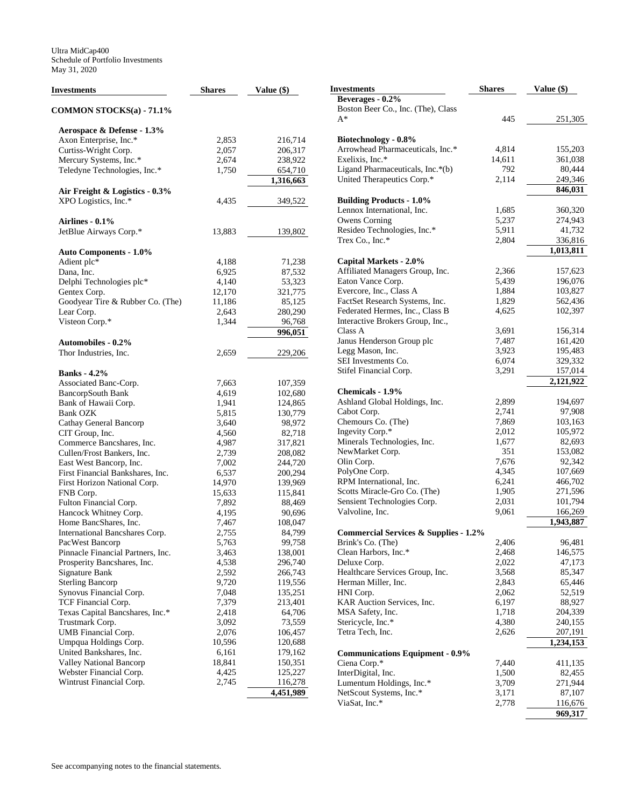| Investments                       | <b>Shares</b> | Value $(\$)$ | <b>Investments</b>                               | <b>Shares</b> | Value (\$) |
|-----------------------------------|---------------|--------------|--------------------------------------------------|---------------|------------|
|                                   |               |              | Beverages - 0.2%                                 |               |            |
| COMMON STOCKS(a) - 71.1%          |               |              | Boston Beer Co., Inc. (The), Class               |               |            |
|                                   |               |              | $A^*$                                            | 445           | 251,305    |
| Aerospace & Defense - 1.3%        |               |              |                                                  |               |            |
| Axon Enterprise, Inc.*            | 2,853         | 216,714      | Biotechnology - 0.8%                             |               |            |
| Curtiss-Wright Corp.              | 2,057         | 206,317      | Arrowhead Pharmaceuticals, Inc.*                 | 4,814         | 155,203    |
| Mercury Systems, Inc.*            | 2,674         | 238,922      | Exelixis, Inc.*                                  | 14,611        | 361,038    |
| Teledyne Technologies, Inc.*      | 1,750         | 654,710      | Ligand Pharmaceuticals, Inc.*(b)                 | 792           | 80,444     |
|                                   |               | 1,316,663    | United Therapeutics Corp.*                       | 2,114         | 249,346    |
| Air Freight & Logistics - 0.3%    |               |              |                                                  |               | 846,031    |
| XPO Logistics, Inc.*              | 4,435         | 349,522      | <b>Building Products - 1.0%</b>                  |               |            |
|                                   |               |              | Lennox International, Inc.                       | 1,685         | 360,320    |
|                                   |               |              | Owens Corning                                    | 5,237         | 274,943    |
| Airlines - $0.1\%$                |               |              | Resideo Technologies, Inc.*                      | 5,911         | 41,732     |
| JetBlue Airways Corp.*            | 13,883        | 139,802      | Trex Co., Inc.*                                  | 2,804         | 336,816    |
|                                   |               |              |                                                  |               |            |
| <b>Auto Components - 1.0%</b>     |               |              |                                                  |               | 1,013,811  |
| Adient plc*                       | 4,188         | 71,238       | Capital Markets - 2.0%                           |               |            |
| Dana, Inc.                        | 6,925         | 87,532       | Affiliated Managers Group, Inc.                  | 2,366         | 157,623    |
| Delphi Technologies plc*          | 4,140         | 53,323       | Eaton Vance Corp.                                | 5,439         | 196,076    |
| Gentex Corp.                      | 12,170        | 321,775      | Evercore, Inc., Class A                          | 1,884         | 103,827    |
| Goodyear Tire & Rubber Co. (The)  | 11,186        | 85,125       | FactSet Research Systems, Inc.                   | 1,829         | 562,436    |
| Lear Corp.                        | 2,643         | 280,290      | Federated Hermes, Inc., Class B                  | 4,625         | 102,397    |
| Visteon Corp.*                    | 1,344         | 96,768       | Interactive Brokers Group, Inc.,                 |               |            |
|                                   |               | 996,051      | Class A                                          | 3,691         | 156,314    |
| <b>Automobiles - 0.2%</b>         |               |              | Janus Henderson Group plc                        | 7,487         | 161,420    |
| Thor Industries, Inc.             | 2,659         | 229,206      | Legg Mason, Inc.                                 | 3,923         | 195,483    |
|                                   |               |              | SEI Investments Co.                              | 6,074         | 329,332    |
| <b>Banks</b> - 4.2%               |               |              | Stifel Financial Corp.                           | 3,291         | 157,014    |
| Associated Banc-Corp.             | 7,663         | 107,359      |                                                  |               | 2,121,922  |
| <b>BancorpSouth Bank</b>          | 4,619         | 102,680      | Chemicals - 1.9%                                 |               |            |
| Bank of Hawaii Corp.              | 1,941         | 124,865      | Ashland Global Holdings, Inc.                    | 2,899         | 194,697    |
| <b>Bank OZK</b>                   | 5,815         | 130,779      | Cabot Corp.                                      | 2,741         | 97,908     |
| Cathay General Bancorp            | 3,640         | 98,972       | Chemours Co. (The)                               | 7,869         | 103,163    |
| CIT Group, Inc.                   | 4,560         | 82,718       | Ingevity Corp.*                                  | 2,012         | 105,972    |
| Commerce Bancshares, Inc.         | 4,987         | 317,821      | Minerals Technologies, Inc.                      | 1,677         | 82,693     |
| Cullen/Frost Bankers, Inc.        | 2,739         | 208,082      | NewMarket Corp.                                  | 351           | 153,082    |
| East West Bancorp, Inc.           | 7,002         | 244,720      | Olin Corp.                                       | 7,676         | 92,342     |
| First Financial Bankshares, Inc.  | 6,537         | 200,294      | PolyOne Corp.                                    | 4,345         | 107,669    |
| First Horizon National Corp.      | 14,970        | 139,969      | RPM International, Inc.                          | 6,241         | 466,702    |
|                                   |               |              | Scotts Miracle-Gro Co. (The)                     | 1,905         | 271,596    |
| FNB Corp.                         | 15,633        | 115,841      | Sensient Technologies Corp.                      | 2,031         | 101,794    |
| Fulton Financial Corp.            | 7,892         | 88,469       | Valvoline, Inc.                                  | 9,061         | 166,269    |
| Hancock Whitney Corp.             | 4,195         | 90,696       |                                                  |               | 1,943,887  |
| Home BancShares, Inc.             | 7,467         | 108,047      |                                                  |               |            |
| International Bancshares Corp.    | 2,755         | 84,799       | <b>Commercial Services &amp; Supplies - 1.2%</b> |               |            |
| PacWest Bancorp                   | 5,763         | 99,758       | Brink's Co. (The)                                | 2,406         | 96,481     |
| Pinnacle Financial Partners, Inc. | 3,463         | 138,001      | Clean Harbors, Inc.*                             | 2,468         | 146,575    |
| Prosperity Bancshares, Inc.       | 4,538         | 296,740      | Deluxe Corp.                                     | 2,022         | 47,173     |
| Signature Bank                    | 2,592         | 266,743      | Healthcare Services Group, Inc.                  | 3,568         | 85,347     |
| <b>Sterling Bancorp</b>           | 9,720         | 119,556      | Herman Miller, Inc.                              | 2,843         | 65,446     |
| Synovus Financial Corp.           | 7,048         | 135,251      | HNI Corp.                                        | 2,062         | 52,519     |
| TCF Financial Corp.               | 7,379         | 213,401      | KAR Auction Services, Inc.                       | 6,197         | 88,927     |
| Texas Capital Bancshares, Inc.*   | 2,418         | 64,706       | MSA Safety, Inc.                                 | 1,718         | 204,339    |
| Trustmark Corp.                   | 3,092         | 73,559       | Stericycle, Inc.*                                | 4,380         | 240,155    |
| UMB Financial Corp.               | 2,076         | 106,457      | Tetra Tech, Inc.                                 | 2,626         | 207,191    |
| Umpqua Holdings Corp.             | 10,596        | 120,688      |                                                  |               | 1,234,153  |
| United Bankshares, Inc.           | 6,161         | 179,162      | <b>Communications Equipment - 0.9%</b>           |               |            |
| <b>Valley National Bancorp</b>    | 18,841        | 150,351      | Ciena Corp.*                                     | 7,440         | 411,135    |
| Webster Financial Corp.           | 4,425         | 125,227      | InterDigital, Inc.                               | 1,500         | 82,455     |
| Wintrust Financial Corp.          | 2,745         | 116,278      | Lumentum Holdings, Inc.*                         | 3,709         | 271,944    |
|                                   |               | 4,451,989    | NetScout Systems, Inc.*                          | 3,171         | 87,107     |
|                                   |               |              | ViaSat, Inc.*                                    | 2,778         | 116,676    |

**969,317**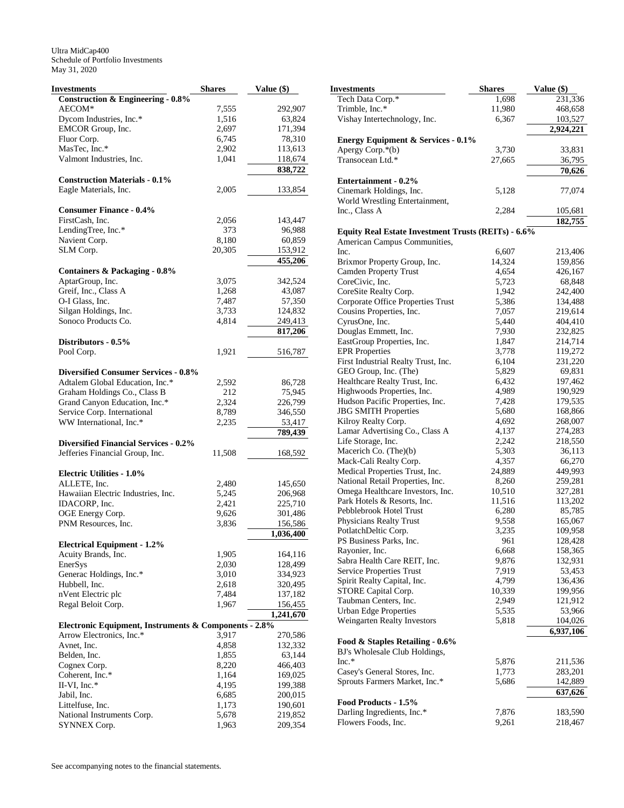| Investments                                           | <b>Shares</b> | Value (\$) |
|-------------------------------------------------------|---------------|------------|
| <b>Construction &amp; Engineering - 0.8%</b>          |               |            |
| AECOM*                                                | 7,555         | 292,907    |
| Dycom Industries, Inc.*                               | 1,516         | 63,824     |
| EMCOR Group, Inc.                                     | 2,697         | 171,394    |
| Fluor Corp.                                           | 6,745         | 78,310     |
| MasTec, Inc.*                                         | 2,902         | 113,613    |
| Valmont Industries, Inc.                              | 1,041         | 118,674    |
|                                                       |               |            |
|                                                       |               | 838,722    |
| <b>Construction Materials - 0.1%</b>                  |               |            |
| Eagle Materials, Inc.                                 | 2,005         | 133,854    |
|                                                       |               |            |
| <b>Consumer Finance - 0.4%</b>                        |               |            |
| FirstCash, Inc.                                       | 2,056         | 143,447    |
| LendingTree, Inc.*                                    | 373           | 96,988     |
| Navient Corp.                                         | 8,180         | 60,859     |
| SLM Corp.                                             | 20,305        | 153,912    |
|                                                       |               | 455,206    |
| <b>Containers &amp; Packaging - 0.8%</b>              |               |            |
| AptarGroup, Inc.                                      | 3,075         | 342,524    |
| Greif, Inc., Class A                                  | 1,268         | 43,087     |
| O-I Glass, Inc.                                       |               |            |
|                                                       | 7,487         | 57,350     |
| Silgan Holdings, Inc.                                 | 3,733         | 124,832    |
| Sonoco Products Co.                                   | 4,814         | 249,413    |
|                                                       |               | 817,206    |
| Distributors - 0.5%                                   |               |            |
| Pool Corp.                                            | 1,921         | 516,787    |
|                                                       |               |            |
| <b>Diversified Consumer Services - 0.8%</b>           |               |            |
| Adtalem Global Education, Inc.*                       | 2,592         | 86,728     |
| Graham Holdings Co., Class B                          | 212           | 75,945     |
| Grand Canyon Education, Inc.*                         | 2,324         | 226,799    |
| Service Corp. International                           | 8,789         | 346,550    |
| WW International, Inc.*                               | 2,235         | 53,417     |
|                                                       |               | 789,439    |
| <b>Diversified Financial Services - 0.2%</b>          |               |            |
| Jefferies Financial Group, Inc.                       | 11,508        |            |
|                                                       |               | 168,592    |
|                                                       |               |            |
| <b>Electric Utilities - 1.0%</b>                      |               |            |
| ALLETE, Inc.                                          | 2,480         | 145,650    |
| Hawaiian Electric Industries, Inc.                    | 5,245         | 206,968    |
| IDACORP, Inc.                                         | 2,421         | 225,710    |
| OGE Energy Corp.                                      | 9,626         | 301,486    |
| PNM Resources, Inc.                                   | 3,836         | 156,586    |
|                                                       |               | 1,036,400  |
| <b>Electrical Equipment - 1.2%</b>                    |               |            |
| Acuity Brands, Inc.                                   | 1,905         | 164,116    |
| EnerSys                                               | 2,030         | 128,499    |
| Generac Holdings, Inc.*                               | 3,010         | 334,923    |
| Hubbell, Inc.                                         | 2,618         | 320,495    |
| nVent Electric plc                                    | 7,484         | 137,182    |
| Regal Beloit Corp.                                    | 1,967         | 156,455    |
|                                                       |               | 1,241,670  |
| Electronic Equipment, Instruments & Components - 2.8% |               |            |
| Arrow Electronics, Inc.*                              | 3,917         | 270,586    |
|                                                       |               |            |
| Avnet, Inc.                                           | 4,858         | 132,332    |
| Belden, Inc.                                          | 1,855         | 63,144     |
| Cognex Corp.                                          | 8,220         | 466,403    |
| Coherent, Inc.*                                       | 1,164         | 169,025    |
| II-VI, Inc. $*$                                       | 4,195         | 199,388    |
| Jabil, Inc.                                           | 6,685         | 200,015    |
| Littelfuse, Inc.                                      | 1,173         | 190,601    |
| National Instruments Corp.                            | 5,678         | 219,852    |
| SYNNEX Corp.                                          | 1,963         | 209,354    |
|                                                       |               |            |

| Investments                                                                                | <b>Shares</b>  | Value (\$)         |
|--------------------------------------------------------------------------------------------|----------------|--------------------|
| Tech Data Corp.*                                                                           | 1,698          | 231,336            |
| Trimble, Inc.*                                                                             | 11,980         | 468,658            |
| Vishay Intertechnology, Inc.                                                               | 6,367          | 103,527            |
|                                                                                            |                | 2,924,221          |
| <b>Energy Equipment &amp; Services - 0.1%</b><br>Apergy Corp.*(b)                          | 3,730          | 33,831             |
| Transocean Ltd.*                                                                           | 27,665         | 36,795             |
|                                                                                            |                | 70,626             |
| Entertainment - 0.2%                                                                       |                |                    |
| Cinemark Holdings, Inc.                                                                    | 5,128          | 77,074             |
| World Wrestling Entertainment,                                                             |                |                    |
| Inc., Class A                                                                              | 2,284          | 105,681            |
|                                                                                            |                | 182,755            |
| <b>Equity Real Estate Investment Trusts (REITs) - 6.6%</b><br>American Campus Communities, |                |                    |
| Inc.                                                                                       | 6,607          | 213,406            |
| Brixmor Property Group, Inc.                                                               | 14,324         | 159,856            |
| <b>Camden Property Trust</b>                                                               | 4,654          | 426,167            |
| CoreCivic, Inc.                                                                            | 5,723          | 68,848             |
| CoreSite Realty Corp.                                                                      | 1,942          | 242,400            |
| Corporate Office Properties Trust                                                          | 5,386          | 134,488            |
| Cousins Properties, Inc.                                                                   | 7,057          | 219,614            |
| CyrusOne, Inc.                                                                             | 5,440          | 404,410            |
| Douglas Emmett, Inc.<br>EastGroup Properties, Inc.                                         | 7,930          | 232,825            |
| <b>EPR</b> Properties                                                                      | 1,847<br>3,778 | 214,714<br>119,272 |
| First Industrial Realty Trust, Inc.                                                        | 6,104          | 231,220            |
| GEO Group, Inc. (The)                                                                      | 5,829          | 69,831             |
| Healthcare Realty Trust, Inc.                                                              | 6,432          | 197,462            |
| Highwoods Properties, Inc.                                                                 | 4,989          | 190,929            |
| Hudson Pacific Properties, Inc.                                                            | 7,428          | 179,535            |
| <b>JBG SMITH Properties</b>                                                                | 5,680          | 168,866            |
| Kilroy Realty Corp.                                                                        | 4,692          | 268,007            |
| Lamar Advertising Co., Class A                                                             | 4,137          | 274,283            |
| Life Storage, Inc.                                                                         | 2,242          | 218,550            |
| Macerich Co. (The)(b)<br>Mack-Cali Realty Corp.                                            | 5,303<br>4,357 | 36,113<br>66,270   |
| Medical Properties Trust, Inc.                                                             | 24,889         | 449,993            |
| National Retail Properties, Inc.                                                           | 8,260          | 259,281            |
| Omega Healthcare Investors, Inc.                                                           | 10,510         | 327,281            |
| Park Hotels & Resorts, Inc.                                                                | 11,516         | 113,202            |
| Pebblebrook Hotel Trust                                                                    | 6,280          | 85,785             |
| Physicians Realty Trust                                                                    | 9,558          | 165,067            |
| PotlatchDeltic Corp.                                                                       | 3,235          | 109,958            |
| PS Business Parks, Inc.                                                                    | 961            | 128,428            |
| Rayonier, Inc.                                                                             | 6,668          | 158,365            |
| Sabra Health Care REIT, Inc.<br>Service Properties Trust                                   | 9,876<br>7,919 | 132,931<br>53,453  |
| Spirit Realty Capital, Inc.                                                                | 4,799          | 136,436            |
| STORE Capital Corp.                                                                        | 10,339         | 199,956            |
| Taubman Centers, Inc.                                                                      | 2,949          | 121,912            |
| <b>Urban Edge Properties</b>                                                               | 5,535          | 53,966             |
| Weingarten Realty Investors                                                                | 5,818          | 104,026            |
|                                                                                            |                | 6,937,106          |
| Food & Staples Retailing - 0.6%                                                            |                |                    |
| BJ's Wholesale Club Holdings,                                                              |                |                    |
| $Inc.*$                                                                                    | 5,876          | 211,536            |
| Casey's General Stores, Inc.<br>Sprouts Farmers Market, Inc.*                              | 1,773<br>5,686 | 283,201<br>142,889 |
|                                                                                            |                | 637,626            |
| Food Products - 1.5%                                                                       |                |                    |
| Darling Ingredients, Inc.*                                                                 | 7,876          | 183,590            |
| Flowers Foods, Inc.                                                                        | 9,261          | 218,467            |
|                                                                                            |                |                    |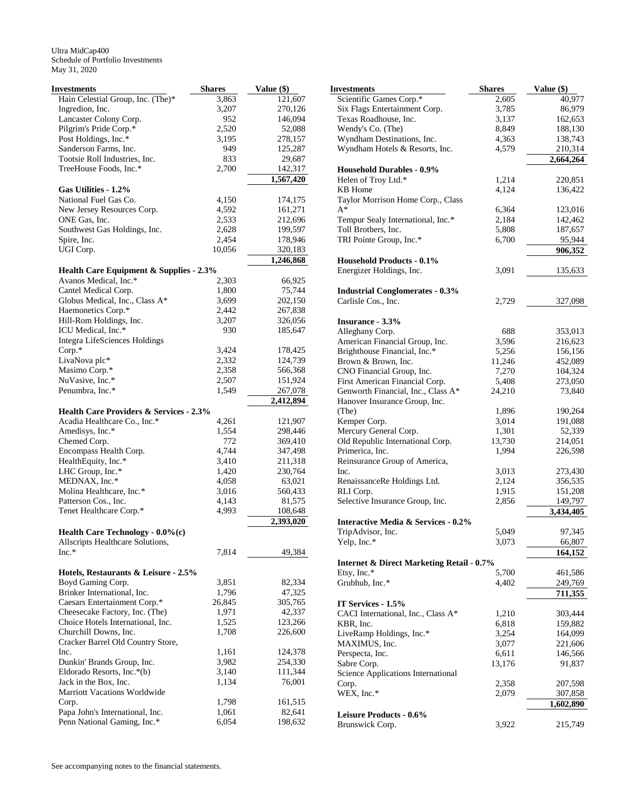| Investments                                                                 | <b>Shares</b> | Value (\$)           |
|-----------------------------------------------------------------------------|---------------|----------------------|
| Hain Celestial Group, Inc. (The)*                                           | 3,863         | 121,607              |
| Ingredion, Inc.                                                             | 3,207         | 270,126              |
| Lancaster Colony Corp.                                                      | 952           | 146,094              |
| Pilgrim's Pride Corp.*                                                      | 2,520         | 52,088               |
| Post Holdings, Inc.*                                                        | 3,195         | 278,157              |
| Sanderson Farms, Inc.                                                       | 949           | 125,287              |
| Tootsie Roll Industries, Inc.                                               | 833           | 29,687               |
| TreeHouse Foods, Inc.*                                                      | 2,700         | 142,317              |
|                                                                             |               | 1,567,420            |
| Gas Utilities - 1.2%                                                        |               |                      |
| National Fuel Gas Co.                                                       | 4,150         | 174,175              |
| New Jersey Resources Corp.                                                  | 4,592         | 161,271              |
| ONE Gas, Inc.                                                               | 2,533         | 212,696              |
| Southwest Gas Holdings, Inc.                                                | 2,628         | 199,597              |
| Spire, Inc.                                                                 | 2,454         | 178,946              |
| UGI Corp.                                                                   | 10,056        | 320,183              |
|                                                                             |               | 1,246,868            |
| <b>Health Care Equipment &amp; Supplies - 2.3%</b><br>Avanos Medical, Inc.* | 2,303         | 66,925               |
| Cantel Medical Corp.                                                        | 1,800         | 75,744               |
| Globus Medical, Inc., Class A*                                              | 3,699         | 202,150              |
| Haemonetics Corp.*                                                          | 2,442         | 267,838              |
|                                                                             | 3,207         |                      |
| Hill-Rom Holdings, Inc.<br>ICU Medical, Inc.*                               | 930           | 326,056              |
|                                                                             |               | 185,647              |
| <b>Integra LifeSciences Holdings</b><br>Corp.*                              | 3,424         | 178,425              |
| LivaNova plc*                                                               | 2,332         | 124,739              |
| Masimo Corp.*                                                               | 2,358         |                      |
| NuVasive, Inc.*                                                             | 2,507         | 566,368              |
| Penumbra, Inc.*                                                             | 1,549         | 151,924              |
|                                                                             |               | 267,078<br>2,412,894 |
| Health Care Providers & Services - 2.3%                                     |               |                      |
| Acadia Healthcare Co., Inc.*                                                | 4,261         | 121,907              |
| Amedisys, Inc.*                                                             | 1,554         | 298,446              |
| Chemed Corp.                                                                | 772           | 369,410              |
| Encompass Health Corp.                                                      | 4,744         | 347,498              |
| HealthEquity, Inc.*                                                         | 3,410         | 211,318              |
| LHC Group, Inc.*                                                            | 1,420         | 230,764              |
| MEDNAX, Inc.*                                                               | 4,058         | 63,021               |
| Molina Healthcare, Inc.*                                                    | 3,016         | 560,433              |
| Patterson Cos., Inc.                                                        | 4,143         | 81,575               |
| Tenet Healthcare Corp.*                                                     | 4,993         | 108,648              |
|                                                                             |               | 2,393,020            |
| Health Care Technology - 0.0%(c)                                            |               |                      |
| Allscripts Healthcare Solutions,                                            |               |                      |
| $Inc.*$                                                                     | 7,814         | 49,384               |
| Hotels, Restaurants & Leisure - 2.5%                                        |               |                      |
| Boyd Gaming Corp.                                                           | 3,851         | 82,334               |
| Brinker International, Inc.                                                 | 1,796         | 47,325               |
| Caesars Entertainment Corp.*                                                | 26,845        | 305,765              |
| Cheesecake Factory, Inc. (The)                                              | 1,971         | 42,337               |
| Choice Hotels International, Inc.                                           | 1,525         | 123,266              |
| Churchill Downs, Inc.                                                       | 1,708         | 226,600              |
| Cracker Barrel Old Country Store,                                           |               |                      |
| Inc.                                                                        | 1,161         | 124,378              |
|                                                                             | 3,982         | 254,330              |
| Dunkin' Brands Group, Inc.<br>Eldorado Resorts, Inc.*(b)                    | 3,140         | 111,344              |
| Jack in the Box, Inc.                                                       |               |                      |
| <b>Marriott Vacations Worldwide</b>                                         | 1,134         | 76,001               |
| Corp.                                                                       | 1,798         | 161,515              |
| Papa John's International, Inc.                                             | 1,061         | 82,641               |
| Penn National Gaming, Inc.*                                                 | 6,054         | 198,632              |
|                                                                             |               |                      |

| Investments                                                            | Shares | Value (\$) |
|------------------------------------------------------------------------|--------|------------|
| Scientific Games Corp.*                                                | 2,605  | 40,977     |
| Six Flags Entertainment Corp.                                          | 3,785  | 86,979     |
| Texas Roadhouse, Inc.                                                  | 3,137  | 162,653    |
| Wendy's Co. (The)                                                      | 8,849  | 188,130    |
| Wyndham Destinations, Inc.                                             | 4,363  | 138,743    |
| Wyndham Hotels & Resorts, Inc.                                         | 4,579  | 210,314    |
|                                                                        |        | 2,664,264  |
| <b>Household Durables - 0.9%</b>                                       |        |            |
| Helen of Troy Ltd.*                                                    | 1,214  | 220,851    |
| <b>KB</b> Home                                                         | 4,124  | 136,422    |
| Taylor Morrison Home Corp., Class                                      |        |            |
| A*                                                                     | 6,364  | 123,016    |
| Tempur Sealy International, Inc.*                                      | 2,184  | 142,462    |
| Toll Brothers, Inc.                                                    | 5,808  | 187,657    |
| TRI Pointe Group, Inc.*                                                | 6,700  | 95,944     |
|                                                                        |        | 906,352    |
| <b>Household Products - 0.1%</b>                                       |        |            |
| Energizer Holdings, Inc.                                               | 3,091  | 135,633    |
|                                                                        |        |            |
| <b>Industrial Conglomerates - 0.3%</b>                                 |        |            |
| Carlisle Cos., Inc.                                                    | 2,729  | 327,098    |
| Insurance - 3.3%                                                       |        |            |
| Alleghany Corp.                                                        | 688    | 353,013    |
| American Financial Group, Inc.                                         | 3,596  | 216,623    |
|                                                                        | 5,256  |            |
| Brighthouse Financial, Inc.*                                           |        | 156,156    |
| Brown & Brown, Inc.                                                    | 11,246 | 452,089    |
| CNO Financial Group, Inc.                                              | 7,270  | 104,324    |
| First American Financial Corp.                                         | 5,408  | 273,050    |
| Genworth Financial, Inc., Class A*                                     | 24,210 | 73,840     |
| Hanover Insurance Group, Inc.                                          |        |            |
| (The)                                                                  | 1,896  | 190,264    |
| Kemper Corp.                                                           | 3,014  | 191,088    |
| Mercury General Corp.                                                  | 1,301  | 52,339     |
| Old Republic International Corp.                                       | 13,730 | 214,051    |
| Primerica, Inc.                                                        | 1,994  | 226,598    |
| Reinsurance Group of America,                                          |        |            |
| Inc.                                                                   | 3,013  | 273,430    |
| RenaissanceRe Holdings Ltd.                                            | 2,124  | 356,535    |
| RLI Corp.                                                              | 1,915  | 151,208    |
| Selective Insurance Group, Inc.                                        | 2,856  | 149,797    |
|                                                                        |        | 3,434,405  |
| <b>Interactive Media &amp; Services - 0.2%</b>                         |        |            |
| TripAdvisor, Inc.                                                      | 5,049  | 97,345     |
| Yelp, Inc.*                                                            | 3,073  | 66,807     |
|                                                                        |        | 164,152    |
| <b>Internet &amp; Direct Marketing Retail - 0.7%</b><br>Etsy, Inc. $*$ | 5,700  |            |
| Grubhub, Inc.*                                                         |        | 461,586    |
|                                                                        | 4,402  | 249,769    |
| IT Services - 1.5%                                                     |        | 711,355    |
|                                                                        |        |            |
| CACI International, Inc., Class A*                                     | 1,210  | 303,444    |
| KBR, Inc.                                                              | 6,818  | 159,882    |
| LiveRamp Holdings, Inc.*                                               | 3,254  | 164,099    |
| MAXIMUS, Inc.                                                          | 3,077  | 221,606    |
| Perspecta, Inc.                                                        | 6,611  | 146,566    |
| Sabre Corp.                                                            | 13,176 | 91,837     |
| Science Applications International                                     |        |            |
| Corp.                                                                  | 2,358  | 207,598    |
| WEX, Inc.*                                                             | 2,079  | 307,858    |
|                                                                        |        | 1,602,890  |
| Leisure Products - 0.6%                                                |        |            |
| Brunswick Corp.                                                        | 3,922  | 215,749    |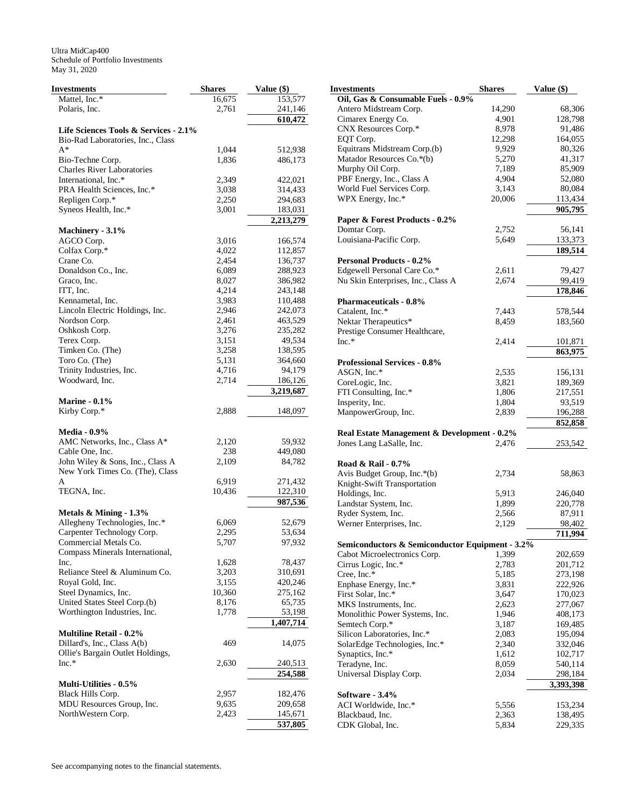| Investments                           | <b>Shares</b> | Value (\$) |
|---------------------------------------|---------------|------------|
| Mattel, Inc.*                         | 16,675        | 153,577    |
| Polaris, Inc.                         | 2,761         | 241,146    |
|                                       |               | 610,472    |
| Life Sciences Tools & Services - 2.1% |               |            |
| Bio-Rad Laboratories, Inc., Class     |               |            |
| A*                                    | 1,044         | 512,938    |
| Bio-Techne Corp.                      | 1,836         | 486,173    |
| <b>Charles River Laboratories</b>     |               |            |
| International, Inc.*                  | 2,349         | 422,021    |
| PRA Health Sciences, Inc.*            | 3,038         | 314,433    |
| Repligen Corp.*                       | 2,250         | 294,683    |
| Syneos Health, Inc.*                  | 3,001         | 183,031    |
|                                       |               | 2,213,279  |
| Machinery - 3.1%                      |               |            |
| AGCO Corp.                            | 3,016         | 166,574    |
| Colfax Corp.*                         | 4,022         | 112,857    |
| Crane Co.                             | 2,454         | 136,737    |
| Donaldson Co., Inc.                   | 6,089         | 288,923    |
| Graco, Inc.                           | 8,027         | 386,982    |
| ITT, Inc.                             | 4,214         | 243,148    |
| Kennametal, Inc.                      | 3,983         | 110,488    |
| Lincoln Electric Holdings, Inc.       | 2,946         | 242,073    |
| Nordson Corp.                         | 2,461         | 463,529    |
| Oshkosh Corp.                         | 3,276         | 235,282    |
|                                       | 3,151         |            |
| Terex Corp.                           |               | 49,534     |
| Timken Co. (The)                      | 3,258         | 138,595    |
| Toro Co. (The)                        | 5,131         | 364,660    |
| Trinity Industries, Inc.              | 4,716         | 94,179     |
| Woodward, Inc.                        | 2,714         | 186,126    |
|                                       |               | 3,219,687  |
| <b>Marine - 0.1%</b>                  |               |            |
| Kirby Corp.*                          | 2,888         | 148,097    |
| <b>Media - 0.9%</b>                   |               |            |
| AMC Networks, Inc., Class A*          | 2,120         | 59,932     |
| Cable One, Inc.                       | 238           | 449,080    |
| John Wiley & Sons, Inc., Class A      | 2,109         | 84,782     |
|                                       |               |            |
| New York Times Co. (The), Class       |               |            |
| A                                     | 6,919         | 271,432    |
| TEGNA, Inc.                           | 10,436        | 122,310    |
| Metals & Mining - 1.3%                |               | 987,536    |
| Allegheny Technologies, Inc.*         | 6,069         | 52,679     |
| Carpenter Technology Corp.            | 2,295         | 53,634     |
| Commercial Metals Co.                 | 5,707         | 97,932     |
| Compass Minerals International,       |               |            |
| Inc.                                  | 1,628         | 78,437     |
| Reliance Steel & Aluminum Co.         | 3,203         | 310,691    |
|                                       | 3,155         |            |
| Royal Gold, Inc.                      |               | 420,246    |
| Steel Dynamics, Inc.                  | 10,360        | 275,162    |
| United States Steel Corp.(b)          | 8,176         | 65,735     |
| Worthington Industries, Inc.          | 1,778         | 53,198     |
| <b>Multiline Retail - 0.2%</b>        |               | 1,407,714  |
| Dillard's, Inc., Class A(b)           | 469           | 14,075     |
|                                       |               |            |
| Ollie's Bargain Outlet Holdings,      |               |            |
| $Inc.*$                               | 2,630         | 240,513    |
|                                       |               | 254,588    |
| Multi-Utilities - 0.5%                |               |            |
| <b>Black Hills Corp.</b>              | 2,957         | 182,476    |
| MDU Resources Group, Inc.             | 9,635         | 209,658    |
| NorthWestern Corp.                    | 2,423         | 145,671    |
|                                       |               | 537,805    |

| Investments                                     | <b>Shares</b> | Value (\$) |
|-------------------------------------------------|---------------|------------|
| Oil, Gas & Consumable Fuels - 0.9%              |               |            |
| Antero Midstream Corp.                          | 14,290        | 68,306     |
| Cimarex Energy Co.                              | 4,901         | 128,798    |
| CNX Resources Corp.*                            | 8,978         | 91,486     |
| EQT Corp.                                       | 12,298        | 164,055    |
| Equitrans Midstream Corp.(b)                    | 9,929         | 80,326     |
| Matador Resources Co.*(b)                       | 5,270         | 41,317     |
| Murphy Oil Corp.                                | 7,189         | 85,909     |
| PBF Energy, Inc., Class A                       | 4,904         | 52,080     |
| World Fuel Services Corp.                       | 3,143         | 80,084     |
| WPX Energy, Inc.*                               | 20,006        | 113,434    |
|                                                 |               | 905,795    |
| Paper & Forest Products - 0.2%                  |               |            |
| Domtar Corp.                                    | 2,752         | 56,141     |
| Louisiana-Pacific Corp.                         | 5,649         | 133,373    |
|                                                 |               | 189,514    |
| <b>Personal Products - 0.2%</b>                 |               |            |
| Edgewell Personal Care Co.*                     | 2,611         | 79,427     |
| Nu Skin Enterprises, Inc., Class A              | 2,674         | 99,419     |
|                                                 |               | 178,846    |
| <b>Pharmaceuticals - 0.8%</b>                   |               |            |
| Catalent, Inc.*                                 | 7,443         | 578,544    |
| Nektar Therapeutics*                            | 8,459         | 183,560    |
| Prestige Consumer Healthcare,                   |               |            |
| $Inc.*$                                         | 2,414         | 101,871    |
|                                                 |               | 863,975    |
| <b>Professional Services - 0.8%</b>             |               |            |
| ASGN, Inc.*                                     | 2,535         | 156,131    |
| CoreLogic, Inc.                                 | 3,821         | 189,369    |
| FTI Consulting, Inc.*                           | 1,806         | 217,551    |
| Insperity, Inc.                                 | 1,804         | 93,519     |
| ManpowerGroup, Inc.                             | 2,839         | 196,288    |
|                                                 |               | 852,858    |
| Real Estate Management & Development - 0.2%     |               |            |
| Jones Lang LaSalle, Inc.                        | 2,476         | 253,542    |
|                                                 |               |            |
| Road & Rail - 0.7%                              |               |            |
| Avis Budget Group, Inc.*(b)                     | 2,734         | 58,863     |
| Knight-Swift Transportation                     |               |            |
| Holdings, Inc.                                  | 5,913         | 246,040    |
| Landstar System, Inc.                           | 1,899         | 220,778    |
| Ryder System, Inc.                              | 2,566         | 87,911     |
| Werner Enterprises, Inc.                        | 2,129         | 98,402     |
|                                                 |               | 711,994    |
| Semiconductors & Semiconductor Equipment - 3.2% |               |            |
| Cabot Microelectronics Corp.                    | 1,399         | 202,659    |
| Cirrus Logic, Inc.*                             | 2,783         | 201,712    |
| Cree, Inc.*                                     | 5,185         | 273,198    |
| Enphase Energy, Inc.*                           | 3,831         | 222,926    |
| First Solar, Inc.*                              | 3,647         | 170,023    |
| MKS Instruments, Inc.                           | 2,623         | 277,067    |
| Monolithic Power Systems, Inc.                  | 1,946         | 408,173    |
| Semtech Corp.*                                  | 3,187         | 169,485    |
| Silicon Laboratories, Inc.*                     | 2,083         | 195,094    |
| SolarEdge Technologies, Inc.*                   | 2,340         | 332,046    |
| Synaptics, Inc.*                                | 1,612         | 102,717    |
| Teradyne, Inc.                                  | 8,059         | 540,114    |
| Universal Display Corp.                         | 2,034         | 298,184    |
|                                                 |               | 3,393,398  |
| Software - 3.4%                                 |               |            |
| ACI Worldwide, Inc.*                            | 5,556         | 153,234    |
| Blackbaud, Inc.                                 | 2,363         | 138,495    |
| CDK Global, Inc.                                | 5,834         | 229,335    |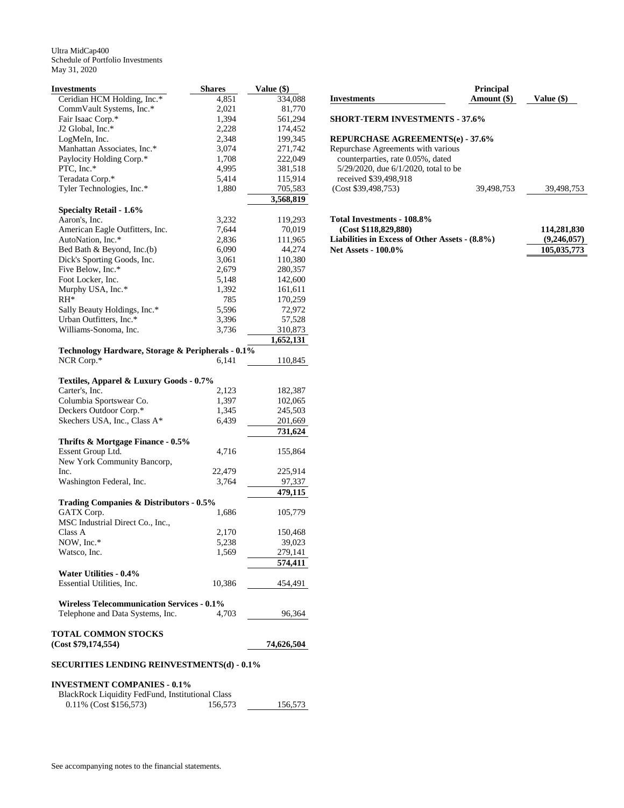| <b>Investments</b>                                | <b>Shares</b> | Value (\$) |
|---------------------------------------------------|---------------|------------|
| Ceridian HCM Holding, Inc.*                       | 4,851         | 334,088    |
| CommVault Systems, Inc.*                          | 2,021         | 81,770     |
| Fair Isaac Corp.*                                 | 1,394         | 561,294    |
| J2 Global, Inc.*                                  | 2,228         | 174,452    |
| LogMeIn, Inc.                                     | 2,348         | 199,345    |
| Manhattan Associates, Inc.*                       | 3,074         | 271,742    |
| Paylocity Holding Corp.*                          | 1,708         | 222,049    |
| PTC, Inc.*                                        | 4,995         | 381,518    |
| Teradata Corp.*                                   | 5,414         | 115,914    |
| Tyler Technologies, Inc.*                         | 1,880         | 705,583    |
|                                                   |               |            |
| <b>Specialty Retail - 1.6%</b>                    |               | 3,568,819  |
| Aaron's, Inc.                                     | 3,232         | 119,293    |
| American Eagle Outfitters, Inc.                   | 7,644         | 70,019     |
| AutoNation, Inc.*                                 | 2,836         | 111,965    |
| Bed Bath & Beyond, Inc.(b)                        | 6,090         | 44,274     |
|                                                   |               |            |
| Dick's Sporting Goods, Inc.                       | 3,061         | 110,380    |
| Five Below, Inc.*                                 | 2,679         | 280,357    |
| Foot Locker, Inc.                                 | 5,148         | 142,600    |
| Murphy USA, Inc.*                                 | 1,392         | 161,611    |
| $RH^*$                                            | 785           | 170,259    |
| Sally Beauty Holdings, Inc.*                      | 5,596         | 72,972     |
| Urban Outfitters, Inc.*                           | 3,396         | 57,528     |
| Williams-Sonoma, Inc.                             | 3,736         | 310,873    |
|                                                   |               | 1,652,131  |
| Technology Hardware, Storage & Peripherals - 0.1% |               |            |
| NCR Corp.*                                        | 6,141         | 110,845    |
|                                                   |               |            |
| Textiles, Apparel & Luxury Goods - 0.7%           |               |            |
| Carter's, Inc.                                    | 2,123         | 182,387    |
| Columbia Sportswear Co.                           | 1,397         | 102,065    |
| Deckers Outdoor Corp.*                            | 1,345         | 245,503    |
| Skechers USA, Inc., Class A*                      | 6,439         | 201,669    |
|                                                   |               | 731,624    |
| Thrifts & Mortgage Finance - 0.5%                 |               |            |
| Essent Group Ltd.                                 | 4,716         | 155,864    |
| New York Community Bancorp,                       |               |            |
| Inc.                                              | 22,479        | 225,914    |
| Washington Federal, Inc.                          | 3,764         | 97,337     |
|                                                   |               | 479,115    |
|                                                   |               |            |
| Trading Companies & Distributors - 0.5%           |               |            |
| GATX Corp.                                        | 1,686         | 105,779    |
| MSC Industrial Direct Co., Inc.,                  |               |            |
| Class A                                           | 2,170         | 150,468    |
| NOW, Inc.*                                        | 5,238         | 39,023     |
| Watsco, Inc.                                      | 1,569         | 279,141    |
|                                                   |               | 574.411    |
| Water Utilities - 0.4%                            |               |            |
| Essential Utilities, Inc.                         | 10,386        | 454,491    |
| <b>Wireless Telecommunication Services - 0.1%</b> |               |            |
|                                                   |               |            |
| Telephone and Data Systems, Inc.                  | 4,703         | 96,364     |
| <b>TOTAL COMMON STOCKS</b>                        |               |            |
| (Cost \$79,174,554)                               |               | 74,626,504 |
| <b>SECURITIES LENDING REINVESTMENTS(d) - 0.1%</b> |               |            |
|                                                   |               |            |
| <b>INVESTMENT COMPANIES - 0.1%</b>                |               |            |

| <b>Investments</b>                         | Amount (\$) | Value (\$) |
|--------------------------------------------|-------------|------------|
| <b>SHORT-TERM INVESTMENTS - 37.6%</b>      |             |            |
| <b>REPURCHASE AGREEMENTS(e) - 37.6%</b>    |             |            |
| Repurchase Agreements with various         |             |            |
| counterparties, rate 0.05%, dated          |             |            |
| $5/29/2020$ , due $6/1/2020$ , total to be |             |            |
| received \$39,498,918                      |             |            |

 **Principal** 

# **Total Investments - 108.8% (Cost \$118,829,880)** 114,281,830<br>abilities in Excess of Other Assets - (8.8%) (9,246,057) **Liabilities in Excess of Other Assets - (8.8%)** (9,246,057)<br>Net Assets - 100.0% (105,035,773) **Net Assets - 100.0%**

(Cost \$39,498,753) 39,498,753 39,498,753

BlackRock Liquidity FedFund, Institutional Class<br>0.11% (Cost \$156,573) 156,573

0.11% (Cost \$156,573) 156,573 156,573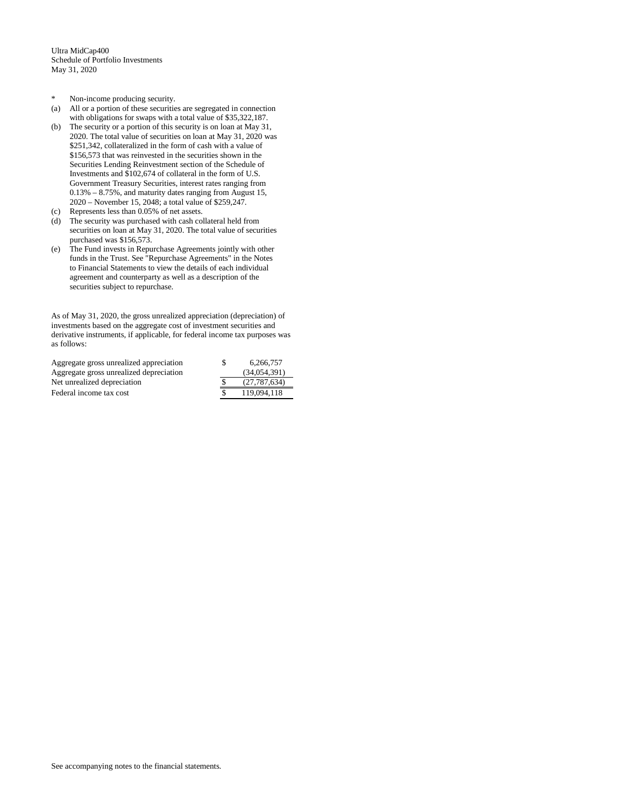- \* Non-income producing security.
- (a) All or a portion of these securities are segregated in connection with obligations for swaps with a total value of \$35,322,187.
- (b) The security or a portion of this security is on loan at May 31, 2020. The total value of securities on loan at May 31, 2020 was \$251,342, collateralized in the form of cash with a value of \$156,573 that was reinvested in the securities shown in the Securities Lending Reinvestment section of the Schedule of Investments and \$102,674 of collateral in the form of U.S. Government Treasury Securities, interest rates ranging from 0.13% – 8.75%, and maturity dates ranging from August 15, 2020 – November 15, 2048; a total value of \$259,247.
- (c) Represents less than 0.05% of net assets.
- (d) The security was purchased with cash collateral held from securities on loan at May 31, 2020. The total value of securities purchased was \$156,573.
- (e) The Fund invests in Repurchase Agreements jointly with other funds in the Trust. See "Repurchase Agreements" in the Notes to Financial Statements to view the details of each individual agreement and counterparty as well as a description of the securities subject to repurchase.

As of May 31, 2020, the gross unrealized appreciation (depreciation) of investments based on the aggregate cost of investment securities and derivative instruments, if applicable, for federal income tax purposes was as follows:

| Aggregate gross unrealized appreciation | 6.266.757    |
|-----------------------------------------|--------------|
| Aggregate gross unrealized depreciation | (34.054.391) |
| Net unrealized depreciation             | (27.787.634) |
| Federal income tax cost                 | 119.094.118  |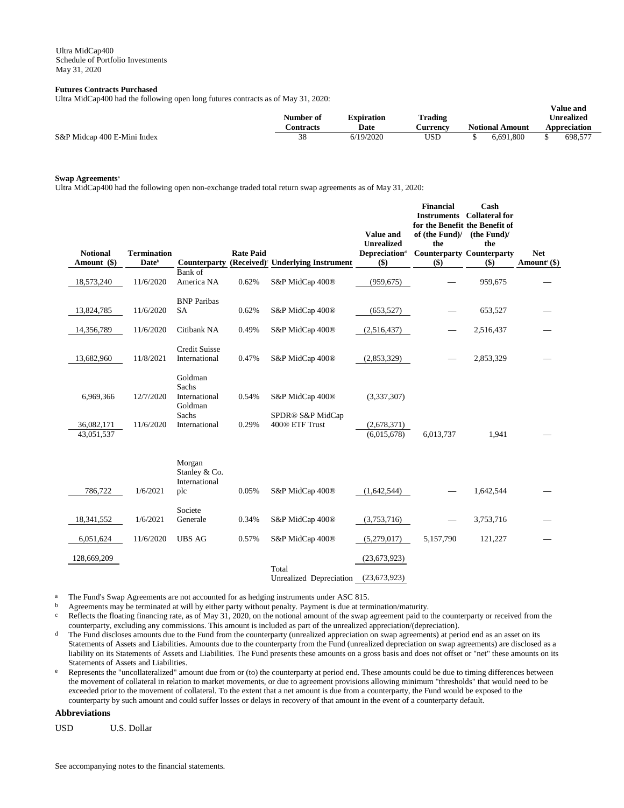### **Futures Contracts Purchased**

Ultra MidCap400 had the following open long futures contracts as of May 31, 2020:

|                             | Number of<br>.\ontracts | <b>Expiration</b><br>Date | Trading<br>Aurrency | <b>Notional Amount</b> | v alut allu<br>Unrealized<br><b>Appreciation</b> |
|-----------------------------|-------------------------|---------------------------|---------------------|------------------------|--------------------------------------------------|
| S&P Midcap 400 E-Mini Index | 38                      | 6/19/2020                 | USD                 | 6.691.800              | 698,57                                           |

**Value and** 

# **Swap Agreements<sup>a</sup>**

Ultra MidCap400 had the following open non-exchange traded total return swap agreements as of May 31, 2020:

| <b>Notional</b><br>Amount (\$) | <b>Termination</b><br><b>Date</b> <sup>b</sup> | Counterparty                                    | <b>Rate Paid</b> | (Received) <sup>c</sup> Underlying Instrument | <b>Value and</b><br><b>Unrealized</b><br><b>Depreciationd</b><br>\$) | <b>Financial</b><br><b>Instruments</b><br>for the Benefit the Benefit of<br>of (the Fund)/<br>the<br><b>Counterparty Counterparty</b><br>\$) | Cash<br><b>Collateral for</b><br>(the Fund)<br>the<br>$($ \$) | <b>Net</b><br>Amount <sup>e</sup> (\$) |
|--------------------------------|------------------------------------------------|-------------------------------------------------|------------------|-----------------------------------------------|----------------------------------------------------------------------|----------------------------------------------------------------------------------------------------------------------------------------------|---------------------------------------------------------------|----------------------------------------|
|                                |                                                | Bank of                                         |                  |                                               |                                                                      |                                                                                                                                              |                                                               |                                        |
| 18,573,240                     | 11/6/2020                                      | America NA                                      | 0.62%            | S&P MidCap 400®                               | (959, 675)                                                           |                                                                                                                                              | 959,675                                                       |                                        |
| 13,824,785                     | 11/6/2020                                      | <b>BNP</b> Paribas<br><b>SA</b>                 | 0.62%            | S&P MidCap 400®                               | (653, 527)                                                           |                                                                                                                                              | 653,527                                                       |                                        |
| 14,356,789                     | 11/6/2020                                      | Citibank NA                                     | 0.49%            | S&P MidCap 400 <sup>®</sup>                   | (2,516,437)                                                          |                                                                                                                                              | 2,516,437                                                     |                                        |
| 13,682,960                     | 11/8/2021                                      | <b>Credit Suisse</b><br>International           | 0.47%            | S&P MidCap 400®                               | (2,853,329)                                                          |                                                                                                                                              | 2,853,329                                                     |                                        |
| 6,969,366                      | 12/7/2020                                      | Goldman<br>Sachs<br>International<br>Goldman    | 0.54%            | S&P MidCap 400 <sup>®</sup>                   | (3,337,307)                                                          |                                                                                                                                              |                                                               |                                        |
| 36,082,171<br>43,051,537       | 11/6/2020                                      | Sachs<br>International                          | 0.29%            | SPDR® S&P MidCap<br>400® ETF Trust            | (2,678,371)<br>(6,015,678)                                           | 6,013,737                                                                                                                                    | 1,941                                                         |                                        |
| 786,722                        | 1/6/2021                                       | Morgan<br>Stanley & Co.<br>International<br>plc | 0.05%            | S&P MidCap 400 <sup>®</sup>                   | (1,642,544)                                                          |                                                                                                                                              | 1,642,544                                                     |                                        |
|                                |                                                |                                                 |                  |                                               |                                                                      |                                                                                                                                              |                                                               |                                        |
| 18,341,552                     | 1/6/2021                                       | Societe<br>Generale                             | 0.34%            | S&P MidCap 400®                               | (3,753,716)                                                          |                                                                                                                                              | 3,753,716                                                     |                                        |
| 6,051,624                      | 11/6/2020                                      | <b>UBS AG</b>                                   | 0.57%            | S&P MidCap 400®                               | (5,279,017)                                                          | 5,157,790                                                                                                                                    | 121,227                                                       |                                        |
| 128,669,209                    |                                                |                                                 |                  |                                               | (23, 673, 923)                                                       |                                                                                                                                              |                                                               |                                        |
|                                |                                                |                                                 |                  | Total<br>Unrealized Depreciation              | (23, 673, 923)                                                       |                                                                                                                                              |                                                               |                                        |

a The Fund's Swap Agreements are not accounted for as hedging instruments under ASC 815.

b Agreements may be terminated at will by either party without penalty. Payment is due at termination/maturity.

 $c$  Reflects the floating financing rate, as of May 31, 2020, on the notional amount of the swap agreement paid to the counterparty or received from the counterparty, excluding any commissions. This amount is included as part of the unrealized appreciation/(depreciation).

<sup>d</sup> The Fund discloses amounts due to the Fund from the counterparty (unrealized appreciation on swap agreements) at period end as an asset on its Statements of Assets and Liabilities. Amounts due to the counterparty from the Fund (unrealized depreciation on swap agreements) are disclosed as a liability on its Statements of Assets and Liabilities. The Fund presents these amounts on a gross basis and does not offset or "net" these amounts on its Statements of Assets and Liabilities.

e Represents the "uncollateralized" amount due from or (to) the counterparty at period end. These amounts could be due to timing differences between the movement of collateral in relation to market movements, or due to agreement provisions allowing minimum "thresholds" that would need to be exceeded prior to the movement of collateral. To the extent that a net amount is due from a counterparty, the Fund would be exposed to the counterparty by such amount and could suffer losses or delays in recovery of that amount in the event of a counterparty default.

### **Abbreviations**

USD U.S. Dollar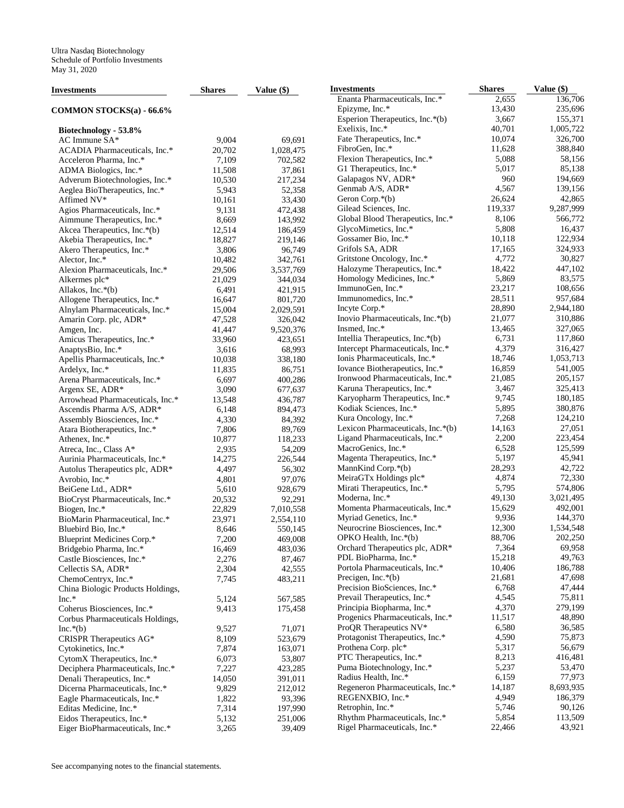| Investments                       | <b>Shares</b> | Value (\$) | <b>Investments</b>                | <b>Shares</b> | Value (\$) |
|-----------------------------------|---------------|------------|-----------------------------------|---------------|------------|
|                                   |               |            | Enanta Pharmaceuticals, Inc.*     | 2,655         | 136,706    |
| COMMON STOCKS(a) - 66.6%          |               |            | Epizyme, Inc.*                    | 13,430        | 235,696    |
|                                   |               |            | Esperion Therapeutics, Inc.*(b)   | 3,667         | 155,371    |
| Biotechnology - 53.8%             |               |            | Exelixis, Inc.*                   | 40,701        | 1,005,722  |
| AC Immune SA*                     | 9,004         | 69,691     | Fate Therapeutics, Inc.*          | 10,074        | 326,700    |
| ACADIA Pharmaceuticals, Inc.*     | 20,702        | 1,028,475  | FibroGen, Inc.*                   | 11,628        | 388,840    |
| Acceleron Pharma, Inc.*           | 7,109         | 702,582    | Flexion Therapeutics, Inc.*       | 5,088         | 58,156     |
| ADMA Biologics, Inc.*             | 11,508        | 37,861     | G1 Therapeutics, Inc.*            | 5,017         | 85,138     |
| Adverum Biotechnologies, Inc.*    | 10,530        | 217,234    | Galapagos NV, ADR*                | 960           | 194,669    |
| Aeglea BioTherapeutics, Inc.*     | 5,943         | 52,358     | Genmab A/S, ADR*                  | 4,567         | 139,156    |
|                                   | 10.161        |            | Geron Corp. $*(b)$                | 26,624        | 42,865     |
| Affimed NV*                       |               | 33,430     | Gilead Sciences, Inc.             | 119,337       | 9,287,999  |
| Agios Pharmaceuticals, Inc.*      | 9,131         | 472,438    | Global Blood Therapeutics, Inc.*  | 8,106         | 566,772    |
| Aimmune Therapeutics, Inc.*       | 8,669         | 143,992    |                                   | 5,808         |            |
| Akcea Therapeutics, Inc.*(b)      | 12,514        | 186,459    | GlycoMimetics, Inc.*              |               | 16,437     |
| Akebia Therapeutics, Inc.*        | 18,827        | 219,146    | Gossamer Bio, Inc.*               | 10,118        | 122,934    |
| Akero Therapeutics, Inc.*         | 3,806         | 96,749     | Grifols SA, ADR                   | 17,165        | 324,933    |
| Alector, Inc.*                    | 10,482        | 342,761    | Gritstone Oncology, Inc.*         | 4,772         | 30,827     |
| Alexion Pharmaceuticals, Inc.*    | 29,506        | 3,537,769  | Halozyme Therapeutics, Inc.*      | 18,422        | 447,102    |
| Alkermes plc*                     | 21,029        | 344,034    | Homology Medicines, Inc.*         | 5,869         | 83,575     |
| Allakos, Inc.*(b)                 | 6,491         | 421,915    | ImmunoGen, Inc.*                  | 23,217        | 108,656    |
| Allogene Therapeutics, Inc.*      | 16,647        | 801,720    | Immunomedics, Inc.*               | 28,511        | 957,684    |
| Alnylam Pharmaceuticals, Inc.*    | 15,004        | 2,029,591  | Incyte Corp.*                     | 28,890        | 2,944,180  |
| Amarin Corp. plc, ADR*            | 47,528        | 326,042    | Inovio Pharmaceuticals, Inc.*(b)  | 21,077        | 310,886    |
| Amgen, Inc.                       | 41,447        | 9,520,376  | Insmed, Inc.*                     | 13,465        | 327,065    |
| Amicus Therapeutics, Inc.*        | 33,960        | 423,651    | Intellia Therapeutics, Inc.*(b)   | 6,731         | 117,860    |
| AnaptysBio, Inc.*                 | 3,616         | 68,993     | Intercept Pharmaceuticals, Inc.*  | 4,379         | 316,427    |
| Apellis Pharmaceuticals, Inc.*    | 10.038        | 338,180    | Ionis Pharmaceuticals, Inc.*      | 18,746        | 1,053,713  |
| Ardelyx, Inc.*                    | 11,835        | 86,751     | Iovance Biotherapeutics, Inc.*    | 16,859        | 541,005    |
| Arena Pharmaceuticals, Inc.*      | 6,697         | 400,286    | Ironwood Pharmaceuticals, Inc.*   | 21,085        | 205,157    |
| Argenx SE, ADR*                   | 3,090         | 677,637    | Karuna Therapeutics, Inc.*        | 3,467         | 325,413    |
| Arrowhead Pharmaceuticals, Inc.*  | 13,548        | 436,787    | Karyopharm Therapeutics, Inc.*    | 9,745         | 180,185    |
| Ascendis Pharma A/S, ADR*         | 6,148         | 894,473    | Kodiak Sciences, Inc.*            | 5,895         | 380,876    |
|                                   |               |            | Kura Oncology, Inc.*              | 7,268         | 124,210    |
| Assembly Biosciences, Inc.*       | 4,330         | 84,392     | Lexicon Pharmaceuticals, Inc.*(b) | 14,163        | 27,051     |
| Atara Biotherapeutics, Inc.*      | 7,806         | 89,769     | Ligand Pharmaceuticals, Inc.*     | 2,200         | 223,454    |
| Athenex, Inc.*                    | 10,877        | 118,233    |                                   | 6,528         | 125,599    |
| Atreca, Inc., Class A*            | 2,935         | 54,209     | MacroGenics, Inc.*                |               |            |
| Aurinia Pharmaceuticals, Inc.*    | 14,275        | 226,544    | Magenta Therapeutics, Inc.*       | 5,197         | 45,941     |
| Autolus Therapeutics plc, ADR*    | 4,497         | 56,302     | MannKind Corp.*(b)                | 28,293        | 42,722     |
| Avrobio, Inc.*                    | 4,801         | 97,076     | MeiraGTx Holdings plc*            | 4,874         | 72,330     |
| BeiGene Ltd., ADR*                | 5,610         | 928,679    | Mirati Therapeutics, Inc.*        | 5,795         | 574,806    |
| BioCryst Pharmaceuticals, Inc.*   | 20,532        | 92,291     | Moderna, Inc.*                    | 49,130        | 3,021,495  |
| Biogen, Inc.*                     | 22,829        | 7,010,558  | Momenta Pharmaceuticals, Inc.*    | 15,629        | 492,001    |
| BioMarin Pharmaceutical, Inc.*    | 23,971        | 2,554,110  | Myriad Genetics, Inc.*            | 9,936         | 144,370    |
| Bluebird Bio, Inc.*               | 8,646         | 550,145    | Neurocrine Biosciences, Inc.*     | 12,300        | 1,534,548  |
| Blueprint Medicines Corp.*        | 7,200         | 469,008    | OPKO Health, Inc.*(b)             | 88,706        | 202,250    |
| Bridgebio Pharma, Inc.*           | 16,469        | 483,036    | Orchard Therapeutics plc, ADR*    | 7,364         | 69,958     |
| Castle Biosciences, Inc.*         | 2,276         | 87,467     | PDL BioPharma, Inc.*              | 15,218        | 49,763     |
| Cellectis SA, ADR*                | 2,304         | 42,555     | Portola Pharmaceuticals, Inc.*    | 10,406        | 186,788    |
| ChemoCentryx, Inc.*               | 7,745         | 483,211    | Precigen, Inc. $*(b)$             | 21,681        | 47,698     |
| China Biologic Products Holdings, |               |            | Precision BioSciences, Inc.*      | 6,768         | 47,444     |
| Inc.*                             | 5,124         | 567,585    | Prevail Therapeutics, Inc.*       | 4,545         | 75,811     |
| Coherus Biosciences, Inc.*        | 9,413         | 175,458    | Principia Biopharma, Inc.*        | 4,370         | 279,199    |
| Corbus Pharmaceuticals Holdings,  |               |            | Progenics Pharmaceuticals, Inc.*  | 11,517        | 48,890     |
| $Inc.*(b)$                        | 9,527         | 71,071     | ProOR Therapeutics NV*            | 6,580         | 36,585     |
| CRISPR Therapeutics AG*           | 8,109         | 523,679    | Protagonist Therapeutics, Inc.*   | 4,590         | 75,873     |
| Cytokinetics, Inc.*               | 7,874         | 163,071    | Prothena Corp. plc*               | 5,317         | 56,679     |
|                                   |               |            | PTC Therapeutics, Inc.*           | 8,213         | 416,481    |
| CytomX Therapeutics, Inc.*        | 6,073         | 53,807     | Puma Biotechnology, Inc.*         | 5,237         | 53,470     |
| Deciphera Pharmaceuticals, Inc.*  | 7,227         | 423,285    |                                   |               |            |
| Denali Therapeutics, Inc.*        | 14,050        | 391,011    | Radius Health, Inc.*              | 6,159         | 77,973     |
| Dicerna Pharmaceuticals, Inc.*    | 9,829         | 212,012    | Regeneron Pharmaceuticals, Inc.*  | 14,187        | 8,693,935  |
| Eagle Pharmaceuticals, Inc.*      | 1,822         | 93,396     | REGENXBIO, Inc.*                  | 4,949         | 186,379    |
| Editas Medicine, Inc.*            | 7,314         | 197,990    | Retrophin, Inc.*                  | 5,746         | 90,126     |
| Eidos Therapeutics, Inc.*         | 5,132         | 251,006    | Rhythm Pharmaceuticals, Inc.*     | 5,854         | 113,509    |
| Eiger BioPharmaceuticals, Inc.*   | 3,265         | 39,409     | Rigel Pharmaceuticals, Inc.*      | 22,466        | 43,921     |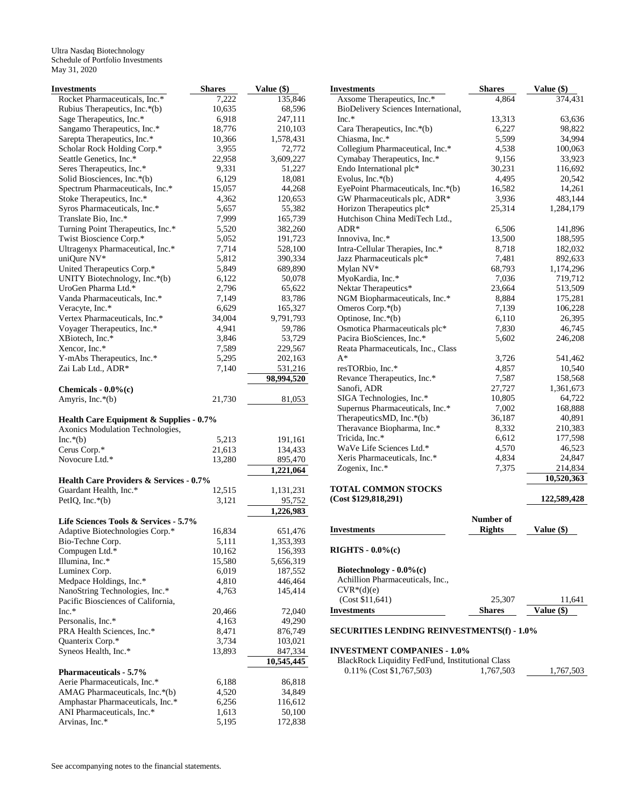Ultra Nasdaq Biotechnology Schedule of Portfolio Investments May 31, 2020

| Investments                                          | <b>Shares</b>  | Value (\$)             |
|------------------------------------------------------|----------------|------------------------|
| Rocket Pharmaceuticals, Inc.*                        | 7,222          | 135,846                |
| Rubius Therapeutics, Inc.*(b)                        | 10,635         | 68,596                 |
| Sage Therapeutics, Inc.*                             | 6,918          | 247,111                |
| Sangamo Therapeutics, Inc.*                          | 18,776         | 210,103                |
| Sarepta Therapeutics, Inc.*                          | 10,366         | 1,578,431              |
| Scholar Rock Holding Corp.*                          | 3,955          | 72,772                 |
| Seattle Genetics, Inc.*                              | 22,958         | 3,609,227              |
| Seres Therapeutics, Inc.*                            | 9,331          | 51,227                 |
| Solid Biosciences, Inc.*(b)                          | 6,129          | 18,081                 |
| Spectrum Pharmaceuticals, Inc.*                      | 15,057         | 44,268                 |
| Stoke Therapeutics, Inc.*                            | 4,362          | 120,653                |
| Syros Pharmaceuticals, Inc.*                         | 5,657          | 55,382                 |
| Translate Bio, Inc.*                                 | 7,999          | 165,739                |
| Turning Point Therapeutics, Inc.*                    | 5,520          | 382,260                |
| Twist Bioscience Corp.*                              | 5,052          | 191,723                |
| Ultragenyx Pharmaceutical, Inc.*                     | 7,714          | 528,100                |
| uniQure NV*                                          | 5,812          | 390,334                |
| United Therapeutics Corp.*                           | 5,849          | 689,890                |
| UNITY Biotechnology, Inc.*(b)<br>UroGen Pharma Ltd.* | 6,122          | 50,078                 |
| Vanda Pharmaceuticals, Inc.*                         | 2,796          | 65,622                 |
| Veracyte, Inc.*                                      | 7,149<br>6,629 | 83,786<br>165,327      |
| Vertex Pharmaceuticals, Inc.*                        | 34,004         | 9,791,793              |
| Voyager Therapeutics, Inc.*                          | 4,941          | 59,786                 |
| XBiotech, Inc.*                                      | 3,846          | 53,729                 |
| Xencor, Inc.*                                        | 7,589          | 229,567                |
| Y-mAbs Therapeutics, Inc.*                           | 5,295          | 202,163                |
| Zai Lab Ltd., ADR*                                   | 7,140          | 531,216                |
|                                                      |                | 98,994,520             |
| Chemicals - $0.0\%$ (c)                              |                |                        |
| Amyris, Inc.*(b)                                     | 21,730         | 81,053                 |
|                                                      |                |                        |
| Health Care Equipment & Supplies - 0.7%              |                |                        |
| Axonics Modulation Technologies,<br>$Inc.*(b)$       | 5,213          |                        |
| Cerus Corp.*                                         | 21,613         | 191,161<br>134,433     |
| Novocure Ltd.*                                       | 13,280         | 895,470                |
|                                                      |                | 1,221,064              |
| <b>Health Care Providers &amp; Services - 0.7%</b>   |                |                        |
| Guardant Health, Inc.*                               | 12,515         | 1,131,231              |
| PetIO, Inc. $*(b)$                                   | 3,121          | 95,752                 |
|                                                      |                | $\overline{1,}226,983$ |
| Life Sciences Tools & Services - 5.7%                |                |                        |
| Adaptive Biotechnologies Corp.*                      | 16,834         | 651,476                |
| Bio-Techne Corp.                                     | 5,111          | 1,353,393              |
| Compugen Ltd.*                                       | 10,162         | 156,393                |
| Illumina, Inc.*                                      | 15,580         | 5,656,319              |
| Luminex Corp.                                        | 6,019          | 187,552                |
| Medpace Holdings, Inc.*                              | 4,810          | 446,464                |
| NanoString Technologies, Inc.*                       | 4,763          | 145,414                |
| Pacific Biosciences of California,                   |                |                        |
| $Inc.*$                                              | 20,466         | 72,040                 |
| Personalis, Inc.*                                    | 4,163          | 49,290                 |
| PRA Health Sciences, Inc.*                           | 8,471          | 876,749                |
| Quanterix Corp.*                                     | 3,734          | 103,021                |
| Syneos Health, Inc.*                                 | 13,893         | 847,334                |
|                                                      |                | 10,545,445             |
| <b>Pharmaceuticals - 5.7%</b>                        |                |                        |
| Aerie Pharmaceuticals, Inc.*                         | 6,188          | 86,818                 |
| AMAG Pharmaceuticals, Inc.*(b)                       | 4,520          | 34,849                 |
| Amphastar Pharmaceuticals, Inc.*                     | 6,256          | 116,612                |
| ANI Pharmaceuticals, Inc.*                           | 1,613          | 50,100                 |
| Arvinas, Inc.*                                       | 5,195          | 172,838                |

| <b>Investments</b>                  | <b>Shares</b> | Value (\$)  |
|-------------------------------------|---------------|-------------|
| Axsome Therapeutics, Inc.*          | 4,864         | 374,431     |
| BioDelivery Sciences International, |               |             |
| $Inc.*$                             | 13,313        | 63,636      |
| Cara Therapeutics, Inc.*(b)         | 6,227         | 98,822      |
| Chiasma, Inc.*                      | 5,599         | 34,994      |
| Collegium Pharmaceutical, Inc.*     | 4,538         | 100,063     |
| Cymabay Therapeutics, Inc.*         | 9,156         | 33,923      |
| Endo International plc*             | 30,231        | 116,692     |
| Evolus, Inc. $*(b)$                 | 4,495         | 20,542      |
| EyePoint Pharmaceuticals, Inc.*(b)  | 16,582        | 14,261      |
| GW Pharmaceuticals plc, ADR*        | 3,936         | 483,144     |
| Horizon Therapeutics plc*           | 25,314        | 1,284,179   |
| Hutchison China MediTech Ltd.,      |               |             |
| $ADR*$                              | 6,506         | 141,896     |
| Innoviva, Inc.*                     | 13,500        | 188,595     |
| Intra-Cellular Therapies, Inc.*     | 8.718         | 182,032     |
| Jazz Pharmaceuticals plc*           | 7,481         | 892,633     |
| Mylan NV*                           | 68,793        | 1,174,296   |
| MyoKardia, Inc.*                    | 7,036         | 719,712     |
| Nektar Therapeutics*                | 23,664        | 513,509     |
| NGM Biopharmaceuticals, Inc.*       | 8,884         | 175,281     |
| Omeros Corp.*(b)                    | 7,139         | 106,228     |
| Optinose, Inc.*(b)                  | 6,110         | 26,395      |
| Osmotica Pharmaceuticals plc*       | 7,830         | 46,745      |
| Pacira BioSciences, Inc.*           | 5,602         | 246,208     |
| Reata Pharmaceuticals, Inc., Class  |               |             |
| $A^*$                               | 3,726         | 541,462     |
| resTORbio, Inc.*                    | 4,857         | 10,540      |
| Revance Therapeutics, Inc.*         | 7,587         | 158,568     |
| Sanofi, ADR                         | 27,727        | 1,361,673   |
| SIGA Technologies, Inc.*            | 10,805        | 64,722      |
| Supernus Pharmaceuticals, Inc.*     | 7,002         | 168,888     |
| TherapeuticsMD, Inc.*(b)            | 36,187        | 40,891      |
| Theravance Biopharma, Inc.*         | 8,332         | 210,383     |
| Tricida, Inc.*                      | 6,612         | 177,598     |
| WaVe Life Sciences Ltd.*            | 4,570         | 46,523      |
| Xeris Pharmaceuticals, Inc.*        | 4,834         | 24,847      |
| Zogenix, Inc.*                      | 7,375         | 214,834     |
|                                     |               | 10,520,363  |
| <b>TOTAL COMMON STOCKS</b>          |               |             |
| (Cost \$129,818,291)                |               | 122,589,428 |

**Investments Number of Value (\$) RIGHTS - 0.0%(c) Biotechnology - 0.0%(c)**  Achillion Pharmaceuticals, Inc.,  $CVR^*(d)(e)$ 

# (Cost \$11,641) 25,307  $\frac{11,641}{Value ($)}$ <br>westments Investments

### **SECURITIES LENDING REINVESTMENTS(f) - 1.0%**

### **INVESTMENT COMPANIES - 1.0%**

| BlackRock Liquidity FedFund, Institutional Class |           |           |
|--------------------------------------------------|-----------|-----------|
| $0.11\%$ (Cost \$1,767,503)                      | 1.767.503 | 1,767,503 |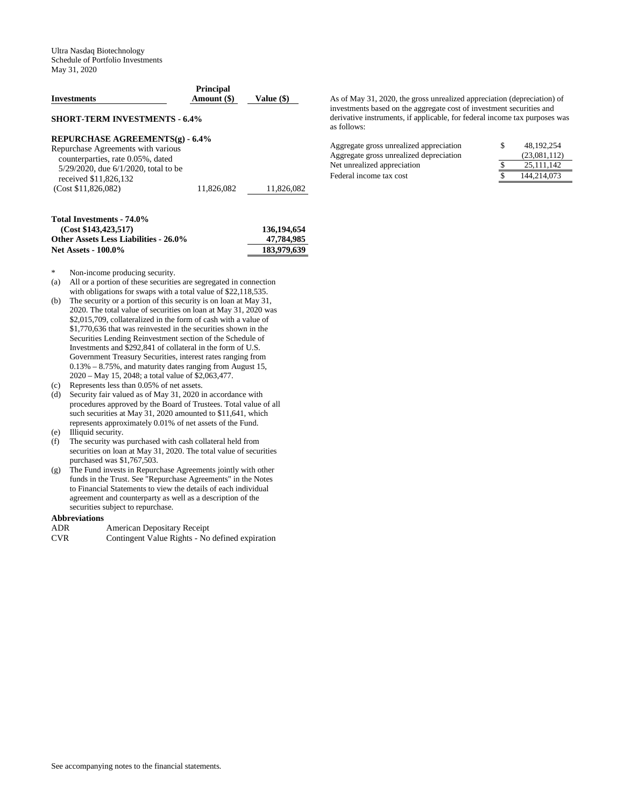| <b>Investments</b>                                                                                                                             | <b>Principal</b><br>Amount (\$) | Value (\$)                |
|------------------------------------------------------------------------------------------------------------------------------------------------|---------------------------------|---------------------------|
| <b>SHORT-TERM INVESTMENTS - 6.4%</b>                                                                                                           |                                 |                           |
| REPURCHASE AGREEMENTS(g) - 6.4%                                                                                                                |                                 |                           |
| Repurchase Agreements with various<br>counterparties, rate 0.05%, dated<br>$5/29/2020$ , due $6/1/2020$ , total to be<br>received \$11,826,132 |                                 |                           |
| (Cost \$11.826.082)                                                                                                                            | 11.826.082                      | 11,826,082                |
| Total Investments - 74.0%<br>(Cost \$143, 423, 517)<br><b>Other Assets Less Liabilities - 26.0%</b>                                            |                                 | 136,194,654<br>47.784.985 |

**Net Assets - 100.0% 183,979,639**

- Non-income producing security.
- (a) All or a portion of these securities are segregated in connection with obligations for swaps with a total value of \$22,118,535.
- (b) The security or a portion of this security is on loan at May 31, 2020. The total value of securities on loan at May 31, 2020 was \$2,015,709, collateralized in the form of cash with a value of \$1,770,636 that was reinvested in the securities shown in the Securities Lending Reinvestment section of the Schedule of Investments and \$292,841 of collateral in the form of U.S. Government Treasury Securities, interest rates ranging from 0.13% – 8.75%, and maturity dates ranging from August 15, 2020 – May 15, 2048; a total value of \$2,063,477.
- (c) Represents less than 0.05% of net assets.
- (d) Security fair valued as of May 31, 2020 in accordance with procedures approved by the Board of Trustees. Total value of all such securities at May 31, 2020 amounted to \$11,641, which represents approximately 0.01% of net assets of the Fund.
- (e) Illiquid security.
- (f) The security was purchased with cash collateral held from securities on loan at May 31, 2020. The total value of securities purchased was \$1,767,503.
- (g) The Fund invests in Repurchase Agreements jointly with other funds in the Trust. See "Repurchase Agreements" in the Notes to Financial Statements to view the details of each individual agreement and counterparty as well as a description of the securities subject to repurchase.

### **Abbreviations**

| ADR  | American Depositary Receipt |  |
|------|-----------------------------|--|
| $-1$ |                             |  |

CVR Contingent Value Rights - No defined expiration

As of May 31, 2020, the gross unrealized appreciation (depreciation) of investments based on the aggregate cost of investment securities and derivative instruments, if applicable, for federal income tax purposes was as follows:

| Aggregate gross unrealized appreciation | S | 48.192.254   |
|-----------------------------------------|---|--------------|
| Aggregate gross unrealized depreciation |   | (23.081.112) |
| Net unrealized appreciation             |   | 25.111.142   |
| Federal income tax cost                 |   | 144,214,073  |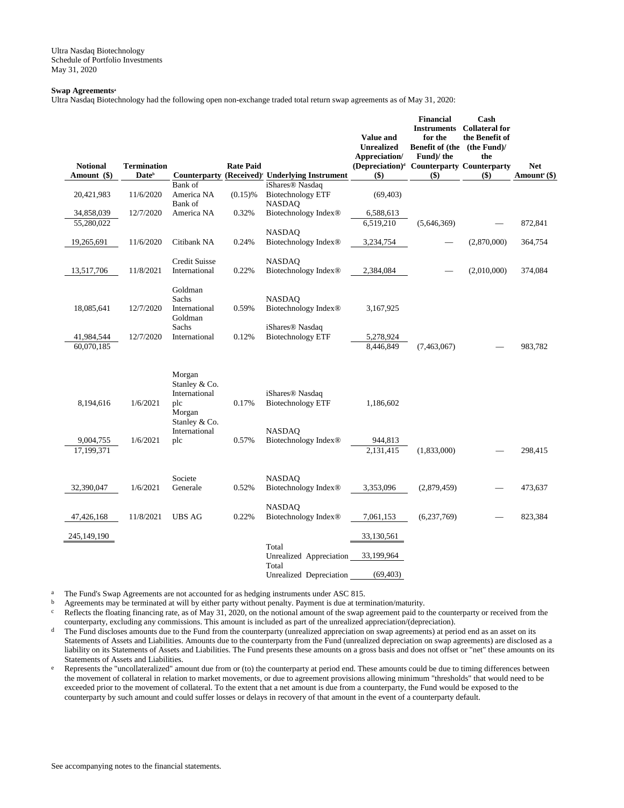Ultra Nasdaq Biotechnology Schedule of Portfolio Investments May 31, 2020

### **Swap Agreements<sup>a</sup>**

Ultra Nasdaq Biotechnology had the following open non-exchange traded total return swap agreements as of May 31, 2020:

|                 |                    |                       |                  |                                                   |                                                       | <b>Financial</b>            | Cash                  |                          |
|-----------------|--------------------|-----------------------|------------------|---------------------------------------------------|-------------------------------------------------------|-----------------------------|-----------------------|--------------------------|
|                 |                    |                       |                  |                                                   |                                                       | <b>Instruments</b>          | <b>Collateral for</b> |                          |
|                 |                    |                       |                  |                                                   | Value and                                             | for the                     | the Benefit of        |                          |
|                 |                    |                       |                  |                                                   | <b>Unrealized</b>                                     | Benefit of (the (the Fund)/ |                       |                          |
|                 |                    |                       |                  |                                                   | Appreciation/                                         | Fund)/the                   | the                   |                          |
| <b>Notional</b> | <b>Termination</b> |                       | <b>Rate Paid</b> |                                                   | (Depreciation) <sup>d</sup> Counterparty Counterparty |                             |                       | Net                      |
| Amount (\$)     | Date <sup>b</sup>  | <b>Counterparty</b>   |                  | (Received) <sup>c</sup> Underlying Instrument     | $($ \$)                                               | \$)                         | $($)$                 | Amount <sup>e</sup> (\$) |
|                 |                    | Bank of               |                  | iShares <sup>®</sup> Nasdaq                       |                                                       |                             |                       |                          |
| 20,421,983      | 11/6/2020          | America NA            | $(0.15)$ %       | <b>Biotechnology ETF</b>                          | (69, 403)                                             |                             |                       |                          |
|                 | 12/7/2020          | Bank of<br>America NA |                  | <b>NASDAO</b>                                     |                                                       |                             |                       |                          |
| 34,858,039      |                    |                       | 0.32%            | Biotechnology Index®                              | 6,588,613                                             |                             |                       |                          |
| 55,280,022      |                    |                       |                  | <b>NASDAQ</b>                                     | 6,519,210                                             | (5,646,369)                 |                       | 872,841                  |
| 19,265,691      | 11/6/2020          | Citibank NA           | 0.24%            | Biotechnology Index <sup>®</sup>                  | 3,234,754                                             |                             | (2,870,000)           | 364,754                  |
|                 |                    |                       |                  |                                                   |                                                       |                             |                       |                          |
|                 |                    | <b>Credit Suisse</b>  |                  | <b>NASDAQ</b>                                     |                                                       |                             |                       |                          |
| 13,517,706      | 11/8/2021          | International         | 0.22%            | Biotechnology Index®                              | 2,384,084                                             |                             | (2,010,000)           | 374,084                  |
|                 |                    |                       |                  |                                                   |                                                       |                             |                       |                          |
|                 |                    | Goldman               |                  |                                                   |                                                       |                             |                       |                          |
|                 |                    | Sachs                 |                  | <b>NASDAQ</b>                                     |                                                       |                             |                       |                          |
| 18,085,641      | 12/7/2020          | International         | 0.59%            | Biotechnology Index <sup>®</sup>                  | 3,167,925                                             |                             |                       |                          |
|                 |                    | Goldman               |                  |                                                   |                                                       |                             |                       |                          |
|                 |                    | Sachs                 |                  | iShares <sup>®</sup> Nasdaq                       |                                                       |                             |                       |                          |
| 41,984,544      | 12/7/2020          | International         | 0.12%            | <b>Biotechnology ETF</b>                          | 5,278,924                                             |                             |                       |                          |
| 60,070,185      |                    |                       |                  |                                                   | 8,446,849                                             | (7,463,067)                 |                       | 983,782                  |
|                 |                    |                       |                  |                                                   |                                                       |                             |                       |                          |
|                 |                    | Morgan                |                  |                                                   |                                                       |                             |                       |                          |
|                 |                    | Stanley & Co.         |                  |                                                   |                                                       |                             |                       |                          |
|                 |                    | International         |                  | iShares <sup>®</sup> Nasdaq                       |                                                       |                             |                       |                          |
| 8,194,616       | 1/6/2021           | plc                   | 0.17%            | <b>Biotechnology ETF</b>                          | 1,186,602                                             |                             |                       |                          |
|                 |                    | Morgan                |                  |                                                   |                                                       |                             |                       |                          |
|                 |                    | Stanley & Co.         |                  |                                                   |                                                       |                             |                       |                          |
|                 |                    | International         |                  | <b>NASDAQ</b>                                     |                                                       |                             |                       |                          |
| 9,004,755       | 1/6/2021           | plc                   | 0.57%            | Biotechnology Index®                              | 944,813                                               |                             |                       |                          |
| 17,199,371      |                    |                       |                  |                                                   | 2,131,415                                             | (1,833,000)                 |                       | 298,415                  |
|                 |                    |                       |                  |                                                   |                                                       |                             |                       |                          |
|                 |                    |                       |                  |                                                   |                                                       |                             |                       |                          |
| 32,390,047      | 1/6/2021           | Societe<br>Generale   | 0.52%            | <b>NASDAQ</b><br>Biotechnology Index <sup>®</sup> | 3,353,096                                             | (2,879,459)                 |                       |                          |
|                 |                    |                       |                  |                                                   |                                                       |                             |                       | 473,637                  |
|                 |                    |                       |                  | <b>NASDAQ</b>                                     |                                                       |                             |                       |                          |
| 47,426,168      | 11/8/2021          | <b>UBS AG</b>         | 0.22%            | Biotechnology Index <sup>®</sup>                  | 7,061,153                                             | (6,237,769)                 |                       | 823,384                  |
|                 |                    |                       |                  |                                                   |                                                       |                             |                       |                          |
| 245,149,190     |                    |                       |                  |                                                   | 33,130,561                                            |                             |                       |                          |
|                 |                    |                       |                  | Total                                             |                                                       |                             |                       |                          |
|                 |                    |                       |                  | Unrealized Appreciation                           | 33,199,964                                            |                             |                       |                          |
|                 |                    |                       |                  | Total                                             |                                                       |                             |                       |                          |
|                 |                    |                       |                  | Unrealized Depreciation                           | (69, 403)                                             |                             |                       |                          |

a The Fund's Swap Agreements are not accounted for as hedging instruments under ASC 815.

b Agreements may be terminated at will by either party without penalty. Payment is due at termination/maturity.<br>Reflects the floating financing rate, as of May 31, 2020, on the notional amount of the swap agreement paid t Reflects the floating financing rate, as of May  $31$ , 2020, on the notional amount of the swap agreement paid to the counterparty or received from the counterparty, excluding any commissions. This amount is included as part of the unrealized appreciation/(depreciation).

- <sup>d</sup> The Fund discloses amounts due to the Fund from the counterparty (unrealized appreciation on swap agreements) at period end as an asset on its Statements of Assets and Liabilities. Amounts due to the counterparty from the Fund (unrealized depreciation on swap agreements) are disclosed as a liability on its Statements of Assets and Liabilities. The Fund presents these amounts on a gross basis and does not offset or "net" these amounts on its Statements of Assets and Liabilities.
- e Represents the "uncollateralized" amount due from or (to) the counterparty at period end. These amounts could be due to timing differences between the movement of collateral in relation to market movements, or due to agreement provisions allowing minimum "thresholds" that would need to be exceeded prior to the movement of collateral. To the extent that a net amount is due from a counterparty, the Fund would be exposed to the counterparty by such amount and could suffer losses or delays in recovery of that amount in the event of a counterparty default.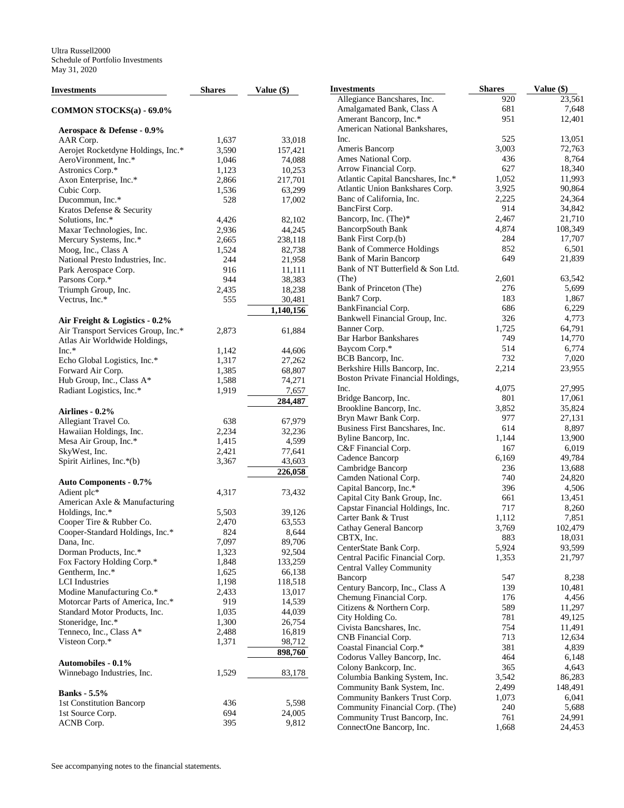| Investments                         | <b>Shares</b> | Value (\$) | Ц |
|-------------------------------------|---------------|------------|---|
| COMMON STOCKS(a) - 69.0%            |               |            |   |
| Aerospace & Defense - 0.9%          |               |            |   |
| AAR Corp.                           | 1,637         | 33,018     |   |
| Aerojet Rocketdyne Holdings, Inc.*  | 3,590         | 157,421    |   |
| AeroVironment, Inc.*                | 1,046         | 74,088     |   |
| Astronics Corp.*                    | 1,123         | 10,253     |   |
| Axon Enterprise, Inc.*              | 2,866         | 217,701    |   |
| Cubic Corp.                         | 1,536         | 63,299     |   |
| Ducommun, Inc.*                     | 528           | 17,002     |   |
| Kratos Defense & Security           |               |            |   |
| Solutions, Inc.*                    | 4,426         | 82,102     |   |
| Maxar Technologies, Inc.            | 2,936         | 44,245     |   |
| Mercury Systems, Inc.*              | 2,665         | 238,118    |   |
| Moog, Inc., Class A                 | 1,524         | 82,738     |   |
| National Presto Industries, Inc.    | 244           | 21,958     |   |
| Park Aerospace Corp.                | 916           | 11,111     |   |
| Parsons Corp.*                      | 944           | 38,383     |   |
| Triumph Group, Inc.                 | 2,435         | 18,238     |   |
| Vectrus, Inc.*                      | 555           | 30,481     |   |
|                                     |               | 1,140,156  |   |
|                                     |               |            |   |
| Air Freight & Logistics - 0.2%      |               |            |   |
| Air Transport Services Group, Inc.* | 2,873         | 61,884     |   |
| Atlas Air Worldwide Holdings,       |               |            |   |
| Inc.*                               | 1,142         | 44,606     |   |
| Echo Global Logistics, Inc.*        | 1,317         | 27,262     |   |
| Forward Air Corp.                   | 1,385         | 68,807     |   |
| Hub Group, Inc., Class A*           | 1,588         | 74,271     |   |
| Radiant Logistics, Inc.*            | 1,919         | 7,657      |   |
|                                     |               | 284,487    |   |
| Airlines - 0.2%                     |               |            |   |
| Allegiant Travel Co.                | 638           | 67,979     |   |
| Hawaiian Holdings, Inc.             | 2,234         | 32,236     |   |
| Mesa Air Group, Inc.*               | 1,415         | 4,599      |   |
| SkyWest, Inc.                       | 2,421         | 77,641     |   |
| Spirit Airlines, Inc.*(b)           | 3,367         | 43,603     |   |
|                                     |               | 226,058    |   |
| <b>Auto Components - 0.7%</b>       |               |            |   |
| Adient plc*                         | 4,317         | 73,432     |   |
| American Axle & Manufacturing       |               |            |   |
| Holdings, Inc.*                     | 5,503         | 39,126     |   |
| Cooper Tire & Rubber Co.            | 2,470         | 63,553     |   |
| Cooper-Standard Holdings, Inc.*     | 824           | 8,644      |   |
| Dana. Inc.                          | 7,097         | 89,706     |   |
| Dorman Products, Inc.*              | 1,323         | 92,504     |   |
| Fox Factory Holding Corp.*          | 1,848         | 133,259    |   |
| Gentherm, Inc.*                     | 1,625         | 66,138     |   |
| <b>LCI</b> Industries               | 1,198         | 118,518    |   |
| Modine Manufacturing Co.*           | 2,433         | 13,017     |   |
| Motorcar Parts of America, Inc.*    | 919           | 14,539     |   |
| Standard Motor Products, Inc.       | 1,035         | 44,039     |   |
| Stoneridge, Inc.*                   | 1,300         | 26,754     |   |
| Tenneco, Inc., Class A*             | 2,488         | 16,819     |   |
| Visteon Corp.*                      | 1,371         | 98,712     |   |
|                                     |               | 898,760    |   |
| Automobiles - 0.1%                  |               |            |   |
| Winnebago Industries, Inc.          | 1,529         | 83,178     |   |
| <b>Banks</b> - 5.5%                 |               |            |   |
| 1st Constitution Bancorp            | 436           | 5,598      |   |
| 1st Source Corp.                    | 694           | 24,005     |   |
| ACNB Corp.                          | 395           | 9,812      |   |

| 23,561<br>Allegiance Bancshares, Inc.<br>920<br>Amalgamated Bank, Class A<br>681<br>7,648<br>Amerant Bancorp, Inc.*<br>951<br>12,401<br>American National Bankshares,<br>Inc.<br>525<br>13,051<br>Ameris Bancorp<br>3,003<br>72,763<br>436<br>Ames National Corp.<br>8,764<br>Arrow Financial Corp.<br>627<br>18,340<br>Atlantic Capital Bancshares, Inc.*<br>1,052<br>11,993<br>Atlantic Union Bankshares Corp.<br>90,864<br>3,925<br>Banc of California, Inc.<br>2,225<br>24,364<br>914<br>BancFirst Corp.<br>34,842<br>Bancorp, Inc. (The)*<br>2,467<br>21,710<br>BancorpSouth Bank<br>4,874<br>108,349<br>Bank First Corp.(b)<br>284<br>17,707<br><b>Bank of Commerce Holdings</b><br>852<br>6,501<br><b>Bank of Marin Bancorp</b><br>649<br>21,839<br>Bank of NT Butterfield & Son Ltd.<br>(The)<br>2,601<br>63,542<br>Bank of Princeton (The)<br>276<br>5,699<br>183<br>Bank7 Corp.<br>1,867<br>686<br>BankFinancial Corp.<br>6,229<br>Bankwell Financial Group, Inc.<br>326<br>4,773<br>Banner Corp.<br>1,725<br>64,791<br><b>Bar Harbor Bankshares</b><br>14,770<br>749<br>Baycom Corp.*<br>514<br>6,774<br>BCB Bancorp, Inc.<br>732<br>7,020<br>Berkshire Hills Bancorp, Inc.<br>2,214<br>23,955<br>Boston Private Financial Holdings,<br>Inc.<br>4,075<br>27,995<br>801<br>Bridge Bancorp, Inc.<br>17,061<br>Brookline Bancorp, Inc.<br>3,852<br>35,824<br>Bryn Mawr Bank Corp.<br>977<br>27,131<br>Business First Bancshares, Inc.<br>614<br>8,897<br>Byline Bancorp, Inc.<br>1,144<br>13,900<br>C&F Financial Corp.<br>167<br>6,019<br>Cadence Bancorp<br>6,169<br>49,784<br>Cambridge Bancorp<br>236<br>13,688<br>Camden National Corp.<br>740<br>24,820<br>Capital Bancorp, Inc.*<br>396<br>4,506<br>Capital City Bank Group, Inc.<br>661<br>13,451<br>Capstar Financial Holdings, Inc.<br>8,260<br>717<br>Carter Bank & Trust<br>1,112<br>7,851<br>Cathay General Bancorp<br>3,769<br>102,479<br>18.031<br>CBTX, Inc.<br>883<br>CenterState Bank Corp.<br>5,924<br>93,599<br>Central Pacific Financial Corp.<br>1,353<br>21,797<br><b>Central Valley Community</b><br>547<br>8,238<br>Bancorp<br>Century Bancorp, Inc., Class A<br>139<br>10,481<br>Chemung Financial Corp.<br>176<br>4,456<br>589<br>11,297<br>Citizens & Northern Corp.<br>781<br>49,125<br>City Holding Co.<br>754<br>Civista Bancshares, Inc.<br>11,491<br>CNB Financial Corp.<br>713<br>12,634<br>Coastal Financial Corp.*<br>381<br>4,839<br>Codorus Valley Bancorp, Inc.<br>464<br>6,148<br>365<br>Colony Bankcorp, Inc.<br>4,643<br>Columbia Banking System, Inc.<br>3,542<br>86,283<br>Community Bank System, Inc.<br>2,499<br>148,491<br>Community Bankers Trust Corp.<br>6,041<br>1,073<br>Community Financial Corp. (The)<br>240<br>5,688<br>Community Trust Bancorp, Inc.<br>24,991<br>761<br>24,453<br>ConnectOne Bancorp, Inc.<br>1,668 | Investments | <b>Shares</b> | Value (\$) |
|---------------------------------------------------------------------------------------------------------------------------------------------------------------------------------------------------------------------------------------------------------------------------------------------------------------------------------------------------------------------------------------------------------------------------------------------------------------------------------------------------------------------------------------------------------------------------------------------------------------------------------------------------------------------------------------------------------------------------------------------------------------------------------------------------------------------------------------------------------------------------------------------------------------------------------------------------------------------------------------------------------------------------------------------------------------------------------------------------------------------------------------------------------------------------------------------------------------------------------------------------------------------------------------------------------------------------------------------------------------------------------------------------------------------------------------------------------------------------------------------------------------------------------------------------------------------------------------------------------------------------------------------------------------------------------------------------------------------------------------------------------------------------------------------------------------------------------------------------------------------------------------------------------------------------------------------------------------------------------------------------------------------------------------------------------------------------------------------------------------------------------------------------------------------------------------------------------------------------------------------------------------------------------------------------------------------------------------------------------------------------------------------------------------------------------------------------------------------------------------------------------------------------------------------------------------------------------------------------------------------------------------------------------------------------------------------------------------------------------------------------------------------------------------------------------------------------------------|-------------|---------------|------------|
|                                                                                                                                                                                                                                                                                                                                                                                                                                                                                                                                                                                                                                                                                                                                                                                                                                                                                                                                                                                                                                                                                                                                                                                                                                                                                                                                                                                                                                                                                                                                                                                                                                                                                                                                                                                                                                                                                                                                                                                                                                                                                                                                                                                                                                                                                                                                                                                                                                                                                                                                                                                                                                                                                                                                                                                                                                       |             |               |            |
|                                                                                                                                                                                                                                                                                                                                                                                                                                                                                                                                                                                                                                                                                                                                                                                                                                                                                                                                                                                                                                                                                                                                                                                                                                                                                                                                                                                                                                                                                                                                                                                                                                                                                                                                                                                                                                                                                                                                                                                                                                                                                                                                                                                                                                                                                                                                                                                                                                                                                                                                                                                                                                                                                                                                                                                                                                       |             |               |            |
|                                                                                                                                                                                                                                                                                                                                                                                                                                                                                                                                                                                                                                                                                                                                                                                                                                                                                                                                                                                                                                                                                                                                                                                                                                                                                                                                                                                                                                                                                                                                                                                                                                                                                                                                                                                                                                                                                                                                                                                                                                                                                                                                                                                                                                                                                                                                                                                                                                                                                                                                                                                                                                                                                                                                                                                                                                       |             |               |            |
|                                                                                                                                                                                                                                                                                                                                                                                                                                                                                                                                                                                                                                                                                                                                                                                                                                                                                                                                                                                                                                                                                                                                                                                                                                                                                                                                                                                                                                                                                                                                                                                                                                                                                                                                                                                                                                                                                                                                                                                                                                                                                                                                                                                                                                                                                                                                                                                                                                                                                                                                                                                                                                                                                                                                                                                                                                       |             |               |            |
|                                                                                                                                                                                                                                                                                                                                                                                                                                                                                                                                                                                                                                                                                                                                                                                                                                                                                                                                                                                                                                                                                                                                                                                                                                                                                                                                                                                                                                                                                                                                                                                                                                                                                                                                                                                                                                                                                                                                                                                                                                                                                                                                                                                                                                                                                                                                                                                                                                                                                                                                                                                                                                                                                                                                                                                                                                       |             |               |            |
|                                                                                                                                                                                                                                                                                                                                                                                                                                                                                                                                                                                                                                                                                                                                                                                                                                                                                                                                                                                                                                                                                                                                                                                                                                                                                                                                                                                                                                                                                                                                                                                                                                                                                                                                                                                                                                                                                                                                                                                                                                                                                                                                                                                                                                                                                                                                                                                                                                                                                                                                                                                                                                                                                                                                                                                                                                       |             |               |            |
|                                                                                                                                                                                                                                                                                                                                                                                                                                                                                                                                                                                                                                                                                                                                                                                                                                                                                                                                                                                                                                                                                                                                                                                                                                                                                                                                                                                                                                                                                                                                                                                                                                                                                                                                                                                                                                                                                                                                                                                                                                                                                                                                                                                                                                                                                                                                                                                                                                                                                                                                                                                                                                                                                                                                                                                                                                       |             |               |            |
|                                                                                                                                                                                                                                                                                                                                                                                                                                                                                                                                                                                                                                                                                                                                                                                                                                                                                                                                                                                                                                                                                                                                                                                                                                                                                                                                                                                                                                                                                                                                                                                                                                                                                                                                                                                                                                                                                                                                                                                                                                                                                                                                                                                                                                                                                                                                                                                                                                                                                                                                                                                                                                                                                                                                                                                                                                       |             |               |            |
|                                                                                                                                                                                                                                                                                                                                                                                                                                                                                                                                                                                                                                                                                                                                                                                                                                                                                                                                                                                                                                                                                                                                                                                                                                                                                                                                                                                                                                                                                                                                                                                                                                                                                                                                                                                                                                                                                                                                                                                                                                                                                                                                                                                                                                                                                                                                                                                                                                                                                                                                                                                                                                                                                                                                                                                                                                       |             |               |            |
|                                                                                                                                                                                                                                                                                                                                                                                                                                                                                                                                                                                                                                                                                                                                                                                                                                                                                                                                                                                                                                                                                                                                                                                                                                                                                                                                                                                                                                                                                                                                                                                                                                                                                                                                                                                                                                                                                                                                                                                                                                                                                                                                                                                                                                                                                                                                                                                                                                                                                                                                                                                                                                                                                                                                                                                                                                       |             |               |            |
|                                                                                                                                                                                                                                                                                                                                                                                                                                                                                                                                                                                                                                                                                                                                                                                                                                                                                                                                                                                                                                                                                                                                                                                                                                                                                                                                                                                                                                                                                                                                                                                                                                                                                                                                                                                                                                                                                                                                                                                                                                                                                                                                                                                                                                                                                                                                                                                                                                                                                                                                                                                                                                                                                                                                                                                                                                       |             |               |            |
|                                                                                                                                                                                                                                                                                                                                                                                                                                                                                                                                                                                                                                                                                                                                                                                                                                                                                                                                                                                                                                                                                                                                                                                                                                                                                                                                                                                                                                                                                                                                                                                                                                                                                                                                                                                                                                                                                                                                                                                                                                                                                                                                                                                                                                                                                                                                                                                                                                                                                                                                                                                                                                                                                                                                                                                                                                       |             |               |            |
|                                                                                                                                                                                                                                                                                                                                                                                                                                                                                                                                                                                                                                                                                                                                                                                                                                                                                                                                                                                                                                                                                                                                                                                                                                                                                                                                                                                                                                                                                                                                                                                                                                                                                                                                                                                                                                                                                                                                                                                                                                                                                                                                                                                                                                                                                                                                                                                                                                                                                                                                                                                                                                                                                                                                                                                                                                       |             |               |            |
|                                                                                                                                                                                                                                                                                                                                                                                                                                                                                                                                                                                                                                                                                                                                                                                                                                                                                                                                                                                                                                                                                                                                                                                                                                                                                                                                                                                                                                                                                                                                                                                                                                                                                                                                                                                                                                                                                                                                                                                                                                                                                                                                                                                                                                                                                                                                                                                                                                                                                                                                                                                                                                                                                                                                                                                                                                       |             |               |            |
|                                                                                                                                                                                                                                                                                                                                                                                                                                                                                                                                                                                                                                                                                                                                                                                                                                                                                                                                                                                                                                                                                                                                                                                                                                                                                                                                                                                                                                                                                                                                                                                                                                                                                                                                                                                                                                                                                                                                                                                                                                                                                                                                                                                                                                                                                                                                                                                                                                                                                                                                                                                                                                                                                                                                                                                                                                       |             |               |            |
|                                                                                                                                                                                                                                                                                                                                                                                                                                                                                                                                                                                                                                                                                                                                                                                                                                                                                                                                                                                                                                                                                                                                                                                                                                                                                                                                                                                                                                                                                                                                                                                                                                                                                                                                                                                                                                                                                                                                                                                                                                                                                                                                                                                                                                                                                                                                                                                                                                                                                                                                                                                                                                                                                                                                                                                                                                       |             |               |            |
|                                                                                                                                                                                                                                                                                                                                                                                                                                                                                                                                                                                                                                                                                                                                                                                                                                                                                                                                                                                                                                                                                                                                                                                                                                                                                                                                                                                                                                                                                                                                                                                                                                                                                                                                                                                                                                                                                                                                                                                                                                                                                                                                                                                                                                                                                                                                                                                                                                                                                                                                                                                                                                                                                                                                                                                                                                       |             |               |            |
|                                                                                                                                                                                                                                                                                                                                                                                                                                                                                                                                                                                                                                                                                                                                                                                                                                                                                                                                                                                                                                                                                                                                                                                                                                                                                                                                                                                                                                                                                                                                                                                                                                                                                                                                                                                                                                                                                                                                                                                                                                                                                                                                                                                                                                                                                                                                                                                                                                                                                                                                                                                                                                                                                                                                                                                                                                       |             |               |            |
|                                                                                                                                                                                                                                                                                                                                                                                                                                                                                                                                                                                                                                                                                                                                                                                                                                                                                                                                                                                                                                                                                                                                                                                                                                                                                                                                                                                                                                                                                                                                                                                                                                                                                                                                                                                                                                                                                                                                                                                                                                                                                                                                                                                                                                                                                                                                                                                                                                                                                                                                                                                                                                                                                                                                                                                                                                       |             |               |            |
|                                                                                                                                                                                                                                                                                                                                                                                                                                                                                                                                                                                                                                                                                                                                                                                                                                                                                                                                                                                                                                                                                                                                                                                                                                                                                                                                                                                                                                                                                                                                                                                                                                                                                                                                                                                                                                                                                                                                                                                                                                                                                                                                                                                                                                                                                                                                                                                                                                                                                                                                                                                                                                                                                                                                                                                                                                       |             |               |            |
|                                                                                                                                                                                                                                                                                                                                                                                                                                                                                                                                                                                                                                                                                                                                                                                                                                                                                                                                                                                                                                                                                                                                                                                                                                                                                                                                                                                                                                                                                                                                                                                                                                                                                                                                                                                                                                                                                                                                                                                                                                                                                                                                                                                                                                                                                                                                                                                                                                                                                                                                                                                                                                                                                                                                                                                                                                       |             |               |            |
|                                                                                                                                                                                                                                                                                                                                                                                                                                                                                                                                                                                                                                                                                                                                                                                                                                                                                                                                                                                                                                                                                                                                                                                                                                                                                                                                                                                                                                                                                                                                                                                                                                                                                                                                                                                                                                                                                                                                                                                                                                                                                                                                                                                                                                                                                                                                                                                                                                                                                                                                                                                                                                                                                                                                                                                                                                       |             |               |            |
|                                                                                                                                                                                                                                                                                                                                                                                                                                                                                                                                                                                                                                                                                                                                                                                                                                                                                                                                                                                                                                                                                                                                                                                                                                                                                                                                                                                                                                                                                                                                                                                                                                                                                                                                                                                                                                                                                                                                                                                                                                                                                                                                                                                                                                                                                                                                                                                                                                                                                                                                                                                                                                                                                                                                                                                                                                       |             |               |            |
|                                                                                                                                                                                                                                                                                                                                                                                                                                                                                                                                                                                                                                                                                                                                                                                                                                                                                                                                                                                                                                                                                                                                                                                                                                                                                                                                                                                                                                                                                                                                                                                                                                                                                                                                                                                                                                                                                                                                                                                                                                                                                                                                                                                                                                                                                                                                                                                                                                                                                                                                                                                                                                                                                                                                                                                                                                       |             |               |            |
|                                                                                                                                                                                                                                                                                                                                                                                                                                                                                                                                                                                                                                                                                                                                                                                                                                                                                                                                                                                                                                                                                                                                                                                                                                                                                                                                                                                                                                                                                                                                                                                                                                                                                                                                                                                                                                                                                                                                                                                                                                                                                                                                                                                                                                                                                                                                                                                                                                                                                                                                                                                                                                                                                                                                                                                                                                       |             |               |            |
|                                                                                                                                                                                                                                                                                                                                                                                                                                                                                                                                                                                                                                                                                                                                                                                                                                                                                                                                                                                                                                                                                                                                                                                                                                                                                                                                                                                                                                                                                                                                                                                                                                                                                                                                                                                                                                                                                                                                                                                                                                                                                                                                                                                                                                                                                                                                                                                                                                                                                                                                                                                                                                                                                                                                                                                                                                       |             |               |            |
|                                                                                                                                                                                                                                                                                                                                                                                                                                                                                                                                                                                                                                                                                                                                                                                                                                                                                                                                                                                                                                                                                                                                                                                                                                                                                                                                                                                                                                                                                                                                                                                                                                                                                                                                                                                                                                                                                                                                                                                                                                                                                                                                                                                                                                                                                                                                                                                                                                                                                                                                                                                                                                                                                                                                                                                                                                       |             |               |            |
|                                                                                                                                                                                                                                                                                                                                                                                                                                                                                                                                                                                                                                                                                                                                                                                                                                                                                                                                                                                                                                                                                                                                                                                                                                                                                                                                                                                                                                                                                                                                                                                                                                                                                                                                                                                                                                                                                                                                                                                                                                                                                                                                                                                                                                                                                                                                                                                                                                                                                                                                                                                                                                                                                                                                                                                                                                       |             |               |            |
|                                                                                                                                                                                                                                                                                                                                                                                                                                                                                                                                                                                                                                                                                                                                                                                                                                                                                                                                                                                                                                                                                                                                                                                                                                                                                                                                                                                                                                                                                                                                                                                                                                                                                                                                                                                                                                                                                                                                                                                                                                                                                                                                                                                                                                                                                                                                                                                                                                                                                                                                                                                                                                                                                                                                                                                                                                       |             |               |            |
|                                                                                                                                                                                                                                                                                                                                                                                                                                                                                                                                                                                                                                                                                                                                                                                                                                                                                                                                                                                                                                                                                                                                                                                                                                                                                                                                                                                                                                                                                                                                                                                                                                                                                                                                                                                                                                                                                                                                                                                                                                                                                                                                                                                                                                                                                                                                                                                                                                                                                                                                                                                                                                                                                                                                                                                                                                       |             |               |            |
|                                                                                                                                                                                                                                                                                                                                                                                                                                                                                                                                                                                                                                                                                                                                                                                                                                                                                                                                                                                                                                                                                                                                                                                                                                                                                                                                                                                                                                                                                                                                                                                                                                                                                                                                                                                                                                                                                                                                                                                                                                                                                                                                                                                                                                                                                                                                                                                                                                                                                                                                                                                                                                                                                                                                                                                                                                       |             |               |            |
|                                                                                                                                                                                                                                                                                                                                                                                                                                                                                                                                                                                                                                                                                                                                                                                                                                                                                                                                                                                                                                                                                                                                                                                                                                                                                                                                                                                                                                                                                                                                                                                                                                                                                                                                                                                                                                                                                                                                                                                                                                                                                                                                                                                                                                                                                                                                                                                                                                                                                                                                                                                                                                                                                                                                                                                                                                       |             |               |            |
|                                                                                                                                                                                                                                                                                                                                                                                                                                                                                                                                                                                                                                                                                                                                                                                                                                                                                                                                                                                                                                                                                                                                                                                                                                                                                                                                                                                                                                                                                                                                                                                                                                                                                                                                                                                                                                                                                                                                                                                                                                                                                                                                                                                                                                                                                                                                                                                                                                                                                                                                                                                                                                                                                                                                                                                                                                       |             |               |            |
|                                                                                                                                                                                                                                                                                                                                                                                                                                                                                                                                                                                                                                                                                                                                                                                                                                                                                                                                                                                                                                                                                                                                                                                                                                                                                                                                                                                                                                                                                                                                                                                                                                                                                                                                                                                                                                                                                                                                                                                                                                                                                                                                                                                                                                                                                                                                                                                                                                                                                                                                                                                                                                                                                                                                                                                                                                       |             |               |            |
|                                                                                                                                                                                                                                                                                                                                                                                                                                                                                                                                                                                                                                                                                                                                                                                                                                                                                                                                                                                                                                                                                                                                                                                                                                                                                                                                                                                                                                                                                                                                                                                                                                                                                                                                                                                                                                                                                                                                                                                                                                                                                                                                                                                                                                                                                                                                                                                                                                                                                                                                                                                                                                                                                                                                                                                                                                       |             |               |            |
|                                                                                                                                                                                                                                                                                                                                                                                                                                                                                                                                                                                                                                                                                                                                                                                                                                                                                                                                                                                                                                                                                                                                                                                                                                                                                                                                                                                                                                                                                                                                                                                                                                                                                                                                                                                                                                                                                                                                                                                                                                                                                                                                                                                                                                                                                                                                                                                                                                                                                                                                                                                                                                                                                                                                                                                                                                       |             |               |            |
|                                                                                                                                                                                                                                                                                                                                                                                                                                                                                                                                                                                                                                                                                                                                                                                                                                                                                                                                                                                                                                                                                                                                                                                                                                                                                                                                                                                                                                                                                                                                                                                                                                                                                                                                                                                                                                                                                                                                                                                                                                                                                                                                                                                                                                                                                                                                                                                                                                                                                                                                                                                                                                                                                                                                                                                                                                       |             |               |            |
|                                                                                                                                                                                                                                                                                                                                                                                                                                                                                                                                                                                                                                                                                                                                                                                                                                                                                                                                                                                                                                                                                                                                                                                                                                                                                                                                                                                                                                                                                                                                                                                                                                                                                                                                                                                                                                                                                                                                                                                                                                                                                                                                                                                                                                                                                                                                                                                                                                                                                                                                                                                                                                                                                                                                                                                                                                       |             |               |            |
|                                                                                                                                                                                                                                                                                                                                                                                                                                                                                                                                                                                                                                                                                                                                                                                                                                                                                                                                                                                                                                                                                                                                                                                                                                                                                                                                                                                                                                                                                                                                                                                                                                                                                                                                                                                                                                                                                                                                                                                                                                                                                                                                                                                                                                                                                                                                                                                                                                                                                                                                                                                                                                                                                                                                                                                                                                       |             |               |            |
|                                                                                                                                                                                                                                                                                                                                                                                                                                                                                                                                                                                                                                                                                                                                                                                                                                                                                                                                                                                                                                                                                                                                                                                                                                                                                                                                                                                                                                                                                                                                                                                                                                                                                                                                                                                                                                                                                                                                                                                                                                                                                                                                                                                                                                                                                                                                                                                                                                                                                                                                                                                                                                                                                                                                                                                                                                       |             |               |            |
|                                                                                                                                                                                                                                                                                                                                                                                                                                                                                                                                                                                                                                                                                                                                                                                                                                                                                                                                                                                                                                                                                                                                                                                                                                                                                                                                                                                                                                                                                                                                                                                                                                                                                                                                                                                                                                                                                                                                                                                                                                                                                                                                                                                                                                                                                                                                                                                                                                                                                                                                                                                                                                                                                                                                                                                                                                       |             |               |            |
|                                                                                                                                                                                                                                                                                                                                                                                                                                                                                                                                                                                                                                                                                                                                                                                                                                                                                                                                                                                                                                                                                                                                                                                                                                                                                                                                                                                                                                                                                                                                                                                                                                                                                                                                                                                                                                                                                                                                                                                                                                                                                                                                                                                                                                                                                                                                                                                                                                                                                                                                                                                                                                                                                                                                                                                                                                       |             |               |            |
|                                                                                                                                                                                                                                                                                                                                                                                                                                                                                                                                                                                                                                                                                                                                                                                                                                                                                                                                                                                                                                                                                                                                                                                                                                                                                                                                                                                                                                                                                                                                                                                                                                                                                                                                                                                                                                                                                                                                                                                                                                                                                                                                                                                                                                                                                                                                                                                                                                                                                                                                                                                                                                                                                                                                                                                                                                       |             |               |            |
|                                                                                                                                                                                                                                                                                                                                                                                                                                                                                                                                                                                                                                                                                                                                                                                                                                                                                                                                                                                                                                                                                                                                                                                                                                                                                                                                                                                                                                                                                                                                                                                                                                                                                                                                                                                                                                                                                                                                                                                                                                                                                                                                                                                                                                                                                                                                                                                                                                                                                                                                                                                                                                                                                                                                                                                                                                       |             |               |            |
|                                                                                                                                                                                                                                                                                                                                                                                                                                                                                                                                                                                                                                                                                                                                                                                                                                                                                                                                                                                                                                                                                                                                                                                                                                                                                                                                                                                                                                                                                                                                                                                                                                                                                                                                                                                                                                                                                                                                                                                                                                                                                                                                                                                                                                                                                                                                                                                                                                                                                                                                                                                                                                                                                                                                                                                                                                       |             |               |            |
|                                                                                                                                                                                                                                                                                                                                                                                                                                                                                                                                                                                                                                                                                                                                                                                                                                                                                                                                                                                                                                                                                                                                                                                                                                                                                                                                                                                                                                                                                                                                                                                                                                                                                                                                                                                                                                                                                                                                                                                                                                                                                                                                                                                                                                                                                                                                                                                                                                                                                                                                                                                                                                                                                                                                                                                                                                       |             |               |            |
|                                                                                                                                                                                                                                                                                                                                                                                                                                                                                                                                                                                                                                                                                                                                                                                                                                                                                                                                                                                                                                                                                                                                                                                                                                                                                                                                                                                                                                                                                                                                                                                                                                                                                                                                                                                                                                                                                                                                                                                                                                                                                                                                                                                                                                                                                                                                                                                                                                                                                                                                                                                                                                                                                                                                                                                                                                       |             |               |            |
|                                                                                                                                                                                                                                                                                                                                                                                                                                                                                                                                                                                                                                                                                                                                                                                                                                                                                                                                                                                                                                                                                                                                                                                                                                                                                                                                                                                                                                                                                                                                                                                                                                                                                                                                                                                                                                                                                                                                                                                                                                                                                                                                                                                                                                                                                                                                                                                                                                                                                                                                                                                                                                                                                                                                                                                                                                       |             |               |            |
|                                                                                                                                                                                                                                                                                                                                                                                                                                                                                                                                                                                                                                                                                                                                                                                                                                                                                                                                                                                                                                                                                                                                                                                                                                                                                                                                                                                                                                                                                                                                                                                                                                                                                                                                                                                                                                                                                                                                                                                                                                                                                                                                                                                                                                                                                                                                                                                                                                                                                                                                                                                                                                                                                                                                                                                                                                       |             |               |            |
|                                                                                                                                                                                                                                                                                                                                                                                                                                                                                                                                                                                                                                                                                                                                                                                                                                                                                                                                                                                                                                                                                                                                                                                                                                                                                                                                                                                                                                                                                                                                                                                                                                                                                                                                                                                                                                                                                                                                                                                                                                                                                                                                                                                                                                                                                                                                                                                                                                                                                                                                                                                                                                                                                                                                                                                                                                       |             |               |            |
|                                                                                                                                                                                                                                                                                                                                                                                                                                                                                                                                                                                                                                                                                                                                                                                                                                                                                                                                                                                                                                                                                                                                                                                                                                                                                                                                                                                                                                                                                                                                                                                                                                                                                                                                                                                                                                                                                                                                                                                                                                                                                                                                                                                                                                                                                                                                                                                                                                                                                                                                                                                                                                                                                                                                                                                                                                       |             |               |            |
|                                                                                                                                                                                                                                                                                                                                                                                                                                                                                                                                                                                                                                                                                                                                                                                                                                                                                                                                                                                                                                                                                                                                                                                                                                                                                                                                                                                                                                                                                                                                                                                                                                                                                                                                                                                                                                                                                                                                                                                                                                                                                                                                                                                                                                                                                                                                                                                                                                                                                                                                                                                                                                                                                                                                                                                                                                       |             |               |            |
|                                                                                                                                                                                                                                                                                                                                                                                                                                                                                                                                                                                                                                                                                                                                                                                                                                                                                                                                                                                                                                                                                                                                                                                                                                                                                                                                                                                                                                                                                                                                                                                                                                                                                                                                                                                                                                                                                                                                                                                                                                                                                                                                                                                                                                                                                                                                                                                                                                                                                                                                                                                                                                                                                                                                                                                                                                       |             |               |            |
|                                                                                                                                                                                                                                                                                                                                                                                                                                                                                                                                                                                                                                                                                                                                                                                                                                                                                                                                                                                                                                                                                                                                                                                                                                                                                                                                                                                                                                                                                                                                                                                                                                                                                                                                                                                                                                                                                                                                                                                                                                                                                                                                                                                                                                                                                                                                                                                                                                                                                                                                                                                                                                                                                                                                                                                                                                       |             |               |            |
|                                                                                                                                                                                                                                                                                                                                                                                                                                                                                                                                                                                                                                                                                                                                                                                                                                                                                                                                                                                                                                                                                                                                                                                                                                                                                                                                                                                                                                                                                                                                                                                                                                                                                                                                                                                                                                                                                                                                                                                                                                                                                                                                                                                                                                                                                                                                                                                                                                                                                                                                                                                                                                                                                                                                                                                                                                       |             |               |            |
|                                                                                                                                                                                                                                                                                                                                                                                                                                                                                                                                                                                                                                                                                                                                                                                                                                                                                                                                                                                                                                                                                                                                                                                                                                                                                                                                                                                                                                                                                                                                                                                                                                                                                                                                                                                                                                                                                                                                                                                                                                                                                                                                                                                                                                                                                                                                                                                                                                                                                                                                                                                                                                                                                                                                                                                                                                       |             |               |            |
|                                                                                                                                                                                                                                                                                                                                                                                                                                                                                                                                                                                                                                                                                                                                                                                                                                                                                                                                                                                                                                                                                                                                                                                                                                                                                                                                                                                                                                                                                                                                                                                                                                                                                                                                                                                                                                                                                                                                                                                                                                                                                                                                                                                                                                                                                                                                                                                                                                                                                                                                                                                                                                                                                                                                                                                                                                       |             |               |            |
|                                                                                                                                                                                                                                                                                                                                                                                                                                                                                                                                                                                                                                                                                                                                                                                                                                                                                                                                                                                                                                                                                                                                                                                                                                                                                                                                                                                                                                                                                                                                                                                                                                                                                                                                                                                                                                                                                                                                                                                                                                                                                                                                                                                                                                                                                                                                                                                                                                                                                                                                                                                                                                                                                                                                                                                                                                       |             |               |            |
|                                                                                                                                                                                                                                                                                                                                                                                                                                                                                                                                                                                                                                                                                                                                                                                                                                                                                                                                                                                                                                                                                                                                                                                                                                                                                                                                                                                                                                                                                                                                                                                                                                                                                                                                                                                                                                                                                                                                                                                                                                                                                                                                                                                                                                                                                                                                                                                                                                                                                                                                                                                                                                                                                                                                                                                                                                       |             |               |            |
|                                                                                                                                                                                                                                                                                                                                                                                                                                                                                                                                                                                                                                                                                                                                                                                                                                                                                                                                                                                                                                                                                                                                                                                                                                                                                                                                                                                                                                                                                                                                                                                                                                                                                                                                                                                                                                                                                                                                                                                                                                                                                                                                                                                                                                                                                                                                                                                                                                                                                                                                                                                                                                                                                                                                                                                                                                       |             |               |            |
|                                                                                                                                                                                                                                                                                                                                                                                                                                                                                                                                                                                                                                                                                                                                                                                                                                                                                                                                                                                                                                                                                                                                                                                                                                                                                                                                                                                                                                                                                                                                                                                                                                                                                                                                                                                                                                                                                                                                                                                                                                                                                                                                                                                                                                                                                                                                                                                                                                                                                                                                                                                                                                                                                                                                                                                                                                       |             |               |            |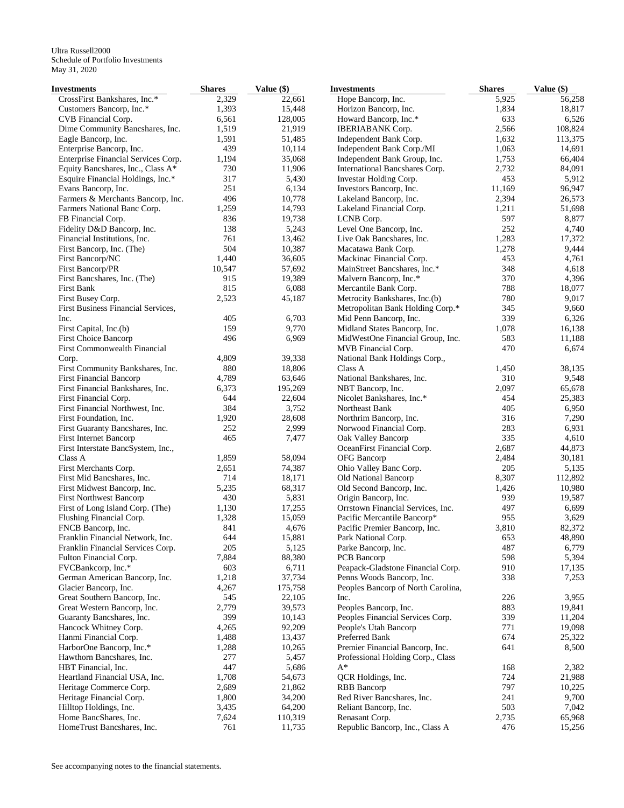| Investments                         | <b>Shares</b> | Value (\$) | <b>Investments</b>                 | <b>Shares</b> | Value (\$) |
|-------------------------------------|---------------|------------|------------------------------------|---------------|------------|
| CrossFirst Bankshares, Inc.*        | 2,329         | 22,661     | Hope Bancorp, Inc.                 | 5,925         | 56,258     |
| Customers Bancorp, Inc.*            | 1,393         | 15,448     | Horizon Bancorp, Inc.              | 1,834         | 18,817     |
| CVB Financial Corp.                 | 6,561         | 128,005    | Howard Bancorp, Inc.*              | 633           | 6,526      |
| Dime Community Bancshares, Inc.     | 1,519         | 21,919     | <b>IBERIABANK</b> Corp.            | 2,566         | 108,824    |
| Eagle Bancorp, Inc.                 | 1,591         | 51,485     | Independent Bank Corp.             | 1,632         | 113,375    |
| Enterprise Bancorp, Inc.            | 439           | 10,114     | Independent Bank Corp./MI          | 1,063         | 14,691     |
| Enterprise Financial Services Corp. | 1,194         | 35,068     | Independent Bank Group, Inc.       | 1,753         | 66,404     |
| Equity Bancshares, Inc., Class A*   | 730           | 11,906     | International Bancshares Corp.     | 2,732         | 84,091     |
| Esquire Financial Holdings, Inc.*   | 317           | 5,430      | Investar Holding Corp.             | 453           | 5,912      |
| Evans Bancorp, Inc.                 | 251           | 6,134      | Investors Bancorp, Inc.            | 11,169        | 96,947     |
| Farmers & Merchants Bancorp, Inc.   | 496           | 10,778     | Lakeland Bancorp, Inc.             | 2,394         | 26,573     |
| Farmers National Banc Corp.         | 1,259         | 14,793     | Lakeland Financial Corp.           | 1,211         | 51,698     |
| FB Financial Corp.                  | 836           | 19,738     | LCNB Corp.                         | 597           | 8,877      |
| Fidelity D&D Bancorp, Inc.          | 138           | 5,243      | Level One Bancorp, Inc.            | 252           | 4,740      |
| Financial Institutions, Inc.        | 761           | 13,462     | Live Oak Bancshares, Inc.          | 1,283         | 17,372     |
| First Bancorp, Inc. (The)           | 504           | 10,387     | Macatawa Bank Corp.                | 1,278         | 9,444      |
| First Bancorp/NC                    | 1,440         | 36,605     | Mackinac Financial Corp.           | 453           | 4,761      |
| First Bancorp/PR                    | 10,547        | 57,692     | MainStreet Bancshares, Inc.*       | 348           | 4,618      |
| First Bancshares, Inc. (The)        | 915           | 19,389     | Malvern Bancorp, Inc.*             | 370           | 4,396      |
| First Bank                          | 815           | 6,088      | Mercantile Bank Corp.              | 788           | 18,077     |
| First Busey Corp.                   | 2,523         | 45,187     | Metrocity Bankshares, Inc.(b)      | 780           | 9,017      |
| First Business Financial Services,  |               |            | Metropolitan Bank Holding Corp.*   | 345           | 9,660      |
| Inc.                                | 405           | 6,703      |                                    | 339           | 6,326      |
|                                     |               |            | Mid Penn Bancorp, Inc.             |               |            |
| First Capital, Inc.(b)              | 159           | 9,770      | Midland States Bancorp, Inc.       | 1,078         | 16,138     |
| <b>First Choice Bancorp</b>         | 496           | 6,969      | MidWestOne Financial Group, Inc.   | 583           | 11,188     |
| First Commonwealth Financial        |               |            | MVB Financial Corp.                | 470           | 6,674      |
| Corp.                               | 4,809         | 39,338     | National Bank Holdings Corp.,      |               |            |
| First Community Bankshares, Inc.    | 880           | 18,806     | Class A                            | 1,450         | 38,135     |
| <b>First Financial Bancorp</b>      | 4,789         | 63,646     | National Bankshares, Inc.          | 310           | 9,548      |
| First Financial Bankshares, Inc.    | 6,373         | 195,269    | NBT Bancorp, Inc.                  | 2,097         | 65,678     |
| First Financial Corp.               | 644           | 22,604     | Nicolet Bankshares, Inc.*          | 454           | 25,383     |
| First Financial Northwest, Inc.     | 384           | 3,752      | Northeast Bank                     | 405           | 6,950      |
| First Foundation, Inc.              | 1,920         | 28,608     | Northrim Bancorp, Inc.             | 316           | 7,290      |
| First Guaranty Bancshares, Inc.     | 252           | 2,999      | Norwood Financial Corp.            | 283           | 6,931      |
| First Internet Bancorp              | 465           | 7,477      | Oak Valley Bancorp                 | 335           | 4,610      |
| First Interstate BancSystem, Inc.,  |               |            | OceanFirst Financial Corp.         | 2,687         | 44,873     |
| Class A                             | 1,859         | 58,094     | OFG Bancorp                        | 2,484         | 30,181     |
| First Merchants Corp.               | 2,651         | 74,387     | Ohio Valley Banc Corp.             | 205           | 5,135      |
| First Mid Bancshares, Inc.          | 714           | 18,171     | Old National Bancorp               | 8,307         | 112,892    |
| First Midwest Bancorp, Inc.         | 5,235         | 68,317     | Old Second Bancorp, Inc.           | 1,426         | 10,980     |
| <b>First Northwest Bancorp</b>      | 430           | 5,831      | Origin Bancorp, Inc.               | 939           | 19,587     |
| First of Long Island Corp. (The)    | 1,130         | 17,255     | Orrstown Financial Services, Inc.  | 497           | 6,699      |
| Flushing Financial Corp.            | 1,328         | 15,059     | Pacific Mercantile Bancorp*        | 955           | 3,629      |
| FNCB Bancorp, Inc.                  | 841           | 4,676      | Pacific Premier Bancorp, Inc.      | 3,810         | 82,372     |
| Franklin Financial Network, Inc.    | 644           | 15,881     | Park National Corp.                | 653           | 48,890     |
| Franklin Financial Services Corp.   | 205           | 5,125      | Parke Bancorp, Inc.                | 487           | 6,779      |
| Fulton Financial Corp.              | 7,884         | 88,380     | PCB Bancorp                        | 598           | 5,394      |
| FVCBankcorp, Inc.*                  | 603           | 6,711      | Peapack-Gladstone Financial Corp.  | 910           | 17,135     |
| German American Bancorp, Inc.       | 1,218         | 37,734     | Penns Woods Bancorp, Inc.          | 338           | 7,253      |
| Glacier Bancorp, Inc.               | 4,267         | 175,758    | Peoples Bancorp of North Carolina, |               |            |
| Great Southern Bancorp, Inc.        | 545           | 22,105     | Inc.                               | 226           | 3,955      |
| Great Western Bancorp, Inc.         | 2,779         | 39,573     | Peoples Bancorp, Inc.              | 883           | 19,841     |
| Guaranty Bancshares, Inc.           | 399           | 10,143     | Peoples Financial Services Corp.   | 339           | 11,204     |
| Hancock Whitney Corp.               | 4,265         | 92,209     | People's Utah Bancorp              | 771           | 19,098     |
| Hanmi Financial Corp.               | 1,488         | 13,437     | Preferred Bank                     | 674           | 25,322     |
| HarborOne Bancorp, Inc.*            | 1,288         | 10,265     | Premier Financial Bancorp, Inc.    | 641           | 8,500      |
| Hawthorn Bancshares, Inc.           | 277           | 5,457      | Professional Holding Corp., Class  |               |            |
| HBT Financial, Inc.                 | 447           | 5,686      | $A^*$                              | 168           | 2,382      |
| Heartland Financial USA, Inc.       | 1,708         | 54,673     | QCR Holdings, Inc.                 | 724           | 21,988     |
| Heritage Commerce Corp.             | 2,689         | 21,862     | <b>RBB</b> Bancorp                 | 797           | 10,225     |
| Heritage Financial Corp.            | 1,800         | 34,200     | Red River Bancshares, Inc.         | 241           | 9,700      |
|                                     |               |            |                                    | 503           |            |
| Hilltop Holdings, Inc.              | 3,435         | 64,200     | Reliant Bancorp, Inc.              |               | 7,042      |
| Home BancShares, Inc.               | 7,624         | 110,319    | Renasant Corp.                     | 2,735         | 65,968     |
| HomeTrust Bancshares, Inc.          | 761           | 11,735     | Republic Bancorp, Inc., Class A    | 476           | 15,256     |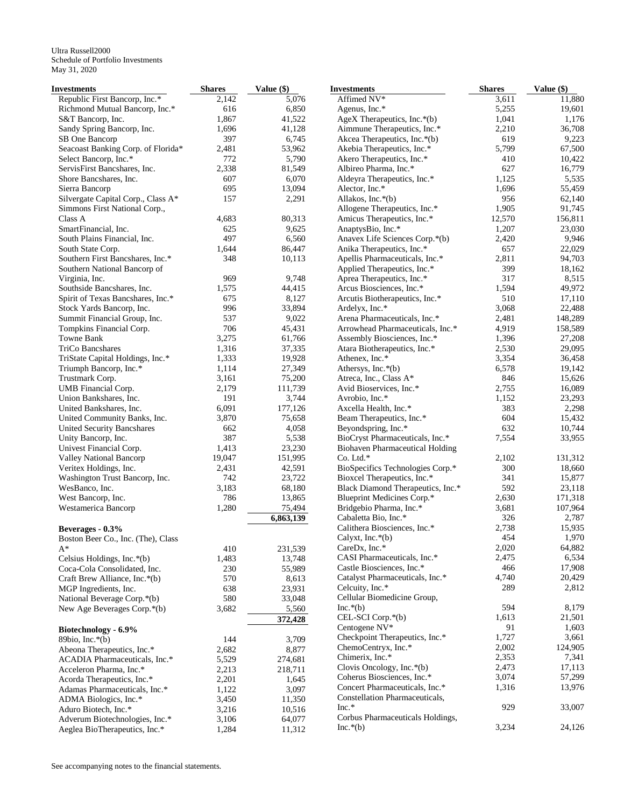| <b>Investments</b>                 | <b>Shares</b> | Value (\$) | <b>Investments</b>                     | <b>Shares</b> | Value (\$) |
|------------------------------------|---------------|------------|----------------------------------------|---------------|------------|
| Republic First Bancorp, Inc.*      | 2,142         | 5,076      | Affimed NV*                            | 3,611         | 11,880     |
| Richmond Mutual Bancorp, Inc.*     | 616           | 6,850      | Agenus, Inc.*                          | 5,255         | 19,601     |
| S&T Bancorp, Inc.                  | 1,867         | 41,522     | AgeX Therapeutics, Inc.*(b)            | 1,041         | 1,176      |
| Sandy Spring Bancorp, Inc.         | 1,696         | 41,128     | Aimmune Therapeutics, Inc.*            | 2,210         | 36,708     |
| SB One Bancorp                     | 397           | 6,745      | Akcea Therapeutics, Inc.*(b)           | 619           | 9,223      |
| Seacoast Banking Corp. of Florida* | 2,481         | 53,962     | Akebia Therapeutics, Inc.*             | 5,799         | 67,500     |
| Select Bancorp, Inc.*              | 772           | 5,790      | Akero Therapeutics, Inc.*              | 410           | 10,422     |
| ServisFirst Bancshares, Inc.       | 2,338         | 81,549     | Albireo Pharma, Inc.*                  | 627           | 16,779     |
| Shore Bancshares, Inc.             | 607           | 6,070      | Aldeyra Therapeutics, Inc.*            | 1,125         | 5,535      |
| Sierra Bancorp                     | 695           | 13,094     | Alector, Inc.*                         | 1,696         | 55,459     |
| Silvergate Capital Corp., Class A* | 157           | 2,291      | Allakos, Inc.*(b)                      | 956           | 62,140     |
| Simmons First National Corp.,      |               |            | Allogene Therapeutics, Inc.*           | 1,905         | 91,745     |
| Class A                            | 4,683         | 80,313     | Amicus Therapeutics, Inc.*             | 12,570        | 156,811    |
| SmartFinancial, Inc.               | 625           | 9,625      | AnaptysBio, Inc.*                      | 1,207         | 23,030     |
| South Plains Financial, Inc.       | 497           | 6,560      | Anavex Life Sciences Corp.*(b)         | 2,420         | 9,946      |
| South State Corp.                  | 1,644         | 86,447     | Anika Therapeutics, Inc.*              | 657           | 22,029     |
| Southern First Bancshares, Inc.*   | 348           | 10,113     | Apellis Pharmaceuticals, Inc.*         | 2,811         | 94,703     |
| Southern National Bancorp of       |               |            | Applied Therapeutics, Inc.*            | 399           | 18,162     |
| Virginia, Inc.                     | 969           | 9,748      | Aprea Therapeutics, Inc.*              | 317           | 8,515      |
| Southside Bancshares, Inc.         | 1,575         | 44,415     | Arcus Biosciences, Inc.*               | 1,594         | 49,972     |
| Spirit of Texas Bancshares, Inc.*  | 675           | 8,127      | Arcutis Biotherapeutics, Inc.*         | 510           | 17,110     |
| Stock Yards Bancorp, Inc.          | 996           | 33,894     | Ardelyx, Inc.*                         | 3,068         | 22,488     |
| Summit Financial Group, Inc.       | 537           | 9,022      | Arena Pharmaceuticals, Inc.*           | 2,481         | 148,289    |
| Tompkins Financial Corp.           | 706           | 45,431     | Arrowhead Pharmaceuticals, Inc.*       | 4,919         | 158,589    |
| Towne Bank                         | 3,275         | 61,766     | Assembly Biosciences, Inc.*            | 1,396         | 27,208     |
| TriCo Bancshares                   | 1,316         | 37,335     | Atara Biotherapeutics, Inc.*           | 2,530         | 29,095     |
| TriState Capital Holdings, Inc.*   | 1,333         | 19,928     | Athenex, Inc.*                         | 3,354         | 36,458     |
| Triumph Bancorp, Inc.*             | 1,114         | 27,349     | Athersys, Inc.*(b)                     | 6,578         | 19,142     |
| Trustmark Corp.                    | 3,161         | 75,200     | Atreca, Inc., Class A*                 | 846           | 15,626     |
| UMB Financial Corp.                | 2,179         | 111,739    | Avid Bioservices, Inc.*                | 2,755         | 16,089     |
| Union Bankshares, Inc.             | 191           | 3,744      | Avrobio, Inc.*                         | 1,152         | 23,293     |
| United Bankshares, Inc.            | 6,091         | 177,126    | Axcella Health, Inc.*                  | 383           | 2,298      |
| United Community Banks, Inc.       | 3,870         | 75,658     | Beam Therapeutics, Inc.*               | 604           | 15,432     |
| United Security Bancshares         | 662           | 4,058      | Beyondspring, Inc.*                    | 632           | 10,744     |
| Unity Bancorp, Inc.                | 387           | 5,538      | BioCryst Pharmaceuticals, Inc.*        | 7,554         | 33,955     |
| Univest Financial Corp.            | 1,413         | 23,230     | <b>Biohaven Pharmaceutical Holding</b> |               |            |
| Valley National Bancorp            | 19,047        | 151,995    | $Co.$ Ltd. $*$                         | 2,102         | 131,312    |
| Veritex Holdings, Inc.             | 2,431         | 42,591     | BioSpecifics Technologies Corp.*       | 300           | 18,660     |
| Washington Trust Bancorp, Inc.     | 742           | 23,722     | Bioxcel Therapeutics, Inc.*            | 341           | 15,877     |
| WesBanco, Inc.                     | 3,183         | 68,180     | Black Diamond Therapeutics, Inc.*      | 592           | 23,118     |
| West Bancorp, Inc.                 | 786           | 13,865     | Blueprint Medicines Corp.*             | 2,630         | 171,318    |
| Westamerica Bancorp                | 1,280         | 75,494     | Bridgebio Pharma, Inc.*                | 3,681         | 107,964    |
|                                    |               | 6,863,139  | Cabaletta Bio, Inc.*                   | 326           | 2,787      |
| Beverages - 0.3%                   |               |            | Calithera Biosciences, Inc.*           | 2,738         | 15,935     |
| Boston Beer Co., Inc. (The), Class |               |            | Calyxt, Inc. $*(b)$                    | 454           | 1,970      |
| $A^*$                              | 410           | 231,539    | CareDx, Inc.*                          | 2,020         | 64,882     |
| Celsius Holdings, Inc.*(b)         | 1,483         | 13,748     | CASI Pharmaceuticals, Inc.*            | 2,475         | 6,534      |
| Coca-Cola Consolidated, Inc.       | 230           | 55,989     | Castle Biosciences, Inc.*              | 466           | 17,908     |
| Craft Brew Alliance, Inc.*(b)      | 570           | 8,613      | Catalyst Pharmaceuticals, Inc.*        | 4,740         | 20,429     |
| MGP Ingredients, Inc.              | 638           | 23,931     | Celcuity, Inc.*                        | 289           | 2,812      |
| National Beverage Corp.*(b)        | 580           | 33,048     | Cellular Biomedicine Group,            |               |            |
| New Age Beverages Corp.*(b)        | 3,682         | 5,560      | $Inc.*(b)$                             | 594           | 8,179      |
|                                    |               | 372,428    | CEL-SCI Corp.*(b)                      | 1,613         | 21,501     |
|                                    |               |            | Centogene NV*                          | 91            | 1,603      |
| Biotechnology - 6.9%               |               |            | Checkpoint Therapeutics, Inc.*         | 1,727         | 3,661      |
| 89bio, Inc. $*(b)$                 | 144           | 3,709      | ChemoCentryx, Inc.*                    | 2,002         | 124,905    |
| Abeona Therapeutics, Inc.*         | 2,682         | 8,877      | Chimerix, Inc.*                        | 2,353         | 7,341      |
| ACADIA Pharmaceuticals, Inc.*      | 5,529         | 274,681    | Clovis Oncology, Inc. $*(b)$           | 2,473         | 17,113     |
| Acceleron Pharma, Inc.*            | 2,213         | 218,711    | Coherus Biosciences, Inc.*             | 3,074         | 57,299     |
| Acorda Therapeutics, Inc.*         | 2,201         | 1,645      | Concert Pharmaceuticals, Inc.*         | 1,316         | 13,976     |
| Adamas Pharmaceuticals, Inc.*      | 1,122         | 3,097      | Constellation Pharmaceuticals,         |               |            |
| ADMA Biologics, Inc.*              | 3,450         | 11,350     | $Inc.*$                                | 929           | 33,007     |
| Aduro Biotech, Inc.*               | 3,216         | 10,516     | Corbus Pharmaceuticals Holdings,       |               |            |
| Adverum Biotechnologies, Inc.*     | 3,106         | 64,077     | $Inc.*(b)$                             | 3,234         | 24,126     |
| Aeglea BioTherapeutics, Inc.*      | 1,284         | 11,312     |                                        |               |            |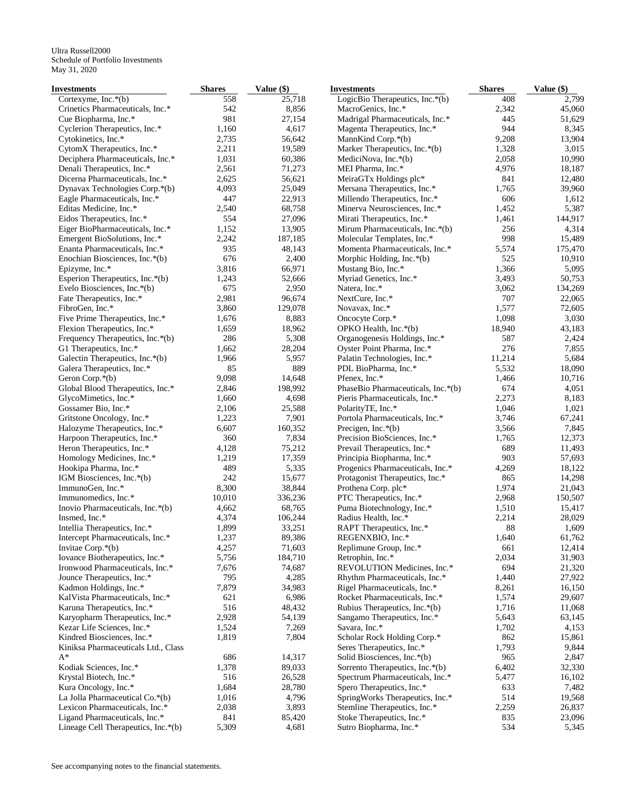| Investments                                                | <b>Shares</b> | Value (\$)        | <b>Investments</b>                                          | <b>Shares</b> | Value (\$)     |
|------------------------------------------------------------|---------------|-------------------|-------------------------------------------------------------|---------------|----------------|
| Cortexyme, Inc. $*(b)$                                     | 558           | 25,718            | LogicBio Therapeutics, Inc.*(b)                             | 408           | 2,799          |
| Crinetics Pharmaceuticals, Inc.*                           | 542           | 8,856             | MacroGenics, Inc.*                                          | 2,342         | 45,060         |
| Cue Biopharma, Inc.*                                       | 981           | 27,154            | Madrigal Pharmaceuticals, Inc.*                             | 445           | 51,629         |
| Cyclerion Therapeutics, Inc.*                              | 1,160         | 4,617             | Magenta Therapeutics, Inc.*                                 | 944           | 8,345          |
| Cytokinetics, Inc.*                                        | 2,735         | 56,642            | MannKind Corp.*(b)                                          | 9,208         | 13,904         |
| CytomX Therapeutics, Inc.*                                 | 2,211         | 19,589            | Marker Therapeutics, Inc.*(b)                               | 1,328         | 3,015          |
| Deciphera Pharmaceuticals, Inc.*                           | 1,031         | 60,386            | MediciNova, Inc. $*(b)$                                     | 2,058         | 10,990         |
| Denali Therapeutics, Inc.*                                 | 2,561         | 71,273            | MEI Pharma, Inc.*                                           | 4,976         | 18,187         |
| Dicerna Pharmaceuticals, Inc.*                             | 2,625         | 56,621            | MeiraGTx Holdings plc*                                      | 841           | 12,480         |
| Dynavax Technologies Corp.*(b)                             | 4,093         | 25,049            | Mersana Therapeutics, Inc.*                                 | 1,765         | 39,960         |
| Eagle Pharmaceuticals, Inc.*                               | 447           | 22,913            | Millendo Therapeutics, Inc.*                                | 606           | 1,612          |
| Editas Medicine, Inc.*                                     | 2,540         | 68,758            | Minerva Neurosciences, Inc.*                                | 1,452         | 5,387          |
| Eidos Therapeutics, Inc.*                                  | 554           | 27,096            | Mirati Therapeutics, Inc.*                                  | 1,461         | 144,917        |
| Eiger BioPharmaceuticals, Inc.*                            | 1,152         | 13,905            | Mirum Pharmaceuticals, Inc.*(b)                             | 256           | 4,314          |
| Emergent BioSolutions, Inc.*                               | 2,242         | 187,185           | Molecular Templates, Inc.*                                  | 998           | 15,489         |
| Enanta Pharmaceuticals, Inc.*                              | 935           | 48,143            | Momenta Pharmaceuticals, Inc.*                              | 5,574         | 175,470        |
| Enochian Biosciences, Inc.*(b)                             | 676           | 2,400             | Morphic Holding, Inc.*(b)                                   | 525           | 10,910         |
| Epizyme, Inc.*                                             | 3,816         | 66,971            | Mustang Bio, Inc.*                                          | 1,366         | 5,095          |
| Esperion Therapeutics, Inc.*(b)                            | 1,243         | 52,666            | Myriad Genetics, Inc.*                                      | 3,493         | 50,753         |
| Evelo Biosciences, Inc.*(b)                                | 675           | 2,950             | Natera, Inc.*                                               | 3,062         | 134,269        |
| Fate Therapeutics, Inc.*                                   | 2,981         | 96,674<br>129,078 | NextCure, Inc.*                                             | 707           | 22,065         |
| FibroGen, Inc.*                                            | 3,860         |                   | Novavax, Inc.*                                              | 1,577         | 72,605         |
| Five Prime Therapeutics, Inc.*                             | 1,676         | 8,883             | Oncocyte Corp.*                                             | 1,098         | 3,030          |
| Flexion Therapeutics, Inc.*                                | 1,659<br>286  | 18,962            | OPKO Health, Inc.*(b)                                       | 18,940<br>587 | 43,183         |
| Frequency Therapeutics, Inc.*(b)<br>G1 Therapeutics, Inc.* | 1,662         | 5,308<br>28,204   | Organogenesis Holdings, Inc.*<br>Oyster Point Pharma, Inc.* | 276           | 2,424<br>7,855 |
| Galectin Therapeutics, Inc.*(b)                            | 1,966         | 5,957             | Palatin Technologies, Inc.*                                 | 11,214        | 5,684          |
| Galera Therapeutics, Inc.*                                 | 85            | 889               | PDL BioPharma, Inc.*                                        | 5,532         | 18,090         |
| Geron Corp.*(b)                                            | 9,098         | 14,648            | Pfenex, Inc.*                                               | 1,466         | 10,716         |
| Global Blood Therapeutics, Inc.*                           | 2,846         | 198,992           | PhaseBio Pharmaceuticals, Inc.*(b)                          | 674           | 4,051          |
| GlycoMimetics, Inc.*                                       | 1,660         | 4,698             | Pieris Pharmaceuticals, Inc.*                               | 2,273         | 8,183          |
| Gossamer Bio, Inc.*                                        | 2,106         | 25,588            | PolarityTE, Inc.*                                           | 1,046         | 1,021          |
| Gritstone Oncology, Inc.*                                  | 1,223         | 7,901             | Portola Pharmaceuticals, Inc.*                              | 3,746         | 67,241         |
| Halozyme Therapeutics, Inc.*                               | 6,607         | 160,352           | Precigen, Inc. $*(b)$                                       | 3,566         | 7,845          |
| Harpoon Therapeutics, Inc.*                                | 360           | 7,834             | Precision BioSciences, Inc.*                                | 1,765         | 12,373         |
| Heron Therapeutics, Inc.*                                  | 4,128         | 75,212            | Prevail Therapeutics, Inc.*                                 | 689           | 11,493         |
| Homology Medicines, Inc.*                                  | 1,219         | 17,359            | Principia Biopharma, Inc.*                                  | 903           | 57,693         |
| Hookipa Pharma, Inc.*                                      | 489           | 5,335             | Progenics Pharmaceuticals, Inc.*                            | 4,269         | 18,122         |
| IGM Biosciences, Inc.*(b)                                  | 242           | 15,677            | Protagonist Therapeutics, Inc.*                             | 865           | 14,298         |
| ImmunoGen, Inc.*                                           | 8,300         | 38,844            | Prothena Corp. plc*                                         | 1,974         | 21,043         |
| Immunomedics, Inc.*                                        | 10,010        | 336,236           | PTC Therapeutics, Inc.*                                     | 2,968         | 150,507        |
| Inovio Pharmaceuticals, Inc.*(b)                           | 4,662         | 68,765            | Puma Biotechnology, Inc.*                                   | 1,510         | 15,417         |
| Insmed, Inc.*                                              | 4,374         | 106,244           | Radius Health, Inc.*                                        | 2,214         | 28,029         |
| Intellia Therapeutics, Inc.*                               | 1,899         | 33,251            | RAPT Therapeutics, Inc.*                                    | 88            | 1,609          |
| Intercept Pharmaceuticals, Inc.*                           | 1,237         | 89,386            | REGENXBIO, Inc.*                                            | 1,640         | 61,762         |
| Invitae Corp.*(b)                                          | 4,257         | 71,603            | Replimune Group, Inc.*                                      | 661           | 12,414         |
| Iovance Biotherapeutics, Inc.*                             | 5,756         | 184,710           | Retrophin, Inc.*                                            | 2,034         | 31,903         |
| Ironwood Pharmaceuticals, Inc.*                            | 7,676         | 74,687            | REVOLUTION Medicines, Inc.*                                 | 694           | 21,320         |
| Jounce Therapeutics, Inc.*                                 | 795           | 4,285             | Rhythm Pharmaceuticals, Inc.*                               | 1,440         | 27,922         |
| Kadmon Holdings, Inc.*                                     | 7,879         | 34,983            | Rigel Pharmaceuticals, Inc.*                                | 8,261         | 16,150         |
| KalVista Pharmaceuticals, Inc.*                            | 621           | 6,986             | Rocket Pharmaceuticals, Inc.*                               | 1,574         | 29,607         |
| Karuna Therapeutics, Inc.*                                 | 516           | 48,432            | Rubius Therapeutics, Inc.*(b)                               | 1,716         | 11,068         |
| Karyopharm Therapeutics, Inc.*                             | 2,928         | 54,139            | Sangamo Therapeutics, Inc.*                                 | 5,643         | 63,145         |
| Kezar Life Sciences, Inc.*                                 | 1,524         | 7,269             | Savara, Inc.*                                               | 1,702         | 4,153          |
| Kindred Biosciences, Inc.*                                 | 1,819         | 7,804             | Scholar Rock Holding Corp.*                                 | 862           | 15,861         |
| Kiniksa Pharmaceuticals Ltd., Class                        |               |                   | Seres Therapeutics, Inc.*                                   | 1,793         | 9,844          |
| $A^*$                                                      | 686           | 14,317            | Solid Biosciences, Inc.*(b)                                 | 965           | 2,847          |
| Kodiak Sciences, Inc.*                                     | 1,378         | 89,033            | Sorrento Therapeutics, Inc.*(b)                             | 6,402         | 32,330         |
| Krystal Biotech, Inc.*                                     | 516           | 26,528            | Spectrum Pharmaceuticals, Inc.*                             | 5,477         | 16,102         |
| Kura Oncology, Inc.*                                       | 1,684         | 28,780            | Spero Therapeutics, Inc.*                                   | 633           | 7,482          |
| La Jolla Pharmaceutical Co.*(b)                            | 1,016         | 4,796             | SpringWorks Therapeutics, Inc.*                             | 514           | 19,568         |
| Lexicon Pharmaceuticals, Inc.*                             | 2,038         | 3,893             | Stemline Therapeutics, Inc.*                                | 2,259         | 26,837         |
| Ligand Pharmaceuticals, Inc.*                              | 841           | 85,420            | Stoke Therapeutics, Inc.*                                   | 835           | 23,096         |
| Lineage Cell Therapeutics, Inc.*(b)                        | 5,309         | 4,681             | Sutro Biopharma, Inc.*                                      | 534           | 5,345          |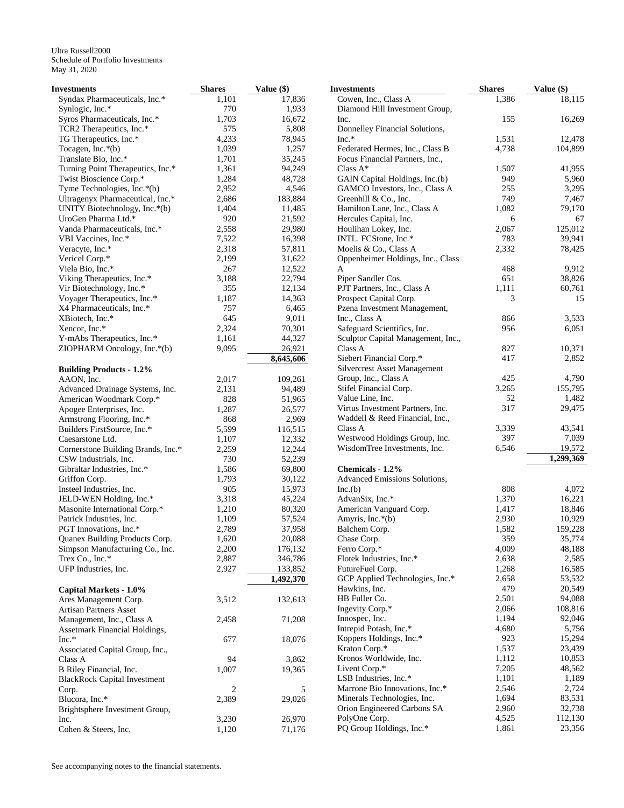| Investments                         | <b>Shares</b>  | Value (\$) | <b>Investments</b>                  | <b>Shares</b> | Value (\$) |
|-------------------------------------|----------------|------------|-------------------------------------|---------------|------------|
| Syndax Pharmaceuticals, Inc.*       | 1,101          | 17,836     | Cowen, Inc., Class A                | 1,386         | 18,115     |
| Synlogic, Inc.*                     | 770            | 1,933      | Diamond Hill Investment Group,      |               |            |
| Syros Pharmaceuticals, Inc.*        | 1,703          | 16,672     | Inc.                                | 155           | 16,269     |
| TCR2 Therapeutics, Inc.*            | 575            | 5,808      | Donnelley Financial Solutions,      |               |            |
| TG Therapeutics, Inc.*              | 4,233          | 78,945     | $Inc.*$                             | 1,531         | 12,478     |
| Tocagen, Inc.*(b)                   | 1,039          | 1,257      | Federated Hermes, Inc., Class B     | 4,738         | 104,899    |
| Translate Bio, Inc.*                | 1,701          | 35,245     | Focus Financial Partners, Inc.,     |               |            |
| Turning Point Therapeutics, Inc.*   | 1,361          | 94,249     | Class $A^*$                         | 1,507         | 41,955     |
| Twist Bioscience Corp.*             | 1,284          | 48,728     | GAIN Capital Holdings, Inc.(b)      | 949           | 5,960      |
| Tyme Technologies, Inc.*(b)         | 2,952          | 4,546      | GAMCO Investors, Inc., Class A      | 255           | 3,295      |
| Ultragenyx Pharmaceutical, Inc.*    | 2,686          | 183,884    | Greenhill & Co., Inc.               | 749           | 7,467      |
| UNITY Biotechnology, Inc.*(b)       | 1,404          | 11,485     | Hamilton Lane, Inc., Class A        | 1,082         | 79,170     |
| UroGen Pharma Ltd.*                 | 920            | 21,592     | Hercules Capital, Inc.              | 6             | 67         |
| Vanda Pharmaceuticals, Inc.*        | 2,558          | 29,980     | Houlihan Lokey, Inc.                | 2,067         | 125,012    |
|                                     | 7,522          |            | INTL. FCStone, Inc.*                | 783           | 39,941     |
| VBI Vaccines, Inc.*                 |                | 16,398     |                                     |               |            |
| Veracyte, Inc.*                     | 2,318          | 57,811     | Moelis & Co., Class A               | 2,332         | 78,425     |
| Vericel Corp.*                      | 2,199          | 31,622     | Oppenheimer Holdings, Inc., Class   |               |            |
| Viela Bio, Inc.*                    | 267            | 12,522     | A                                   | 468           | 9,912      |
| Viking Therapeutics, Inc.*          | 3,188          | 22,794     | Piper Sandler Cos.                  | 651           | 38,826     |
| Vir Biotechnology, Inc.*            | 355            | 12,134     | PJT Partners, Inc., Class A         | 1,111         | 60,761     |
| Voyager Therapeutics, Inc.*         | 1,187          | 14,363     | Prospect Capital Corp.              | 3             | 15         |
| X4 Pharmaceuticals, Inc.*           | 757            | 6,465      | Pzena Investment Management,        |               |            |
| XBiotech, Inc.*                     | 645            | 9,011      | Inc., Class A                       | 866           | 3,533      |
| Xencor, Inc.*                       | 2,324          | 70,301     | Safeguard Scientifics, Inc.         | 956           | 6,051      |
| Y-mAbs Therapeutics, Inc.*          | 1,161          | 44,327     | Sculptor Capital Management, Inc.,  |               |            |
| ZIOPHARM Oncology, Inc.*(b)         | 9,095          | 26,921     | Class A                             | 827           | 10,371     |
|                                     |                | 8,645,606  | Siebert Financial Corp.*            | 417           | 2,852      |
| <b>Building Products - 1.2%</b>     |                |            | <b>Silvercrest Asset Management</b> |               |            |
| AAON, Inc.                          | 2,017          | 109,261    | Group, Inc., Class A                | 425           | 4,790      |
| Advanced Drainage Systems, Inc.     | 2,131          | 94,489     | Stifel Financial Corp.              | 3,265         | 155,795    |
| American Woodmark Corp.*            | 828            | 51,965     | Value Line, Inc.                    | 52            | 1,482      |
| Apogee Enterprises, Inc.            | 1,287          | 26,577     | Virtus Investment Partners, Inc.    | 317           | 29,475     |
| Armstrong Flooring, Inc.*           | 868            | 2,969      | Waddell & Reed Financial, Inc.,     |               |            |
| Builders FirstSource, Inc.*         | 5,599          | 116,515    | Class A                             | 3,339         | 43,541     |
|                                     |                |            | Westwood Holdings Group, Inc.       | 397           | 7,039      |
| Caesarstone Ltd.                    | 1,107          | 12,332     | WisdomTree Investments, Inc.        | 6,546         | 19,572     |
| Cornerstone Building Brands, Inc.*  | 2,259          | 12,244     |                                     |               |            |
| CSW Industrials, Inc.               | 730            | 52,239     |                                     |               | 1,299,369  |
| Gibraltar Industries, Inc.*         | 1,586          | 69,800     | Chemicals - 1.2%                    |               |            |
| Griffon Corp.                       | 1,793          | 30,122     | Advanced Emissions Solutions,       |               |            |
| Insteel Industries, Inc.            | 905            | 15,973     | Inc(b)                              | 808           | 4,072      |
| JELD-WEN Holding, Inc.*             | 3,318          | 45,224     | AdvanSix, Inc.*                     | 1,370         | 16,221     |
| Masonite International Corp.*       | 1,210          | 80,320     | American Vanguard Corp.             | 1,417         | 18,846     |
| Patrick Industries, Inc.            | 1,109          | 57,524     | Amyris, Inc.*(b)                    | 2,930         | 10,929     |
| PGT Innovations, Inc.*              | 2,789          | 37,958     | Balchem Corp.                       | 1,582         | 159,228    |
| Quanex Building Products Corp.      | 1,620          | 20,088     | Chase Corp.                         | 359           | 35,774     |
| Simpson Manufacturing Co., Inc.     | 2,200          | 176,132    | Ferro Corp.*                        | 4,009         | 48,188     |
| Trex Co., Inc.*                     | 2,887          | 346,786    | Flotek Industries, Inc.*            | 2,638         | 2,585      |
| UFP Industries, Inc.                | 2,927          | 133,852    | FutureFuel Corp.                    | 1,268         | 16,585     |
|                                     |                | 1,492,370  | GCP Applied Technologies, Inc.*     | 2,658         | 53,532     |
| Capital Markets - 1.0%              |                |            | Hawkins, Inc.                       | 479           | 20,549     |
| Ares Management Corp.               | 3,512          | 132,613    | HB Fuller Co.                       | 2,501         | 94,088     |
| Artisan Partners Asset              |                |            | Ingevity Corp.*                     | 2,066         | 108,816    |
| Management, Inc., Class A           | 2,458          | 71,208     | Innospec, Inc.                      | 1,194         | 92,046     |
| Assetmark Financial Holdings,       |                |            | Intrepid Potash, Inc.*              | 4,680         | 5,756      |
| $Inc.*$                             | 677            | 18,076     | Koppers Holdings, Inc.*             | 923           | 15,294     |
|                                     |                |            | Kraton Corp.*                       | 1,537         | 23,439     |
| Associated Capital Group, Inc.,     |                |            | Kronos Worldwide, Inc.              | 1,112         | 10,853     |
| Class A                             | 94             | 3,862      |                                     |               |            |
| B Riley Financial, Inc.             | 1,007          | 19,365     | Livent Corp.*                       | 7,205         | 48,562     |
| <b>BlackRock Capital Investment</b> |                |            | LSB Industries, Inc.*               | 1,101         | 1,189      |
| Corp.                               | $\overline{c}$ | 5          | Marrone Bio Innovations, Inc.*      | 2,546         | 2,724      |
| Blucora, Inc.*                      | 2,389          | 29,026     | Minerals Technologies, Inc.         | 1,694         | 83,531     |
| Brightsphere Investment Group,      |                |            | Orion Engineered Carbons SA         | 2,960         | 32,738     |
| Inc.                                | 3,230          | 26,970     | PolyOne Corp.                       | 4,525         | 112,130    |
| Cohen & Steers, Inc.                | 1,120          | 71,176     | PQ Group Holdings, Inc.*            | 1,861         | 23,356     |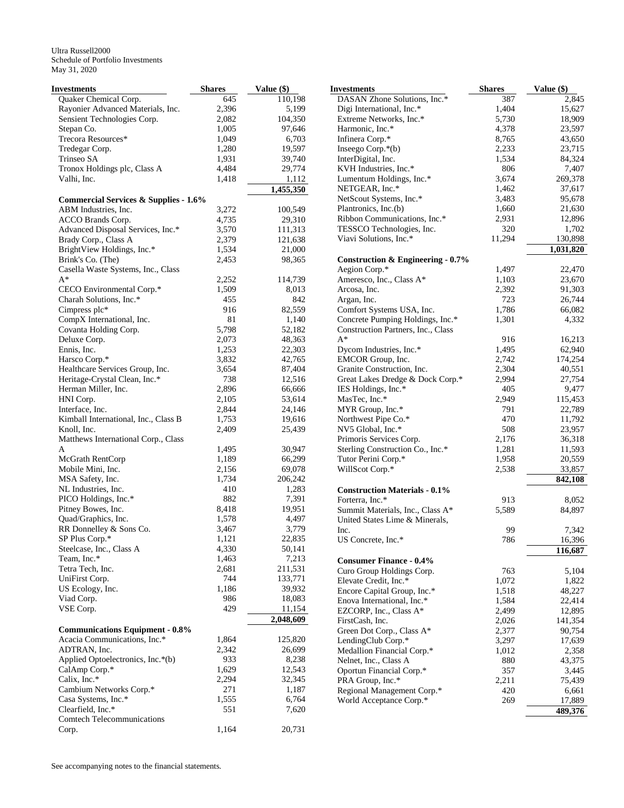| Investments                                      | <b>Shares</b> | Value (\$) | <b>Investments</b>                   | <b>Shares</b> | Value (\$) |
|--------------------------------------------------|---------------|------------|--------------------------------------|---------------|------------|
| Quaker Chemical Corp.                            | 645           | 110,198    | DASAN Zhone Solutions, Inc.*         | 387           | 2,845      |
| Rayonier Advanced Materials, Inc.                | 2,396         | 5,199      | Digi International, Inc.*            | 1,404         | 15,627     |
| Sensient Technologies Corp.                      | 2,082         | 104,350    | Extreme Networks, Inc.*              | 5,730         | 18,909     |
| Stepan Co.                                       | 1,005         | 97,646     | Harmonic, Inc.*                      | 4,378         | 23,597     |
| Trecora Resources*                               | 1,049         | 6,703      | Infinera Corp.*                      | 8,765         | 43,650     |
| Tredegar Corp.                                   | 1,280         | 19,597     | Inseego Corp.*(b)                    | 2,233         | 23,715     |
| Trinseo SA                                       | 1,931         | 39,740     | InterDigital, Inc.                   | 1,534         | 84,324     |
| Tronox Holdings plc, Class A                     | 4,484         | 29,774     | KVH Industries, Inc.*                | 806           | 7,407      |
| Valhi, Inc.                                      | 1,418         | 1,112      | Lumentum Holdings, Inc.*             | 3,674         | 269,378    |
|                                                  |               | 1,455,350  | NETGEAR, Inc.*                       | 1,462         | 37,617     |
| <b>Commercial Services &amp; Supplies - 1.6%</b> |               |            | NetScout Systems, Inc.*              | 3,483         | 95,678     |
| ABM Industries, Inc.                             | 3,272         | 100,549    | Plantronics, Inc.(b)                 | 1,660         | 21,630     |
| ACCO Brands Corp.                                | 4,735         | 29,310     | Ribbon Communications, Inc.*         | 2,931         | 12,896     |
| Advanced Disposal Services, Inc.*                | 3,570         | 111,313    | TESSCO Technologies, Inc.            | 320           | 1,702      |
| Brady Corp., Class A                             | 2,379         | 121,638    | Viavi Solutions, Inc.*               | 11,294        | 130,898    |
| BrightView Holdings, Inc.*                       | 1,534         | 21,000     |                                      |               | 1,031,820  |
| Brink's Co. (The)                                | 2,453         | 98,365     | Construction & Engineering - $0.7\%$ |               |            |
| Casella Waste Systems, Inc., Class               |               |            | Aegion Corp.*                        | 1,497         | 22,470     |
| $A^*$                                            | 2,252         | 114,739    | Ameresco, Inc., Class A*             | 1,103         | 23,670     |
| CECO Environmental Corp.*                        | 1,509         | 8,013      | Arcosa, Inc.                         | 2,392         | 91,303     |
| Charah Solutions, Inc.*                          | 455           | 842        | Argan, Inc.                          | 723           | 26,744     |
| Cimpress plc*                                    | 916           | 82,559     | Comfort Systems USA, Inc.            | 1,786         | 66,082     |
| CompX International, Inc.                        | 81            | 1,140      | Concrete Pumping Holdings, Inc.*     | 1,301         | 4,332      |
| Covanta Holding Corp.                            | 5,798         | 52,182     | Construction Partners, Inc., Class   |               |            |
| Deluxe Corp.                                     | 2,073         | 48,363     | $A^*$                                | 916           | 16,213     |
| Ennis, Inc.                                      | 1,253         | 22,303     | Dycom Industries, Inc.*              | 1,495         | 62,940     |
| Harsco Corp.*                                    | 3,832         | 42,765     | EMCOR Group, Inc.                    | 2,742         | 174,254    |
| Healthcare Services Group, Inc.                  | 3,654         | 87,404     | Granite Construction, Inc.           | 2,304         | 40,551     |
| Heritage-Crystal Clean, Inc.*                    | 738           | 12,516     | Great Lakes Dredge & Dock Corp.*     | 2,994         | 27,754     |
| Herman Miller, Inc.                              | 2,896         | 66,666     | IES Holdings, Inc.*                  | 405           | 9,477      |
| HNI Corp.                                        | 2,105         | 53,614     | MasTec, Inc.*                        | 2,949         | 115,453    |
| Interface, Inc.                                  | 2,844         | 24,146     | MYR Group, Inc.*                     | 791           | 22,789     |
| Kimball International, Inc., Class B             | 1,753         | 19,616     | Northwest Pipe Co.*                  | 470           | 11,792     |
| Knoll, Inc.                                      | 2,409         | 25,439     | NV5 Global, Inc.*                    | 508           | 23,957     |
| Matthews International Corp., Class              |               |            | Primoris Services Corp.              | 2,176         | 36,318     |
| A                                                | 1,495         | 30,947     | Sterling Construction Co., Inc.*     | 1,281         | 11,593     |
| McGrath RentCorp                                 | 1,189         | 66,299     | Tutor Perini Corp.*                  | 1,958         | 20,559     |
| Mobile Mini, Inc.                                | 2,156         | 69,078     | WillScot Corp.*                      | 2,538         | 33,857     |
| MSA Safety, Inc.                                 | 1,734         | 206,242    |                                      |               | 842,108    |
| NL Industries, Inc.                              | 410           | 1,283      | <b>Construction Materials - 0.1%</b> |               |            |
| PICO Holdings, Inc.*                             | 882           | 7,391      | Forterra, Inc.*                      | 913           | 8,052      |
| Pitney Bowes, Inc.                               | 8,418         | 19,951     | Summit Materials, Inc., Class A*     | 5,589         | 84,897     |
| Quad/Graphics, Inc.                              | 1,578         | 4,497      | United States Lime & Minerals,       |               |            |
| RR Donnelley & Sons Co.                          | 3,467         | 3,779      | Inc.                                 | 99            | 7,342      |
| SP Plus Corp.*                                   | 1,121         | 22,835     | US Concrete, Inc.*                   | 786           | 16,396     |
| Steelcase, Inc., Class A                         | 4,330         | 50,141     |                                      |               | 116,687    |
| Team, Inc.*                                      | 1,463         | 7,213      | <b>Consumer Finance - 0.4%</b>       |               |            |
| Tetra Tech, Inc.                                 | 2,681         | 211,531    | Curo Group Holdings Corp.            | 763           | 5,104      |
| UniFirst Corp.                                   | 744           | 133,771    | Elevate Credit, Inc.*                | 1,072         | 1,822      |
| US Ecology, Inc.                                 | 1,186         | 39,932     | Encore Capital Group, Inc.*          | 1,518         | 48,227     |
| Viad Corp.                                       | 986           | 18,083     | Enova International, Inc.*           | 1,584         | 22,414     |
| VSE Corp.                                        | 429           | 11,154     | EZCORP, Inc., Class A*               | 2,499         | 12,895     |
|                                                  |               | 2,048,609  | FirstCash, Inc.                      | 2,026         | 141,354    |
| <b>Communications Equipment - 0.8%</b>           |               |            | Green Dot Corp., Class A*            | 2,377         | 90,754     |
| Acacia Communications, Inc.*                     | 1,864         | 125,820    | LendingClub Corp.*                   | 3,297         | 17,639     |
| ADTRAN, Inc.                                     | 2,342         | 26,699     | Medallion Financial Corp.*           | 1,012         | 2,358      |
| Applied Optoelectronics, Inc.*(b)                | 933           | 8,238      | Nelnet, Inc., Class A                | 880           | 43,375     |
| CalAmp Corp.*                                    | 1,629         | 12,543     | Oportun Financial Corp.*             | 357           | 3,445      |
| Calix, Inc.*                                     | 2,294         | 32,345     | PRA Group, Inc.*                     | 2,211         | 75,439     |
| Cambium Networks Corp.*                          | 271           | 1,187      | Regional Management Corp.*           | 420           | 6,661      |
| Casa Systems, Inc.*                              | 1,555         | 6,764      | World Acceptance Corp.*              | 269           | 17,889     |
| Clearfield, Inc.*                                | 551           | 7,620      |                                      |               | 489,376    |
| Comtech Telecommunications                       |               |            |                                      |               |            |
| Corp.                                            | 1,164         | 20,731     |                                      |               |            |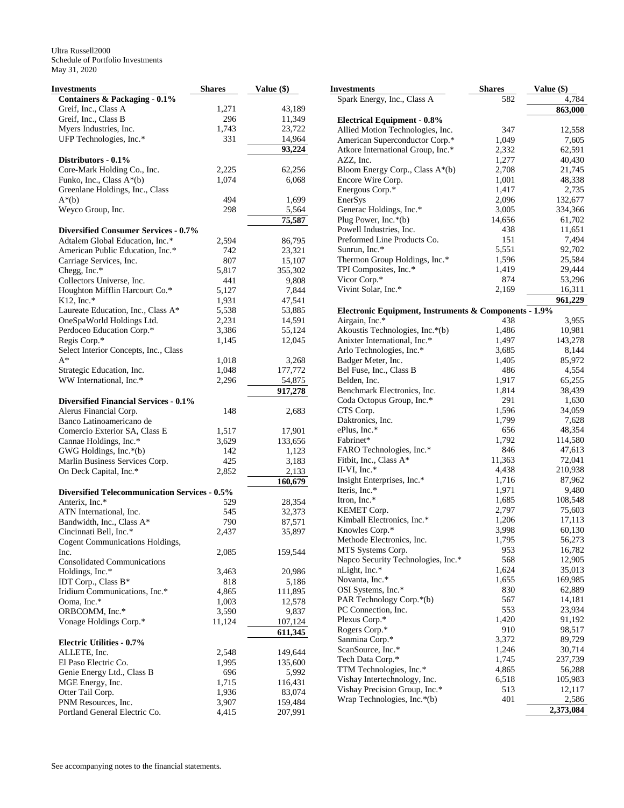| Investments                                          | <b>Shares</b> | Value (\$)           |
|------------------------------------------------------|---------------|----------------------|
| Containers & Packaging - 0.1%                        |               |                      |
| Greif, Inc., Class A                                 | 1,271         | 43,189               |
| Greif, Inc., Class B                                 | 296           | 11,349               |
| Myers Industries, Inc.                               | 1,743         | 23,722               |
| UFP Technologies, Inc.*                              | 331           | 14,964               |
|                                                      |               | 93,224               |
| Distributors - 0.1%                                  |               |                      |
| Core-Mark Holding Co., Inc.                          | 2,225         | 62,256               |
| Funko, Inc., Class A*(b)                             | 1,074         | 6,068                |
| Greenlane Holdings, Inc., Class                      |               |                      |
| $A^*(b)$                                             | 494           | 1,699                |
| Weyco Group, Inc.                                    | 298           | 5,564                |
|                                                      |               | 75,587               |
| <b>Diversified Consumer Services - 0.7%</b>          |               |                      |
| Adtalem Global Education, Inc.*                      | 2,594         | 86,795               |
| American Public Education, Inc.*                     | 742           | 23,321               |
| Carriage Services, Inc.                              | 807           | 15,107               |
| Chegg, Inc.*                                         | 5,817         | 355,302              |
| Collectors Universe, Inc.                            | 441           |                      |
| Houghton Mifflin Harcourt Co.*                       | 5,127         | 9,808                |
| $K12$ . Inc.*                                        |               | 7,844<br>47,541      |
|                                                      | 1,931         |                      |
| Laureate Education, Inc., Class A*                   | 5,538         | 53,885               |
| OneSpaWorld Holdings Ltd.                            | 2,231         | 14,591               |
| Perdoceo Education Corp.*                            | 3,386         | 55,124               |
| Regis Corp.*                                         | 1,145         | 12,045               |
| Select Interior Concepts, Inc., Class                |               |                      |
| $A^*$                                                | 1,018         | 3,268                |
| Strategic Education, Inc.                            | 1,048         | 177,772              |
| WW International, Inc.*                              | 2,296         | 54,875               |
|                                                      |               | $\overline{917,}278$ |
| <b>Diversified Financial Services - 0.1%</b>         |               |                      |
| Alerus Financial Corp.                               | 148           | 2,683                |
| Banco Latinoamericano de                             |               |                      |
| Comercio Exterior SA, Class E                        | 1,517         | 17,901               |
| Cannae Holdings, Inc.*                               | 3,629         | 133,656              |
| GWG Holdings, Inc.*(b)                               | 142           | 1,123                |
| Marlin Business Services Corp.                       | 425           | 3,183                |
| On Deck Capital, Inc.*                               | 2,852         | 2,133                |
|                                                      |               | 160,679              |
| <b>Diversified Telecommunication Services - 0.5%</b> |               |                      |
| Anterix, Inc.*                                       | 529           | 28,354               |
| ATN International, Inc.                              | 545           | 32,373               |
| Bandwidth, Inc., Class A*                            | 790           | 87,571               |
| Cincinnati Bell, Inc.*                               | 2,437         | 35,897               |
| Cogent Communications Holdings,                      |               |                      |
| Inc.                                                 | 2,085         | 159,544              |
| <b>Consolidated Communications</b>                   |               |                      |
| Holdings, Inc.*                                      | 3,463         | 20,986               |
| IDT Corp., Class B*                                  | 818           | 5,186                |
| Iridium Communications, Inc.*                        | 4,865         | 111,895              |
| Ooma, Inc.*                                          | 1,003         | 12,578               |
| ORBCOMM, Inc.*                                       | 3,590         | 9,837                |
| Vonage Holdings Corp.*                               | 11,124        | 107,124              |
|                                                      |               | 611,345              |
| <b>Electric Utilities - 0.7%</b>                     |               |                      |
| ALLETE, Inc.                                         | 2,548         | 149,644              |
| El Paso Electric Co.                                 | 1,995         | 135,600              |
| Genie Energy Ltd., Class B                           | 696           | 5,992                |
| MGE Energy, Inc.                                     | 1,715         | 116,431              |
| Otter Tail Corp.                                     | 1,936         | 83,074               |
| PNM Resources, Inc.                                  | 3,907         | 159,484              |
| Portland General Electric Co.                        | 4,415         | 207,991              |

| Investments                                           | <b>Shares</b>  | Value (\$)       |
|-------------------------------------------------------|----------------|------------------|
| Spark Energy, Inc., Class A                           | 582            | 4,784            |
|                                                       |                | 863,000          |
| <b>Electrical Equipment - 0.8%</b>                    |                |                  |
| Allied Motion Technologies, Inc.                      | 347            | 12,558           |
| American Superconductor Corp.*                        | 1,049          | 7,605            |
| Atkore International Group, Inc.*                     | 2,332          | 62,591           |
| AZZ, Inc.                                             | 1,277          | 40,430           |
| Bloom Energy Corp., Class A*(b)                       | 2,708          | 21,745           |
| Encore Wire Corp.                                     | 1,001          | 48,338           |
| Energous Corp.*                                       | 1,417          | 2,735            |
| EnerSys                                               | 2,096          | 132,677          |
| Generac Holdings, Inc.*                               | 3,005          | 334,366          |
| Plug Power, Inc. $*(b)$<br>Powell Industries, Inc.    | 14,656<br>438  | 61,702<br>11,651 |
| Preformed Line Products Co.                           | 151            | 7,494            |
| Sunrun, Inc.*                                         | 5,551          | 92,702           |
| Thermon Group Holdings, Inc.*                         | 1,596          | 25,584           |
| TPI Composites, Inc.*                                 | 1,419          | 29,444           |
| Vicor Corp.*                                          | 874            | 53,296           |
| Vivint Solar, Inc.*                                   | 2,169          | 16,311           |
|                                                       |                | 961,229          |
| Electronic Equipment, Instruments & Components - 1.9% |                |                  |
| Airgain, Inc.*                                        | 438            | 3,955            |
| Akoustis Technologies, Inc.*(b)                       | 1,486          | 10,981           |
| Anixter International, Inc.*                          | 1,497          | 143,278          |
| Arlo Technologies, Inc.*                              | 3,685          | 8,144            |
| Badger Meter, Inc.                                    | 1,405          | 85,972           |
| Bel Fuse, Inc., Class B                               | 486            | 4,554            |
| Belden, Inc.                                          | 1,917          | 65,255           |
| Benchmark Electronics, Inc.                           | 1,814          | 38,439           |
| Coda Octopus Group, Inc.*                             | 291            | 1,630            |
| CTS Corp.                                             | 1,596          | 34,059           |
| Daktronics, Inc.                                      | 1,799          | 7,628            |
| ePlus, Inc.*                                          | 656            | 48,354           |
| Fabrinet*                                             | 1,792          | 114,580          |
| FARO Technologies, Inc.*                              | 846            | 47,613           |
| Fitbit, Inc., Class A*                                | 11,363         | 72,041           |
| $II-VI$ , Inc.*                                       | 4,438          | 210,938          |
| Insight Enterprises, Inc.*<br>Iteris, Inc.*           | 1,716          | 87,962<br>9,480  |
| Itron, Inc.*                                          | 1,971<br>1,685 | 108,548          |
| KEMET Corp.                                           | 2,797          | 75,603           |
| Kimball Electronics, Inc.*                            | 1,206          | 17,113           |
| Knowles Corp.*                                        | 3,998          | 60,130           |
| Methode Electronics, Inc.                             | 1,795          | 56,273           |
| MTS Systems Corp.                                     | 953            | 16,782           |
| Napco Security Technologies, Inc.*                    | 568            | 12,905           |
| nLight, Inc.*                                         | 1,624          | 35,013           |
| Novanta, Inc.*                                        | 1,655          | 169,985          |
| OSI Systems, Inc.*                                    | 830            | 62,889           |
| PAR Technology Corp.*(b)                              | 567            | 14,181           |
| PC Connection, Inc.                                   | 553            | 23,934           |
| Plexus Corp.*                                         | 1,420          | 91,192           |
| Rogers Corp.*                                         | 910            | 98,517           |
| Sanmina Corp.*                                        | 3,372          | 89,729           |
| ScanSource, Inc.*                                     | 1,246          | 30,714           |
| Tech Data Corp.*                                      | 1,745          | 237,739          |
| TTM Technologies, Inc.*                               | 4,865          | 56,288           |
| Vishay Intertechnology, Inc.                          | 6,518          | 105,983          |
| Vishay Precision Group, Inc.*                         | 513            | 12,117           |
| Wrap Technologies, Inc.*(b)                           | 401            | 2,586            |
|                                                       |                | 2,373,084        |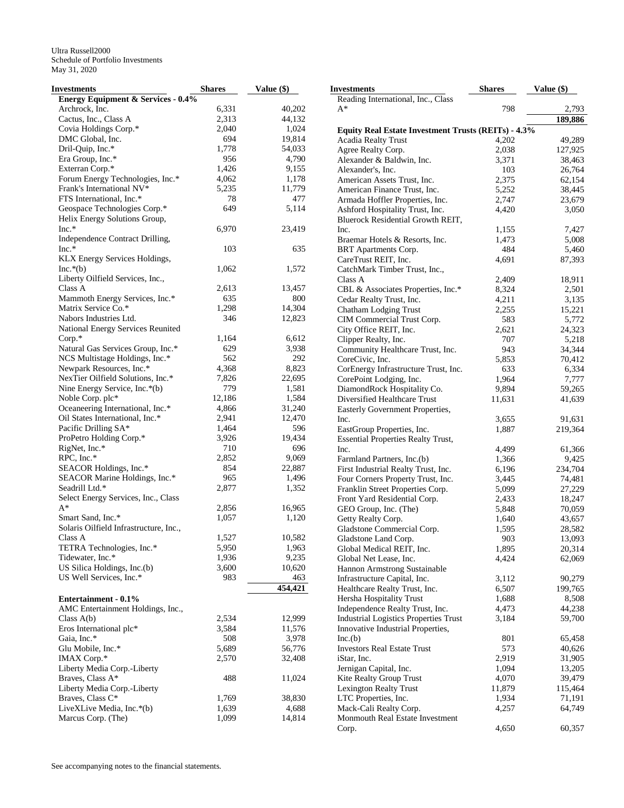| Investments                            | <b>Shares</b> | Value (\$) | <b>Investments</b>                                                   | <b>Shares</b> | Value (\$) |
|----------------------------------------|---------------|------------|----------------------------------------------------------------------|---------------|------------|
| Energy Equipment & Services - 0.4%     |               |            | Reading International, Inc., Class                                   |               |            |
| Archrock, Inc.                         | 6,331         | 40,202     | A*                                                                   | 798           | 2,793      |
| Cactus, Inc., Class A                  | 2,313         | 44,132     |                                                                      |               | 189,886    |
| Covia Holdings Corp.*                  | 2,040         | 1,024      | Equity Real Estate Investment Trusts (REITs) - 4.3%                  |               |            |
| DMC Global, Inc.                       | 694           | 19,814     | Acadia Realty Trust                                                  | 4,202         | 49,289     |
| Dril-Quip, Inc.*                       | 1,778         | 54,033     | Agree Realty Corp.                                                   | 2,038         | 127,925    |
| Era Group, Inc.*                       | 956           | 4,790      | Alexander & Baldwin, Inc.                                            | 3,371         | 38,463     |
| Exterran Corp.*                        | 1,426         | 9,155      | Alexander's, Inc.                                                    | 103           | 26,764     |
| Forum Energy Technologies, Inc.*       | 4,062         | 1,178      | American Assets Trust, Inc.                                          | 2,375         | 62,154     |
| Frank's International NV*              | 5,235         | 11,779     | American Finance Trust, Inc.                                         | 5,252         | 38,445     |
| FTS International. Inc.*               | 78            | 477        | Armada Hoffler Properties, Inc.                                      | 2,747         | 23,679     |
| Geospace Technologies Corp.*           | 649           | 5,114      |                                                                      |               |            |
| Helix Energy Solutions Group,          |               |            | Ashford Hospitality Trust, Inc.<br>Bluerock Residential Growth REIT, | 4,420         | 3,050      |
| $Inc.*$                                | 6,970         | 23,419     | Inc.                                                                 | 1,155         | 7,427      |
| Independence Contract Drilling,        |               |            | Braemar Hotels & Resorts, Inc.                                       | 1,473         | 5,008      |
| $Inc.*$                                | 103           | 635        | BRT Apartments Corp.                                                 | 484           | 5,460      |
| KLX Energy Services Holdings,          |               |            | CareTrust REIT, Inc.                                                 | 4,691         | 87,393     |
| $Inc.*(b)$                             | 1,062         | 1,572      | CatchMark Timber Trust, Inc.,                                        |               |            |
| Liberty Oilfield Services, Inc.,       |               |            | Class A                                                              | 2,409         | 18,911     |
| Class A                                | 2,613         | 13,457     |                                                                      |               | 2,501      |
| Mammoth Energy Services, Inc.*         | 635           | 800        | CBL & Associates Properties, Inc.*                                   | 8,324         |            |
|                                        |               |            | Cedar Realty Trust, Inc.                                             | 4,211         | 3,135      |
| Matrix Service Co.*                    | 1,298         | 14,304     | Chatham Lodging Trust                                                | 2,255         | 15,221     |
| Nabors Industries Ltd.                 | 346           | 12,823     | CIM Commercial Trust Corp.                                           | 583           | 5,772      |
| National Energy Services Reunited      |               |            | City Office REIT, Inc.                                               | 2,621         | 24,323     |
| $Corp.*$                               | 1,164         | 6,612      | Clipper Realty, Inc.                                                 | 707           | 5,218      |
| Natural Gas Services Group, Inc.*      | 629           | 3,938      | Community Healthcare Trust, Inc.                                     | 943           | 34,344     |
| NCS Multistage Holdings, Inc.*         | 562           | 292        | CoreCivic, Inc.                                                      | 5,853         | 70,412     |
| Newpark Resources, Inc.*               | 4,368         | 8,823      | CorEnergy Infrastructure Trust, Inc.                                 | 633           | 6,334      |
| NexTier Oilfield Solutions, Inc.*      | 7,826         | 22,695     | CorePoint Lodging, Inc.                                              | 1,964         | 7,777      |
| Nine Energy Service, Inc.*(b)          | 779           | 1,581      | DiamondRock Hospitality Co.                                          | 9,894         | 59,265     |
| Noble Corp. plc*                       | 12,186        | 1,584      | Diversified Healthcare Trust                                         | 11,631        | 41,639     |
| Oceaneering International, Inc.*       | 4,866         | 31,240     | Easterly Government Properties,                                      |               |            |
| Oil States International, Inc.*        | 2,941         | 12,470     | Inc.                                                                 | 3,655         | 91,631     |
| Pacific Drilling SA*                   | 1,464         | 596        | EastGroup Properties, Inc.                                           | 1,887         | 219,364    |
| ProPetro Holding Corp.*                | 3,926         | 19,434     | <b>Essential Properties Realty Trust,</b>                            |               |            |
| RigNet, Inc.*                          | 710           | 696        | Inc.                                                                 | 4,499         | 61,366     |
| RPC, Inc.*                             | 2,852         | 9,069      | Farmland Partners, Inc.(b)                                           | 1,366         | 9,425      |
| SEACOR Holdings, Inc.*                 | 854           | 22,887     | First Industrial Realty Trust, Inc.                                  | 6,196         | 234,704    |
| SEACOR Marine Holdings, Inc.*          | 965           | 1,496      | Four Corners Property Trust, Inc.                                    | 3,445         | 74,481     |
| Seadrill Ltd.*                         | 2,877         | 1,352      | Franklin Street Properties Corp.                                     | 5,099         | 27,229     |
| Select Energy Services, Inc., Class    |               |            | Front Yard Residential Corp.                                         | 2,433         | 18,247     |
| $A^*$                                  | 2,856         | 16,965     | GEO Group, Inc. (The)                                                | 5,848         | 70,059     |
| Smart Sand, Inc.*                      | 1,057         | 1,120      |                                                                      |               |            |
| Solaris Oilfield Infrastructure, Inc., |               |            | Getty Realty Corp.                                                   | 1,640         | 43,657     |
| Class A                                | 1,527         | 10,582     | Gladstone Commercial Corp.                                           | 1,595         | 28,582     |
|                                        |               |            | Gladstone Land Corp.                                                 | 903           | 13,093     |
| TETRA Technologies, Inc.*              | 5,950         | 1,963      | Global Medical REIT, Inc.                                            | 1,895         | 20,314     |
| Tidewater, Inc.*                       | 1,936         | 9,235      | Global Net Lease, Inc.                                               | 4,424         | 62,069     |
| US Silica Holdings, Inc.(b)            | 3,600         | 10,620     | Hannon Armstrong Sustainable                                         |               |            |
| US Well Services, Inc.*                | 983           | 463        | Infrastructure Capital, Inc.                                         | 3,112         | 90,279     |
|                                        |               | 454,421    | Healthcare Realty Trust, Inc.                                        | 6,507         | 199,765    |
| Entertainment - 0.1%                   |               |            | Hersha Hospitality Trust                                             | 1,688         | 8,508      |
| AMC Entertainment Holdings, Inc.,      |               |            | Independence Realty Trust, Inc.                                      | 4,473         | 44,238     |
| Class $A(b)$                           | 2,534         | 12,999     | <b>Industrial Logistics Properties Trust</b>                         | 3,184         | 59,700     |
| Eros International plc*                | 3,584         | 11,576     | Innovative Industrial Properties,                                    |               |            |
| Gaia, Inc.*                            | 508           | 3,978      | Inc(b)                                                               | 801           | 65,458     |
| Glu Mobile, Inc.*                      | 5,689         | 56,776     | <b>Investors Real Estate Trust</b>                                   | 573           | 40,626     |
| IMAX Corp.*                            | 2,570         | 32,408     | iStar, Inc.                                                          | 2,919         | 31,905     |
| Liberty Media Corp.-Liberty            |               |            | Jernigan Capital, Inc.                                               | 1,094         | 13,205     |
| Braves, Class A*                       | 488           | 11,024     | Kite Realty Group Trust                                              | 4,070         | 39,479     |
| Liberty Media Corp.-Liberty            |               |            | Lexington Realty Trust                                               | 11,879        | 115,464    |
| Braves, Class C*                       | 1,769         | 38,830     | LTC Properties, Inc.                                                 | 1,934         | 71,191     |
| LiveXLive Media, Inc.*(b)              | 1,639         | 4,688      | Mack-Cali Realty Corp.                                               | 4,257         | 64,749     |
|                                        |               |            |                                                                      |               |            |
| Marcus Corp. (The)                     | 1,099         | 14,814     | Monmouth Real Estate Investment                                      |               |            |
|                                        |               |            | Corp.                                                                | 4,650         | 60,357     |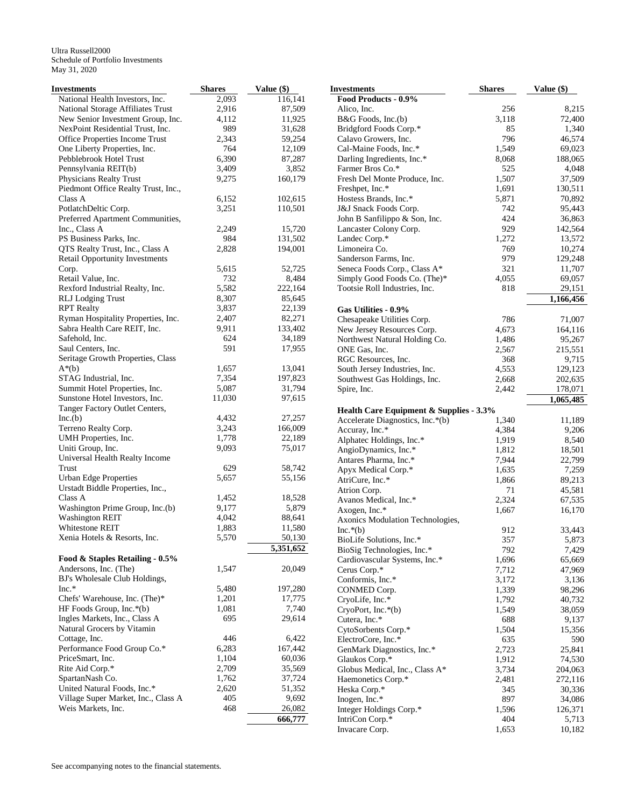| Investments                           | <b>Shares</b> | Value (\$) | <b>Investments</b>                      | <b>Shares</b> | Value (\$) |
|---------------------------------------|---------------|------------|-----------------------------------------|---------------|------------|
| National Health Investors, Inc.       | 2,093         | 116.141    | Food Products - 0.9%                    |               |            |
| National Storage Affiliates Trust     | 2,916         | 87,509     | Alico, Inc.                             | 256           | 8,215      |
| New Senior Investment Group, Inc.     | 4,112         | 11,925     | B&G Foods, Inc.(b)                      | 3,118         | 72,400     |
| NexPoint Residential Trust, Inc.      | 989           | 31,628     | Bridgford Foods Corp.*                  | 85            | 1,340      |
| Office Properties Income Trust        | 2,343         | 59,254     | Calavo Growers, Inc.                    | 796           | 46,574     |
| One Liberty Properties, Inc.          | 764           | 12,109     | Cal-Maine Foods, Inc.*                  | 1,549         | 69,023     |
| Pebblebrook Hotel Trust               | 6,390         | 87,287     | Darling Ingredients, Inc.*              | 8,068         | 188,065    |
| Pennsylvania REIT(b)                  | 3,409         | 3,852      | Farmer Bros Co.*                        | 525           | 4,048      |
| Physicians Realty Trust               | 9,275         | 160,179    | Fresh Del Monte Produce, Inc.           | 1,507         | 37,509     |
| Piedmont Office Realty Trust, Inc.,   |               |            | Freshpet, Inc.*                         | 1,691         | 130,511    |
| Class A                               | 6,152         | 102,615    | Hostess Brands, Inc.*                   | 5,871         | 70,892     |
| PotlatchDeltic Corp.                  | 3,251         | 110,501    | J&J Snack Foods Corp.                   | 742           | 95,443     |
| Preferred Apartment Communities,      |               |            | John B Sanfilippo & Son, Inc.           | 424           | 36,863     |
| Inc., Class A                         | 2,249         | 15,720     | Lancaster Colony Corp.                  | 929           | 142,564    |
| PS Business Parks, Inc.               | 984           | 131,502    | Landec Corp.*                           | 1,272         | 13,572     |
| QTS Realty Trust, Inc., Class A       | 2,828         | 194,001    | Limoneira Co.                           | 769           | 10,274     |
| <b>Retail Opportunity Investments</b> |               |            | Sanderson Farms, Inc.                   | 979           | 129,248    |
| Corp.                                 | 5,615         | 52,725     | Seneca Foods Corp., Class A*            | 321           | 11,707     |
| Retail Value, Inc.                    | 732           | 8,484      | Simply Good Foods Co. (The)*            | 4,055         | 69,057     |
| Rexford Industrial Realty, Inc.       | 5,582         | 222,164    | Tootsie Roll Industries, Inc.           | 818           | 29,151     |
|                                       | 8,307         | 85,645     |                                         |               |            |
| <b>RLJ</b> Lodging Trust              |               |            |                                         |               | 1,166,456  |
| <b>RPT</b> Realty                     | 3,837         | 22,139     | Gas Utilities - 0.9%                    |               |            |
| Ryman Hospitality Properties, Inc.    | 2,407         | 82,271     | Chesapeake Utilities Corp.              | 786           | 71,007     |
| Sabra Health Care REIT, Inc.          | 9,911         | 133,402    | New Jersey Resources Corp.              | 4,673         | 164,116    |
| Safehold, Inc.                        | 624           | 34,189     | Northwest Natural Holding Co.           | 1,486         | 95,267     |
| Saul Centers, Inc.                    | 591           | 17,955     | ONE Gas, Inc.                           | 2,567         | 215,551    |
| Seritage Growth Properties, Class     |               |            | RGC Resources, Inc.                     | 368           | 9,715      |
| $A^*(b)$                              | 1,657         | 13,041     | South Jersey Industries, Inc.           | 4,553         | 129,123    |
| STAG Industrial, Inc.                 | 7,354         | 197,823    | Southwest Gas Holdings, Inc.            | 2,668         | 202,635    |
| Summit Hotel Properties, Inc.         | 5,087         | 31,794     | Spire, Inc.                             | 2,442         | 178,071    |
| Sunstone Hotel Investors, Inc.        | 11,030        | 97,615     |                                         |               | 1,065,485  |
| Tanger Factory Outlet Centers,        |               |            | Health Care Equipment & Supplies - 3.3% |               |            |
| Inc(b)                                | 4,432         | 27,257     | Accelerate Diagnostics, Inc.*(b)        | 1,340         | 11,189     |
| Terreno Realty Corp.                  | 3,243         | 166,009    | Accuray, Inc.*                          | 4,384         | 9,206      |
| UMH Properties, Inc.                  | 1,778         | 22,189     | Alphatec Holdings, Inc.*                | 1,919         | 8,540      |
| Uniti Group, Inc.                     | 9,093         | 75,017     | AngioDynamics, Inc.*                    | 1,812         | 18,501     |
| Universal Health Realty Income        |               |            | Antares Pharma, Inc.*                   | 7,944         | 22,799     |
| Trust                                 | 629           | 58,742     | Apyx Medical Corp.*                     | 1,635         | 7,259      |
| <b>Urban Edge Properties</b>          | 5,657         | 55,156     | AtriCure, Inc.*                         | 1,866         | 89,213     |
| Urstadt Biddle Properties, Inc.,      |               |            | Atrion Corp.                            | 71            | 45,581     |
| Class A                               | 1,452         | 18,528     | Avanos Medical, Inc.*                   | 2,324         | 67,535     |
| Washington Prime Group, Inc.(b)       | 9,177         | 5,879      | Axogen, Inc.*                           | 1,667         | 16,170     |
| <b>Washington REIT</b>                | 4,042         | 88,641     | Axonics Modulation Technologies,        |               |            |
| Whitestone REIT                       | 1,883         | 11,580     | $Inc.*(b)$                              | 912           | 33,443     |
| Xenia Hotels & Resorts, Inc.          | 5,570         | 50,130     | BioLife Solutions, Inc.*                | 357           | 5,873      |
|                                       |               | 5,351,652  | BioSig Technologies, Inc.*              | 792           | 7,429      |
| Food & Staples Retailing - 0.5%       |               |            | Cardiovascular Systems, Inc.*           | 1,696         | 65,669     |
| Andersons, Inc. (The)                 | 1,547         | 20,049     | Cerus Corp.*                            | 7,712         | 47,969     |
| BJ's Wholesale Club Holdings,         |               |            | Conformis, Inc.*                        | 3,172         | 3,136      |
| Inc.*                                 | 5,480         | 197,280    | CONMED Corp.                            | 1,339         | 98,296     |
| Chefs' Warehouse, Inc. (The)*         | 1,201         | 17,775     | CryoLife, Inc.*                         | 1,792         | 40,732     |
| HF Foods Group, Inc.*(b)              | 1,081         | 7,740      | CryoPort, Inc.*(b)                      | 1,549         | 38,059     |
| Ingles Markets, Inc., Class A         | 695           | 29,614     | Cutera, Inc.*                           | 688           | 9,137      |
| Natural Grocers by Vitamin            |               |            | CytoSorbents Corp.*                     | 1,504         | 15,356     |
| Cottage, Inc.                         | 446           | 6,422      |                                         |               |            |
| Performance Food Group Co.*           | 6,283         | 167,442    | ElectroCore, Inc.*                      | 635           | 590        |
|                                       |               | 60,036     | GenMark Diagnostics, Inc.*              | 2,723         | 25,841     |
| PriceSmart, Inc.                      | 1,104         |            | Glaukos Corp.*                          | 1,912         | 74,530     |
| Rite Aid Corp.*                       | 2,709         | 35,569     | Globus Medical, Inc., Class A*          | 3,734         | 204,063    |
| SpartanNash Co.                       | 1,762         | 37,724     | Haemonetics Corp.*                      | 2,481         | 272,116    |
| United Natural Foods, Inc.*           | 2,620         | 51,352     | Heska Corp.*                            | 345           | 30,336     |
| Village Super Market, Inc., Class A   | 405           | 9,692      | Inogen, Inc.*                           | 897           | 34,086     |
| Weis Markets, Inc.                    | 468           | 26,082     | Integer Holdings Corp.*                 | 1,596         | 126,371    |
|                                       |               | 666,777    | IntriCon Corp.*                         | 404           | 5,713      |
|                                       |               |            | Invacare Corp.                          | 1,653         | 10,182     |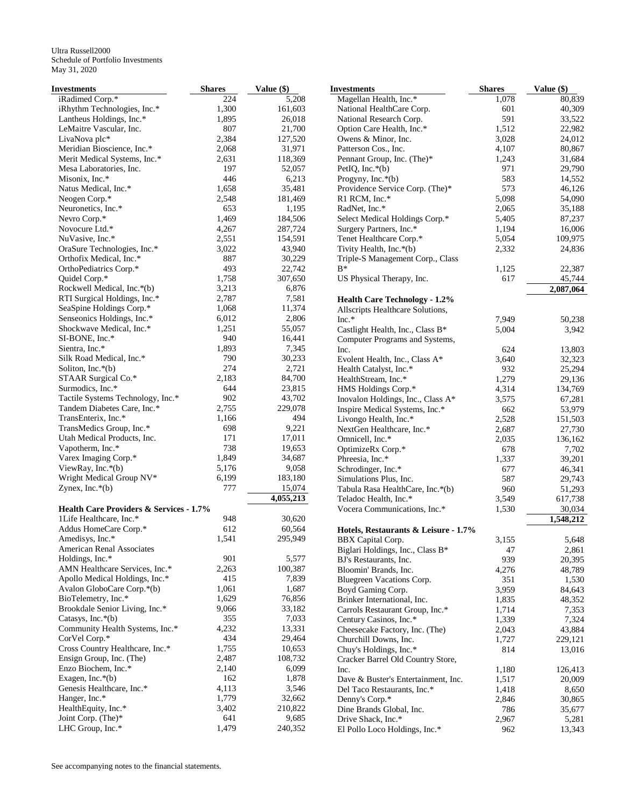| Investments                                        | <b>Shares</b> | Value (\$) | <b>Investments</b>                   | <b>Shares</b> | Value $(\$)$ |
|----------------------------------------------------|---------------|------------|--------------------------------------|---------------|--------------|
| iRadimed Corp.*                                    | 224           | 5,208      | Magellan Health, Inc.*               | 1,078         | 80.839       |
| iRhythm Technologies, Inc.*                        | 1,300         | 161,603    | National HealthCare Corp.            | 601           | 40,309       |
| Lantheus Holdings, Inc.*                           | 1,895         | 26,018     | National Research Corp.              | 591           | 33,522       |
| LeMaitre Vascular, Inc.                            | 807           | 21,700     | Option Care Health, Inc.*            | 1,512         | 22,982       |
| LivaNova plc*                                      | 2,384         | 127,520    | Owens & Minor, Inc.                  | 3,028         | 24,012       |
| Meridian Bioscience, Inc.*                         | 2,068         | 31,971     | Patterson Cos., Inc.                 | 4,107         | 80,867       |
| Merit Medical Systems, Inc.*                       | 2,631         | 118,369    | Pennant Group, Inc. (The)*           | 1,243         | 31,684       |
| Mesa Laboratories, Inc.                            | 197           | 52,057     | PetIQ, Inc. $*(b)$                   | 971           | 29,790       |
| Misonix, Inc.*                                     | 446           | 6,213      | Progyny, Inc.*(b)                    | 583           | 14,552       |
| Natus Medical, Inc.*                               | 1,658         | 35,481     | Providence Service Corp. (The)*      | 573           | 46,126       |
| Neogen Corp.*                                      | 2,548         | 181,469    | R1 RCM, Inc.*                        | 5,098         | 54,090       |
| Neuronetics, Inc.*                                 | 653           | 1,195      | RadNet, Inc.*                        | 2,065         | 35,188       |
| Nevro Corp.*                                       | 1,469         | 184,506    | Select Medical Holdings Corp.*       | 5,405         | 87,237       |
| Novocure Ltd.*                                     | 4,267         | 287,724    | Surgery Partners, Inc.*              | 1,194         | 16,006       |
| NuVasive, Inc.*                                    | 2,551         | 154,591    | Tenet Healthcare Corp.*              | 5,054         | 109,975      |
|                                                    |               |            |                                      |               |              |
| OraSure Technologies, Inc.*                        | 3,022         | 43,940     | Tivity Health, Inc.*(b)              | 2,332         | 24,836       |
| Orthofix Medical, Inc.*                            | 887           | 30,229     | Triple-S Management Corp., Class     |               |              |
| OrthoPediatrics Corp.*                             | 493           | 22,742     | $B^*$                                | 1,125         | 22,387       |
| Quidel Corp.*                                      | 1,758         | 307,650    | US Physical Therapy, Inc.            | 617           | 45,744       |
| Rockwell Medical, Inc.*(b)                         | 3,213         | 6,876      |                                      |               | 2,087,064    |
| RTI Surgical Holdings, Inc.*                       | 2,787         | 7,581      | <b>Health Care Technology - 1.2%</b> |               |              |
| SeaSpine Holdings Corp.*                           | 1,068         | 11,374     | Allscripts Healthcare Solutions,     |               |              |
| Senseonics Holdings, Inc.*                         | 6,012         | 2,806      | $Inc.*$                              | 7,949         | 50,238       |
| Shockwave Medical, Inc.*                           | 1,251         | 55,057     | Castlight Health, Inc., Class B*     | 5,004         | 3,942        |
| SI-BONE, Inc.*                                     | 940           | 16,441     | Computer Programs and Systems,       |               |              |
| Sientra, Inc.*                                     | 1,893         | 7,345      | Inc.                                 | 624           | 13,803       |
| Silk Road Medical, Inc.*                           | 790           | 30,233     | Evolent Health, Inc., Class A*       | 3,640         | 32,323       |
| Soliton, Inc. $*(b)$                               | 274           | 2,721      | Health Catalyst, Inc.*               | 932           | 25,294       |
| STAAR Surgical Co.*                                | 2,183         | 84,700     | HealthStream, Inc.*                  | 1,279         | 29,136       |
| Surmodics, Inc.*                                   | 644           | 23,815     | HMS Holdings Corp.*                  | 4,314         | 134,769      |
| Tactile Systems Technology, Inc.*                  | 902           | 43,702     | Inovalon Holdings, Inc., Class A*    | 3,575         | 67,281       |
| Tandem Diabetes Care, Inc.*                        | 2,755         | 229,078    | Inspire Medical Systems, Inc.*       | 662           | 53,979       |
| TransEnterix, Inc.*                                | 1,166         | 494        | Livongo Health, Inc.*                | 2,528         | 151,503      |
| TransMedics Group, Inc.*                           | 698           | 9,221      | NextGen Healthcare, Inc.*            | 2,687         | 27,730       |
| Utah Medical Products, Inc.                        | 171           | 17,011     | Omnicell, Inc.*                      | 2,035         | 136,162      |
| Vapotherm, Inc.*                                   | 738           | 19,653     | OptimizeRx Corp.*                    | 678           | 7,702        |
| Varex Imaging Corp.*                               | 1,849         | 34,687     |                                      |               |              |
| ViewRay, Inc. $*(b)$                               | 5,176         | 9,058      | Phreesia, Inc.*                      | 1,337         | 39,201       |
|                                                    | 6,199         | 183,180    | Schrodinger, Inc.*                   | 677           | 46,341       |
| Wright Medical Group NV*                           |               |            | Simulations Plus, Inc.               | 587           | 29,743       |
| Zynex, Inc. $*(b)$                                 | 777           | 15,074     | Tabula Rasa HealthCare, Inc.*(b)     | 960           | 51,293       |
|                                                    |               | 4,055,213  | Teladoc Health, Inc.*                | 3,549         | 617,738      |
| <b>Health Care Providers &amp; Services - 1.7%</b> |               |            | Vocera Communications, Inc.*         | 1,530         | 30,034       |
| 1Life Healthcare, Inc.*                            | 948           | 30,620     |                                      |               | 1,548,212    |
| Addus HomeCare Corp.*                              | 612           | 60,564     | Hotels, Restaurants & Leisure - 1.7% |               |              |
| Amedisys, Inc.*                                    | 1,541         | 295,949    | <b>BBX</b> Capital Corp.             | 3,155         | 5,648        |
| American Renal Associates                          |               |            | Biglari Holdings, Inc., Class B*     | 47            | 2,861        |
| Holdings, Inc.*                                    | 901           | 5,577      | BJ's Restaurants, Inc.               | 939           | 20,395       |
| AMN Healthcare Services, Inc.*                     | 2,263         | 100,387    | Bloomin' Brands, Inc.                | 4,276         | 48,789       |
| Apollo Medical Holdings, Inc.*                     | 415           | 7,839      | Bluegreen Vacations Corp.            | 351           | 1,530        |
| Avalon GloboCare Corp.*(b)                         | 1,061         | 1,687      | Boyd Gaming Corp.                    | 3,959         | 84,643       |
| BioTelemetry, Inc.*                                | 1,629         | 76,856     | Brinker International, Inc.          | 1,835         | 48,352       |
| Brookdale Senior Living, Inc.*                     | 9,066         | 33,182     | Carrols Restaurant Group, Inc.*      | 1,714         | 7,353        |
| Catasys, Inc. $*(b)$                               | 355           | 7,033      | Century Casinos, Inc.*               | 1,339         | 7,324        |
| Community Health Systems, Inc.*                    | 4,232         | 13,331     | Cheesecake Factory, Inc. (The)       | 2,043         | 43,884       |
| CorVel Corp.*                                      | 434           | 29,464     | Churchill Downs, Inc.                | 1,727         | 229,121      |
| Cross Country Healthcare, Inc.*                    | 1,755         | 10,653     |                                      | 814           |              |
| Ensign Group, Inc. (The)                           | 2,487         | 108,732    | Chuy's Holdings, Inc.*               |               | 13,016       |
|                                                    |               |            | Cracker Barrel Old Country Store,    |               |              |
| Enzo Biochem, Inc.*                                | 2,140         | 6,099      | Inc.                                 | 1,180         | 126,413      |
| Exagen, Inc. $*(b)$                                | 162           | 1,878      | Dave & Buster's Entertainment, Inc.  | 1,517         | 20,009       |
| Genesis Healthcare, Inc.*                          | 4,113         | 3,546      | Del Taco Restaurants, Inc.*          | 1,418         | 8,650        |
| Hanger, Inc.*                                      | 1,779         | 32,662     | Denny's Corp.*                       | 2,846         | 30,865       |
| HealthEquity, Inc.*                                | 3,402         | 210,822    | Dine Brands Global, Inc.             | 786           | 35,677       |
| Joint Corp. (The)*                                 | 641           | 9,685      | Drive Shack, Inc.*                   | 2,967         | 5,281        |
| LHC Group, Inc.*                                   | 1,479         | 240,352    | El Pollo Loco Holdings, Inc.*        | 962           | 13,343       |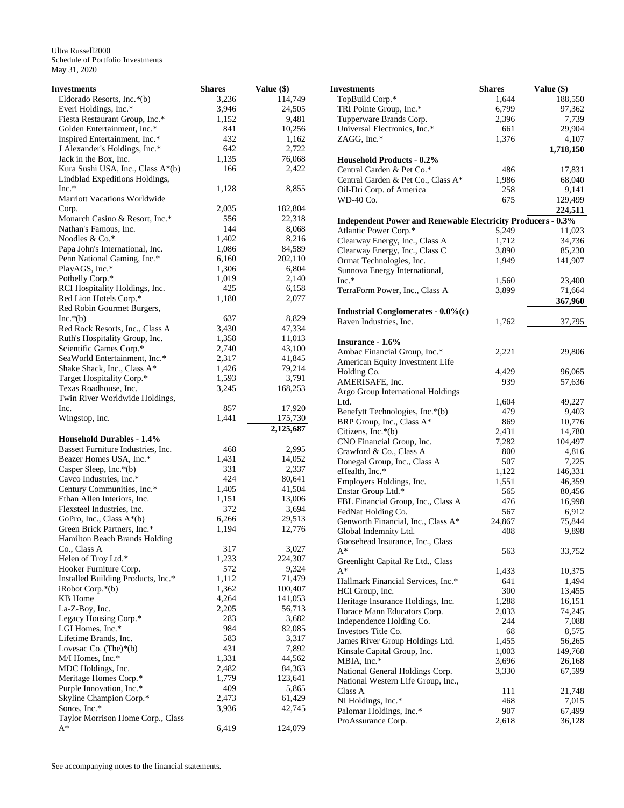| <b>Investments</b>                  | <b>Shares</b> | Value (\$) | <b>Investments</b>    |
|-------------------------------------|---------------|------------|-----------------------|
| Eldorado Resorts, Inc.*(b)          | 3,236         | 114,749    | TopBuild Corp         |
| Everi Holdings, Inc.*               | 3,946         | 24,505     | TRI Pointe Gro        |
| Fiesta Restaurant Group, Inc.*      | 1,152         | 9,481      | Tupperware Br         |
| Golden Entertainment, Inc.*         | 841           | 10,256     | Universal Elect       |
| Inspired Entertainment, Inc.*       | 432           | 1,162      | ZAGG, Inc.*           |
| J Alexander's Holdings, Inc.*       | 642           | 2,722      |                       |
| Jack in the Box, Inc.               | 1,135         | 76,068     | <b>Household Pro</b>  |
| Kura Sushi USA, Inc., Class A*(b)   | 166           | 2,422      | Central Garden        |
| Lindblad Expeditions Holdings,      |               |            | Central Garden        |
| $Inc.*$                             | 1,128         | 8,855      | Oil-Dri Corp. o       |
| <b>Marriott Vacations Worldwide</b> |               |            | WD-40 Co.             |
| Corp.                               | 2,035         | 182,804    |                       |
| Monarch Casino & Resort, Inc.*      | 556           | 22,318     | <b>Independent P</b>  |
| Nathan's Famous, Inc.               | 144           | 8,068      | <b>Atlantic Power</b> |
| Noodles & Co.*                      | 1,402         | 8,216      | Clearway Energ        |
| Papa John's International, Inc.     | 1,086         | 84,589     | Clearway Energ        |
| Penn National Gaming, Inc.*         | 6,160         | 202,110    | Ormat Technol         |
| PlayAGS, Inc.*                      | 1,306         | 6,804      | Sunnova Energ         |
| Potbelly Corp.*                     | 1,019         | 2,140      | $Inc.*$               |
| RCI Hospitality Holdings, Inc.      | 425           | 6,158      | TerraForm Pow         |
| Red Lion Hotels Corp.*              | 1,180         | 2,077      |                       |
| Red Robin Gourmet Burgers,          |               |            | <b>Industrial Cor</b> |
| $Inc.*(b)$                          | 637           | 8,829      | Raven Industrie       |
| Red Rock Resorts, Inc., Class A     | 3,430         | 47,334     |                       |
| Ruth's Hospitality Group, Inc.      | 1,358         | 11,013     | <b>Insurance - 1.</b> |
| Scientific Games Corp.*             | 2,740         | 43,100     | Ambac Financi         |
| SeaWorld Entertainment, Inc.*       | 2,317         | 41,845     | American Equi         |
| Shake Shack, Inc., Class A*         | 1,426         | 79,214     | Holding Co.           |
| Target Hospitality Corp.*           | 1,593         | 3,791      | AMERISAFE,            |
| Texas Roadhouse, Inc.               | 3,245         | 168,253    | Argo Group Int        |
| Twin River Worldwide Holdings,      |               |            | Ltd.                  |
| Inc.                                | 857           | 17,920     | Benefytt Techn        |
| Wingstop, Inc.                      | 1,441         | 175,730    | BRP Group, In         |
|                                     |               | 2,125,687  | Citizens, Inc.*(      |
| <b>Household Durables - 1.4%</b>    |               |            | <b>CNO</b> Financial  |
| Bassett Furniture Industries, Inc.  | 468           | 2,995      | Crawford & Co         |
| Beazer Homes USA, Inc.*             | 1,431         | 14,052     | Donegal Group         |
| Casper Sleep, Inc. $*(b)$           | 331           | 2,337      | eHealth, Inc.*        |
| Cavco Industries, Inc.*             | 424           | 80,641     | <b>Employers Hol</b>  |
| Century Communities, Inc.*          | 1,405         | 41,504     | Enstar Group L        |
| Ethan Allen Interiors, Inc.         | 1,151         | 13,006     | FBL Financial         |
| Flexsteel Industries, Inc.          | 372           | 3,694      | FedNat Holding        |
| GoPro, Inc., Class A*(b)            | 6,266         | 29,513     | Genworth Fina         |
| Green Brick Partners, Inc.*         | 1,194         | 12,776     | Global Indemni        |
| Hamilton Beach Brands Holding       |               |            | Goosehead Insu        |
| Co., Class A                        | 317           | 3,027      | A*                    |
| Helen of Troy Ltd.*                 | 1,233         | 224,307    | Greenlight Cap        |
| Hooker Furniture Corp.              | 572           | 9,324      | A*                    |
| Installed Building Products, Inc.*  | 1,112         | 71,479     | Hallmark Finar        |
| $i$ Robot Corp. $*(b)$              | 1,362         | 100,407    | HCI Group, Inc        |
| KB Home                             | 4,264         | 141,053    | Heritage Insura       |
| La-Z-Boy, Inc.                      | 2,205         | 56,713     | Horace Mann E         |
| Legacy Housing Corp.*               | 283           | 3,682      | Independence I        |
| LGI Homes, Inc.*                    | 984           | 82,085     | Investors Title       |
| Lifetime Brands, Inc.               | 583           | 3,317      | James River Gr        |
| Lovesac Co. $(The)*(b)$             | 431           | 7,892      | Kinsale Capital       |
| M/I Homes, Inc.*                    | 1,331         | 44,562     | MBIA, Inc.*           |
| MDC Holdings, Inc.                  | 2,482         | 84,363     | <b>National Gener</b> |
| Meritage Homes Corp.*               | 1,779         | 123,641    | National Weste        |
| Purple Innovation, Inc.*            | 409           | 5,865      | Class A               |
| Skyline Champion Corp.*             | 2,473         | 61,429     | NI Holdings, Ir       |
| Sonos, Inc.*                        | 3,936         | 42,745     | Palomar Holdir        |
| Taylor Morrison Home Corp., Class   |               |            | ProAssurance 0        |
| A*                                  | 6,419         | 124,079    |                       |

| Investments                                                         | <b>Shares</b> | Value (\$) |
|---------------------------------------------------------------------|---------------|------------|
| TopBuild Corp.*                                                     | 1,644         | 188,550    |
| TRI Pointe Group, Inc.*                                             | 6,799         | 97,362     |
| Tupperware Brands Corp.                                             | 2,396         | 7,739      |
| Universal Electronics, Inc.*                                        | 661           | 29,904     |
| ZAGG, Inc.*                                                         | 1,376         | 4,107      |
|                                                                     |               | 1,718,150  |
| <b>Household Products - 0.2%</b>                                    |               |            |
| Central Garden & Pet Co.*                                           | 486           | 17,831     |
| Central Garden & Pet Co., Class A*                                  | 1,986         | 68,040     |
| Oil-Dri Corp. of America                                            | 258           | 9,141      |
| WD-40 Co.                                                           | 675           | 129,499    |
|                                                                     |               | 224,511    |
| <b>Independent Power and Renewable Electricity Producers - 0.3%</b> |               |            |
| Atlantic Power Corp.*                                               | 5,249         | 11,023     |
| Clearway Energy, Inc., Class A                                      | 1,712         | 34,736     |
| Clearway Energy, Inc., Class C                                      | 3,890         | 85,230     |
| Ormat Technologies, Inc.                                            | 1,949         | 141,907    |
| Sunnova Energy International,                                       |               |            |
| $Inc.*$                                                             | 1,560         | 23,400     |
| TerraForm Power, Inc., Class A                                      | 3,899         | 71,664     |
|                                                                     |               | 367,960    |
| Industrial Conglomerates $-0.0\%$ (c)                               |               |            |
| Raven Industries, Inc.                                              | 1,762         | 37,795     |
|                                                                     |               |            |
| Insurance - 1.6%                                                    |               |            |
| Ambac Financial Group, Inc.*                                        | 2,221         | 29,806     |
| American Equity Investment Life                                     |               |            |
| Holding Co.                                                         | 4,429         | 96,065     |
| AMERISAFE, Inc.                                                     | 939           | 57,636     |
| Argo Group International Holdings                                   |               |            |
| Ltd.                                                                | 1,604         | 49,227     |
| Benefytt Technologies, Inc.*(b)                                     | 479           | 9,403      |
| BRP Group, Inc., Class A*                                           | 869           | 10,776     |
| Citizens, Inc.*(b)                                                  | 2,431         | 14,780     |
| CNO Financial Group, Inc.                                           | 7,282         | 104,497    |
| Crawford & Co., Class A                                             | 800           | 4,816      |
| Donegal Group, Inc., Class A                                        | 507           | 7,225      |
| eHealth, Inc.*                                                      | 1,122         | 146,331    |
| Employers Holdings, Inc.                                            | 1,551         | 46,359     |
| Enstar Group Ltd.*                                                  | 565           | 80,456     |
| FBL Financial Group, Inc., Class A                                  | 476           | 16,998     |
| FedNat Holding Co.                                                  | 567           | 6,912      |
| Genworth Financial, Inc., Class A*                                  | 24,867        | 75,844     |
| Global Indemnity Ltd.                                               | 408           | 9,898      |
| Goosehead Insurance, Inc., Class                                    |               |            |
| A*                                                                  | 563           | 33,752     |
| Greenlight Capital Re Ltd., Class                                   |               |            |
| A*                                                                  | 1,433         | 10,375     |
| Hallmark Financial Services, Inc.*                                  | 641           | 1,494      |
| HCI Group, Inc.                                                     | 300           | 13,455     |
| Heritage Insurance Holdings, Inc.                                   | 1,288         | 16,151     |
| Horace Mann Educators Corp.                                         | 2,033         | 74,245     |
| Independence Holding Co.                                            | 244           | 7,088      |
| Investors Title Co.                                                 | 68            | 8,575      |
| James River Group Holdings Ltd.                                     | 1,455         | 56,265     |
| Kinsale Capital Group, Inc.                                         | 1,003         | 149,768    |
| MBIA, Inc.*                                                         | 3,696         | 26,168     |
| National General Holdings Corp.                                     | 3,330         | 67,599     |
| National Western Life Group, Inc.,                                  |               |            |
| Class A                                                             | 111           | 21,748     |
| NI Holdings, Inc.*                                                  | 468           | 7,015      |
| Palomar Holdings, Inc.*                                             | 907           | 67,499     |
| ProAssurance Corp.                                                  | 2,618         | 36,128     |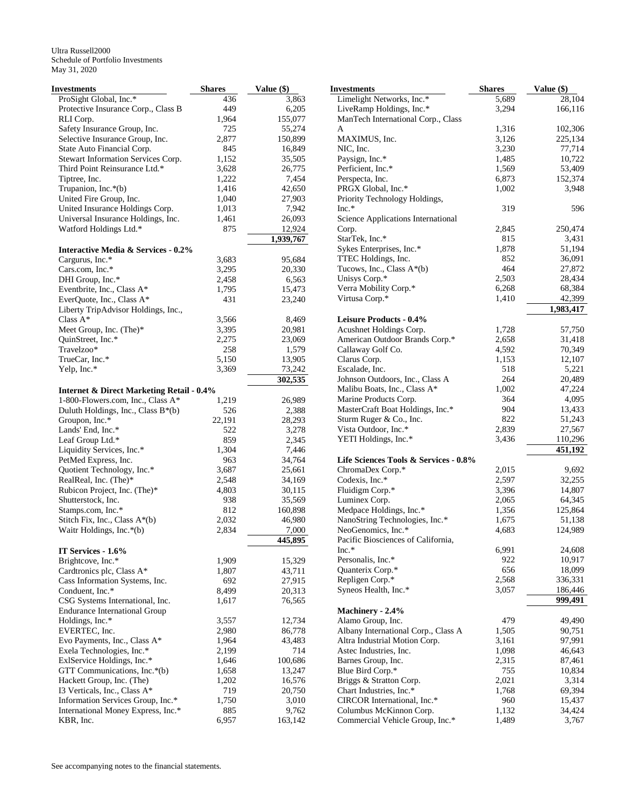| <b>Investments</b>                                                    | <b>Shares</b>  | Value (\$)       |
|-----------------------------------------------------------------------|----------------|------------------|
| ProSight Global, Inc.*                                                | 436            | 3,863            |
| Protective Insurance Corp., Class B                                   | 449            | 6,205            |
| RLI Corp.                                                             | 1,964          | 155,077          |
| Safety Insurance Group, Inc.                                          | 725            | 55,274           |
| Selective Insurance Group, Inc.                                       | 2,877          | 150,899          |
| State Auto Financial Corp.                                            | 845            | 16,849           |
| Stewart Information Services Corp.                                    | 1,152          | 35,505           |
| Third Point Reinsurance Ltd.*                                         | 3,628          | 26,775           |
| Tiptree, Inc.                                                         | 1,222          | 7,454            |
| Trupanion, Inc.*(b)                                                   | 1,416          | 42,650           |
| United Fire Group, Inc.                                               | 1,040          | 27,903           |
| United Insurance Holdings Corp.<br>Universal Insurance Holdings, Inc. | 1,013<br>1,461 | 7,942            |
| Watford Holdings Ltd.*                                                | 875            | 26,093<br>12,924 |
|                                                                       |                | 1,939,767        |
| <b>Interactive Media &amp; Services - 0.2%</b>                        |                |                  |
| Cargurus, Inc.*                                                       | 3,683          | 95,684           |
| Cars.com, Inc.*                                                       | 3,295          | 20,330           |
| DHI Group, Inc.*                                                      | 2,458          | 6,563            |
| Eventbrite, Inc., Class A*                                            | 1,795          | 15,473           |
| EverQuote, Inc., Class A*                                             | 431            | 23,240           |
| Liberty TripAdvisor Holdings, Inc.,                                   |                |                  |
| Class $A^*$                                                           | 3,566          | 8,469            |
| Meet Group, Inc. (The)*                                               | 3,395          | 20,981           |
| QuinStreet, Inc.*                                                     | 2,275          | 23,069           |
| Travelzoo*                                                            | 258            | 1,579            |
| TrueCar, Inc.*                                                        | 5,150          | 13,905           |
| Yelp, Inc.*                                                           | 3,369          | 73,242           |
|                                                                       |                | 302,535          |
| <b>Internet &amp; Direct Marketing Retail - 0.4%</b>                  |                |                  |
| 1-800-Flowers.com, Inc., Class A*                                     | 1,219          | 26,989           |
| Duluth Holdings, Inc., Class B*(b)                                    | 526            | 2,388            |
| Groupon, Inc.*                                                        | 22,191         | 28,293           |
| Lands' End, Inc.*                                                     | 522            | 3,278            |
| Leaf Group Ltd.*                                                      | 859            | 2,345            |
| Liquidity Services, Inc.*<br>PetMed Express, Inc.                     | 1,304<br>963   | 7,446<br>34,764  |
| Quotient Technology, Inc.*                                            | 3,687          | 25,661           |
| RealReal, Inc. (The)*                                                 | 2,548          | 34,169           |
| Rubicon Project, Inc. (The)*                                          | 4,803          | 30,115           |
| Shutterstock, Inc.                                                    | 938            | 35,569           |
| Stamps.com, Inc.*                                                     | 812            | 160,898          |
| Stitch Fix, Inc., Class $A^*(b)$                                      | 2,032          | 46,980           |
| Waitr Holdings, Inc.*(b)                                              | 2,834          | 7,000            |
|                                                                       |                | 445,895          |
| IT Services - 1.6%                                                    |                |                  |
| Brightcove, Inc.*                                                     | 1,909          | 15,329           |
| Cardtronics plc, Class A*                                             | 1,807          | 43,711           |
| Cass Information Systems, Inc.                                        | 692            | 27,915           |
| Conduent, Inc.*                                                       | 8,499          | 20,313           |
| CSG Systems International, Inc.                                       | 1,617          | 76,565           |
| <b>Endurance International Group</b>                                  | 3,557          |                  |
| Holdings, Inc.*                                                       | 2,980          | 12,734           |
| EVERTEC, Inc.<br>Evo Payments, Inc., Class A*                         |                | 86,778           |
| Exela Technologies, Inc.*                                             | 1,964<br>2,199 | 43,483<br>714    |
| ExlService Holdings, Inc.*                                            | 1,646          | 100,686          |
| GTT Communications, Inc.*(b)                                          | 1,658          | 13,247           |
| Hackett Group, Inc. (The)                                             | 1,202          | 16,576           |
| 13 Verticals, Inc., Class A*                                          | 719            | 20,750           |
| Information Services Group, Inc.*                                     | 1,750          | 3,010            |
| International Money Express, Inc.*                                    | 885            | 9,762            |
| KBR, Inc.                                                             | 6,957          | 163,142          |

| Investments                                    | <b>Shares</b> | Value (\$) |
|------------------------------------------------|---------------|------------|
| Limelight Networks, Inc.*                      | 5,689         | 28,104     |
| LiveRamp Holdings, Inc.*                       | 3,294         | 166,116    |
| ManTech International Corp., Class             |               |            |
| A                                              | 1,316         | 102,306    |
| MAXIMUS, Inc.                                  | 3,126         | 225,134    |
| NIC, Inc.                                      | 3,230         | 77,714     |
| Paysign, Inc.*                                 | 1,485         | 10,722     |
| Perficient, Inc.*                              | 1,569         | 53,409     |
| Perspecta, Inc.                                | 6,873         | 152,374    |
| PRGX Global, Inc.*                             | 1,002         | 3,948      |
| Priority Technology Holdings,                  |               |            |
| $Inc.*$                                        | 319           | 596        |
| Science Applications International             |               |            |
| Corp.                                          | 2,845         | 250,474    |
| StarTek, Inc.*                                 | 815           | 3,431      |
|                                                |               |            |
| Sykes Enterprises, Inc.*                       | 1,878         | 51,194     |
| TTEC Holdings, Inc.                            | 852           | 36,091     |
| Tucows, Inc., Class A*(b)                      | 464           | 27,872     |
| Unisys Corp.*                                  | 2,503         | 28,434     |
| Verra Mobility Corp.*                          | 6,268         | 68,384     |
| Virtusa Corp.*                                 | 1,410         | 42,399     |
|                                                |               | 1,983,417  |
| Leisure Products - 0.4%                        |               |            |
| Acushnet Holdings Corp.                        | 1,728         | 57,750     |
| American Outdoor Brands Corp.*                 | 2,658         | 31,418     |
| Callaway Golf Co.                              | 4,592         | 70,349     |
| Clarus Corp.                                   | 1,153         | 12,107     |
| Escalade, Inc.                                 | 518           | 5,221      |
| Johnson Outdoors, Inc., Class A                | 264           | 20,489     |
| Malibu Boats, Inc., Class A*                   | 1,002         | 47,224     |
| Marine Products Corp.                          | 364           | 4,095      |
| MasterCraft Boat Holdings, Inc.*               | 904           | 13,433     |
| Sturm Ruger & Co., Inc.                        | 822           | 51,243     |
| Vista Outdoor, Inc.*                           | 2,839         | 27,567     |
| YETI Holdings, Inc.*                           | 3,436         | 110,296    |
|                                                |               | 451,192    |
| Life Sciences Tools & Services - 0.8%          |               |            |
| ChromaDex Corp.*                               | 2,015         | 9,692      |
| Codexis, Inc.*                                 | 2,597         | 32,255     |
| Fluidigm Corp.*                                | 3,396         | 14,807     |
| Luminex Corp.                                  | 2,065         | 64,345     |
| Medpace Holdings, Inc.*                        | 1,356         | 125,864    |
| NanoString Technologies, Inc.*                 | 1,675         | 51,138     |
| NeoGenomics, Inc.*                             | 4,683         | 124,989    |
| $\cdots$<br>Pacific Biosciences of California, |               |            |
| $Inc.*$                                        | 6,991         | 24,608     |
| Personalis, Inc.*                              | 922           | 10,917     |
| Quanterix Corp.*                               | 656           | 18,099     |
| Repligen Corp.*                                | 2,568         | 336,331    |
| Syneos Health, Inc.*                           | 3,057         | 186,446    |
|                                                |               | 999.491    |
| Machinery - 2.4%                               |               |            |
|                                                | 479           |            |
| Alamo Group, Inc.                              |               | 49,490     |
| Albany International Corp., Class A            | 1,505         | 90,751     |
| Altra Industrial Motion Corp.                  | 3,161         | 97,991     |
| Astec Industries, Inc.                         | 1,098         | 46,643     |
| Barnes Group, Inc.                             | 2,315         | 87,461     |
| Blue Bird Corp.*                               | 755           | 10,834     |
| Briggs & Stratton Corp.                        | 2,021         | 3,314      |
| Chart Industries, Inc.*                        | 1,768         | 69,394     |
| CIRCOR International, Inc.*                    | 960           | 15,437     |
| Columbus McKinnon Corp.                        | 1,132         | 34,424     |
| Commercial Vehicle Group, Inc.*                | 1,489         | 3,767      |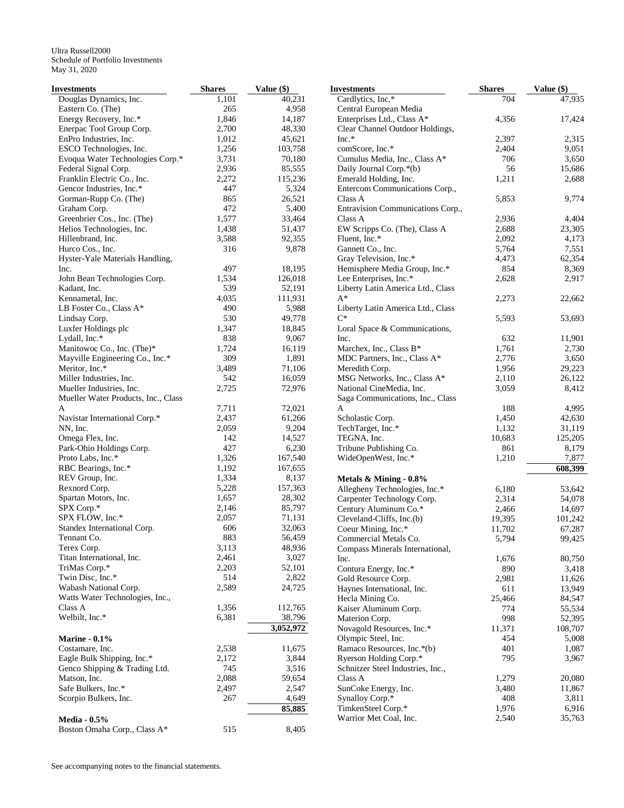| Investments                         | <b>Shares</b> | Value (\$)       | <b>Investments</b>                | <b>Shares</b> | Value (\$) |
|-------------------------------------|---------------|------------------|-----------------------------------|---------------|------------|
| Douglas Dynamics, Inc.              | 1,101         | 40,231           | Cardlytics, Inc.*                 | 704           | 47,935     |
| Eastern Co. (The)                   | 265           | 4,958            | Central European Media            |               |            |
| Energy Recovery, Inc.*              | 1,846         | 14,187           | Enterprises Ltd., Class A*        | 4,356         | 17,424     |
| Enerpac Tool Group Corp.            | 2,700         | 48,330           | Clear Channel Outdoor Holdings,   |               |            |
| EnPro Industries, Inc.              | 1,012         | 45,621           | $Inc.*$                           | 2,397         | 2,315      |
| ESCO Technologies, Inc.             | 1,256         | 103,758          | comScore, Inc.*                   | 2,404         | 9,051      |
| Evoqua Water Technologies Corp.*    | 3,731         | 70,180           | Cumulus Media, Inc., Class A*     | 706           | 3,650      |
| Federal Signal Corp.                | 2,936         | 85,555           | Daily Journal Corp.*(b)           | 56            | 15,686     |
| Franklin Electric Co., Inc.         | 2,272         | 115,236          | Emerald Holding, Inc.             | 1,211         | 2,688      |
| Gencor Industries, Inc.*            | 447           | 5,324            | Entercom Communications Corp.,    |               |            |
| Gorman-Rupp Co. (The)               | 865           | 26,521           | Class A                           | 5,853         | 9,774      |
| Graham Corp.                        | 472           | 5,400            | Entravision Communications Corp., |               |            |
| Greenbrier Cos., Inc. (The)         | 1,577         | 33,464           | Class A                           | 2,936         | 4,404      |
| Helios Technologies, Inc.           | 1,438         | 51,437           | EW Scripps Co. (The), Class A     | 2,688         | 23,305     |
| Hillenbrand, Inc.                   | 3,588         | 92,355           | Fluent, Inc.*                     | 2,092         | 4,173      |
| Hurco Cos., Inc.                    | 316           | 9,878            | Gannett Co., Inc.                 | 5,764         | 7,551      |
| Hyster-Yale Materials Handling,     |               |                  | Gray Television, Inc.*            | 4,473         | 62,354     |
| Inc.                                | 497           | 18,195           | Hemisphere Media Group, Inc.*     | 854           | 8,369      |
| John Bean Technologies Corp.        | 1,534         | 126,018          | Lee Enterprises, Inc.*            | 2,628         | 2,917      |
| Kadant, Inc.                        | 539           | 52,191           | Liberty Latin America Ltd., Class |               |            |
| Kennametal, Inc.                    | 4,035         | 111,931          | $A^*$                             | 2,273         | 22,662     |
| LB Foster Co., Class A*             | 490           | 5,988            | Liberty Latin America Ltd., Class |               |            |
| Lindsay Corp.                       | 530           | 49,778           | $C^*$                             | 5,593         | 53,693     |
| Luxfer Holdings plc                 | 1,347         | 18,845           | Loral Space & Communications,     |               |            |
| Lydall, Inc.*                       | 838           | 9,067            | Inc.                              | 632           | 11,901     |
| Manitowoc Co., Inc. (The)*          | 1,724         | 16,119           | Marchex, Inc., Class B*           | 1,761         | 2,730      |
| Mayville Engineering Co., Inc.*     | 309           | 1,891            | MDC Partners, Inc., Class A*      | 2,776         | 3,650      |
| Meritor, Inc.*                      | 3,489         | 71,106           | Meredith Corp.                    | 1,956         | 29,223     |
| Miller Industries, Inc.             | 542           | 16,059           | MSG Networks, Inc., Class A*      | 2,110         | 26,122     |
| Mueller Industries, Inc.            | 2,725         | 72,976           | National CineMedia, Inc.          | 3,059         | 8,412      |
| Mueller Water Products, Inc., Class |               |                  | Saga Communications, Inc., Class  |               |            |
| A                                   | 7,711         | 72,021           | A                                 | 188           | 4,995      |
| Navistar International Corp.*       | 2,437         | 61,266           | Scholastic Corp.                  | 1,450         | 42,630     |
| NN, Inc.                            | 2,059         | 9,204            | TechTarget, Inc.*                 | 1,132         | 31,119     |
| Omega Flex, Inc.                    | 142           | 14,527           | TEGNA, Inc.                       | 10,683        | 125,205    |
| Park-Ohio Holdings Corp.            | 427           | 6,230            | Tribune Publishing Co.            | 861           | 8,179      |
| Proto Labs, Inc.*                   | 1,326         | 167,540          | WideOpenWest, Inc.*               | 1,210         | 7,877      |
| RBC Bearings, Inc.*                 | 1,192         | 167,655          |                                   |               |            |
| REV Group, Inc.                     | 1,334         | 8,137            |                                   |               | 608,399    |
| Rexnord Corp.                       | 5,228         | 157,363          | Metals & Mining - 0.8%            |               |            |
| Spartan Motors, Inc.                | 1,657         | 28,302           | Allegheny Technologies, Inc.*     | 6,180         | 53,642     |
| SPX Corp.*                          | 2,146         | 85,797           | Carpenter Technology Corp.        | 2,314         | 54,078     |
|                                     |               | 71,131           | Century Aluminum Co.*             | 2,466         | 14,697     |
| SPX FLOW, Inc.*                     | 2,057<br>606  | 32,063           | Cleveland-Cliffs, Inc.(b)         | 19,395        | 101,242    |
| Standex International Corp.         | 883           |                  | Coeur Mining, Inc.*               | 11,702        | 67,287     |
| Tennant Co.                         | 3,113         | 56,459<br>48,936 | Commercial Metals Co.             | 5,794         | 99,425     |
| Terex Corp.                         |               |                  | Compass Minerals International,   |               |            |
| Titan International, Inc.           | 2,461         | 3,027            | Inc.                              | 1,676         | 80,750     |
| TriMas Corp.*                       | 2,203         | 52,101           | Contura Energy, Inc.*             | 890           | 3,418      |
| Twin Disc, Inc.*                    | 514           | 2,822            | Gold Resource Corp.               | 2,981         | 11,626     |
| Wabash National Corp.               | 2,589         | 24,725           | Haynes International, Inc.        | 611           | 13,949     |
| Watts Water Technologies, Inc.,     |               |                  | Hecla Mining Co.                  | 25,466        | 84,547     |
| Class A                             | 1,356         | 112,765          | Kaiser Aluminum Corp.             | 774           | 55,534     |
| Welbilt, Inc.*                      | 6,381         | 38,796           | Materion Corp.                    | 998           | 52,395     |
|                                     |               | 3,052,972        | Novagold Resources, Inc.*         | 11,371        | 108,707    |
| <b>Marine - 0.1%</b>                |               |                  | Olympic Steel, Inc.               | 454           | 5,008      |
| Costamare, Inc.                     | 2,538         | 11,675           | Ramaco Resources, Inc.*(b)        | 401           | 1,087      |
| Eagle Bulk Shipping, Inc.*          | 2,172         | 3,844            | Ryerson Holding Corp.*            | 795           | 3,967      |
| Genco Shipping & Trading Ltd.       | 745           | 3,516            | Schnitzer Steel Industries, Inc., |               |            |
| Matson, Inc.                        | 2,088         | 59,654           | Class A                           | 1,279         | 20,080     |
| Safe Bulkers, Inc.*                 | 2,497         | 2,547            | SunCoke Energy, Inc.              | 3,480         | 11,867     |
| Scorpio Bulkers, Inc.               | 267           | 4,649            | Synalloy Corp.*                   | 408           | 3,811      |
|                                     |               | 85,885           | TimkenSteel Corp.*                | 1,976         | 6,916      |
| <b>Media - 0.5%</b>                 |               |                  | Warrior Met Coal, Inc.            | 2,540         | 35,763     |
| Boston Omaha Corp., Class A*        | 515           | 8,405            |                                   |               |            |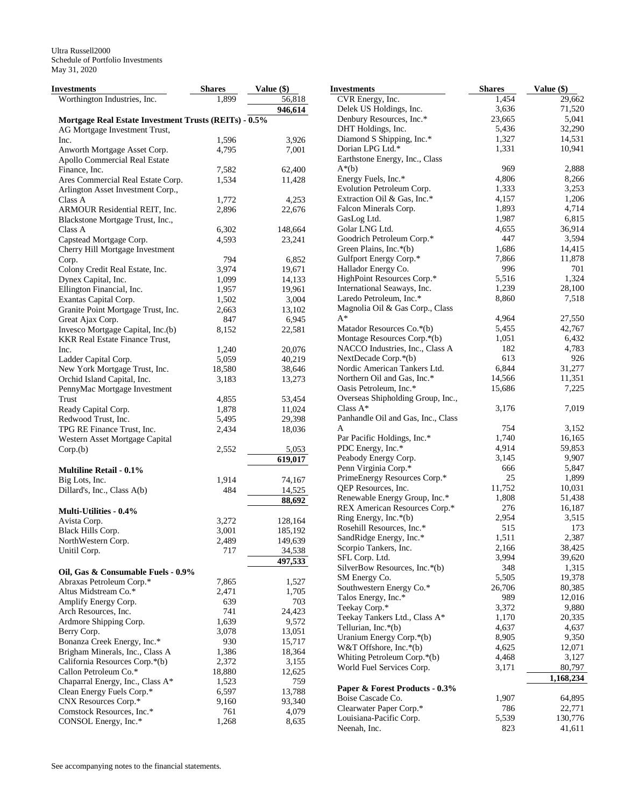| <b>Investments</b>                                    | <b>Shares</b> | Value (\$) | <b>Investments</b>                 | <b>Shares</b> | Value (\$) |
|-------------------------------------------------------|---------------|------------|------------------------------------|---------------|------------|
| Worthington Industries, Inc.                          | 1.899         | 56,818     | CVR Energy, Inc.                   | 1,454         | 29,662     |
|                                                       |               | 946,614    | Delek US Holdings, Inc.            | 3,636         | 71,520     |
| Mortgage Real Estate Investment Trusts (REITs) - 0.5% |               |            | Denbury Resources, Inc.*           | 23,665        | 5,041      |
| AG Mortgage Investment Trust,                         |               |            | DHT Holdings, Inc.                 | 5,436         | 32,290     |
| Inc.                                                  | 1,596         | 3,926      | Diamond S Shipping, Inc.*          | 1,327         | 14,531     |
| Anworth Mortgage Asset Corp.                          | 4,795         | 7,001      | Dorian LPG Ltd.*                   | 1,331         | 10,941     |
| Apollo Commercial Real Estate                         |               |            | Earthstone Energy, Inc., Class     |               |            |
| Finance, Inc.                                         | 7,582         | 62,400     | $A^*(b)$                           | 969           | 2,888      |
| Ares Commercial Real Estate Corp.                     | 1,534         | 11,428     | Energy Fuels, Inc.*                | 4,806         | 8,266      |
| Arlington Asset Investment Corp.,                     |               |            | Evolution Petroleum Corp.          | 1,333         | 3,253      |
|                                                       |               |            | Extraction Oil & Gas, Inc.*        | 4,157         | 1,206      |
| Class A                                               | 1,772         | 4,253      | Falcon Minerals Corp.              | 1,893         | 4,714      |
| ARMOUR Residential REIT, Inc.                         | 2,896         | 22,676     | GasLog Ltd.                        | 1,987         | 6,815      |
| Blackstone Mortgage Trust, Inc.,                      |               |            |                                    |               |            |
| Class A                                               | 6,302         | 148,664    | Golar LNG Ltd.                     | 4,655         | 36,914     |
| Capstead Mortgage Corp.                               | 4,593         | 23,241     | Goodrich Petroleum Corp.*          | 447           | 3,594      |
| Cherry Hill Mortgage Investment                       |               |            | Green Plains, Inc.*(b)             | 1,686         | 14,415     |
| Corp.                                                 | 794           | 6,852      | Gulfport Energy Corp.*             | 7,866         | 11,878     |
| Colony Credit Real Estate, Inc.                       | 3,974         | 19,671     | Hallador Energy Co.                | 996           | 701        |
| Dynex Capital, Inc.                                   | 1,099         | 14,133     | HighPoint Resources Corp.*         | 5,516         | 1,324      |
| Ellington Financial, Inc.                             | 1,957         | 19,961     | International Seaways, Inc.        | 1,239         | 28,100     |
| Exantas Capital Corp.                                 | 1,502         | 3,004      | Laredo Petroleum, Inc.*            | 8,860         | 7,518      |
| Granite Point Mortgage Trust, Inc.                    | 2,663         | 13,102     | Magnolia Oil & Gas Corp., Class    |               |            |
| Great Ajax Corp.                                      | 847           | 6,945      | $A^*$                              | 4,964         | 27,550     |
| Invesco Mortgage Capital, Inc.(b)                     | 8,152         | 22,581     | Matador Resources Co.*(b)          | 5,455         | 42,767     |
| <b>KKR Real Estate Finance Trust,</b>                 |               |            | Montage Resources Corp.*(b)        | 1,051         | 6,432      |
| Inc.                                                  | 1,240         | 20,076     | NACCO Industries, Inc., Class A    | 182           | 4,783      |
| Ladder Capital Corp.                                  | 5,059         | 40,219     | NextDecade Corp.*(b)               | 613           | 926        |
| New York Mortgage Trust, Inc.                         | 18,580        | 38,646     | Nordic American Tankers Ltd.       | 6,844         | 31,277     |
|                                                       |               |            | Northern Oil and Gas, Inc.*        | 14,566        | 11,351     |
| Orchid Island Capital, Inc.                           | 3,183         | 13,273     | Oasis Petroleum, Inc.*             | 15,686        | 7,225      |
| PennyMac Mortgage Investment                          |               |            |                                    |               |            |
| Trust                                                 | 4,855         | 53,454     | Overseas Shipholding Group, Inc.,  |               |            |
| Ready Capital Corp.                                   | 1,878         | 11,024     | Class $A^*$                        | 3,176         | 7,019      |
| Redwood Trust, Inc.                                   | 5,495         | 29,398     | Panhandle Oil and Gas, Inc., Class |               |            |
| TPG RE Finance Trust, Inc.                            | 2,434         | 18,036     | A                                  | 754           | 3,152      |
| Western Asset Mortgage Capital                        |               |            | Par Pacific Holdings, Inc.*        | 1,740         | 16,165     |
| Corp.(b)                                              | 2,552         | 5,053      | PDC Energy, Inc.*                  | 4,914         | 59,853     |
|                                                       |               | 619,017    | Peabody Energy Corp.               | 3,145         | 9,907      |
| <b>Multiline Retail - 0.1%</b>                        |               |            | Penn Virginia Corp.*               | 666           | 5,847      |
| Big Lots, Inc.                                        | 1,914         | 74,167     | PrimeEnergy Resources Corp.*       | 25            | 1,899      |
| Dillard's, Inc., Class A(b)                           | 484           | 14,525     | QEP Resources, Inc.                | 11,752        | 10,031     |
|                                                       |               | 88,692     | Renewable Energy Group, Inc.*      | 1,808         | 51,438     |
| Multi-Utilities - 0.4%                                |               |            | REX American Resources Corp.*      | 276           | 16,187     |
|                                                       |               |            | Ring Energy, Inc.*(b)              | 2,954         | 3,515      |
| Avista Corp.                                          | 3,272         | 128,164    | Rosehill Resources, Inc.*          | 515           | 173        |
| Black Hills Corp.                                     | 3,001         | 185,192    | SandRidge Energy, Inc.*            | 1,511         | 2,387      |
| NorthWestern Corp.                                    | 2,489         | 149,639    | Scorpio Tankers, Inc.              | 2,166         | 38,425     |
| Unitil Corp.                                          | 717           | 34,538     |                                    | 3,994         | 39,620     |
|                                                       |               | 497,533    | SFL Corp. Ltd.                     |               |            |
| Oil, Gas & Consumable Fuels - 0.9%                    |               |            | SilverBow Resources, Inc.*(b)      | 348           | 1,315      |
| Abraxas Petroleum Corp.*                              | 7,865         | 1,527      | SM Energy Co.                      | 5,505         | 19,378     |
| Altus Midstream Co.*                                  | 2,471         | 1,705      | Southwestern Energy Co.*           | 26,706        | 80,385     |
| Amplify Energy Corp.                                  | 639           | 703        | Talos Energy, Inc.*                | 989           | 12,016     |
| Arch Resources, Inc.                                  | 741           | 24,423     | Teekay Corp.*                      | 3,372         | 9,880      |
| Ardmore Shipping Corp.                                | 1,639         | 9,572      | Teekay Tankers Ltd., Class A*      | 1,170         | 20,335     |
| Berry Corp.                                           | 3,078         | 13,051     | Tellurian, Inc. $*(b)$             | 4,637         | 4,637      |
| Bonanza Creek Energy, Inc.*                           | 930           | 15,717     | Uranium Energy Corp.*(b)           | 8,905         | 9,350      |
| Brigham Minerals, Inc., Class A                       | 1,386         | 18,364     | W&T Offshore, Inc. $*(b)$          | 4,625         | 12,071     |
|                                                       |               |            | Whiting Petroleum Corp.*(b)        | 4,468         | 3,127      |
| California Resources Corp.*(b)                        | 2,372         | 3,155      | World Fuel Services Corp.          | 3,171         | 80,797     |
| Callon Petroleum Co.*                                 | 18,880        | 12,625     |                                    |               | 1,168,234  |
| Chaparral Energy, Inc., Class A*                      | 1,523         | 759        | Paper & Forest Products - 0.3%     |               |            |
| Clean Energy Fuels Corp.*                             | 6,597         | 13,788     | Boise Cascade Co.                  | 1,907         | 64,895     |
| CNX Resources Corp.*                                  | 9,160         | 93,340     | Clearwater Paper Corp.*            | 786           | 22,771     |
| Comstock Resources, Inc.*                             | 761           | 4,079      |                                    |               |            |
| CONSOL Energy, Inc.*                                  | 1,268         | 8,635      | Louisiana-Pacific Corp.            | 5,539         | 130,776    |
|                                                       |               |            | Neenah, Inc.                       | 823           | 41,611     |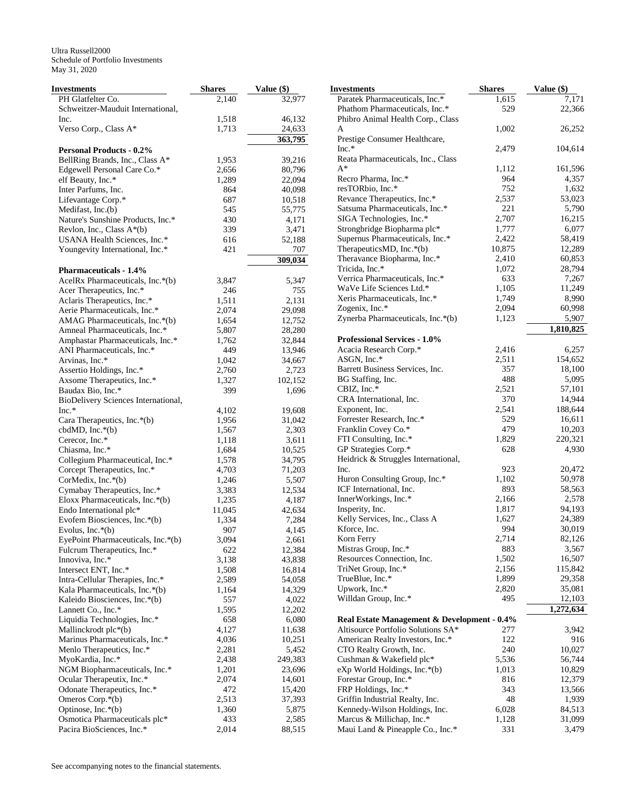| PH Glatfelter Co.<br>2,140<br>32,977<br>Paratek Pharmaceuticals, Inc.*<br>1,615<br>7,171<br>Schweitzer-Mauduit International,<br>Phathom Pharmaceuticals, Inc.*<br>529<br>22,366<br>1,518<br>46,132<br>Phibro Animal Health Corp., Class<br>Inc.<br>1,002<br>Verso Corp., Class A*<br>1,713<br>24,633<br>26,252<br>A<br>363,795<br>Prestige Consumer Healthcare,<br>$Inc.*$<br>2,479<br>104,614<br><b>Personal Products - 0.2%</b><br>Reata Pharmaceuticals, Inc., Class<br>BellRing Brands, Inc., Class A*<br>1,953<br>39,216<br>$A^*$<br>1,112<br>161,596<br>Edgewell Personal Care Co.*<br>2,656<br>80,796<br>964<br>Recro Pharma, Inc.*<br>4,357<br>1,289<br>22,094<br>elf Beauty, Inc.*<br>resTORbio, Inc.*<br>752<br>1,632<br>Inter Parfums, Inc.<br>864<br>40,098<br>Revance Therapeutics, Inc.*<br>2,537<br>53,023<br>687<br>Lifevantage Corp.*<br>10,518<br>221<br>5,790<br>Satsuma Pharmaceuticals, Inc.*<br>Medifast, Inc.(b)<br>545<br>55,775<br>2,707<br>SIGA Technologies, Inc.*<br>16,215<br>Nature's Sunshine Products, Inc.*<br>430<br>4,171<br>1,777<br>6,077<br>Strongbridge Biopharma plc*<br>Revlon, Inc., Class A*(b)<br>339<br>3,471<br>Supernus Pharmaceuticals, Inc.*<br>2,422<br>58,419<br>52,188<br>616<br>USANA Health Sciences, Inc.*<br>TherapeuticsMD, Inc.*(b)<br>10,875<br>12,289<br>Youngevity International, Inc.*<br>421<br>707<br>Theravance Biopharma, Inc.*<br>2,410<br>60,853<br>309,034<br>1,072<br>Tricida, Inc.*<br>28,794<br><b>Pharmaceuticals - 1.4%</b><br>633<br>Verrica Pharmaceuticals, Inc.*<br>7,267<br>AcelRx Pharmaceuticals, Inc.*(b)<br>3,847<br>5,347<br>1,105<br>WaVe Life Sciences Ltd.*<br>11,249<br>246<br>755<br>Acer Therapeutics, Inc.*<br>8,990<br>Xeris Pharmaceuticals, Inc.*<br>1,749<br>2,131<br>Aclaris Therapeutics, Inc.*<br>1,511<br>2,094<br>Zogenix, Inc.*<br>60,998<br>Aerie Pharmaceuticals, Inc.*<br>2,074<br>29,098<br>Zynerba Pharmaceuticals, Inc.*(b)<br>1,123<br>5,907<br>12,752<br>AMAG Pharmaceuticals, Inc.*(b)<br>1,654<br>1,810,825<br>Amneal Pharmaceuticals, Inc.*<br>5,807<br>28,280<br><b>Professional Services - 1.0%</b><br>32,844<br>Amphastar Pharmaceuticals, Inc.*<br>1,762<br>Acacia Research Corp.*<br>2,416<br>6,257<br>449<br>13,946<br>ANI Pharmaceuticals, Inc.*<br>2,511<br>154,652<br>ASGN, Inc. $*$<br>Arvinas, Inc.*<br>1,042<br>34,667<br>Barrett Business Services, Inc.<br>357<br>18,100<br>Assertio Holdings, Inc.*<br>2,760<br>2,723<br>488<br>5,095<br>BG Staffing, Inc.<br>Axsome Therapeutics, Inc.*<br>1,327<br>102,152<br>CBIZ, Inc.*<br>2,521<br>57,101<br>Baudax Bio, Inc.*<br>399<br>1,696<br>370<br>14,944<br>CRA International, Inc.<br>BioDelivery Sciences International,<br>2,541<br>188,644<br>Exponent, Inc.<br>$Inc.*$<br>4,102<br>19,608<br>Forrester Research, Inc.*<br>529<br>16,611<br>Cara Therapeutics, Inc.*(b)<br>1,956<br>31,042<br>479<br>10,203<br>Franklin Covey Co.*<br>2,303<br>cbdMD, $Inc.*(b)$<br>1,567<br>220,321<br>FTI Consulting, Inc.*<br>1,829<br>Cerecor, Inc.*<br>1,118<br>3,611<br>GP Strategies Corp.*<br>628<br>4,930<br>Chiasma, Inc.*<br>1,684<br>10,525<br>Heidrick & Struggles International,<br>34,795<br>Collegium Pharmaceutical, Inc.*<br>1,578<br>923<br>20,472<br>Corcept Therapeutics, Inc.*<br>4,703<br>71,203<br>Inc.<br>Huron Consulting Group, Inc.*<br>1,102<br>50,978<br>5,507<br>CorMedix, Inc.*(b)<br>1,246<br>893<br>ICF International, Inc.<br>58,563<br>Cymabay Therapeutics, Inc.*<br>3,383<br>12,534<br>InnerWorkings, Inc.*<br>2,166<br>2,578<br>4,187<br>Eloxx Pharmaceuticals, Inc.*(b)<br>1,235<br>94,193<br>Insperity, Inc.<br>1,817<br>Endo International plc*<br>42,634<br>11,045<br>Kelly Services, Inc., Class A<br>1,627<br>24,389<br>7,284<br>Evofem Biosciences, Inc.*(b)<br>1,334<br>994<br>Kforce, Inc.<br>30,019<br>907<br>4,145<br>Evolus, Inc. $*(b)$<br>2,714<br>82,126<br>Korn Ferry<br>3,094<br>EyePoint Pharmaceuticals, Inc.*(b)<br>2,661<br>Mistras Group, Inc.*<br>883<br>3,567<br>Fulcrum Therapeutics, Inc.*<br>622<br>12,384<br>Resources Connection, Inc.<br>1,502<br>16,507<br>Innoviva, Inc.*<br>3,138<br>43,838<br>2,156<br>115,842<br>TriNet Group, Inc.*<br>Intersect ENT, Inc.*<br>1,508<br>16,814<br>1,899<br>TrueBlue, Inc.*<br>29,358<br>Intra-Cellular Therapies, Inc.*<br>2,589<br>54,058<br>Upwork, Inc.*<br>2,820<br>35,081<br>14,329<br>Kala Pharmaceuticals, Inc.*(b)<br>1,164<br>Willdan Group, Inc.*<br>495<br>12,103<br>557<br>Kaleido Biosciences, Inc.*(b)<br>4,022<br>1,272,634<br>Lannett Co., Inc.*<br>1,595<br>12,202<br>Liquidia Technologies, Inc.*<br>658<br>6,080<br>Real Estate Management & Development - 0.4%<br>4,127<br>11,638<br>Altisource Portfolio Solutions SA*<br>3,942<br>Mallinckrodt plc*(b)<br>277<br>122<br>916<br>Marinus Pharmaceuticals, Inc.*<br>4,036<br>10,251<br>American Realty Investors, Inc.*<br>2,281<br>5,452<br>240<br>10,027<br>Menlo Therapeutics, Inc.*<br>CTO Realty Growth, Inc.<br>MyoKardia, Inc.*<br>249,383<br>Cushman & Wakefield plc*<br>5,536<br>2,438<br>56,744<br>NGM Biopharmaceuticals, Inc.*<br>1,013<br>1,201<br>23,696<br>eXp World Holdings, Inc.*(b)<br>10,829<br>Ocular Therapeutix, Inc.*<br>2,074<br>14,601<br>Forestar Group, Inc.*<br>816<br>12,379<br>472<br>FRP Holdings, Inc.*<br>Odonate Therapeutics, Inc.*<br>15,420<br>343<br>13,566<br>37,393<br>48<br>Omeros Corp. $*(b)$<br>2,513<br>Griffin Industrial Realty, Inc.<br>1,939<br>Kennedy-Wilson Holdings, Inc.<br>6,028<br>Optinose, Inc. $*(b)$<br>1,360<br>5,875<br>84,513<br>Osmotica Pharmaceuticals plc*<br>2,585<br>Marcus & Millichap, Inc.*<br>433<br>1,128<br>31,099<br>Pacira BioSciences, Inc.*<br>2,014<br>88,515<br>Maui Land & Pineapple Co., Inc.*<br>331<br>3,479 | Investments | <b>Shares</b> | Value (\$) | <b>Investments</b> | <b>Shares</b> | Value (\$) |
|--------------------------------------------------------------------------------------------------------------------------------------------------------------------------------------------------------------------------------------------------------------------------------------------------------------------------------------------------------------------------------------------------------------------------------------------------------------------------------------------------------------------------------------------------------------------------------------------------------------------------------------------------------------------------------------------------------------------------------------------------------------------------------------------------------------------------------------------------------------------------------------------------------------------------------------------------------------------------------------------------------------------------------------------------------------------------------------------------------------------------------------------------------------------------------------------------------------------------------------------------------------------------------------------------------------------------------------------------------------------------------------------------------------------------------------------------------------------------------------------------------------------------------------------------------------------------------------------------------------------------------------------------------------------------------------------------------------------------------------------------------------------------------------------------------------------------------------------------------------------------------------------------------------------------------------------------------------------------------------------------------------------------------------------------------------------------------------------------------------------------------------------------------------------------------------------------------------------------------------------------------------------------------------------------------------------------------------------------------------------------------------------------------------------------------------------------------------------------------------------------------------------------------------------------------------------------------------------------------------------------------------------------------------------------------------------------------------------------------------------------------------------------------------------------------------------------------------------------------------------------------------------------------------------------------------------------------------------------------------------------------------------------------------------------------------------------------------------------------------------------------------------------------------------------------------------------------------------------------------------------------------------------------------------------------------------------------------------------------------------------------------------------------------------------------------------------------------------------------------------------------------------------------------------------------------------------------------------------------------------------------------------------------------------------------------------------------------------------------------------------------------------------------------------------------------------------------------------------------------------------------------------------------------------------------------------------------------------------------------------------------------------------------------------------------------------------------------------------------------------------------------------------------------------------------------------------------------------------------------------------------------------------------------------------------------------------------------------------------------------------------------------------------------------------------------------------------------------------------------------------------------------------------------------------------------------------------------------------------------------------------------------------------------------------------------------------------------------------------------------------------------------------------------------------------------------------------------------------------------------------------------------------------------------------------------------------------------------------------------------------------------------------------------------------------------------------------------------------------------------------------------------------------------------------------------------------------------------------------------------------------------------------------------------------------------------------------------------------------------------------------------------------------------------------------------------------------------------------------------------------------------------------------------------------------------------------------------------------------------------------------------------------------------------------------------------------------------------------------------------------|-------------|---------------|------------|--------------------|---------------|------------|
|                                                                                                                                                                                                                                                                                                                                                                                                                                                                                                                                                                                                                                                                                                                                                                                                                                                                                                                                                                                                                                                                                                                                                                                                                                                                                                                                                                                                                                                                                                                                                                                                                                                                                                                                                                                                                                                                                                                                                                                                                                                                                                                                                                                                                                                                                                                                                                                                                                                                                                                                                                                                                                                                                                                                                                                                                                                                                                                                                                                                                                                                                                                                                                                                                                                                                                                                                                                                                                                                                                                                                                                                                                                                                                                                                                                                                                                                                                                                                                                                                                                                                                                                                                                                                                                                                                                                                                                                                                                                                                                                                                                                                                                                                                                                                                                                                                                                                                                                                                                                                                                                                                                                                                                                                                                                                                                                                                                                                                                                                                                                                                                                                                                                                                                                                  |             |               |            |                    |               |            |
|                                                                                                                                                                                                                                                                                                                                                                                                                                                                                                                                                                                                                                                                                                                                                                                                                                                                                                                                                                                                                                                                                                                                                                                                                                                                                                                                                                                                                                                                                                                                                                                                                                                                                                                                                                                                                                                                                                                                                                                                                                                                                                                                                                                                                                                                                                                                                                                                                                                                                                                                                                                                                                                                                                                                                                                                                                                                                                                                                                                                                                                                                                                                                                                                                                                                                                                                                                                                                                                                                                                                                                                                                                                                                                                                                                                                                                                                                                                                                                                                                                                                                                                                                                                                                                                                                                                                                                                                                                                                                                                                                                                                                                                                                                                                                                                                                                                                                                                                                                                                                                                                                                                                                                                                                                                                                                                                                                                                                                                                                                                                                                                                                                                                                                                                                  |             |               |            |                    |               |            |
|                                                                                                                                                                                                                                                                                                                                                                                                                                                                                                                                                                                                                                                                                                                                                                                                                                                                                                                                                                                                                                                                                                                                                                                                                                                                                                                                                                                                                                                                                                                                                                                                                                                                                                                                                                                                                                                                                                                                                                                                                                                                                                                                                                                                                                                                                                                                                                                                                                                                                                                                                                                                                                                                                                                                                                                                                                                                                                                                                                                                                                                                                                                                                                                                                                                                                                                                                                                                                                                                                                                                                                                                                                                                                                                                                                                                                                                                                                                                                                                                                                                                                                                                                                                                                                                                                                                                                                                                                                                                                                                                                                                                                                                                                                                                                                                                                                                                                                                                                                                                                                                                                                                                                                                                                                                                                                                                                                                                                                                                                                                                                                                                                                                                                                                                                  |             |               |            |                    |               |            |
|                                                                                                                                                                                                                                                                                                                                                                                                                                                                                                                                                                                                                                                                                                                                                                                                                                                                                                                                                                                                                                                                                                                                                                                                                                                                                                                                                                                                                                                                                                                                                                                                                                                                                                                                                                                                                                                                                                                                                                                                                                                                                                                                                                                                                                                                                                                                                                                                                                                                                                                                                                                                                                                                                                                                                                                                                                                                                                                                                                                                                                                                                                                                                                                                                                                                                                                                                                                                                                                                                                                                                                                                                                                                                                                                                                                                                                                                                                                                                                                                                                                                                                                                                                                                                                                                                                                                                                                                                                                                                                                                                                                                                                                                                                                                                                                                                                                                                                                                                                                                                                                                                                                                                                                                                                                                                                                                                                                                                                                                                                                                                                                                                                                                                                                                                  |             |               |            |                    |               |            |
|                                                                                                                                                                                                                                                                                                                                                                                                                                                                                                                                                                                                                                                                                                                                                                                                                                                                                                                                                                                                                                                                                                                                                                                                                                                                                                                                                                                                                                                                                                                                                                                                                                                                                                                                                                                                                                                                                                                                                                                                                                                                                                                                                                                                                                                                                                                                                                                                                                                                                                                                                                                                                                                                                                                                                                                                                                                                                                                                                                                                                                                                                                                                                                                                                                                                                                                                                                                                                                                                                                                                                                                                                                                                                                                                                                                                                                                                                                                                                                                                                                                                                                                                                                                                                                                                                                                                                                                                                                                                                                                                                                                                                                                                                                                                                                                                                                                                                                                                                                                                                                                                                                                                                                                                                                                                                                                                                                                                                                                                                                                                                                                                                                                                                                                                                  |             |               |            |                    |               |            |
|                                                                                                                                                                                                                                                                                                                                                                                                                                                                                                                                                                                                                                                                                                                                                                                                                                                                                                                                                                                                                                                                                                                                                                                                                                                                                                                                                                                                                                                                                                                                                                                                                                                                                                                                                                                                                                                                                                                                                                                                                                                                                                                                                                                                                                                                                                                                                                                                                                                                                                                                                                                                                                                                                                                                                                                                                                                                                                                                                                                                                                                                                                                                                                                                                                                                                                                                                                                                                                                                                                                                                                                                                                                                                                                                                                                                                                                                                                                                                                                                                                                                                                                                                                                                                                                                                                                                                                                                                                                                                                                                                                                                                                                                                                                                                                                                                                                                                                                                                                                                                                                                                                                                                                                                                                                                                                                                                                                                                                                                                                                                                                                                                                                                                                                                                  |             |               |            |                    |               |            |
|                                                                                                                                                                                                                                                                                                                                                                                                                                                                                                                                                                                                                                                                                                                                                                                                                                                                                                                                                                                                                                                                                                                                                                                                                                                                                                                                                                                                                                                                                                                                                                                                                                                                                                                                                                                                                                                                                                                                                                                                                                                                                                                                                                                                                                                                                                                                                                                                                                                                                                                                                                                                                                                                                                                                                                                                                                                                                                                                                                                                                                                                                                                                                                                                                                                                                                                                                                                                                                                                                                                                                                                                                                                                                                                                                                                                                                                                                                                                                                                                                                                                                                                                                                                                                                                                                                                                                                                                                                                                                                                                                                                                                                                                                                                                                                                                                                                                                                                                                                                                                                                                                                                                                                                                                                                                                                                                                                                                                                                                                                                                                                                                                                                                                                                                                  |             |               |            |                    |               |            |
|                                                                                                                                                                                                                                                                                                                                                                                                                                                                                                                                                                                                                                                                                                                                                                                                                                                                                                                                                                                                                                                                                                                                                                                                                                                                                                                                                                                                                                                                                                                                                                                                                                                                                                                                                                                                                                                                                                                                                                                                                                                                                                                                                                                                                                                                                                                                                                                                                                                                                                                                                                                                                                                                                                                                                                                                                                                                                                                                                                                                                                                                                                                                                                                                                                                                                                                                                                                                                                                                                                                                                                                                                                                                                                                                                                                                                                                                                                                                                                                                                                                                                                                                                                                                                                                                                                                                                                                                                                                                                                                                                                                                                                                                                                                                                                                                                                                                                                                                                                                                                                                                                                                                                                                                                                                                                                                                                                                                                                                                                                                                                                                                                                                                                                                                                  |             |               |            |                    |               |            |
|                                                                                                                                                                                                                                                                                                                                                                                                                                                                                                                                                                                                                                                                                                                                                                                                                                                                                                                                                                                                                                                                                                                                                                                                                                                                                                                                                                                                                                                                                                                                                                                                                                                                                                                                                                                                                                                                                                                                                                                                                                                                                                                                                                                                                                                                                                                                                                                                                                                                                                                                                                                                                                                                                                                                                                                                                                                                                                                                                                                                                                                                                                                                                                                                                                                                                                                                                                                                                                                                                                                                                                                                                                                                                                                                                                                                                                                                                                                                                                                                                                                                                                                                                                                                                                                                                                                                                                                                                                                                                                                                                                                                                                                                                                                                                                                                                                                                                                                                                                                                                                                                                                                                                                                                                                                                                                                                                                                                                                                                                                                                                                                                                                                                                                                                                  |             |               |            |                    |               |            |
|                                                                                                                                                                                                                                                                                                                                                                                                                                                                                                                                                                                                                                                                                                                                                                                                                                                                                                                                                                                                                                                                                                                                                                                                                                                                                                                                                                                                                                                                                                                                                                                                                                                                                                                                                                                                                                                                                                                                                                                                                                                                                                                                                                                                                                                                                                                                                                                                                                                                                                                                                                                                                                                                                                                                                                                                                                                                                                                                                                                                                                                                                                                                                                                                                                                                                                                                                                                                                                                                                                                                                                                                                                                                                                                                                                                                                                                                                                                                                                                                                                                                                                                                                                                                                                                                                                                                                                                                                                                                                                                                                                                                                                                                                                                                                                                                                                                                                                                                                                                                                                                                                                                                                                                                                                                                                                                                                                                                                                                                                                                                                                                                                                                                                                                                                  |             |               |            |                    |               |            |
|                                                                                                                                                                                                                                                                                                                                                                                                                                                                                                                                                                                                                                                                                                                                                                                                                                                                                                                                                                                                                                                                                                                                                                                                                                                                                                                                                                                                                                                                                                                                                                                                                                                                                                                                                                                                                                                                                                                                                                                                                                                                                                                                                                                                                                                                                                                                                                                                                                                                                                                                                                                                                                                                                                                                                                                                                                                                                                                                                                                                                                                                                                                                                                                                                                                                                                                                                                                                                                                                                                                                                                                                                                                                                                                                                                                                                                                                                                                                                                                                                                                                                                                                                                                                                                                                                                                                                                                                                                                                                                                                                                                                                                                                                                                                                                                                                                                                                                                                                                                                                                                                                                                                                                                                                                                                                                                                                                                                                                                                                                                                                                                                                                                                                                                                                  |             |               |            |                    |               |            |
|                                                                                                                                                                                                                                                                                                                                                                                                                                                                                                                                                                                                                                                                                                                                                                                                                                                                                                                                                                                                                                                                                                                                                                                                                                                                                                                                                                                                                                                                                                                                                                                                                                                                                                                                                                                                                                                                                                                                                                                                                                                                                                                                                                                                                                                                                                                                                                                                                                                                                                                                                                                                                                                                                                                                                                                                                                                                                                                                                                                                                                                                                                                                                                                                                                                                                                                                                                                                                                                                                                                                                                                                                                                                                                                                                                                                                                                                                                                                                                                                                                                                                                                                                                                                                                                                                                                                                                                                                                                                                                                                                                                                                                                                                                                                                                                                                                                                                                                                                                                                                                                                                                                                                                                                                                                                                                                                                                                                                                                                                                                                                                                                                                                                                                                                                  |             |               |            |                    |               |            |
|                                                                                                                                                                                                                                                                                                                                                                                                                                                                                                                                                                                                                                                                                                                                                                                                                                                                                                                                                                                                                                                                                                                                                                                                                                                                                                                                                                                                                                                                                                                                                                                                                                                                                                                                                                                                                                                                                                                                                                                                                                                                                                                                                                                                                                                                                                                                                                                                                                                                                                                                                                                                                                                                                                                                                                                                                                                                                                                                                                                                                                                                                                                                                                                                                                                                                                                                                                                                                                                                                                                                                                                                                                                                                                                                                                                                                                                                                                                                                                                                                                                                                                                                                                                                                                                                                                                                                                                                                                                                                                                                                                                                                                                                                                                                                                                                                                                                                                                                                                                                                                                                                                                                                                                                                                                                                                                                                                                                                                                                                                                                                                                                                                                                                                                                                  |             |               |            |                    |               |            |
|                                                                                                                                                                                                                                                                                                                                                                                                                                                                                                                                                                                                                                                                                                                                                                                                                                                                                                                                                                                                                                                                                                                                                                                                                                                                                                                                                                                                                                                                                                                                                                                                                                                                                                                                                                                                                                                                                                                                                                                                                                                                                                                                                                                                                                                                                                                                                                                                                                                                                                                                                                                                                                                                                                                                                                                                                                                                                                                                                                                                                                                                                                                                                                                                                                                                                                                                                                                                                                                                                                                                                                                                                                                                                                                                                                                                                                                                                                                                                                                                                                                                                                                                                                                                                                                                                                                                                                                                                                                                                                                                                                                                                                                                                                                                                                                                                                                                                                                                                                                                                                                                                                                                                                                                                                                                                                                                                                                                                                                                                                                                                                                                                                                                                                                                                  |             |               |            |                    |               |            |
|                                                                                                                                                                                                                                                                                                                                                                                                                                                                                                                                                                                                                                                                                                                                                                                                                                                                                                                                                                                                                                                                                                                                                                                                                                                                                                                                                                                                                                                                                                                                                                                                                                                                                                                                                                                                                                                                                                                                                                                                                                                                                                                                                                                                                                                                                                                                                                                                                                                                                                                                                                                                                                                                                                                                                                                                                                                                                                                                                                                                                                                                                                                                                                                                                                                                                                                                                                                                                                                                                                                                                                                                                                                                                                                                                                                                                                                                                                                                                                                                                                                                                                                                                                                                                                                                                                                                                                                                                                                                                                                                                                                                                                                                                                                                                                                                                                                                                                                                                                                                                                                                                                                                                                                                                                                                                                                                                                                                                                                                                                                                                                                                                                                                                                                                                  |             |               |            |                    |               |            |
|                                                                                                                                                                                                                                                                                                                                                                                                                                                                                                                                                                                                                                                                                                                                                                                                                                                                                                                                                                                                                                                                                                                                                                                                                                                                                                                                                                                                                                                                                                                                                                                                                                                                                                                                                                                                                                                                                                                                                                                                                                                                                                                                                                                                                                                                                                                                                                                                                                                                                                                                                                                                                                                                                                                                                                                                                                                                                                                                                                                                                                                                                                                                                                                                                                                                                                                                                                                                                                                                                                                                                                                                                                                                                                                                                                                                                                                                                                                                                                                                                                                                                                                                                                                                                                                                                                                                                                                                                                                                                                                                                                                                                                                                                                                                                                                                                                                                                                                                                                                                                                                                                                                                                                                                                                                                                                                                                                                                                                                                                                                                                                                                                                                                                                                                                  |             |               |            |                    |               |            |
|                                                                                                                                                                                                                                                                                                                                                                                                                                                                                                                                                                                                                                                                                                                                                                                                                                                                                                                                                                                                                                                                                                                                                                                                                                                                                                                                                                                                                                                                                                                                                                                                                                                                                                                                                                                                                                                                                                                                                                                                                                                                                                                                                                                                                                                                                                                                                                                                                                                                                                                                                                                                                                                                                                                                                                                                                                                                                                                                                                                                                                                                                                                                                                                                                                                                                                                                                                                                                                                                                                                                                                                                                                                                                                                                                                                                                                                                                                                                                                                                                                                                                                                                                                                                                                                                                                                                                                                                                                                                                                                                                                                                                                                                                                                                                                                                                                                                                                                                                                                                                                                                                                                                                                                                                                                                                                                                                                                                                                                                                                                                                                                                                                                                                                                                                  |             |               |            |                    |               |            |
|                                                                                                                                                                                                                                                                                                                                                                                                                                                                                                                                                                                                                                                                                                                                                                                                                                                                                                                                                                                                                                                                                                                                                                                                                                                                                                                                                                                                                                                                                                                                                                                                                                                                                                                                                                                                                                                                                                                                                                                                                                                                                                                                                                                                                                                                                                                                                                                                                                                                                                                                                                                                                                                                                                                                                                                                                                                                                                                                                                                                                                                                                                                                                                                                                                                                                                                                                                                                                                                                                                                                                                                                                                                                                                                                                                                                                                                                                                                                                                                                                                                                                                                                                                                                                                                                                                                                                                                                                                                                                                                                                                                                                                                                                                                                                                                                                                                                                                                                                                                                                                                                                                                                                                                                                                                                                                                                                                                                                                                                                                                                                                                                                                                                                                                                                  |             |               |            |                    |               |            |
|                                                                                                                                                                                                                                                                                                                                                                                                                                                                                                                                                                                                                                                                                                                                                                                                                                                                                                                                                                                                                                                                                                                                                                                                                                                                                                                                                                                                                                                                                                                                                                                                                                                                                                                                                                                                                                                                                                                                                                                                                                                                                                                                                                                                                                                                                                                                                                                                                                                                                                                                                                                                                                                                                                                                                                                                                                                                                                                                                                                                                                                                                                                                                                                                                                                                                                                                                                                                                                                                                                                                                                                                                                                                                                                                                                                                                                                                                                                                                                                                                                                                                                                                                                                                                                                                                                                                                                                                                                                                                                                                                                                                                                                                                                                                                                                                                                                                                                                                                                                                                                                                                                                                                                                                                                                                                                                                                                                                                                                                                                                                                                                                                                                                                                                                                  |             |               |            |                    |               |            |
|                                                                                                                                                                                                                                                                                                                                                                                                                                                                                                                                                                                                                                                                                                                                                                                                                                                                                                                                                                                                                                                                                                                                                                                                                                                                                                                                                                                                                                                                                                                                                                                                                                                                                                                                                                                                                                                                                                                                                                                                                                                                                                                                                                                                                                                                                                                                                                                                                                                                                                                                                                                                                                                                                                                                                                                                                                                                                                                                                                                                                                                                                                                                                                                                                                                                                                                                                                                                                                                                                                                                                                                                                                                                                                                                                                                                                                                                                                                                                                                                                                                                                                                                                                                                                                                                                                                                                                                                                                                                                                                                                                                                                                                                                                                                                                                                                                                                                                                                                                                                                                                                                                                                                                                                                                                                                                                                                                                                                                                                                                                                                                                                                                                                                                                                                  |             |               |            |                    |               |            |
|                                                                                                                                                                                                                                                                                                                                                                                                                                                                                                                                                                                                                                                                                                                                                                                                                                                                                                                                                                                                                                                                                                                                                                                                                                                                                                                                                                                                                                                                                                                                                                                                                                                                                                                                                                                                                                                                                                                                                                                                                                                                                                                                                                                                                                                                                                                                                                                                                                                                                                                                                                                                                                                                                                                                                                                                                                                                                                                                                                                                                                                                                                                                                                                                                                                                                                                                                                                                                                                                                                                                                                                                                                                                                                                                                                                                                                                                                                                                                                                                                                                                                                                                                                                                                                                                                                                                                                                                                                                                                                                                                                                                                                                                                                                                                                                                                                                                                                                                                                                                                                                                                                                                                                                                                                                                                                                                                                                                                                                                                                                                                                                                                                                                                                                                                  |             |               |            |                    |               |            |
|                                                                                                                                                                                                                                                                                                                                                                                                                                                                                                                                                                                                                                                                                                                                                                                                                                                                                                                                                                                                                                                                                                                                                                                                                                                                                                                                                                                                                                                                                                                                                                                                                                                                                                                                                                                                                                                                                                                                                                                                                                                                                                                                                                                                                                                                                                                                                                                                                                                                                                                                                                                                                                                                                                                                                                                                                                                                                                                                                                                                                                                                                                                                                                                                                                                                                                                                                                                                                                                                                                                                                                                                                                                                                                                                                                                                                                                                                                                                                                                                                                                                                                                                                                                                                                                                                                                                                                                                                                                                                                                                                                                                                                                                                                                                                                                                                                                                                                                                                                                                                                                                                                                                                                                                                                                                                                                                                                                                                                                                                                                                                                                                                                                                                                                                                  |             |               |            |                    |               |            |
|                                                                                                                                                                                                                                                                                                                                                                                                                                                                                                                                                                                                                                                                                                                                                                                                                                                                                                                                                                                                                                                                                                                                                                                                                                                                                                                                                                                                                                                                                                                                                                                                                                                                                                                                                                                                                                                                                                                                                                                                                                                                                                                                                                                                                                                                                                                                                                                                                                                                                                                                                                                                                                                                                                                                                                                                                                                                                                                                                                                                                                                                                                                                                                                                                                                                                                                                                                                                                                                                                                                                                                                                                                                                                                                                                                                                                                                                                                                                                                                                                                                                                                                                                                                                                                                                                                                                                                                                                                                                                                                                                                                                                                                                                                                                                                                                                                                                                                                                                                                                                                                                                                                                                                                                                                                                                                                                                                                                                                                                                                                                                                                                                                                                                                                                                  |             |               |            |                    |               |            |
|                                                                                                                                                                                                                                                                                                                                                                                                                                                                                                                                                                                                                                                                                                                                                                                                                                                                                                                                                                                                                                                                                                                                                                                                                                                                                                                                                                                                                                                                                                                                                                                                                                                                                                                                                                                                                                                                                                                                                                                                                                                                                                                                                                                                                                                                                                                                                                                                                                                                                                                                                                                                                                                                                                                                                                                                                                                                                                                                                                                                                                                                                                                                                                                                                                                                                                                                                                                                                                                                                                                                                                                                                                                                                                                                                                                                                                                                                                                                                                                                                                                                                                                                                                                                                                                                                                                                                                                                                                                                                                                                                                                                                                                                                                                                                                                                                                                                                                                                                                                                                                                                                                                                                                                                                                                                                                                                                                                                                                                                                                                                                                                                                                                                                                                                                  |             |               |            |                    |               |            |
|                                                                                                                                                                                                                                                                                                                                                                                                                                                                                                                                                                                                                                                                                                                                                                                                                                                                                                                                                                                                                                                                                                                                                                                                                                                                                                                                                                                                                                                                                                                                                                                                                                                                                                                                                                                                                                                                                                                                                                                                                                                                                                                                                                                                                                                                                                                                                                                                                                                                                                                                                                                                                                                                                                                                                                                                                                                                                                                                                                                                                                                                                                                                                                                                                                                                                                                                                                                                                                                                                                                                                                                                                                                                                                                                                                                                                                                                                                                                                                                                                                                                                                                                                                                                                                                                                                                                                                                                                                                                                                                                                                                                                                                                                                                                                                                                                                                                                                                                                                                                                                                                                                                                                                                                                                                                                                                                                                                                                                                                                                                                                                                                                                                                                                                                                  |             |               |            |                    |               |            |
|                                                                                                                                                                                                                                                                                                                                                                                                                                                                                                                                                                                                                                                                                                                                                                                                                                                                                                                                                                                                                                                                                                                                                                                                                                                                                                                                                                                                                                                                                                                                                                                                                                                                                                                                                                                                                                                                                                                                                                                                                                                                                                                                                                                                                                                                                                                                                                                                                                                                                                                                                                                                                                                                                                                                                                                                                                                                                                                                                                                                                                                                                                                                                                                                                                                                                                                                                                                                                                                                                                                                                                                                                                                                                                                                                                                                                                                                                                                                                                                                                                                                                                                                                                                                                                                                                                                                                                                                                                                                                                                                                                                                                                                                                                                                                                                                                                                                                                                                                                                                                                                                                                                                                                                                                                                                                                                                                                                                                                                                                                                                                                                                                                                                                                                                                  |             |               |            |                    |               |            |
|                                                                                                                                                                                                                                                                                                                                                                                                                                                                                                                                                                                                                                                                                                                                                                                                                                                                                                                                                                                                                                                                                                                                                                                                                                                                                                                                                                                                                                                                                                                                                                                                                                                                                                                                                                                                                                                                                                                                                                                                                                                                                                                                                                                                                                                                                                                                                                                                                                                                                                                                                                                                                                                                                                                                                                                                                                                                                                                                                                                                                                                                                                                                                                                                                                                                                                                                                                                                                                                                                                                                                                                                                                                                                                                                                                                                                                                                                                                                                                                                                                                                                                                                                                                                                                                                                                                                                                                                                                                                                                                                                                                                                                                                                                                                                                                                                                                                                                                                                                                                                                                                                                                                                                                                                                                                                                                                                                                                                                                                                                                                                                                                                                                                                                                                                  |             |               |            |                    |               |            |
|                                                                                                                                                                                                                                                                                                                                                                                                                                                                                                                                                                                                                                                                                                                                                                                                                                                                                                                                                                                                                                                                                                                                                                                                                                                                                                                                                                                                                                                                                                                                                                                                                                                                                                                                                                                                                                                                                                                                                                                                                                                                                                                                                                                                                                                                                                                                                                                                                                                                                                                                                                                                                                                                                                                                                                                                                                                                                                                                                                                                                                                                                                                                                                                                                                                                                                                                                                                                                                                                                                                                                                                                                                                                                                                                                                                                                                                                                                                                                                                                                                                                                                                                                                                                                                                                                                                                                                                                                                                                                                                                                                                                                                                                                                                                                                                                                                                                                                                                                                                                                                                                                                                                                                                                                                                                                                                                                                                                                                                                                                                                                                                                                                                                                                                                                  |             |               |            |                    |               |            |
|                                                                                                                                                                                                                                                                                                                                                                                                                                                                                                                                                                                                                                                                                                                                                                                                                                                                                                                                                                                                                                                                                                                                                                                                                                                                                                                                                                                                                                                                                                                                                                                                                                                                                                                                                                                                                                                                                                                                                                                                                                                                                                                                                                                                                                                                                                                                                                                                                                                                                                                                                                                                                                                                                                                                                                                                                                                                                                                                                                                                                                                                                                                                                                                                                                                                                                                                                                                                                                                                                                                                                                                                                                                                                                                                                                                                                                                                                                                                                                                                                                                                                                                                                                                                                                                                                                                                                                                                                                                                                                                                                                                                                                                                                                                                                                                                                                                                                                                                                                                                                                                                                                                                                                                                                                                                                                                                                                                                                                                                                                                                                                                                                                                                                                                                                  |             |               |            |                    |               |            |
|                                                                                                                                                                                                                                                                                                                                                                                                                                                                                                                                                                                                                                                                                                                                                                                                                                                                                                                                                                                                                                                                                                                                                                                                                                                                                                                                                                                                                                                                                                                                                                                                                                                                                                                                                                                                                                                                                                                                                                                                                                                                                                                                                                                                                                                                                                                                                                                                                                                                                                                                                                                                                                                                                                                                                                                                                                                                                                                                                                                                                                                                                                                                                                                                                                                                                                                                                                                                                                                                                                                                                                                                                                                                                                                                                                                                                                                                                                                                                                                                                                                                                                                                                                                                                                                                                                                                                                                                                                                                                                                                                                                                                                                                                                                                                                                                                                                                                                                                                                                                                                                                                                                                                                                                                                                                                                                                                                                                                                                                                                                                                                                                                                                                                                                                                  |             |               |            |                    |               |            |
|                                                                                                                                                                                                                                                                                                                                                                                                                                                                                                                                                                                                                                                                                                                                                                                                                                                                                                                                                                                                                                                                                                                                                                                                                                                                                                                                                                                                                                                                                                                                                                                                                                                                                                                                                                                                                                                                                                                                                                                                                                                                                                                                                                                                                                                                                                                                                                                                                                                                                                                                                                                                                                                                                                                                                                                                                                                                                                                                                                                                                                                                                                                                                                                                                                                                                                                                                                                                                                                                                                                                                                                                                                                                                                                                                                                                                                                                                                                                                                                                                                                                                                                                                                                                                                                                                                                                                                                                                                                                                                                                                                                                                                                                                                                                                                                                                                                                                                                                                                                                                                                                                                                                                                                                                                                                                                                                                                                                                                                                                                                                                                                                                                                                                                                                                  |             |               |            |                    |               |            |
|                                                                                                                                                                                                                                                                                                                                                                                                                                                                                                                                                                                                                                                                                                                                                                                                                                                                                                                                                                                                                                                                                                                                                                                                                                                                                                                                                                                                                                                                                                                                                                                                                                                                                                                                                                                                                                                                                                                                                                                                                                                                                                                                                                                                                                                                                                                                                                                                                                                                                                                                                                                                                                                                                                                                                                                                                                                                                                                                                                                                                                                                                                                                                                                                                                                                                                                                                                                                                                                                                                                                                                                                                                                                                                                                                                                                                                                                                                                                                                                                                                                                                                                                                                                                                                                                                                                                                                                                                                                                                                                                                                                                                                                                                                                                                                                                                                                                                                                                                                                                                                                                                                                                                                                                                                                                                                                                                                                                                                                                                                                                                                                                                                                                                                                                                  |             |               |            |                    |               |            |
|                                                                                                                                                                                                                                                                                                                                                                                                                                                                                                                                                                                                                                                                                                                                                                                                                                                                                                                                                                                                                                                                                                                                                                                                                                                                                                                                                                                                                                                                                                                                                                                                                                                                                                                                                                                                                                                                                                                                                                                                                                                                                                                                                                                                                                                                                                                                                                                                                                                                                                                                                                                                                                                                                                                                                                                                                                                                                                                                                                                                                                                                                                                                                                                                                                                                                                                                                                                                                                                                                                                                                                                                                                                                                                                                                                                                                                                                                                                                                                                                                                                                                                                                                                                                                                                                                                                                                                                                                                                                                                                                                                                                                                                                                                                                                                                                                                                                                                                                                                                                                                                                                                                                                                                                                                                                                                                                                                                                                                                                                                                                                                                                                                                                                                                                                  |             |               |            |                    |               |            |
|                                                                                                                                                                                                                                                                                                                                                                                                                                                                                                                                                                                                                                                                                                                                                                                                                                                                                                                                                                                                                                                                                                                                                                                                                                                                                                                                                                                                                                                                                                                                                                                                                                                                                                                                                                                                                                                                                                                                                                                                                                                                                                                                                                                                                                                                                                                                                                                                                                                                                                                                                                                                                                                                                                                                                                                                                                                                                                                                                                                                                                                                                                                                                                                                                                                                                                                                                                                                                                                                                                                                                                                                                                                                                                                                                                                                                                                                                                                                                                                                                                                                                                                                                                                                                                                                                                                                                                                                                                                                                                                                                                                                                                                                                                                                                                                                                                                                                                                                                                                                                                                                                                                                                                                                                                                                                                                                                                                                                                                                                                                                                                                                                                                                                                                                                  |             |               |            |                    |               |            |
|                                                                                                                                                                                                                                                                                                                                                                                                                                                                                                                                                                                                                                                                                                                                                                                                                                                                                                                                                                                                                                                                                                                                                                                                                                                                                                                                                                                                                                                                                                                                                                                                                                                                                                                                                                                                                                                                                                                                                                                                                                                                                                                                                                                                                                                                                                                                                                                                                                                                                                                                                                                                                                                                                                                                                                                                                                                                                                                                                                                                                                                                                                                                                                                                                                                                                                                                                                                                                                                                                                                                                                                                                                                                                                                                                                                                                                                                                                                                                                                                                                                                                                                                                                                                                                                                                                                                                                                                                                                                                                                                                                                                                                                                                                                                                                                                                                                                                                                                                                                                                                                                                                                                                                                                                                                                                                                                                                                                                                                                                                                                                                                                                                                                                                                                                  |             |               |            |                    |               |            |
|                                                                                                                                                                                                                                                                                                                                                                                                                                                                                                                                                                                                                                                                                                                                                                                                                                                                                                                                                                                                                                                                                                                                                                                                                                                                                                                                                                                                                                                                                                                                                                                                                                                                                                                                                                                                                                                                                                                                                                                                                                                                                                                                                                                                                                                                                                                                                                                                                                                                                                                                                                                                                                                                                                                                                                                                                                                                                                                                                                                                                                                                                                                                                                                                                                                                                                                                                                                                                                                                                                                                                                                                                                                                                                                                                                                                                                                                                                                                                                                                                                                                                                                                                                                                                                                                                                                                                                                                                                                                                                                                                                                                                                                                                                                                                                                                                                                                                                                                                                                                                                                                                                                                                                                                                                                                                                                                                                                                                                                                                                                                                                                                                                                                                                                                                  |             |               |            |                    |               |            |
|                                                                                                                                                                                                                                                                                                                                                                                                                                                                                                                                                                                                                                                                                                                                                                                                                                                                                                                                                                                                                                                                                                                                                                                                                                                                                                                                                                                                                                                                                                                                                                                                                                                                                                                                                                                                                                                                                                                                                                                                                                                                                                                                                                                                                                                                                                                                                                                                                                                                                                                                                                                                                                                                                                                                                                                                                                                                                                                                                                                                                                                                                                                                                                                                                                                                                                                                                                                                                                                                                                                                                                                                                                                                                                                                                                                                                                                                                                                                                                                                                                                                                                                                                                                                                                                                                                                                                                                                                                                                                                                                                                                                                                                                                                                                                                                                                                                                                                                                                                                                                                                                                                                                                                                                                                                                                                                                                                                                                                                                                                                                                                                                                                                                                                                                                  |             |               |            |                    |               |            |
|                                                                                                                                                                                                                                                                                                                                                                                                                                                                                                                                                                                                                                                                                                                                                                                                                                                                                                                                                                                                                                                                                                                                                                                                                                                                                                                                                                                                                                                                                                                                                                                                                                                                                                                                                                                                                                                                                                                                                                                                                                                                                                                                                                                                                                                                                                                                                                                                                                                                                                                                                                                                                                                                                                                                                                                                                                                                                                                                                                                                                                                                                                                                                                                                                                                                                                                                                                                                                                                                                                                                                                                                                                                                                                                                                                                                                                                                                                                                                                                                                                                                                                                                                                                                                                                                                                                                                                                                                                                                                                                                                                                                                                                                                                                                                                                                                                                                                                                                                                                                                                                                                                                                                                                                                                                                                                                                                                                                                                                                                                                                                                                                                                                                                                                                                  |             |               |            |                    |               |            |
|                                                                                                                                                                                                                                                                                                                                                                                                                                                                                                                                                                                                                                                                                                                                                                                                                                                                                                                                                                                                                                                                                                                                                                                                                                                                                                                                                                                                                                                                                                                                                                                                                                                                                                                                                                                                                                                                                                                                                                                                                                                                                                                                                                                                                                                                                                                                                                                                                                                                                                                                                                                                                                                                                                                                                                                                                                                                                                                                                                                                                                                                                                                                                                                                                                                                                                                                                                                                                                                                                                                                                                                                                                                                                                                                                                                                                                                                                                                                                                                                                                                                                                                                                                                                                                                                                                                                                                                                                                                                                                                                                                                                                                                                                                                                                                                                                                                                                                                                                                                                                                                                                                                                                                                                                                                                                                                                                                                                                                                                                                                                                                                                                                                                                                                                                  |             |               |            |                    |               |            |
|                                                                                                                                                                                                                                                                                                                                                                                                                                                                                                                                                                                                                                                                                                                                                                                                                                                                                                                                                                                                                                                                                                                                                                                                                                                                                                                                                                                                                                                                                                                                                                                                                                                                                                                                                                                                                                                                                                                                                                                                                                                                                                                                                                                                                                                                                                                                                                                                                                                                                                                                                                                                                                                                                                                                                                                                                                                                                                                                                                                                                                                                                                                                                                                                                                                                                                                                                                                                                                                                                                                                                                                                                                                                                                                                                                                                                                                                                                                                                                                                                                                                                                                                                                                                                                                                                                                                                                                                                                                                                                                                                                                                                                                                                                                                                                                                                                                                                                                                                                                                                                                                                                                                                                                                                                                                                                                                                                                                                                                                                                                                                                                                                                                                                                                                                  |             |               |            |                    |               |            |
|                                                                                                                                                                                                                                                                                                                                                                                                                                                                                                                                                                                                                                                                                                                                                                                                                                                                                                                                                                                                                                                                                                                                                                                                                                                                                                                                                                                                                                                                                                                                                                                                                                                                                                                                                                                                                                                                                                                                                                                                                                                                                                                                                                                                                                                                                                                                                                                                                                                                                                                                                                                                                                                                                                                                                                                                                                                                                                                                                                                                                                                                                                                                                                                                                                                                                                                                                                                                                                                                                                                                                                                                                                                                                                                                                                                                                                                                                                                                                                                                                                                                                                                                                                                                                                                                                                                                                                                                                                                                                                                                                                                                                                                                                                                                                                                                                                                                                                                                                                                                                                                                                                                                                                                                                                                                                                                                                                                                                                                                                                                                                                                                                                                                                                                                                  |             |               |            |                    |               |            |
|                                                                                                                                                                                                                                                                                                                                                                                                                                                                                                                                                                                                                                                                                                                                                                                                                                                                                                                                                                                                                                                                                                                                                                                                                                                                                                                                                                                                                                                                                                                                                                                                                                                                                                                                                                                                                                                                                                                                                                                                                                                                                                                                                                                                                                                                                                                                                                                                                                                                                                                                                                                                                                                                                                                                                                                                                                                                                                                                                                                                                                                                                                                                                                                                                                                                                                                                                                                                                                                                                                                                                                                                                                                                                                                                                                                                                                                                                                                                                                                                                                                                                                                                                                                                                                                                                                                                                                                                                                                                                                                                                                                                                                                                                                                                                                                                                                                                                                                                                                                                                                                                                                                                                                                                                                                                                                                                                                                                                                                                                                                                                                                                                                                                                                                                                  |             |               |            |                    |               |            |
|                                                                                                                                                                                                                                                                                                                                                                                                                                                                                                                                                                                                                                                                                                                                                                                                                                                                                                                                                                                                                                                                                                                                                                                                                                                                                                                                                                                                                                                                                                                                                                                                                                                                                                                                                                                                                                                                                                                                                                                                                                                                                                                                                                                                                                                                                                                                                                                                                                                                                                                                                                                                                                                                                                                                                                                                                                                                                                                                                                                                                                                                                                                                                                                                                                                                                                                                                                                                                                                                                                                                                                                                                                                                                                                                                                                                                                                                                                                                                                                                                                                                                                                                                                                                                                                                                                                                                                                                                                                                                                                                                                                                                                                                                                                                                                                                                                                                                                                                                                                                                                                                                                                                                                                                                                                                                                                                                                                                                                                                                                                                                                                                                                                                                                                                                  |             |               |            |                    |               |            |
|                                                                                                                                                                                                                                                                                                                                                                                                                                                                                                                                                                                                                                                                                                                                                                                                                                                                                                                                                                                                                                                                                                                                                                                                                                                                                                                                                                                                                                                                                                                                                                                                                                                                                                                                                                                                                                                                                                                                                                                                                                                                                                                                                                                                                                                                                                                                                                                                                                                                                                                                                                                                                                                                                                                                                                                                                                                                                                                                                                                                                                                                                                                                                                                                                                                                                                                                                                                                                                                                                                                                                                                                                                                                                                                                                                                                                                                                                                                                                                                                                                                                                                                                                                                                                                                                                                                                                                                                                                                                                                                                                                                                                                                                                                                                                                                                                                                                                                                                                                                                                                                                                                                                                                                                                                                                                                                                                                                                                                                                                                                                                                                                                                                                                                                                                  |             |               |            |                    |               |            |
|                                                                                                                                                                                                                                                                                                                                                                                                                                                                                                                                                                                                                                                                                                                                                                                                                                                                                                                                                                                                                                                                                                                                                                                                                                                                                                                                                                                                                                                                                                                                                                                                                                                                                                                                                                                                                                                                                                                                                                                                                                                                                                                                                                                                                                                                                                                                                                                                                                                                                                                                                                                                                                                                                                                                                                                                                                                                                                                                                                                                                                                                                                                                                                                                                                                                                                                                                                                                                                                                                                                                                                                                                                                                                                                                                                                                                                                                                                                                                                                                                                                                                                                                                                                                                                                                                                                                                                                                                                                                                                                                                                                                                                                                                                                                                                                                                                                                                                                                                                                                                                                                                                                                                                                                                                                                                                                                                                                                                                                                                                                                                                                                                                                                                                                                                  |             |               |            |                    |               |            |
|                                                                                                                                                                                                                                                                                                                                                                                                                                                                                                                                                                                                                                                                                                                                                                                                                                                                                                                                                                                                                                                                                                                                                                                                                                                                                                                                                                                                                                                                                                                                                                                                                                                                                                                                                                                                                                                                                                                                                                                                                                                                                                                                                                                                                                                                                                                                                                                                                                                                                                                                                                                                                                                                                                                                                                                                                                                                                                                                                                                                                                                                                                                                                                                                                                                                                                                                                                                                                                                                                                                                                                                                                                                                                                                                                                                                                                                                                                                                                                                                                                                                                                                                                                                                                                                                                                                                                                                                                                                                                                                                                                                                                                                                                                                                                                                                                                                                                                                                                                                                                                                                                                                                                                                                                                                                                                                                                                                                                                                                                                                                                                                                                                                                                                                                                  |             |               |            |                    |               |            |
|                                                                                                                                                                                                                                                                                                                                                                                                                                                                                                                                                                                                                                                                                                                                                                                                                                                                                                                                                                                                                                                                                                                                                                                                                                                                                                                                                                                                                                                                                                                                                                                                                                                                                                                                                                                                                                                                                                                                                                                                                                                                                                                                                                                                                                                                                                                                                                                                                                                                                                                                                                                                                                                                                                                                                                                                                                                                                                                                                                                                                                                                                                                                                                                                                                                                                                                                                                                                                                                                                                                                                                                                                                                                                                                                                                                                                                                                                                                                                                                                                                                                                                                                                                                                                                                                                                                                                                                                                                                                                                                                                                                                                                                                                                                                                                                                                                                                                                                                                                                                                                                                                                                                                                                                                                                                                                                                                                                                                                                                                                                                                                                                                                                                                                                                                  |             |               |            |                    |               |            |
|                                                                                                                                                                                                                                                                                                                                                                                                                                                                                                                                                                                                                                                                                                                                                                                                                                                                                                                                                                                                                                                                                                                                                                                                                                                                                                                                                                                                                                                                                                                                                                                                                                                                                                                                                                                                                                                                                                                                                                                                                                                                                                                                                                                                                                                                                                                                                                                                                                                                                                                                                                                                                                                                                                                                                                                                                                                                                                                                                                                                                                                                                                                                                                                                                                                                                                                                                                                                                                                                                                                                                                                                                                                                                                                                                                                                                                                                                                                                                                                                                                                                                                                                                                                                                                                                                                                                                                                                                                                                                                                                                                                                                                                                                                                                                                                                                                                                                                                                                                                                                                                                                                                                                                                                                                                                                                                                                                                                                                                                                                                                                                                                                                                                                                                                                  |             |               |            |                    |               |            |
|                                                                                                                                                                                                                                                                                                                                                                                                                                                                                                                                                                                                                                                                                                                                                                                                                                                                                                                                                                                                                                                                                                                                                                                                                                                                                                                                                                                                                                                                                                                                                                                                                                                                                                                                                                                                                                                                                                                                                                                                                                                                                                                                                                                                                                                                                                                                                                                                                                                                                                                                                                                                                                                                                                                                                                                                                                                                                                                                                                                                                                                                                                                                                                                                                                                                                                                                                                                                                                                                                                                                                                                                                                                                                                                                                                                                                                                                                                                                                                                                                                                                                                                                                                                                                                                                                                                                                                                                                                                                                                                                                                                                                                                                                                                                                                                                                                                                                                                                                                                                                                                                                                                                                                                                                                                                                                                                                                                                                                                                                                                                                                                                                                                                                                                                                  |             |               |            |                    |               |            |
|                                                                                                                                                                                                                                                                                                                                                                                                                                                                                                                                                                                                                                                                                                                                                                                                                                                                                                                                                                                                                                                                                                                                                                                                                                                                                                                                                                                                                                                                                                                                                                                                                                                                                                                                                                                                                                                                                                                                                                                                                                                                                                                                                                                                                                                                                                                                                                                                                                                                                                                                                                                                                                                                                                                                                                                                                                                                                                                                                                                                                                                                                                                                                                                                                                                                                                                                                                                                                                                                                                                                                                                                                                                                                                                                                                                                                                                                                                                                                                                                                                                                                                                                                                                                                                                                                                                                                                                                                                                                                                                                                                                                                                                                                                                                                                                                                                                                                                                                                                                                                                                                                                                                                                                                                                                                                                                                                                                                                                                                                                                                                                                                                                                                                                                                                  |             |               |            |                    |               |            |
|                                                                                                                                                                                                                                                                                                                                                                                                                                                                                                                                                                                                                                                                                                                                                                                                                                                                                                                                                                                                                                                                                                                                                                                                                                                                                                                                                                                                                                                                                                                                                                                                                                                                                                                                                                                                                                                                                                                                                                                                                                                                                                                                                                                                                                                                                                                                                                                                                                                                                                                                                                                                                                                                                                                                                                                                                                                                                                                                                                                                                                                                                                                                                                                                                                                                                                                                                                                                                                                                                                                                                                                                                                                                                                                                                                                                                                                                                                                                                                                                                                                                                                                                                                                                                                                                                                                                                                                                                                                                                                                                                                                                                                                                                                                                                                                                                                                                                                                                                                                                                                                                                                                                                                                                                                                                                                                                                                                                                                                                                                                                                                                                                                                                                                                                                  |             |               |            |                    |               |            |
|                                                                                                                                                                                                                                                                                                                                                                                                                                                                                                                                                                                                                                                                                                                                                                                                                                                                                                                                                                                                                                                                                                                                                                                                                                                                                                                                                                                                                                                                                                                                                                                                                                                                                                                                                                                                                                                                                                                                                                                                                                                                                                                                                                                                                                                                                                                                                                                                                                                                                                                                                                                                                                                                                                                                                                                                                                                                                                                                                                                                                                                                                                                                                                                                                                                                                                                                                                                                                                                                                                                                                                                                                                                                                                                                                                                                                                                                                                                                                                                                                                                                                                                                                                                                                                                                                                                                                                                                                                                                                                                                                                                                                                                                                                                                                                                                                                                                                                                                                                                                                                                                                                                                                                                                                                                                                                                                                                                                                                                                                                                                                                                                                                                                                                                                                  |             |               |            |                    |               |            |
|                                                                                                                                                                                                                                                                                                                                                                                                                                                                                                                                                                                                                                                                                                                                                                                                                                                                                                                                                                                                                                                                                                                                                                                                                                                                                                                                                                                                                                                                                                                                                                                                                                                                                                                                                                                                                                                                                                                                                                                                                                                                                                                                                                                                                                                                                                                                                                                                                                                                                                                                                                                                                                                                                                                                                                                                                                                                                                                                                                                                                                                                                                                                                                                                                                                                                                                                                                                                                                                                                                                                                                                                                                                                                                                                                                                                                                                                                                                                                                                                                                                                                                                                                                                                                                                                                                                                                                                                                                                                                                                                                                                                                                                                                                                                                                                                                                                                                                                                                                                                                                                                                                                                                                                                                                                                                                                                                                                                                                                                                                                                                                                                                                                                                                                                                  |             |               |            |                    |               |            |
|                                                                                                                                                                                                                                                                                                                                                                                                                                                                                                                                                                                                                                                                                                                                                                                                                                                                                                                                                                                                                                                                                                                                                                                                                                                                                                                                                                                                                                                                                                                                                                                                                                                                                                                                                                                                                                                                                                                                                                                                                                                                                                                                                                                                                                                                                                                                                                                                                                                                                                                                                                                                                                                                                                                                                                                                                                                                                                                                                                                                                                                                                                                                                                                                                                                                                                                                                                                                                                                                                                                                                                                                                                                                                                                                                                                                                                                                                                                                                                                                                                                                                                                                                                                                                                                                                                                                                                                                                                                                                                                                                                                                                                                                                                                                                                                                                                                                                                                                                                                                                                                                                                                                                                                                                                                                                                                                                                                                                                                                                                                                                                                                                                                                                                                                                  |             |               |            |                    |               |            |
|                                                                                                                                                                                                                                                                                                                                                                                                                                                                                                                                                                                                                                                                                                                                                                                                                                                                                                                                                                                                                                                                                                                                                                                                                                                                                                                                                                                                                                                                                                                                                                                                                                                                                                                                                                                                                                                                                                                                                                                                                                                                                                                                                                                                                                                                                                                                                                                                                                                                                                                                                                                                                                                                                                                                                                                                                                                                                                                                                                                                                                                                                                                                                                                                                                                                                                                                                                                                                                                                                                                                                                                                                                                                                                                                                                                                                                                                                                                                                                                                                                                                                                                                                                                                                                                                                                                                                                                                                                                                                                                                                                                                                                                                                                                                                                                                                                                                                                                                                                                                                                                                                                                                                                                                                                                                                                                                                                                                                                                                                                                                                                                                                                                                                                                                                  |             |               |            |                    |               |            |
|                                                                                                                                                                                                                                                                                                                                                                                                                                                                                                                                                                                                                                                                                                                                                                                                                                                                                                                                                                                                                                                                                                                                                                                                                                                                                                                                                                                                                                                                                                                                                                                                                                                                                                                                                                                                                                                                                                                                                                                                                                                                                                                                                                                                                                                                                                                                                                                                                                                                                                                                                                                                                                                                                                                                                                                                                                                                                                                                                                                                                                                                                                                                                                                                                                                                                                                                                                                                                                                                                                                                                                                                                                                                                                                                                                                                                                                                                                                                                                                                                                                                                                                                                                                                                                                                                                                                                                                                                                                                                                                                                                                                                                                                                                                                                                                                                                                                                                                                                                                                                                                                                                                                                                                                                                                                                                                                                                                                                                                                                                                                                                                                                                                                                                                                                  |             |               |            |                    |               |            |
|                                                                                                                                                                                                                                                                                                                                                                                                                                                                                                                                                                                                                                                                                                                                                                                                                                                                                                                                                                                                                                                                                                                                                                                                                                                                                                                                                                                                                                                                                                                                                                                                                                                                                                                                                                                                                                                                                                                                                                                                                                                                                                                                                                                                                                                                                                                                                                                                                                                                                                                                                                                                                                                                                                                                                                                                                                                                                                                                                                                                                                                                                                                                                                                                                                                                                                                                                                                                                                                                                                                                                                                                                                                                                                                                                                                                                                                                                                                                                                                                                                                                                                                                                                                                                                                                                                                                                                                                                                                                                                                                                                                                                                                                                                                                                                                                                                                                                                                                                                                                                                                                                                                                                                                                                                                                                                                                                                                                                                                                                                                                                                                                                                                                                                                                                  |             |               |            |                    |               |            |
|                                                                                                                                                                                                                                                                                                                                                                                                                                                                                                                                                                                                                                                                                                                                                                                                                                                                                                                                                                                                                                                                                                                                                                                                                                                                                                                                                                                                                                                                                                                                                                                                                                                                                                                                                                                                                                                                                                                                                                                                                                                                                                                                                                                                                                                                                                                                                                                                                                                                                                                                                                                                                                                                                                                                                                                                                                                                                                                                                                                                                                                                                                                                                                                                                                                                                                                                                                                                                                                                                                                                                                                                                                                                                                                                                                                                                                                                                                                                                                                                                                                                                                                                                                                                                                                                                                                                                                                                                                                                                                                                                                                                                                                                                                                                                                                                                                                                                                                                                                                                                                                                                                                                                                                                                                                                                                                                                                                                                                                                                                                                                                                                                                                                                                                                                  |             |               |            |                    |               |            |
|                                                                                                                                                                                                                                                                                                                                                                                                                                                                                                                                                                                                                                                                                                                                                                                                                                                                                                                                                                                                                                                                                                                                                                                                                                                                                                                                                                                                                                                                                                                                                                                                                                                                                                                                                                                                                                                                                                                                                                                                                                                                                                                                                                                                                                                                                                                                                                                                                                                                                                                                                                                                                                                                                                                                                                                                                                                                                                                                                                                                                                                                                                                                                                                                                                                                                                                                                                                                                                                                                                                                                                                                                                                                                                                                                                                                                                                                                                                                                                                                                                                                                                                                                                                                                                                                                                                                                                                                                                                                                                                                                                                                                                                                                                                                                                                                                                                                                                                                                                                                                                                                                                                                                                                                                                                                                                                                                                                                                                                                                                                                                                                                                                                                                                                                                  |             |               |            |                    |               |            |
|                                                                                                                                                                                                                                                                                                                                                                                                                                                                                                                                                                                                                                                                                                                                                                                                                                                                                                                                                                                                                                                                                                                                                                                                                                                                                                                                                                                                                                                                                                                                                                                                                                                                                                                                                                                                                                                                                                                                                                                                                                                                                                                                                                                                                                                                                                                                                                                                                                                                                                                                                                                                                                                                                                                                                                                                                                                                                                                                                                                                                                                                                                                                                                                                                                                                                                                                                                                                                                                                                                                                                                                                                                                                                                                                                                                                                                                                                                                                                                                                                                                                                                                                                                                                                                                                                                                                                                                                                                                                                                                                                                                                                                                                                                                                                                                                                                                                                                                                                                                                                                                                                                                                                                                                                                                                                                                                                                                                                                                                                                                                                                                                                                                                                                                                                  |             |               |            |                    |               |            |
|                                                                                                                                                                                                                                                                                                                                                                                                                                                                                                                                                                                                                                                                                                                                                                                                                                                                                                                                                                                                                                                                                                                                                                                                                                                                                                                                                                                                                                                                                                                                                                                                                                                                                                                                                                                                                                                                                                                                                                                                                                                                                                                                                                                                                                                                                                                                                                                                                                                                                                                                                                                                                                                                                                                                                                                                                                                                                                                                                                                                                                                                                                                                                                                                                                                                                                                                                                                                                                                                                                                                                                                                                                                                                                                                                                                                                                                                                                                                                                                                                                                                                                                                                                                                                                                                                                                                                                                                                                                                                                                                                                                                                                                                                                                                                                                                                                                                                                                                                                                                                                                                                                                                                                                                                                                                                                                                                                                                                                                                                                                                                                                                                                                                                                                                                  |             |               |            |                    |               |            |
|                                                                                                                                                                                                                                                                                                                                                                                                                                                                                                                                                                                                                                                                                                                                                                                                                                                                                                                                                                                                                                                                                                                                                                                                                                                                                                                                                                                                                                                                                                                                                                                                                                                                                                                                                                                                                                                                                                                                                                                                                                                                                                                                                                                                                                                                                                                                                                                                                                                                                                                                                                                                                                                                                                                                                                                                                                                                                                                                                                                                                                                                                                                                                                                                                                                                                                                                                                                                                                                                                                                                                                                                                                                                                                                                                                                                                                                                                                                                                                                                                                                                                                                                                                                                                                                                                                                                                                                                                                                                                                                                                                                                                                                                                                                                                                                                                                                                                                                                                                                                                                                                                                                                                                                                                                                                                                                                                                                                                                                                                                                                                                                                                                                                                                                                                  |             |               |            |                    |               |            |
|                                                                                                                                                                                                                                                                                                                                                                                                                                                                                                                                                                                                                                                                                                                                                                                                                                                                                                                                                                                                                                                                                                                                                                                                                                                                                                                                                                                                                                                                                                                                                                                                                                                                                                                                                                                                                                                                                                                                                                                                                                                                                                                                                                                                                                                                                                                                                                                                                                                                                                                                                                                                                                                                                                                                                                                                                                                                                                                                                                                                                                                                                                                                                                                                                                                                                                                                                                                                                                                                                                                                                                                                                                                                                                                                                                                                                                                                                                                                                                                                                                                                                                                                                                                                                                                                                                                                                                                                                                                                                                                                                                                                                                                                                                                                                                                                                                                                                                                                                                                                                                                                                                                                                                                                                                                                                                                                                                                                                                                                                                                                                                                                                                                                                                                                                  |             |               |            |                    |               |            |
|                                                                                                                                                                                                                                                                                                                                                                                                                                                                                                                                                                                                                                                                                                                                                                                                                                                                                                                                                                                                                                                                                                                                                                                                                                                                                                                                                                                                                                                                                                                                                                                                                                                                                                                                                                                                                                                                                                                                                                                                                                                                                                                                                                                                                                                                                                                                                                                                                                                                                                                                                                                                                                                                                                                                                                                                                                                                                                                                                                                                                                                                                                                                                                                                                                                                                                                                                                                                                                                                                                                                                                                                                                                                                                                                                                                                                                                                                                                                                                                                                                                                                                                                                                                                                                                                                                                                                                                                                                                                                                                                                                                                                                                                                                                                                                                                                                                                                                                                                                                                                                                                                                                                                                                                                                                                                                                                                                                                                                                                                                                                                                                                                                                                                                                                                  |             |               |            |                    |               |            |
|                                                                                                                                                                                                                                                                                                                                                                                                                                                                                                                                                                                                                                                                                                                                                                                                                                                                                                                                                                                                                                                                                                                                                                                                                                                                                                                                                                                                                                                                                                                                                                                                                                                                                                                                                                                                                                                                                                                                                                                                                                                                                                                                                                                                                                                                                                                                                                                                                                                                                                                                                                                                                                                                                                                                                                                                                                                                                                                                                                                                                                                                                                                                                                                                                                                                                                                                                                                                                                                                                                                                                                                                                                                                                                                                                                                                                                                                                                                                                                                                                                                                                                                                                                                                                                                                                                                                                                                                                                                                                                                                                                                                                                                                                                                                                                                                                                                                                                                                                                                                                                                                                                                                                                                                                                                                                                                                                                                                                                                                                                                                                                                                                                                                                                                                                  |             |               |            |                    |               |            |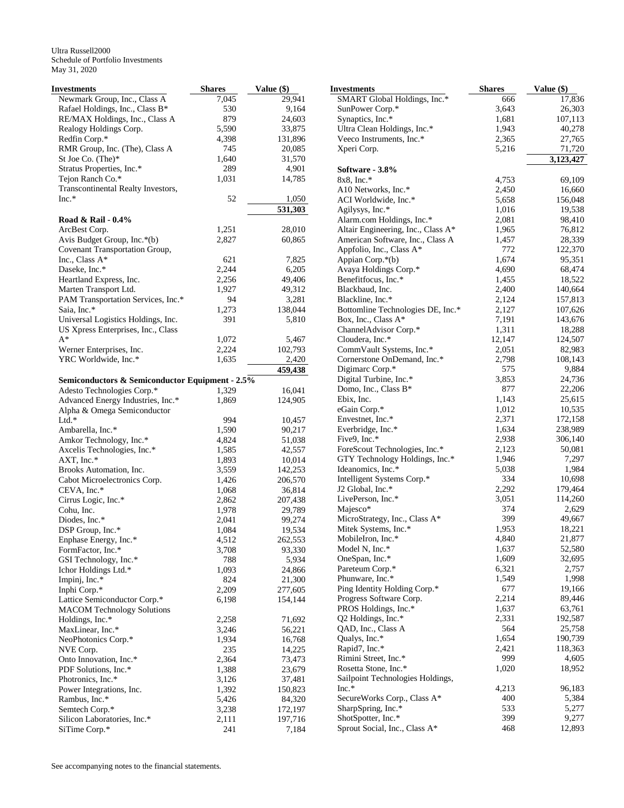| Investments                                                 | <b>Shares</b> | Value (\$)       |
|-------------------------------------------------------------|---------------|------------------|
| Newmark Group, Inc., Class A                                | 7,045         | 29,941           |
| Rafael Holdings, Inc., Class B*                             | 530           | 9,164            |
| RE/MAX Holdings, Inc., Class A                              | 879           | 24,603           |
| Realogy Holdings Corp.                                      | 5,590         | 33,875           |
| Redfin Corp.*                                               | 4,398         | 131,896          |
| RMR Group, Inc. (The), Class A                              | 745           | 20,085           |
| St Joe Co. (The)*                                           | 1,640         | 31,570           |
| Stratus Properties, Inc.*                                   | 289           | 4,901            |
| Tejon Ranch Co.*                                            | 1,031         | 14,785           |
| Transcontinental Realty Investors,                          |               |                  |
| $Inc.*$                                                     | 52            | 1,050            |
|                                                             |               | 531,303          |
| Road & Rail - 0.4%                                          |               |                  |
| ArcBest Corp.                                               | 1,251         | 28,010           |
| Avis Budget Group, Inc.*(b)                                 | 2,827         | 60,865           |
| Covenant Transportation Group,                              |               |                  |
| Inc., Class A*                                              | 621           | 7,825            |
| Daseke, Inc.*                                               | 2,244         | 6,205            |
| Heartland Express, Inc.                                     | 2,256         | 49,406<br>49,312 |
| Marten Transport Ltd.<br>PAM Transportation Services, Inc.* | 1,927         |                  |
| Saia, Inc.*                                                 | 94            | 3,281<br>138,044 |
| Universal Logistics Holdings, Inc.                          | 1,273<br>391  | 5,810            |
| US Xpress Enterprises, Inc., Class                          |               |                  |
| A*                                                          | 1,072         | 5,467            |
| Werner Enterprises, Inc.                                    | 2,224         | 102,793          |
| YRC Worldwide, Inc.*                                        | 1,635         | 2,420            |
|                                                             |               | 459,438          |
| Semiconductors & Semiconductor Equipment - 2.5%             |               |                  |
| Adesto Technologies Corp.*                                  | 1,329         | 16,041           |
| Advanced Energy Industries, Inc.*                           | 1,869         | 124,905          |
| Alpha & Omega Semiconductor                                 |               |                  |
| $Ltd.*$                                                     | 994           | 10,457           |
| Ambarella, Inc.*                                            | 1,590         | 90,217           |
| Amkor Technology, Inc.*                                     | 4,824         | 51,038           |
| Axcelis Technologies, Inc.*                                 | 1,585         | 42,557           |
| AXT, Inc.*                                                  | 1,893         | 10,014           |
| Brooks Automation, Inc.                                     | 3,559         | 142,253          |
| Cabot Microelectronics Corp.                                | 1,426         | 206,570          |
| CEVA, Inc.*                                                 | 1,068         | 36,814           |
| Cirrus Logic, Inc.*                                         | 2,862         | 207,438          |
| Cohu, Inc.                                                  | 1,978         | 29,789           |
| Diodes, Inc.*                                               | 2,041         | 99,274           |
| DSP Group, Inc.*                                            | 1,084         | 19,534           |
| Enphase Energy, Inc.*                                       | 4,512         | 262,553          |
| FormFactor, Inc.*                                           | 3,708         | 93,330           |
| GSI Technology, Inc.*                                       | 788           | 5,934            |
| Ichor Holdings Ltd.*                                        | 1,093         | 24,866           |
| Impinj, Inc.*                                               | 824           | 21,300           |
| Inphi Corp.*                                                | 2,209         | 277,605          |
| Lattice Semiconductor Corp.*                                | 6,198         | 154,144          |
| <b>MACOM Technology Solutions</b>                           |               |                  |
| Holdings, Inc.*                                             | 2,258         | 71,692           |
| MaxLinear, Inc.*                                            | 3,246         | 56,221           |
| NeoPhotonics Corp.*                                         | 1,934         | 16,768           |
| NVE Corp.                                                   | 235           | 14,225           |
| Onto Innovation, Inc.*                                      | 2,364         | 73,473           |
| PDF Solutions, Inc.*                                        | 1,388         | 23,679           |
| Photronics, Inc.*                                           | 3,126         | 37,481           |
| Power Integrations, Inc.                                    | 1,392         | 150,823          |
| Rambus, Inc.*                                               | 5,426         | 84,320           |
| Semtech Corp.*                                              | 3,238         | 172,197          |
| Silicon Laboratories, Inc.*                                 | 2,111         | 197,716          |
| SiTime Corp.*                                               | 241           | 7,184            |

| Investments                                           | <b>Shares</b>  | Value (\$)       |
|-------------------------------------------------------|----------------|------------------|
| SMART Global Holdings, Inc.*                          | 666            | 17,836           |
| SunPower Corp.*                                       | 3,643          | 26,303           |
| Synaptics, Inc.*                                      | 1,681          | 107,113          |
| Ultra Clean Holdings, Inc.*                           | 1,943          | 40,278           |
| Veeco Instruments, Inc.*                              | 2,365          | 27,765           |
| Xperi Corp.                                           | 5,216          | 71,720           |
|                                                       |                | 3,123,427        |
| Software - 3.8%                                       |                |                  |
| 8x8, Inc.*<br>A10 Networks, Inc.*                     | 4,753<br>2,450 | 69,109<br>16,660 |
| ACI Worldwide, Inc.*                                  | 5,658          | 156,048          |
| Agilysys, Inc.*                                       | 1,016          | 19,538           |
| Alarm.com Holdings, Inc.*                             | 2,081          | 98,410           |
| Altair Engineering, Inc., Class A*                    | 1,965          | 76,812           |
| American Software, Inc., Class A                      | 1,457          | 28,339           |
| Appfolio, Inc., Class A*                              | 772            | 122,370          |
| Appian Corp.*(b)                                      | 1,674          | 95,351           |
| Avaya Holdings Corp.*                                 | 4,690          | 68,474           |
| Benefitfocus, Inc.*                                   | 1,455          | 18,522           |
| Blackbaud, Inc.                                       | 2,400          | 140,664          |
| Blackline, Inc.*                                      | 2,124          | 157,813          |
| Bottomline Technologies DE, Inc.*                     | 2,127          | 107,626          |
| Box, Inc., Class A*                                   | 7,191          | 143,676          |
| ChannelAdvisor Corp.*                                 | 1,311          | 18,288           |
| Cloudera, Inc.*                                       | 12,147         | 124,507          |
| CommVault Systems, Inc.*                              | 2,051          | 82,983           |
| Cornerstone OnDemand, Inc.*<br>Digimarc Corp.*        | 2,798<br>575   | 108,143<br>9,884 |
| Digital Turbine, Inc.*                                | 3,853          | 24,736           |
| Domo, Inc., Class B*                                  | 877            | 22,206           |
| Ebix, Inc.                                            | 1,143          | 25,615           |
| eGain Corp.*                                          | 1,012          | 10,535           |
| Envestnet, Inc.*                                      | 2,371          | 172,158          |
| Everbridge, Inc.*                                     | 1,634          | 238,989          |
| Five9, Inc.*                                          | 2,938          | 306,140          |
| ForeScout Technologies, Inc.*                         | 2,123          | 50,081           |
| GTY Technology Holdings, Inc.*                        | 1,946          | 7,297            |
| Ideanomics, Inc.*                                     | 5,038          | 1,984            |
| Intelligent Systems Corp.*                            | 334            | 10,698           |
| J2 Global, Inc.*                                      | 2,292          | 179,464          |
| LivePerson, Inc.*                                     | 3,051          | 114,260          |
| Majesco*                                              | 374            | 2,629            |
| MicroStrategy, Inc., Class A*<br>Mitek Systems, Inc.* | 399<br>1,953   | 49,667<br>18,221 |
| MobileIron, Inc.*                                     | 4,840          | 21,877           |
| Model N, Inc.*                                        | 1,637          | 52,580           |
| OneSpan, Inc.*                                        | 1,609          | 32,695           |
| Pareteum Corp.*                                       | 6,321          | 2,757            |
| Phunware, Inc.*                                       | 1,549          | 1,998            |
| Ping Identity Holding Corp.*                          | 677            | 19,166           |
| Progress Software Corp.                               | 2,214          | 89,446           |
| PROS Holdings, Inc.*                                  | 1,637          | 63,761           |
| Q2 Holdings, Inc.*                                    | 2,331          | 192,587          |
| QAD, Inc., Class A                                    | 564            | 25,758           |
| Qualys, Inc.*                                         | 1,654          | 190,739          |
| Rapid7, Inc.*                                         | 2,421          | 118,363          |
| Rimini Street, Inc.*                                  | 999            | 4,605            |
| Rosetta Stone, Inc.*                                  | 1,020          | 18,952           |
| Sailpoint Technologies Holdings,                      |                |                  |
| $Inc.*$                                               | 4,213          | 96,183           |
| SecureWorks Corp., Class A*<br>SharpSpring, Inc.*     | 400<br>533     | 5,384<br>5,277   |
| ShotSpotter, Inc.*                                    | 399            | 9,277            |
| Sprout Social, Inc., Class A*                         | 468            | 12,893           |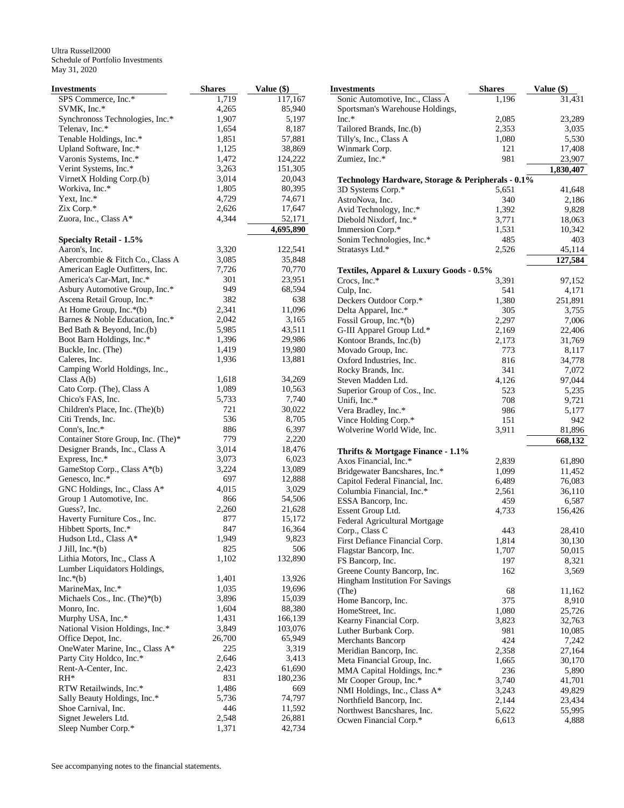| <b>Investments</b>                                  | <b>Shares</b> | Value (\$)       | <b>Investments</b>                                | <b>Shares</b> | Value (\$) |
|-----------------------------------------------------|---------------|------------------|---------------------------------------------------|---------------|------------|
| SPS Commerce, Inc.*                                 | 1,719         | 117,167          | Sonic Automotive, Inc., Class A                   | 1,196         | 31,431     |
| SVMK, Inc.*                                         | 4,265         | 85,940           | Sportsman's Warehouse Holdings,                   |               |            |
| Synchronoss Technologies, Inc.*                     | 1,907         | 5,197            | Inc.*                                             | 2,085         | 23,289     |
| Telenav, Inc.*                                      | 1,654         | 8,187            | Tailored Brands, Inc.(b)                          | 2,353         | 3,035      |
| Tenable Holdings, Inc.*                             | 1,851         | 57,881           | Tilly's, Inc., Class A                            | 1,080         | 5,530      |
| Upland Software, Inc.*                              | 1,125         | 38,869           | Winmark Corp.                                     | 121           | 17,408     |
| Varonis Systems, Inc.*                              | 1,472         | 124,222          | Zumiez, Inc.*                                     | 981           | 23,907     |
| Verint Systems, Inc.*                               | 3,263         | 151,305          |                                                   |               | 1,830,407  |
| VirnetX Holding Corp.(b)                            | 3,014         | 20,043           | Technology Hardware, Storage & Peripherals - 0.1% |               |            |
| Workiva, Inc.*                                      | 1,805         | 80,395           | 3D Systems Corp.*                                 | 5,651         | 41,648     |
| Yext, Inc.*                                         | 4,729         | 74,671           | AstroNova, Inc.                                   | 340           | 2,186      |
| Zix Corp.*                                          | 2,626         | 17,647           | Avid Technology, Inc.*                            | 1,392         | 9,828      |
| Zuora, Inc., Class A*                               | 4,344         | 52,171           | Diebold Nixdorf, Inc.*                            | 3,771         | 18,063     |
|                                                     |               | 4,695,890        | Immersion Corp.*                                  | 1,531         | 10,342     |
| <b>Specialty Retail - 1.5%</b>                      |               |                  | Sonim Technologies, Inc.*                         | 485           | 403        |
| Aaron's, Inc.                                       | 3,320         | 122,541          | Stratasys Ltd.*                                   | 2,526         | 45,114     |
| Abercrombie & Fitch Co., Class A                    | 3,085         | 35,848           |                                                   |               | 127,584    |
| American Eagle Outfitters, Inc.                     | 7,726         | 70,770           | Textiles, Apparel & Luxury Goods - 0.5%           |               |            |
| America's Car-Mart, Inc.*                           | 301           | 23,951           | Crocs, Inc.*                                      | 3,391         | 97,152     |
| Asbury Automotive Group, Inc.*                      | 949           | 68,594           | Culp, Inc.                                        | 541           | 4,171      |
| Ascena Retail Group, Inc.*                          | 382           | 638              | Deckers Outdoor Corp.*                            | 1,380         | 251,891    |
| At Home Group, Inc.*(b)                             | 2,341         | 11,096           | Delta Apparel, Inc.*                              | 305           | 3,755      |
| Barnes & Noble Education, Inc.*                     | 2,042         | 3,165            | Fossil Group, Inc.*(b)                            | 2,297         | 7,006      |
| Bed Bath & Beyond, Inc.(b)                          | 5,985         | 43,511           | G-III Apparel Group Ltd.*                         | 2,169         | 22,406     |
| Boot Barn Holdings, Inc.*                           | 1,396         | 29,986           | Kontoor Brands, Inc.(b)                           | 2,173         | 31,769     |
| Buckle, Inc. (The)                                  | 1,419         | 19,980           | Movado Group, Inc.                                | 773           | 8,117      |
| Caleres, Inc.                                       | 1,936         | 13,881           | Oxford Industries, Inc.                           | 816           | 34,778     |
| Camping World Holdings, Inc.,                       |               |                  | Rocky Brands, Inc.                                | 341           | 7,072      |
| Class $A(b)$                                        | 1,618         | 34,269           | Steven Madden Ltd.                                | 4,126         | 97,044     |
| Cato Corp. (The), Class A                           | 1,089         | 10,563           | Superior Group of Cos., Inc.                      | 523           | 5,235      |
| Chico's FAS, Inc.                                   | 5,733         | 7,740            | Unifi, Inc.*                                      | 708           | 9,721      |
| Children's Place, Inc. (The)(b)                     | 721           | 30,022           | Vera Bradley, Inc.*                               | 986           | 5,177      |
| Citi Trends, Inc.                                   | 536           | 8,705            | Vince Holding Corp.*                              | 151           | 942        |
| Conn's, Inc.*                                       | 886           | 6,397            | Wolverine World Wide, Inc.                        | 3,911         | 81,896     |
| Container Store Group, Inc. (The)*                  | 779           | 2,220            |                                                   |               | 668,132    |
| Designer Brands, Inc., Class A                      | 3,014         | 18,476           | Thrifts & Mortgage Finance - 1.1%                 |               |            |
| Express, Inc.*                                      | 3,073         | 6,023            | Axos Financial, Inc.*                             | 2,839         | 61,890     |
| GameStop Corp., Class A*(b)                         | 3,224         | 13,089           | Bridgewater Bancshares, Inc.*                     | 1,099         | 11,452     |
| Genesco, Inc.*                                      | 697           | 12,888           | Capitol Federal Financial, Inc.                   | 6,489         | 76,083     |
| GNC Holdings, Inc., Class A*                        | 4,015         | 3,029            | Columbia Financial, Inc.*                         | 2,561         | 36,110     |
| Group 1 Automotive, Inc.                            | 866           | 54,506           | ESSA Bancorp, Inc.                                | 459           | 6,587      |
| Guess?, Inc.                                        | 2,260         | 21,628           | Essent Group Ltd.                                 | 4,733         | 156,426    |
| Haverty Furniture Cos., Inc.                        | 877           | 15,172           | Federal Agricultural Mortgage                     |               |            |
| Hibbett Sports, Inc.*                               | 847           | 16,364           | Corp., Class C                                    | 443           | 28,410     |
| Hudson Ltd., Class A*                               | 1,949         | 9,823            | First Defiance Financial Corp.                    | 1,814         | 30,130     |
| J Jill, Inc. $*(b)$                                 | 825           | 506              | Flagstar Bancorp, Inc.                            | 1,707         | 50,015     |
| Lithia Motors, Inc., Class A                        | 1,102         | 132,890          | FS Bancorp, Inc.                                  | 197           | 8,321      |
| Lumber Liquidators Holdings,                        |               |                  | Greene County Bancorp, Inc.                       | 162           | 3,569      |
| $Inc.*(b)$                                          | 1,401         | 13,926           | <b>Hingham Institution For Savings</b>            |               |            |
| MarineMax, Inc.*                                    | 1,035         | 19,696           | (The)                                             | 68            | 11,162     |
| Michaels Cos., Inc. (The) $*(b)$                    | 3,896         | 15,039           | Home Bancorp, Inc.                                | 375           | 8,910      |
| Monro, Inc.                                         | 1,604         | 88,380           | HomeStreet, Inc.                                  | 1,080         | 25,726     |
| Murphy USA, Inc.*                                   | 1,431         | 166,139          | Kearny Financial Corp.                            | 3,823         | 32,763     |
| National Vision Holdings, Inc.*                     | 3,849         | 103,076          | Luther Burbank Corp.                              | 981           | 10,085     |
| Office Depot, Inc.                                  | 26,700        | 65,949           | Merchants Bancorp                                 | 424           | 7,242      |
| OneWater Marine, Inc., Class A*                     | 225           | 3,319            | Meridian Bancorp, Inc.                            | 2,358         | 27,164     |
| Party City Holdco, Inc.*                            | 2,646         | 3,413            | Meta Financial Group, Inc.                        | 1,665         | 30,170     |
| Rent-A-Center, Inc.                                 | 2,423         | 61,690           | MMA Capital Holdings, Inc.*                       | 236           | 5,890      |
| $RH^*$                                              | 831           | 180,236          | Mr Cooper Group, Inc.*                            | 3,740         | 41,701     |
| RTW Retailwinds, Inc.*                              | 1,486         | 669              | NMI Holdings, Inc., Class A*                      | 3,243         | 49,829     |
| Sally Beauty Holdings, Inc.*<br>Shoe Carnival, Inc. | 5,736         | 74,797           | Northfield Bancorp, Inc.                          | 2,144         | 23,434     |
| Signet Jewelers Ltd.                                | 446<br>2,548  | 11,592<br>26,881 | Northwest Bancshares, Inc.                        | 5,622         | 55,995     |
| Sleep Number Corp.*                                 | 1,371         | 42,734           | Ocwen Financial Corp.*                            | 6,613         | 4,888      |
|                                                     |               |                  |                                                   |               |            |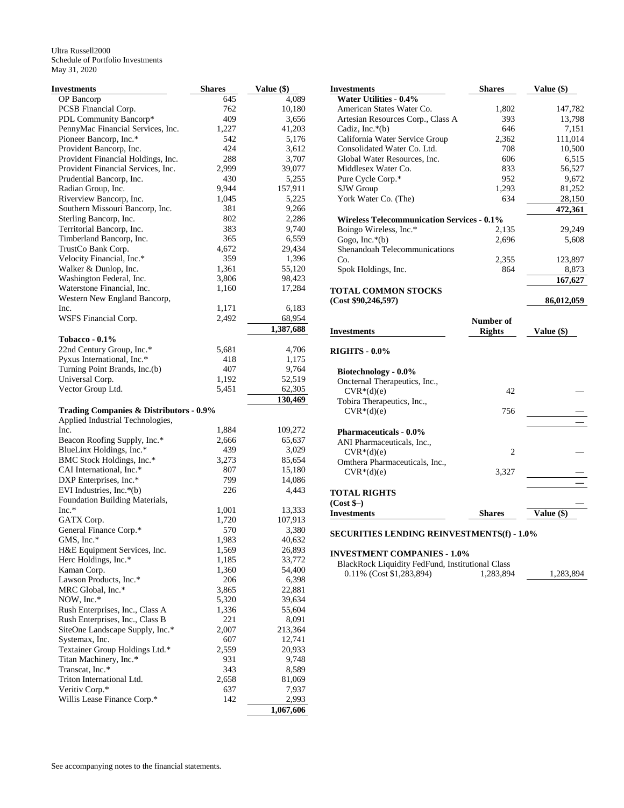| Investments                                        | <b>Shares</b> | Value (\$)      |
|----------------------------------------------------|---------------|-----------------|
| OP Bancorp                                         | 645           | 4,089           |
| PCSB Financial Corp.                               | 762           | 10,180          |
| PDL Community Bancorp*                             | 409           | 3,656           |
| PennyMac Financial Services, Inc.                  | 1,227         | 41,203          |
| Pioneer Bancorp, Inc.*                             | 542           | 5,176           |
| Provident Bancorp, Inc.                            | 424           | 3,612           |
| Provident Financial Holdings, Inc.                 | 288           | 3,707           |
| Provident Financial Services, Inc.                 | 2,999         | 39,077          |
| Prudential Bancorp, Inc.                           | 430           | 5,255           |
| Radian Group, Inc.                                 | 9,944         | 157,911         |
| Riverview Bancorp, Inc.                            | 1,045         | 5,225           |
| Southern Missouri Bancorp, Inc.                    | 381           | 9,266           |
| Sterling Bancorp, Inc.                             | 802           | 2,286           |
| Territorial Bancorp, Inc.                          | 383           | 9,740           |
| Timberland Bancorp, Inc.                           | 365           | 6,559           |
| TrustCo Bank Corp.                                 | 4,672         | 29,434          |
| Velocity Financial, Inc.*<br>Walker & Dunlop, Inc. | 359<br>1,361  | 1,396<br>55,120 |
| Washington Federal, Inc.                           | 3,806         | 98,423          |
| Waterstone Financial, Inc.                         | 1,160         | 17,284          |
| Western New England Bancorp,                       |               |                 |
| Inc.                                               | 1,171         | 6,183           |
| WSFS Financial Corp.                               | 2,492         | 68,954          |
|                                                    |               | 1,387,688       |
| Tobacco - 0.1%                                     |               |                 |
| 22nd Century Group, Inc.*                          | 5,681         | 4,706           |
| Pyxus International, Inc.*                         | 418           | 1,175           |
| Turning Point Brands, Inc.(b)                      | 407           | 9,764           |
| Universal Corp.                                    | 1,192         | 52,519          |
| Vector Group Ltd.                                  | 5,451         | 62,305          |
| <b>Trading Companies &amp; Distributors - 0.9%</b> |               | 130,469         |
| Applied Industrial Technologies,                   |               |                 |
| Inc.                                               | 1,884         | 109,272         |
| Beacon Roofing Supply, Inc.*                       | 2,666         | 65,637          |
| BlueLinx Holdings, Inc.*                           | 439           | 3,029           |
| BMC Stock Holdings, Inc.*                          | 3,273         | 85,654          |
| CAI International, Inc.*                           | 807           | 15,180          |
| DXP Enterprises, Inc.*                             | 799           | 14,086          |
| EVI Industries, Inc.*(b)                           | 226           | 4,443           |
| Foundation Building Materials,                     |               |                 |
| $Inc.*$                                            | 1,001         | 13,333          |
| GATX Corp.                                         | 1,720         | 107,913         |
| General Finance Corp.*                             | 570           | 3,380           |
| GMS, Inc.*                                         | 1,983         | 40,632          |
| H&E Equipment Services, Inc.                       | 1,569         | 26,893          |
| Herc Holdings, Inc.*                               | 1,185         | 33,772          |
| Kaman Corp.                                        | 1,360         | 54,400          |
| Lawson Products, Inc.*                             | 206           | 6,398           |
| MRC Global, Inc.*                                  | 3,865         | 22,881          |
| NOW, Inc.*                                         | 5,320         | 39,634          |
| Rush Enterprises, Inc., Class A                    | 1,336         | 55,604          |
| Rush Enterprises, Inc., Class B                    | 221           | 8,091           |
| SiteOne Landscape Supply, Inc.*                    | 2,007         | 213,364         |
| Systemax, Inc.                                     | 607           | 12,741          |
| Textainer Group Holdings Ltd.*                     | 2,559         | 20,933          |
| Titan Machinery, Inc.*<br>Transcat, Inc.*          | 931<br>343    | 9,748<br>8,589  |
| Triton International Ltd.                          | 2,658         | 81,069          |
| Veritiv Corp.*                                     | 637           | 7,937           |
| Willis Lease Finance Corp.*                        | 142           |                 |
|                                                    |               | 2,993           |

| <b>Investments</b>                                | <b>Shares</b> | Value $(\$)$ |
|---------------------------------------------------|---------------|--------------|
| <b>Water Utilities - 0.4%</b>                     |               |              |
| American States Water Co.                         | 1,802         | 147,782      |
| Artesian Resources Corp., Class A                 | 393           | 13,798       |
| Cadiz, Inc. $*(b)$                                | 646           | 7,151        |
| California Water Service Group                    | 2,362         | 111,014      |
| Consolidated Water Co. Ltd.                       | 708           | 10,500       |
| Global Water Resources, Inc.                      | 606           | 6,515        |
| Middlesex Water Co.                               | 833           | 56,527       |
| Pure Cycle Corp.*                                 | 952           | 9,672        |
| SJW Group                                         | 1,293         | 81,252       |
| York Water Co. (The)                              | 634           | 28,150       |
|                                                   |               | 472,361      |
| <b>Wireless Telecommunication Services - 0.1%</b> |               |              |
| Boingo Wireless, Inc.*                            | 2,135         | 29,249       |
| Gogo, Inc. $*(b)$                                 | 2,696         | 5,608        |
| Shenandoah Telecommunications                     |               |              |
| Co.                                               | 2,355         | 123,897      |
| Spok Holdings, Inc.                               | 864           | 8,873        |
|                                                   |               | 167,627      |
| <b>TOTAL COMMON STOCKS</b>                        |               |              |
| (Cost \$90, 246, 597)                             |               | 86,012,059   |
|                                                   |               |              |
|                                                   | Number of     |              |
| <b>Investments</b>                                | <b>Rights</b> | Value (\$)   |
|                                                   |               |              |
| <b>RIGHTS - 0.0%</b>                              |               |              |
| Biotechnology - 0.0%                              |               |              |
| Oncternal Therapeutics, Inc.,                     |               |              |
| $CVR*(d)(e)$                                      | 42            |              |
| Tobira Therapeutics, Inc.,                        |               |              |
| $CVR*(d)(e)$                                      | 756           |              |
|                                                   |               |              |
| <b>Pharmaceuticals - 0.0%</b>                     |               |              |
| ANI Pharmaceuticals, Inc.,                        |               |              |
| $CVR*(d)(e)$                                      | 2             |              |
| Omthera Pharmaceuticals, Inc.,                    |               |              |
| $CVR*(d)(e)$                                      | 3,327         |              |
|                                                   |               |              |
| <b>TOTAL RIGHTS</b>                               |               |              |
| $(Cost$ \$-)                                      |               |              |
| <b>Investments</b>                                | <b>Shares</b> | Value (\$)   |

#### **SECURITIES LENDING REINVESTMENTS(f) - 1.0%**

#### **INVESTMENT COMPANIES - 1.0%**

| <b>BlackRock Liquidity FedFund, Institutional Class</b> |           |           |
|---------------------------------------------------------|-----------|-----------|
| 0.11% (Cost \$1,283,894)                                | 1.283.894 | 1.283.894 |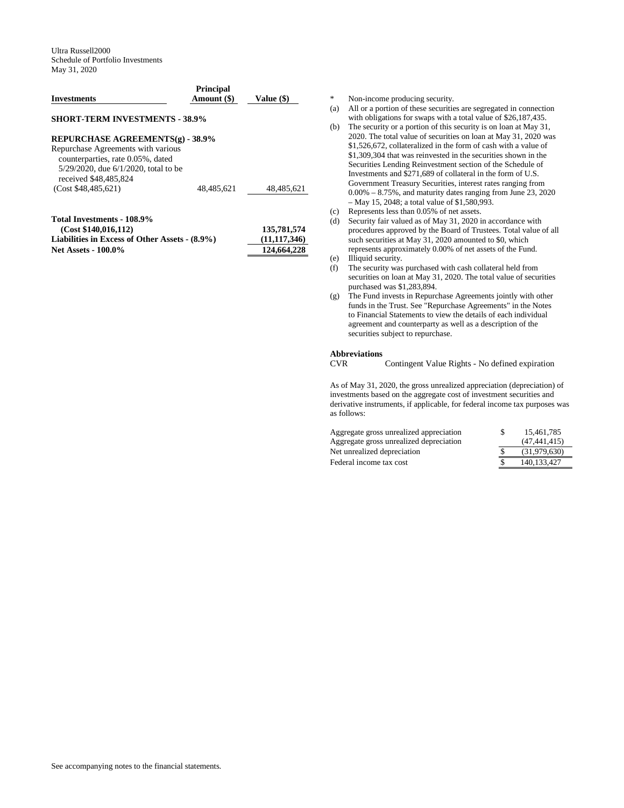| <b>Investments</b>                                                                                                                             | <b>Principal</b><br>Amount (\$) | Value (\$)  |
|------------------------------------------------------------------------------------------------------------------------------------------------|---------------------------------|-------------|
| <b>SHORT-TERM INVESTMENTS - 38.9%</b>                                                                                                          |                                 |             |
| REPURCHASE AGREEMENTS(g) - 38.9%                                                                                                               |                                 |             |
| Repurchase Agreements with various<br>counterparties, rate 0.05%, dated<br>$5/29/2020$ , due $6/1/2020$ , total to be<br>received \$48,485,824 |                                 |             |
| (Cost \$48.485.621)                                                                                                                            | 48.485.621                      | 48,485,621  |
| Total Investments - 108.9%<br>(Cost \$140 016 112)                                                                                             |                                 | 135 781 574 |

| (Cost \$140,016,112)                           | 135,781,574    |
|------------------------------------------------|----------------|
| Liabilities in Excess of Other Assets - (8.9%) | (11, 117, 346) |
| <b>Net Assets - 100.0%</b>                     | 124,664,228    |

\* Non-income producing security.

- (a) All or a portion of these securities are segregated in connection with obligations for swaps with a total value of \$26,187,435.
- (b) The security or a portion of this security is on loan at May 31, 2020. The total value of securities on loan at May 31, 2020 was \$1,526,672, collateralized in the form of cash with a value of \$1,309,304 that was reinvested in the securities shown in the Securities Lending Reinvestment section of the Schedule of Investments and \$271,689 of collateral in the form of U.S. Government Treasury Securities, interest rates ranging from 0.00% – 8.75%, and maturity dates ranging from June 23, 2020 – May 15, 2048; a total value of \$1,580,993.
- (c) Represents less than 0.05% of net assets.
- (d) Security fair valued as of May 31, 2020 in accordance with procedures approved by the Board of Trustees. Total value of all such securities at May 31, 2020 amounted to \$0, which represents approximately 0.00% of net assets of the Fund.
- (e) Illiquid security.
- (f) The security was purchased with cash collateral held from securities on loan at May 31, 2020. The total value of securities purchased was \$1,283,894.
- (g) The Fund invests in Repurchase Agreements jointly with other funds in the Trust. See "Repurchase Agreements" in the Notes to Financial Statements to view the details of each individual agreement and counterparty as well as a description of the securities subject to repurchase.

# **Abbreviations**

Contingent Value Rights - No defined expiration

As of May 31, 2020, the gross unrealized appreciation (depreciation) of investments based on the aggregate cost of investment securities and derivative instruments, if applicable, for federal income tax purposes was as follows:

| Aggregate gross unrealized appreciation | S | 15.461.785   |
|-----------------------------------------|---|--------------|
| Aggregate gross unrealized depreciation |   | (47.441.415) |
| Net unrealized depreciation             |   | (31.979.630) |
| Federal income tax cost                 |   | 140.133.427  |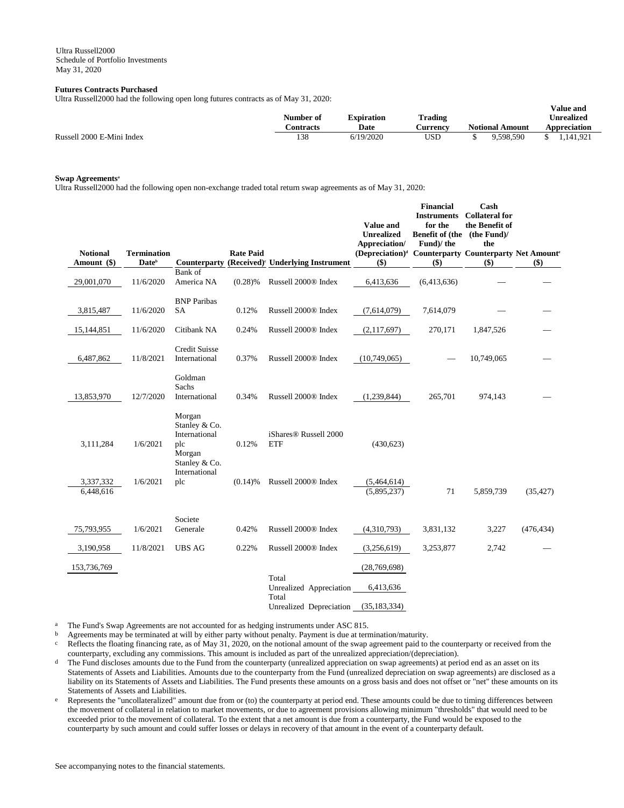## **Futures Contracts Purchased**

Ultra Russell2000 had the following open long futures contracts as of May 31, 2020:

|                           | . . | -- | Number of | <b>Expiration</b> | <b>Trading</b>  |                        | Value and<br>Unrealized |
|---------------------------|-----|----|-----------|-------------------|-----------------|------------------------|-------------------------|
|                           |     |    | Contracts | Date              | <b>Aurrency</b> | <b>Notional Amount</b> | Appreciation            |
| Russell 2000 E-Mini Index |     |    | 138       | 6/19/2020         | USD             | 9.598.590              | 1.141.921               |

# **Swap Agreements<sup>a</sup>**

Ultra Russell2000 had the following open non-exchange traded total return swap agreements as of May 31, 2020:

| <b>Notional</b><br>Amount (\$) | <b>Termination</b><br><b>Date</b> <sup>b</sup> | Counterparty                                                               | <b>Rate Paid</b> | (Received) <sup>c</sup> Underlying Instrument   | <b>Value and</b><br><b>Unrealized</b><br>Appreciation/<br>(Depreciation) <sup>d</sup> Counterparty Counterparty Net Amount <sup>6</sup><br>\$) | <b>Financial</b><br><b>Instruments</b><br>for the<br>Benefit of (the (the Fund)/<br>Fund)/the<br>$($ \$) | Cash<br><b>Collateral for</b><br>the Benefit of<br>the<br>\$) | $($)$      |
|--------------------------------|------------------------------------------------|----------------------------------------------------------------------------|------------------|-------------------------------------------------|------------------------------------------------------------------------------------------------------------------------------------------------|----------------------------------------------------------------------------------------------------------|---------------------------------------------------------------|------------|
|                                |                                                | Bank of                                                                    |                  |                                                 |                                                                                                                                                |                                                                                                          |                                                               |            |
| 29,001,070                     | 11/6/2020                                      | America NA                                                                 | (0.28)%          | Russell 2000® Index                             | 6,413,636                                                                                                                                      | (6,413,636)                                                                                              |                                                               |            |
|                                |                                                | <b>BNP</b> Paribas                                                         |                  |                                                 |                                                                                                                                                |                                                                                                          |                                                               |            |
| 3,815,487                      | 11/6/2020                                      | <b>SA</b>                                                                  | 0.12%            | Russell 2000® Index                             | (7,614,079)                                                                                                                                    | 7,614,079                                                                                                |                                                               |            |
|                                |                                                |                                                                            |                  |                                                 |                                                                                                                                                |                                                                                                          |                                                               |            |
| 15,144,851                     | 11/6/2020                                      | Citibank NA                                                                | 0.24%            | Russell 2000® Index                             | (2,117,697)                                                                                                                                    | 270,171                                                                                                  | 1,847,526                                                     |            |
| 6,487,862                      | 11/8/2021                                      | <b>Credit Suisse</b><br>International                                      | 0.37%            | Russell 2000® Index                             | (10,749,065)                                                                                                                                   |                                                                                                          | 10,749,065                                                    |            |
| 13,853,970                     | 12/7/2020                                      | Goldman<br>Sachs<br>International                                          | 0.34%            | Russell 2000 <sup>®</sup> Index                 | (1,239,844)                                                                                                                                    | 265,701                                                                                                  | 974,143                                                       |            |
| 3,111,284                      | 1/6/2021                                       | Morgan<br>Stanley & Co.<br>International<br>plc<br>Morgan<br>Stanley & Co. | 0.12%            | iShares <sup>®</sup> Russell 2000<br><b>ETF</b> | (430,623)                                                                                                                                      |                                                                                                          |                                                               |            |
|                                |                                                | International                                                              |                  |                                                 |                                                                                                                                                |                                                                                                          |                                                               |            |
| 3,337,332                      | 1/6/2021                                       | plc                                                                        | $(0.14)$ %       | Russell 2000 <sup>®</sup> Index                 | (5,464,614)                                                                                                                                    |                                                                                                          |                                                               |            |
| 6,448,616                      |                                                |                                                                            |                  |                                                 | (5,895,237)                                                                                                                                    | 71                                                                                                       | 5,859,739                                                     | (35, 427)  |
| 75,793,955                     | 1/6/2021                                       | Societe<br>Generale                                                        | 0.42%            | Russell 2000® Index                             | (4,310,793)                                                                                                                                    | 3,831,132                                                                                                | 3,227                                                         | (476, 434) |
| 3,190,958                      | 11/8/2021                                      | <b>UBS AG</b>                                                              | 0.22%            | Russell 2000® Index                             | (3,256,619)                                                                                                                                    | 3,253,877                                                                                                | 2,742                                                         |            |
|                                |                                                |                                                                            |                  |                                                 |                                                                                                                                                |                                                                                                          |                                                               |            |
| 153,736,769                    |                                                |                                                                            |                  |                                                 | (28,769,698)                                                                                                                                   |                                                                                                          |                                                               |            |
|                                |                                                |                                                                            |                  | Total<br>Unrealized Appreciation<br>Total       | 6,413,636                                                                                                                                      |                                                                                                          |                                                               |            |
|                                |                                                |                                                                            |                  | Unrealized Depreciation                         | (35, 183, 334)                                                                                                                                 |                                                                                                          |                                                               |            |

<sup>a</sup> The Fund's Swap Agreements are not accounted for as hedging instruments under ASC 815.

b Agreements may be terminated at will by either party without penalty. Payment is due at termination/maturity.<br>Reflects the floating financing rate, as of May 31, 2020, on the notional amount of the swap agreement paid t

Reflects the floating financing rate, as of May 31, 2020, on the notional amount of the swap agreement paid to the counterparty or received from the counterparty, excluding any commissions. This amount is included as part of the unrealized appreciation/(depreciation).

<sup>d</sup> The Fund discloses amounts due to the Fund from the counterparty (unrealized appreciation on swap agreements) at period end as an asset on its Statements of Assets and Liabilities. Amounts due to the counterparty from the Fund (unrealized depreciation on swap agreements) are disclosed as a liability on its Statements of Assets and Liabilities. The Fund presents these amounts on a gross basis and does not offset or "net" these amounts on its Statements of Assets and Liabilities.

e Represents the "uncollateralized" amount due from or (to) the counterparty at period end. These amounts could be due to timing differences between the movement of collateral in relation to market movements, or due to agreement provisions allowing minimum "thresholds" that would need to be exceeded prior to the movement of collateral. To the extent that a net amount is due from a counterparty, the Fund would be exposed to the counterparty by such amount and could suffer losses or delays in recovery of that amount in the event of a counterparty default.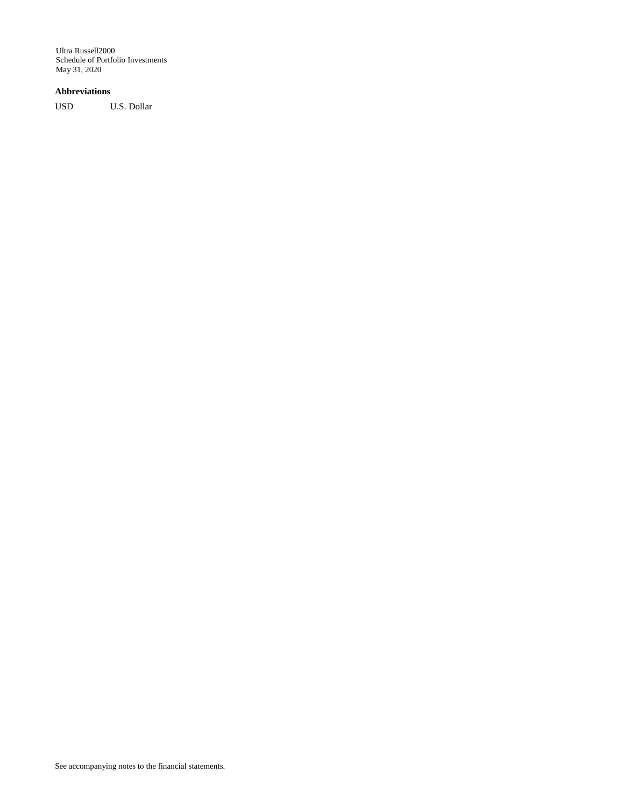# **Abbreviations**

USD U.S. Dollar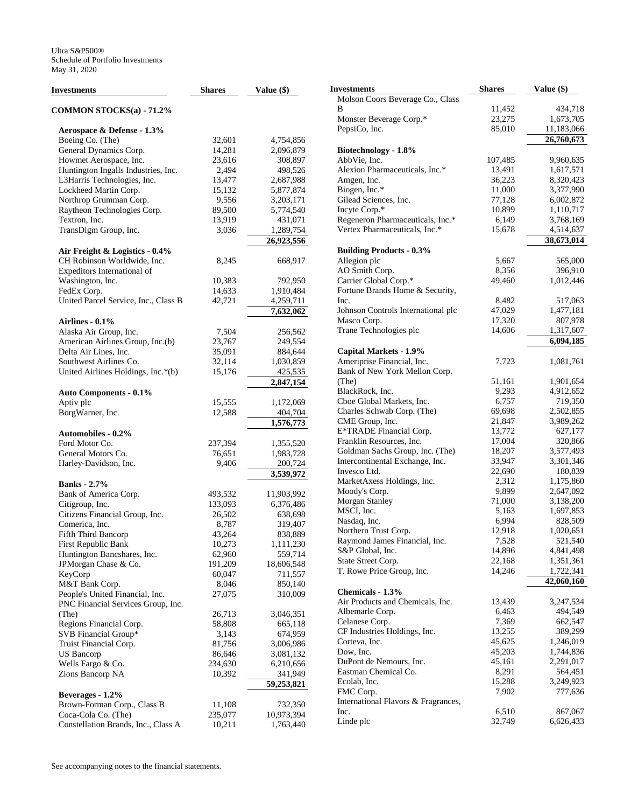| <b>Investments</b>                   | <b>Shares</b> | Value (\$) |
|--------------------------------------|---------------|------------|
| <b>COMMON STOCKS(a) - 71.2%</b>      |               |            |
| Aerospace & Defense - 1.3%           |               |            |
| Boeing Co. (The)                     | 32,601        | 4,754,856  |
| General Dynamics Corp.               | 14,281        | 2,096,879  |
| Howmet Aerospace, Inc.               | 23,616        | 308,897    |
| Huntington Ingalls Industries, Inc.  | 2,494         | 498,526    |
| L3Harris Technologies, Inc.          | 13,477        | 2,687,988  |
| Lockheed Martin Corp.                | 15,132        | 5,877,874  |
| Northrop Grumman Corp.               | 9,556         | 3,203,171  |
| Raytheon Technologies Corp.          | 89,500        | 5,774,540  |
| Textron, Inc.                        | 13,919        | 431,071    |
| TransDigm Group, Inc.                | 3,036         | 1,289,754  |
|                                      |               | 26,923,556 |
| Air Freight & Logistics - 0.4%       |               |            |
| CH Robinson Worldwide, Inc.          | 8,245         | 668,917    |
| Expeditors International of          |               |            |
| Washington, Inc.                     | 10,383        | 792,950    |
| FedEx Corp.                          | 14,633        | 1,910,484  |
| United Parcel Service, Inc., Class B | 42,721        | 4,259,711  |
|                                      |               | 7,632,062  |
| <b>Airlines - 0.1%</b>               |               |            |
| Alaska Air Group, Inc.               | 7,504         | 256,562    |
| American Airlines Group, Inc.(b)     | 23,767        | 249,554    |
| Delta Air Lines, Inc.                | 35,091        | 884,644    |
| Southwest Airlines Co.               | 32,114        | 1,030,859  |
| United Airlines Holdings, Inc.*(b)   | 15,176        | 425,535    |
|                                      |               | 2,847,154  |
| <b>Auto Components - 0.1%</b>        |               |            |
| Aptiv plc                            | 15,555        | 1,172,069  |
| BorgWarner, Inc.                     | 12,588        | 404,704    |
|                                      |               | 1,576,773  |
| <b>Automobiles - 0.2%</b>            |               |            |
| Ford Motor Co.                       | 237,394       | 1,355,520  |
| General Motors Co.                   | 76,651        | 1,983,728  |
| Harley-Davidson, Inc.                | 9,406         | 200,724    |
|                                      |               | 3,539,972  |
| <b>Banks</b> - 2.7%                  |               |            |
| Bank of America Corp.                | 493,532       | 11,903,992 |
| Citigroup, Inc.                      | 133,093       | 6,376,486  |
| Citizens Financial Group, Inc.       | 26,502        | 638,698    |
| Comerica, Inc.                       | 8,787         | 319,407    |
| Fifth Third Bancorp                  | 43,264        | 838,889    |
| First Republic Bank                  | 10,273        | 1,111,230  |
| Huntington Bancshares, Inc.          | 62,960        | 559,714    |
| JPMorgan Chase & Co.                 | 191,209       | 18,606,548 |
| KeyCorp                              | 60,047        | 711,557    |
| M&T Bank Corp.                       | 8,046         | 850,140    |
| People's United Financial, Inc.      | 27,075        | 310,009    |
| PNC Financial Services Group, Inc.   |               |            |
| (The)                                | 26,713        | 3,046,351  |
| Regions Financial Corp.              | 58,808        | 665,118    |
| SVB Financial Group*                 | 3,143         | 674,959    |
| Truist Financial Corp.               | 81,756        | 3,006,986  |
| <b>US Bancorp</b>                    | 86,646        | 3,081,132  |
| Wells Fargo & Co.                    | 234,630       | 6,210,656  |
| Zions Bancorp NA                     | 10,392        | 341,949    |
|                                      |               | 59,253,821 |
| Beverages - 1.2%                     |               |            |
| Brown-Forman Corp., Class B          | 11,108        | 732,350    |
| Coca-Cola Co. (The)                  | 235,077       | 10,973,394 |
| Constellation Brands, Inc., Class A  | 10,211        | 1,763,440  |

| Investments                                    | <b>Shares</b>     | Value (\$)             |
|------------------------------------------------|-------------------|------------------------|
| Molson Coors Beverage Co., Class               |                   |                        |
| В                                              | 11,452            | 434,718                |
| Monster Beverage Corp.*                        | 23,275            | 1,673,705              |
| PepsiCo, Inc.                                  | 85,010            | 11,183,066             |
|                                                |                   | 26,760,673             |
| Biotechnology - 1.8%                           |                   |                        |
| AbbVie, Inc.<br>Alexion Pharmaceuticals, Inc.* | 107,485<br>13,491 | 9,960,635<br>1,617,571 |
| Amgen, Inc.                                    | 36,223            | 8,320,423              |
| Biogen, Inc.*                                  | 11,000            | 3,377,990              |
| Gilead Sciences, Inc.                          | 77,128            | 6,002,872              |
| Incyte Corp.*                                  | 10,899            | 1,110,717              |
| Regeneron Pharmaceuticals, Inc.*               | 6,149             | 3,768,169              |
| Vertex Pharmaceuticals, Inc.*                  | 15,678            | 4,514,637              |
|                                                |                   | 38,673,014             |
| <b>Building Products - 0.3%</b>                |                   |                        |
| Allegion plc                                   | 5,667             | 565,000                |
| AO Smith Corp.<br>Carrier Global Corp.*        | 8,356<br>49,460   | 396,910<br>1,012,446   |
| Fortune Brands Home & Security,                |                   |                        |
| Inc.                                           | 8,482             | 517,063                |
| Johnson Controls International plc             | 47,029            | 1,477,181              |
| Masco Corp.                                    | 17,320            | 807,978                |
| Trane Technologies plc                         | 14,606            | 1,317,607              |
|                                                |                   | 6,094,185              |
| Capital Markets - 1.9%                         |                   |                        |
| Ameriprise Financial, Inc.                     | 7,723             | 1,081,761              |
| Bank of New York Mellon Corp.                  |                   |                        |
| (The)<br>BlackRock, Inc.                       | 51,161<br>9,293   | 1,901,654<br>4,912,652 |
| Cboe Global Markets, Inc.                      | 6,757             | 719,350                |
| Charles Schwab Corp. (The)                     | 69,698            | 2,502,855              |
| CME Group, Inc.                                | 21,847            | 3,989,262              |
| E*TRADE Financial Corp.                        | 13,772            | 627,177                |
| Franklin Resources, Inc.                       | 17,004            | 320,866                |
| Goldman Sachs Group, Inc. (The)                | 18,207            | 3,577,493              |
| Intercontinental Exchange, Inc.                | 33,947            | 3,301,346              |
| Invesco Ltd.                                   | 22,690            | 180,839                |
| MarketAxess Holdings, Inc.                     | 2,312             | 1,175,860              |
| Moody's Corp.<br>Morgan Stanley                | 9,899<br>71,000   | 2,647,092<br>3,138,200 |
| MSCI, Inc.                                     | 5,163             | 1,697,853              |
| Nasdaq, Inc.                                   | 6,994             | 828,509                |
| Northern Trust Corp.                           | 12,918            | 1,020,651              |
| Raymond James Financial, Inc.                  | 7,528             | 521,540                |
| S&P Global, Inc.                               | 14,896            | 4,841,498              |
| State Street Corp.                             | 22,168            | 1,351,361              |
| T. Rowe Price Group, Inc.                      | 14,246            | 1,722,341              |
| Chemicals - 1.3%                               |                   | 42,060,160             |
| Air Products and Chemicals, Inc.               | 13,439            | 3,247,534              |
| Albemarle Corp.                                | 6,463             | 494,549                |
| Celanese Corp.                                 | 7,369             | 662,547                |
| CF Industries Holdings, Inc.                   | 13,255            | 389,299                |
| Corteva, Inc.                                  | 45,625            | 1,246,019              |
| Dow, Inc.                                      | 45,203            | 1,744,836              |
| DuPont de Nemours, Inc.                        | 45,161            | 2,291,017              |
| Eastman Chemical Co.                           | 8,291             | 564,451                |
| Ecolab, Inc.                                   | 15,288            | 3,249,923              |
| FMC Corp.                                      | 7,902             | 777,636                |
| International Flavors & Fragrances,<br>Inc.    | 6,510             | 867,067                |
| Linde plc                                      | 32,749            | 6,626,433              |
|                                                |                   |                        |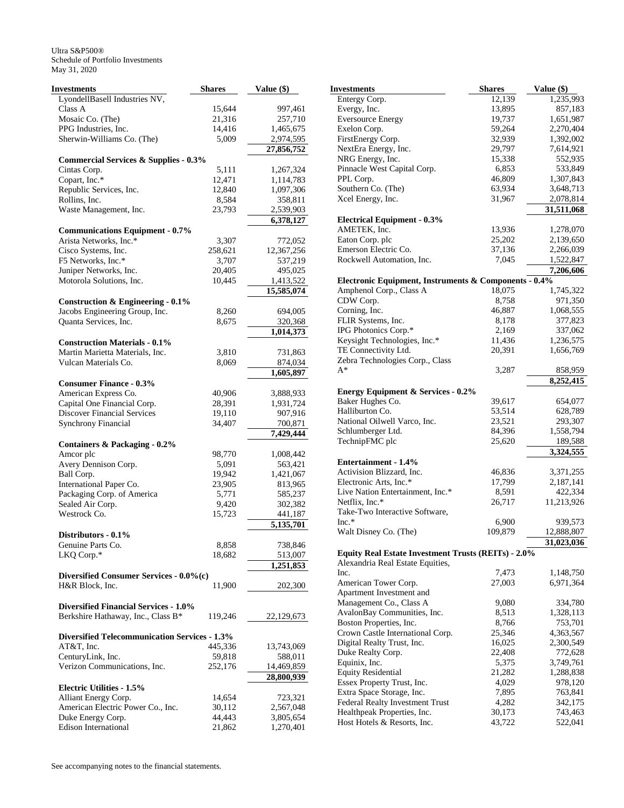| <b>Investments</b>                                                 | <b>Shares</b>     | Value (\$)             |
|--------------------------------------------------------------------|-------------------|------------------------|
| LyondellBasell Industries NV,                                      |                   |                        |
| Class A                                                            | 15,644            | 997,461                |
| Mosaic Co. (The)                                                   | 21,316            | 257,710                |
| PPG Industries, Inc.                                               | 14,416            | 1,465,675              |
| Sherwin-Williams Co. (The)                                         | 5,009             | 2,974,595              |
|                                                                    |                   | 27,856,752             |
| <b>Commercial Services &amp; Supplies - 0.3%</b>                   |                   |                        |
| Cintas Corp.                                                       | 5,111             | 1,267,324              |
| Copart, Inc.*                                                      | 12,471            | 1,114,783              |
| Republic Services, Inc.                                            | 12,840            | 1,097,306              |
| Rollins, Inc.<br>Waste Management, Inc.                            | 8,584             | 358,811                |
|                                                                    | 23,793            | 2,539,903<br>6,378,127 |
| <b>Communications Equipment - 0.7%</b>                             |                   |                        |
| Arista Networks, Inc.*                                             | 3,307             | 772,052                |
| Cisco Systems, Inc.                                                | 258,621           | 12,367,256             |
| F5 Networks, Inc.*                                                 | 3,707             | 537,219                |
| Juniper Networks, Inc.                                             | 20,405            | 495,025                |
| Motorola Solutions, Inc.                                           | 10,445            | 1,413,522              |
|                                                                    |                   | 15,585,074             |
| <b>Construction &amp; Engineering - 0.1%</b>                       |                   |                        |
| Jacobs Engineering Group, Inc.                                     | 8,260             | 694,005                |
| Quanta Services, Inc.                                              | 8,675             | 320,368                |
|                                                                    |                   | 1,014,373              |
| <b>Construction Materials - 0.1%</b>                               |                   |                        |
| Martin Marietta Materials, Inc.                                    | 3,810             | 731,863                |
| Vulcan Materials Co.                                               | 8,069             | 874,034                |
| <b>Consumer Finance - 0.3%</b>                                     |                   | 1,605,897              |
| American Express Co.                                               | 40,906            | 3,888,933              |
| Capital One Financial Corp.                                        | 28,391            | 1,931,724              |
| <b>Discover Financial Services</b>                                 | 19,110            | 907,916                |
| <b>Synchrony Financial</b>                                         | 34,407            | 700,871                |
|                                                                    |                   | 7,429,444              |
| <b>Containers &amp; Packaging - 0.2%</b>                           |                   |                        |
| Amcor plc                                                          | 98,770            | 1,008,442              |
| Avery Dennison Corp.                                               | 5,091             | 563,421                |
| Ball Corp.                                                         | 19,942            | 1,421,067              |
| International Paper Co.                                            | 23,905            | 813,965                |
| Packaging Corp. of America                                         | 5,771             | 585,237                |
| Sealed Air Corp.                                                   | 9,420             | 302,382                |
| Westrock Co.                                                       | 15,723            | 441,187                |
|                                                                    |                   | 5,135,701              |
| Distributors - 0.1%                                                |                   |                        |
| Genuine Parts Co.                                                  | 8,858             | 738,846                |
| LKQ Corp.*                                                         | 18,682            | 513,007                |
|                                                                    |                   | 1,251,853              |
| Diversified Consumer Services - 0.0%(c)<br>H&R Block, Inc.         |                   |                        |
|                                                                    | 11,900            | 202,300                |
| <b>Diversified Financial Services - 1.0%</b>                       |                   |                        |
| Berkshire Hathaway, Inc., Class B*                                 | 119,246           | 22,129,673             |
|                                                                    |                   |                        |
| <b>Diversified Telecommunication Services - 1.3%</b><br>AT&T, Inc. | 445,336           | 13,743,069             |
| CenturyLink, Inc.                                                  |                   | 588,011                |
| Verizon Communications, Inc.                                       | 59,818<br>252,176 | 14,469,859             |
|                                                                    |                   | 28,800,939             |
| <b>Electric Utilities - 1.5%</b>                                   |                   |                        |
| Alliant Energy Corp.                                               | 14,654            | 723,321                |
| American Electric Power Co., Inc.                                  | 30,112            | 2,567,048              |
| Duke Energy Corp.                                                  | 44,443            | 3,805,654              |
| <b>Edison International</b>                                        | 21,862            | 1,270,401              |

| Investments                                                | <b>Shares</b>    | Value (\$)           |
|------------------------------------------------------------|------------------|----------------------|
| Entergy Corp.                                              | 12,139           | 1,235,993            |
| Evergy, Inc.                                               | 13,895           | 857,183              |
| <b>Eversource Energy</b>                                   | 19,737           | 1,651,987            |
| Exelon Corp.                                               | 59,264           | 2,270,404            |
| FirstEnergy Corp.                                          | 32,939           | 1,392,002            |
| NextEra Energy, Inc.                                       | 29,797           | 7,614,921            |
| NRG Energy, Inc.                                           | 15,338           | 552,935              |
| Pinnacle West Capital Corp.                                | 6,853            | 533,849              |
| PPL Corp.                                                  | 46,809           | 1,307,843            |
| Southern Co. (The)                                         | 63,934           | 3,648,713            |
| Xcel Energy, Inc.                                          | 31,967           | 2,078,814            |
|                                                            |                  |                      |
|                                                            |                  | 31,511,068           |
| <b>Electrical Equipment - 0.3%</b>                         |                  |                      |
| AMETEK, Inc.                                               | 13,936           | 1,278,070            |
| Eaton Corp. plc                                            | 25,202           | 2,139,650            |
| Emerson Electric Co.                                       | 37,136           | 2,266,039            |
| Rockwell Automation, Inc.                                  | 7,045            | 1,522,847            |
|                                                            |                  | 7,206,606            |
| Electronic Equipment, Instruments & Components - 0.4%      |                  |                      |
| Amphenol Corp., Class A                                    | 18,075           | 1,745,322            |
| CDW Corp.                                                  | 8,758            | 971,350              |
| Corning, Inc.                                              | 46,887           | 1,068,555            |
| FLIR Systems, Inc.                                         | 8,178            | 377,823              |
| IPG Photonics Corp.*                                       | 2,169            | 337,062              |
| Keysight Technologies, Inc.*                               | 11,436           | 1,236,575            |
| TE Connectivity Ltd.                                       | 20,391           | 1,656,769            |
| Zebra Technologies Corp., Class                            |                  |                      |
| $A^*$                                                      | 3,287            | 858,959              |
|                                                            |                  | 8,252,415            |
| <b>Energy Equipment &amp; Services - 0.2%</b>              |                  |                      |
| Baker Hughes Co.                                           | 39,617           | 654,077              |
| Halliburton Co.                                            | 53,514           | 628,789              |
| National Oilwell Varco, Inc.                               | 23,521           | 293,307              |
| Schlumberger Ltd.                                          |                  |                      |
|                                                            | 84,396           | 1,558,794            |
| TechnipFMC plc                                             | 25,620           | 189,588<br>3,324,555 |
| <b>Entertainment - 1.4%</b>                                |                  |                      |
|                                                            |                  |                      |
| Activision Blizzard, Inc.                                  | 46,836           | 3,371,255            |
| Electronic Arts, Inc.*                                     | 17,799           | 2,187,141            |
| Live Nation Entertainment, Inc.*                           | 8,591            | 422,334              |
| Netflix, Inc.*                                             | 26,717           | 11,213,926           |
| Take-Two Interactive Software,                             |                  |                      |
| $Inc.*$                                                    | 6,900            | 939,573              |
| Walt Disney Co. (The)                                      | 109,879          | 12,888,807           |
|                                                            |                  | 31,023,036           |
| <b>Equity Real Estate Investment Trusts (REITs) - 2.0%</b> |                  |                      |
| Alexandria Real Estate Equities,                           |                  |                      |
| Inc.                                                       | 7,473            | 1,148,750            |
| American Tower Corp.                                       | 27,003           | 6,971,364            |
| Apartment Investment and                                   |                  |                      |
| Management Co., Class A                                    | 9,080            | 334,780              |
| AvalonBay Communities, Inc.                                | 8,513            | 1,328,113            |
| Boston Properties, Inc.                                    | 8,766            | 753,701              |
| Crown Castle International Corp.                           | 25,346           | 4,363,567            |
| Digital Realty Trust, Inc.                                 | 16,025           | 2,300,549            |
| Duke Realty Corp.                                          | 22,408           | 772,628              |
| Equinix, Inc.                                              | 5,375            | 3,749,761            |
| <b>Equity Residential</b>                                  | 21,282           | 1,288,838            |
| Essex Property Trust, Inc.                                 | 4,029            | 978,120              |
| Extra Space Storage, Inc.                                  | 7,895            | 763,841              |
|                                                            | 4,282            | 342,175              |
| Federal Realty Investment Trust                            |                  |                      |
| Healthpeak Properties, Inc.<br>Host Hotels & Resorts, Inc. | 30,173<br>43,722 | 743,463              |
|                                                            |                  | 522,041              |
|                                                            |                  |                      |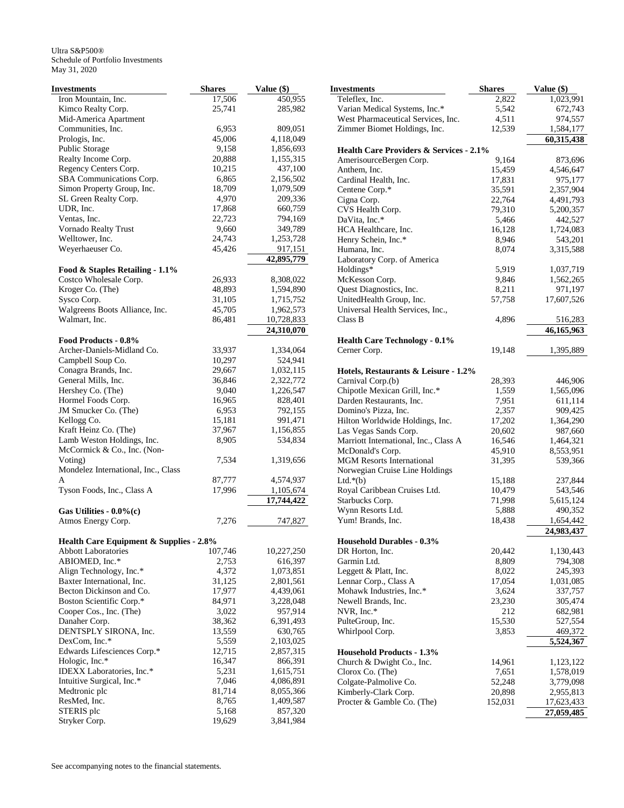| <b>Investments</b>                                        | <b>Shares</b>    | Value (\$)            |
|-----------------------------------------------------------|------------------|-----------------------|
| Iron Mountain, Inc.                                       | 17,506           | 450,955               |
| Kimco Realty Corp.                                        | 25,741           | 285,982               |
| Mid-America Apartment                                     |                  |                       |
| Communities, Inc.                                         | 6,953            | 809,051               |
| Prologis, Inc.                                            | 45,006           | 4,118,049             |
| Public Storage                                            | 9,158            | 1,856,693             |
| Realty Income Corp.                                       | 20,888           | 1,155,315             |
| Regency Centers Corp.                                     | 10,215           | 437,100               |
| SBA Communications Corp.                                  | 6,865            | 2,156,502             |
| Simon Property Group, Inc.                                | 18,709           | 1,079,509             |
| SL Green Realty Corp.                                     | 4,970            | 209,336               |
| UDR, Inc.                                                 | 17,868           | 660,759               |
| Ventas, Inc.                                              | 22,723           | 794,169<br>349,789    |
| Vornado Realty Trust<br>Welltower, Inc.                   | 9,660            | 1,253,728             |
| Weyerhaeuser Co.                                          | 24,743<br>45,426 |                       |
|                                                           |                  | 917,151<br>42,895,779 |
| Food & Staples Retailing - 1.1%                           |                  |                       |
| Costco Wholesale Corp.                                    | 26,933           | 8,308,022             |
| Kroger Co. (The)                                          | 48,893           | 1,594,890             |
| Sysco Corp.                                               | 31,105           | 1,715,752             |
| Walgreens Boots Alliance, Inc.                            | 45,705           | 1,962,573             |
| Walmart, Inc.                                             | 86,481           | 10,728,833            |
|                                                           |                  | 24,310,070            |
| Food Products - 0.8%                                      |                  |                       |
| Archer-Daniels-Midland Co.                                | 33,937           | 1,334,064             |
| Campbell Soup Co.                                         | 10,297           | 524,941               |
| Conagra Brands, Inc.                                      | 29,667           | 1,032,115             |
| General Mills, Inc.                                       | 36,846           | 2,322,772             |
| Hershey Co. (The)                                         | 9,040            | 1,226,547             |
| Hormel Foods Corp.                                        | 16,965           | 828,401               |
| JM Smucker Co. (The)                                      | 6,953            | 792,155               |
| Kellogg Co.                                               | 15,181           | 991,471               |
| Kraft Heinz Co. (The)                                     | 37,967           | 1,156,855             |
| Lamb Weston Holdings, Inc.<br>McCormick & Co., Inc. (Non- | 8,905            | 534,834               |
| Voting)<br>Mondelez International, Inc., Class            | 7,534            | 1,319,656             |
| A                                                         | 87,777           | 4,574,937             |
| Tyson Foods, Inc., Class A                                | 17,996           | 1,105,674             |
|                                                           |                  | 17,744,422            |
| Gas Utilities - $0.0\%$ (c)                               |                  |                       |
| Atmos Energy Corp.                                        | 7,276            | 747,827               |
| Health Care Equipment & Supplies - 2.8%                   |                  |                       |
| <b>Abbott Laboratories</b>                                | 107,746          | 10,227,250            |
| ABIOMED, Inc.*                                            | 2,753            | 616,397               |
| Align Technology, Inc.*                                   | 4,372            | 1,073,851             |
| Baxter International, Inc.                                | 31,125           | 2,801,561             |
| Becton Dickinson and Co.                                  | 17,977           | 4,439,061             |
| Boston Scientific Corp.*                                  | 84,971           | 3,228,048             |
| Cooper Cos., Inc. (The)                                   | 3,022            | 957,914               |
| Danaher Corp.                                             | 38,362           | 6,391,493             |
| DENTSPLY SIRONA, Inc.                                     | 13,559           | 630,765               |
| DexCom, Inc.*                                             | 5,559            | 2,103,025             |
| Edwards Lifesciences Corp.*                               | 12,715           | 2,857,315             |
| Hologic, Inc.*                                            | 16,347           | 866,391               |
| IDEXX Laboratories, Inc.*                                 | 5,231            | 1,615,751             |
| Intuitive Surgical, Inc.*                                 | 7,046            | 4,086,891             |
| Medtronic plc                                             | 81,714           | 8,055,366             |
| ResMed, Inc.                                              | 8,765            | 1,409,587             |
| STERIS plc                                                | 5,168            | 857,320               |
| Stryker Corp.                                             | 19,629           | 3,841,984             |

| Investments                                        | <b>Shares</b> | Value (\$) |
|----------------------------------------------------|---------------|------------|
| Teleflex, Inc.                                     | 2,822         | 1,023,991  |
| Varian Medical Systems, Inc.*                      | 5,542         | 672,743    |
| West Pharmaceutical Services, Inc.                 | 4,511         | 974,557    |
| Zimmer Biomet Holdings, Inc.                       | 12,539        | 1,584,177  |
|                                                    |               | 60,315,438 |
| <b>Health Care Providers &amp; Services - 2.1%</b> |               |            |
| AmerisourceBergen Corp.                            | 9,164         | 873,696    |
| Anthem, Inc.                                       | 15,459        | 4,546,647  |
| Cardinal Health, Inc.                              | 17,831        | 975,177    |
| Centene Corp.*                                     | 35,591        | 2,357,904  |
| Cigna Corp.                                        | 22,764        | 4,491,793  |
| CVS Health Corp.                                   | 79,310        | 5,200,357  |
| DaVita, Inc.*                                      | 5,466         | 442,527    |
| HCA Healthcare, Inc.                               | 16,128        | 1,724,083  |
| Henry Schein, Inc.*                                | 8,946         | 543,201    |
| Humana, Inc.                                       | 8,074         | 3,315,588  |
| Laboratory Corp. of America                        |               |            |
| Holdings*                                          | 5,919         | 1,037,719  |
| McKesson Corp.                                     | 9,846         | 1,562,265  |
| Quest Diagnostics, Inc.                            | 8,211         | 971,197    |
| UnitedHealth Group, Inc.                           | 57,758        | 17,607,526 |
| Universal Health Services, Inc.,                   |               |            |
| Class B                                            | 4,896         | 516,283    |
|                                                    |               | 46,165,963 |
| <b>Health Care Technology - 0.1%</b>               |               |            |
| Cerner Corp.                                       | 19,148        | 1,395,889  |
|                                                    |               |            |
| Hotels, Restaurants & Leisure - 1.2%               |               |            |
| Carnival Corp.(b)                                  | 28,393        | 446,906    |
| Chipotle Mexican Grill, Inc.*                      | 1,559         | 1,565,096  |
| Darden Restaurants, Inc.                           | 7,951         | 611,114    |
| Domino's Pizza, Inc.                               | 2,357         | 909,425    |
| Hilton Worldwide Holdings, Inc.                    | 17,202        | 1,364,290  |
| Las Vegas Sands Corp.                              | 20,602        | 987,660    |
| Marriott International, Inc., Class A              | 16,546        | 1,464,321  |
| McDonald's Corp.                                   | 45,910        | 8,553,951  |
| <b>MGM</b> Resorts International                   | 31,395        | 539,366    |
| Norwegian Cruise Line Holdings                     |               |            |
| Ltd. $*(b)$                                        | 15,188        | 237,844    |
| Royal Caribbean Cruises Ltd.                       | 10,479        | 543,546    |
| Starbucks Corp.                                    | 71,998        | 5,615,124  |
| Wynn Resorts Ltd.                                  | 5,888         | 490,352    |
| Yum! Brands, Inc.                                  | 18,438        | 1,654,442  |
|                                                    |               | 24,983,437 |
| <b>Household Durables - 0.3%</b>                   |               |            |
| DR Horton, Inc.                                    | 20,442        | 1,130,443  |
| Garmin Ltd.                                        | 8,809         | 794,308    |
| Leggett & Platt, Inc.                              | 8,022         | 245,393    |
| Lennar Corp., Class A                              | 17,054        | 1,031,085  |
| Mohawk Industries, Inc.*                           | 3,624         | 337,757    |
| Newell Brands, Inc.                                | 23,230        | 305,474    |
| NVR, Inc.*                                         | 212           | 682,981    |
| PulteGroup, Inc.                                   | 15,530        | 527,554    |
| Whirlpool Corp.                                    | 3,853         | 469,372    |
|                                                    |               | 5,524,367  |
| <b>Household Products - 1.3%</b>                   |               |            |
| Church & Dwight Co., Inc.                          | 14,961        | 1,123,122  |
| Clorox Co. (The)                                   | 7,651         | 1,578,019  |
| Colgate-Palmolive Co.                              | 52,248        | 3,779,098  |
| Kimberly-Clark Corp.                               | 20,898        | 2,955,813  |
| Procter & Gamble Co. (The)                         | 152,031       | 17,623,433 |
|                                                    |               | 27,059,485 |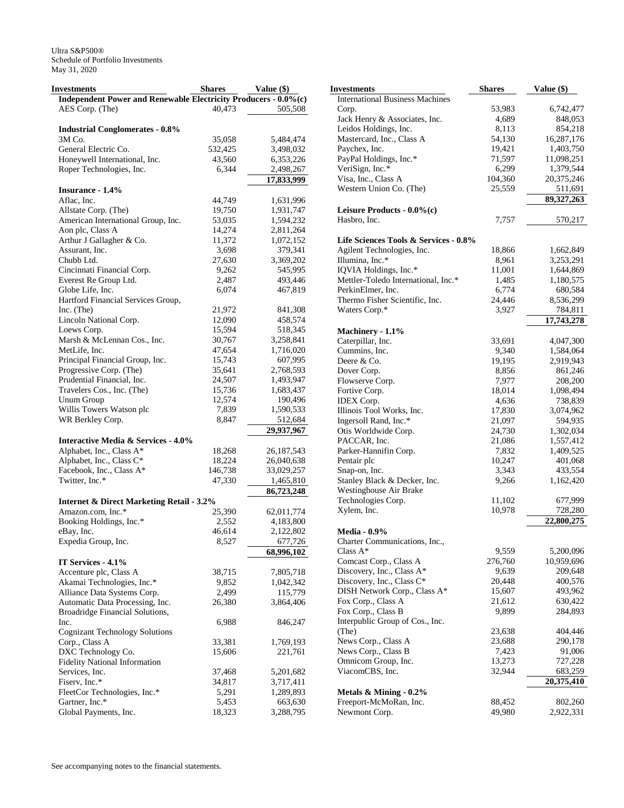| Investments                                                     | <b>Shares</b> | Value (\$)   |
|-----------------------------------------------------------------|---------------|--------------|
| Independent Power and Renewable Electricity Producers - 0.0%(c) |               |              |
| AES Corp. (The)                                                 | 40,473        | 505,508      |
|                                                                 |               |              |
| <b>Industrial Conglomerates - 0.8%</b>                          |               |              |
| 3M Co.                                                          | 35,058        | 5,484,474    |
| General Electric Co.                                            | 532,425       | 3,498,032    |
| Honeywell International, Inc.                                   | 43,560        | 6,353,226    |
| Roper Technologies, Inc.                                        | 6,344         | 2,498,267    |
|                                                                 |               | 17,833,999   |
| Insurance - 1.4%                                                |               |              |
| Aflac, Inc.                                                     | 44,749        | 1,631,996    |
| Allstate Corp. (The)                                            | 19,750        | 1,931,747    |
| American International Group, Inc.                              | 53,035        | 1,594,232    |
| Aon plc, Class A                                                | 14,274        | 2,811,264    |
| Arthur J Gallagher & Co.                                        | 11,372        | 1,072,152    |
|                                                                 |               |              |
| Assurant, Inc.<br>Chubb Ltd.                                    | 3,698         | 379,341      |
|                                                                 | 27,630        | 3,369,202    |
| Cincinnati Financial Corp.                                      | 9,262         | 545,995      |
| Everest Re Group Ltd.                                           | 2,487         | 493,446      |
| Globe Life, Inc.                                                | 6,074         | 467,819      |
| Hartford Financial Services Group,                              |               |              |
| Inc. (The)                                                      | 21,972        | 841,308      |
| Lincoln National Corp.                                          | 12,090        | 458,574      |
| Loews Corp.                                                     | 15,594        | 518,345      |
| Marsh & McLennan Cos., Inc.                                     | 30,767        | 3,258,841    |
| MetLife, Inc.                                                   | 47,654        | 1,716,020    |
| Principal Financial Group, Inc.                                 | 15,743        | 607,995      |
| Progressive Corp. (The)                                         | 35,641        | 2,768,593    |
| Prudential Financial, Inc.                                      | 24,507        | 1,493,947    |
| Travelers Cos., Inc. (The)                                      | 15,736        | 1,683,437    |
| Unum Group                                                      | 12,574        | 190,496      |
| Willis Towers Watson plc                                        | 7,839         | 1,590,533    |
| WR Berkley Corp.                                                | 8,847         | 512,684      |
|                                                                 |               | 29,937,967   |
| <b>Interactive Media &amp; Services - 4.0%</b>                  |               |              |
| Alphabet, Inc., Class A*                                        | 18,268        | 26, 187, 543 |
| Alphabet, Inc., Class C*                                        | 18,224        | 26,040,638   |
| Facebook, Inc., Class A*                                        | 146,738       | 33,029,257   |
| Twitter, Inc.*                                                  | 47,330        | 1,465,810    |
|                                                                 |               | 86,723,248   |
| <b>Internet &amp; Direct Marketing Retail - 3.2%</b>            |               |              |
| Amazon.com, Inc.*                                               | 25,390        | 62,011,774   |
| Booking Holdings, Inc.*                                         | 2,552         | 4,183,800    |
| eBay, Inc.                                                      | 46,614        | 2,122,802    |
| Expedia Group, Inc.                                             | 8,527         | 677,726      |
|                                                                 |               | 68,996,102   |
| IT Services - 4.1%                                              |               |              |
| Accenture plc, Class A                                          | 38,715        | 7,805,718    |
| Akamai Technologies, Inc.*                                      | 9,852         | 1,042,342    |
| Alliance Data Systems Corp.                                     | 2,499         | 115,779      |
| Automatic Data Processing, Inc.                                 | 26,380        | 3,864,406    |
| Broadridge Financial Solutions,                                 |               |              |
| Inc.                                                            | 6,988         | 846,247      |
| <b>Cognizant Technology Solutions</b>                           |               |              |
| Corp., Class A                                                  | 33,381        | 1,769,193    |
| DXC Technology Co.                                              | 15,606        | 221,761      |
| <b>Fidelity National Information</b>                            |               |              |
| Services, Inc.                                                  | 37,468        | 5,201,682    |
| Fiserv, Inc.*                                                   | 34,817        | 3,717,411    |
| FleetCor Technologies, Inc.*                                    | 5,291         | 1,289,893    |
| Gartner, Inc.*                                                  | 5,453         | 663,630      |
| Global Payments, Inc.                                           | 18,323        | 3,288,795    |

| <b>Investments</b>                               | <b>Shares</b> | Value (\$) |
|--------------------------------------------------|---------------|------------|
| <b>International Business Machines</b>           |               |            |
| Corp.                                            | 53,983        | 6,742,477  |
| Jack Henry & Associates, Inc.                    | 4,689         | 848,053    |
| Leidos Holdings, Inc.                            | 8,113         | 854,218    |
| Mastercard, Inc., Class A                        | 54,130        | 16,287,176 |
| Paychex, Inc.                                    | 19,421        | 1,403,750  |
| PayPal Holdings, Inc.*                           | 71,597        | 11,098,251 |
| VeriSign, Inc.*                                  | 6,299         | 1,379,544  |
| Visa, Inc., Class A                              | 104,360       | 20,375,246 |
| Western Union Co. (The)                          | 25,559        | 511,691    |
|                                                  |               | 89,327,263 |
| Leisure Products - 0.0%(c)                       |               |            |
| Hasbro, Inc.                                     | 7,757         | 570,217    |
|                                                  |               |            |
| Life Sciences Tools & Services - 0.8%            |               |            |
| Agilent Technologies, Inc.                       | 18,866        | 1,662,849  |
| Illumina, Inc.*                                  | 8,961         | 3,253,291  |
| IQVIA Holdings, Inc.*                            | 11,001        | 1,644,869  |
| Mettler-Toledo International, Inc.*              | 1,485         | 1,180,575  |
| PerkinElmer, Inc.                                | 6,774         | 680,584    |
| Thermo Fisher Scientific, Inc.                   | 24,446        | 8,536,299  |
| Waters Corp.*                                    | 3,927         | 784,811    |
|                                                  |               | 17,743,278 |
| Machinery - 1.1%                                 | 33,691        |            |
| Caterpillar, Inc.<br>Cummins, Inc.               |               | 4,047,300  |
|                                                  | 9,340         | 1,584,064  |
| Deere & Co.                                      | 19,195        | 2,919,943  |
| Dover Corp.                                      | 8,856         | 861,246    |
| Flowserve Corp.                                  | 7,977         | 208,200    |
| Fortive Corp.                                    | 18,014        | 1,098,494  |
| <b>IDEX</b> Corp.                                | 4,636         | 738,839    |
| Illinois Tool Works, Inc.                        | 17,830        | 3,074,962  |
| Ingersoll Rand, Inc.*                            | 21,097        | 594,935    |
| Otis Worldwide Corp.                             | 24,730        | 1,302,034  |
| PACCAR, Inc.                                     | 21,086        | 1,557,412  |
| Parker-Hannifin Corp.                            | 7,832         | 1,409,525  |
| Pentair plc                                      | 10,247        | 401,068    |
| Snap-on, Inc.                                    | 3,343         | 433,554    |
| Stanley Black & Decker, Inc.                     | 9,266         | 1,162,420  |
| Westinghouse Air Brake                           |               |            |
| Technologies Corp.                               | 11,102        | 677,999    |
| Xylem, Inc.                                      | 10,978        | 728,280    |
| <b>Media - 0.9%</b>                              |               | 22,800,275 |
| Charter Communications, Inc.,                    |               |            |
| Class $A^*$                                      | 9,559         | 5,200,096  |
| Comcast Corp., Class A                           | 276,760       | 10,959,696 |
| Discovery, Inc., Class A*                        | 9,639         | 209,648    |
| Discovery, Inc., Class C*                        | 20,448        | 400,576    |
| DISH Network Corp., Class A*                     | 15,607        | 493,962    |
| Fox Corp., Class A                               | 21,612        | 630,422    |
| Fox Corp., Class B                               | 9,899         | 284,893    |
| Interpublic Group of Cos., Inc.                  |               |            |
| (The)                                            | 23,638        | 404,446    |
| News Corp., Class A                              | 23,688        | 290,178    |
|                                                  |               |            |
| News Corp., Class B                              | 7,423         | 91,006     |
| Omnicom Group, Inc.                              | 13,273        | 727,228    |
| ViacomCBS, Inc.                                  | 32,944        | 683,259    |
|                                                  |               | 20,375,410 |
| Metals & Mining - 0.2%<br>Freeport-McMoRan, Inc. | 88,452        | 802,260    |
| Newmont Corp.                                    | 49,980        | 2,922,331  |
|                                                  |               |            |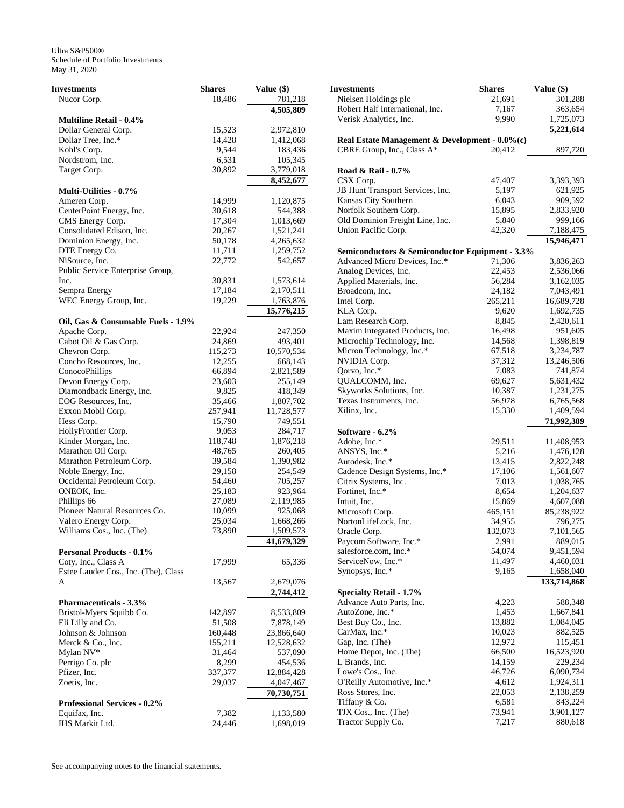| Investments                                          | <b>Shares</b> | Value (\$) |
|------------------------------------------------------|---------------|------------|
| Nucor Corp.                                          | 18,486        | 781,218    |
|                                                      |               | 4,505,809  |
| <b>Multiline Retail - 0.4%</b>                       |               |            |
| Dollar General Corp.                                 | 15,523        | 2,972,810  |
| Dollar Tree, Inc.*                                   | 14,428        | 1,412,068  |
| Kohl's Corp.                                         | 9,544         | 183,436    |
| Nordstrom, Inc.                                      | 6,531         | 105,345    |
| Target Corp.                                         | 30,892        | 3,779,018  |
|                                                      |               | 8,452,677  |
| <b>Multi-Utilities - 0.7%</b>                        |               |            |
| Ameren Corp.                                         | 14,999        | 1,120,875  |
| CenterPoint Energy, Inc.                             | 30,618        | 544,388    |
| CMS Energy Corp.                                     | 17,304        | 1,013,669  |
| Consolidated Edison, Inc.                            | 20,267        | 1,521,241  |
| Dominion Energy, Inc.                                | 50,178        | 4,265,632  |
| DTE Energy Co.                                       | 11,711        | 1,259,752  |
| NiSource, Inc.                                       | 22,772        | 542,657    |
| Public Service Enterprise Group,                     |               |            |
| Inc.                                                 | 30,831        | 1,573,614  |
| Sempra Energy                                        | 17,184        | 2,170,511  |
| WEC Energy Group, Inc.                               | 19,229        | 1,763,876  |
| Oil, Gas & Consumable Fuels - 1.9%                   |               | 15,776,215 |
| Apache Corp.                                         | 22,924        | 247,350    |
| Cabot Oil & Gas Corp.                                | 24,869        | 493,401    |
| Chevron Corp.                                        | 115,273       | 10,570,534 |
| Concho Resources, Inc.                               | 12,255        | 668,143    |
| ConocoPhillips                                       | 66,894        | 2,821,589  |
| Devon Energy Corp.                                   | 23,603        | 255,149    |
| Diamondback Energy, Inc.                             | 9,825         | 418,349    |
| EOG Resources, Inc.                                  | 35,466        | 1,807,702  |
| Exxon Mobil Corp.                                    | 257,941       | 11,728,577 |
| Hess Corp.                                           | 15,790        | 749,551    |
| HollyFrontier Corp.                                  | 9,053         | 284,717    |
| Kinder Morgan, Inc.                                  | 118,748       | 1,876,218  |
| Marathon Oil Corp.                                   | 48,765        | 260,405    |
| Marathon Petroleum Corp.                             | 39,584        | 1,390,982  |
| Noble Energy, Inc.                                   | 29,158        | 254,549    |
| Occidental Petroleum Corp.                           | 54,460        | 705,257    |
| ONEOK, Inc.                                          | 25,183        | 923,964    |
| Phillips 66                                          | 27,089        | 2,119,985  |
| Pioneer Natural Resources Co.                        | 10,099        | 925,068    |
| Valero Energy Corp.                                  | 25,034        | 1,668,266  |
| Williams Cos., Inc. (The)                            | 73,890        | 1,509,573  |
|                                                      |               | 41,679,329 |
| <b>Personal Products - 0.1%</b>                      |               |            |
| Coty, Inc., Class A                                  | 17,999        | 65,336     |
| Estee Lauder Cos., Inc. (The), Class                 |               |            |
| A                                                    | 13,567        | 2,679,076  |
|                                                      |               | 2,744,412  |
| <b>Pharmaceuticals - 3.3%</b>                        |               |            |
| Bristol-Myers Squibb Co.                             | 142,897       | 8,533,809  |
| Eli Lilly and Co.                                    | 51,508        | 7,878,149  |
| Johnson & Johnson                                    | 160,448       | 23,866,640 |
| Merck & Co., Inc.                                    | 155,211       | 12,528,632 |
| Mylan NV*                                            | 31,464        | 537,090    |
| Perrigo Co. plc                                      | 8,299         | 454,536    |
| Pfizer, Inc.                                         | 337,377       | 12,884,428 |
| Zoetis, Inc.                                         | 29,037        | 4,047,467  |
|                                                      |               | 70,730,751 |
| <b>Professional Services - 0.2%</b><br>Equifax, Inc. | 7,382         | 1,133,580  |
| IHS Markit Ltd.                                      | 24,446        | 1,698,019  |
|                                                      |               |            |

| Investments                                         | <b>Shares</b>   | Value (\$)              |
|-----------------------------------------------------|-----------------|-------------------------|
| Nielsen Holdings plc                                | 21,691          | 301,288                 |
| Robert Half International, Inc.                     | 7,167           | 363,654                 |
| Verisk Analytics, Inc.                              | 9,990           | 1,725,073               |
|                                                     |                 | 5,221,614               |
| Real Estate Management & Development - $0.0\%$ (c)  |                 |                         |
| CBRE Group, Inc., Class A*                          | 20,412          | 897,720                 |
|                                                     |                 |                         |
| Road & Rail - 0.7%                                  |                 |                         |
| CSX Corp.                                           | 47,407          | 3,393,393               |
| JB Hunt Transport Services, Inc.                    | 5,197           | 621,925                 |
| Kansas City Southern                                | 6,043           | 909,592                 |
| Norfolk Southern Corp.                              | 15,895          | 2,833,920               |
| Old Dominion Freight Line, Inc.                     | 5,840           | 999,166                 |
| Union Pacific Corp.                                 | 42,320          | 7,188,475               |
|                                                     |                 | 15,946,471              |
| Semiconductors & Semiconductor Equipment - 3.3%     |                 |                         |
| Advanced Micro Devices, Inc.*                       | 71,306          | 3,836,263               |
| Analog Devices, Inc.                                | 22,453          | 2,536,066               |
| Applied Materials, Inc.                             | 56,284          | 3,162,035               |
| Broadcom, Inc.                                      | 24,182          | 7,043,491               |
| Intel Corp.                                         | 265,211         | 16,689,728              |
| KLA Corp.                                           | 9,620           | 1,692,735               |
| Lam Research Corp.                                  | 8,845           | 2,420,611               |
| Maxim Integrated Products, Inc.                     | 16,498          | 951,605                 |
|                                                     | 14,568          |                         |
| Microchip Technology, Inc.                          |                 | 1,398,819               |
| Micron Technology, Inc.*<br>NVIDIA Corp.            | 67,518          | 3,234,787               |
|                                                     | 37,312<br>7,083 | 13,246,506              |
| Qorvo, Inc.*                                        |                 | 741,874                 |
| QUALCOMM, Inc.                                      | 69,627          | 5,631,432               |
| Skyworks Solutions, Inc.<br>Texas Instruments, Inc. | 10,387          | 1,231,275               |
| Xilinx, Inc.                                        | 56,978          | 6,765,568               |
|                                                     | 15,330          | 1,409,594               |
| Software - 6.2%                                     |                 | 71,992,389              |
| Adobe, Inc.*                                        |                 |                         |
| ANSYS, Inc.*                                        | 29,511<br>5,216 | 11,408,953<br>1,476,128 |
| Autodesk, Inc.*                                     | 13,415          | 2,822,248               |
| Cadence Design Systems, Inc.*                       | 17,106          | 1,561,607               |
| Citrix Systems, Inc.                                | 7,013           | 1,038,765               |
| Fortinet, Inc.*                                     | 8,654           | 1,204,637               |
| Intuit, Inc.                                        |                 |                         |
|                                                     | 15,869          | 4,607,088<br>85,238,922 |
| Microsoft Corp.<br>NortonLifeLock, Inc.             | 465,151         |                         |
|                                                     | 34,955          | 796,275                 |
| Oracle Corp.                                        | 132,073         | 7,101,565               |
| Paycom Software, Inc.*                              | 2,991           | 889,015                 |
| salesforce.com, Inc.*                               | 54,074          | 9,451,594               |
| ServiceNow, Inc.*                                   | 11,497          | 4,460,031               |
| Synopsys, Inc.*                                     | 9,165           | 1,658,040               |
|                                                     |                 | 133,714,868             |
| <b>Specialty Retail - 1.7%</b>                      |                 |                         |
| Advance Auto Parts, Inc.                            | 4,223           | 588,348                 |
| AutoZone, Inc.*                                     | 1,453           | 1,667,841               |
| Best Buy Co., Inc.                                  | 13,882          | 1,084,045               |
| CarMax, Inc.*                                       | 10,023          | 882,525                 |
| Gap, Inc. (The)                                     | 12,972          | 115,451                 |
| Home Depot, Inc. (The)                              | 66,500          | 16,523,920              |
| L Brands, Inc.                                      | 14,159          | 229,234                 |
| Lowe's Cos., Inc.                                   | 46,726          | 6,090,734               |
| O'Reilly Automotive, Inc.*                          | 4,612           | 1,924,311               |
| Ross Stores, Inc.                                   | 22,053          | 2,138,259               |
| Tiffany & Co.                                       | 6,581           | 843,224                 |
| TJX Cos., Inc. (The)                                | 73,941          | 3,901,127               |
| Tractor Supply Co.                                  | 7,217           | 880,618                 |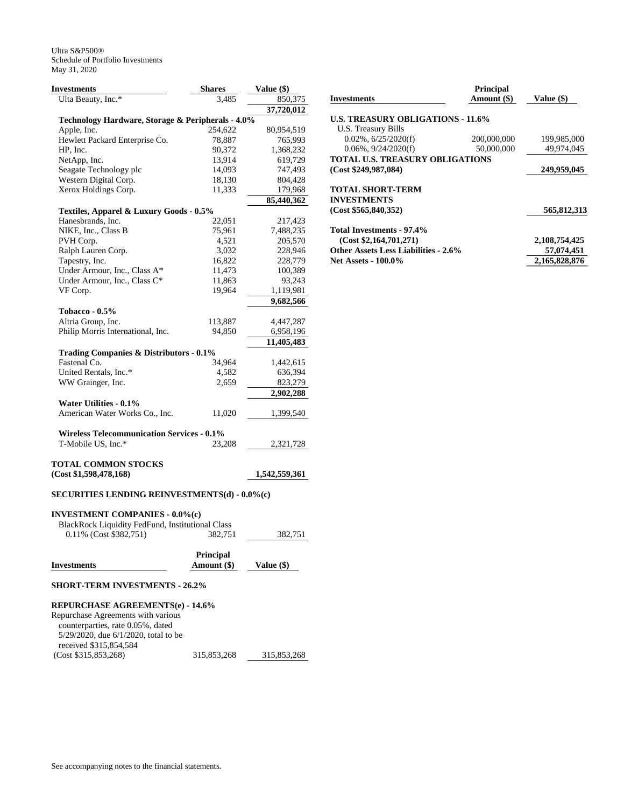| Investments                                          | <b>Shares</b> | Value (\$)    |
|------------------------------------------------------|---------------|---------------|
| Ulta Beauty, Inc.*                                   | 3,485         | 850,375       |
|                                                      |               | 37,720,012    |
| Technology Hardware, Storage & Peripherals - 4.0%    |               |               |
| Apple, Inc.                                          | 254,622       | 80,954,519    |
| Hewlett Packard Enterprise Co.                       | 78,887        | 765,993       |
| HP, Inc.                                             | 90,372        | 1,368,232     |
| NetApp, Inc.                                         | 13,914        | 619,729       |
| Seagate Technology plc                               | 14,093        | 747,493       |
| Western Digital Corp.                                | 18,130        | 804,428       |
| Xerox Holdings Corp.                                 | 11,333        | 179,968       |
|                                                      |               | 85,440,362    |
| Textiles, Apparel & Luxury Goods - 0.5%              |               |               |
| Hanesbrands, Inc.                                    | 22,051        | 217,423       |
| NIKE, Inc., Class B                                  | 75,961        | 7,488,235     |
| PVH Corp.                                            | 4,521         | 205,570       |
| Ralph Lauren Corp.                                   | 3,032         | 228,946       |
| Tapestry, Inc.                                       | 16,822        | 228,779       |
| Under Armour, Inc., Class A*                         | 11,473        | 100,389       |
| Under Armour, Inc., Class C*                         | 11,863        | 93,243        |
| VF Corp.                                             | 19,964        | 1,119,981     |
|                                                      |               | 9,682,566     |
| Tobacco - $0.5\%$                                    |               |               |
| Altria Group, Inc.                                   | 113,887       | 4,447,287     |
| Philip Morris International, Inc.                    | 94,850        | 6,958,196     |
|                                                      |               | 11,405,483    |
| Trading Companies & Distributors - 0.1%              |               |               |
| Fastenal Co.                                         | 34,964        | 1,442,615     |
| United Rentals, Inc.*                                | 4,582         | 636,394       |
| WW Grainger, Inc.                                    | 2,659         | 823,279       |
|                                                      |               | 2,902,288     |
| Water Utilities - 0.1%                               |               |               |
| American Water Works Co., Inc.                       | 11,020        | 1,399,540     |
|                                                      |               |               |
| <b>Wireless Telecommunication Services - 0.1%</b>    |               |               |
| T-Mobile US, Inc.*                                   | 23,208        | 2,321,728     |
|                                                      |               |               |
| TOTAL COMMON STOCKS                                  |               |               |
| (Cost \$1,598,478,168)                               |               | 1,542,559,361 |
|                                                      |               |               |
| <b>SECURITIES LENDING REINVESTMENTS(d) - 0.0%(c)</b> |               |               |
| <b>INVESTMENT COMPANIES - 0.0%(c)</b>                |               |               |
| BlackRock Liquidity FedFund, Institutional Class     |               |               |
| 0.11% (Cost \$382,751)                               | 382,751       | 382,751       |
|                                                      |               |               |
|                                                      |               |               |

|                    | <b>Principal</b> |              |
|--------------------|------------------|--------------|
| <b>Investments</b> | Amount (\$)      | Value $(\$)$ |
|                    |                  |              |

#### **SHORT-TERM INVESTMENTS - 26.2%**

| <b>REPURCHASE AGREEMENTS(e) - 14.6%</b>    |             |             |
|--------------------------------------------|-------------|-------------|
| Repurchase Agreements with various         |             |             |
| counterparties, rate 0.05%, dated          |             |             |
| $5/29/2020$ , due $6/1/2020$ , total to be |             |             |
| received \$315,854,584                     |             |             |
| (Cost \$315,853,268)                       | 315,853,268 | 315,853,268 |

| <b>Investments</b>                          | <b>Principal</b><br>Amount (\$) | Value (\$)    |
|---------------------------------------------|---------------------------------|---------------|
| <b>U.S. TREASURY OBLIGATIONS - 11.6%</b>    |                                 |               |
| U.S. Treasury Bills                         |                                 |               |
| $0.02\%$ , $6/25/2020(f)$                   | 200,000,000                     | 199,985,000   |
| $0.06\%$ , $9/24/2020(f)$                   | 50,000,000                      | 49.974.045    |
| TOTAL U.S. TREASURY OBLIGATIONS             |                                 |               |
| (Cost \$249,987,084)                        |                                 | 249,959,045   |
| <b>TOTAL SHORT-TERM</b>                     |                                 |               |
| <b>INVESTMENTS</b>                          |                                 |               |
| (Cost \$565,840,352)                        |                                 | 565,812,313   |
| Total Investments - 97.4%                   |                                 |               |
| (Cost \$2,164,701,271)                      |                                 | 2,108,754,425 |
| <b>Other Assets Less Liabilities - 2.6%</b> |                                 | 57,074,451    |
| <b>Net Assets - 100.0%</b>                  |                                 | 2,165,828,876 |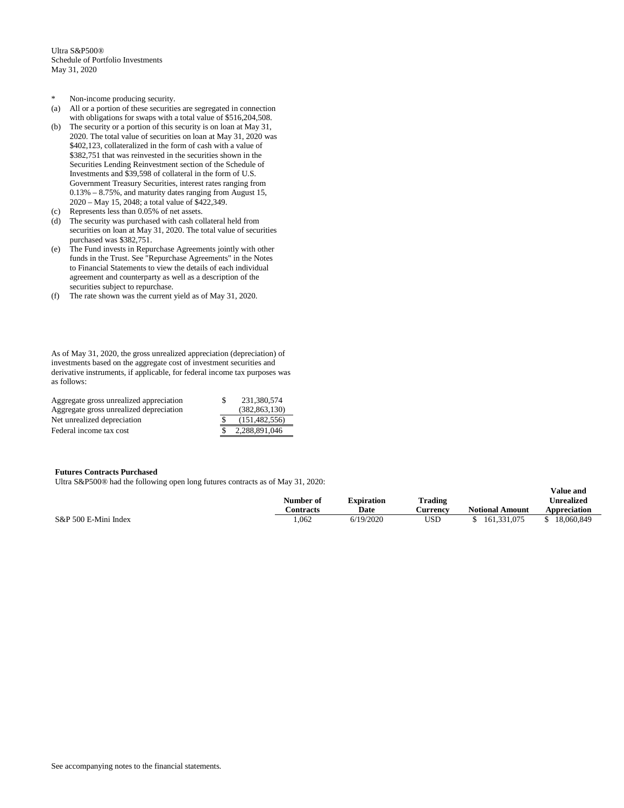- \* Non-income producing security.
- (a) All or a portion of these securities are segregated in connection with obligations for swaps with a total value of \$516,204,508.
- (b) The security or a portion of this security is on loan at May 31, 2020. The total value of securities on loan at May 31, 2020 was \$402,123, collateralized in the form of cash with a value of \$382,751 that was reinvested in the securities shown in the Securities Lending Reinvestment section of the Schedule of Investments and \$39,598 of collateral in the form of U.S. Government Treasury Securities, interest rates ranging from 0.13% – 8.75%, and maturity dates ranging from August 15, 2020 – May 15, 2048; a total value of \$422,349.
- (c) Represents less than 0.05% of net assets.
- (d) The security was purchased with cash collateral held from securities on loan at May 31, 2020. The total value of securities purchased was \$382,751.
- (e) The Fund invests in Repurchase Agreements jointly with other funds in the Trust. See "Repurchase Agreements" in the Notes to Financial Statements to view the details of each individual agreement and counterparty as well as a description of the securities subject to repurchase.
- (f) The rate shown was the current yield as of May 31, 2020.

As of May 31, 2020, the gross unrealized appreciation (depreciation) of investments based on the aggregate cost of investment securities and derivative instruments, if applicable, for federal income tax purposes was as follows:

| Aggregate gross unrealized appreciation | 231,380,574     |
|-----------------------------------------|-----------------|
| Aggregate gross unrealized depreciation | (382.863.130)   |
| Net unrealized depreciation             | (151.482.556)   |
| Federal income tax cost                 | \$2,288,891,046 |

## **Futures Contracts Purchased**

Ultra S&P500® had the following open long futures contracts as of May 31, 2020:

|                      | -- |           |                   |                |                        | Value and         |
|----------------------|----|-----------|-------------------|----------------|------------------------|-------------------|
|                      |    | Number of | <b>Expiration</b> | <b>Trading</b> |                        | <b>Unrealized</b> |
|                      |    | Contracts | Date              | Aurrency       | <b>Notional Amount</b> | Appreciation      |
| S&P 500 E-Mini Index |    | .062      | 6/19/2020         | USD            | 161.331.075            | 18,060,849        |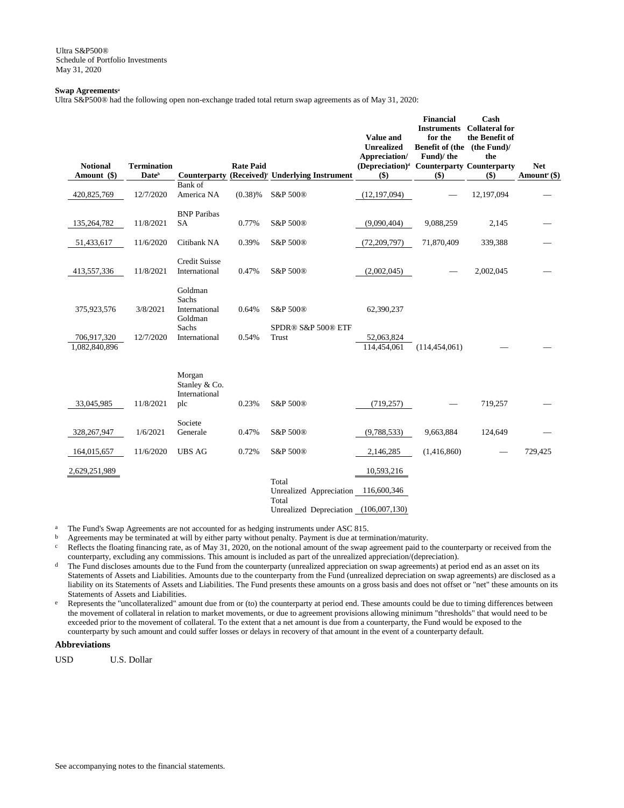#### **Swap Agreements<sup>a</sup>**

Ultra S&P500® had the following open non-exchange traded total return swap agreements as of May 31, 2020:

| <b>Notional</b>              | <b>Termination</b> |                                                 | <b>Rate Paid</b> |                                                                                    | Value and<br><b>Unrealized</b><br>Appreciation/<br>(Depreciation) <sup>d</sup> Counterparty Counterparty | <b>Financial</b><br><b>Instruments</b><br>for the<br>Benefit of (the (the Fund)/<br>Fund)/ the | Cash<br><b>Collateral for</b><br>the Benefit of<br>the | <b>Net</b>                 |
|------------------------------|--------------------|-------------------------------------------------|------------------|------------------------------------------------------------------------------------|----------------------------------------------------------------------------------------------------------|------------------------------------------------------------------------------------------------|--------------------------------------------------------|----------------------------|
| Amount (\$)                  | Date <sup>b</sup>  |                                                 |                  | Counterparty (Received) <sup>e</sup> Underlying Instrument                         | $($)$                                                                                                    | $($ \$)                                                                                        | $($)$                                                  | Amount <sup>e</sup> $(\$)$ |
| 420,825,769                  | 12/7/2020          | Bank of<br>America NA                           | (0.38)%          | S&P 500®                                                                           | (12, 197, 094)                                                                                           |                                                                                                | 12,197,094                                             |                            |
| 135,264,782                  | 11/8/2021          | <b>BNP</b> Paribas<br><b>SA</b>                 | 0.77%            | S&P 500®                                                                           | (9,090,404)                                                                                              | 9,088,259                                                                                      | 2,145                                                  |                            |
| 51,433,617                   | 11/6/2020          | Citibank NA                                     | 0.39%            | S&P 500®                                                                           | (72, 209, 797)                                                                                           | 71,870,409                                                                                     | 339,388                                                |                            |
| 413,557,336                  | 11/8/2021          | <b>Credit Suisse</b><br>International           | 0.47%            | S&P 500®                                                                           | (2,002,045)                                                                                              |                                                                                                | 2,002,045                                              |                            |
| 375,923,576                  | 3/8/2021           | Goldman<br>Sachs<br>International<br>Goldman    | 0.64%            | S&P 500®                                                                           | 62,390,237                                                                                               |                                                                                                |                                                        |                            |
| 706,917,320<br>1,082,840,896 | 12/7/2020          | Sachs<br>International                          | 0.54%            | SPDR® S&P 500® ETF<br>Trust                                                        | 52,063,824<br>114,454,061                                                                                | (114, 454, 061)                                                                                |                                                        |                            |
| 33,045,985                   | 11/8/2021          | Morgan<br>Stanley & Co.<br>International<br>plc | 0.23%            | S&P 500®                                                                           | (719, 257)                                                                                               |                                                                                                | 719,257                                                |                            |
| 328,267,947                  | 1/6/2021           | Societe<br>Generale                             | 0.47%            | S&P 500®                                                                           | (9,788,533)                                                                                              | 9,663,884                                                                                      | 124,649                                                |                            |
| 164,015,657                  | 11/6/2020          | <b>UBS AG</b>                                   | 0.72%            | S&P 500®                                                                           | 2,146,285                                                                                                | (1,416,860)                                                                                    |                                                        | 729,425                    |
| 2,629,251,989                |                    |                                                 |                  | Total<br>Unrealized Appreciation<br>Total<br>Unrealized Depreciation (106,007,130) | 10,593,216<br>116,600,346                                                                                |                                                                                                |                                                        |                            |

<sup>a</sup> The Fund's Swap Agreements are not accounted for as hedging instruments under ASC 815.<br>  $\frac{1}{2}$  Agreements may be terminated at will by either party without penalty. Payment is due at term

b Agreements may be terminated at will by either party without penalty. Payment is due at termination/maturity.<br>Reflects the floating financing rate, as of May 31, 2020, on the notional amount of the swap agreement paid t

Reflects the floating financing rate, as of May 31, 2020, on the notional amount of the swap agreement paid to the counterparty or received from the counterparty, excluding any commissions. This amount is included as part of the unrealized appreciation/(depreciation).

<sup>d</sup> The Fund discloses amounts due to the Fund from the counterparty (unrealized appreciation on swap agreements) at period end as an asset on its Statements of Assets and Liabilities. Amounts due to the counterparty from the Fund (unrealized depreciation on swap agreements) are disclosed as a liability on its Statements of Assets and Liabilities. The Fund presents these amounts on a gross basis and does not offset or "net" these amounts on its Statements of Assets and Liabilities.

<sup>e</sup> Represents the "uncollateralized" amount due from or (to) the counterparty at period end. These amounts could be due to timing differences between the movement of collateral in relation to market movements, or due to agreement provisions allowing minimum "thresholds" that would need to be exceeded prior to the movement of collateral. To the extent that a net amount is due from a counterparty, the Fund would be exposed to the counterparty by such amount and could suffer losses or delays in recovery of that amount in the event of a counterparty default.

# **Abbreviations**

USD U.S. Dollar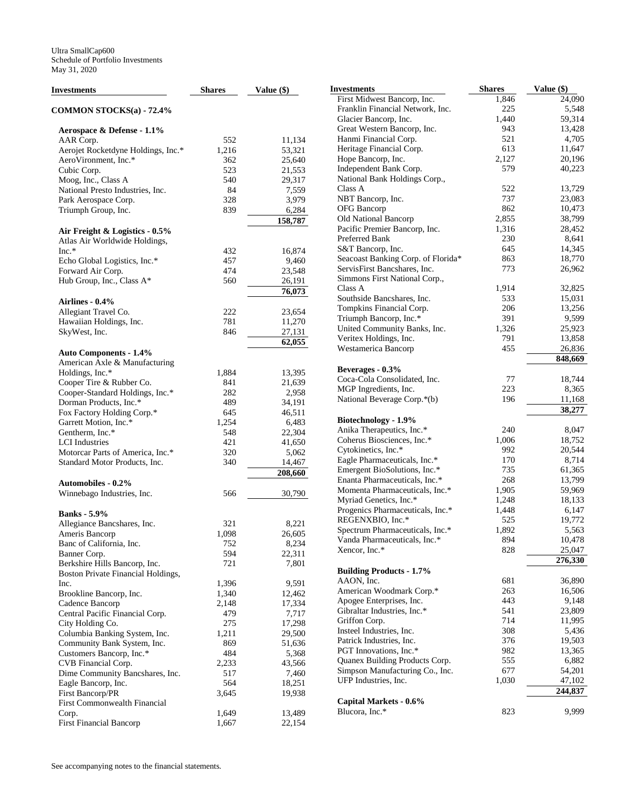| Investments                                                     | <b>Shares</b> | Value (\$) |
|-----------------------------------------------------------------|---------------|------------|
| <b>COMMON STOCKS(a) - 72.4%</b>                                 |               |            |
| Aerospace & Defense - 1.1%                                      |               |            |
| AAR Corp.                                                       | 552           | 11,134     |
| Aerojet Rocketdyne Holdings, Inc.*                              | 1,216         | 53,321     |
| AeroVironment, Inc.*                                            | 362           | 25,640     |
| Cubic Corp.                                                     | 523           | 21,553     |
| Moog, Inc., Class A                                             | 540           | 29,317     |
| National Presto Industries, Inc.                                | 84            | 7,559      |
| Park Aerospace Corp.                                            | 328           | 3,979      |
| Triumph Group, Inc.                                             | 839           | 6,284      |
| Air Freight & Logistics - 0.5%<br>Atlas Air Worldwide Holdings, |               | 158,787    |
| $Inc.*$                                                         | 432           | 16,874     |
| Echo Global Logistics, Inc.*                                    | 457           | 9,460      |
| Forward Air Corp.                                               | 474           | 23,548     |
| Hub Group, Inc., Class A*                                       | 560           | 26,191     |
|                                                                 |               | 76,073     |
| Airlines - 0.4%                                                 |               |            |
| Allegiant Travel Co.                                            | 222           | 23,654     |
| Hawaiian Holdings, Inc.                                         | 781           | 11,270     |
| SkyWest, Inc.                                                   | 846           | 27,131     |
|                                                                 |               | 62,055     |
| <b>Auto Components - 1.4%</b><br>American Axle & Manufacturing  |               |            |
| Holdings, Inc.*                                                 | 1,884         | 13,395     |
| Cooper Tire & Rubber Co.                                        | 841           | 21,639     |
| Cooper-Standard Holdings, Inc.*                                 | 282           | 2,958      |
| Dorman Products, Inc.*                                          | 489           | 34,191     |
| Fox Factory Holding Corp.*                                      | 645           | 46,511     |
| Garrett Motion, Inc.*                                           | 1,254         | 6,483      |
| Gentherm, Inc.*                                                 | 548           | 22,304     |
| LCI Industries                                                  | 421           | 41,650     |
| Motorcar Parts of America, Inc.*                                | 320           | 5,062      |
| Standard Motor Products, Inc.                                   | 340           | 14,467     |
|                                                                 |               | 208,660    |
| <b>Automobiles - 0.2%</b>                                       |               |            |
| Winnebago Industries, Inc.                                      | 566           | 30,790     |
| <b>Banks</b> - 5.9%                                             |               |            |
| Allegiance Bancshares, Inc.                                     | 321           | 8,221      |
| Ameris Bancorp                                                  | 1,098         | 26,605     |
| Banc of California, Inc.                                        | 752           | 8,234      |
| Banner Corp.                                                    | 594           | 22,311     |
| Berkshire Hills Bancorp, Inc.                                   | 721           | 7,801      |
| Boston Private Financial Holdings,                              |               |            |
| Inc.                                                            | 1,396         | 9,591      |
| Brookline Bancorp, Inc.                                         | 1,340         | 12,462     |
| Cadence Bancorp                                                 | 2,148         | 17,334     |
| Central Pacific Financial Corp.                                 | 479           | 7,717      |
| City Holding Co.                                                | 275           | 17,298     |
| Columbia Banking System, Inc.                                   | 1,211         | 29,500     |
| Community Bank System, Inc.                                     | 869           | 51,636     |
| Customers Bancorp, Inc.*                                        | 484           | 5,368      |
| CVB Financial Corp.                                             | 2,233         | 43,566     |
| Dime Community Bancshares, Inc.                                 | 517           | 7,460      |
| Eagle Bancorp, Inc.                                             | 564           | 18,251     |
| First Bancorp/PR                                                | 3,645         | 19,938     |
| First Commonwealth Financial                                    |               |            |
| Corp.                                                           | 1,649         | 13,489     |
| <b>First Financial Bancorp</b>                                  | 1,667         | 22,154     |

| Investments                                                        | <b>Shares</b> | Value (\$)       |
|--------------------------------------------------------------------|---------------|------------------|
| First Midwest Bancorp, Inc.                                        | 1,846         | 24,090           |
| Franklin Financial Network, Inc.                                   | 225           | 5,548            |
| Glacier Bancorp, Inc.                                              | 1,440         | 59,314           |
| Great Western Bancorp, Inc.                                        | 943           | 13,428           |
| Hanmi Financial Corp.                                              | 521           | 4,705            |
| Heritage Financial Corp.                                           | 613           | 11,647           |
| Hope Bancorp, Inc.                                                 | 2,127         | 20,196           |
| Independent Bank Corp.                                             | 579           | 40,223           |
| National Bank Holdings Corp.,                                      |               |                  |
| Class A                                                            | 522           | 13,729           |
| NBT Bancorp, Inc.                                                  | 737           | 23,083           |
| <b>OFG</b> Bancorp                                                 | 862           | 10,473           |
| Old National Bancorp                                               | 2,855         | 38,799           |
| Pacific Premier Bancorp, Inc.                                      | 1,316         | 28,452           |
| Preferred Bank                                                     | 230           | 8,641            |
| S&T Bancorp, Inc.                                                  | 645           | 14,345           |
| Seacoast Banking Corp. of Florida*<br>ServisFirst Bancshares, Inc. | 863           | 18,770           |
| Simmons First National Corp.,                                      | 773           | 26,962           |
| Class A                                                            | 1,914         | 32,825           |
| Southside Bancshares, Inc.                                         | 533           | 15,031           |
| Tompkins Financial Corp.                                           | 206           | 13,256           |
| Triumph Bancorp, Inc.*                                             | 391           | 9,599            |
| United Community Banks, Inc.                                       | 1,326         | 25,923           |
| Veritex Holdings, Inc.                                             | 791           | 13,858           |
| Westamerica Bancorp                                                | 455           | 26,836           |
|                                                                    |               | 848,669          |
| Beverages - 0.3%                                                   |               |                  |
| Coca-Cola Consolidated, Inc.                                       | 77            | 18,744           |
| MGP Ingredients, Inc.                                              | 223           | 8,365            |
| National Beverage Corp.*(b)                                        | 196           | 11,168           |
|                                                                    |               | 38,277           |
| Biotechnology - 1.9%                                               |               |                  |
| Anika Therapeutics, Inc.*                                          | 240           | 8,047            |
| Coherus Biosciences, Inc.*                                         | 1,006         | 18,752           |
| Cytokinetics, Inc.*                                                | 992           | 20,544           |
| Eagle Pharmaceuticals, Inc.*                                       | 170           | 8,714            |
| Emergent BioSolutions, Inc.*                                       | 735           | 61,365           |
| Enanta Pharmaceuticals, Inc.*                                      | 268           | 13,799           |
| Momenta Pharmaceuticals, Inc.*                                     | 1,905         | 59,969           |
| Myriad Genetics, Inc.*                                             | 1,248         | 18,133           |
| Progenics Pharmaceuticals, Inc.*                                   | 1,448         | 6,147            |
| REGENXBIO, Inc.*                                                   | 525           | 19,772           |
| Spectrum Pharmaceuticals, Inc.*<br>Vanda Pharmaceuticals, Inc.*    | 1,892<br>894  | 5,563            |
| Xencor, Inc.*                                                      | 828           | 10,478<br>25,047 |
|                                                                    |               | 276,330          |
| <b>Building Products - 1.7%</b>                                    |               |                  |
| AAON, Inc.                                                         | 681           | 36,890           |
| American Woodmark Corp.*                                           | 263           | 16,506           |
| Apogee Enterprises, Inc.                                           | 443           | 9,148            |
| Gibraltar Industries, Inc.*                                        | 541           | 23,809           |
| Griffon Corp.                                                      | 714           | 11,995           |
| Insteel Industries, Inc.                                           | 308           | 5,436            |
| Patrick Industries, Inc.                                           | 376           | 19,503           |
| PGT Innovations, Inc.*                                             | 982           | 13,365           |
| Quanex Building Products Corp.                                     | 555           | 6,882            |
| Simpson Manufacturing Co., Inc.                                    | 677           | 54,201           |
| UFP Industries, Inc.                                               | 1,030         | 47,102           |
|                                                                    |               | 244,837          |
| Capital Markets - 0.6%                                             |               |                  |
| Blucora, Inc.*                                                     | 823           | 9,999            |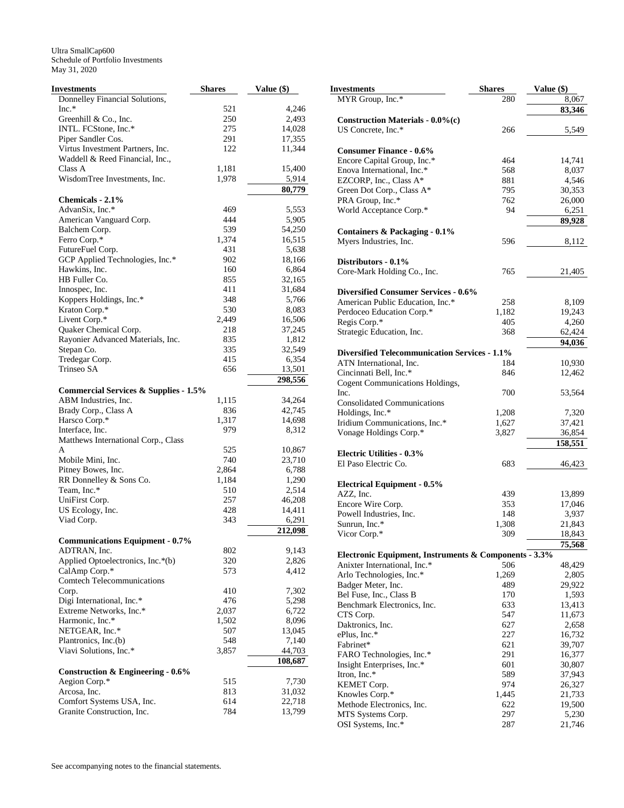| Investments                                      | <b>Shares</b> | Value (\$)        |
|--------------------------------------------------|---------------|-------------------|
| Donnelley Financial Solutions,                   |               |                   |
| $Inc.*$                                          | 521           | 4,246             |
| Greenhill $& Co., Inc.$                          | 250           | 2,493             |
| INTL. FCStone, Inc.*                             | 275           | 14,028            |
| Piper Sandler Cos.                               | 291           | 17,355            |
| Virtus Investment Partners, Inc.                 | 122           | 11,344            |
| Waddell & Reed Financial, Inc.,                  |               |                   |
| Class A                                          | 1,181         | 15,400            |
| WisdomTree Investments, Inc.                     | 1,978         | 5,914             |
|                                                  |               | 80,779            |
| Chemicals - 2.1%                                 |               |                   |
| AdvanSix, Inc.*                                  | 469           | 5,553             |
| American Vanguard Corp.                          | 444           | 5,905             |
| Balchem Corp.                                    | 539           | 54,250            |
| Ferro Corp.*                                     | 1,374         | 16,515            |
| FutureFuel Corp.                                 | 431           | 5,638             |
| GCP Applied Technologies, Inc.*                  | 902           | 18,166            |
| Hawkins, Inc.                                    | 160           | 6,864             |
| HB Fuller Co.                                    | 855           | 32,165            |
| Innospec, Inc.                                   | 411           | 31,684            |
| Koppers Holdings, Inc.*                          | 348           | 5,766             |
| Kraton Corp.*                                    | 530           | 8,083             |
| Livent Corp.*                                    | 2,449         | 16,506            |
| Quaker Chemical Corp.                            | 218           | 37,245            |
| Rayonier Advanced Materials, Inc.                | 835           | 1,812             |
| Stepan Co.                                       | 335           | 32,549            |
| Tredegar Corp.                                   | 415           | 6,354             |
| Trinseo SA                                       | 656           | 13,501            |
|                                                  |               | 298,556           |
| <b>Commercial Services &amp; Supplies - 1.5%</b> |               |                   |
| ABM Industries, Inc.                             | 1,115         | 34,264            |
| Brady Corp., Class A                             | 836           | 42,745            |
| Harsco Corp.*                                    | 1,317         | 14,698            |
| Interface, Inc.                                  | 979           | 8,312             |
| Matthews International Corp., Class              |               |                   |
| A                                                | 525           | 10,867            |
| Mobile Mini, Inc.                                | 740           | 23,710            |
| Pitney Bowes, Inc.                               | 2,864         | 6,788             |
| RR Donnelley & Sons Co.                          | 1,184         | 1,290             |
| Team, Inc.*                                      | 510           | 2,514             |
| UniFirst Corp.                                   | 257           | 46,208            |
| US Ecology, Inc.                                 | 428           | 14,411            |
| Viad Corp.                                       | 343           | 6,291             |
|                                                  |               | 212,098           |
| <b>Communications Equipment - 0.7%</b>           |               |                   |
| ADTRAN, Inc.                                     | 802           | 9,143             |
| Applied Optoelectronics, Inc.*(b)                | 320           | 2,826             |
| CalAmp Corp.*                                    | 573           | 4,412             |
| <b>Comtech Telecommunications</b>                |               |                   |
| Corp.                                            | 410           | 7,302             |
| Digi International, Inc.*                        | 476           | 5,298             |
| Extreme Networks, Inc.*                          | 2,037         | 6,722             |
| Harmonic, Inc.*                                  | 1,502         | 8,096             |
| NETGEAR, Inc.*                                   | 507           | 13,045            |
| Plantronics, Inc.(b)                             |               |                   |
|                                                  | 548           | 7,140             |
| Viavi Solutions, Inc.*                           | 3,857         | 44,703<br>108,687 |
| <b>Construction &amp; Engineering - 0.6%</b>     |               |                   |
| Aegion Corp.*                                    | 515           | 7,730             |
| Arcosa, Inc.                                     | 813           | 31,032            |
| Comfort Systems USA, Inc.                        | 614           | 22,718            |
| Granite Construction, Inc.                       | 784           | 13,799            |
|                                                  |               |                   |

| $($)$   | <b>Investments</b>                                    | <b>Shares</b> | Value (\$) |
|---------|-------------------------------------------------------|---------------|------------|
|         | MYR Group, Inc.*                                      | 280           | 8,067      |
| 4,246   |                                                       |               | 83,346     |
| 2,493   | <b>Construction Materials - 0.0%(c)</b>               |               |            |
| 14,028  | US Concrete, Inc.*                                    | 266           | 5,549      |
| 17,355  |                                                       |               |            |
| 11,344  | <b>Consumer Finance - 0.6%</b>                        |               |            |
|         |                                                       |               |            |
| 15,400  | Encore Capital Group, Inc.*                           | 464           | 14,741     |
|         | Enova International, Inc.*                            | 568           | 8,037      |
| 5,914   | EZCORP, Inc., Class A*                                | 881           | 4,546      |
| 80,779  | Green Dot Corp., Class A*                             | 795           | 30,353     |
|         | PRA Group, Inc.*                                      | 762           | 26,000     |
| 5,553   | World Acceptance Corp.*                               | 94            | 6,251      |
| 5,905   |                                                       |               | 89,928     |
| 54,250  | Containers & Packaging - 0.1%                         |               |            |
| 16,515  | Myers Industries, Inc.                                | 596           | 8,112      |
| 5,638   |                                                       |               |            |
| 18,166  | Distributors - 0.1%                                   |               |            |
| 6,864   | Core-Mark Holding Co., Inc.                           | 765           | 21,405     |
| 32,165  |                                                       |               |            |
| 31,684  | <b>Diversified Consumer Services - 0.6%</b>           |               |            |
| 5,766   | American Public Education, Inc.*                      | 258           |            |
| 8,083   |                                                       |               | 8,109      |
| 16,506  | Perdoceo Education Corp.*                             | 1,182         | 19,243     |
| 37,245  | Regis Corp.*                                          | 405           | 4,260      |
| 1,812   | Strategic Education, Inc.                             | 368           | 62,424     |
|         |                                                       |               | 94,036     |
| 32,549  | <b>Diversified Telecommunication Services - 1.1%</b>  |               |            |
| 6,354   | ATN International, Inc.                               | 184           | 10,930     |
| 13,501  | Cincinnati Bell, Inc.*                                | 846           | 12,462     |
| 298,556 | Cogent Communications Holdings,                       |               |            |
|         | Inc.                                                  | 700           | 53,564     |
| 34,264  | <b>Consolidated Communications</b>                    |               |            |
| 42,745  | Holdings, Inc.*                                       | 1,208         | 7,320      |
| 14,698  | Iridium Communications, Inc.*                         | 1,627         | 37,421     |
| 8,312   | Vonage Holdings Corp.*                                | 3,827         | 36,854     |
|         |                                                       |               | 158,551    |
| 10,867  | <b>Electric Utilities - 0.3%</b>                      |               |            |
| 23,710  | El Paso Electric Co.                                  | 683           | 46,423     |
| 6,788   |                                                       |               |            |
| 1,290   | <b>Electrical Equipment - 0.5%</b>                    |               |            |
| 2,514   | AZZ, Inc.                                             | 439           | 13,899     |
| 46,208  | Encore Wire Corp.                                     | 353           | 17,046     |
| 14,411  | Powell Industries, Inc.                               | 148           |            |
| 6,291   |                                                       |               | 3,937      |
| 212,098 | Sunrun, Inc.*                                         | 1,308         | 21,843     |
|         | Vicor Corp.*                                          | 309           | 18,843     |
| 9,143   |                                                       |               | 75,568     |
| 2,826   | Electronic Equipment, Instruments & Components - 3.3% |               |            |
| 4,412   | Anixter International, Inc.*                          | 506           | 48,429     |
|         | Arlo Technologies, Inc.*                              | 1,269         | 2,805      |
| 7,302   | Badger Meter, Inc.                                    | 489           | 29,922     |
|         | Bel Fuse, Inc., Class B                               | 170           | 1,593      |
| 5,298   | Benchmark Electronics, Inc.                           | 633           | 13,413     |
| 6,722   | CTS Corp.                                             | 547           | 11,673     |
| 8,096   | Daktronics, Inc.                                      | 627           | 2,658      |
| 13,045  | ePlus, Inc.*                                          | 227           | 16,732     |
| 7,140   | Fabrinet*                                             | 621           | 39,707     |
| 44,703  | FARO Technologies, Inc.*                              | 291           | 16,377     |
| 108,687 | Insight Enterprises, Inc.*                            | 601           | 30,807     |
|         | Itron, Inc.*                                          | 589           | 37,943     |
| 7,730   | KEMET Corp.                                           | 974           | 26,327     |
| 31,032  | Knowles Corp.*                                        | 1,445         | 21,733     |
| 22,718  | Methode Electronics, Inc.                             | 622           | 19,500     |
| 13,799  |                                                       | 297           |            |
|         | MTS Systems Corp.                                     |               | 5,230      |
|         | OSI Systems, Inc.*                                    | 287           | 21,746     |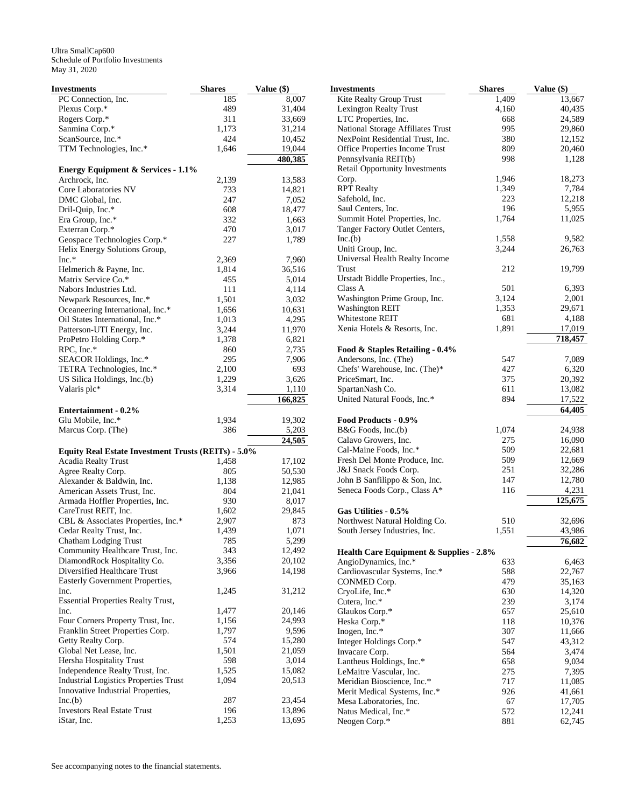| Investments                                         | <b>Shares</b> | Value (\$) | <b>Investments</b>       |
|-----------------------------------------------------|---------------|------------|--------------------------|
| PC Connection, Inc.                                 | 185           | 8,007      | Kite Realty Grou         |
| Plexus Corp.*                                       | 489           | 31,404     | Lexington Realty         |
| Rogers Corp.*                                       | 311           | 33,669     | LTC Properties,          |
| Sanmina Corp.*                                      | 1,173         | 31,214     | <b>National Storage</b>  |
| ScanSource, Inc.*                                   | 424           | 10,452     | NexPoint Reside          |
| TTM Technologies, Inc.*                             | 1,646         | 19,044     | <b>Office Properties</b> |
|                                                     |               | 480,385    | Pennsylvania RE          |
| <b>Energy Equipment &amp; Services - 1.1%</b>       |               |            | Retail Opportuni         |
| Archrock, Inc.                                      | 2,139         | 13,583     | Corp.                    |
| Core Laboratories NV                                | 733           | 14,821     | <b>RPT</b> Realty        |
| DMC Global, Inc.                                    | 247           | 7,052      | Safehold, Inc.           |
| Dril-Quip, Inc.*                                    | 608           | 18,477     | Saul Centers, Inc.       |
| Era Group, Inc.*                                    | 332           | 1,663      | Summit Hotel Pr          |
| Exterran Corp.*                                     | 470           | 3,017      | Tanger Factory (         |
| Geospace Technologies Corp.*                        | 227           | 1,789      | Inc(b)                   |
| Helix Energy Solutions Group,                       |               |            | Uniti Group, Inc.        |
| $Inc.*$                                             | 2,369         | 7,960      | Universal Health         |
| Helmerich & Payne, Inc.                             | 1,814         | 36,516     | Trust                    |
| Matrix Service Co.*                                 | 455           | 5,014      | Urstadt Biddle P.        |
| Nabors Industries Ltd.                              | 111           | 4,114      | Class A                  |
| Newpark Resources, Inc.*                            | 1,501         | 3,032      | <b>Washington Prin</b>   |
| Oceaneering International, Inc.*                    | 1,656         | 10,631     | <b>Washington REI</b>    |
| Oil States International, Inc.*                     | 1,013         | 4,295      | Whitestone REIT          |
| Patterson-UTI Energy, Inc.                          | 3,244         | 11,970     | Xenia Hotels & l         |
| ProPetro Holding Corp.*                             | 1,378         | 6,821      |                          |
| RPC, Inc.*                                          | 860           | 2,735      | Food & Staples           |
| SEACOR Holdings, Inc.*                              | 295           | 7,906      | Andersons, Inc.          |
| TETRA Technologies, Inc.*                           | 2,100         | 693        | Chefs' Warehous          |
| US Silica Holdings, Inc.(b)                         | 1,229         | 3,626      | PriceSmart, Inc.         |
| Valaris plc*                                        | 3,314         | 1,110      | SpartanNash Co.          |
|                                                     |               | 166,825    | <b>United Natural F</b>  |
| <b>Entertainment - 0.2%</b>                         |               |            |                          |
| Glu Mobile, Inc.*                                   | 1,934         | 19,302     | <b>Food Products -</b>   |
| Marcus Corp. (The)                                  | 386           | 5,203      | B&G Foods, Inc.          |
|                                                     |               | 24,505     | Calavo Growers,          |
| Equity Real Estate Investment Trusts (REITs) - 5.0% |               |            | Cal-Maine Foods          |
| <b>Acadia Realty Trust</b>                          | 1,458         | 17,102     | <b>Fresh Del Monte</b>   |
| Agree Realty Corp.                                  | 805           | 50,530     | J&J Snack Foods          |
| Alexander & Baldwin, Inc.                           | 1,138         | 12,985     | John B Sanfilipp         |
| American Assets Trust, Inc.                         | 804           | 21,041     | Seneca Foods Co          |
| Armada Hoffler Properties, Inc.                     | 930           | 8,017      |                          |
| CareTrust REIT, Inc.                                | 1,602         | 29,845     | Gas Utilities - 0.       |
| CBL & Associates Properties, Inc.*                  | 2,907         | 873        | Northwest Natur          |
| Cedar Realty Trust, Inc.                            | 1,439         | 1,071      | South Jersey Ind         |
| Chatham Lodging Trust                               | 785           | 5,299      |                          |
| Community Healthcare Trust, Inc.                    | 343           | 12,492     | <b>Health Care Eq</b>    |
| DiamondRock Hospitality Co.                         | 3,356         | 20,102     | AngioDynamics,           |
| Diversified Healthcare Trust                        | 3,966         | 14,198     | Cardiovascular S         |
| Easterly Government Properties,                     |               |            | CONMED Corp.             |
| Inc.                                                | 1,245         | 31,212     | CryoLife, Inc.*          |
| <b>Essential Properties Realty Trust,</b>           |               |            | Cutera, Inc.*            |
| Inc.                                                | 1,477         | 20,146     | Glaukos Corp.*           |
| Four Corners Property Trust, Inc.                   | 1,156         | 24,993     | Heska Corp.*             |
| Franklin Street Properties Corp.                    | 1,797         | 9,596      | Inogen, Inc.*            |
| Getty Realty Corp.                                  | 574           | 15,280     | Integer Holdings         |
| Global Net Lease, Inc.                              | 1,501         | 21,059     | Invacare Corp.           |
| Hersha Hospitality Trust                            | 598           | 3,014      | Lantheus Holdin          |
| Independence Realty Trust, Inc.                     | 1,525         | 15,082     | LeMaitre Vascul          |
| <b>Industrial Logistics Properties Trust</b>        | 1,094         | 20,513     | Meridian Bioscie         |
| Innovative Industrial Properties,                   |               |            | Merit Medical S          |
| Inc(b)                                              | 287           | 23,454     | Mesa Laboratori          |
| <b>Investors Real Estate Trust</b>                  | 196           | 13,896     | Natus Medical, I         |
| iStar, Inc.                                         | 1,253         | 13,695     | Neogen Corp.*            |

| <b>Investments</b>                                  | <b>Shares</b> | Value (\$)       |
|-----------------------------------------------------|---------------|------------------|
| <b>Kite Realty Group Trust</b>                      | 1,409         | 13,667           |
| Lexington Realty Trust                              | 4,160         | 40,435           |
| LTC Properties, Inc.                                | 668           | 24,589           |
| National Storage Affiliates Trust                   | 995           | 29,860           |
| NexPoint Residential Trust, Inc.                    | 380           | 12,152           |
| Office Properties Income Trust                      | 809           | 20,460           |
| Pennsylvania REIT(b)                                | 998           | 1,128            |
| <b>Retail Opportunity Investments</b>               |               |                  |
| Corp.                                               | 1,946         | 18,273           |
| <b>RPT</b> Realty                                   | 1,349         | 7,784            |
| Safehold, Inc.                                      | 223           | 12,218           |
| Saul Centers, Inc.                                  | 196           | 5,955            |
| Summit Hotel Properties, Inc.                       | 1,764         | 11,025           |
| Tanger Factory Outlet Centers,                      |               |                  |
| Inc.(b)                                             | 1,558         | 9,582            |
| Uniti Group, Inc.                                   | 3,244         | 26,763           |
| Universal Health Realty Income                      |               |                  |
| Trust                                               | 212           | 19,799           |
| Urstadt Biddle Properties, Inc.,                    |               |                  |
| Class A                                             | 501           | 6,393            |
| Washington Prime Group, Inc.                        | 3,124         | 2,001            |
| <b>Washington REIT</b>                              | 1,353         | 29,671           |
| <b>Whitestone REIT</b>                              | 681           | 4,188            |
| Xenia Hotels & Resorts, Inc.                        | 1,891         | 17,019           |
|                                                     |               | 718,457          |
| Food & Staples Retailing - 0.4%                     |               |                  |
| Andersons, Inc. (The)                               | 547           | 7,089            |
| Chefs' Warehouse, Inc. (The)*                       | 427           | 6,320            |
| PriceSmart, Inc.                                    | 375           | 20,392           |
| SpartanNash Co.                                     | 611           | 13,082           |
| United Natural Foods, Inc.*                         | 894           | 17,522<br>64,405 |
| Food Products - 0.9%                                |               |                  |
| B&G Foods, Inc.(b)                                  | 1,074         | 24,938           |
| Calavo Growers, Inc.                                | 275           | 16,090           |
| Cal-Maine Foods, Inc.*                              | 509           | 22,681           |
| Fresh Del Monte Produce, Inc.                       | 509           | 12,669           |
| J&J Snack Foods Corp.                               | 251           | 32,286           |
| John B Sanfilippo & Son, Inc.                       | 147           | 12,780           |
| Seneca Foods Corp., Class A*                        | 116           | 4,231            |
|                                                     |               | 125,675          |
| Gas Utilities - 0.5%                                |               |                  |
| Northwest Natural Holding Co.                       | 510           | 32,696           |
| South Jersey Industries, Inc.                       | 1,551         | 43,986           |
|                                                     |               | 76,682           |
| <b>Health Care Equipment &amp; Supplies - 2.8%</b>  |               |                  |
| AngioDynamics, Inc.*                                | 633           | 6,463            |
| Cardiovascular Systems, Inc.*                       | 588           | 22,767           |
| CONMED Corp.                                        | 479           | 35,163           |
| CryoLife, Inc.*                                     | 630           | 14,320           |
| Cutera, Inc.*                                       | 239           | 3,174            |
| Glaukos Corp.*                                      | 657           | 25,610           |
| Heska Corp.*                                        | 118           | 10,376           |
| Inogen, Inc.*                                       | 307           | 11,666           |
| Integer Holdings Corp.*                             | 547           | 43,312           |
| Invacare Corp.                                      | 564           | 3,474            |
| Lantheus Holdings, Inc.*<br>LeMaitre Vascular, Inc. | 658<br>275    | 9,034            |
| Meridian Bioscience, Inc.*                          | 717           | 7,395            |
| Merit Medical Systems, Inc.*                        | 926           | 11,085<br>41,661 |
| Mesa Laboratories, Inc.                             | 67            | 17,705           |
| Natus Medical, Inc.*                                | 572           | 12,241           |
| Neogen Corp.*                                       | 881           | 62,745           |
|                                                     |               |                  |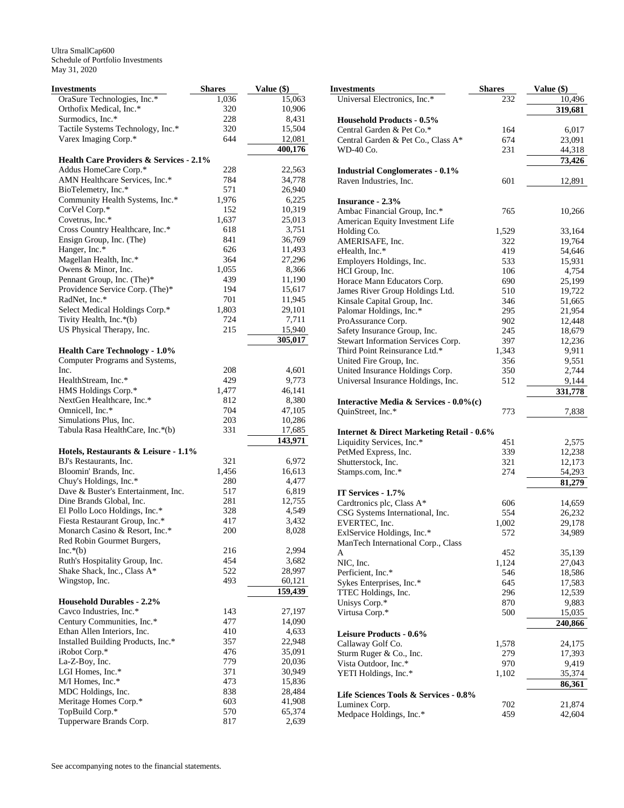| Investments                                                            | <b>Shares</b> | Value (\$)        |
|------------------------------------------------------------------------|---------------|-------------------|
| OraSure Technologies, Inc.*                                            | 1,036         | 15,063            |
| Orthofix Medical, Inc.*                                                | 320           | 10,906            |
| Surmodics, Inc.*                                                       | 228           | 8,431             |
| Tactile Systems Technology, Inc.*                                      | 320           | 15,504            |
| Varex Imaging Corp.*                                                   | 644           | 12,081            |
|                                                                        |               | 400,176           |
| <b>Health Care Providers &amp; Services - 2.1%</b>                     |               |                   |
| Addus HomeCare Corp.*<br>AMN Healthcare Services, Inc.*                | 228<br>784    | 22,563            |
| BioTelemetry, Inc.*                                                    | 571           | 34,778<br>26,940  |
| Community Health Systems, Inc.*                                        | 1,976         | 6,225             |
| CorVel Corp.*                                                          | 152           | 10,319            |
| Covetrus, Inc.*                                                        | 1,637         | 25,013            |
| Cross Country Healthcare, Inc.*                                        | 618           | 3,751             |
| Ensign Group, Inc. (The)                                               | 841           | 36,769            |
| Hanger, Inc.*                                                          | 626           | 11,493            |
| Magellan Health, Inc.*                                                 | 364           | 27,296            |
| Owens & Minor, Inc.                                                    | 1,055         | 8,366             |
| Pennant Group, Inc. (The)*                                             | 439           | 11,190            |
| Providence Service Corp. (The)*                                        | 194           | 15,617            |
| RadNet, Inc.*                                                          | 701           | 11,945            |
| Select Medical Holdings Corp.*                                         | 1,803         | 29,101            |
| Tivity Health, Inc.*(b)                                                | 724           | 7,711             |
| US Physical Therapy, Inc.                                              | 215           | 15,940            |
|                                                                        |               | 305,017           |
| <b>Health Care Technology - 1.0%</b><br>Computer Programs and Systems, |               |                   |
| Inc.                                                                   | 208           | 4,601             |
| HealthStream, Inc.*                                                    | 429           | 9,773             |
| HMS Holdings Corp.*                                                    | 1,477         | 46,141            |
| NextGen Healthcare, Inc.*                                              | 812           | 8,380             |
| Omnicell, Inc.*                                                        | 704           | 47,105            |
| Simulations Plus, Inc.                                                 | 203           | 10,286            |
| Tabula Rasa HealthCare, Inc.*(b)                                       | 331           | 17,685            |
|                                                                        |               | 143,971           |
| Hotels, Restaurants & Leisure - 1.1%                                   |               |                   |
| BJ's Restaurants, Inc.<br>Bloomin' Brands, Inc.                        | 321<br>1,456  | 6,972<br>16,613   |
| Chuy's Holdings, Inc.*                                                 | 280           | 4,477             |
| Dave & Buster's Entertainment, Inc.                                    | 517           | 6,819             |
| Dine Brands Global, Inc.                                               | 281           | 12,755            |
| El Pollo Loco Holdings, Inc.*                                          | 328           | 4,549             |
| Fiesta Restaurant Group, Inc.*                                         | 417           | 3,432             |
| Monarch Casino & Resort, Inc.*                                         | 200           | 8,028             |
| Red Robin Gourmet Burgers,                                             |               |                   |
| $Inc.*(b)$                                                             | 216           | 2,994             |
| Ruth's Hospitality Group, Inc.                                         | 454           | 3,682             |
| Shake Shack, Inc., Class A*                                            | 522           | 28,997            |
| Wingstop, Inc.                                                         | 493           | 60,121<br>159,439 |
| <b>Household Durables - 2.2%</b>                                       |               |                   |
| Cavco Industries, Inc.*                                                | 143           | 27,197            |
| Century Communities, Inc.*                                             | 477           | 14,090            |
| Ethan Allen Interiors, Inc.                                            | 410           | 4,633             |
| Installed Building Products, Inc.*                                     | 357           | 22,948            |
| iRobot Corp.*                                                          | 476           | 35,091            |
| La-Z-Boy, Inc.                                                         | 779           | 20,036            |
| LGI Homes, Inc.*                                                       | 371           | 30,949            |
| M/I Homes, Inc.*                                                       | 473           | 15,836            |
| MDC Holdings, Inc.                                                     | 838           | 28,484            |
| Meritage Homes Corp.*                                                  | 603           | 41,908            |
| TopBuild Corp.*                                                        | 570           | 65,374            |
| Tupperware Brands Corp.                                                | 817           | 2,639             |

| Investments                                                                       | <b>Shares</b> | Value (\$)       |
|-----------------------------------------------------------------------------------|---------------|------------------|
| Universal Electronics, Inc.*                                                      | 232           | 10,496           |
|                                                                                   |               | 319,681          |
| <b>Household Products - 0.5%</b>                                                  |               |                  |
| Central Garden & Pet Co.*                                                         | 164           | 6,017            |
| Central Garden & Pet Co., Class A*                                                | 674           | 23,091           |
| WD-40 Co.                                                                         | 231           | 44,318           |
|                                                                                   |               | 73,426           |
| <b>Industrial Conglomerates - 0.1%</b><br>Raven Industries, Inc.                  | 601           | 12,891           |
|                                                                                   |               |                  |
| <b>Insurance - 2.3%</b>                                                           |               |                  |
| Ambac Financial Group, Inc.*                                                      | 765           | 10,266           |
| American Equity Investment Life                                                   |               |                  |
| Holding Co.                                                                       | 1,529         | 33,164           |
| AMERISAFE, Inc.                                                                   | 322           | 19,764           |
| eHealth, Inc.*                                                                    | 419           | 54,646           |
| Employers Holdings, Inc.                                                          | 533           | 15,931           |
| HCI Group, Inc.                                                                   | 106           | 4,754            |
| Horace Mann Educators Corp.<br>James River Group Holdings Ltd.                    | 690<br>510    | 25,199<br>19,722 |
| Kinsale Capital Group, Inc.                                                       | 346           | 51,665           |
| Palomar Holdings, Inc.*                                                           | 295           | 21,954           |
| ProAssurance Corp.                                                                | 902           | 12,448           |
| Safety Insurance Group, Inc.                                                      | 245           | 18,679           |
| Stewart Information Services Corp.                                                | 397           | 12,236           |
| Third Point Reinsurance Ltd.*                                                     | 1,343         | 9,911            |
| United Fire Group, Inc.                                                           | 356           | 9,551            |
| United Insurance Holdings Corp.                                                   | 350           | 2,744            |
| Universal Insurance Holdings, Inc.                                                | 512           | 9,144            |
|                                                                                   |               | 331,778          |
| Interactive Media & Services - 0.0%(c)                                            |               |                  |
| QuinStreet, Inc.*                                                                 | 773           | 7,838            |
|                                                                                   |               |                  |
| <b>Internet &amp; Direct Marketing Retail - 0.6%</b><br>Liquidity Services, Inc.* | 451           | 2,575            |
| PetMed Express, Inc.                                                              | 339           | 12,238           |
| Shutterstock, Inc.                                                                | 321           | 12,173           |
| Stamps.com, Inc.*                                                                 | 274           | 54,293           |
|                                                                                   |               | 81,279           |
| IT Services - 1.7%                                                                |               |                  |
| Cardtronics plc, Class A*                                                         | 606           | 14,659           |
| CSG Systems International, Inc.                                                   | 554           | 26,232           |
| EVERTEC, Inc.                                                                     | 1,002         | 29,178           |
| ExlService Holdings, Inc.*                                                        | 572           | 34,989           |
| ManTech International Corp., Class                                                |               |                  |
| A<br>NIC, Inc.                                                                    | 452<br>1,124  | 35,139<br>27,043 |
| Perficient, Inc.*                                                                 | 546           | 18,586           |
| Sykes Enterprises, Inc.*                                                          | 645           | 17,583           |
| TTEC Holdings, Inc.                                                               | 296           | 12,539           |
| Unisys Corp.*                                                                     | 870           | 9,883            |
| Virtusa Corp.*                                                                    | 500           | 15,035           |
|                                                                                   |               | 240,866          |
| <b>Leisure Products - 0.6%</b>                                                    |               |                  |
| Callaway Golf Co.                                                                 | 1,578         | 24,175           |
| Sturm Ruger & Co., Inc.                                                           | 279           | 17,393           |
| Vista Outdoor, Inc.*                                                              | 970           | 9,419            |
| YETI Holdings, Inc.*                                                              | 1,102         | 35,374           |
| Life Sciences Tools & Services - 0.8%                                             |               | 86,361           |
| Luminex Corp.                                                                     | 702           | 21,874           |
| Medpace Holdings, Inc.*                                                           | 459           | 42,604           |
|                                                                                   |               |                  |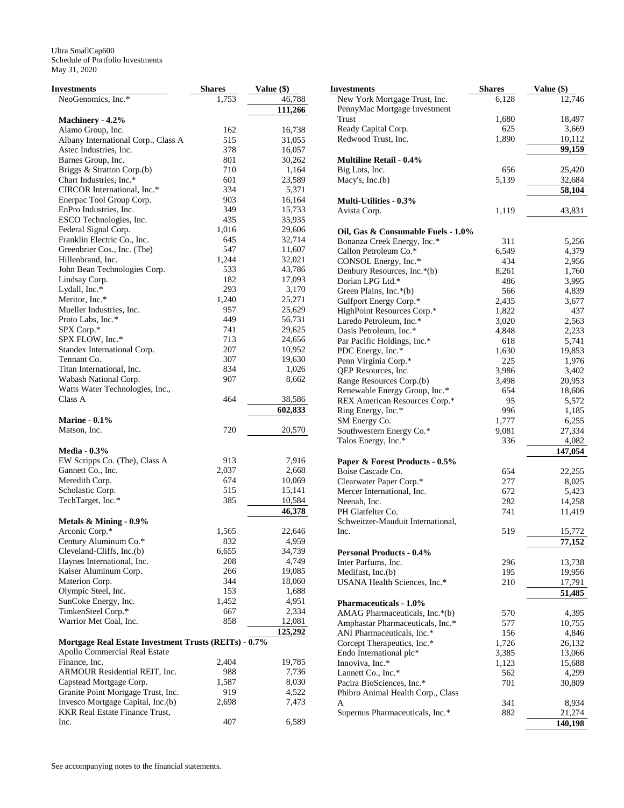| <b>Investments</b>                                                  | <b>Shares</b> | Value (\$)       |
|---------------------------------------------------------------------|---------------|------------------|
| NeoGenomics, Inc.*                                                  | 1,753         | 46,788           |
|                                                                     |               | 111,266          |
| Machinery - 4.2%                                                    |               |                  |
| Alamo Group, Inc.                                                   | 162           | 16,738           |
| Albany International Corp., Class A                                 | 515           | 31,055           |
| Astec Industries, Inc.                                              | 378           | 16,057           |
| Barnes Group, Inc.                                                  | 801           | 30,262           |
| Briggs & Stratton Corp.(b)                                          | 710           | 1,164            |
| Chart Industries, Inc.*                                             | 601           | 23,589           |
| CIRCOR International, Inc.*                                         | 334           | 5,371            |
| Enerpac Tool Group Corp.                                            | 903           | 16,164           |
| EnPro Industries, Inc.                                              | 349           | 15,733           |
| ESCO Technologies, Inc.                                             | 435           | 35,935           |
| Federal Signal Corp.<br>Franklin Electric Co., Inc.                 | 1,016         | 29,606           |
|                                                                     | 645           | 32,714           |
| Greenbrier Cos., Inc. (The)<br>Hillenbrand, Inc.                    | 547<br>1,244  | 11,607<br>32,021 |
| John Bean Technologies Corp.                                        | 533           | 43,786           |
| Lindsay Corp.                                                       | 182           | 17,093           |
| Lydall, Inc.*                                                       | 293           | 3,170            |
| Meritor, Inc.*                                                      | 1,240         | 25,271           |
| Mueller Industries, Inc.                                            | 957           | 25,629           |
| Proto Labs, Inc.*                                                   | 449           | 56,731           |
| SPX Corp.*                                                          | 741           | 29,625           |
| SPX FLOW, Inc.*                                                     | 713           | 24,656           |
| Standex International Corp.                                         | 207           | 10,952           |
| Tennant Co.                                                         | 307           | 19,630           |
| Titan International, Inc.                                           | 834           | 1,026            |
| Wabash National Corp.                                               | 907           | 8,662            |
| Watts Water Technologies, Inc.,                                     |               |                  |
| Class A                                                             | 464           | 38,586           |
|                                                                     |               | 602,833          |
| <b>Marine - 0.1%</b>                                                |               |                  |
| Matson, Inc.                                                        | 720           | 20,570           |
|                                                                     |               |                  |
| <b>Media - 0.3%</b>                                                 |               |                  |
| EW Scripps Co. (The), Class A                                       | 913           | 7,916            |
| Gannett Co., Inc.                                                   | 2,037         | 2,668            |
| Meredith Corp.                                                      | 674           | 10,069           |
| Scholastic Corp.                                                    | 515           | 15,141           |
| TechTarget, Inc.*                                                   | 385           | 10,584           |
|                                                                     |               | 46,378           |
| Metals & Mining - 0.9%                                              |               |                  |
| Arconic Corp.*                                                      | 1,565         | 22,646           |
| Century Aluminum Co.*                                               | 832           | 4,959            |
| Cleveland-Cliffs, Inc.(b)                                           | 6,655         | 34,739           |
| Haynes International, Inc.                                          | 208           | 4,749            |
| Kaiser Aluminum Corp.                                               | 266           | 19,085           |
| Materion Corp.                                                      | 344           | 18,060           |
| Olympic Steel, Inc.                                                 | 153           | 1,688            |
| SunCoke Energy, Inc.                                                | 1,452         | 4,951            |
| TimkenSteel Corp.*                                                  | 667           | 2,334            |
| Warrior Met Coal, Inc.                                              | 858           | 12,081           |
|                                                                     |               | 125,292          |
| Mortgage Real Estate Investment Trusts (REITs) - 0.7%               |               |                  |
| Apollo Commercial Real Estate                                       |               |                  |
| Finance, Inc.                                                       | 2,404         | 19,785           |
| ARMOUR Residential REIT, Inc.                                       | 988           | 7,736            |
| Capstead Mortgage Corp.                                             | 1,587         | 8,030            |
| Granite Point Mortgage Trust, Inc.                                  | 919           | 4,522            |
| Invesco Mortgage Capital, Inc.(b)<br>KKR Real Estate Finance Trust, | 2,698         | 7,473            |
| Inc.                                                                | 407           | 6,589            |
|                                                                     |               |                  |

| Investments                                                       | <b>Shares</b> | Value (\$)       |
|-------------------------------------------------------------------|---------------|------------------|
| New York Mortgage Trust, Inc.                                     | 6,128         | 12,746           |
| PennyMac Mortgage Investment                                      |               |                  |
| Trust                                                             | 1,680         | 18,497           |
| Ready Capital Corp.                                               | 625           | 3,669            |
| Redwood Trust, Inc.                                               | 1,890         | 10,112           |
|                                                                   |               | 99,159           |
| <b>Multiline Retail - 0.4%</b>                                    |               |                  |
| Big Lots, Inc.                                                    | 656           | 25,420           |
| Macy's, $Inc.(b)$                                                 | 5,139         | 32,684<br>58,104 |
| <b>Multi-Utilities - 0.3%</b>                                     |               |                  |
| Avista Corp.                                                      | 1,119         | 43,831           |
|                                                                   |               |                  |
| Oil, Gas & Consumable Fuels - 1.0%<br>Bonanza Creek Energy, Inc.* | 311           | 5,256            |
| Callon Petroleum Co.*                                             | 6,549         | 4,379            |
| CONSOL Energy, Inc.*                                              | 434           | 2,956            |
| Denbury Resources, Inc.*(b)                                       | 8,261         | 1,760            |
| Dorian LPG Ltd.*                                                  | 486           | 3,995            |
| Green Plains, Inc.*(b)                                            | 566           | 4,839            |
| Gulfport Energy Corp.*                                            | 2,435         | 3,677            |
| HighPoint Resources Corp.*                                        | 1,822         | 437              |
| Laredo Petroleum, Inc.*                                           | 3,020         | 2,563            |
| Oasis Petroleum, Inc.*                                            | 4,848         | 2,233            |
| Par Pacific Holdings, Inc.*                                       | 618           | 5,741            |
| PDC Energy, Inc.*                                                 | 1,630         | 19,853           |
| Penn Virginia Corp.*                                              | 225           | 1,976            |
| QEP Resources, Inc.                                               | 3,986         | 3,402            |
| Range Resources Corp.(b)                                          | 3,498         | 20,953           |
| Renewable Energy Group, Inc.*                                     | 654           | 18,606           |
| REX American Resources Corp.*                                     | 95            | 5,572            |
| Ring Energy, Inc.*                                                | 996           | 1,185            |
| SM Energy Co.                                                     | 1,777         | 6,255            |
| Southwestern Energy Co.*                                          | 9,081         | 27,334           |
| Talos Energy, Inc.*                                               | 336           | 4,082            |
|                                                                   |               | 147,054          |
| Paper & Forest Products - 0.5%                                    |               |                  |
| Boise Cascade Co.                                                 | 654           | 22,255           |
| Clearwater Paper Corp.*<br>Mercer International, Inc.             | 277           | 8,025            |
| Neenah, Inc.                                                      | 672<br>282    | 5,423            |
| PH Glatfelter Co.                                                 | 741           | 14,258<br>11,419 |
| Schweitzer-Mauduit International,                                 |               |                  |
| Inc.                                                              | 519           | 15,772           |
|                                                                   |               | 77,152           |
| <b>Personal Products - 0.4%</b>                                   |               |                  |
| Inter Parfums, Inc.                                               | 296           | 13,738           |
| Medifast, Inc.(b)                                                 | 195           | 19,956           |
| USANA Health Sciences, Inc.*                                      | 210           | 17,791           |
| <b>Pharmaceuticals - 1.0%</b>                                     |               | 51,485           |
| AMAG Pharmaceuticals, Inc.*(b)                                    | 570           | 4,395            |
| Amphastar Pharmaceuticals, Inc.*                                  | 577           | 10,755           |
| ANI Pharmaceuticals, Inc.*                                        | 156           | 4,846            |
| Corcept Therapeutics, Inc.*                                       | 1,726         | 26,132           |
| Endo International plc*                                           | 3,385         | 13,066           |
| Innoviva, Inc.*                                                   | 1,123         | 15,688           |
| Lannett Co., Inc.*                                                | 562           | 4,299            |
| Pacira BioSciences, Inc.*                                         | 701           | 30,809           |
| Phibro Animal Health Corp., Class                                 |               |                  |
| A                                                                 | 341           | 8,934            |
| Supernus Pharmaceuticals, Inc.*                                   | 882           | 21,274           |
|                                                                   |               | 140,198          |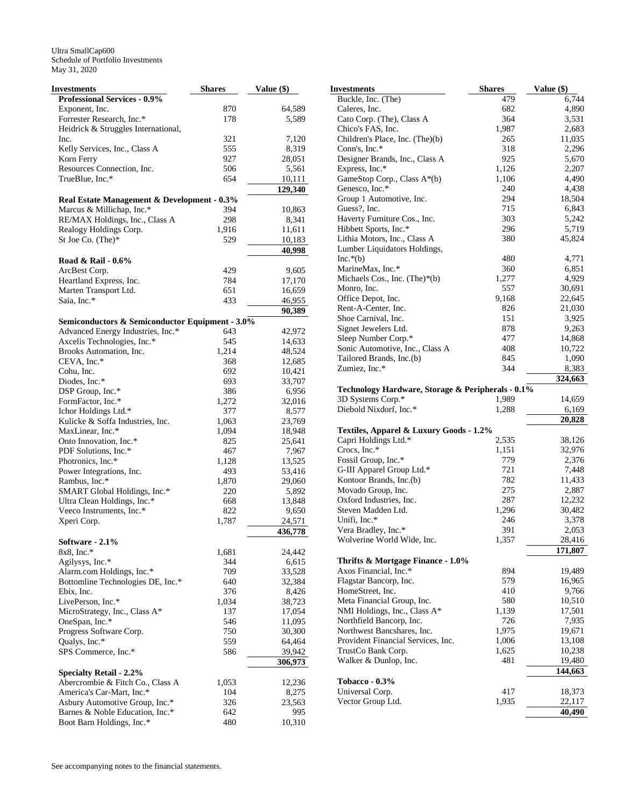| Investments                                     | <b>Shares</b> | Value (\$) |
|-------------------------------------------------|---------------|------------|
| <b>Professional Services - 0.9%</b>             |               |            |
| Exponent, Inc.                                  | 870           | 64,589     |
| Forrester Research, Inc.*                       | 178           | 5,589      |
| Heidrick & Struggles International,             |               |            |
| Inc.                                            | 321           | 7,120      |
| Kelly Services, Inc., Class A                   | 555           | 8,319      |
| Korn Ferry                                      | 927           | 28,051     |
| Resources Connection, Inc.                      | 506           | 5,561      |
| TrueBlue, Inc.*                                 | 654           | 10,111     |
|                                                 |               | 129,340    |
| Real Estate Management & Development - 0.3%     |               |            |
| Marcus & Millichap, Inc.*                       | 394           | 10,863     |
| RE/MAX Holdings, Inc., Class A                  | 298           | 8,341      |
| Realogy Holdings Corp.                          | 1,916         | 11,611     |
| St Joe Co. (The)*                               | 529           | 10,183     |
|                                                 |               | 40,998     |
| Road & Rail - 0.6%                              |               |            |
| ArcBest Corp.                                   | 429           | 9,605      |
| Heartland Express, Inc.                         | 784           | 17,170     |
| Marten Transport Ltd.                           | 651           | 16,659     |
| Saia, Inc.*                                     | 433           | 46,955     |
|                                                 |               | 90,389     |
| Semiconductors & Semiconductor Equipment - 3.0% |               |            |
| Advanced Energy Industries, Inc.*               | 643           | 42,972     |
| Axcelis Technologies, Inc.*                     | 545           | 14,633     |
| Brooks Automation, Inc.                         | 1,214         | 48,524     |
| CEVA, Inc.*                                     | 368           | 12,685     |
| Cohu, Inc.                                      | 692           | 10,421     |
| Diodes, Inc.*                                   | 693           | 33,707     |
| DSP Group, Inc.*                                | 386           | 6,956      |
| FormFactor, Inc.*                               | 1,272         | 32,016     |
| Ichor Holdings Ltd.*                            | 377           | 8,577      |
| Kulicke & Soffa Industries, Inc.                | 1,063         | 23,769     |
| MaxLinear, Inc.*                                | 1,094         | 18,948     |
| Onto Innovation, Inc.*                          | 825           | 25,641     |
| PDF Solutions, Inc.*                            | 467           | 7,967      |
| Photronics, Inc.*                               | 1,128         | 13,525     |
| Power Integrations, Inc.                        | 493           | 53,416     |
| Rambus, Inc.*                                   | 1,870         | 29,060     |
| SMART Global Holdings, Inc.*                    | 220           | 5,892      |
| Ultra Clean Holdings, Inc.*                     | 668           | 13,848     |
| Veeco Instruments, Inc.*                        | 822           | 9,650      |
| Xperi Corp.                                     | 1,787         | 24,571     |
|                                                 |               | 436,778    |
| Software - 2.1%                                 |               |            |
| $8x8$ , Inc.*                                   | 1,681         | 24,442     |
| Agilysys, Inc.*                                 | 344           | 6,615      |
| Alarm.com Holdings, Inc.*                       | 709           | 33,528     |
| Bottomline Technologies DE, Inc.*               | 640           | 32,384     |
| Ebix, Inc.                                      | 376           | 8,426      |
| LivePerson, Inc.*                               | 1,034         | 38,723     |
| MicroStrategy, Inc., Class A*                   | 137           | 17,054     |
| OneSpan, Inc.*                                  | 546           | 11,095     |
| Progress Software Corp.                         | 750           | 30,300     |
| Qualys, Inc.*                                   | 559           | 64,464     |
| SPS Commerce, Inc.*                             | 586           | 39,942     |
|                                                 |               | 306,973    |
| <b>Specialty Retail - 2.2%</b>                  |               |            |
| Abercrombie & Fitch Co., Class A                | 1,053         | 12,236     |
| America's Car-Mart, Inc.*                       | 104           | 8,275      |
| Asbury Automotive Group, Inc.*                  | 326           | 23,563     |
| Barnes & Noble Education, Inc.*                 | 642           | 995        |
| Boot Barn Holdings, Inc.*                       | 480           | 10,310     |

| Investments                                                | <b>Shares</b> | Value (\$) |
|------------------------------------------------------------|---------------|------------|
| Buckle, Inc. (The)                                         | 479           | 6,744      |
| Caleres, Inc.                                              | 682           | 4,890      |
| Cato Corp. (The), Class A                                  | 364           | 3,531      |
| Chico's FAS, Inc.                                          | 1,987         | 2,683      |
| Children's Place, Inc. (The)(b)                            | 265           | 11,035     |
| Conn's, Inc.*                                              | 318           | 2,296      |
| Designer Brands, Inc., Class A                             | 925           | 5,670      |
| Express, Inc.*                                             | 1,126         | 2,207      |
| GameStop Corp., Class A*(b)                                | 1,106         | 4,490      |
| Genesco, Inc.*                                             | 240           | 4,438      |
| Group 1 Automotive, Inc.                                   | 294           | 18,504     |
| Guess?, Inc.                                               | 715           | 6,843      |
| Haverty Furniture Cos., Inc.                               | 303           | 5,242      |
| Hibbett Sports, Inc.*                                      | 296<br>380    | 5,719      |
| Lithia Motors, Inc., Class A                               |               | 45,824     |
| Lumber Liquidators Holdings,<br>$Inc.*(b)$                 | 480           | 4,771      |
| MarineMax, Inc.*                                           | 360           | 6,851      |
| Michaels Cos., Inc. $(Thei)*$                              | 1,277         | 4,929      |
| Monro, Inc.                                                | 557           | 30,691     |
| Office Depot, Inc.                                         | 9,168         | 22,645     |
| Rent-A-Center, Inc.                                        | 826           | 21,030     |
| Shoe Carnival, Inc.                                        | 151           | 3,925      |
| Signet Jewelers Ltd.                                       | 878           | 9,263      |
| Sleep Number Corp.*                                        | 477           | 14,868     |
| Sonic Automotive, Inc., Class A                            | 408           | 10,722     |
| Tailored Brands, Inc.(b)                                   | 845           | 1,090      |
| Zumiez, Inc.*                                              | 344           | 8,383      |
|                                                            |               | 324,663    |
| Technology Hardware, Storage & Peripherals - 0.1%          |               |            |
| 3D Systems Corp.*                                          | 1,989         | 14,659     |
| Diebold Nixdorf, Inc.*                                     | 1,288         | 6,169      |
|                                                            |               | 20,828     |
| Textiles, Apparel & Luxury Goods - 1.2%                    |               |            |
| Capri Holdings Ltd.*                                       | 2,535         | 38,126     |
| Crocs, Inc.*                                               | 1,151         | 32,976     |
| Fossil Group, Inc.*                                        | 779           | 2,376      |
| G-III Apparel Group Ltd.*                                  | 721           | 7,448      |
| Kontoor Brands, Inc.(b)                                    | 782           | 11,433     |
| Movado Group, Inc.                                         | 275           | 2,887      |
| Oxford Industries, Inc.                                    | 287           | 12,232     |
| Steven Madden Ltd.                                         | 1,296         | 30,482     |
| Unifi, Inc.*                                               | 246           | 3,378      |
| Vera Bradley, Inc.*                                        | 391           | 2,053      |
| Wolverine World Wide, Inc.                                 | 1,357         | 28,416     |
|                                                            |               | 171,807    |
| Thrifts & Mortgage Finance - 1.0%<br>Axos Financial, Inc.* | 894           | 19,489     |
| Flagstar Bancorp, Inc.                                     | 579           | 16,965     |
| HomeStreet, Inc.                                           | 410           | 9,766      |
| Meta Financial Group, Inc.                                 | 580           | 10,510     |
| NMI Holdings, Inc., Class A*                               | 1,139         | 17,501     |
| Northfield Bancorp, Inc.                                   | 726           | 7,935      |
| Northwest Bancshares, Inc.                                 | 1,975         | 19,671     |
| Provident Financial Services, Inc.                         | 1,006         | 13,108     |
| TrustCo Bank Corp.                                         | 1,625         | 10,238     |
| Walker & Dunlop, Inc.                                      | 481           | 19,480     |
|                                                            |               | 144,663    |
| Tobacco - 0.3%                                             |               |            |
| Universal Corp.                                            | 417           | 18,373     |
| Vector Group Ltd.                                          | 1,935         | 22,117     |
|                                                            |               | 40,490     |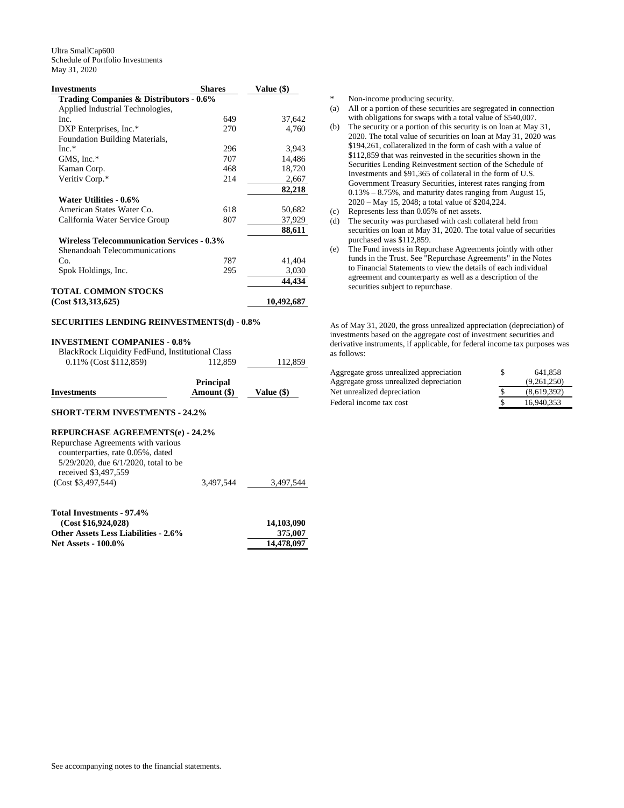| <b>Investments</b>                                | <b>Shares</b> | Value (\$) |
|---------------------------------------------------|---------------|------------|
| Trading Companies & Distributors - 0.6%           |               |            |
| Applied Industrial Technologies,                  |               |            |
| Inc.                                              | 649           | 37,642     |
| DXP Enterprises, Inc.*                            | 270           | 4,760      |
| Foundation Building Materials,                    |               |            |
| $Inc.*$                                           | 296           | 3,943      |
| GMS, Inc.*                                        | 707           | 14,486     |
| Kaman Corp.                                       | 468           | 18,720     |
| Veritiv Corp.*                                    | 214           | 2,667      |
|                                                   |               | 82,218     |
| Water Utilities - 0.6%                            |               |            |
| American States Water Co.                         | 618           | 50,682     |
| California Water Service Group                    | 807           | 37,929     |
|                                                   |               | 88,611     |
| <b>Wireless Telecommunication Services - 0.3%</b> |               |            |
| Shenandoah Telecommunications                     |               |            |
| Co.                                               | 787           | 41,404     |
| Spok Holdings, Inc.                               | 295           | 3,030      |
|                                                   |               | 44.434     |
| <b>TOTAL COMMON STOCKS</b>                        |               |            |
| (Cost \$13,313,625)                               |               | 10,492,687 |

## **SECURITIES LENDING REINVESTMENTS(d) - 0.8%**

#### **INVESTMENT COMPANIES - 0.8%**

| BlackRock Liquidity FedFund, Institutional Class |         |         |
|--------------------------------------------------|---------|---------|
| $0.11\%$ (Cost \$112,859)                        | 112,859 | 112,859 |

|             | <b>Principal</b> |              |
|-------------|------------------|--------------|
| Investments | Amount (\$)      | Value $(\$)$ |
|             |                  |              |

## **SHORT-TERM INVESTMENTS - 24.2%**

## **REPURCHASE AGREEMENTS(e) - 24.2%**

| Repurchase Agreements with various         |           |           |
|--------------------------------------------|-----------|-----------|
| counterparties, rate 0.05%, dated          |           |           |
| $5/29/2020$ , due $6/1/2020$ , total to be |           |           |
| received \$3,497.559                       |           |           |
| (Cost \$3,497,544)                         | 3.497.544 | 3.497.544 |

| Total Investments - 97.4%                   |            |
|---------------------------------------------|------------|
| (Cost \$16.924.028)                         | 14,103,090 |
| <b>Other Assets Less Liabilities - 2.6%</b> | 375,007    |
| <b>Net Assets - 100.0%</b>                  | 14.478.097 |

\* Non-income producing security.

- (a) All or a portion of these securities are segregated in connection with obligations for swaps with a total value of \$540,007.
- (b) The security or a portion of this security is on loan at May 31, 2020. The total value of securities on loan at May 31, 2020 was \$194,261, collateralized in the form of cash with a value of \$112,859 that was reinvested in the securities shown in the Securities Lending Reinvestment section of the Schedule of Investments and \$91,365 of collateral in the form of U.S. Government Treasury Securities, interest rates ranging from 0.13% – 8.75%, and maturity dates ranging from August 15, 2020 – May 15, 2048; a total value of \$204,224.
- (c) Represents less than 0.05% of net assets.
- (d) The security was purchased with cash collateral held from securities on loan at May 31, 2020. The total value of securities purchased was \$112,859.
- (e) The Fund invests in Repurchase Agreements jointly with other funds in the Trust. See "Repurchase Agreements" in the Notes to Financial Statements to view the details of each individual agreement and counterparty as well as a description of the securities subject to repurchase.

As of May 31, 2020, the gross unrealized appreciation (depreciation) of investments based on the aggregate cost of investment securities and derivative instruments, if applicable, for federal income tax purposes was as follows:

| Aggregate gross unrealized appreciation | S | 641.858     |
|-----------------------------------------|---|-------------|
| Aggregate gross unrealized depreciation |   | (9.261.250) |
| Net unrealized depreciation             |   | (8.619.392) |
| Federal income tax cost                 |   | 16.940.353  |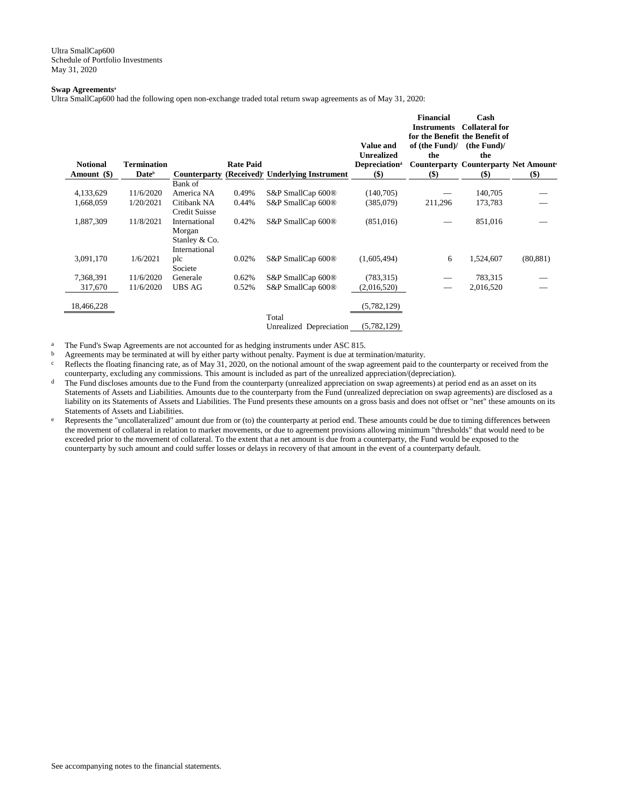## **Swap Agreements<sup>a</sup>**

Ultra SmallCap600 had the following open non-exchange traded total return swap agreements as of May 31, 2020:

| <b>Notional</b><br>Amount (\$) | <b>Termination</b><br>Date <sup>b</sup> | Counterparty         | <b>Rate Paid</b> | (Received) <sup>c</sup> Underlying Instrument | <b>Value and</b><br><b>Unrealized</b><br><b>Depreciation</b> <sup>d</sup><br>$($)$ | <b>Financial</b><br><b>Instruments</b><br>for the Benefit the Benefit of<br>of (the Fund)/<br>the<br><b>Counterparty Counterparty Net Amounter</b><br>$($ \$ | Cash<br><b>Collateral for</b><br>(the Fund)<br>the<br><b>(\$)</b> | $($)$     |
|--------------------------------|-----------------------------------------|----------------------|------------------|-----------------------------------------------|------------------------------------------------------------------------------------|--------------------------------------------------------------------------------------------------------------------------------------------------------------|-------------------------------------------------------------------|-----------|
|                                |                                         | Bank of              |                  |                                               |                                                                                    |                                                                                                                                                              |                                                                   |           |
| 4,133,629                      | 11/6/2020                               | America NA           | 0.49%            | S&P SmallCap 600®                             | (140,705)                                                                          |                                                                                                                                                              | 140,705                                                           |           |
| 1,668,059                      | 1/20/2021                               | Citibank NA          | 0.44%            | S&P SmallCap 600®                             | (385,079)                                                                          | 211,296                                                                                                                                                      | 173,783                                                           |           |
|                                |                                         | <b>Credit Suisse</b> |                  |                                               |                                                                                    |                                                                                                                                                              |                                                                   |           |
| 1,887,309                      | 11/8/2021                               | International        | 0.42%            | S&P SmallCap 600®                             | (851,016)                                                                          |                                                                                                                                                              | 851,016                                                           |           |
|                                |                                         | Morgan               |                  |                                               |                                                                                    |                                                                                                                                                              |                                                                   |           |
|                                |                                         | Stanley & Co.        |                  |                                               |                                                                                    |                                                                                                                                                              |                                                                   |           |
|                                |                                         | International        |                  |                                               |                                                                                    |                                                                                                                                                              |                                                                   |           |
| 3,091,170                      | 1/6/2021                                | plc                  | 0.02%            | S&P SmallCap 600®                             | (1,605,494)                                                                        | 6                                                                                                                                                            | 1,524,607                                                         | (80, 881) |
|                                |                                         | Societe              |                  |                                               |                                                                                    |                                                                                                                                                              |                                                                   |           |
| 7,368,391                      | 11/6/2020                               | Generale             | 0.62%            | S&P SmallCap 600 <sup>®</sup>                 | (783, 315)                                                                         |                                                                                                                                                              | 783,315                                                           |           |
| 317,670                        | 11/6/2020                               | <b>UBS AG</b>        | 0.52%            | S&P SmallCap 600®                             | (2,016,520)                                                                        |                                                                                                                                                              | 2,016,520                                                         |           |
| 18,466,228                     |                                         |                      |                  |                                               |                                                                                    |                                                                                                                                                              |                                                                   |           |
|                                |                                         |                      |                  |                                               | (5,782,129)                                                                        |                                                                                                                                                              |                                                                   |           |
|                                |                                         |                      |                  | Total                                         |                                                                                    |                                                                                                                                                              |                                                                   |           |

Unrealized Depreciation (5,782,129)

<sup>a</sup> The Fund's Swap Agreements are not accounted for as hedging instruments under ASC 815.<br>  $\frac{b}{a}$  Agreements may be terminated at will by either party without penalty. Payment is due at term

b Agreements may be terminated at will by either party without penalty. Payment is due at termination/maturity.<br>  $\frac{1}{2}$  Reflects the floating financing rate, as of May 31, 2020, on the notional amount of the swan agree

Reflects the floating financing rate, as of May 31, 2020, on the notional amount of the swap agreement paid to the counterparty or received from the counterparty, excluding any commissions. This amount is included as part of the unrealized appreciation/(depreciation).

- <sup>d</sup> The Fund discloses amounts due to the Fund from the counterparty (unrealized appreciation on swap agreements) at period end as an asset on its Statements of Assets and Liabilities. Amounts due to the counterparty from the Fund (unrealized depreciation on swap agreements) are disclosed as a liability on its Statements of Assets and Liabilities. The Fund presents these amounts on a gross basis and does not offset or "net" these amounts on its Statements of Assets and Liabilities.
- $e$  Represents the "uncollateralized" amount due from or (to) the counterparty at period end. These amounts could be due to timing differences between the movement of collateral in relation to market movements, or due to agreement provisions allowing minimum "thresholds" that would need to be exceeded prior to the movement of collateral. To the extent that a net amount is due from a counterparty, the Fund would be exposed to the counterparty by such amount and could suffer losses or delays in recovery of that amount in the event of a counterparty default.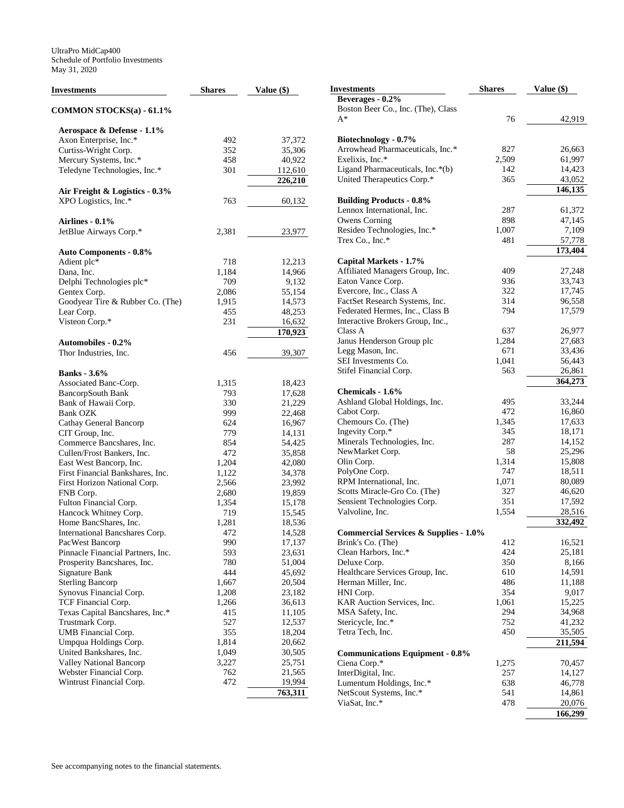| Investments                              | <b>Shares</b> | Value $(\$)$ | <b>Investments</b>                                                | <b>Shares</b> | Value (\$) |
|------------------------------------------|---------------|--------------|-------------------------------------------------------------------|---------------|------------|
|                                          |               |              | Beverages - 0.2%                                                  |               |            |
| <b>COMMON STOCKS(a) - 61.1%</b>          |               |              | Boston Beer Co., Inc. (The), Class                                |               |            |
|                                          |               |              | $A^*$                                                             | 76            | 42,919     |
| Aerospace & Defense - 1.1%               |               |              |                                                                   |               |            |
| Axon Enterprise, Inc.*                   | 492           | 37,372       | Biotechnology - 0.7%                                              |               |            |
| Curtiss-Wright Corp.                     | 352           | 35,306       | Arrowhead Pharmaceuticals, Inc.*                                  | 827           | 26,663     |
| Mercury Systems, Inc.*                   | 458           | 40,922       | Exelixis, Inc.*                                                   | 2,509         | 61,997     |
| Teledyne Technologies, Inc.*             | 301           | 112,610      | Ligand Pharmaceuticals, Inc.*(b)                                  | 142           | 14,423     |
|                                          |               | 226,210      | United Therapeutics Corp.*                                        | 365           | 43,052     |
| Air Freight & Logistics - 0.3%           |               |              |                                                                   |               | 146,135    |
| XPO Logistics, Inc.*                     | 763           | 60,132       | <b>Building Products - 0.8%</b>                                   |               |            |
|                                          |               |              | Lennox International, Inc.                                        | 287           | 61,372     |
| Airlines - $0.1\%$                       |               |              | Owens Corning                                                     | 898           | 47,145     |
| JetBlue Airways Corp.*                   | 2,381         | 23,977       | Resideo Technologies, Inc.*                                       | 1,007         | 7,109      |
|                                          |               |              | Trex Co., Inc.*                                                   | 481           | 57,778     |
|                                          |               |              |                                                                   |               | 173,404    |
| <b>Auto Components - 0.8%</b>            | 718           | 12,213       | Capital Markets - 1.7%                                            |               |            |
| Adient plc*                              |               |              | Affiliated Managers Group, Inc.                                   | 409           | 27,248     |
| Dana, Inc.                               | 1,184<br>709  | 14,966       | Eaton Vance Corp.                                                 | 936           | 33,743     |
| Delphi Technologies plc*<br>Gentex Corp. | 2,086         | 9,132        | Evercore, Inc., Class A                                           | 322           | 17,745     |
|                                          |               | 55,154       |                                                                   | 314           |            |
| Goodyear Tire & Rubber Co. (The)         | 1,915         | 14,573       | FactSet Research Systems, Inc.<br>Federated Hermes, Inc., Class B | 794           | 96,558     |
| Lear Corp.                               | 455           | 48,253       |                                                                   |               | 17,579     |
| Visteon Corp.*                           | 231           | 16,632       | Interactive Brokers Group, Inc.,                                  |               |            |
|                                          |               | 170,923      | Class A                                                           | 637           | 26,977     |
| <b>Automobiles - 0.2%</b>                |               |              | Janus Henderson Group plc                                         | 1,284         | 27,683     |
| Thor Industries, Inc.                    | 456           | 39,307       | Legg Mason, Inc.                                                  | 671           | 33,436     |
|                                          |               |              | SEI Investments Co.                                               | 1,041         | 56,443     |
| <b>Banks</b> - 3.6%                      |               |              | Stifel Financial Corp.                                            | 563           | 26,861     |
| Associated Banc-Corp.                    | 1,315         | 18,423       |                                                                   |               | 364,273    |
| <b>BancorpSouth Bank</b>                 | 793           | 17,628       | Chemicals - 1.6%                                                  |               |            |
| Bank of Hawaii Corp.                     | 330           | 21,229       | Ashland Global Holdings, Inc.                                     | 495           | 33,244     |
| <b>Bank OZK</b>                          | 999           | 22,468       | Cabot Corp.                                                       | 472           | 16,860     |
| Cathay General Bancorp                   | 624           | 16,967       | Chemours Co. (The)                                                | 1,345         | 17,633     |
| CIT Group, Inc.                          | 779           | 14,131       | Ingevity Corp.*                                                   | 345           | 18,171     |
| Commerce Bancshares, Inc.                | 854           | 54,425       | Minerals Technologies, Inc.                                       | 287           | 14,152     |
| Cullen/Frost Bankers, Inc.               | 472           | 35,858       | NewMarket Corp.                                                   | 58            | 25,296     |
| East West Bancorp, Inc.                  | 1,204         | 42,080       | Olin Corp.                                                        | 1,314         | 15,808     |
| First Financial Bankshares, Inc.         | 1,122         | 34,378       | PolyOne Corp.                                                     | 747           | 18,511     |
| First Horizon National Corp.             | 2,566         | 23,992       | RPM International, Inc.                                           | 1,071         | 80,089     |
| FNB Corp.                                | 2,680         | 19,859       | Scotts Miracle-Gro Co. (The)                                      | 327           | 46,620     |
| Fulton Financial Corp.                   | 1,354         | 15,178       | Sensient Technologies Corp.                                       | 351           | 17,592     |
| Hancock Whitney Corp.                    | 719           | 15,545       | Valvoline, Inc.                                                   | 1,554         | 28,516     |
| Home BancShares, Inc.                    | 1,281         | 18,536       |                                                                   |               | 332,492    |
| International Bancshares Corp.           | 472           | 14,528       | <b>Commercial Services &amp; Supplies - 1.0%</b>                  |               |            |
| PacWest Bancorp                          | 990           | 17,137       | Brink's Co. (The)                                                 | 412           | 16,521     |
| Pinnacle Financial Partners, Inc.        | 593           | 23,631       | Clean Harbors, Inc.*                                              | 424           | 25,181     |
| Prosperity Bancshares, Inc.              | 780           | 51,004       | Deluxe Corp.                                                      | 350           | 8,166      |
| Signature Bank                           | 444           | 45,692       | Healthcare Services Group, Inc.                                   | 610           | 14,591     |
| <b>Sterling Bancorp</b>                  | 1,667         | 20,504       | Herman Miller, Inc.                                               | 486           | 11,188     |
| Synovus Financial Corp.                  | 1,208         | 23,182       | HNI Corp.                                                         | 354           | 9,017      |
| TCF Financial Corp.                      | 1,266         | 36,613       | KAR Auction Services, Inc.                                        | 1,061         | 15,225     |
| Texas Capital Bancshares, Inc.*          | 415           | 11,105       | MSA Safety, Inc.                                                  | 294           | 34,968     |
| Trustmark Corp.                          | 527           | 12,537       | Stericycle, Inc.*                                                 | 752           | 41,232     |
| UMB Financial Corp.                      | 355           | 18,204       | Tetra Tech, Inc.                                                  | 450           | 35,505     |
| Umpqua Holdings Corp.                    | 1,814         | 20,662       |                                                                   |               | 211,594    |
| United Bankshares, Inc.                  | 1,049         | 30,505       | <b>Communications Equipment - 0.8%</b>                            |               |            |
| <b>Valley National Bancorp</b>           | 3,227         | 25,751       | Ciena Corp.*                                                      | 1,275         | 70,457     |
| Webster Financial Corp.                  | 762           | 21,565       | InterDigital, Inc.                                                | 257           | 14,127     |
| Wintrust Financial Corp.                 | 472           | 19,994       | Lumentum Holdings, Inc.*                                          | 638           | 46,778     |
|                                          |               | 763,311      | NetScout Systems, Inc.*                                           | 541           | 14,861     |
|                                          |               |              | ViaSat, Inc.*                                                     | 478           | 20,076     |
|                                          |               |              |                                                                   |               | 166,299    |
|                                          |               |              |                                                                   |               |            |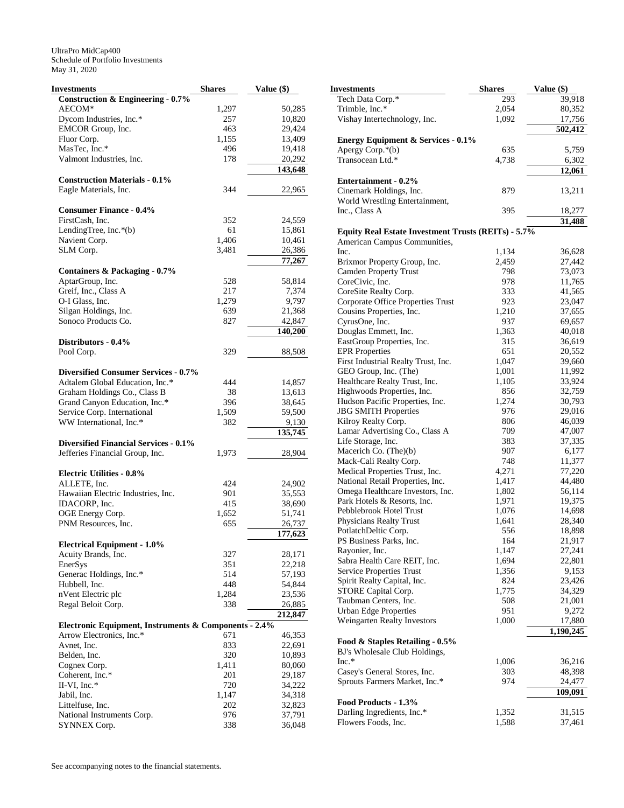| Investments                                           | <b>Shares</b> | Value (\$) |
|-------------------------------------------------------|---------------|------------|
| <b>Construction &amp; Engineering - 0.7%</b>          |               |            |
| AECOM*                                                | 1,297         | 50,285     |
| Dycom Industries, Inc.*                               | 257           | 10,820     |
| EMCOR Group, Inc.                                     | 463           | 29,424     |
| Fluor Corp.                                           | 1,155         | 13,409     |
| MasTec, Inc.*                                         | 496           | 19,418     |
| Valmont Industries, Inc.                              | 178           | 20,292     |
|                                                       |               | 143,648    |
| <b>Construction Materials - 0.1%</b>                  |               |            |
|                                                       |               |            |
| Eagle Materials, Inc.                                 | 344           | 22,965     |
|                                                       |               |            |
| <b>Consumer Finance - 0.4%</b>                        |               |            |
| FirstCash. Inc.                                       | 352           | 24,559     |
| LendingTree, Inc.*(b)                                 | 61            | 15,861     |
| Navient Corp.                                         | 1,406         | 10,461     |
| SLM Corp.                                             | 3,481         | 26,386     |
|                                                       |               | 77,267     |
| Containers & Packaging - 0.7%                         |               |            |
| AptarGroup, Inc.                                      | 528           | 58,814     |
| Greif, Inc., Class A                                  | 217           | 7,374      |
| O-I Glass, Inc.                                       | 1,279         | 9,797      |
|                                                       |               |            |
| Silgan Holdings, Inc.                                 | 639           | 21,368     |
| Sonoco Products Co.                                   | 827           | 42,847     |
|                                                       |               | 140,200    |
| Distributors - 0.4%                                   |               |            |
| Pool Corp.                                            | 329           | 88,508     |
|                                                       |               |            |
| <b>Diversified Consumer Services - 0.7%</b>           |               |            |
| Adtalem Global Education, Inc.*                       | 444           | 14,857     |
| Graham Holdings Co., Class B                          | 38            | 13,613     |
| Grand Canyon Education, Inc.*                         | 396           | 38,645     |
| Service Corp. International                           | 1,509         | 59,500     |
| WW International, Inc.*                               | 382           | 9,130      |
|                                                       |               | 135,745    |
| <b>Diversified Financial Services - 0.1%</b>          |               |            |
|                                                       |               |            |
| Jefferies Financial Group, Inc.                       | 1,973         | 28,904     |
|                                                       |               |            |
| <b>Electric Utilities - 0.8%</b>                      |               |            |
| ALLETE, Inc.                                          | 424           | 24,902     |
| Hawaiian Electric Industries, Inc.                    | 901           | 35,553     |
| IDACORP, Inc.                                         | 415           | 38,690     |
| OGE Energy Corp.                                      | 1,652         | 51,741     |
| PNM Resources, Inc.                                   | 655           | 26,737     |
|                                                       |               | 177,623    |
| <b>Electrical Equipment - 1.0%</b>                    |               |            |
| Acuity Brands, Inc.                                   | 327           | 28,171     |
| EnerSys                                               | 351           | 22,218     |
| Generac Holdings, Inc.*                               | 514           | 57,193     |
| Hubbell, Inc.                                         | 448           |            |
|                                                       |               | 54,844     |
| nVent Electric plc                                    | 1,284         | 23,536     |
| Regal Beloit Corp.                                    | 338           | 26,885     |
|                                                       |               | 212,847    |
| Electronic Equipment, Instruments & Components - 2.4% |               |            |
| Arrow Electronics, Inc.*                              | 671           | 46,353     |
| Avnet, Inc.                                           | 833           | 22,691     |
| Belden, Inc.                                          | 320           | 10,893     |
| Cognex Corp.                                          | 1,411         | 80,060     |
| Coherent, Inc.*                                       | 201           | 29,187     |
| II-VI, Inc. $*$                                       | 720           | 34,222     |
| Jabil, Inc.                                           | 1,147         | 34,318     |
|                                                       |               |            |
| Littelfuse, Inc.                                      | 202           | 32,823     |
| National Instruments Corp.                            | 976           | 37,791     |
| SYNNEX Corp.                                          | 338           | 36,048     |

| <b>Investments</b>                                         | <b>Shares</b> | Value (\$) |
|------------------------------------------------------------|---------------|------------|
| Tech Data Corp.*                                           | 293           | 39,918     |
| Trimble, Inc.*                                             | 2,054         | 80,352     |
| Vishay Intertechnology, Inc.                               | 1,092         | 17,756     |
|                                                            |               | 502,412    |
| <b>Energy Equipment &amp; Services - 0.1%</b>              |               |            |
| Apergy Corp.*(b)                                           | 635           | 5,759      |
| Transocean Ltd.*                                           | 4,738         | 6,302      |
|                                                            |               | 12,061     |
| Entertainment - 0.2%                                       |               |            |
| Cinemark Holdings, Inc.                                    | 879           | 13,211     |
| World Wrestling Entertainment,                             |               |            |
| Inc., Class A                                              | 395           | 18,277     |
|                                                            |               | 31,488     |
| <b>Equity Real Estate Investment Trusts (REITs) - 5.7%</b> |               |            |
| American Campus Communities,                               |               |            |
| Inc.                                                       | 1,134         | 36,628     |
| Brixmor Property Group, Inc.                               | 2,459         | 27,442     |
| <b>Camden Property Trust</b>                               | 798           | 73,073     |
| CoreCivic, Inc.                                            | 978           | 11,765     |
| CoreSite Realty Corp.                                      | 333           | 41,565     |
| Corporate Office Properties Trust                          | 923           | 23,047     |
| Cousins Properties, Inc.                                   | 1,210         | 37,655     |
| CyrusOne, Inc.                                             | 937           | 69,657     |
| Douglas Emmett, Inc.                                       | 1,363         | 40,018     |
| EastGroup Properties, Inc.                                 | 315           | 36,619     |
| <b>EPR</b> Properties                                      | 651           | 20,552     |
| First Industrial Realty Trust, Inc.                        | 1,047         | 39,660     |
| GEO Group, Inc. (The)                                      | 1,001         | 11,992     |
| Healthcare Realty Trust, Inc.                              | 1,105         | 33,924     |
| Highwoods Properties, Inc.                                 | 856           | 32,759     |
| Hudson Pacific Properties, Inc.                            | 1,274         | 30,793     |
| <b>JBG SMITH Properties</b>                                | 976           | 29,016     |
| Kilroy Realty Corp.                                        | 806           | 46,039     |
| Lamar Advertising Co., Class A                             | 709           | 47,007     |
| Life Storage, Inc.                                         | 383           | 37,335     |
| Macerich Co. (The)(b)                                      | 907           | 6,177      |
| Mack-Cali Realty Corp.                                     | 748           | 11,377     |
| Medical Properties Trust, Inc.                             | 4,271         | 77,220     |
| National Retail Properties, Inc.                           | 1,417         | 44,480     |
| Omega Healthcare Investors, Inc.                           | 1,802         | 56,114     |
| Park Hotels & Resorts, Inc.                                | 1,971         | 19,375     |
| Pebblebrook Hotel Trust                                    | 1,076         | 14,698     |
| Physicians Realty Trust                                    | 1,641         | 28,340     |
| PotlatchDeltic Corp.                                       | 556           | 18,898     |
| PS Business Parks, Inc.                                    | 164           | 21,917     |
| Rayonier, Inc.                                             | 1,147         | 27,241     |
| Sabra Health Care REIT, Inc.                               | 1,694         | 22,801     |
| Service Properties Trust                                   | 1,356<br>824  | 9,153      |
| Spirit Realty Capital, Inc.                                |               | 23,426     |
| STORE Capital Corp.                                        | 1,775         | 34,329     |
| Taubman Centers, Inc.                                      | 508           | 21,001     |
| <b>Urban Edge Properties</b>                               | 951           | 9,272      |
| Weingarten Realty Investors                                | 1,000         | 17,880     |
|                                                            |               | 1,190,245  |
| Food & Staples Retailing - 0.5%                            |               |            |
| BJ's Wholesale Club Holdings,                              |               |            |
| $Inc.*$                                                    | 1,006         | 36,216     |
| Casey's General Stores, Inc.                               | 303           | 48,398     |
| Sprouts Farmers Market, Inc.*                              | 974           | 24,477     |
|                                                            |               | 109,091    |
| Food Products - 1.3%                                       |               |            |
| Darling Ingredients, Inc.*                                 | 1,352         | 31,515     |
| Flowers Foods, Inc.                                        | 1,588         | 37,461     |
|                                                            |               |            |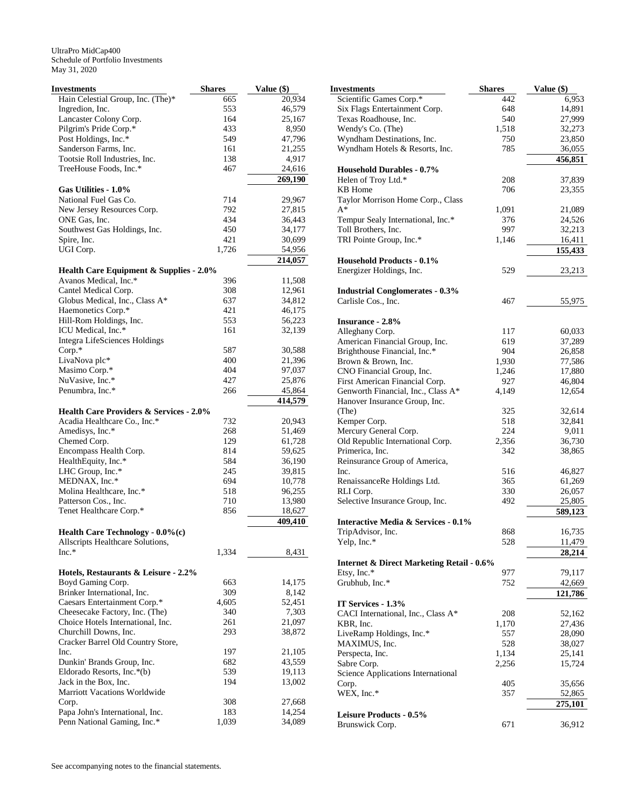| 20,934<br>665<br>Ingredion, Inc.<br>553<br>46,579<br>Lancaster Colony Corp.<br>164<br>25,167<br>Pilgrim's Pride Corp.*<br>433<br>8,950<br>Post Holdings, Inc.*<br>549<br>47,796<br>Sanderson Farms, Inc.<br>161<br>21,255<br>Tootsie Roll Industries, Inc.<br>138<br>4,917<br>TreeHouse Foods, Inc.*<br>467<br>24,616<br>269,190<br>Gas Utilities - 1.0%<br>National Fuel Gas Co.<br>714<br>29,967<br>792<br>New Jersey Resources Corp.<br>27,815<br>ONE Gas, Inc.<br>434<br>36,443<br>Southwest Gas Holdings, Inc.<br>450<br>34,177<br>421<br>Spire, Inc.<br>30,699<br>UGI Corp.<br>1,726<br>54,956<br>214,057<br><b>Health Care Equipment &amp; Supplies - 2.0%</b><br>Avanos Medical, Inc.*<br>396<br>11,508<br>Cantel Medical Corp.<br>308<br>12,961<br>Globus Medical, Inc., Class A*<br>637<br>34,812<br>Haemonetics Corp.*<br>421<br>46,175<br>Hill-Rom Holdings, Inc.<br>553<br>56,223<br>ICU Medical, Inc.*<br>161<br>32,139<br><b>Integra LifeSciences Holdings</b><br>$Corp.*$<br>587<br>30,588<br>LivaNova plc*<br>400<br>21,396<br>Masimo Corp.*<br>404<br>97,037<br>NuVasive, Inc.*<br>427<br>25,876<br>Penumbra, Inc.*<br>45,864<br>266<br>414,579<br><b>Health Care Providers &amp; Services - 2.0%</b><br>Acadia Healthcare Co., Inc.*<br>732<br>20,943<br>Amedisys, Inc.*<br>268<br>51,469<br>Chemed Corp.<br>129<br>61,728<br>Encompass Health Corp.<br>814<br>59,625<br>HealthEquity, Inc.*<br>584<br>36,190<br>LHC Group, Inc.*<br>245<br>39,815<br>MEDNAX, Inc.*<br>694<br>10,778<br>Molina Healthcare, Inc.*<br>518<br>96,255<br>Patterson Cos., Inc.<br>710<br>13,980<br>Tenet Healthcare Corp.*<br>856<br>18,627<br>409,410<br><b>Health Care Technology - <math>0.0\%</math> (c)</b><br>Allscripts Healthcare Solutions,<br>$Inc.*$<br>1,334<br>8,431<br>Hotels, Restaurants & Leisure - 2.2%<br>Boyd Gaming Corp.<br>663<br>14,175<br>Brinker International, Inc.<br>309<br>8,142<br>Caesars Entertainment Corp.*<br>4,605<br>52,451<br>7,303<br>Cheesecake Factory, Inc. (The)<br>340<br>Choice Hotels International, Inc.<br>261<br>21,097<br>293<br>Churchill Downs, Inc.<br>38,872<br>Cracker Barrel Old Country Store,<br>Inc.<br>197<br>21,105<br>682<br>43,559<br>Dunkin' Brands Group, Inc.<br>539<br>Eldorado Resorts, Inc.*(b)<br>19,113<br>Jack in the Box, Inc.<br>194<br>13,002<br><b>Marriott Vacations Worldwide</b><br>308<br>Corp.<br>27,668<br>Papa John's International, Inc.<br>183<br>14,254<br>Penn National Gaming, Inc.*<br>1,039<br>34,089 | Investments                       | <b>Shares</b> | Value (\$) |
|------------------------------------------------------------------------------------------------------------------------------------------------------------------------------------------------------------------------------------------------------------------------------------------------------------------------------------------------------------------------------------------------------------------------------------------------------------------------------------------------------------------------------------------------------------------------------------------------------------------------------------------------------------------------------------------------------------------------------------------------------------------------------------------------------------------------------------------------------------------------------------------------------------------------------------------------------------------------------------------------------------------------------------------------------------------------------------------------------------------------------------------------------------------------------------------------------------------------------------------------------------------------------------------------------------------------------------------------------------------------------------------------------------------------------------------------------------------------------------------------------------------------------------------------------------------------------------------------------------------------------------------------------------------------------------------------------------------------------------------------------------------------------------------------------------------------------------------------------------------------------------------------------------------------------------------------------------------------------------------------------------------------------------------------------------------------------------------------------------------------------------------------------------------------------------------------------------------------------------------------------------------------------------------------------------------------------------------------------------------------------------------------------------------------------------------------------------------------------------------------|-----------------------------------|---------------|------------|
|                                                                                                                                                                                                                                                                                                                                                                                                                                                                                                                                                                                                                                                                                                                                                                                                                                                                                                                                                                                                                                                                                                                                                                                                                                                                                                                                                                                                                                                                                                                                                                                                                                                                                                                                                                                                                                                                                                                                                                                                                                                                                                                                                                                                                                                                                                                                                                                                                                                                                                | Hain Celestial Group, Inc. (The)* |               |            |
|                                                                                                                                                                                                                                                                                                                                                                                                                                                                                                                                                                                                                                                                                                                                                                                                                                                                                                                                                                                                                                                                                                                                                                                                                                                                                                                                                                                                                                                                                                                                                                                                                                                                                                                                                                                                                                                                                                                                                                                                                                                                                                                                                                                                                                                                                                                                                                                                                                                                                                |                                   |               |            |
|                                                                                                                                                                                                                                                                                                                                                                                                                                                                                                                                                                                                                                                                                                                                                                                                                                                                                                                                                                                                                                                                                                                                                                                                                                                                                                                                                                                                                                                                                                                                                                                                                                                                                                                                                                                                                                                                                                                                                                                                                                                                                                                                                                                                                                                                                                                                                                                                                                                                                                |                                   |               |            |
|                                                                                                                                                                                                                                                                                                                                                                                                                                                                                                                                                                                                                                                                                                                                                                                                                                                                                                                                                                                                                                                                                                                                                                                                                                                                                                                                                                                                                                                                                                                                                                                                                                                                                                                                                                                                                                                                                                                                                                                                                                                                                                                                                                                                                                                                                                                                                                                                                                                                                                |                                   |               |            |
|                                                                                                                                                                                                                                                                                                                                                                                                                                                                                                                                                                                                                                                                                                                                                                                                                                                                                                                                                                                                                                                                                                                                                                                                                                                                                                                                                                                                                                                                                                                                                                                                                                                                                                                                                                                                                                                                                                                                                                                                                                                                                                                                                                                                                                                                                                                                                                                                                                                                                                |                                   |               |            |
|                                                                                                                                                                                                                                                                                                                                                                                                                                                                                                                                                                                                                                                                                                                                                                                                                                                                                                                                                                                                                                                                                                                                                                                                                                                                                                                                                                                                                                                                                                                                                                                                                                                                                                                                                                                                                                                                                                                                                                                                                                                                                                                                                                                                                                                                                                                                                                                                                                                                                                |                                   |               |            |
|                                                                                                                                                                                                                                                                                                                                                                                                                                                                                                                                                                                                                                                                                                                                                                                                                                                                                                                                                                                                                                                                                                                                                                                                                                                                                                                                                                                                                                                                                                                                                                                                                                                                                                                                                                                                                                                                                                                                                                                                                                                                                                                                                                                                                                                                                                                                                                                                                                                                                                |                                   |               |            |
|                                                                                                                                                                                                                                                                                                                                                                                                                                                                                                                                                                                                                                                                                                                                                                                                                                                                                                                                                                                                                                                                                                                                                                                                                                                                                                                                                                                                                                                                                                                                                                                                                                                                                                                                                                                                                                                                                                                                                                                                                                                                                                                                                                                                                                                                                                                                                                                                                                                                                                |                                   |               |            |
|                                                                                                                                                                                                                                                                                                                                                                                                                                                                                                                                                                                                                                                                                                                                                                                                                                                                                                                                                                                                                                                                                                                                                                                                                                                                                                                                                                                                                                                                                                                                                                                                                                                                                                                                                                                                                                                                                                                                                                                                                                                                                                                                                                                                                                                                                                                                                                                                                                                                                                |                                   |               |            |
|                                                                                                                                                                                                                                                                                                                                                                                                                                                                                                                                                                                                                                                                                                                                                                                                                                                                                                                                                                                                                                                                                                                                                                                                                                                                                                                                                                                                                                                                                                                                                                                                                                                                                                                                                                                                                                                                                                                                                                                                                                                                                                                                                                                                                                                                                                                                                                                                                                                                                                |                                   |               |            |
|                                                                                                                                                                                                                                                                                                                                                                                                                                                                                                                                                                                                                                                                                                                                                                                                                                                                                                                                                                                                                                                                                                                                                                                                                                                                                                                                                                                                                                                                                                                                                                                                                                                                                                                                                                                                                                                                                                                                                                                                                                                                                                                                                                                                                                                                                                                                                                                                                                                                                                |                                   |               |            |
|                                                                                                                                                                                                                                                                                                                                                                                                                                                                                                                                                                                                                                                                                                                                                                                                                                                                                                                                                                                                                                                                                                                                                                                                                                                                                                                                                                                                                                                                                                                                                                                                                                                                                                                                                                                                                                                                                                                                                                                                                                                                                                                                                                                                                                                                                                                                                                                                                                                                                                |                                   |               |            |
|                                                                                                                                                                                                                                                                                                                                                                                                                                                                                                                                                                                                                                                                                                                                                                                                                                                                                                                                                                                                                                                                                                                                                                                                                                                                                                                                                                                                                                                                                                                                                                                                                                                                                                                                                                                                                                                                                                                                                                                                                                                                                                                                                                                                                                                                                                                                                                                                                                                                                                |                                   |               |            |
|                                                                                                                                                                                                                                                                                                                                                                                                                                                                                                                                                                                                                                                                                                                                                                                                                                                                                                                                                                                                                                                                                                                                                                                                                                                                                                                                                                                                                                                                                                                                                                                                                                                                                                                                                                                                                                                                                                                                                                                                                                                                                                                                                                                                                                                                                                                                                                                                                                                                                                |                                   |               |            |
|                                                                                                                                                                                                                                                                                                                                                                                                                                                                                                                                                                                                                                                                                                                                                                                                                                                                                                                                                                                                                                                                                                                                                                                                                                                                                                                                                                                                                                                                                                                                                                                                                                                                                                                                                                                                                                                                                                                                                                                                                                                                                                                                                                                                                                                                                                                                                                                                                                                                                                |                                   |               |            |
|                                                                                                                                                                                                                                                                                                                                                                                                                                                                                                                                                                                                                                                                                                                                                                                                                                                                                                                                                                                                                                                                                                                                                                                                                                                                                                                                                                                                                                                                                                                                                                                                                                                                                                                                                                                                                                                                                                                                                                                                                                                                                                                                                                                                                                                                                                                                                                                                                                                                                                |                                   |               |            |
|                                                                                                                                                                                                                                                                                                                                                                                                                                                                                                                                                                                                                                                                                                                                                                                                                                                                                                                                                                                                                                                                                                                                                                                                                                                                                                                                                                                                                                                                                                                                                                                                                                                                                                                                                                                                                                                                                                                                                                                                                                                                                                                                                                                                                                                                                                                                                                                                                                                                                                |                                   |               |            |
|                                                                                                                                                                                                                                                                                                                                                                                                                                                                                                                                                                                                                                                                                                                                                                                                                                                                                                                                                                                                                                                                                                                                                                                                                                                                                                                                                                                                                                                                                                                                                                                                                                                                                                                                                                                                                                                                                                                                                                                                                                                                                                                                                                                                                                                                                                                                                                                                                                                                                                |                                   |               |            |
|                                                                                                                                                                                                                                                                                                                                                                                                                                                                                                                                                                                                                                                                                                                                                                                                                                                                                                                                                                                                                                                                                                                                                                                                                                                                                                                                                                                                                                                                                                                                                                                                                                                                                                                                                                                                                                                                                                                                                                                                                                                                                                                                                                                                                                                                                                                                                                                                                                                                                                |                                   |               |            |
|                                                                                                                                                                                                                                                                                                                                                                                                                                                                                                                                                                                                                                                                                                                                                                                                                                                                                                                                                                                                                                                                                                                                                                                                                                                                                                                                                                                                                                                                                                                                                                                                                                                                                                                                                                                                                                                                                                                                                                                                                                                                                                                                                                                                                                                                                                                                                                                                                                                                                                |                                   |               |            |
|                                                                                                                                                                                                                                                                                                                                                                                                                                                                                                                                                                                                                                                                                                                                                                                                                                                                                                                                                                                                                                                                                                                                                                                                                                                                                                                                                                                                                                                                                                                                                                                                                                                                                                                                                                                                                                                                                                                                                                                                                                                                                                                                                                                                                                                                                                                                                                                                                                                                                                |                                   |               |            |
|                                                                                                                                                                                                                                                                                                                                                                                                                                                                                                                                                                                                                                                                                                                                                                                                                                                                                                                                                                                                                                                                                                                                                                                                                                                                                                                                                                                                                                                                                                                                                                                                                                                                                                                                                                                                                                                                                                                                                                                                                                                                                                                                                                                                                                                                                                                                                                                                                                                                                                |                                   |               |            |
|                                                                                                                                                                                                                                                                                                                                                                                                                                                                                                                                                                                                                                                                                                                                                                                                                                                                                                                                                                                                                                                                                                                                                                                                                                                                                                                                                                                                                                                                                                                                                                                                                                                                                                                                                                                                                                                                                                                                                                                                                                                                                                                                                                                                                                                                                                                                                                                                                                                                                                |                                   |               |            |
|                                                                                                                                                                                                                                                                                                                                                                                                                                                                                                                                                                                                                                                                                                                                                                                                                                                                                                                                                                                                                                                                                                                                                                                                                                                                                                                                                                                                                                                                                                                                                                                                                                                                                                                                                                                                                                                                                                                                                                                                                                                                                                                                                                                                                                                                                                                                                                                                                                                                                                |                                   |               |            |
|                                                                                                                                                                                                                                                                                                                                                                                                                                                                                                                                                                                                                                                                                                                                                                                                                                                                                                                                                                                                                                                                                                                                                                                                                                                                                                                                                                                                                                                                                                                                                                                                                                                                                                                                                                                                                                                                                                                                                                                                                                                                                                                                                                                                                                                                                                                                                                                                                                                                                                |                                   |               |            |
|                                                                                                                                                                                                                                                                                                                                                                                                                                                                                                                                                                                                                                                                                                                                                                                                                                                                                                                                                                                                                                                                                                                                                                                                                                                                                                                                                                                                                                                                                                                                                                                                                                                                                                                                                                                                                                                                                                                                                                                                                                                                                                                                                                                                                                                                                                                                                                                                                                                                                                |                                   |               |            |
|                                                                                                                                                                                                                                                                                                                                                                                                                                                                                                                                                                                                                                                                                                                                                                                                                                                                                                                                                                                                                                                                                                                                                                                                                                                                                                                                                                                                                                                                                                                                                                                                                                                                                                                                                                                                                                                                                                                                                                                                                                                                                                                                                                                                                                                                                                                                                                                                                                                                                                |                                   |               |            |
|                                                                                                                                                                                                                                                                                                                                                                                                                                                                                                                                                                                                                                                                                                                                                                                                                                                                                                                                                                                                                                                                                                                                                                                                                                                                                                                                                                                                                                                                                                                                                                                                                                                                                                                                                                                                                                                                                                                                                                                                                                                                                                                                                                                                                                                                                                                                                                                                                                                                                                |                                   |               |            |
|                                                                                                                                                                                                                                                                                                                                                                                                                                                                                                                                                                                                                                                                                                                                                                                                                                                                                                                                                                                                                                                                                                                                                                                                                                                                                                                                                                                                                                                                                                                                                                                                                                                                                                                                                                                                                                                                                                                                                                                                                                                                                                                                                                                                                                                                                                                                                                                                                                                                                                |                                   |               |            |
|                                                                                                                                                                                                                                                                                                                                                                                                                                                                                                                                                                                                                                                                                                                                                                                                                                                                                                                                                                                                                                                                                                                                                                                                                                                                                                                                                                                                                                                                                                                                                                                                                                                                                                                                                                                                                                                                                                                                                                                                                                                                                                                                                                                                                                                                                                                                                                                                                                                                                                |                                   |               |            |
|                                                                                                                                                                                                                                                                                                                                                                                                                                                                                                                                                                                                                                                                                                                                                                                                                                                                                                                                                                                                                                                                                                                                                                                                                                                                                                                                                                                                                                                                                                                                                                                                                                                                                                                                                                                                                                                                                                                                                                                                                                                                                                                                                                                                                                                                                                                                                                                                                                                                                                |                                   |               |            |
|                                                                                                                                                                                                                                                                                                                                                                                                                                                                                                                                                                                                                                                                                                                                                                                                                                                                                                                                                                                                                                                                                                                                                                                                                                                                                                                                                                                                                                                                                                                                                                                                                                                                                                                                                                                                                                                                                                                                                                                                                                                                                                                                                                                                                                                                                                                                                                                                                                                                                                |                                   |               |            |
|                                                                                                                                                                                                                                                                                                                                                                                                                                                                                                                                                                                                                                                                                                                                                                                                                                                                                                                                                                                                                                                                                                                                                                                                                                                                                                                                                                                                                                                                                                                                                                                                                                                                                                                                                                                                                                                                                                                                                                                                                                                                                                                                                                                                                                                                                                                                                                                                                                                                                                |                                   |               |            |
|                                                                                                                                                                                                                                                                                                                                                                                                                                                                                                                                                                                                                                                                                                                                                                                                                                                                                                                                                                                                                                                                                                                                                                                                                                                                                                                                                                                                                                                                                                                                                                                                                                                                                                                                                                                                                                                                                                                                                                                                                                                                                                                                                                                                                                                                                                                                                                                                                                                                                                |                                   |               |            |
|                                                                                                                                                                                                                                                                                                                                                                                                                                                                                                                                                                                                                                                                                                                                                                                                                                                                                                                                                                                                                                                                                                                                                                                                                                                                                                                                                                                                                                                                                                                                                                                                                                                                                                                                                                                                                                                                                                                                                                                                                                                                                                                                                                                                                                                                                                                                                                                                                                                                                                |                                   |               |            |
|                                                                                                                                                                                                                                                                                                                                                                                                                                                                                                                                                                                                                                                                                                                                                                                                                                                                                                                                                                                                                                                                                                                                                                                                                                                                                                                                                                                                                                                                                                                                                                                                                                                                                                                                                                                                                                                                                                                                                                                                                                                                                                                                                                                                                                                                                                                                                                                                                                                                                                |                                   |               |            |
|                                                                                                                                                                                                                                                                                                                                                                                                                                                                                                                                                                                                                                                                                                                                                                                                                                                                                                                                                                                                                                                                                                                                                                                                                                                                                                                                                                                                                                                                                                                                                                                                                                                                                                                                                                                                                                                                                                                                                                                                                                                                                                                                                                                                                                                                                                                                                                                                                                                                                                |                                   |               |            |
|                                                                                                                                                                                                                                                                                                                                                                                                                                                                                                                                                                                                                                                                                                                                                                                                                                                                                                                                                                                                                                                                                                                                                                                                                                                                                                                                                                                                                                                                                                                                                                                                                                                                                                                                                                                                                                                                                                                                                                                                                                                                                                                                                                                                                                                                                                                                                                                                                                                                                                |                                   |               |            |
|                                                                                                                                                                                                                                                                                                                                                                                                                                                                                                                                                                                                                                                                                                                                                                                                                                                                                                                                                                                                                                                                                                                                                                                                                                                                                                                                                                                                                                                                                                                                                                                                                                                                                                                                                                                                                                                                                                                                                                                                                                                                                                                                                                                                                                                                                                                                                                                                                                                                                                |                                   |               |            |
|                                                                                                                                                                                                                                                                                                                                                                                                                                                                                                                                                                                                                                                                                                                                                                                                                                                                                                                                                                                                                                                                                                                                                                                                                                                                                                                                                                                                                                                                                                                                                                                                                                                                                                                                                                                                                                                                                                                                                                                                                                                                                                                                                                                                                                                                                                                                                                                                                                                                                                |                                   |               |            |
|                                                                                                                                                                                                                                                                                                                                                                                                                                                                                                                                                                                                                                                                                                                                                                                                                                                                                                                                                                                                                                                                                                                                                                                                                                                                                                                                                                                                                                                                                                                                                                                                                                                                                                                                                                                                                                                                                                                                                                                                                                                                                                                                                                                                                                                                                                                                                                                                                                                                                                |                                   |               |            |
|                                                                                                                                                                                                                                                                                                                                                                                                                                                                                                                                                                                                                                                                                                                                                                                                                                                                                                                                                                                                                                                                                                                                                                                                                                                                                                                                                                                                                                                                                                                                                                                                                                                                                                                                                                                                                                                                                                                                                                                                                                                                                                                                                                                                                                                                                                                                                                                                                                                                                                |                                   |               |            |
|                                                                                                                                                                                                                                                                                                                                                                                                                                                                                                                                                                                                                                                                                                                                                                                                                                                                                                                                                                                                                                                                                                                                                                                                                                                                                                                                                                                                                                                                                                                                                                                                                                                                                                                                                                                                                                                                                                                                                                                                                                                                                                                                                                                                                                                                                                                                                                                                                                                                                                |                                   |               |            |
|                                                                                                                                                                                                                                                                                                                                                                                                                                                                                                                                                                                                                                                                                                                                                                                                                                                                                                                                                                                                                                                                                                                                                                                                                                                                                                                                                                                                                                                                                                                                                                                                                                                                                                                                                                                                                                                                                                                                                                                                                                                                                                                                                                                                                                                                                                                                                                                                                                                                                                |                                   |               |            |
|                                                                                                                                                                                                                                                                                                                                                                                                                                                                                                                                                                                                                                                                                                                                                                                                                                                                                                                                                                                                                                                                                                                                                                                                                                                                                                                                                                                                                                                                                                                                                                                                                                                                                                                                                                                                                                                                                                                                                                                                                                                                                                                                                                                                                                                                                                                                                                                                                                                                                                |                                   |               |            |
|                                                                                                                                                                                                                                                                                                                                                                                                                                                                                                                                                                                                                                                                                                                                                                                                                                                                                                                                                                                                                                                                                                                                                                                                                                                                                                                                                                                                                                                                                                                                                                                                                                                                                                                                                                                                                                                                                                                                                                                                                                                                                                                                                                                                                                                                                                                                                                                                                                                                                                |                                   |               |            |
|                                                                                                                                                                                                                                                                                                                                                                                                                                                                                                                                                                                                                                                                                                                                                                                                                                                                                                                                                                                                                                                                                                                                                                                                                                                                                                                                                                                                                                                                                                                                                                                                                                                                                                                                                                                                                                                                                                                                                                                                                                                                                                                                                                                                                                                                                                                                                                                                                                                                                                |                                   |               |            |
|                                                                                                                                                                                                                                                                                                                                                                                                                                                                                                                                                                                                                                                                                                                                                                                                                                                                                                                                                                                                                                                                                                                                                                                                                                                                                                                                                                                                                                                                                                                                                                                                                                                                                                                                                                                                                                                                                                                                                                                                                                                                                                                                                                                                                                                                                                                                                                                                                                                                                                |                                   |               |            |
|                                                                                                                                                                                                                                                                                                                                                                                                                                                                                                                                                                                                                                                                                                                                                                                                                                                                                                                                                                                                                                                                                                                                                                                                                                                                                                                                                                                                                                                                                                                                                                                                                                                                                                                                                                                                                                                                                                                                                                                                                                                                                                                                                                                                                                                                                                                                                                                                                                                                                                |                                   |               |            |
|                                                                                                                                                                                                                                                                                                                                                                                                                                                                                                                                                                                                                                                                                                                                                                                                                                                                                                                                                                                                                                                                                                                                                                                                                                                                                                                                                                                                                                                                                                                                                                                                                                                                                                                                                                                                                                                                                                                                                                                                                                                                                                                                                                                                                                                                                                                                                                                                                                                                                                |                                   |               |            |
|                                                                                                                                                                                                                                                                                                                                                                                                                                                                                                                                                                                                                                                                                                                                                                                                                                                                                                                                                                                                                                                                                                                                                                                                                                                                                                                                                                                                                                                                                                                                                                                                                                                                                                                                                                                                                                                                                                                                                                                                                                                                                                                                                                                                                                                                                                                                                                                                                                                                                                |                                   |               |            |
|                                                                                                                                                                                                                                                                                                                                                                                                                                                                                                                                                                                                                                                                                                                                                                                                                                                                                                                                                                                                                                                                                                                                                                                                                                                                                                                                                                                                                                                                                                                                                                                                                                                                                                                                                                                                                                                                                                                                                                                                                                                                                                                                                                                                                                                                                                                                                                                                                                                                                                |                                   |               |            |
|                                                                                                                                                                                                                                                                                                                                                                                                                                                                                                                                                                                                                                                                                                                                                                                                                                                                                                                                                                                                                                                                                                                                                                                                                                                                                                                                                                                                                                                                                                                                                                                                                                                                                                                                                                                                                                                                                                                                                                                                                                                                                                                                                                                                                                                                                                                                                                                                                                                                                                |                                   |               |            |
|                                                                                                                                                                                                                                                                                                                                                                                                                                                                                                                                                                                                                                                                                                                                                                                                                                                                                                                                                                                                                                                                                                                                                                                                                                                                                                                                                                                                                                                                                                                                                                                                                                                                                                                                                                                                                                                                                                                                                                                                                                                                                                                                                                                                                                                                                                                                                                                                                                                                                                |                                   |               |            |
|                                                                                                                                                                                                                                                                                                                                                                                                                                                                                                                                                                                                                                                                                                                                                                                                                                                                                                                                                                                                                                                                                                                                                                                                                                                                                                                                                                                                                                                                                                                                                                                                                                                                                                                                                                                                                                                                                                                                                                                                                                                                                                                                                                                                                                                                                                                                                                                                                                                                                                |                                   |               |            |
|                                                                                                                                                                                                                                                                                                                                                                                                                                                                                                                                                                                                                                                                                                                                                                                                                                                                                                                                                                                                                                                                                                                                                                                                                                                                                                                                                                                                                                                                                                                                                                                                                                                                                                                                                                                                                                                                                                                                                                                                                                                                                                                                                                                                                                                                                                                                                                                                                                                                                                |                                   |               |            |
|                                                                                                                                                                                                                                                                                                                                                                                                                                                                                                                                                                                                                                                                                                                                                                                                                                                                                                                                                                                                                                                                                                                                                                                                                                                                                                                                                                                                                                                                                                                                                                                                                                                                                                                                                                                                                                                                                                                                                                                                                                                                                                                                                                                                                                                                                                                                                                                                                                                                                                |                                   |               |            |
|                                                                                                                                                                                                                                                                                                                                                                                                                                                                                                                                                                                                                                                                                                                                                                                                                                                                                                                                                                                                                                                                                                                                                                                                                                                                                                                                                                                                                                                                                                                                                                                                                                                                                                                                                                                                                                                                                                                                                                                                                                                                                                                                                                                                                                                                                                                                                                                                                                                                                                |                                   |               |            |
|                                                                                                                                                                                                                                                                                                                                                                                                                                                                                                                                                                                                                                                                                                                                                                                                                                                                                                                                                                                                                                                                                                                                                                                                                                                                                                                                                                                                                                                                                                                                                                                                                                                                                                                                                                                                                                                                                                                                                                                                                                                                                                                                                                                                                                                                                                                                                                                                                                                                                                |                                   |               |            |
|                                                                                                                                                                                                                                                                                                                                                                                                                                                                                                                                                                                                                                                                                                                                                                                                                                                                                                                                                                                                                                                                                                                                                                                                                                                                                                                                                                                                                                                                                                                                                                                                                                                                                                                                                                                                                                                                                                                                                                                                                                                                                                                                                                                                                                                                                                                                                                                                                                                                                                |                                   |               |            |
|                                                                                                                                                                                                                                                                                                                                                                                                                                                                                                                                                                                                                                                                                                                                                                                                                                                                                                                                                                                                                                                                                                                                                                                                                                                                                                                                                                                                                                                                                                                                                                                                                                                                                                                                                                                                                                                                                                                                                                                                                                                                                                                                                                                                                                                                                                                                                                                                                                                                                                |                                   |               |            |

| Investments                                          | <b>Shares</b> | Value $(\$)$ |
|------------------------------------------------------|---------------|--------------|
| Scientific Games Corp.*                              | 442           | 6,953        |
| Six Flags Entertainment Corp.                        | 648           | 14,891       |
| Texas Roadhouse, Inc.                                | 540           | 27,999       |
| Wendy's Co. (The)                                    | 1,518         | 32,273       |
| Wyndham Destinations, Inc.                           | 750           | 23,850       |
| Wyndham Hotels & Resorts, Inc.                       | 785           | 36,055       |
|                                                      |               | 456,851      |
| <b>Household Durables - 0.7%</b>                     |               |              |
| Helen of Troy Ltd.*                                  | 208           | 37,839       |
| KB Home                                              | 706           | 23,355       |
| Taylor Morrison Home Corp., Class                    |               |              |
| $A^*$                                                | 1,091         | 21,089       |
| Tempur Sealy International, Inc.*                    | 376           | 24,526       |
| Toll Brothers, Inc.                                  | 997           | 32,213       |
| TRI Pointe Group, Inc.*                              | 1,146         | 16,411       |
|                                                      |               | 155,433      |
| <b>Household Products - 0.1%</b>                     |               |              |
| Energizer Holdings, Inc.                             | 529           | 23,213       |
| <b>Industrial Conglomerates - 0.3%</b>               |               |              |
| Carlisle Cos., Inc.                                  | 467           | 55,975       |
|                                                      |               |              |
| <b>Insurance - 2.8%</b>                              |               |              |
| Alleghany Corp.                                      | 117           | 60,033       |
| American Financial Group, Inc.                       | 619           | 37,289       |
| Brighthouse Financial, Inc.*                         | 904           | 26,858       |
| Brown & Brown, Inc.                                  | 1,930         | 77,586       |
| CNO Financial Group, Inc.                            | 1,246         | 17,880       |
| First American Financial Corp.                       | 927           | 46,804       |
| Genworth Financial, Inc., Class A*                   | 4,149         | 12,654       |
| Hanover Insurance Group, Inc.                        |               |              |
| (The)                                                | 325           | 32,614       |
| Kemper Corp.                                         | 518           | 32,841       |
| Mercury General Corp.                                | 224           | 9,011        |
| Old Republic International Corp.                     | 2,356         | 36,730       |
| Primerica, Inc.                                      | 342           | 38,865       |
| Reinsurance Group of America,                        |               |              |
| Inc.                                                 | 516           | 46,827       |
| RenaissanceRe Holdings Ltd.                          | 365           | 61,269       |
| RLI Corp.                                            | 330           | 26,057       |
| Selective Insurance Group, Inc.                      | 492           | 25,805       |
|                                                      |               | 589,123      |
| <b>Interactive Media &amp; Services - 0.1%</b>       | 868           |              |
| TripAdvisor, Inc.<br>Yelp, Inc.*                     |               | 16,735       |
|                                                      | 528           | 11,479       |
| <b>Internet &amp; Direct Marketing Retail - 0.6%</b> |               | 28,214       |
| Etsy, Inc.*                                          | 977           | 79,117       |
| Grubhub, Inc.*                                       | 752           | 42,669       |
|                                                      |               | 121,786      |
| IT Services - 1.3%                                   |               |              |
| CACI International, Inc., Class A*                   | 208           | 52,162       |
| KBR, Inc.                                            | 1,170         | 27,436       |
| LiveRamp Holdings, Inc.*                             | 557           | 28,090       |
| MAXIMUS, Inc.                                        | 528           | 38,027       |
| Perspecta, Inc.                                      | 1,134         | 25,141       |
| Sabre Corp.                                          | 2,256         | 15,724       |
| Science Applications International                   |               |              |
| Corp.                                                | 405           | 35,656       |
| WEX, Inc.*                                           | 357           | 52,865       |
|                                                      |               | 275,101      |
| Leisure Products - 0.5%                              |               |              |
| Brunswick Corp.                                      | 671           | 36,912       |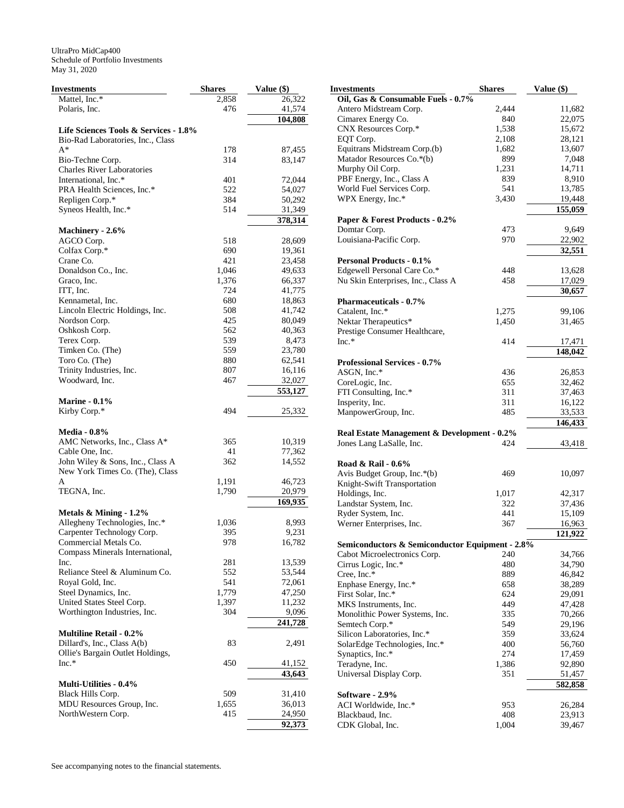| Investments                           | <b>Shares</b> | Value (\$)       |
|---------------------------------------|---------------|------------------|
| Mattel, Inc.*                         | 2,858         | 26,322           |
| Polaris, Inc.                         | 476           | 41,574           |
|                                       |               | 104,808          |
| Life Sciences Tools & Services - 1.8% |               |                  |
| Bio-Rad Laboratories, Inc., Class     |               |                  |
| $A^*$                                 | 178           | 87,455           |
| Bio-Techne Corp.                      | 314           | 83,147           |
| <b>Charles River Laboratories</b>     |               |                  |
| International, Inc.*                  | 401           | 72,044           |
| PRA Health Sciences, Inc.*            | 522           | 54,027           |
| Repligen Corp.*                       | 384           | 50,292           |
| Syneos Health, Inc.*                  | 514           | 31,349           |
|                                       |               |                  |
|                                       |               | 378,314          |
| Machinery - 2.6%                      |               |                  |
| AGCO Corp.                            | 518           | 28,609           |
| Colfax Corp.*                         | 690           | 19,361           |
| Crane Co.                             | 421           | 23,458           |
| Donaldson Co., Inc.                   | 1,046         | 49,633           |
| Graco, Inc.                           | 1,376         | 66,337           |
| ITT, Inc.                             | 724           | 41,775           |
| Kennametal, Inc.                      | 680           | 18,863           |
| Lincoln Electric Holdings, Inc.       | 508           | 41,742           |
| Nordson Corp.                         | 425           | 80,049           |
| Oshkosh Corp.                         | 562           | 40,363           |
| Terex Corp.                           | 539           | 8,473            |
| Timken Co. (The)                      | 559           | 23,780           |
| Toro Co. (The)                        | 880           | 62,541           |
| Trinity Industries, Inc.              | 807           | 16,116           |
| Woodward, Inc.                        | 467           | 32,027           |
|                                       |               | 553,127          |
| <b>Marine - 0.1%</b>                  |               |                  |
| Kirby Corp.*                          | 494           | 25,332           |
|                                       |               |                  |
| <b>Media - 0.8%</b>                   |               |                  |
| AMC Networks, Inc., Class A*          | 365           | 10,319           |
| Cable One, Inc.                       | 41            | 77,362           |
| John Wiley & Sons, Inc., Class A      | 362           | 14,552           |
| New York Times Co. (The), Class       |               |                  |
| A                                     | 1,191         | 46,723           |
|                                       |               |                  |
| TEGNA, Inc.                           | 1,790         | 20,979           |
|                                       |               | 169,935          |
| Metals & Mining - 1.2%                |               |                  |
| Allegheny Technologies, Inc.*         | 1,036         | 8,993            |
| Carpenter Technology Corp.            | 395           | 9,231            |
| Commercial Metals Co.                 | 978           | 16,782           |
| Compass Minerals International,       |               |                  |
| Inc.                                  | 281           | 13,539           |
| Reliance Steel & Aluminum Co.         | 552           | 53,544           |
| Royal Gold, Inc.                      | 541           | 72,061           |
| Steel Dynamics, Inc.                  | 1,779         | 47,250           |
| United States Steel Corp.             | 1,397         | 11,232           |
| Worthington Industries, Inc.          | 304           | 9,096            |
|                                       |               | 241,728          |
| <b>Multiline Retail - 0.2%</b>        |               |                  |
| Dillard's, Inc., Class A(b)           | 83            | 2,491            |
| Ollie's Bargain Outlet Holdings,      |               |                  |
| $Inc.*$                               | 450           | 41,152           |
|                                       |               | 43,643           |
| Multi-Utilities - 0.4%                |               |                  |
| Black Hills Corp.                     | 509           |                  |
| MDU Resources Group, Inc.             | 1,655         | 31,410<br>36,013 |
|                                       |               |                  |
| NorthWestern Corp.                    | 415           | 24,950           |
|                                       |               | 92,373           |

| Investments                                       | <b>Shares</b> | Value (\$)       |
|---------------------------------------------------|---------------|------------------|
| Oil, Gas & Consumable Fuels - 0.7%                |               |                  |
| Antero Midstream Corp.                            | 2,444         | 11,682           |
| Cimarex Energy Co.                                | 840           | 22,075           |
| CNX Resources Corp.*                              | 1,538         | 15,672           |
| EQT Corp.                                         | 2,108         | 28,121           |
| Equitrans Midstream Corp.(b)                      | 1,682         | 13,607           |
| Matador Resources Co.*(b)                         | 899           | 7,048            |
| Murphy Oil Corp.                                  | 1,231         | 14,711           |
| PBF Energy, Inc., Class A                         | 839           | 8,910            |
| World Fuel Services Corp.                         | 541           | 13,785           |
| WPX Energy, Inc.*                                 | 3,430         | 19,448           |
| Paper & Forest Products - 0.2%                    |               | 155,059          |
| Domtar Corp.                                      | 473           | 9,649            |
| Louisiana-Pacific Corp.                           | 970           | 22,902           |
|                                                   |               | 32,551           |
| <b>Personal Products - 0.1%</b>                   |               |                  |
| Edgewell Personal Care Co.*                       | 448           | 13,628           |
| Nu Skin Enterprises, Inc., Class A                | 458           | 17,029           |
|                                                   |               | 30,657           |
| <b>Pharmaceuticals - 0.7%</b>                     |               |                  |
| Catalent, Inc.*                                   | 1,275         | 99,106           |
| Nektar Therapeutics*                              | 1,450         | 31,465           |
| Prestige Consumer Healthcare,                     |               |                  |
| $Inc.*$                                           | 414           | 17,471           |
|                                                   |               | 148,042          |
| <b>Professional Services - 0.7%</b>               |               |                  |
| ASGN, Inc.*                                       | 436           | 26,853           |
| CoreLogic, Inc.                                   | 655           | 32,462           |
| FTI Consulting, Inc.*                             | 311           | 37,463           |
| Insperity, Inc.                                   | 311           | 16,122           |
| ManpowerGroup, Inc.                               | 485           | 33,533           |
|                                                   |               | 146,433          |
| Real Estate Management & Development - 0.2%       |               |                  |
| Jones Lang LaSalle, Inc.                          | 424           | 43,418           |
| Road & Rail - 0.6%                                |               |                  |
| Avis Budget Group, Inc.*(b)                       | 469           | 10,097           |
| Knight-Swift Transportation                       |               |                  |
| Holdings, Inc.                                    | 1,017         | 42,317           |
| Landstar System, Inc.                             | 322           | 37,436           |
| Ryder System, Inc.                                | 441           | 15,109           |
| Werner Enterprises, Inc.                          | 367           | 16,963           |
|                                                   |               | 121,922          |
| Semiconductors & Semiconductor Equipment - 2.8%   |               |                  |
| Cabot Microelectronics Corp.                      | 240           | 34,766           |
| Cirrus Logic, Inc.*                               | 480           | 34,790           |
| Cree, Inc.*                                       | 889           | 46,842           |
| Enphase Energy, Inc.*                             | 658           | 38,289           |
| First Solar, Inc.*                                | 624           | 29,091           |
| MKS Instruments, Inc.                             | 449           | 47,428           |
| Monolithic Power Systems, Inc.                    | 335           | 70,266           |
| Semtech Corp.*                                    | 549           | 29,196           |
| Silicon Laboratories, Inc.*                       | 359           | 33,624           |
| SolarEdge Technologies, Inc.*<br>Synaptics, Inc.* | 400<br>274    | 56,760<br>17,459 |
| Teradyne, Inc.                                    | 1,386         | 92,890           |
| Universal Display Corp.                           | 351           | 51,457           |
|                                                   |               | 582,858          |
| Software - 2.9%                                   |               |                  |
| ACI Worldwide, Inc.*                              | 953           | 26,284           |
| Blackbaud, Inc.                                   | 408           | 23,913           |
| CDK Global, Inc.                                  | 1,004         | 39,467           |
|                                                   |               |                  |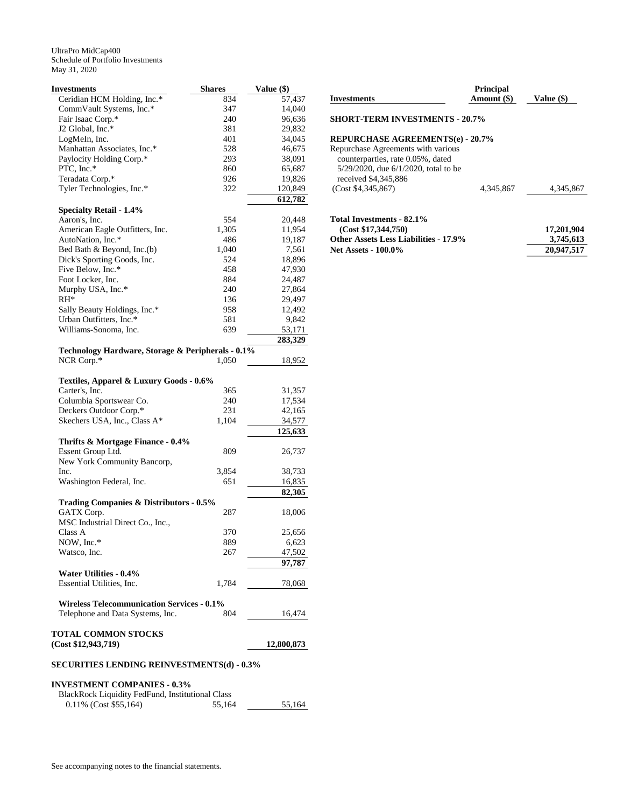| <b>Investments</b>                                              | <b>Shares</b> | Value $(\$)$ |
|-----------------------------------------------------------------|---------------|--------------|
| Ceridian HCM Holding, Inc.*                                     | 834           | 57,437       |
| CommVault Systems, Inc.*                                        | 347           | 14,040       |
| Fair Isaac Corp.*                                               | 240           | 96,636       |
| J2 Global, Inc.*                                                | 381           | 29,832       |
| LogMeIn, Inc.                                                   | 401           | 34,045       |
| Manhattan Associates, Inc.*                                     | 528           | 46,675       |
| Paylocity Holding Corp.*                                        | 293           | 38,091       |
| PTC, Inc.*                                                      | 860           | 65,687       |
| Teradata Corp.*                                                 | 926           | 19,826       |
| Tyler Technologies, Inc.*                                       | 322           | 120,849      |
|                                                                 |               | 612,782      |
| <b>Specialty Retail - 1.4%</b>                                  |               |              |
| Aaron's, Inc.                                                   | 554           | 20,448       |
| American Eagle Outfitters, Inc.                                 | 1,305         | 11,954       |
| AutoNation, Inc.*                                               | 486           | 19,187       |
| Bed Bath & Beyond, Inc.(b)                                      | 1,040         | 7,561        |
| Dick's Sporting Goods, Inc.                                     | 524           | 18,896       |
| Five Below, Inc.*                                               | 458           | 47,930       |
| Foot Locker, Inc.                                               | 884           | 24,487       |
| Murphy USA, Inc.*                                               | 240           | 27,864       |
| $RH^*$                                                          | 136           | 29,497       |
| Sally Beauty Holdings, Inc.*                                    | 958           | 12,492       |
| Urban Outfitters, Inc.*                                         | 581           | 9,842        |
| Williams-Sonoma, Inc.                                           | 639           | 53,171       |
|                                                                 |               | 283,329      |
|                                                                 |               |              |
| Technology Hardware, Storage & Peripherals - 0.1%<br>NCR Corp.* |               | 18,952       |
|                                                                 | 1,050         |              |
|                                                                 |               |              |
| Textiles, Apparel & Luxury Goods - 0.6%                         |               |              |
| Carter's, Inc.                                                  | 365           | 31,357       |
| Columbia Sportswear Co.                                         | 240           | 17,534       |
| Deckers Outdoor Corp.*                                          | 231           | 42,165       |
| Skechers USA, Inc., Class A*                                    | 1,104         | 34,577       |
|                                                                 |               | 125,633      |
| Thrifts & Mortgage Finance - 0.4%                               |               |              |
| Essent Group Ltd.                                               | 809           | 26,737       |
| New York Community Bancorp,                                     |               |              |
| Inc.                                                            | 3,854         | 38,733       |
| Washington Federal, Inc.                                        | 651           | 16,835       |
|                                                                 |               | 82,305       |
| Trading Companies & Distributors - 0.5%                         |               |              |
| GATX Corp.                                                      | 287           | 18,006       |
| MSC Industrial Direct Co., Inc.,                                |               |              |
| Class A                                                         | 370           | 25,656       |
| NOW, Inc.*                                                      | 889           | 6,623        |
|                                                                 |               |              |
| Watsco, Inc.                                                    | 267           | 47,502       |
|                                                                 |               | 97,787       |
| Water Utilities - 0.4%                                          |               |              |
| Essential Utilities, Inc.                                       | 1,784         | 78,068       |
|                                                                 |               |              |
| <b>Wireless Telecommunication Services - 0.1%</b>               |               |              |
| Telephone and Data Systems, Inc.                                | 804           | 16,474       |
|                                                                 |               |              |
| <b>TOTAL COMMON STOCKS</b>                                      |               |              |
| (Cost \$12,943,719)                                             |               | 12,800,873   |
|                                                                 |               |              |
| <b>SECURITIES LENDING REINVESTMENTS(d) - 0.3%</b>               |               |              |
|                                                                 |               |              |
| <b>INVESTMENT COMPANIES - 0.3%</b>                              |               |              |

| BlackRock Liquidity FedFund, Institutional Class |        |        |
|--------------------------------------------------|--------|--------|
| $0.11\%$ (Cost \$55,164)                         | 55.164 | 55.164 |

| <b>Investments</b>                      | <b>Principal</b><br>Amount (\$) | Value (\$) |
|-----------------------------------------|---------------------------------|------------|
| <b>SHORT-TERM INVESTMENTS - 20.7%</b>   |                                 |            |
| <b>REPURCHASE AGREEMENTS(e) - 20.7%</b> |                                 |            |
| Repurchase Agreements with various      |                                 |            |
| counterparties, rate 0.05%, dated       |                                 |            |
| 5/29/2020, due 6/1/2020, total to be    |                                 |            |
| received \$4,345,886                    |                                 |            |
| (Cost \$4,345,867)                      | 4.345.867                       | 4.345.867  |
|                                         |                                 |            |

| Total Investments - 82.1%                    |            |
|----------------------------------------------|------------|
| (Cost \$17,344,750)                          | 17,201,904 |
| <b>Other Assets Less Liabilities - 17.9%</b> | 3.745.613  |
| <b>Net Assets - 100.0%</b>                   | 20,947,517 |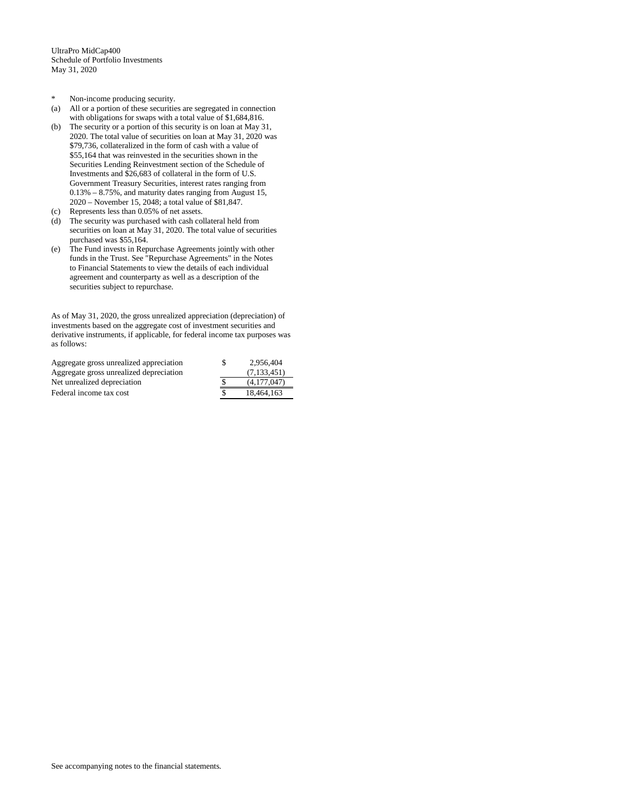- \* Non-income producing security.
- (a) All or a portion of these securities are segregated in connection with obligations for swaps with a total value of \$1,684,816.
- (b) The security or a portion of this security is on loan at May 31, 2020. The total value of securities on loan at May 31, 2020 was \$79,736, collateralized in the form of cash with a value of \$55,164 that was reinvested in the securities shown in the Securities Lending Reinvestment section of the Schedule of Investments and \$26,683 of collateral in the form of U.S. Government Treasury Securities, interest rates ranging from 0.13% – 8.75%, and maturity dates ranging from August 15, 2020 – November 15, 2048; a total value of \$81,847.
- (c) Represents less than 0.05% of net assets.
- (d) The security was purchased with cash collateral held from securities on loan at May 31, 2020. The total value of securities purchased was \$55,164.
- (e) The Fund invests in Repurchase Agreements jointly with other funds in the Trust. See "Repurchase Agreements" in the Notes to Financial Statements to view the details of each individual agreement and counterparty as well as a description of the securities subject to repurchase.

As of May 31, 2020, the gross unrealized appreciation (depreciation) of investments based on the aggregate cost of investment securities and derivative instruments, if applicable, for federal income tax purposes was as follows:

| Aggregate gross unrealized appreciation | 2.956.404   |
|-----------------------------------------|-------------|
| Aggregate gross unrealized depreciation | (7,133,451) |
| Net unrealized depreciation             | (4.177.047) |
| Federal income tax cost                 | 18.464.163  |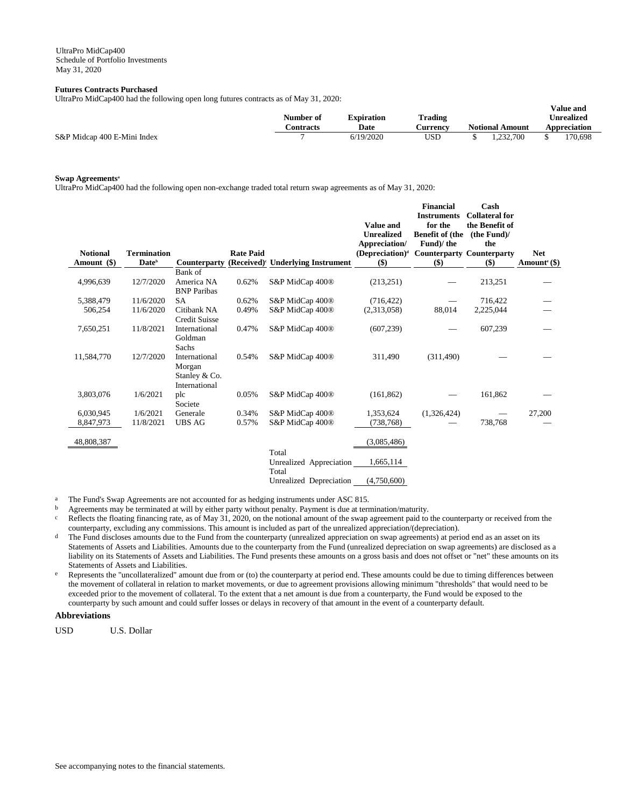## **Futures Contracts Purchased**

UltraPro MidCap400 had the following open long futures contracts as of May 31, 2020:

|                             | Number of | <b>Expiration</b> | Trading  | v alue allu<br><b>Unrealized</b> |                        |  |              |
|-----------------------------|-----------|-------------------|----------|----------------------------------|------------------------|--|--------------|
|                             | `ontracts | Date              | Aurrency |                                  | <b>Notional Amount</b> |  | Appreciation |
| S&P Midcap 400 E-Mini Index |           | 6/19/2020         | USD      |                                  | .232.700               |  | 170.698      |

**Value and** 

## **Swap Agreements<sup>a</sup>**

UltraPro MidCap400 had the following open non-exchange traded total return swap agreements as of May 31, 2020:

| <b>Notional</b><br>Amount (\$) | <b>Termination</b><br>Date <sup>b</sup> | <b>Counterparty</b>                                       | <b>Rate Paid</b> | (Received) <sup>c</sup> Underlying Instrument | <b>Value and</b><br><b>Unrealized</b><br>Appreciation/<br>(Depreciation) <sup>d</sup><br>\$) | <b>Financial</b><br><b>Instruments</b><br>for the<br><b>Benefit of (the</b><br>Fund)/the<br><b>Counterparty Counterparty</b><br>$($)$ | Cash<br><b>Collateral for</b><br>the Benefit of<br>(the Fund)/<br>the<br>\$) | <b>Net</b><br>Amount <sup>e</sup> (\$) |
|--------------------------------|-----------------------------------------|-----------------------------------------------------------|------------------|-----------------------------------------------|----------------------------------------------------------------------------------------------|---------------------------------------------------------------------------------------------------------------------------------------|------------------------------------------------------------------------------|----------------------------------------|
|                                |                                         | Bank of                                                   |                  |                                               |                                                                                              |                                                                                                                                       |                                                                              |                                        |
| 4,996,639                      | 12/7/2020                               | America NA<br><b>BNP</b> Paribas                          | 0.62%            | S&P MidCap 400 <sup>®</sup>                   | (213, 251)                                                                                   |                                                                                                                                       | 213,251                                                                      |                                        |
| 5,388,479                      | 11/6/2020                               | <b>SA</b>                                                 | 0.62%            | S&P MidCap 400 <sup>®</sup>                   | (716, 422)                                                                                   |                                                                                                                                       | 716,422                                                                      |                                        |
| 506,254                        | 11/6/2020                               | Citibank NA<br><b>Credit Suisse</b>                       | 0.49%            | S&P MidCap 400 <sup>®</sup>                   | (2,313,058)                                                                                  | 88,014                                                                                                                                | 2,225,044                                                                    |                                        |
| 7,650,251                      | 11/8/2021                               | International<br>Goldman<br>Sachs                         | 0.47%            | S&P MidCap 400 <sup>®</sup>                   | (607, 239)                                                                                   |                                                                                                                                       | 607,239                                                                      |                                        |
| 11,584,770                     | 12/7/2020                               | International<br>Morgan<br>Stanley & Co.<br>International | 0.54%            | S&P MidCap 400 <sup>®</sup>                   | 311,490                                                                                      | (311, 490)                                                                                                                            |                                                                              |                                        |
| 3,803,076                      | 1/6/2021                                | plc<br>Societe                                            | 0.05%            | S&P MidCap 400 <sup>®</sup>                   | (161, 862)                                                                                   |                                                                                                                                       | 161,862                                                                      |                                        |
| 6,030,945                      | 1/6/2021                                | Generale                                                  | 0.34%            | S&P MidCap 400®                               | 1,353,624                                                                                    | (1,326,424)                                                                                                                           |                                                                              | 27,200                                 |
| 8,847,973                      | 11/8/2021                               | <b>UBS AG</b>                                             | 0.57%            | S&P MidCap 400 <sup>®</sup>                   | (738, 768)                                                                                   |                                                                                                                                       | 738,768                                                                      |                                        |
| 48,808,387                     |                                         |                                                           |                  | Total                                         | (3,085,486)                                                                                  |                                                                                                                                       |                                                                              |                                        |
|                                |                                         |                                                           |                  | Unrealized Appreciation<br>Total              | 1,665,114                                                                                    |                                                                                                                                       |                                                                              |                                        |
|                                |                                         |                                                           |                  | Unrealized Depreciation                       | (4,750,600)                                                                                  |                                                                                                                                       |                                                                              |                                        |

<sup>a</sup> The Fund's Swap Agreements are not accounted for as hedging instruments under ASC 815.

b Agreements may be terminated at will by either party without penalty. Payment is due at termination/maturity.

- $c$  Reflects the floating financing rate, as of May 31, 2020, on the notional amount of the swap agreement paid to the counterparty or received from the counterparty, excluding any commissions. This amount is included as part of the unrealized appreciation/(depreciation).
- The Fund discloses amounts due to the Fund from the counterparty (unrealized appreciation on swap agreements) at period end as an asset on its Statements of Assets and Liabilities. Amounts due to the counterparty from the Fund (unrealized depreciation on swap agreements) are disclosed as a liability on its Statements of Assets and Liabilities. The Fund presents these amounts on a gross basis and does not offset or "net" these amounts on its Statements of Assets and Liabilities.
- e Represents the "uncollateralized" amount due from or (to) the counterparty at period end. These amounts could be due to timing differences between the movement of collateral in relation to market movements, or due to agreement provisions allowing minimum "thresholds" that would need to be exceeded prior to the movement of collateral. To the extent that a net amount is due from a counterparty, the Fund would be exposed to the counterparty by such amount and could suffer losses or delays in recovery of that amount in the event of a counterparty default.

# **Abbreviations**

USD U.S. Dollar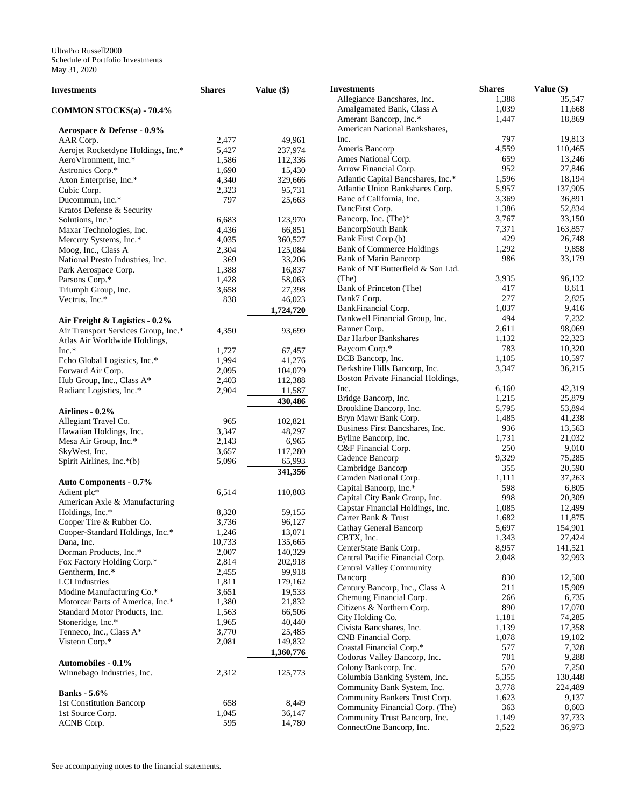| <b>Investments</b>                                         | <b>Shares</b>  | Value (\$)         | <b>Inves</b>          |
|------------------------------------------------------------|----------------|--------------------|-----------------------|
| COMMON STOCKS(a) - 70.4%                                   |                |                    | All<br>Am             |
|                                                            |                |                    | Am                    |
| Aerospace & Defense - 0.9%                                 |                |                    | Am<br>Inc.            |
| AAR Corp.                                                  | 2,477          | 49,961             | Am                    |
| Aerojet Rocketdyne Holdings, Inc.*<br>AeroVironment, Inc.* | 5,427<br>1,586 | 237,974<br>112,336 | Am                    |
| Astronics Corp.*                                           | 1,690          | 15,430             | Arr                   |
| Axon Enterprise, Inc.*                                     | 4,340          | 329,666            | Atla                  |
| Cubic Corp.                                                | 2,323          | 95,731             | Atla                  |
| Ducommun, Inc.*                                            | 797            | 25,663             | Bar                   |
| Kratos Defense & Security                                  |                |                    | Bar                   |
| Solutions, Inc.*                                           | 6,683          | 123,970            | Bar                   |
| Maxar Technologies, Inc.                                   | 4,436          | 66,851             | Bar                   |
| Mercury Systems, Inc.*                                     | 4,035          | 360,527            | Bar                   |
| Moog, Inc., Class A                                        | 2,304          | 125,084            | Bar                   |
| National Presto Industries, Inc.                           | 369            | 33,206             | Bar                   |
| Park Aerospace Corp.                                       | 1,388          | 16,837             | Bar                   |
| Parsons Corp.*                                             | 1,428          | 58,063             | (Th)                  |
| Triumph Group, Inc.                                        | 3,658          | 27,398             | Bar                   |
| Vectrus, Inc.*                                             | 838            | 46,023             | Bar                   |
|                                                            |                | 1,724,720          | Bar                   |
| Air Freight & Logistics - 0.2%                             |                |                    | Bar                   |
| Air Transport Services Group, Inc.*                        | 4,350          | 93,699             | Bar                   |
| Atlas Air Worldwide Holdings,                              |                |                    | Bar                   |
| $Inc.*$                                                    | 1,727          | 67,457             | Bay                   |
| Echo Global Logistics, Inc.*                               | 1,994          | 41,276             | BC.                   |
| Forward Air Corp.                                          | 2,095          | 104,079            | Ber                   |
| Hub Group, Inc., Class A*                                  | 2,403          | 112,388            | <b>Bos</b>            |
| Radiant Logistics, Inc.*                                   | 2,904          | 11,587             | Inc.                  |
|                                                            |                | 430,486            | Bri                   |
| Airlines - 0.2%                                            |                |                    | <b>Bro</b>            |
| Allegiant Travel Co.                                       | 965            | 102,821            | Bry                   |
| Hawaiian Holdings, Inc.                                    | 3,347          | 48,297             | Bus                   |
| Mesa Air Group, Inc.*                                      | 2,143          | 6,965              | Byl                   |
| SkyWest, Inc.                                              | 3,657          | 117,280            | C&<br>Cac             |
| Spirit Airlines, Inc.*(b)                                  | 5,096          | 65,993             | Car                   |
|                                                            |                | 341,356            | Car                   |
| <b>Auto Components - 0.7%</b>                              |                |                    | Cap                   |
| Adient plc*                                                | 6,514          | 110,803            | Cap                   |
| American Axle & Manufacturing                              |                |                    | Cap                   |
| Holdings, Inc.*                                            | 8,320          | 59,155             | Car                   |
| Cooper Tire & Rubber Co.                                   | 3,736          | 96,127             | Cat                   |
| Cooper-Standard Holdings, Inc.*                            | 1,246          | 13,071             | CB'                   |
| Dana, Inc.                                                 | 10,733         | 135.665            | Cer                   |
| Dorman Products, Inc.*                                     | 2,007          | 140,329            | Cer                   |
| Fox Factory Holding Corp.*<br>Gentherm, Inc.*              | 2,814          | 202,918            | Cer                   |
|                                                            | 2,455          | 99,918             | Bar                   |
| <b>LCI</b> Industries                                      | 1,811          | 179,162            | Cer                   |
| Modine Manufacturing Co.*                                  | 3,651          | 19,533             | Che                   |
| Motorcar Parts of America, Inc.*                           | 1,380          | 21,832             | Citi                  |
| Standard Motor Products, Inc.<br>Stoneridge, Inc.*         | 1,563          | 66,506             | City                  |
| Tenneco, Inc., Class A*                                    | 1,965<br>3,770 | 40,440<br>25,485   | Civ                   |
| Visteon Corp.*                                             | 2,081          | 149,832            | CN.                   |
|                                                            |                | 1,360,776          | $\cos$                |
| Automobiles - 0.1%                                         |                |                    | Coc                   |
| Winnebago Industries, Inc.                                 | 2,312          |                    | Col                   |
|                                                            |                | 125,773            | Col                   |
| <b>Banks</b> - 5.6%                                        |                |                    | Cor                   |
| 1st Constitution Bancorp                                   | 658            | 8,449              | Cor                   |
| 1st Source Corp.                                           | 1,045          | 36,147             | Cor                   |
| ACNB Corp.                                                 | 595            | 14,780             | Cor<br>$C_{\alpha r}$ |

| Investments                                               | <b>Shares</b>  | Value (\$)       |
|-----------------------------------------------------------|----------------|------------------|
| Allegiance Bancshares, Inc.                               | 1,388          | 35,547           |
| Amalgamated Bank, Class A                                 | 1,039          | 11,668           |
| Amerant Bancorp, Inc.*                                    | 1,447          | 18,869           |
| American National Bankshares,                             |                |                  |
| Inc.                                                      | 797            | 19,813           |
| Ameris Bancorp                                            | 4,559          | 110,465          |
| Ames National Corp.                                       | 659            | 13,246           |
| Arrow Financial Corp.                                     | 952            | 27,846           |
| Atlantic Capital Bancshares, Inc.*                        | 1,596          | 18,194           |
| Atlantic Union Bankshares Corp.                           | 5,957          | 137,905          |
| Banc of California, Inc.                                  | 3,369          | 36,891           |
| BancFirst Corp.                                           | 1,386<br>3,767 | 52,834<br>33,150 |
| Bancorp, Inc. (The)*<br>BancorpSouth Bank                 | 7,371          | 163,857          |
| Bank First Corp.(b)                                       | 429            | 26,748           |
| <b>Bank of Commerce Holdings</b>                          | 1,292          | 9,858            |
| <b>Bank of Marin Bancorp</b>                              | 986            | 33,179           |
| Bank of NT Butterfield & Son Ltd.                         |                |                  |
| (The)                                                     | 3,935          | 96,132           |
| Bank of Princeton (The)                                   | 417            | 8,611            |
| Bank7 Corp.                                               | 277            | 2,825            |
| BankFinancial Corp.                                       | 1,037          | 9,416            |
| Bankwell Financial Group, Inc.                            | 494            | 7,232            |
| Banner Corp.                                              | 2,611          | 98,069           |
| <b>Bar Harbor Bankshares</b>                              | 1,132          | 22,323           |
| Baycom Corp.*                                             | 783            | 10,320           |
| BCB Bancorp, Inc.                                         | 1,105          | 10,597           |
| Berkshire Hills Bancorp, Inc.                             | 3,347          | 36,215           |
| Boston Private Financial Holdings,                        |                |                  |
| Inc.                                                      | 6,160          | 42,319           |
| Bridge Bancorp, Inc.                                      | 1,215          | 25,879           |
| Brookline Bancorp, Inc.                                   | 5,795          | 53,894           |
| Bryn Mawr Bank Corp.                                      | 1,485          | 41,238           |
| Business First Bancshares, Inc.                           | 936            | 13,563           |
| Byline Bancorp, Inc.                                      | 1,731          | 21,032           |
| C&F Financial Corp.                                       | 250            | 9,010            |
| Cadence Bancorp<br>Cambridge Bancorp                      | 9,329<br>355   | 75,285<br>20,590 |
| Camden National Corp.                                     | 1,111          | 37,263           |
| Capital Bancorp, Inc.*                                    | 598            | 6,805            |
| Capital City Bank Group, Inc.                             | 998            | 20,309           |
| Capstar Financial Holdings, Inc.                          | 1,085          | 12,499           |
| Carter Bank & Trust                                       | 1,682          | 11,875           |
| Cathay General Bancorp                                    | 5,697          | 154,901          |
| CBTX, Inc.                                                | 1,343          | 27,424           |
| CenterState Bank Corp.                                    | 8,957          | 141,521          |
| Central Pacific Financial Corp.                           | 2,048          | 32,993           |
| Central Valley Community                                  |                |                  |
| Bancorp                                                   | 830            | 12,500           |
| Century Bancorp, Inc., Class A                            | 211            | 15,909           |
| Chemung Financial Corp.                                   | 266            | 6,735            |
| Citizens & Northern Corp.                                 | 890            | 17,070           |
| City Holding Co.                                          | 1,181          | 74,285           |
| Civista Bancshares, Inc.                                  | 1,139          | 17,358           |
| CNB Financial Corp.                                       | 1,078          | 19,102           |
| Coastal Financial Corp.*                                  | 577            | 7,328            |
| Codorus Valley Bancorp, Inc.                              | 701            | 9,288            |
| Colony Bankcorp, Inc.                                     | 570            | 7,250            |
| Columbia Banking System, Inc.                             | 5,355          | 130,448          |
| Community Bank System, Inc.                               | 3,778          | 224,489          |
| Community Bankers Trust Corp.                             | 1,623          | 9,137            |
| Community Financial Corp. (The)                           | 363            | 8,603            |
| Community Trust Bancorp, Inc.<br>ConnectOne Bancorp, Inc. | 1,149<br>2,522 | 37,733<br>36,973 |
|                                                           |                |                  |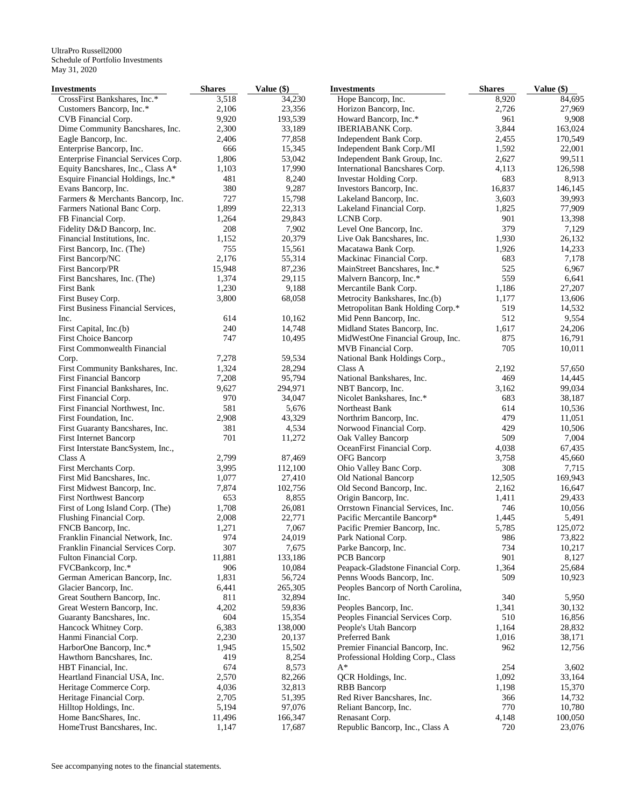| Investments                         | <b>Shares</b> | Value (\$) | <b>Investments</b>                 | <b>Shares</b> | Value (\$) |
|-------------------------------------|---------------|------------|------------------------------------|---------------|------------|
| CrossFirst Bankshares, Inc.*        | 3,518         | 34,230     | Hope Bancorp, Inc.                 | 8,920         | 84,695     |
| Customers Bancorp, Inc.*            | 2,106         | 23,356     | Horizon Bancorp, Inc.              | 2,726         | 27,969     |
| CVB Financial Corp.                 | 9,920         | 193,539    | Howard Bancorp, Inc.*              | 961           | 9,908      |
| Dime Community Bancshares, Inc.     | 2,300         | 33,189     | <b>IBERIABANK</b> Corp.            | 3,844         | 163,024    |
| Eagle Bancorp, Inc.                 | 2,406         | 77,858     | Independent Bank Corp.             | 2,455         | 170,549    |
| Enterprise Bancorp, Inc.            | 666           | 15,345     | Independent Bank Corp./MI          | 1,592         | 22,001     |
| Enterprise Financial Services Corp. | 1,806         | 53,042     | Independent Bank Group, Inc.       | 2,627         | 99,511     |
| Equity Bancshares, Inc., Class A*   | 1,103         | 17,990     | International Bancshares Corp.     | 4,113         | 126,598    |
| Esquire Financial Holdings, Inc.*   | 481           | 8,240      | Investar Holding Corp.             | 683           | 8,913      |
| Evans Bancorp, Inc.                 | 380           | 9,287      | Investors Bancorp, Inc.            | 16,837        | 146,145    |
| Farmers & Merchants Bancorp, Inc.   | 727           | 15,798     | Lakeland Bancorp, Inc.             | 3,603         | 39,993     |
| Farmers National Banc Corp.         | 1,899         | 22,313     | Lakeland Financial Corp.           | 1,825         | 77,909     |
| FB Financial Corp.                  | 1,264         | 29,843     | LCNB Corp.                         | 901           | 13,398     |
| Fidelity D&D Bancorp, Inc.          | 208           | 7,902      | Level One Bancorp, Inc.            | 379           | 7,129      |
| Financial Institutions, Inc.        | 1,152         | 20,379     | Live Oak Bancshares, Inc.          | 1,930         | 26,132     |
| First Bancorp, Inc. (The)           | 755           | 15,561     | Macatawa Bank Corp.                | 1,926         | 14,233     |
| First Bancorp/NC                    | 2,176         | 55,314     | Mackinac Financial Corp.           | 683           | 7,178      |
| First Bancorp/PR                    | 15,948        | 87,236     | MainStreet Bancshares, Inc.*       | 525           | 6,967      |
| First Bancshares, Inc. (The)        | 1,374         | 29,115     | Malvern Bancorp, Inc.*             | 559           | 6,641      |
| First Bank                          | 1,230         | 9,188      | Mercantile Bank Corp.              | 1,186         | 27,207     |
| First Busey Corp.                   | 3,800         | 68,058     | Metrocity Bankshares, Inc.(b)      | 1,177         | 13,606     |
| First Business Financial Services,  |               |            | Metropolitan Bank Holding Corp.*   | 519           | 14,532     |
| Inc.                                | 614           | 10,162     | Mid Penn Bancorp, Inc.             | 512           | 9,554      |
| First Capital, Inc.(b)              | 240           | 14,748     | Midland States Bancorp, Inc.       | 1,617         | 24,206     |
| <b>First Choice Bancorp</b>         | 747           | 10,495     | MidWestOne Financial Group, Inc.   | 875           | 16,791     |
| First Commonwealth Financial        |               |            | MVB Financial Corp.                | 705           | 10,011     |
| Corp.                               | 7,278         | 59,534     | National Bank Holdings Corp.,      |               |            |
| First Community Bankshares, Inc.    | 1,324         | 28,294     | Class A                            | 2,192         | 57,650     |
| <b>First Financial Bancorp</b>      | 7,208         | 95,794     | National Bankshares, Inc.          | 469           | 14,445     |
| First Financial Bankshares, Inc.    | 9,627         | 294,971    | NBT Bancorp, Inc.                  | 3,162         | 99,034     |
| First Financial Corp.               | 970           | 34,047     | Nicolet Bankshares, Inc.*          | 683           | 38,187     |
| First Financial Northwest, Inc.     | 581           | 5,676      | Northeast Bank                     | 614           | 10,536     |
| First Foundation, Inc.              | 2,908         | 43,329     | Northrim Bancorp, Inc.             | 479           | 11,051     |
| First Guaranty Bancshares, Inc.     | 381           | 4,534      | Norwood Financial Corp.            | 429           | 10,506     |
| First Internet Bancorp              | 701           | 11,272     | Oak Valley Bancorp                 | 509           | 7,004      |
| First Interstate BancSystem, Inc.,  |               |            | OceanFirst Financial Corp.         | 4,038         | 67,435     |
| Class A                             | 2,799         | 87,469     | OFG Bancorp                        | 3,758         | 45,660     |
| First Merchants Corp.               | 3,995         | 112,100    | Ohio Valley Banc Corp.             | 308           | 7,715      |
| First Mid Bancshares, Inc.          | 1,077         | 27,410     | Old National Bancorp               | 12,505        | 169,943    |
| First Midwest Bancorp, Inc.         | 7,874         | 102,756    | Old Second Bancorp, Inc.           | 2,162         | 16,647     |
| <b>First Northwest Bancorp</b>      | 653           | 8,855      | Origin Bancorp, Inc.               | 1,411         | 29,433     |
| First of Long Island Corp. (The)    | 1,708         | 26,081     | Orrstown Financial Services, Inc.  | 746           | 10,056     |
| Flushing Financial Corp.            | 2,008         | 22,771     | Pacific Mercantile Bancorp*        | 1,445         | 5,491      |
| FNCB Bancorp, Inc.                  | 1,271         | 7,067      | Pacific Premier Bancorp, Inc.      | 5,785         | 125,072    |
| Franklin Financial Network, Inc.    | 974           | 24,019     | Park National Corp.                | 986           | 73,822     |
| Franklin Financial Services Corp.   | 307           | 7,675      | Parke Bancorp, Inc.                | 734           | 10,217     |
| Fulton Financial Corp.              | 11,881        | 133,186    | <b>PCB</b> Bancorp                 | 901           | 8,127      |
| FVCBankcorp, Inc.*                  | 906           | 10,084     | Peapack-Gladstone Financial Corp.  | 1,364         | 25,684     |
| German American Bancorp, Inc.       | 1,831         | 56,724     | Penns Woods Bancorp, Inc.          | 509           | 10,923     |
| Glacier Bancorp, Inc.               | 6,441         | 265,305    | Peoples Bancorp of North Carolina, |               |            |
| Great Southern Bancorp, Inc.        | 811           | 32,894     | Inc.                               | 340           | 5,950      |
| Great Western Bancorp, Inc.         | 4,202         | 59,836     | Peoples Bancorp, Inc.              | 1,341         | 30,132     |
| Guaranty Bancshares, Inc.           | 604           | 15,354     | Peoples Financial Services Corp.   | 510           | 16,856     |
| Hancock Whitney Corp.               | 6,383         | 138,000    | People's Utah Bancorp              | 1,164         | 28,832     |
| Hanmi Financial Corp.               | 2,230         | 20,137     | Preferred Bank                     | 1,016         | 38,171     |
| HarborOne Bancorp, Inc.*            | 1,945         | 15,502     | Premier Financial Bancorp, Inc.    | 962           | 12,756     |
| Hawthorn Bancshares, Inc.           | 419           | 8,254      | Professional Holding Corp., Class  |               |            |
| HBT Financial, Inc.                 | 674           | 8,573      | $A^*$                              | 254           | 3,602      |
| Heartland Financial USA, Inc.       | 2,570         | 82,266     | QCR Holdings, Inc.                 | 1,092         | 33,164     |
| Heritage Commerce Corp.             | 4,036         | 32,813     | RBB Bancorp                        | 1,198         | 15,370     |
| Heritage Financial Corp.            | 2,705         | 51,395     | Red River Bancshares, Inc.         | 366           | 14,732     |
| Hilltop Holdings, Inc.              | 5,194         | 97,076     | Reliant Bancorp, Inc.              | 770           | 10,780     |
| Home BancShares, Inc.               | 11,496        | 166,347    | Renasant Corp.                     | 4,148         | 100,050    |
| HomeTrust Bancshares, Inc.          | 1,147         | 17,687     | Republic Bancorp, Inc., Class A    | 720           | 23,076     |
|                                     |               |            |                                    |               |            |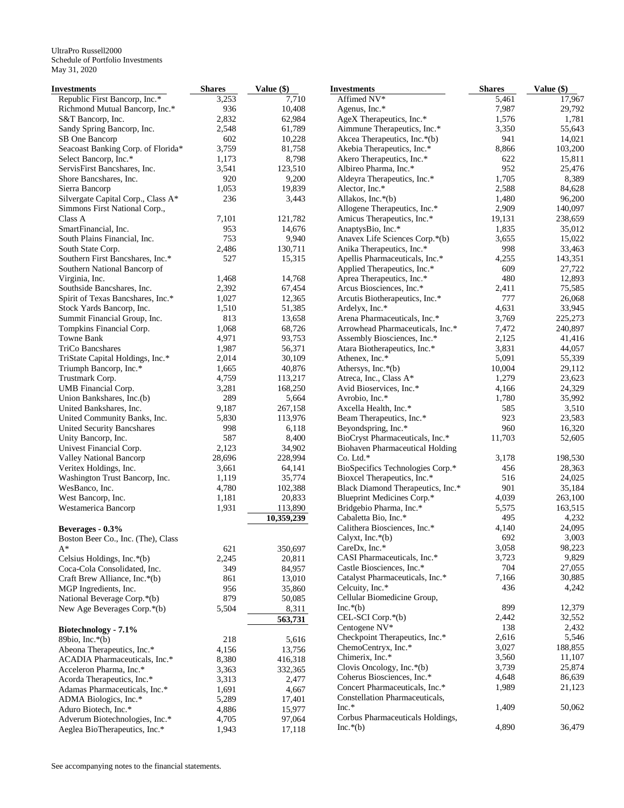| Republic First Bancorp, Inc.*<br>3,253<br>7,710<br>Affimed NV*<br>5,461<br>17,967<br>7,987<br>Richmond Mutual Bancorp, Inc.*<br>936<br>10,408<br>29,792<br>Agenus, Inc.*<br>1,576<br>S&T Bancorp, Inc.<br>2,832<br>62,984<br>AgeX Therapeutics, Inc.*<br>1,781<br>Sandy Spring Bancorp, Inc.<br>2,548<br>61,789<br>Aimmune Therapeutics, Inc.*<br>3,350<br>55,643<br>SB One Bancorp<br>602<br>10,228<br>Akcea Therapeutics, Inc.*(b)<br>941<br>14,021<br>3,759<br>81,758<br>Seacoast Banking Corp. of Florida*<br>Akebia Therapeutics, Inc.*<br>8,866<br>103,200<br>Select Bancorp, Inc.*<br>1,173<br>8,798<br>Akero Therapeutics, Inc.*<br>622<br>15,811<br>952<br>ServisFirst Bancshares, Inc.<br>3,541<br>123,510<br>Albireo Pharma, Inc.*<br>25,476<br>Shore Bancshares, Inc.<br>920<br>9,200<br>Aldeyra Therapeutics, Inc.*<br>1,705<br>8,389<br>1,053<br>19,839<br>Alector, Inc.*<br>2,588<br>84,628<br>Sierra Bancorp<br>Silvergate Capital Corp., Class A*<br>236<br>Allakos, Inc.*(b)<br>1,480<br>96,200<br>3,443<br>Simmons First National Corp.,<br>Allogene Therapeutics, Inc.*<br>2,909<br>140,097<br>Class A<br>7,101<br>Amicus Therapeutics, Inc.*<br>19,131<br>238,659<br>121,782<br>953<br>1,835<br>SmartFinancial, Inc.<br>14,676<br>AnaptysBio, Inc.*<br>35,012<br>753<br>South Plains Financial, Inc.<br>9,940<br>Anavex Life Sciences Corp.*(b)<br>3,655<br>15,022<br>2,486<br>130,711<br>Anika Therapeutics, Inc.*<br>998<br>33,463<br>South State Corp.<br>143,351<br>Southern First Bancshares, Inc.*<br>527<br>15,315<br>Apellis Pharmaceuticals, Inc.*<br>4,255<br>Applied Therapeutics, Inc.*<br>609<br>27,722<br>Southern National Bancorp of<br>480<br>1,468<br>14,768<br>Aprea Therapeutics, Inc.*<br>12,893<br>Virginia, Inc.<br>Southside Bancshares, Inc.<br>2,392<br>67,454<br>Arcus Biosciences, Inc.*<br>2,411<br>75,585<br>12,365<br>Spirit of Texas Bancshares, Inc.*<br>1,027<br>Arcutis Biotherapeutics, Inc.*<br>777<br>26,068<br>Stock Yards Bancorp, Inc.<br>1,510<br>51,385<br>Ardelyx, Inc.*<br>4,631<br>33,945<br>813<br>Arena Pharmaceuticals, Inc.*<br>Summit Financial Group, Inc.<br>13,658<br>3,769<br>225,273<br>1,068<br>68,726<br>Arrowhead Pharmaceuticals, Inc.*<br>7,472<br>240,897<br>Tompkins Financial Corp.<br>Towne Bank<br>4,971<br>93,753<br>Assembly Biosciences, Inc.*<br>2,125<br>41,416<br>1,987<br>56,371<br>Atara Biotherapeutics, Inc.*<br>3,831<br>TriCo Bancshares<br>44,057<br>TriState Capital Holdings, Inc.*<br>2,014<br>30,109<br>Athenex, Inc.*<br>5,091<br>55,339<br>Triumph Bancorp, Inc.*<br>1,665<br>40,876<br>Athersys, Inc.*(b)<br>10,004<br>29,112<br>1,279<br>Trustmark Corp.<br>4,759<br>113,217<br>Atreca, Inc., Class A*<br>23,623<br>UMB Financial Corp.<br>3,281<br>168,250<br>Avid Bioservices, Inc.*<br>4,166<br>24,329<br>1,780<br>Union Bankshares, Inc.(b)<br>289<br>5,664<br>Avrobio, Inc.*<br>35,992<br>585<br>United Bankshares, Inc.<br>9,187<br>267,158<br>Axcella Health, Inc.*<br>3,510<br>5,830<br>113,976<br>Beam Therapeutics, Inc.*<br>923<br>23,583<br>United Community Banks, Inc.<br>960<br>998<br>6,118<br>Beyondspring, Inc.*<br>16,320<br>United Security Bancshares<br>587<br>BioCryst Pharmaceuticals, Inc.*<br>11,703<br>Unity Bancorp, Inc.<br>8,400<br>52,605<br>Univest Financial Corp.<br>2,123<br>34,902<br><b>Biohaven Pharmaceutical Holding</b><br>Valley National Bancorp<br>28,696<br>228,994<br>$Co.$ Ltd. $*$<br>3,178<br>198,530<br>Veritex Holdings, Inc.<br>3,661<br>64,141<br>BioSpecifics Technologies Corp.*<br>456<br>28,363<br>Bioxcel Therapeutics, Inc.*<br>516<br>Washington Trust Bancorp, Inc.<br>1,119<br>35,774<br>24,025<br>WesBanco, Inc.<br>4,780<br>Black Diamond Therapeutics, Inc.*<br>901<br>35,184<br>102,388<br>West Bancorp, Inc.<br>1,181<br>20,833<br>Blueprint Medicines Corp.*<br>4,039<br>263,100<br>1,931<br>113,890<br>Bridgebio Pharma, Inc.*<br>5,575<br>163,515<br>Westamerica Bancorp<br>Cabaletta Bio, Inc.*<br>495<br>4,232<br>10,359,239<br>Calithera Biosciences, Inc.*<br>4,140<br>24,095<br>Beverages - 0.3%<br>3,003<br>692<br>Calyxt, Inc.*(b)<br>Boston Beer Co., Inc. (The), Class<br>CareDx, Inc.*<br>3,058<br>98,223<br>621<br>350,697<br>A*<br>CASI Pharmaceuticals, Inc.*<br>3,723<br>9,829<br>2,245<br>20,811<br>Celsius Holdings, Inc.*(b)<br>Castle Biosciences, Inc.*<br>704<br>27,055<br>Coca-Cola Consolidated, Inc.<br>349<br>84,957<br>7,166<br>30,885<br>Catalyst Pharmaceuticals, Inc.*<br>Craft Brew Alliance, Inc.*(b)<br>861<br>13,010<br>436<br>Celcuity, Inc.*<br>MGP Ingredients, Inc.<br>956<br>35,860<br>Cellular Biomedicine Group,<br>National Beverage Corp.*(b)<br>879<br>50,085<br>$Inc.*(b)$<br>899<br>12,379<br>New Age Beverages Corp.*(b)<br>5,504<br>8,311<br>CEL-SCI Corp.*(b)<br>2,442<br>563,731<br>Centogene NV*<br>138<br>Biotechnology - 7.1%<br>Checkpoint Therapeutics, Inc.*<br>2,616<br>218<br>5,616<br>89bio, Inc. $*(b)$<br>ChemoCentryx, Inc.*<br>3,027<br>188,855<br>13,756<br>Abeona Therapeutics, Inc.*<br>4,156<br>Chimerix, Inc.*<br>3,560<br>ACADIA Pharmaceuticals, Inc.*<br>8,380<br>416,318<br>3,739<br>Clovis Oncology, Inc. $*(b)$<br>332,365<br>Acceleron Pharma, Inc.*<br>3,363<br>Coherus Biosciences, Inc.*<br>4,648<br>Acorda Therapeutics, Inc.*<br>3,313<br>2,477<br>Concert Pharmaceuticals, Inc.*<br>1,989<br>Adamas Pharmaceuticals, Inc.*<br>1,691<br>4,667<br>Constellation Pharmaceuticals,<br>ADMA Biologics, Inc.*<br>5,289<br>17,401<br>$Inc.*$<br>1,409<br>50,062<br>Aduro Biotech, Inc.*<br>4,886<br>15,977<br>Corbus Pharmaceuticals Holdings,<br>Adverum Biotechnologies, Inc.*<br>4,705<br>97,064<br>4,890<br>$Inc.*(b)$<br>36,479<br>Aeglea BioTherapeutics, Inc.*<br>1,943<br>17,118 | <b>Investments</b> | <b>Shares</b> | Value (\$) | <b>Investments</b> | <b>Shares</b> | Value (\$) |
|----------------------------------------------------------------------------------------------------------------------------------------------------------------------------------------------------------------------------------------------------------------------------------------------------------------------------------------------------------------------------------------------------------------------------------------------------------------------------------------------------------------------------------------------------------------------------------------------------------------------------------------------------------------------------------------------------------------------------------------------------------------------------------------------------------------------------------------------------------------------------------------------------------------------------------------------------------------------------------------------------------------------------------------------------------------------------------------------------------------------------------------------------------------------------------------------------------------------------------------------------------------------------------------------------------------------------------------------------------------------------------------------------------------------------------------------------------------------------------------------------------------------------------------------------------------------------------------------------------------------------------------------------------------------------------------------------------------------------------------------------------------------------------------------------------------------------------------------------------------------------------------------------------------------------------------------------------------------------------------------------------------------------------------------------------------------------------------------------------------------------------------------------------------------------------------------------------------------------------------------------------------------------------------------------------------------------------------------------------------------------------------------------------------------------------------------------------------------------------------------------------------------------------------------------------------------------------------------------------------------------------------------------------------------------------------------------------------------------------------------------------------------------------------------------------------------------------------------------------------------------------------------------------------------------------------------------------------------------------------------------------------------------------------------------------------------------------------------------------------------------------------------------------------------------------------------------------------------------------------------------------------------------------------------------------------------------------------------------------------------------------------------------------------------------------------------------------------------------------------------------------------------------------------------------------------------------------------------------------------------------------------------------------------------------------------------------------------------------------------------------------------------------------------------------------------------------------------------------------------------------------------------------------------------------------------------------------------------------------------------------------------------------------------------------------------------------------------------------------------------------------------------------------------------------------------------------------------------------------------------------------------------------------------------------------------------------------------------------------------------------------------------------------------------------------------------------------------------------------------------------------------------------------------------------------------------------------------------------------------------------------------------------------------------------------------------------------------------------------------------------------------------------------------------------------------------------------------------------------------------------------------------------------------------------------------------------------------------------------------------------------------------------------------------------------------------------------------------------------------------------------------------------------------------------------------------------------------------------------------------------------------------------------------------------------------------------------------------------------------------------------------------------------------------------------------------------------------------------------------------------------------------------------------------------------------------------------------------------------------------------------------------------------------------------------------------------------------------------------------------------|--------------------|---------------|------------|--------------------|---------------|------------|
|                                                                                                                                                                                                                                                                                                                                                                                                                                                                                                                                                                                                                                                                                                                                                                                                                                                                                                                                                                                                                                                                                                                                                                                                                                                                                                                                                                                                                                                                                                                                                                                                                                                                                                                                                                                                                                                                                                                                                                                                                                                                                                                                                                                                                                                                                                                                                                                                                                                                                                                                                                                                                                                                                                                                                                                                                                                                                                                                                                                                                                                                                                                                                                                                                                                                                                                                                                                                                                                                                                                                                                                                                                                                                                                                                                                                                                                                                                                                                                                                                                                                                                                                                                                                                                                                                                                                                                                                                                                                                                                                                                                                                                                                                                                                                                                                                                                                                                                                                                                                                                                                                                                                                                                                                                                                                                                                                                                                                                                                                                                                                                                                                                                                                                                                                    |                    |               |            |                    |               |            |
|                                                                                                                                                                                                                                                                                                                                                                                                                                                                                                                                                                                                                                                                                                                                                                                                                                                                                                                                                                                                                                                                                                                                                                                                                                                                                                                                                                                                                                                                                                                                                                                                                                                                                                                                                                                                                                                                                                                                                                                                                                                                                                                                                                                                                                                                                                                                                                                                                                                                                                                                                                                                                                                                                                                                                                                                                                                                                                                                                                                                                                                                                                                                                                                                                                                                                                                                                                                                                                                                                                                                                                                                                                                                                                                                                                                                                                                                                                                                                                                                                                                                                                                                                                                                                                                                                                                                                                                                                                                                                                                                                                                                                                                                                                                                                                                                                                                                                                                                                                                                                                                                                                                                                                                                                                                                                                                                                                                                                                                                                                                                                                                                                                                                                                                                                    |                    |               |            |                    |               |            |
|                                                                                                                                                                                                                                                                                                                                                                                                                                                                                                                                                                                                                                                                                                                                                                                                                                                                                                                                                                                                                                                                                                                                                                                                                                                                                                                                                                                                                                                                                                                                                                                                                                                                                                                                                                                                                                                                                                                                                                                                                                                                                                                                                                                                                                                                                                                                                                                                                                                                                                                                                                                                                                                                                                                                                                                                                                                                                                                                                                                                                                                                                                                                                                                                                                                                                                                                                                                                                                                                                                                                                                                                                                                                                                                                                                                                                                                                                                                                                                                                                                                                                                                                                                                                                                                                                                                                                                                                                                                                                                                                                                                                                                                                                                                                                                                                                                                                                                                                                                                                                                                                                                                                                                                                                                                                                                                                                                                                                                                                                                                                                                                                                                                                                                                                                    |                    |               |            |                    |               |            |
|                                                                                                                                                                                                                                                                                                                                                                                                                                                                                                                                                                                                                                                                                                                                                                                                                                                                                                                                                                                                                                                                                                                                                                                                                                                                                                                                                                                                                                                                                                                                                                                                                                                                                                                                                                                                                                                                                                                                                                                                                                                                                                                                                                                                                                                                                                                                                                                                                                                                                                                                                                                                                                                                                                                                                                                                                                                                                                                                                                                                                                                                                                                                                                                                                                                                                                                                                                                                                                                                                                                                                                                                                                                                                                                                                                                                                                                                                                                                                                                                                                                                                                                                                                                                                                                                                                                                                                                                                                                                                                                                                                                                                                                                                                                                                                                                                                                                                                                                                                                                                                                                                                                                                                                                                                                                                                                                                                                                                                                                                                                                                                                                                                                                                                                                                    |                    |               |            |                    |               |            |
|                                                                                                                                                                                                                                                                                                                                                                                                                                                                                                                                                                                                                                                                                                                                                                                                                                                                                                                                                                                                                                                                                                                                                                                                                                                                                                                                                                                                                                                                                                                                                                                                                                                                                                                                                                                                                                                                                                                                                                                                                                                                                                                                                                                                                                                                                                                                                                                                                                                                                                                                                                                                                                                                                                                                                                                                                                                                                                                                                                                                                                                                                                                                                                                                                                                                                                                                                                                                                                                                                                                                                                                                                                                                                                                                                                                                                                                                                                                                                                                                                                                                                                                                                                                                                                                                                                                                                                                                                                                                                                                                                                                                                                                                                                                                                                                                                                                                                                                                                                                                                                                                                                                                                                                                                                                                                                                                                                                                                                                                                                                                                                                                                                                                                                                                                    |                    |               |            |                    |               |            |
|                                                                                                                                                                                                                                                                                                                                                                                                                                                                                                                                                                                                                                                                                                                                                                                                                                                                                                                                                                                                                                                                                                                                                                                                                                                                                                                                                                                                                                                                                                                                                                                                                                                                                                                                                                                                                                                                                                                                                                                                                                                                                                                                                                                                                                                                                                                                                                                                                                                                                                                                                                                                                                                                                                                                                                                                                                                                                                                                                                                                                                                                                                                                                                                                                                                                                                                                                                                                                                                                                                                                                                                                                                                                                                                                                                                                                                                                                                                                                                                                                                                                                                                                                                                                                                                                                                                                                                                                                                                                                                                                                                                                                                                                                                                                                                                                                                                                                                                                                                                                                                                                                                                                                                                                                                                                                                                                                                                                                                                                                                                                                                                                                                                                                                                                                    |                    |               |            |                    |               |            |
|                                                                                                                                                                                                                                                                                                                                                                                                                                                                                                                                                                                                                                                                                                                                                                                                                                                                                                                                                                                                                                                                                                                                                                                                                                                                                                                                                                                                                                                                                                                                                                                                                                                                                                                                                                                                                                                                                                                                                                                                                                                                                                                                                                                                                                                                                                                                                                                                                                                                                                                                                                                                                                                                                                                                                                                                                                                                                                                                                                                                                                                                                                                                                                                                                                                                                                                                                                                                                                                                                                                                                                                                                                                                                                                                                                                                                                                                                                                                                                                                                                                                                                                                                                                                                                                                                                                                                                                                                                                                                                                                                                                                                                                                                                                                                                                                                                                                                                                                                                                                                                                                                                                                                                                                                                                                                                                                                                                                                                                                                                                                                                                                                                                                                                                                                    |                    |               |            |                    |               |            |
|                                                                                                                                                                                                                                                                                                                                                                                                                                                                                                                                                                                                                                                                                                                                                                                                                                                                                                                                                                                                                                                                                                                                                                                                                                                                                                                                                                                                                                                                                                                                                                                                                                                                                                                                                                                                                                                                                                                                                                                                                                                                                                                                                                                                                                                                                                                                                                                                                                                                                                                                                                                                                                                                                                                                                                                                                                                                                                                                                                                                                                                                                                                                                                                                                                                                                                                                                                                                                                                                                                                                                                                                                                                                                                                                                                                                                                                                                                                                                                                                                                                                                                                                                                                                                                                                                                                                                                                                                                                                                                                                                                                                                                                                                                                                                                                                                                                                                                                                                                                                                                                                                                                                                                                                                                                                                                                                                                                                                                                                                                                                                                                                                                                                                                                                                    |                    |               |            |                    |               |            |
|                                                                                                                                                                                                                                                                                                                                                                                                                                                                                                                                                                                                                                                                                                                                                                                                                                                                                                                                                                                                                                                                                                                                                                                                                                                                                                                                                                                                                                                                                                                                                                                                                                                                                                                                                                                                                                                                                                                                                                                                                                                                                                                                                                                                                                                                                                                                                                                                                                                                                                                                                                                                                                                                                                                                                                                                                                                                                                                                                                                                                                                                                                                                                                                                                                                                                                                                                                                                                                                                                                                                                                                                                                                                                                                                                                                                                                                                                                                                                                                                                                                                                                                                                                                                                                                                                                                                                                                                                                                                                                                                                                                                                                                                                                                                                                                                                                                                                                                                                                                                                                                                                                                                                                                                                                                                                                                                                                                                                                                                                                                                                                                                                                                                                                                                                    |                    |               |            |                    |               |            |
|                                                                                                                                                                                                                                                                                                                                                                                                                                                                                                                                                                                                                                                                                                                                                                                                                                                                                                                                                                                                                                                                                                                                                                                                                                                                                                                                                                                                                                                                                                                                                                                                                                                                                                                                                                                                                                                                                                                                                                                                                                                                                                                                                                                                                                                                                                                                                                                                                                                                                                                                                                                                                                                                                                                                                                                                                                                                                                                                                                                                                                                                                                                                                                                                                                                                                                                                                                                                                                                                                                                                                                                                                                                                                                                                                                                                                                                                                                                                                                                                                                                                                                                                                                                                                                                                                                                                                                                                                                                                                                                                                                                                                                                                                                                                                                                                                                                                                                                                                                                                                                                                                                                                                                                                                                                                                                                                                                                                                                                                                                                                                                                                                                                                                                                                                    |                    |               |            |                    |               |            |
|                                                                                                                                                                                                                                                                                                                                                                                                                                                                                                                                                                                                                                                                                                                                                                                                                                                                                                                                                                                                                                                                                                                                                                                                                                                                                                                                                                                                                                                                                                                                                                                                                                                                                                                                                                                                                                                                                                                                                                                                                                                                                                                                                                                                                                                                                                                                                                                                                                                                                                                                                                                                                                                                                                                                                                                                                                                                                                                                                                                                                                                                                                                                                                                                                                                                                                                                                                                                                                                                                                                                                                                                                                                                                                                                                                                                                                                                                                                                                                                                                                                                                                                                                                                                                                                                                                                                                                                                                                                                                                                                                                                                                                                                                                                                                                                                                                                                                                                                                                                                                                                                                                                                                                                                                                                                                                                                                                                                                                                                                                                                                                                                                                                                                                                                                    |                    |               |            |                    |               |            |
|                                                                                                                                                                                                                                                                                                                                                                                                                                                                                                                                                                                                                                                                                                                                                                                                                                                                                                                                                                                                                                                                                                                                                                                                                                                                                                                                                                                                                                                                                                                                                                                                                                                                                                                                                                                                                                                                                                                                                                                                                                                                                                                                                                                                                                                                                                                                                                                                                                                                                                                                                                                                                                                                                                                                                                                                                                                                                                                                                                                                                                                                                                                                                                                                                                                                                                                                                                                                                                                                                                                                                                                                                                                                                                                                                                                                                                                                                                                                                                                                                                                                                                                                                                                                                                                                                                                                                                                                                                                                                                                                                                                                                                                                                                                                                                                                                                                                                                                                                                                                                                                                                                                                                                                                                                                                                                                                                                                                                                                                                                                                                                                                                                                                                                                                                    |                    |               |            |                    |               |            |
|                                                                                                                                                                                                                                                                                                                                                                                                                                                                                                                                                                                                                                                                                                                                                                                                                                                                                                                                                                                                                                                                                                                                                                                                                                                                                                                                                                                                                                                                                                                                                                                                                                                                                                                                                                                                                                                                                                                                                                                                                                                                                                                                                                                                                                                                                                                                                                                                                                                                                                                                                                                                                                                                                                                                                                                                                                                                                                                                                                                                                                                                                                                                                                                                                                                                                                                                                                                                                                                                                                                                                                                                                                                                                                                                                                                                                                                                                                                                                                                                                                                                                                                                                                                                                                                                                                                                                                                                                                                                                                                                                                                                                                                                                                                                                                                                                                                                                                                                                                                                                                                                                                                                                                                                                                                                                                                                                                                                                                                                                                                                                                                                                                                                                                                                                    |                    |               |            |                    |               |            |
|                                                                                                                                                                                                                                                                                                                                                                                                                                                                                                                                                                                                                                                                                                                                                                                                                                                                                                                                                                                                                                                                                                                                                                                                                                                                                                                                                                                                                                                                                                                                                                                                                                                                                                                                                                                                                                                                                                                                                                                                                                                                                                                                                                                                                                                                                                                                                                                                                                                                                                                                                                                                                                                                                                                                                                                                                                                                                                                                                                                                                                                                                                                                                                                                                                                                                                                                                                                                                                                                                                                                                                                                                                                                                                                                                                                                                                                                                                                                                                                                                                                                                                                                                                                                                                                                                                                                                                                                                                                                                                                                                                                                                                                                                                                                                                                                                                                                                                                                                                                                                                                                                                                                                                                                                                                                                                                                                                                                                                                                                                                                                                                                                                                                                                                                                    |                    |               |            |                    |               |            |
|                                                                                                                                                                                                                                                                                                                                                                                                                                                                                                                                                                                                                                                                                                                                                                                                                                                                                                                                                                                                                                                                                                                                                                                                                                                                                                                                                                                                                                                                                                                                                                                                                                                                                                                                                                                                                                                                                                                                                                                                                                                                                                                                                                                                                                                                                                                                                                                                                                                                                                                                                                                                                                                                                                                                                                                                                                                                                                                                                                                                                                                                                                                                                                                                                                                                                                                                                                                                                                                                                                                                                                                                                                                                                                                                                                                                                                                                                                                                                                                                                                                                                                                                                                                                                                                                                                                                                                                                                                                                                                                                                                                                                                                                                                                                                                                                                                                                                                                                                                                                                                                                                                                                                                                                                                                                                                                                                                                                                                                                                                                                                                                                                                                                                                                                                    |                    |               |            |                    |               |            |
|                                                                                                                                                                                                                                                                                                                                                                                                                                                                                                                                                                                                                                                                                                                                                                                                                                                                                                                                                                                                                                                                                                                                                                                                                                                                                                                                                                                                                                                                                                                                                                                                                                                                                                                                                                                                                                                                                                                                                                                                                                                                                                                                                                                                                                                                                                                                                                                                                                                                                                                                                                                                                                                                                                                                                                                                                                                                                                                                                                                                                                                                                                                                                                                                                                                                                                                                                                                                                                                                                                                                                                                                                                                                                                                                                                                                                                                                                                                                                                                                                                                                                                                                                                                                                                                                                                                                                                                                                                                                                                                                                                                                                                                                                                                                                                                                                                                                                                                                                                                                                                                                                                                                                                                                                                                                                                                                                                                                                                                                                                                                                                                                                                                                                                                                                    |                    |               |            |                    |               |            |
|                                                                                                                                                                                                                                                                                                                                                                                                                                                                                                                                                                                                                                                                                                                                                                                                                                                                                                                                                                                                                                                                                                                                                                                                                                                                                                                                                                                                                                                                                                                                                                                                                                                                                                                                                                                                                                                                                                                                                                                                                                                                                                                                                                                                                                                                                                                                                                                                                                                                                                                                                                                                                                                                                                                                                                                                                                                                                                                                                                                                                                                                                                                                                                                                                                                                                                                                                                                                                                                                                                                                                                                                                                                                                                                                                                                                                                                                                                                                                                                                                                                                                                                                                                                                                                                                                                                                                                                                                                                                                                                                                                                                                                                                                                                                                                                                                                                                                                                                                                                                                                                                                                                                                                                                                                                                                                                                                                                                                                                                                                                                                                                                                                                                                                                                                    |                    |               |            |                    |               |            |
|                                                                                                                                                                                                                                                                                                                                                                                                                                                                                                                                                                                                                                                                                                                                                                                                                                                                                                                                                                                                                                                                                                                                                                                                                                                                                                                                                                                                                                                                                                                                                                                                                                                                                                                                                                                                                                                                                                                                                                                                                                                                                                                                                                                                                                                                                                                                                                                                                                                                                                                                                                                                                                                                                                                                                                                                                                                                                                                                                                                                                                                                                                                                                                                                                                                                                                                                                                                                                                                                                                                                                                                                                                                                                                                                                                                                                                                                                                                                                                                                                                                                                                                                                                                                                                                                                                                                                                                                                                                                                                                                                                                                                                                                                                                                                                                                                                                                                                                                                                                                                                                                                                                                                                                                                                                                                                                                                                                                                                                                                                                                                                                                                                                                                                                                                    |                    |               |            |                    |               |            |
|                                                                                                                                                                                                                                                                                                                                                                                                                                                                                                                                                                                                                                                                                                                                                                                                                                                                                                                                                                                                                                                                                                                                                                                                                                                                                                                                                                                                                                                                                                                                                                                                                                                                                                                                                                                                                                                                                                                                                                                                                                                                                                                                                                                                                                                                                                                                                                                                                                                                                                                                                                                                                                                                                                                                                                                                                                                                                                                                                                                                                                                                                                                                                                                                                                                                                                                                                                                                                                                                                                                                                                                                                                                                                                                                                                                                                                                                                                                                                                                                                                                                                                                                                                                                                                                                                                                                                                                                                                                                                                                                                                                                                                                                                                                                                                                                                                                                                                                                                                                                                                                                                                                                                                                                                                                                                                                                                                                                                                                                                                                                                                                                                                                                                                                                                    |                    |               |            |                    |               |            |
|                                                                                                                                                                                                                                                                                                                                                                                                                                                                                                                                                                                                                                                                                                                                                                                                                                                                                                                                                                                                                                                                                                                                                                                                                                                                                                                                                                                                                                                                                                                                                                                                                                                                                                                                                                                                                                                                                                                                                                                                                                                                                                                                                                                                                                                                                                                                                                                                                                                                                                                                                                                                                                                                                                                                                                                                                                                                                                                                                                                                                                                                                                                                                                                                                                                                                                                                                                                                                                                                                                                                                                                                                                                                                                                                                                                                                                                                                                                                                                                                                                                                                                                                                                                                                                                                                                                                                                                                                                                                                                                                                                                                                                                                                                                                                                                                                                                                                                                                                                                                                                                                                                                                                                                                                                                                                                                                                                                                                                                                                                                                                                                                                                                                                                                                                    |                    |               |            |                    |               |            |
|                                                                                                                                                                                                                                                                                                                                                                                                                                                                                                                                                                                                                                                                                                                                                                                                                                                                                                                                                                                                                                                                                                                                                                                                                                                                                                                                                                                                                                                                                                                                                                                                                                                                                                                                                                                                                                                                                                                                                                                                                                                                                                                                                                                                                                                                                                                                                                                                                                                                                                                                                                                                                                                                                                                                                                                                                                                                                                                                                                                                                                                                                                                                                                                                                                                                                                                                                                                                                                                                                                                                                                                                                                                                                                                                                                                                                                                                                                                                                                                                                                                                                                                                                                                                                                                                                                                                                                                                                                                                                                                                                                                                                                                                                                                                                                                                                                                                                                                                                                                                                                                                                                                                                                                                                                                                                                                                                                                                                                                                                                                                                                                                                                                                                                                                                    |                    |               |            |                    |               |            |
|                                                                                                                                                                                                                                                                                                                                                                                                                                                                                                                                                                                                                                                                                                                                                                                                                                                                                                                                                                                                                                                                                                                                                                                                                                                                                                                                                                                                                                                                                                                                                                                                                                                                                                                                                                                                                                                                                                                                                                                                                                                                                                                                                                                                                                                                                                                                                                                                                                                                                                                                                                                                                                                                                                                                                                                                                                                                                                                                                                                                                                                                                                                                                                                                                                                                                                                                                                                                                                                                                                                                                                                                                                                                                                                                                                                                                                                                                                                                                                                                                                                                                                                                                                                                                                                                                                                                                                                                                                                                                                                                                                                                                                                                                                                                                                                                                                                                                                                                                                                                                                                                                                                                                                                                                                                                                                                                                                                                                                                                                                                                                                                                                                                                                                                                                    |                    |               |            |                    |               |            |
|                                                                                                                                                                                                                                                                                                                                                                                                                                                                                                                                                                                                                                                                                                                                                                                                                                                                                                                                                                                                                                                                                                                                                                                                                                                                                                                                                                                                                                                                                                                                                                                                                                                                                                                                                                                                                                                                                                                                                                                                                                                                                                                                                                                                                                                                                                                                                                                                                                                                                                                                                                                                                                                                                                                                                                                                                                                                                                                                                                                                                                                                                                                                                                                                                                                                                                                                                                                                                                                                                                                                                                                                                                                                                                                                                                                                                                                                                                                                                                                                                                                                                                                                                                                                                                                                                                                                                                                                                                                                                                                                                                                                                                                                                                                                                                                                                                                                                                                                                                                                                                                                                                                                                                                                                                                                                                                                                                                                                                                                                                                                                                                                                                                                                                                                                    |                    |               |            |                    |               |            |
|                                                                                                                                                                                                                                                                                                                                                                                                                                                                                                                                                                                                                                                                                                                                                                                                                                                                                                                                                                                                                                                                                                                                                                                                                                                                                                                                                                                                                                                                                                                                                                                                                                                                                                                                                                                                                                                                                                                                                                                                                                                                                                                                                                                                                                                                                                                                                                                                                                                                                                                                                                                                                                                                                                                                                                                                                                                                                                                                                                                                                                                                                                                                                                                                                                                                                                                                                                                                                                                                                                                                                                                                                                                                                                                                                                                                                                                                                                                                                                                                                                                                                                                                                                                                                                                                                                                                                                                                                                                                                                                                                                                                                                                                                                                                                                                                                                                                                                                                                                                                                                                                                                                                                                                                                                                                                                                                                                                                                                                                                                                                                                                                                                                                                                                                                    |                    |               |            |                    |               |            |
|                                                                                                                                                                                                                                                                                                                                                                                                                                                                                                                                                                                                                                                                                                                                                                                                                                                                                                                                                                                                                                                                                                                                                                                                                                                                                                                                                                                                                                                                                                                                                                                                                                                                                                                                                                                                                                                                                                                                                                                                                                                                                                                                                                                                                                                                                                                                                                                                                                                                                                                                                                                                                                                                                                                                                                                                                                                                                                                                                                                                                                                                                                                                                                                                                                                                                                                                                                                                                                                                                                                                                                                                                                                                                                                                                                                                                                                                                                                                                                                                                                                                                                                                                                                                                                                                                                                                                                                                                                                                                                                                                                                                                                                                                                                                                                                                                                                                                                                                                                                                                                                                                                                                                                                                                                                                                                                                                                                                                                                                                                                                                                                                                                                                                                                                                    |                    |               |            |                    |               |            |
|                                                                                                                                                                                                                                                                                                                                                                                                                                                                                                                                                                                                                                                                                                                                                                                                                                                                                                                                                                                                                                                                                                                                                                                                                                                                                                                                                                                                                                                                                                                                                                                                                                                                                                                                                                                                                                                                                                                                                                                                                                                                                                                                                                                                                                                                                                                                                                                                                                                                                                                                                                                                                                                                                                                                                                                                                                                                                                                                                                                                                                                                                                                                                                                                                                                                                                                                                                                                                                                                                                                                                                                                                                                                                                                                                                                                                                                                                                                                                                                                                                                                                                                                                                                                                                                                                                                                                                                                                                                                                                                                                                                                                                                                                                                                                                                                                                                                                                                                                                                                                                                                                                                                                                                                                                                                                                                                                                                                                                                                                                                                                                                                                                                                                                                                                    |                    |               |            |                    |               |            |
|                                                                                                                                                                                                                                                                                                                                                                                                                                                                                                                                                                                                                                                                                                                                                                                                                                                                                                                                                                                                                                                                                                                                                                                                                                                                                                                                                                                                                                                                                                                                                                                                                                                                                                                                                                                                                                                                                                                                                                                                                                                                                                                                                                                                                                                                                                                                                                                                                                                                                                                                                                                                                                                                                                                                                                                                                                                                                                                                                                                                                                                                                                                                                                                                                                                                                                                                                                                                                                                                                                                                                                                                                                                                                                                                                                                                                                                                                                                                                                                                                                                                                                                                                                                                                                                                                                                                                                                                                                                                                                                                                                                                                                                                                                                                                                                                                                                                                                                                                                                                                                                                                                                                                                                                                                                                                                                                                                                                                                                                                                                                                                                                                                                                                                                                                    |                    |               |            |                    |               |            |
|                                                                                                                                                                                                                                                                                                                                                                                                                                                                                                                                                                                                                                                                                                                                                                                                                                                                                                                                                                                                                                                                                                                                                                                                                                                                                                                                                                                                                                                                                                                                                                                                                                                                                                                                                                                                                                                                                                                                                                                                                                                                                                                                                                                                                                                                                                                                                                                                                                                                                                                                                                                                                                                                                                                                                                                                                                                                                                                                                                                                                                                                                                                                                                                                                                                                                                                                                                                                                                                                                                                                                                                                                                                                                                                                                                                                                                                                                                                                                                                                                                                                                                                                                                                                                                                                                                                                                                                                                                                                                                                                                                                                                                                                                                                                                                                                                                                                                                                                                                                                                                                                                                                                                                                                                                                                                                                                                                                                                                                                                                                                                                                                                                                                                                                                                    |                    |               |            |                    |               |            |
|                                                                                                                                                                                                                                                                                                                                                                                                                                                                                                                                                                                                                                                                                                                                                                                                                                                                                                                                                                                                                                                                                                                                                                                                                                                                                                                                                                                                                                                                                                                                                                                                                                                                                                                                                                                                                                                                                                                                                                                                                                                                                                                                                                                                                                                                                                                                                                                                                                                                                                                                                                                                                                                                                                                                                                                                                                                                                                                                                                                                                                                                                                                                                                                                                                                                                                                                                                                                                                                                                                                                                                                                                                                                                                                                                                                                                                                                                                                                                                                                                                                                                                                                                                                                                                                                                                                                                                                                                                                                                                                                                                                                                                                                                                                                                                                                                                                                                                                                                                                                                                                                                                                                                                                                                                                                                                                                                                                                                                                                                                                                                                                                                                                                                                                                                    |                    |               |            |                    |               |            |
|                                                                                                                                                                                                                                                                                                                                                                                                                                                                                                                                                                                                                                                                                                                                                                                                                                                                                                                                                                                                                                                                                                                                                                                                                                                                                                                                                                                                                                                                                                                                                                                                                                                                                                                                                                                                                                                                                                                                                                                                                                                                                                                                                                                                                                                                                                                                                                                                                                                                                                                                                                                                                                                                                                                                                                                                                                                                                                                                                                                                                                                                                                                                                                                                                                                                                                                                                                                                                                                                                                                                                                                                                                                                                                                                                                                                                                                                                                                                                                                                                                                                                                                                                                                                                                                                                                                                                                                                                                                                                                                                                                                                                                                                                                                                                                                                                                                                                                                                                                                                                                                                                                                                                                                                                                                                                                                                                                                                                                                                                                                                                                                                                                                                                                                                                    |                    |               |            |                    |               |            |
|                                                                                                                                                                                                                                                                                                                                                                                                                                                                                                                                                                                                                                                                                                                                                                                                                                                                                                                                                                                                                                                                                                                                                                                                                                                                                                                                                                                                                                                                                                                                                                                                                                                                                                                                                                                                                                                                                                                                                                                                                                                                                                                                                                                                                                                                                                                                                                                                                                                                                                                                                                                                                                                                                                                                                                                                                                                                                                                                                                                                                                                                                                                                                                                                                                                                                                                                                                                                                                                                                                                                                                                                                                                                                                                                                                                                                                                                                                                                                                                                                                                                                                                                                                                                                                                                                                                                                                                                                                                                                                                                                                                                                                                                                                                                                                                                                                                                                                                                                                                                                                                                                                                                                                                                                                                                                                                                                                                                                                                                                                                                                                                                                                                                                                                                                    |                    |               |            |                    |               |            |
|                                                                                                                                                                                                                                                                                                                                                                                                                                                                                                                                                                                                                                                                                                                                                                                                                                                                                                                                                                                                                                                                                                                                                                                                                                                                                                                                                                                                                                                                                                                                                                                                                                                                                                                                                                                                                                                                                                                                                                                                                                                                                                                                                                                                                                                                                                                                                                                                                                                                                                                                                                                                                                                                                                                                                                                                                                                                                                                                                                                                                                                                                                                                                                                                                                                                                                                                                                                                                                                                                                                                                                                                                                                                                                                                                                                                                                                                                                                                                                                                                                                                                                                                                                                                                                                                                                                                                                                                                                                                                                                                                                                                                                                                                                                                                                                                                                                                                                                                                                                                                                                                                                                                                                                                                                                                                                                                                                                                                                                                                                                                                                                                                                                                                                                                                    |                    |               |            |                    |               |            |
|                                                                                                                                                                                                                                                                                                                                                                                                                                                                                                                                                                                                                                                                                                                                                                                                                                                                                                                                                                                                                                                                                                                                                                                                                                                                                                                                                                                                                                                                                                                                                                                                                                                                                                                                                                                                                                                                                                                                                                                                                                                                                                                                                                                                                                                                                                                                                                                                                                                                                                                                                                                                                                                                                                                                                                                                                                                                                                                                                                                                                                                                                                                                                                                                                                                                                                                                                                                                                                                                                                                                                                                                                                                                                                                                                                                                                                                                                                                                                                                                                                                                                                                                                                                                                                                                                                                                                                                                                                                                                                                                                                                                                                                                                                                                                                                                                                                                                                                                                                                                                                                                                                                                                                                                                                                                                                                                                                                                                                                                                                                                                                                                                                                                                                                                                    |                    |               |            |                    |               |            |
|                                                                                                                                                                                                                                                                                                                                                                                                                                                                                                                                                                                                                                                                                                                                                                                                                                                                                                                                                                                                                                                                                                                                                                                                                                                                                                                                                                                                                                                                                                                                                                                                                                                                                                                                                                                                                                                                                                                                                                                                                                                                                                                                                                                                                                                                                                                                                                                                                                                                                                                                                                                                                                                                                                                                                                                                                                                                                                                                                                                                                                                                                                                                                                                                                                                                                                                                                                                                                                                                                                                                                                                                                                                                                                                                                                                                                                                                                                                                                                                                                                                                                                                                                                                                                                                                                                                                                                                                                                                                                                                                                                                                                                                                                                                                                                                                                                                                                                                                                                                                                                                                                                                                                                                                                                                                                                                                                                                                                                                                                                                                                                                                                                                                                                                                                    |                    |               |            |                    |               |            |
|                                                                                                                                                                                                                                                                                                                                                                                                                                                                                                                                                                                                                                                                                                                                                                                                                                                                                                                                                                                                                                                                                                                                                                                                                                                                                                                                                                                                                                                                                                                                                                                                                                                                                                                                                                                                                                                                                                                                                                                                                                                                                                                                                                                                                                                                                                                                                                                                                                                                                                                                                                                                                                                                                                                                                                                                                                                                                                                                                                                                                                                                                                                                                                                                                                                                                                                                                                                                                                                                                                                                                                                                                                                                                                                                                                                                                                                                                                                                                                                                                                                                                                                                                                                                                                                                                                                                                                                                                                                                                                                                                                                                                                                                                                                                                                                                                                                                                                                                                                                                                                                                                                                                                                                                                                                                                                                                                                                                                                                                                                                                                                                                                                                                                                                                                    |                    |               |            |                    |               |            |
|                                                                                                                                                                                                                                                                                                                                                                                                                                                                                                                                                                                                                                                                                                                                                                                                                                                                                                                                                                                                                                                                                                                                                                                                                                                                                                                                                                                                                                                                                                                                                                                                                                                                                                                                                                                                                                                                                                                                                                                                                                                                                                                                                                                                                                                                                                                                                                                                                                                                                                                                                                                                                                                                                                                                                                                                                                                                                                                                                                                                                                                                                                                                                                                                                                                                                                                                                                                                                                                                                                                                                                                                                                                                                                                                                                                                                                                                                                                                                                                                                                                                                                                                                                                                                                                                                                                                                                                                                                                                                                                                                                                                                                                                                                                                                                                                                                                                                                                                                                                                                                                                                                                                                                                                                                                                                                                                                                                                                                                                                                                                                                                                                                                                                                                                                    |                    |               |            |                    |               |            |
|                                                                                                                                                                                                                                                                                                                                                                                                                                                                                                                                                                                                                                                                                                                                                                                                                                                                                                                                                                                                                                                                                                                                                                                                                                                                                                                                                                                                                                                                                                                                                                                                                                                                                                                                                                                                                                                                                                                                                                                                                                                                                                                                                                                                                                                                                                                                                                                                                                                                                                                                                                                                                                                                                                                                                                                                                                                                                                                                                                                                                                                                                                                                                                                                                                                                                                                                                                                                                                                                                                                                                                                                                                                                                                                                                                                                                                                                                                                                                                                                                                                                                                                                                                                                                                                                                                                                                                                                                                                                                                                                                                                                                                                                                                                                                                                                                                                                                                                                                                                                                                                                                                                                                                                                                                                                                                                                                                                                                                                                                                                                                                                                                                                                                                                                                    |                    |               |            |                    |               |            |
|                                                                                                                                                                                                                                                                                                                                                                                                                                                                                                                                                                                                                                                                                                                                                                                                                                                                                                                                                                                                                                                                                                                                                                                                                                                                                                                                                                                                                                                                                                                                                                                                                                                                                                                                                                                                                                                                                                                                                                                                                                                                                                                                                                                                                                                                                                                                                                                                                                                                                                                                                                                                                                                                                                                                                                                                                                                                                                                                                                                                                                                                                                                                                                                                                                                                                                                                                                                                                                                                                                                                                                                                                                                                                                                                                                                                                                                                                                                                                                                                                                                                                                                                                                                                                                                                                                                                                                                                                                                                                                                                                                                                                                                                                                                                                                                                                                                                                                                                                                                                                                                                                                                                                                                                                                                                                                                                                                                                                                                                                                                                                                                                                                                                                                                                                    |                    |               |            |                    |               |            |
|                                                                                                                                                                                                                                                                                                                                                                                                                                                                                                                                                                                                                                                                                                                                                                                                                                                                                                                                                                                                                                                                                                                                                                                                                                                                                                                                                                                                                                                                                                                                                                                                                                                                                                                                                                                                                                                                                                                                                                                                                                                                                                                                                                                                                                                                                                                                                                                                                                                                                                                                                                                                                                                                                                                                                                                                                                                                                                                                                                                                                                                                                                                                                                                                                                                                                                                                                                                                                                                                                                                                                                                                                                                                                                                                                                                                                                                                                                                                                                                                                                                                                                                                                                                                                                                                                                                                                                                                                                                                                                                                                                                                                                                                                                                                                                                                                                                                                                                                                                                                                                                                                                                                                                                                                                                                                                                                                                                                                                                                                                                                                                                                                                                                                                                                                    |                    |               |            |                    |               |            |
|                                                                                                                                                                                                                                                                                                                                                                                                                                                                                                                                                                                                                                                                                                                                                                                                                                                                                                                                                                                                                                                                                                                                                                                                                                                                                                                                                                                                                                                                                                                                                                                                                                                                                                                                                                                                                                                                                                                                                                                                                                                                                                                                                                                                                                                                                                                                                                                                                                                                                                                                                                                                                                                                                                                                                                                                                                                                                                                                                                                                                                                                                                                                                                                                                                                                                                                                                                                                                                                                                                                                                                                                                                                                                                                                                                                                                                                                                                                                                                                                                                                                                                                                                                                                                                                                                                                                                                                                                                                                                                                                                                                                                                                                                                                                                                                                                                                                                                                                                                                                                                                                                                                                                                                                                                                                                                                                                                                                                                                                                                                                                                                                                                                                                                                                                    |                    |               |            |                    |               |            |
|                                                                                                                                                                                                                                                                                                                                                                                                                                                                                                                                                                                                                                                                                                                                                                                                                                                                                                                                                                                                                                                                                                                                                                                                                                                                                                                                                                                                                                                                                                                                                                                                                                                                                                                                                                                                                                                                                                                                                                                                                                                                                                                                                                                                                                                                                                                                                                                                                                                                                                                                                                                                                                                                                                                                                                                                                                                                                                                                                                                                                                                                                                                                                                                                                                                                                                                                                                                                                                                                                                                                                                                                                                                                                                                                                                                                                                                                                                                                                                                                                                                                                                                                                                                                                                                                                                                                                                                                                                                                                                                                                                                                                                                                                                                                                                                                                                                                                                                                                                                                                                                                                                                                                                                                                                                                                                                                                                                                                                                                                                                                                                                                                                                                                                                                                    |                    |               |            |                    |               |            |
|                                                                                                                                                                                                                                                                                                                                                                                                                                                                                                                                                                                                                                                                                                                                                                                                                                                                                                                                                                                                                                                                                                                                                                                                                                                                                                                                                                                                                                                                                                                                                                                                                                                                                                                                                                                                                                                                                                                                                                                                                                                                                                                                                                                                                                                                                                                                                                                                                                                                                                                                                                                                                                                                                                                                                                                                                                                                                                                                                                                                                                                                                                                                                                                                                                                                                                                                                                                                                                                                                                                                                                                                                                                                                                                                                                                                                                                                                                                                                                                                                                                                                                                                                                                                                                                                                                                                                                                                                                                                                                                                                                                                                                                                                                                                                                                                                                                                                                                                                                                                                                                                                                                                                                                                                                                                                                                                                                                                                                                                                                                                                                                                                                                                                                                                                    |                    |               |            |                    |               |            |
|                                                                                                                                                                                                                                                                                                                                                                                                                                                                                                                                                                                                                                                                                                                                                                                                                                                                                                                                                                                                                                                                                                                                                                                                                                                                                                                                                                                                                                                                                                                                                                                                                                                                                                                                                                                                                                                                                                                                                                                                                                                                                                                                                                                                                                                                                                                                                                                                                                                                                                                                                                                                                                                                                                                                                                                                                                                                                                                                                                                                                                                                                                                                                                                                                                                                                                                                                                                                                                                                                                                                                                                                                                                                                                                                                                                                                                                                                                                                                                                                                                                                                                                                                                                                                                                                                                                                                                                                                                                                                                                                                                                                                                                                                                                                                                                                                                                                                                                                                                                                                                                                                                                                                                                                                                                                                                                                                                                                                                                                                                                                                                                                                                                                                                                                                    |                    |               |            |                    |               |            |
|                                                                                                                                                                                                                                                                                                                                                                                                                                                                                                                                                                                                                                                                                                                                                                                                                                                                                                                                                                                                                                                                                                                                                                                                                                                                                                                                                                                                                                                                                                                                                                                                                                                                                                                                                                                                                                                                                                                                                                                                                                                                                                                                                                                                                                                                                                                                                                                                                                                                                                                                                                                                                                                                                                                                                                                                                                                                                                                                                                                                                                                                                                                                                                                                                                                                                                                                                                                                                                                                                                                                                                                                                                                                                                                                                                                                                                                                                                                                                                                                                                                                                                                                                                                                                                                                                                                                                                                                                                                                                                                                                                                                                                                                                                                                                                                                                                                                                                                                                                                                                                                                                                                                                                                                                                                                                                                                                                                                                                                                                                                                                                                                                                                                                                                                                    |                    |               |            |                    |               |            |
|                                                                                                                                                                                                                                                                                                                                                                                                                                                                                                                                                                                                                                                                                                                                                                                                                                                                                                                                                                                                                                                                                                                                                                                                                                                                                                                                                                                                                                                                                                                                                                                                                                                                                                                                                                                                                                                                                                                                                                                                                                                                                                                                                                                                                                                                                                                                                                                                                                                                                                                                                                                                                                                                                                                                                                                                                                                                                                                                                                                                                                                                                                                                                                                                                                                                                                                                                                                                                                                                                                                                                                                                                                                                                                                                                                                                                                                                                                                                                                                                                                                                                                                                                                                                                                                                                                                                                                                                                                                                                                                                                                                                                                                                                                                                                                                                                                                                                                                                                                                                                                                                                                                                                                                                                                                                                                                                                                                                                                                                                                                                                                                                                                                                                                                                                    |                    |               |            |                    |               |            |
|                                                                                                                                                                                                                                                                                                                                                                                                                                                                                                                                                                                                                                                                                                                                                                                                                                                                                                                                                                                                                                                                                                                                                                                                                                                                                                                                                                                                                                                                                                                                                                                                                                                                                                                                                                                                                                                                                                                                                                                                                                                                                                                                                                                                                                                                                                                                                                                                                                                                                                                                                                                                                                                                                                                                                                                                                                                                                                                                                                                                                                                                                                                                                                                                                                                                                                                                                                                                                                                                                                                                                                                                                                                                                                                                                                                                                                                                                                                                                                                                                                                                                                                                                                                                                                                                                                                                                                                                                                                                                                                                                                                                                                                                                                                                                                                                                                                                                                                                                                                                                                                                                                                                                                                                                                                                                                                                                                                                                                                                                                                                                                                                                                                                                                                                                    |                    |               |            |                    |               |            |
|                                                                                                                                                                                                                                                                                                                                                                                                                                                                                                                                                                                                                                                                                                                                                                                                                                                                                                                                                                                                                                                                                                                                                                                                                                                                                                                                                                                                                                                                                                                                                                                                                                                                                                                                                                                                                                                                                                                                                                                                                                                                                                                                                                                                                                                                                                                                                                                                                                                                                                                                                                                                                                                                                                                                                                                                                                                                                                                                                                                                                                                                                                                                                                                                                                                                                                                                                                                                                                                                                                                                                                                                                                                                                                                                                                                                                                                                                                                                                                                                                                                                                                                                                                                                                                                                                                                                                                                                                                                                                                                                                                                                                                                                                                                                                                                                                                                                                                                                                                                                                                                                                                                                                                                                                                                                                                                                                                                                                                                                                                                                                                                                                                                                                                                                                    |                    |               |            |                    |               |            |
|                                                                                                                                                                                                                                                                                                                                                                                                                                                                                                                                                                                                                                                                                                                                                                                                                                                                                                                                                                                                                                                                                                                                                                                                                                                                                                                                                                                                                                                                                                                                                                                                                                                                                                                                                                                                                                                                                                                                                                                                                                                                                                                                                                                                                                                                                                                                                                                                                                                                                                                                                                                                                                                                                                                                                                                                                                                                                                                                                                                                                                                                                                                                                                                                                                                                                                                                                                                                                                                                                                                                                                                                                                                                                                                                                                                                                                                                                                                                                                                                                                                                                                                                                                                                                                                                                                                                                                                                                                                                                                                                                                                                                                                                                                                                                                                                                                                                                                                                                                                                                                                                                                                                                                                                                                                                                                                                                                                                                                                                                                                                                                                                                                                                                                                                                    |                    |               |            |                    |               |            |
|                                                                                                                                                                                                                                                                                                                                                                                                                                                                                                                                                                                                                                                                                                                                                                                                                                                                                                                                                                                                                                                                                                                                                                                                                                                                                                                                                                                                                                                                                                                                                                                                                                                                                                                                                                                                                                                                                                                                                                                                                                                                                                                                                                                                                                                                                                                                                                                                                                                                                                                                                                                                                                                                                                                                                                                                                                                                                                                                                                                                                                                                                                                                                                                                                                                                                                                                                                                                                                                                                                                                                                                                                                                                                                                                                                                                                                                                                                                                                                                                                                                                                                                                                                                                                                                                                                                                                                                                                                                                                                                                                                                                                                                                                                                                                                                                                                                                                                                                                                                                                                                                                                                                                                                                                                                                                                                                                                                                                                                                                                                                                                                                                                                                                                                                                    |                    |               |            |                    |               | 4,242      |
|                                                                                                                                                                                                                                                                                                                                                                                                                                                                                                                                                                                                                                                                                                                                                                                                                                                                                                                                                                                                                                                                                                                                                                                                                                                                                                                                                                                                                                                                                                                                                                                                                                                                                                                                                                                                                                                                                                                                                                                                                                                                                                                                                                                                                                                                                                                                                                                                                                                                                                                                                                                                                                                                                                                                                                                                                                                                                                                                                                                                                                                                                                                                                                                                                                                                                                                                                                                                                                                                                                                                                                                                                                                                                                                                                                                                                                                                                                                                                                                                                                                                                                                                                                                                                                                                                                                                                                                                                                                                                                                                                                                                                                                                                                                                                                                                                                                                                                                                                                                                                                                                                                                                                                                                                                                                                                                                                                                                                                                                                                                                                                                                                                                                                                                                                    |                    |               |            |                    |               |            |
|                                                                                                                                                                                                                                                                                                                                                                                                                                                                                                                                                                                                                                                                                                                                                                                                                                                                                                                                                                                                                                                                                                                                                                                                                                                                                                                                                                                                                                                                                                                                                                                                                                                                                                                                                                                                                                                                                                                                                                                                                                                                                                                                                                                                                                                                                                                                                                                                                                                                                                                                                                                                                                                                                                                                                                                                                                                                                                                                                                                                                                                                                                                                                                                                                                                                                                                                                                                                                                                                                                                                                                                                                                                                                                                                                                                                                                                                                                                                                                                                                                                                                                                                                                                                                                                                                                                                                                                                                                                                                                                                                                                                                                                                                                                                                                                                                                                                                                                                                                                                                                                                                                                                                                                                                                                                                                                                                                                                                                                                                                                                                                                                                                                                                                                                                    |                    |               |            |                    |               |            |
|                                                                                                                                                                                                                                                                                                                                                                                                                                                                                                                                                                                                                                                                                                                                                                                                                                                                                                                                                                                                                                                                                                                                                                                                                                                                                                                                                                                                                                                                                                                                                                                                                                                                                                                                                                                                                                                                                                                                                                                                                                                                                                                                                                                                                                                                                                                                                                                                                                                                                                                                                                                                                                                                                                                                                                                                                                                                                                                                                                                                                                                                                                                                                                                                                                                                                                                                                                                                                                                                                                                                                                                                                                                                                                                                                                                                                                                                                                                                                                                                                                                                                                                                                                                                                                                                                                                                                                                                                                                                                                                                                                                                                                                                                                                                                                                                                                                                                                                                                                                                                                                                                                                                                                                                                                                                                                                                                                                                                                                                                                                                                                                                                                                                                                                                                    |                    |               |            |                    |               | 32,552     |
|                                                                                                                                                                                                                                                                                                                                                                                                                                                                                                                                                                                                                                                                                                                                                                                                                                                                                                                                                                                                                                                                                                                                                                                                                                                                                                                                                                                                                                                                                                                                                                                                                                                                                                                                                                                                                                                                                                                                                                                                                                                                                                                                                                                                                                                                                                                                                                                                                                                                                                                                                                                                                                                                                                                                                                                                                                                                                                                                                                                                                                                                                                                                                                                                                                                                                                                                                                                                                                                                                                                                                                                                                                                                                                                                                                                                                                                                                                                                                                                                                                                                                                                                                                                                                                                                                                                                                                                                                                                                                                                                                                                                                                                                                                                                                                                                                                                                                                                                                                                                                                                                                                                                                                                                                                                                                                                                                                                                                                                                                                                                                                                                                                                                                                                                                    |                    |               |            |                    |               | 2,432      |
|                                                                                                                                                                                                                                                                                                                                                                                                                                                                                                                                                                                                                                                                                                                                                                                                                                                                                                                                                                                                                                                                                                                                                                                                                                                                                                                                                                                                                                                                                                                                                                                                                                                                                                                                                                                                                                                                                                                                                                                                                                                                                                                                                                                                                                                                                                                                                                                                                                                                                                                                                                                                                                                                                                                                                                                                                                                                                                                                                                                                                                                                                                                                                                                                                                                                                                                                                                                                                                                                                                                                                                                                                                                                                                                                                                                                                                                                                                                                                                                                                                                                                                                                                                                                                                                                                                                                                                                                                                                                                                                                                                                                                                                                                                                                                                                                                                                                                                                                                                                                                                                                                                                                                                                                                                                                                                                                                                                                                                                                                                                                                                                                                                                                                                                                                    |                    |               |            |                    |               | 5,546      |
|                                                                                                                                                                                                                                                                                                                                                                                                                                                                                                                                                                                                                                                                                                                                                                                                                                                                                                                                                                                                                                                                                                                                                                                                                                                                                                                                                                                                                                                                                                                                                                                                                                                                                                                                                                                                                                                                                                                                                                                                                                                                                                                                                                                                                                                                                                                                                                                                                                                                                                                                                                                                                                                                                                                                                                                                                                                                                                                                                                                                                                                                                                                                                                                                                                                                                                                                                                                                                                                                                                                                                                                                                                                                                                                                                                                                                                                                                                                                                                                                                                                                                                                                                                                                                                                                                                                                                                                                                                                                                                                                                                                                                                                                                                                                                                                                                                                                                                                                                                                                                                                                                                                                                                                                                                                                                                                                                                                                                                                                                                                                                                                                                                                                                                                                                    |                    |               |            |                    |               |            |
|                                                                                                                                                                                                                                                                                                                                                                                                                                                                                                                                                                                                                                                                                                                                                                                                                                                                                                                                                                                                                                                                                                                                                                                                                                                                                                                                                                                                                                                                                                                                                                                                                                                                                                                                                                                                                                                                                                                                                                                                                                                                                                                                                                                                                                                                                                                                                                                                                                                                                                                                                                                                                                                                                                                                                                                                                                                                                                                                                                                                                                                                                                                                                                                                                                                                                                                                                                                                                                                                                                                                                                                                                                                                                                                                                                                                                                                                                                                                                                                                                                                                                                                                                                                                                                                                                                                                                                                                                                                                                                                                                                                                                                                                                                                                                                                                                                                                                                                                                                                                                                                                                                                                                                                                                                                                                                                                                                                                                                                                                                                                                                                                                                                                                                                                                    |                    |               |            |                    |               | 11,107     |
|                                                                                                                                                                                                                                                                                                                                                                                                                                                                                                                                                                                                                                                                                                                                                                                                                                                                                                                                                                                                                                                                                                                                                                                                                                                                                                                                                                                                                                                                                                                                                                                                                                                                                                                                                                                                                                                                                                                                                                                                                                                                                                                                                                                                                                                                                                                                                                                                                                                                                                                                                                                                                                                                                                                                                                                                                                                                                                                                                                                                                                                                                                                                                                                                                                                                                                                                                                                                                                                                                                                                                                                                                                                                                                                                                                                                                                                                                                                                                                                                                                                                                                                                                                                                                                                                                                                                                                                                                                                                                                                                                                                                                                                                                                                                                                                                                                                                                                                                                                                                                                                                                                                                                                                                                                                                                                                                                                                                                                                                                                                                                                                                                                                                                                                                                    |                    |               |            |                    |               | 25,874     |
|                                                                                                                                                                                                                                                                                                                                                                                                                                                                                                                                                                                                                                                                                                                                                                                                                                                                                                                                                                                                                                                                                                                                                                                                                                                                                                                                                                                                                                                                                                                                                                                                                                                                                                                                                                                                                                                                                                                                                                                                                                                                                                                                                                                                                                                                                                                                                                                                                                                                                                                                                                                                                                                                                                                                                                                                                                                                                                                                                                                                                                                                                                                                                                                                                                                                                                                                                                                                                                                                                                                                                                                                                                                                                                                                                                                                                                                                                                                                                                                                                                                                                                                                                                                                                                                                                                                                                                                                                                                                                                                                                                                                                                                                                                                                                                                                                                                                                                                                                                                                                                                                                                                                                                                                                                                                                                                                                                                                                                                                                                                                                                                                                                                                                                                                                    |                    |               |            |                    |               | 86,639     |
|                                                                                                                                                                                                                                                                                                                                                                                                                                                                                                                                                                                                                                                                                                                                                                                                                                                                                                                                                                                                                                                                                                                                                                                                                                                                                                                                                                                                                                                                                                                                                                                                                                                                                                                                                                                                                                                                                                                                                                                                                                                                                                                                                                                                                                                                                                                                                                                                                                                                                                                                                                                                                                                                                                                                                                                                                                                                                                                                                                                                                                                                                                                                                                                                                                                                                                                                                                                                                                                                                                                                                                                                                                                                                                                                                                                                                                                                                                                                                                                                                                                                                                                                                                                                                                                                                                                                                                                                                                                                                                                                                                                                                                                                                                                                                                                                                                                                                                                                                                                                                                                                                                                                                                                                                                                                                                                                                                                                                                                                                                                                                                                                                                                                                                                                                    |                    |               |            |                    |               | 21,123     |
|                                                                                                                                                                                                                                                                                                                                                                                                                                                                                                                                                                                                                                                                                                                                                                                                                                                                                                                                                                                                                                                                                                                                                                                                                                                                                                                                                                                                                                                                                                                                                                                                                                                                                                                                                                                                                                                                                                                                                                                                                                                                                                                                                                                                                                                                                                                                                                                                                                                                                                                                                                                                                                                                                                                                                                                                                                                                                                                                                                                                                                                                                                                                                                                                                                                                                                                                                                                                                                                                                                                                                                                                                                                                                                                                                                                                                                                                                                                                                                                                                                                                                                                                                                                                                                                                                                                                                                                                                                                                                                                                                                                                                                                                                                                                                                                                                                                                                                                                                                                                                                                                                                                                                                                                                                                                                                                                                                                                                                                                                                                                                                                                                                                                                                                                                    |                    |               |            |                    |               |            |
|                                                                                                                                                                                                                                                                                                                                                                                                                                                                                                                                                                                                                                                                                                                                                                                                                                                                                                                                                                                                                                                                                                                                                                                                                                                                                                                                                                                                                                                                                                                                                                                                                                                                                                                                                                                                                                                                                                                                                                                                                                                                                                                                                                                                                                                                                                                                                                                                                                                                                                                                                                                                                                                                                                                                                                                                                                                                                                                                                                                                                                                                                                                                                                                                                                                                                                                                                                                                                                                                                                                                                                                                                                                                                                                                                                                                                                                                                                                                                                                                                                                                                                                                                                                                                                                                                                                                                                                                                                                                                                                                                                                                                                                                                                                                                                                                                                                                                                                                                                                                                                                                                                                                                                                                                                                                                                                                                                                                                                                                                                                                                                                                                                                                                                                                                    |                    |               |            |                    |               |            |
|                                                                                                                                                                                                                                                                                                                                                                                                                                                                                                                                                                                                                                                                                                                                                                                                                                                                                                                                                                                                                                                                                                                                                                                                                                                                                                                                                                                                                                                                                                                                                                                                                                                                                                                                                                                                                                                                                                                                                                                                                                                                                                                                                                                                                                                                                                                                                                                                                                                                                                                                                                                                                                                                                                                                                                                                                                                                                                                                                                                                                                                                                                                                                                                                                                                                                                                                                                                                                                                                                                                                                                                                                                                                                                                                                                                                                                                                                                                                                                                                                                                                                                                                                                                                                                                                                                                                                                                                                                                                                                                                                                                                                                                                                                                                                                                                                                                                                                                                                                                                                                                                                                                                                                                                                                                                                                                                                                                                                                                                                                                                                                                                                                                                                                                                                    |                    |               |            |                    |               |            |
|                                                                                                                                                                                                                                                                                                                                                                                                                                                                                                                                                                                                                                                                                                                                                                                                                                                                                                                                                                                                                                                                                                                                                                                                                                                                                                                                                                                                                                                                                                                                                                                                                                                                                                                                                                                                                                                                                                                                                                                                                                                                                                                                                                                                                                                                                                                                                                                                                                                                                                                                                                                                                                                                                                                                                                                                                                                                                                                                                                                                                                                                                                                                                                                                                                                                                                                                                                                                                                                                                                                                                                                                                                                                                                                                                                                                                                                                                                                                                                                                                                                                                                                                                                                                                                                                                                                                                                                                                                                                                                                                                                                                                                                                                                                                                                                                                                                                                                                                                                                                                                                                                                                                                                                                                                                                                                                                                                                                                                                                                                                                                                                                                                                                                                                                                    |                    |               |            |                    |               |            |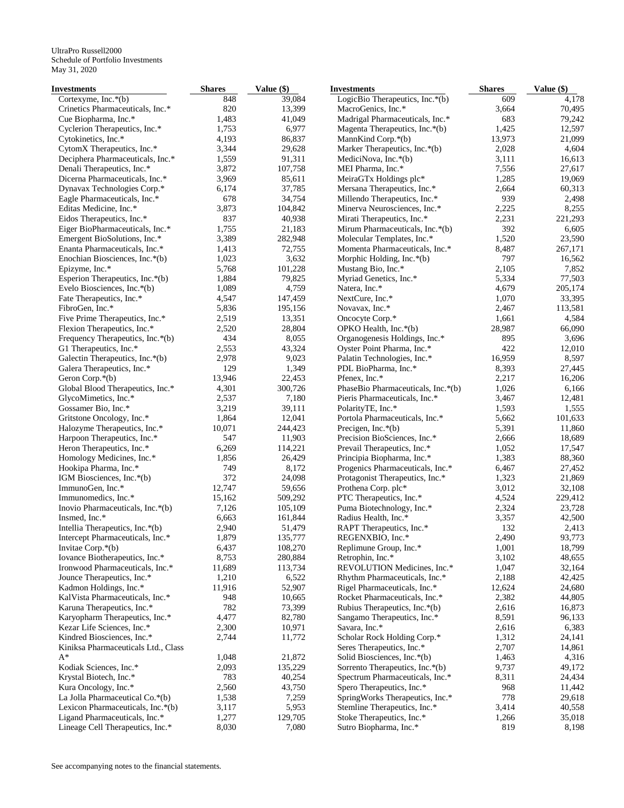| Investments                                                   | <b>Shares</b>  | Value (\$)        | <b>Investments</b>                       | <b>Shares</b>  | Value $(\$)$     |
|---------------------------------------------------------------|----------------|-------------------|------------------------------------------|----------------|------------------|
| Cortexyme, Inc. $*(b)$                                        | 848            | 39,084            | LogicBio Therapeutics, Inc.*(b)          | 609            | 4,178            |
| Crinetics Pharmaceuticals, Inc.*                              | 820            | 13,399            | MacroGenics, Inc.*                       | 3,664          | 70,495           |
| Cue Biopharma, Inc.*                                          | 1,483          | 41,049            | Madrigal Pharmaceuticals, Inc.*          | 683            | 79,242           |
| Cyclerion Therapeutics, Inc.*                                 | 1,753          | 6,977             | Magenta Therapeutics, Inc.*(b)           | 1,425          | 12,597           |
| Cytokinetics, Inc.*                                           | 4,193          | 86,837            | MannKind Corp.*(b)                       | 13,973         | 21,099           |
| CytomX Therapeutics, Inc.*                                    | 3,344          | 29,628            | Marker Therapeutics, Inc.*(b)            | 2,028          | 4,604            |
| Deciphera Pharmaceuticals, Inc.*                              | 1,559          | 91,311            | MediciNova, Inc.*(b)                     | 3,111          | 16,613           |
| Denali Therapeutics, Inc.*                                    | 3,872          | 107,758           | MEI Pharma, Inc.*                        | 7,556          | 27,617           |
| Dicerna Pharmaceuticals, Inc.*                                | 3,969          | 85,611            | MeiraGTx Holdings plc*                   | 1,285          | 19,069           |
| Dynavax Technologies Corp.*                                   | 6,174          | 37,785            | Mersana Therapeutics, Inc.*              | 2,664          | 60,313           |
| Eagle Pharmaceuticals, Inc.*                                  | 678            | 34,754            | Millendo Therapeutics, Inc.*             | 939            | 2,498            |
| Editas Medicine, Inc.*                                        | 3,873          | 104,842           | Minerva Neurosciences, Inc.*             | 2,225          | 8,255            |
| Eidos Therapeutics, Inc.*                                     | 837            | 40,938            | Mirati Therapeutics, Inc.*               | 2,231          | 221,293          |
| Eiger BioPharmaceuticals, Inc.*                               | 1,755          | 21,183            | Mirum Pharmaceuticals, Inc.*(b)          | 392            | 6,605            |
| Emergent BioSolutions, Inc.*                                  | 3,389          | 282,948           | Molecular Templates, Inc.*               | 1,520          | 23,590           |
| Enanta Pharmaceuticals, Inc.*                                 | 1,413          | 72,755            | Momenta Pharmaceuticals, Inc.*           | 8,487          | 267,171          |
| Enochian Biosciences, Inc.*(b)                                | 1,023          | 3,632             | Morphic Holding, Inc.*(b)                | 797            | 16,562           |
| Epizyme, Inc.*                                                | 5,768          | 101,228           | Mustang Bio, Inc.*                       | 2,105          | 7,852            |
| Esperion Therapeutics, Inc.*(b)                               | 1,884          | 79,825            | Myriad Genetics, Inc.*                   | 5,334          | 77,503           |
| Evelo Biosciences, Inc.*(b)                                   | 1,089          | 4,759             | Natera, Inc.*                            | 4,679          | 205,174          |
| Fate Therapeutics, Inc.*                                      | 4,547          | 147,459           | NextCure, Inc.*                          | 1,070          | 33,395           |
| FibroGen, Inc.*                                               | 5,836<br>2,519 | 195,156<br>13,351 | Novavax, Inc.*                           | 2,467<br>1,661 | 113,581<br>4,584 |
| Five Prime Therapeutics, Inc.*<br>Flexion Therapeutics, Inc.* | 2,520          | 28,804            | Oncocyte Corp.*<br>OPKO Health, Inc.*(b) | 28,987         | 66,090           |
| Frequency Therapeutics, Inc.*(b)                              | 434            | 8,055             | Organogenesis Holdings, Inc.*            | 895            | 3,696            |
| G1 Therapeutics, Inc.*                                        | 2,553          | 43,324            | Oyster Point Pharma, Inc.*               | 422            | 12,010           |
| Galectin Therapeutics, Inc.*(b)                               | 2,978          | 9,023             | Palatin Technologies, Inc.*              | 16,959         | 8,597            |
| Galera Therapeutics, Inc.*                                    | 129            | 1,349             | PDL BioPharma, Inc.*                     | 8,393          | 27,445           |
| Geron Corp.*(b)                                               | 13,946         | 22,453            | Pfenex, Inc.*                            | 2,217          | 16,206           |
| Global Blood Therapeutics, Inc.*                              | 4,301          | 300,726           | PhaseBio Pharmaceuticals, Inc.*(b)       | 1,026          | 6,166            |
| GlycoMimetics, Inc.*                                          | 2,537          | 7,180             | Pieris Pharmaceuticals, Inc.*            | 3,467          | 12,481           |
| Gossamer Bio, Inc.*                                           | 3,219          | 39,111            | PolarityTE, Inc.*                        | 1,593          | 1,555            |
| Gritstone Oncology, Inc.*                                     | 1,864          | 12,041            | Portola Pharmaceuticals, Inc.*           | 5,662          | 101,633          |
| Halozyme Therapeutics, Inc.*                                  | 10,071         | 244,423           | Precigen, Inc. $*(b)$                    | 5,391          | 11,860           |
| Harpoon Therapeutics, Inc.*                                   | 547            | 11,903            | Precision BioSciences, Inc.*             | 2,666          | 18,689           |
| Heron Therapeutics, Inc.*                                     | 6,269          | 114,221           | Prevail Therapeutics, Inc.*              | 1,052          | 17,547           |
| Homology Medicines, Inc.*                                     | 1,856          | 26,429            | Principia Biopharma, Inc.*               | 1,383          | 88,360           |
| Hookipa Pharma, Inc.*                                         | 749            | 8,172             | Progenics Pharmaceuticals, Inc.*         | 6,467          | 27,452           |
| IGM Biosciences, Inc.*(b)                                     | 372            | 24,098            | Protagonist Therapeutics, Inc.*          | 1,323          | 21,869           |
| ImmunoGen, Inc.*                                              | 12,747         | 59,656            | Prothena Corp. plc*                      | 3,012          | 32,108           |
| Immunomedics, Inc.*                                           | 15,162         | 509,292           | PTC Therapeutics, Inc.*                  | 4,524          | 229,412          |
| Inovio Pharmaceuticals, Inc.*(b)                              | 7,126          | 105,109           | Puma Biotechnology, Inc.*                | 2,324          | 23,728           |
| Insmed, Inc.*                                                 | 6,663          | 161,844           | Radius Health, Inc.*                     | 3,357          | 42,500           |
| Intellia Therapeutics, Inc.*(b)                               | 2,940          | 51,479            | RAPT Therapeutics, Inc.*                 | 132            | 2,413            |
| Intercept Pharmaceuticals, Inc.*                              | 1,879          | 135,777           | REGENXBIO, Inc.*                         | 2,490          | 93,773           |
| Invitae Corp.*(b)                                             | 6,437          | 108,270           | Replimune Group, Inc.*                   | 1,001          | 18,799           |
| Iovance Biotherapeutics, Inc.*                                | 8,753          | 280,884           | Retrophin, Inc.*                         | 3,102          | 48,655           |
| Ironwood Pharmaceuticals, Inc.*                               | 11,689         | 113,734           | REVOLUTION Medicines, Inc.*              | 1,047          | 32,164           |
| Jounce Therapeutics, Inc.*                                    | 1,210          | 6,522             | Rhythm Pharmaceuticals, Inc.*            | 2,188          | 42,425           |
| Kadmon Holdings, Inc.*                                        | 11,916         | 52,907            | Rigel Pharmaceuticals, Inc.*             | 12,624         | 24,680           |
| KalVista Pharmaceuticals, Inc.*                               | 948            | 10,665            | Rocket Pharmaceuticals, Inc.*            | 2,382          | 44,805           |
| Karuna Therapeutics, Inc.*                                    | 782            | 73,399            | Rubius Therapeutics, Inc.*(b)            | 2,616          | 16,873           |
| Karyopharm Therapeutics, Inc.*                                | 4,477          | 82,780            | Sangamo Therapeutics, Inc.*              | 8,591          | 96,133           |
| Kezar Life Sciences, Inc.*                                    | 2,300          | 10,971            | Savara, Inc.*                            | 2,616          | 6,383            |
| Kindred Biosciences, Inc.*                                    | 2,744          | 11,772            | Scholar Rock Holding Corp.*              | 1,312          | 24,141           |
| Kiniksa Pharmaceuticals Ltd., Class                           |                |                   | Seres Therapeutics, Inc.*                | 2,707          | 14,861           |
| $A^*$                                                         | 1,048          | 21,872            | Solid Biosciences, Inc.*(b)              | 1,463          | 4,316            |
| Kodiak Sciences, Inc.*                                        | 2,093          | 135,229           | Sorrento Therapeutics, Inc.*(b)          | 9,737          | 49,172           |
| Krystal Biotech, Inc.*                                        | 783            | 40,254            | Spectrum Pharmaceuticals, Inc.*          | 8,311          | 24,434           |
| Kura Oncology, Inc.*                                          | 2,560          | 43,750            | Spero Therapeutics, Inc.*                | 968            | 11,442           |
| La Jolla Pharmaceutical Co.*(b)                               | 1,538          | 7,259             | SpringWorks Therapeutics, Inc.*          | 778            | 29,618           |
| Lexicon Pharmaceuticals, Inc.*(b)                             | 3,117          | 5,953             | Stemline Therapeutics, Inc.*             | 3,414          | 40,558           |
| Ligand Pharmaceuticals, Inc.*                                 | 1,277          | 129,705           | Stoke Therapeutics, Inc.*                | 1,266          | 35,018           |
| Lineage Cell Therapeutics, Inc.*                              | 8,030          | 7,080             | Sutro Biopharma, Inc.*                   | 819            | 8,198            |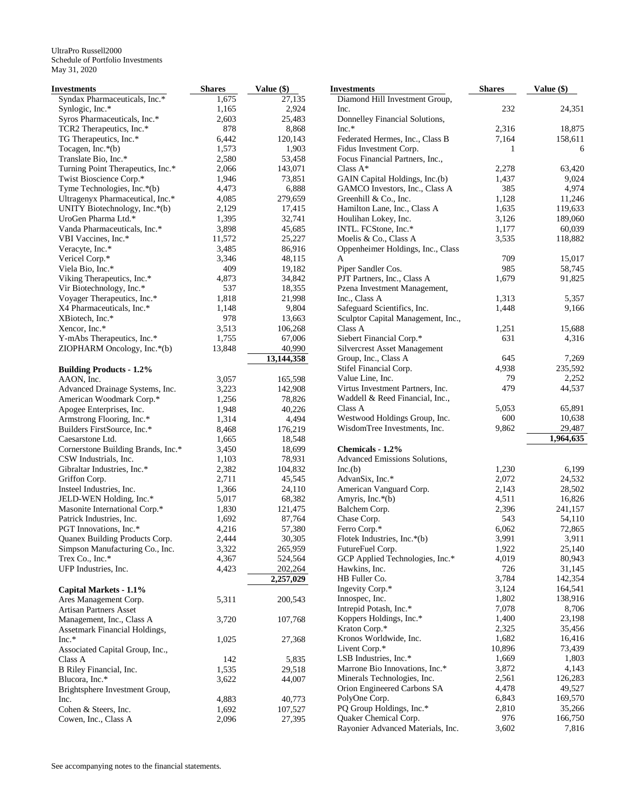| Investments                                 | <b>Shares</b> | Value (\$)   | <b>Investments</b>                  | <b>Shares</b> | Value (\$) |
|---------------------------------------------|---------------|--------------|-------------------------------------|---------------|------------|
| Syndax Pharmaceuticals, Inc.*               | 1,675         | 27,135       | Diamond Hill Investment Group,      |               |            |
| Synlogic, Inc.*                             | 1,165         | 2,924        | Inc.                                | 232           | 24,351     |
| Syros Pharmaceuticals, Inc.*                | 2,603         | 25,483       | Donnelley Financial Solutions,      |               |            |
| TCR2 Therapeutics, Inc.*                    | 878           | 8,868        | $Inc.*$                             | 2,316         | 18,875     |
| TG Therapeutics, Inc.*                      | 6,442         | 120,143      | Federated Hermes, Inc., Class B     | 7,164         | 158,611    |
| Tocagen, Inc.*(b)                           | 1,573         | 1,903        | Fidus Investment Corp.              | 1             | 6          |
| Translate Bio, Inc.*                        | 2,580         | 53,458       | Focus Financial Partners, Inc.,     |               |            |
| Turning Point Therapeutics, Inc.*           | 2,066         | 143,071      | Class $A^*$                         | 2,278         | 63,420     |
| Twist Bioscience Corp.*                     | 1,946         | 73,851       | GAIN Capital Holdings, Inc.(b)      | 1,437         | 9,024      |
| Tyme Technologies, Inc.*(b)                 | 4,473         | 6,888        | GAMCO Investors, Inc., Class A      | 385           | 4,974      |
| Ultragenyx Pharmaceutical, Inc.*            | 4,085         | 279,659      | Greenhill & Co., Inc.               | 1,128         | 11,246     |
| UNITY Biotechnology, Inc.*(b)               | 2,129         | 17,415       | Hamilton Lane, Inc., Class A        | 1,635         | 119,633    |
| UroGen Pharma Ltd.*                         | 1,395         | 32,741       | Houlihan Lokey, Inc.                | 3,126         | 189,060    |
| Vanda Pharmaceuticals, Inc.*                | 3,898         | 45,685       | INTL. FCStone, Inc.*                | 1,177         | 60,039     |
| VBI Vaccines, Inc.*                         | 11,572        | 25,227       | Moelis & Co., Class A               | 3,535         | 118,882    |
| Veracyte, Inc.*                             | 3,485         | 86,916       | Oppenheimer Holdings, Inc., Class   |               |            |
| Vericel Corp.*                              | 3,346         | 48,115       | A                                   | 709           | 15,017     |
| Viela Bio, Inc.*                            | 409           | 19,182       | Piper Sandler Cos.                  | 985           | 58,745     |
| Viking Therapeutics, Inc.*                  | 4,873         | 34,842       | PJT Partners, Inc., Class A         | 1,679         | 91,825     |
| Vir Biotechnology, Inc.*                    | 537           | 18,355       | Pzena Investment Management,        |               |            |
| Voyager Therapeutics, Inc.*                 | 1,818         | 21,998       | Inc., Class A                       | 1,313         | 5,357      |
| X4 Pharmaceuticals, Inc.*                   | 1,148         | 9,804        | Safeguard Scientifics, Inc.         | 1,448         | 9,166      |
| XBiotech, Inc.*                             | 978           | 13,663       | Sculptor Capital Management, Inc.,  |               |            |
|                                             | 3,513         | 106,268      | Class A                             |               | 15,688     |
| Xencor, Inc.*<br>Y-mAbs Therapeutics, Inc.* | 1,755         | 67,006       |                                     | 1,251<br>631  | 4,316      |
|                                             |               |              | Siebert Financial Corp.*            |               |            |
| ZIOPHARM Oncology, Inc.*(b)                 | 13,848        | 40,990       | <b>Silvercrest Asset Management</b> |               |            |
|                                             |               | 13, 144, 358 | Group, Inc., Class A                | 645           | 7,269      |
| <b>Building Products - 1.2%</b>             |               |              | Stifel Financial Corp.              | 4,938         | 235,592    |
| AAON, Inc.                                  | 3,057         | 165,598      | Value Line, Inc.                    | 79            | 2,252      |
| Advanced Drainage Systems, Inc.             | 3,223         | 142,908      | Virtus Investment Partners, Inc.    | 479           | 44,537     |
| American Woodmark Corp.*                    | 1,256         | 78,826       | Waddell & Reed Financial, Inc.,     |               |            |
| Apogee Enterprises, Inc.                    | 1,948         | 40,226       | Class A                             | 5,053         | 65,891     |
| Armstrong Flooring, Inc.*                   | 1,314         | 4,494        | Westwood Holdings Group, Inc.       | 600           | 10,638     |
| Builders FirstSource, Inc.*                 | 8,468         | 176,219      | WisdomTree Investments, Inc.        | 9,862         | 29,487     |
| Caesarstone Ltd.                            | 1,665         | 18,548       |                                     |               | 1,964,635  |
| Cornerstone Building Brands, Inc.*          | 3,450         | 18,699       | Chemicals - 1.2%                    |               |            |
| CSW Industrials, Inc.                       | 1,103         | 78,931       | Advanced Emissions Solutions,       |               |            |
| Gibraltar Industries, Inc.*                 | 2,382         | 104,832      | Inc.(b)                             | 1,230         | 6,199      |
| Griffon Corp.                               | 2,711         | 45,545       | AdvanSix, Inc.*                     | 2,072         | 24,532     |
| Insteel Industries, Inc.                    | 1,366         | 24,110       | American Vanguard Corp.             | 2,143         | 28,502     |
| JELD-WEN Holding, Inc.*                     | 5,017         | 68,382       | Amyris, Inc.*(b)                    | 4,511         | 16,826     |
| Masonite International Corp.*               | 1,830         | 121,475      | Balchem Corp.                       | 2,396         | 241,157    |
| Patrick Industries, Inc.                    | 1,692         | 87,764       | Chase Corp.                         | 543           | 54,110     |
| PGT Innovations, Inc.*                      | 4,216         | 57,380       | Ferro Corp.*                        | 6,062         | 72,865     |
| Quanex Building Products Corp.              | 2,444         | 30,305       | Flotek Industries, Inc.*(b)         | 3,991         | 3,911      |
| Simpson Manufacturing Co., Inc.             | 3,322         | 265,959      | FutureFuel Corp.                    | 1,922         | 25,140     |
| Trex Co., Inc.*                             | 4,367         | 524,564      | GCP Applied Technologies, Inc.*     | 4,019         | 80,943     |
| UFP Industries, Inc.                        | 4,423         | 202,264      | Hawkins, Inc.                       | 726           | 31,145     |
|                                             |               | 2,257,029    | HB Fuller Co.                       | 3,784         | 142,354    |
| Capital Markets - 1.1%                      |               |              | Ingevity Corp.*                     | 3,124         | 164,541    |
| Ares Management Corp.                       | 5,311         | 200,543      | Innospec, Inc.                      | 1,802         | 138,916    |
| Artisan Partners Asset                      |               |              | Intrepid Potash, Inc.*              | 7,078         | 8,706      |
| Management, Inc., Class A                   | 3,720         | 107,768      | Koppers Holdings, Inc.*             | 1,400         | 23,198     |
| Assetmark Financial Holdings,               |               |              | Kraton Corp.*                       | 2,325         | 35,456     |
| $Inc.*$                                     | 1,025         | 27,368       | Kronos Worldwide, Inc.              | 1,682         | 16,416     |
| Associated Capital Group, Inc.,             |               |              | Livent Corp.*                       | 10,896        | 73,439     |
| Class A                                     | 142           | 5,835        | LSB Industries, Inc.*               | 1,669         | 1,803      |
| B Riley Financial, Inc.                     | 1,535         | 29,518       | Marrone Bio Innovations, Inc.*      | 3,872         | 4,143      |
| Blucora, Inc.*                              | 3,622         | 44,007       | Minerals Technologies, Inc.         | 2,561         | 126,283    |
| Brightsphere Investment Group,              |               |              | Orion Engineered Carbons SA         | 4,478         | 49,527     |
| Inc.                                        | 4,883         | 40,773       | PolyOne Corp.                       | 6,843         | 169,570    |
| Cohen & Steers, Inc.                        | 1,692         | 107,527      | PQ Group Holdings, Inc.*            | 2,810         | 35,266     |
| Cowen, Inc., Class A                        | 2,096         | 27,395       | Quaker Chemical Corp.               | 976           | 166,750    |
|                                             |               |              | Rayonier Advanced Materials, Inc.   | 3,602         | 7,816      |
|                                             |               |              |                                     |               |            |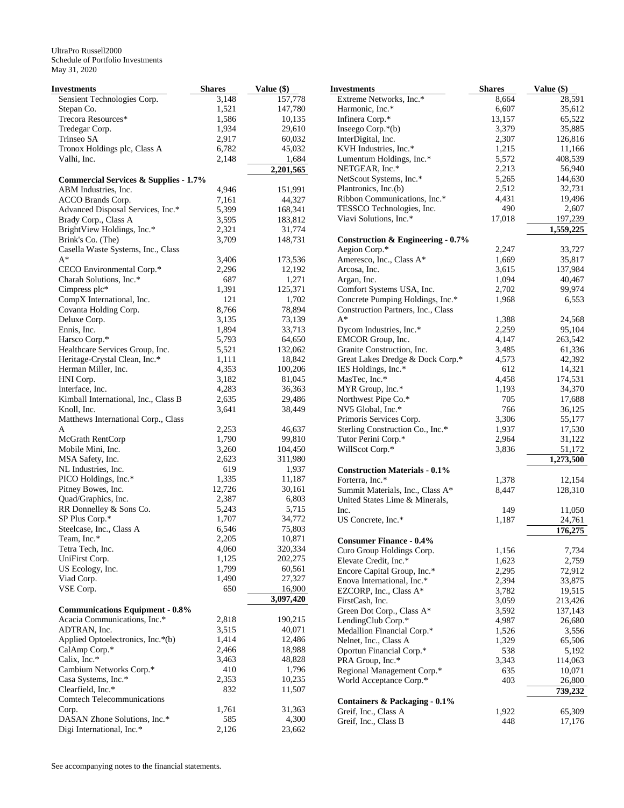| <b>Investments</b>                               | <b>Shares</b> | Value (\$)        | <b>Investments</b>                       | <b>Shares</b> | Value (\$) |
|--------------------------------------------------|---------------|-------------------|------------------------------------------|---------------|------------|
| Sensient Technologies Corp.                      | 3,148         | 157,778           | Extreme Networks, Inc.*                  | 8,664         | 28,591     |
| Stepan Co.                                       | 1,521         | 147,780           | Harmonic, Inc.*                          | 6,607         | 35,612     |
| Trecora Resources*                               | 1,586         | 10,135            | Infinera Corp.*                          | 13,157        | 65,522     |
| Tredegar Corp.                                   | 1,934         | 29,610            | Inseego Corp.*(b)                        | 3,379         | 35,885     |
| Trinseo SA                                       | 2,917         | 60,032            | InterDigital, Inc.                       | 2,307         | 126,816    |
| Tronox Holdings plc, Class A                     | 6,782         | 45,032            | KVH Industries, Inc.*                    | 1,215         | 11,166     |
| Valhi, Inc.                                      | 2,148         | 1,684             | Lumentum Holdings, Inc.*                 | 5,572         | 408,539    |
|                                                  |               | 2,201,565         | NETGEAR, Inc.*                           | 2,213         | 56,940     |
| <b>Commercial Services &amp; Supplies - 1.7%</b> |               |                   | NetScout Systems, Inc.*                  | 5,265         | 144,630    |
| ABM Industries, Inc.                             | 4,946         | 151,991           | Plantronics, Inc.(b)                     | 2,512         | 32,731     |
| ACCO Brands Corp.                                | 7,161         | 44,327            | Ribbon Communications, Inc.*             | 4,431         | 19,496     |
| Advanced Disposal Services, Inc.*                | 5,399         | 168,341           | TESSCO Technologies, Inc.                | 490           | 2,607      |
| Brady Corp., Class A                             | 3,595         | 183,812           | Viavi Solutions, Inc.*                   | 17,018        | 197,239    |
| BrightView Holdings, Inc.*                       | 2,321         | 31,774            |                                          |               | 1,559,225  |
| Brink's Co. (The)                                | 3,709         | 148,731           | Construction & Engineering - 0.7%        |               |            |
| Casella Waste Systems, Inc., Class               |               |                   | Aegion Corp.*                            | 2,247         | 33,727     |
| $A^*$                                            | 3,406         | 173,536           | Ameresco, Inc., Class A*                 | 1,669         | 35,817     |
| CECO Environmental Corp.*                        | 2,296         | 12,192            | Arcosa, Inc.                             | 3,615         | 137,984    |
| Charah Solutions, Inc.*                          | 687           | 1,271             | Argan, Inc.                              | 1,094         | 40,467     |
| Cimpress plc*                                    | 1,391         | 125,371           | Comfort Systems USA, Inc.                | 2,702         | 99,974     |
| CompX International, Inc.                        | 121           | 1,702             | Concrete Pumping Holdings, Inc.*         | 1,968         | 6,553      |
| Covanta Holding Corp.                            | 8,766         | 78,894            | Construction Partners, Inc., Class       |               |            |
| Deluxe Corp.                                     | 3,135         | 73,139            | $A^*$                                    | 1,388         | 24,568     |
| Ennis, Inc.                                      | 1,894         | 33,713            | Dycom Industries, Inc.*                  | 2,259         | 95,104     |
| Harsco Corp.*                                    | 5,793         | 64,650            | EMCOR Group, Inc.                        | 4,147         | 263,542    |
| Healthcare Services Group, Inc.                  | 5,521         | 132,062           | Granite Construction, Inc.               | 3,485         | 61,336     |
| Heritage-Crystal Clean, Inc.*                    | 1,111         | 18,842            | Great Lakes Dredge & Dock Corp.*         | 4,573         | 42,392     |
| Herman Miller, Inc.                              | 4,353         | 100,206           | IES Holdings, Inc.*                      | 612           | 14,321     |
| HNI Corp.                                        | 3,182         | 81,045            | MasTec, Inc.*                            | 4,458         | 174,531    |
| Interface, Inc.                                  | 4,283         | 36,363            | MYR Group, Inc.*                         | 1,193         | 34,370     |
| Kimball International, Inc., Class B             | 2,635         | 29,486            | Northwest Pipe Co.*                      | 705           | 17,688     |
| Knoll, Inc.                                      | 3,641         | 38,449            | NV5 Global, Inc.*                        | 766           | 36,125     |
| Matthews International Corp., Class              |               |                   | Primoris Services Corp.                  | 3,306         | 55,177     |
| A                                                | 2,253         | 46,637            | Sterling Construction Co., Inc.*         | 1,937         | 17,530     |
| McGrath RentCorp                                 | 1,790         | 99,810            | Tutor Perini Corp.*                      | 2,964         | 31,122     |
| Mobile Mini, Inc.                                | 3,260         | 104,450           | WillScot Corp.*                          | 3,836         | 51,172     |
|                                                  | 2,623         | 311,980           |                                          |               | 1,273,500  |
| MSA Safety, Inc.                                 | 619           | 1,937             |                                          |               |            |
| NL Industries, Inc.                              | 1,335         |                   | <b>Construction Materials - 0.1%</b>     |               |            |
| PICO Holdings, Inc.*                             | 12,726        | 11,187<br>30,161  | Forterra, Inc.*                          | 1,378         | 12,154     |
| Pitney Bowes, Inc.                               | 2,387         | 6,803             | Summit Materials, Inc., Class A*         | 8,447         | 128,310    |
| Quad/Graphics, Inc.                              | 5,243         | 5,715             | United States Lime & Minerals,           |               |            |
| RR Donnelley & Sons Co.<br>SP Plus Corp.*        | 1,707         | 34,772            | Inc.                                     | 149           | 11,050     |
|                                                  | 6,546         | 75,803            | US Concrete, Inc.*                       | 1,187         | 24,761     |
| Steelcase, Inc., Class A                         | 2,205         |                   |                                          |               | 176,275    |
| Team, Inc.*                                      | 4,060         | 10,871<br>320,334 | <b>Consumer Finance - 0.4%</b>           |               |            |
| Tetra Tech, Inc.                                 | 1,125         |                   | Curo Group Holdings Corp.                | 1,156         | 7,734      |
| UniFirst Corp.                                   | 1,799         | 202,275           | Elevate Credit, Inc.*                    | 1,623         | 2,759      |
| US Ecology, Inc.                                 | 1,490         | 60,561            | Encore Capital Group, Inc.*              | 2,295         | 72,912     |
| Viad Corp.                                       | 650           | 27,327            | Enova International, Inc.*               | 2,394         | 33,875     |
| VSE Corp.                                        |               | 16,900            | EZCORP, Inc., Class A*                   | 3,782         | 19,515     |
|                                                  |               | 3,097,420         | FirstCash, Inc.                          | 3,059         | 213,426    |
| <b>Communications Equipment - 0.8%</b>           |               |                   | Green Dot Corp., Class A*                | 3,592         | 137,143    |
| Acacia Communications, Inc.*                     | 2,818         | 190,215           | LendingClub Corp.*                       | 4,987         | 26,680     |
| ADTRAN, Inc.                                     | 3,515         | 40,071            | Medallion Financial Corp.*               | 1,526         | 3,556      |
| Applied Optoelectronics, Inc.*(b)                | 1,414         | 12,486            | Nelnet, Inc., Class A                    | 1,329         | 65,506     |
| CalAmp Corp.*                                    | 2,466         | 18,988            | Oportun Financial Corp.*                 | 538           | 5,192      |
| Calix, Inc.*                                     | 3,463         | 48,828            | PRA Group, Inc.*                         | 3,343         | 114,063    |
| Cambium Networks Corp.*                          | 410           | 1,796             | Regional Management Corp.*               | 635           | 10,071     |
| Casa Systems, Inc.*                              | 2,353         | 10,235            | World Acceptance Corp.*                  | 403           | 26,800     |
| Clearfield, Inc.*                                | 832           | 11,507            |                                          |               | 739,232    |
| Comtech Telecommunications                       |               |                   | <b>Containers &amp; Packaging - 0.1%</b> |               |            |
| Corp.                                            | 1,761         | 31,363            | Greif, Inc., Class A                     | 1,922         | 65,309     |
| DASAN Zhone Solutions, Inc.*                     | 585           | 4,300             | Greif, Inc., Class B                     | 448           | 17,176     |
| Digi International, Inc.*                        | 2,126         | 23,662            |                                          |               |            |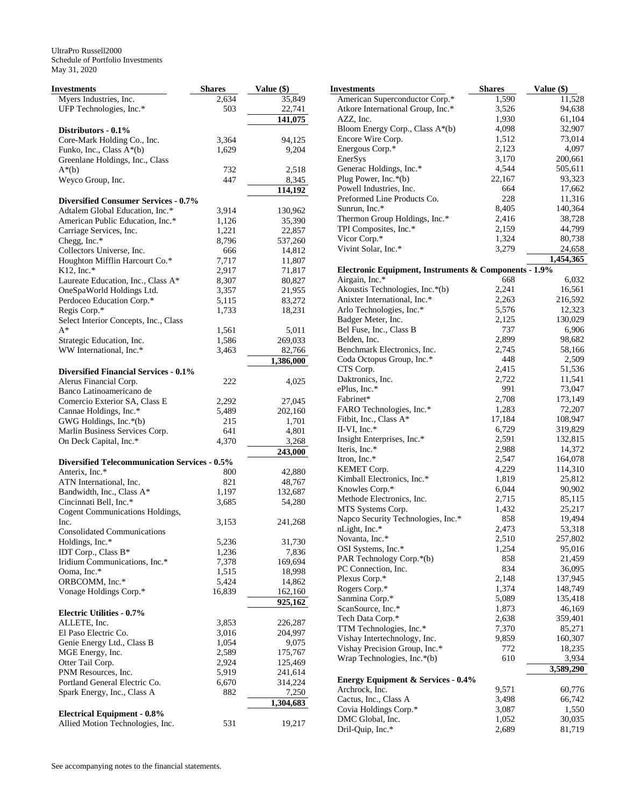| Investments                                                     | <b>Shares</b> | Value (\$) |
|-----------------------------------------------------------------|---------------|------------|
| Myers Industries, Inc.                                          | 2,634         | 35,849     |
| UFP Technologies, Inc.*                                         | 503           | 22,741     |
|                                                                 |               | 141,075    |
| Distributors - 0.1%                                             |               |            |
| Core-Mark Holding Co., Inc.                                     | 3,364         | 94,125     |
| Funko, Inc., Class A*(b)                                        | 1,629         | 9,204      |
| Greenlane Holdings, Inc., Class                                 |               |            |
| $A^*(b)$                                                        | 732           | 2,518      |
| Weyco Group, Inc.                                               | 447           | 8,345      |
|                                                                 |               | 114,192    |
| <b>Diversified Consumer Services - 0.7%</b>                     |               |            |
| Adtalem Global Education, Inc.*                                 | 3,914         | 130,962    |
| American Public Education, Inc.*                                | 1,126         | 35,390     |
| Carriage Services, Inc.                                         | 1,221         | 22,857     |
| Chegg, Inc.*                                                    | 8,796         | 537,260    |
| Collectors Universe, Inc.                                       | 666           | 14,812     |
| Houghton Mifflin Harcourt Co.*                                  | 7,717         | 11,807     |
| $K12$ , Inc.*                                                   | 2,917         | 71,817     |
| Laureate Education, Inc., Class A*<br>OneSpaWorld Holdings Ltd. | 8,307         | 80,827     |
|                                                                 | 3,357         | 21,955     |
| Perdoceo Education Corp.*                                       | 5,115         | 83,272     |
| Regis Corp.*<br>Select Interior Concepts, Inc., Class           | 1,733         | 18,231     |
| $A^*$                                                           | 1,561         | 5,011      |
| Strategic Education, Inc.                                       | 1,586         | 269,033    |
| WW International, Inc.*                                         | 3,463         | 82,766     |
|                                                                 |               | 1,386,000  |
| <b>Diversified Financial Services - 0.1%</b>                    |               |            |
| Alerus Financial Corp.                                          | 222           | 4,025      |
| Banco Latinoamericano de                                        |               |            |
| Comercio Exterior SA, Class E                                   | 2,292         | 27,045     |
| Cannae Holdings, Inc.*                                          | 5,489         | 202,160    |
| GWG Holdings, Inc.*(b)                                          | 215           | 1,701      |
| Marlin Business Services Corp.                                  | 641           | 4,801      |
| On Deck Capital, Inc.*                                          | 4,370         | 3,268      |
|                                                                 |               | 243,000    |
| <b>Diversified Telecommunication Services - 0.5%</b>            |               |            |
| Anterix, Inc.*                                                  | 800           | 42,880     |
| ATN International, Inc.                                         | 821           | 48,767     |
| Bandwidth, Inc., Class A*                                       | 1,197         | 132,687    |
| Cincinnati Bell, Inc.*                                          | 3,685         | 54,280     |
| Cogent Communications Holdings,                                 |               |            |
| Inc.                                                            | 3,153         | 241,268    |
| <b>Consolidated Communications</b>                              |               |            |
| Holdings, Inc.*                                                 | 5,236         | 31,730     |
| IDT Corp., Class B*                                             | 1,236         | 7,836      |
| Iridium Communications, Inc.*                                   | 7,378         | 169,694    |
| Ooma, Inc.*                                                     | 1,515         | 18,998     |
| ORBCOMM, Inc.*                                                  | 5,424         | 14,862     |
| Vonage Holdings Corp.*                                          | 16,839        | 162,160    |
|                                                                 |               | 925,162    |
| <b>Electric Utilities - 0.7%</b>                                |               |            |
| ALLETE, Inc.                                                    | 3,853         | 226,287    |
| El Paso Electric Co.                                            | 3,016         | 204,997    |
| Genie Energy Ltd., Class B                                      | 1,054         | 9,075      |
| MGE Energy, Inc.                                                | 2,589         | 175,767    |
| Otter Tail Corp.                                                | 2,924         | 125,469    |
| PNM Resources, Inc.                                             | 5,919         | 241,614    |
| Portland General Electric Co.                                   | 6,670         | 314,224    |
| Spark Energy, Inc., Class A                                     | 882           | 7,250      |
|                                                                 |               | 1,304,683  |
| <b>Electrical Equipment - 0.8%</b>                              |               |            |
| Allied Motion Technologies, Inc.                                | 531           | 19,217     |

| Investments                                           | Shares         | Value (\$)        |
|-------------------------------------------------------|----------------|-------------------|
| American Superconductor Corp.*                        | 1,590          | 11,528            |
| Atkore International Group, Inc.*                     | 3,526          | 94,638            |
| AZZ, Inc.                                             | 1,930          | 61,104            |
| Bloom Energy Corp., Class A*(b)                       | 4,098          | 32,907            |
| Encore Wire Corp.                                     | 1,512          | 73,014            |
| Energous Corp.*                                       | 2,123          | 4,097             |
| EnerSys                                               | 3,170          | 200,661           |
| Generac Holdings, Inc.*                               | 4,544          | 505,611           |
| Plug Power, Inc.*(b)                                  | 22,167         | 93,323            |
| Powell Industries, Inc.                               | 664            | 17,662            |
| Preformed Line Products Co.                           | 228            | 11,316            |
| Sunrun, Inc.*                                         | 8,405          | 140,364           |
| Thermon Group Holdings, Inc.*                         | 2,416          | 38,728            |
| TPI Composites, Inc.*                                 | 2,159          | 44,799            |
| Vicor Corp.*                                          | 1,324          | 80,738            |
| Vivint Solar, Inc.*                                   | 3,279          | 24,658            |
|                                                       |                | 1,454,365         |
| Electronic Equipment, Instruments & Components - 1.9% |                |                   |
| Airgain, Inc.*                                        | 668            | 6,032             |
| Akoustis Technologies, Inc.*(b)                       | 2,241          | 16,561            |
| Anixter International, Inc.*                          | 2,263          | 216,592           |
| Arlo Technologies, Inc.*                              | 5,576          | 12,323            |
| Badger Meter, Inc.                                    | 2,125          | 130,029           |
| Bel Fuse, Inc., Class B                               | 737            | 6,906             |
| Belden, Inc.                                          | 2,899          | 98,682            |
| Benchmark Electronics, Inc.                           | 2,745          | 58,166            |
| Coda Octopus Group, Inc.*                             | 448            | 2,509             |
| CTS Corp.                                             | 2,415          | 51,536            |
| Daktronics, Inc.                                      | 2,722          | 11,541            |
| ePlus, Inc.*                                          | 991            | 73,047            |
| Fabrinet*                                             | 2,708          | 173,149           |
| FARO Technologies, Inc.*                              | 1,283          | 72,207            |
| Fitbit, Inc., Class A*                                | 17,184         | 108,947           |
| II-VI, Inc. $*$                                       | 6,729          | 319,829           |
| Insight Enterprises, Inc.*                            | 2,591          | 132,815           |
| Iteris, Inc.*                                         | 2,988          | 14,372            |
| Itron, Inc.*                                          | 2,547          | 164,078           |
| KEMET Corp.                                           | 4,229          | 114,310           |
| Kimball Electronics, Inc.*                            | 1,819          | 25,812            |
| Knowles Corp.*                                        | 6,044          | 90,902            |
| Methode Electronics, Inc.                             | 2,715          | 85,115            |
| MTS Systems Corp.                                     | 1,432          | 25,217            |
| Napco Security Technologies, Inc.*                    | 858            | 19,494            |
| nLight, Inc.*<br>Novanta, Inc.*                       | 2,473<br>2,510 | 53,318<br>257,802 |
| OSI Systems, Inc.*                                    | 1,254          | 95,016            |
| PAR Technology Corp.*(b)                              | 858            | 21,459            |
| PC Connection, Inc.                                   | 834            | 36,095            |
| Plexus Corp.*                                         | 2,148          | 137,945           |
| Rogers Corp.*                                         | 1,374          | 148,749           |
| Sanmina Corp.*                                        | 5,089          | 135,418           |
| ScanSource, Inc.*                                     | 1,873          | 46,169            |
| Tech Data Corp.*                                      | 2,638          | 359,401           |
| TTM Technologies, Inc.*                               | 7,370          | 85,271            |
| Vishay Intertechnology, Inc.                          | 9,859          | 160,307           |
| Vishay Precision Group, Inc.*                         | 772            | 18,235            |
| Wrap Technologies, Inc.*(b)                           | 610            | 3,934             |
|                                                       |                | 3,589,290         |
| <b>Energy Equipment &amp; Services - 0.4%</b>         |                |                   |
| Archrock, Inc.                                        | 9,571          | 60,776            |
| Cactus, Inc., Class A                                 | 3,498          | 66,742            |
| Covia Holdings Corp.*                                 | 3,087          | 1,550             |
| DMC Global, Inc.                                      | 1,052          | 30,035            |
| Dril-Quip, Inc.*                                      | 2,689          | 81,719            |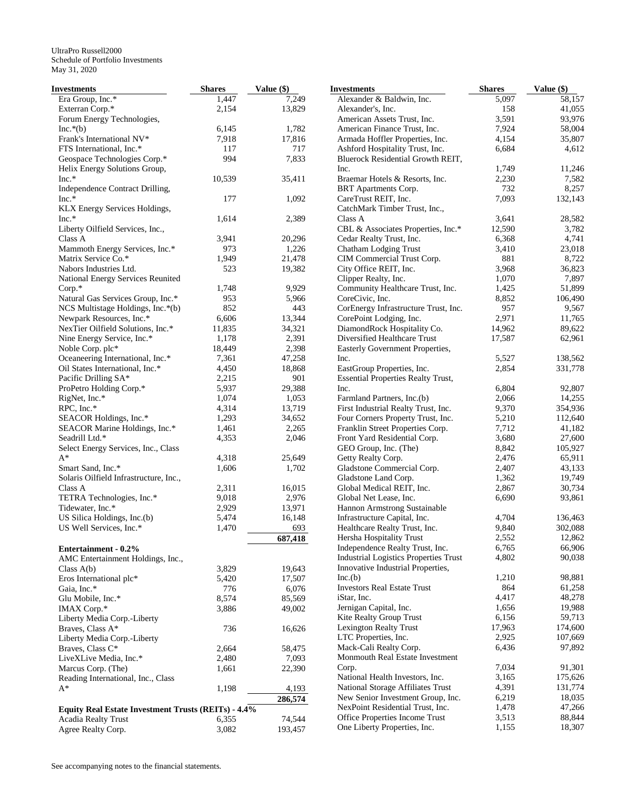| Investments                                                | <b>Shares</b> | Value (\$) | <b>Investments</b>                                | <b>Shares</b> | Value (\$) |
|------------------------------------------------------------|---------------|------------|---------------------------------------------------|---------------|------------|
| Era Group, Inc.*                                           | 1,447         | 7,249      | Alexander & Baldwin, Inc.                         | 5,097         | 58,157     |
| Exterran Corp.*                                            | 2,154         | 13,829     | Alexander's, Inc.                                 | 158           | 41,055     |
| Forum Energy Technologies,                                 |               |            | American Assets Trust, Inc.                       | 3,591         | 93,976     |
| $Inc.*(b)$                                                 | 6,145         | 1,782      | American Finance Trust, Inc.                      | 7,924         | 58,004     |
| Frank's International NV*                                  | 7,918         | 17,816     | Armada Hoffler Properties, Inc.                   | 4,154         | 35,807     |
| FTS International, Inc.*                                   | 117           | 717        | Ashford Hospitality Trust, Inc.                   | 6,684         | 4,612      |
| Geospace Technologies Corp.*                               | 994           | 7,833      | Bluerock Residential Growth REIT,                 |               |            |
| Helix Energy Solutions Group,                              |               |            | Inc.                                              | 1,749         | 11,246     |
| $Inc.*$                                                    | 10,539        | 35,411     | Braemar Hotels & Resorts, Inc.                    | 2,230         | 7,582      |
| Independence Contract Drilling,                            |               |            | BRT Apartments Corp.                              | 732           | 8,257      |
| Inc.*                                                      | 177           | 1,092      | CareTrust REIT, Inc.                              | 7,093         | 132,143    |
| KLX Energy Services Holdings,                              |               |            | CatchMark Timber Trust, Inc.,                     |               |            |
| $Inc.*$                                                    | 1,614         | 2,389      | Class A                                           | 3,641         | 28,582     |
| Liberty Oilfield Services, Inc.,                           |               |            | CBL & Associates Properties, Inc.*                | 12,590        | 3,782      |
| Class A                                                    | 3,941         | 20,296     | Cedar Realty Trust, Inc.                          | 6,368         | 4,741      |
| Mammoth Energy Services, Inc.*                             | 973           | 1,226      |                                                   | 3,410         | 23,018     |
|                                                            |               |            | Chatham Lodging Trust                             |               |            |
| Matrix Service Co.*                                        | 1,949         | 21,478     | CIM Commercial Trust Corp.                        | 881           | 8,722      |
| Nabors Industries Ltd.                                     | 523           | 19,382     | City Office REIT, Inc.                            | 3,968         | 36,823     |
| National Energy Services Reunited                          |               |            | Clipper Realty, Inc.                              | 1,070         | 7,897      |
| $Corp.*$                                                   | 1,748         | 9,929      | Community Healthcare Trust, Inc.                  | 1,425         | 51,899     |
| Natural Gas Services Group, Inc.*                          | 953           | 5,966      | CoreCivic, Inc.                                   | 8,852         | 106,490    |
| NCS Multistage Holdings, Inc.*(b)                          | 852           | 443        | CorEnergy Infrastructure Trust, Inc.              | 957           | 9,567      |
| Newpark Resources, Inc.*                                   | 6,606         | 13,344     | CorePoint Lodging, Inc.                           | 2,971         | 11,765     |
| NexTier Oilfield Solutions, Inc.*                          | 11,835        | 34,321     | DiamondRock Hospitality Co.                       | 14,962        | 89,622     |
| Nine Energy Service, Inc.*                                 | 1,178         | 2,391      | Diversified Healthcare Trust                      | 17,587        | 62,961     |
| Noble Corp. plc*                                           | 18,449        | 2,398      | Easterly Government Properties,                   |               |            |
| Oceaneering International, Inc.*                           | 7,361         | 47,258     | Inc.                                              | 5,527         | 138,562    |
| Oil States International, Inc.*                            | 4,450         | 18,868     | EastGroup Properties, Inc.                        | 2,854         | 331,778    |
| Pacific Drilling SA*                                       | 2,215         | 901        | <b>Essential Properties Realty Trust,</b>         |               |            |
| ProPetro Holding Corp.*                                    | 5,937         | 29,388     | Inc.                                              | 6,804         | 92,807     |
| RigNet, Inc.*                                              | 1,074         | 1,053      | Farmland Partners, Inc.(b)                        | 2,066         | 14,255     |
| RPC, Inc.*                                                 | 4,314         | 13,719     | First Industrial Realty Trust, Inc.               | 9,370         | 354,936    |
| SEACOR Holdings, Inc.*                                     | 1,293         | 34,652     | Four Corners Property Trust, Inc.                 | 5,210         | 112,640    |
| SEACOR Marine Holdings, Inc.*                              | 1,461         | 2,265      | Franklin Street Properties Corp.                  | 7,712         | 41,182     |
| Seadrill Ltd.*                                             | 4,353         | 2,046      | Front Yard Residential Corp.                      | 3,680         | 27,600     |
| Select Energy Services, Inc., Class                        |               |            | GEO Group, Inc. (The)                             | 8,842         | 105,927    |
| $A^*$                                                      | 4,318         | 25,649     | Getty Realty Corp.                                | 2,476         | 65,911     |
| Smart Sand, Inc.*                                          | 1,606         | 1,702      | Gladstone Commercial Corp.                        | 2,407         | 43,133     |
| Solaris Oilfield Infrastructure, Inc.,                     |               |            |                                                   | 1,362         | 19,749     |
|                                                            |               |            | Gladstone Land Corp.<br>Global Medical REIT, Inc. |               |            |
| Class A                                                    | 2,311         | 16,015     |                                                   | 2,867         | 30,734     |
| TETRA Technologies, Inc.*                                  | 9,018         | 2,976      | Global Net Lease, Inc.                            | 6,690         | 93,861     |
| Tidewater, Inc.*                                           | 2,929         | 13,971     | Hannon Armstrong Sustainable                      |               |            |
| US Silica Holdings, Inc.(b)                                | 5,474         | 16,148     | Infrastructure Capital, Inc.                      | 4,704         | 136,463    |
| US Well Services, Inc.*                                    | 1,470         | 693        | Healthcare Realty Trust, Inc.                     | 9,840         | 302,088    |
|                                                            |               | 687,418    | Hersha Hospitality Trust                          | 2,552         | 12,862     |
| Entertainment - 0.2%                                       |               |            | Independence Realty Trust, Inc.                   | 6,765         | 66,906     |
| AMC Entertainment Holdings, Inc.,                          |               |            | <b>Industrial Logistics Properties Trust</b>      | 4,802         | 90,038     |
| Class $A(b)$                                               | 3,829         | 19,643     | Innovative Industrial Properties,                 |               |            |
| Eros International plc*                                    | 5,420         | 17,507     | Inc(b)                                            | 1,210         | 98,881     |
| Gaia, Inc.*                                                | 776           | 6,076      | <b>Investors Real Estate Trust</b>                | 864           | 61,258     |
| Glu Mobile, Inc.*                                          | 8,574         | 85,569     | iStar, Inc.                                       | 4,417         | 48,278     |
| IMAX Corp.*                                                | 3,886         | 49,002     | Jernigan Capital, Inc.                            | 1,656         | 19,988     |
| Liberty Media Corp.-Liberty                                |               |            | Kite Realty Group Trust                           | 6,156         | 59,713     |
| Braves, Class A*                                           | 736           | 16,626     | <b>Lexington Realty Trust</b>                     | 17,963        | 174,600    |
| Liberty Media Corp.-Liberty                                |               |            | LTC Properties, Inc.                              | 2,925         | 107,669    |
| Braves, Class C*                                           | 2,664         | 58,475     | Mack-Cali Realty Corp.                            | 6,436         | 97,892     |
| LiveXLive Media, Inc.*                                     | 2,480         | 7,093      | Monmouth Real Estate Investment                   |               |            |
| Marcus Corp. (The)                                         |               |            | Corp.                                             | 7,034         | 91,301     |
|                                                            | 1,661         | 22,390     | National Health Investors, Inc.                   | 3,165         | 175,626    |
| Reading International, Inc., Class                         |               |            | National Storage Affiliates Trust                 | 4,391         | 131,774    |
| A*                                                         | 1,198         | 4,193      |                                                   |               |            |
|                                                            |               | 286,574    | New Senior Investment Group, Inc.                 | 6,219         | 18,035     |
| <b>Equity Real Estate Investment Trusts (REITs) - 4.4%</b> |               |            | NexPoint Residential Trust, Inc.                  | 1,478         | 47,266     |
| Acadia Realty Trust                                        | 6,355         | 74,544     | Office Properties Income Trust                    | 3,513         | 88,844     |
| Agree Realty Corp.                                         | 3,082         | 193,457    | One Liberty Properties, Inc.                      | 1,155         | 18,307     |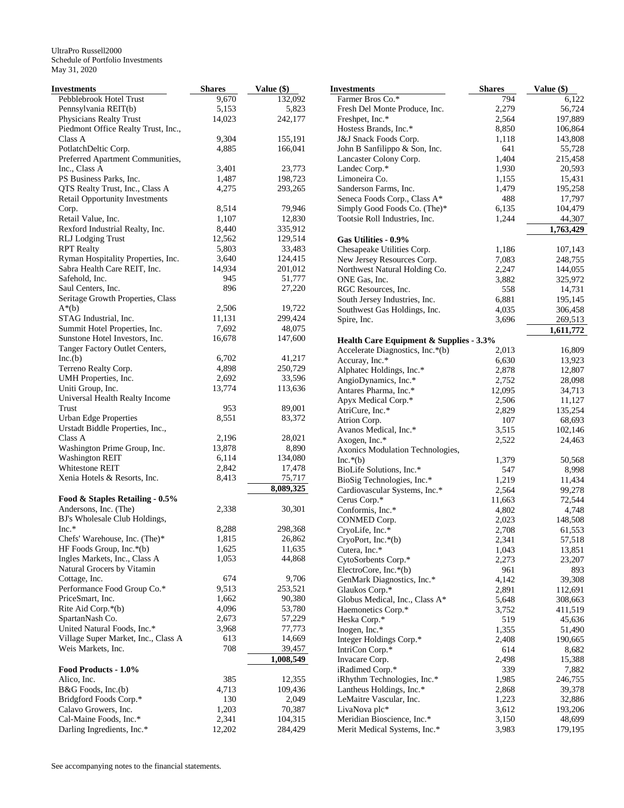| <b>Investments</b>                                       | <b>Shares</b> | Value (\$) | <b>Investments</b>                      | <b>Shares</b> | Value (\$) |
|----------------------------------------------------------|---------------|------------|-----------------------------------------|---------------|------------|
| Pebblebrook Hotel Trust                                  | 9,670         | 132,092    | Farmer Bros Co.*                        | 794           | 6,122      |
| Pennsylvania REIT(b)                                     | 5,153         | 5,823      | Fresh Del Monte Produce, Inc.           | 2,279         | 56,724     |
| Physicians Realty Trust                                  | 14,023        | 242,177    | Freshpet, Inc.*                         | 2,564         | 197,889    |
| Piedmont Office Realty Trust, Inc.,                      |               |            | Hostess Brands, Inc.*                   | 8,850         | 106,864    |
| Class A                                                  | 9,304         | 155,191    | J&J Snack Foods Corp.                   | 1,118         | 143,808    |
| PotlatchDeltic Corp.                                     | 4,885         | 166,041    | John B Sanfilippo & Son, Inc.           | 641           | 55,728     |
| Preferred Apartment Communities,                         |               |            | Lancaster Colony Corp.                  | 1,404         | 215,458    |
| Inc., Class A                                            | 3,401         | 23,773     | Landec Corp.*                           | 1,930         | 20,593     |
| PS Business Parks, Inc.                                  | 1,487         | 198,723    | Limoneira Co.                           | 1,155         | 15,431     |
| QTS Realty Trust, Inc., Class A                          | 4,275         | 293,265    | Sanderson Farms, Inc.                   | 1,479         | 195,258    |
| Retail Opportunity Investments                           |               |            | Seneca Foods Corp., Class A*            | 488           | 17,797     |
| Corp.                                                    | 8,514         | 79,946     | Simply Good Foods Co. (The)*            | 6,135         | 104,479    |
| Retail Value, Inc.                                       | 1,107         | 12,830     | Tootsie Roll Industries, Inc.           | 1,244         | 44,307     |
| Rexford Industrial Realty, Inc.                          | 8,440         | 335,912    |                                         |               | 1,763,429  |
| <b>RLJ</b> Lodging Trust                                 | 12,562        | 129,514    | Gas Utilities - 0.9%                    |               |            |
| <b>RPT</b> Realty                                        | 5,803         | 33,483     | Chesapeake Utilities Corp.              | 1,186         | 107,143    |
| Ryman Hospitality Properties, Inc.                       | 3,640         | 124,415    | New Jersey Resources Corp.              | 7,083         | 248,755    |
| Sabra Health Care REIT, Inc.                             | 14,934        | 201,012    | Northwest Natural Holding Co.           | 2,247         | 144,055    |
| Safehold, Inc.                                           | 945           | 51,777     | ONE Gas, Inc.                           | 3,882         | 325,972    |
| Saul Centers, Inc.                                       | 896           | 27,220     | RGC Resources, Inc.                     | 558           | 14,731     |
| Seritage Growth Properties, Class                        |               |            | South Jersey Industries, Inc.           | 6,881         | 195,145    |
| $A^*(b)$                                                 | 2,506         | 19,722     | Southwest Gas Holdings, Inc.            | 4,035         | 306,458    |
| STAG Industrial, Inc.                                    | 11,131        | 299,424    | Spire, Inc.                             | 3,696         | 269,513    |
| Summit Hotel Properties, Inc.                            | 7,692         | 48,075     |                                         |               | 1,611,772  |
| Sunstone Hotel Investors, Inc.                           | 16,678        | 147,600    | Health Care Equipment & Supplies - 3.3% |               |            |
| Tanger Factory Outlet Centers,                           |               |            | Accelerate Diagnostics, Inc.*(b)        | 2,013         | 16,809     |
| Inc.(b)                                                  | 6,702         | 41,217     | Accuray, Inc.*                          | 6,630         | 13,923     |
| Terreno Realty Corp.                                     | 4,898         | 250,729    | Alphatec Holdings, Inc.*                | 2,878         | 12,807     |
| UMH Properties, Inc.                                     | 2,692         | 33,596     | AngioDynamics, Inc.*                    | 2,752         | 28,098     |
| Uniti Group, Inc.                                        | 13,774        | 113,636    | Antares Pharma, Inc.*                   | 12,095        | 34,713     |
| Universal Health Realty Income                           |               |            |                                         |               |            |
| Trust                                                    | 953           | 89,001     | Apyx Medical Corp.*                     | 2,506         | 11,127     |
| <b>Urban Edge Properties</b>                             | 8,551         | 83,372     | AtriCure, Inc.*                         | 2,829         | 135,254    |
| Urstadt Biddle Properties, Inc.,                         |               |            | Atrion Corp.                            | 107           | 68,693     |
| Class A                                                  | 2,196         | 28,021     | Avanos Medical, Inc.*                   | 3,515         | 102,146    |
| Washington Prime Group, Inc.                             | 13,878        | 8,890      | Axogen, Inc.*                           | 2,522         | 24,463     |
| <b>Washington REIT</b>                                   | 6,114         | 134,080    | Axonics Modulation Technologies,        |               |            |
| Whitestone REIT                                          | 2,842         | 17,478     | $Inc.*(b)$                              | 1,379<br>547  | 50,568     |
| Xenia Hotels & Resorts, Inc.                             | 8,413         | 75,717     | BioLife Solutions, Inc.*                |               | 8,998      |
|                                                          |               | 8,089,325  | BioSig Technologies, Inc.*              | 1,219         | 11,434     |
|                                                          |               |            | Cardiovascular Systems, Inc.*           | 2,564         | 99,278     |
| Food & Staples Retailing - 0.5%<br>Andersons, Inc. (The) | 2,338         |            | Cerus Corp.*                            | 11,663        | 72,544     |
|                                                          |               | 30,301     | Conformis, Inc.*                        | 4,802         | 4,748      |
| BJ's Wholesale Club Holdings,<br>$Inc.*$                 | 8,288         | 298,368    | CONMED Corp.                            | 2,023         | 148,508    |
|                                                          | 1.815         | 26,862     | CryoLife, Inc.*                         | 2,708         | 61,553     |
| Chefs' Warehouse, Inc. (The) $*$                         | 1,625         | 11,635     | CryoPort, Inc.*(b)                      | 2,341         | 57,518     |
| HF Foods Group, Inc.*(b)                                 |               |            | Cutera, Inc.*                           | 1,043         | 13,851     |
| Ingles Markets, Inc., Class A                            | 1,053         | 44,868     | CytoSorbents Corp.*                     | 2,273         | 23,207     |
| Natural Grocers by Vitamin                               |               |            | ElectroCore, Inc.*(b)                   | 961           | 893        |
| Cottage, Inc.                                            | 674           | 9,706      | GenMark Diagnostics, Inc.*              | 4,142         | 39,308     |
| Performance Food Group Co.*                              | 9,513         | 253,521    | Glaukos Corp.*                          | 2,891         | 112,691    |
| PriceSmart, Inc.                                         | 1,662         | 90,380     | Globus Medical, Inc., Class A*          | 5,648         | 308,663    |
| Rite Aid Corp.*(b)                                       | 4,096         | 53,780     | Haemonetics Corp.*                      | 3,752         | 411,519    |
| SpartanNash Co.                                          | 2,673         | 57,229     | Heska Corp.*                            | 519           | 45,636     |
| United Natural Foods, Inc.*                              | 3,968         | 77,773     | Inogen, Inc.*                           | 1,355         | 51,490     |
| Village Super Market, Inc., Class A                      | 613           | 14,669     | Integer Holdings Corp.*                 | 2,408         | 190,665    |
| Weis Markets, Inc.                                       | 708           | 39,457     | IntriCon Corp.*                         | 614           | 8,682      |
|                                                          |               | 1,008,549  | Invacare Corp.                          | 2,498         | 15,388     |
| Food Products - 1.0%                                     |               |            | iRadimed Corp.*                         | 339           | 7,882      |
| Alico, Inc.                                              | 385           | 12,355     | iRhythm Technologies, Inc.*             | 1,985         | 246,755    |
| $B&G$ Foods, Inc.(b)                                     | 4,713         | 109,436    | Lantheus Holdings, Inc.*                | 2,868         | 39,378     |
| Bridgford Foods Corp.*                                   | 130           | 2,049      | LeMaitre Vascular, Inc.                 | 1,223         | 32,886     |
| Calavo Growers, Inc.                                     | 1,203         | 70,387     | LivaNova plc*                           | 3,612         | 193,206    |
| Cal-Maine Foods, Inc.*                                   | 2,341         | 104,315    | Meridian Bioscience, Inc.*              | 3,150         | 48,699     |
| Darling Ingredients, Inc.*                               | 12,202        | 284,429    | Merit Medical Systems, Inc.*            | 3,983         | 179,195    |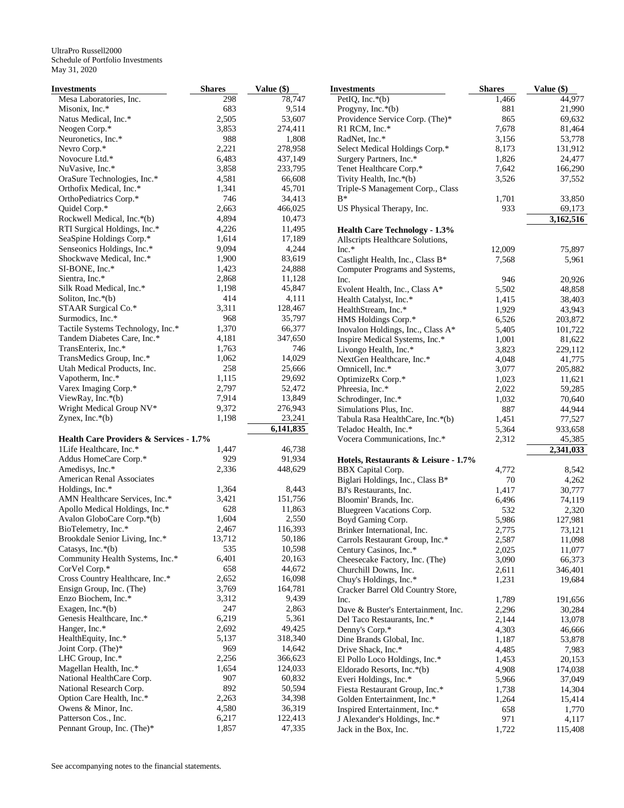| Investments                                                                   | <b>Shares</b>  | Value (\$)       |
|-------------------------------------------------------------------------------|----------------|------------------|
| Mesa Laboratories, Inc.                                                       | 298            | 78,747           |
| Misonix, Inc.*                                                                | 683            | 9,514            |
| Natus Medical, Inc.*                                                          | 2,505          | 53,607           |
| Neogen Corp.*                                                                 | 3,853          | 274,411          |
| Neuronetics, Inc.*                                                            | 988            | 1,808            |
| Nevro Corp.*                                                                  | 2,221          | 278,958          |
| Novocure Ltd.*                                                                | 6,483          | 437,149          |
| NuVasive, Inc.*                                                               | 3,858          | 233,795          |
| OraSure Technologies, Inc.*<br>Orthofix Medical, Inc.*                        | 4,581<br>1,341 | 66,608           |
| OrthoPediatrics Corp.*                                                        | 746            | 45,701<br>34,413 |
| Quidel Corp.*                                                                 | 2,663          | 466,025          |
| Rockwell Medical, Inc.*(b)                                                    | 4,894          | 10,473           |
| RTI Surgical Holdings, Inc.*                                                  | 4,226          | 11,495           |
| SeaSpine Holdings Corp.*                                                      | 1,614          | 17,189           |
| Senseonics Holdings, Inc.*                                                    | 9,094          | 4,244            |
| Shockwave Medical, Inc.*                                                      | 1,900          | 83,619           |
| SI-BONE, Inc.*                                                                | 1,423          | 24,888           |
| Sientra, Inc.*                                                                | 2,868          | 11,128           |
| Silk Road Medical, Inc.*                                                      | 1,198          | 45,847           |
| Soliton, Inc. $*(b)$                                                          | 414            | 4,111            |
| STAAR Surgical Co.*                                                           | 3,311          | 128,467          |
| Surmodics, Inc.*                                                              | 968            | 35,797           |
| Tactile Systems Technology, Inc.*                                             | 1,370          | 66,377           |
| Tandem Diabetes Care, Inc.*                                                   | 4,181          | 347,650          |
| TransEnterix, Inc.*                                                           | 1,763          | 746              |
| TransMedics Group, Inc.*                                                      | 1,062          | 14,029           |
| Utah Medical Products, Inc.                                                   | 258            | 25,666           |
| Vapotherm, Inc.*                                                              | 1,115          | 29,692           |
| Varex Imaging Corp.*                                                          | 2,797          | 52,472           |
| ViewRay, Inc. $*(b)$                                                          | 7,914          | 13,849           |
| Wright Medical Group NV*                                                      | 9,372          | 276,943          |
| Zynex, Inc. $*(b)$                                                            | 1,198          | 23,241           |
|                                                                               |                | 6,141,835        |
| <b>Health Care Providers &amp; Services - 1.7%</b><br>1Life Healthcare, Inc.* | 1,447          | 46,738           |
|                                                                               | 929            | 91,934           |
| Addus HomeCare Corp.*<br>Amedisys, Inc.*                                      | 2,336          | 448,629          |
| American Renal Associates                                                     |                |                  |
| Holdings, Inc.*                                                               | 1,364          | 8,443            |
| AMN Healthcare Services, Inc.*                                                | 3,421          | 151,756          |
| Apollo Medical Holdings, Inc.*                                                | 628            | 11,863           |
| Avalon GloboCare Corp.*(b)                                                    | 1,604          | 2,550            |
| BioTelemetry, Inc.*                                                           | 2,467          | 116,393          |
| Brookdale Senior Living, Inc.*                                                | 13,712         | 50,186           |
| Catasys, Inc. $*(b)$                                                          | 535            | 10,598           |
| Community Health Systems, Inc.*                                               | 6,401          | 20,163           |
| CorVel Corp.*                                                                 | 658            | 44,672           |
| Cross Country Healthcare, Inc.*                                               | 2,652          | 16,098           |
| Ensign Group, Inc. (The)                                                      | 3,769          | 164,781          |
| Enzo Biochem, Inc.*                                                           | 3,312          | 9,439            |
| Exagen, Inc. $*(b)$                                                           | 247            | 2,863            |
| Genesis Healthcare, Inc.*                                                     | 6,219          | 5,361            |
| Hanger, Inc.*                                                                 | 2,692          | 49,425           |
| HealthEquity, Inc.*                                                           | 5,137          | 318,340          |
| Joint Corp. (The)*                                                            | 969            | 14,642           |
| LHC Group, Inc.*                                                              | 2,256          | 366,623          |
| Magellan Health, Inc.*                                                        | 1,654          | 124,033          |
| National HealthCare Corp.                                                     | 907            | 60,832           |
| National Research Corp.                                                       | 892<br>2,263   | 50,594<br>34,398 |
| Option Care Health, Inc.*<br>Owens & Minor, Inc.                              | 4,580          | 36,319           |
| Patterson Cos., Inc.                                                          | 6,217          | 122,413          |
| Pennant Group, Inc. (The)*                                                    | 1,857          | 47,335           |
|                                                                               |                |                  |

| <b>Investments</b>                                         | Shares         | Value $(\$)$   |
|------------------------------------------------------------|----------------|----------------|
| PetIQ, Inc.*(b)                                            | 1,466          | 44,977         |
| Progyny, Inc. $*(b)$                                       | 881            | 21,990         |
| Providence Service Corp. (The)*                            | 865            | 69,632         |
| R1 RCM, Inc.*                                              | 7,678          | 81,464         |
| RadNet, Inc.*                                              | 3,156          | 53,778         |
| Select Medical Holdings Corp.*                             | 8,173          | 131,912        |
| Surgery Partners, Inc.*                                    | 1,826          | 24,477         |
| Tenet Healthcare Corp.*                                    | 7,642          | 166,290        |
| Tivity Health, Inc.*(b)                                    | 3,526          | 37,552         |
| Triple-S Management Corp., Class                           |                |                |
| $B^*$                                                      | 1,701          | 33,850         |
| US Physical Therapy, Inc.                                  | 933            | 69,173         |
| <b>Health Care Technology - 1.3%</b>                       |                | 3,162,516      |
|                                                            |                |                |
| Allscripts Healthcare Solutions,<br>$Inc.*$                |                |                |
|                                                            | 12,009         | 75,897         |
| Castlight Health, Inc., Class B*                           | 7,568          | 5,961          |
| Computer Programs and Systems,                             |                |                |
| Inc.                                                       | 946            | 20,926         |
| Evolent Health, Inc., Class A*                             | 5,502          | 48,858         |
| Health Catalyst, Inc.*                                     | 1,415          | 38,403         |
| HealthStream, Inc.*                                        | 1,929          | 43,943         |
| HMS Holdings Corp.*                                        | 6,526          | 203,872        |
| Inovalon Holdings, Inc., Class A*                          | 5,405          | 101,722        |
| Inspire Medical Systems, Inc.*                             | 1,001          | 81,622         |
| Livongo Health, Inc.*                                      | 3,823          | 229,112        |
| NextGen Healthcare, Inc.*                                  | 4,048          | 41,775         |
| Omnicell, Inc.*                                            | 3,077          | 205,882        |
| OptimizeRx Corp.*                                          | 1,023          | 11,621         |
| Phreesia, Inc.*                                            | 2,022          | 59,285         |
| Schrodinger, Inc.*                                         | 1,032          | 70,640         |
| Simulations Plus, Inc.                                     | 887            | 44,944         |
| Tabula Rasa HealthCare, Inc.*(b)                           | 1,451          | 77,527         |
| Teladoc Health, Inc.*                                      | 5,364          | 933,658        |
| Vocera Communications, Inc.*                               | 2,312          | 45,385         |
|                                                            |                | 2,341,033      |
| Hotels, Restaurants & Leisure - 1.7%                       |                |                |
| BBX Capital Corp.                                          | 4,772          | 8,542<br>4,262 |
| Biglari Holdings, Inc., Class B*<br>BJ's Restaurants, Inc. | 70             |                |
|                                                            | 1,417<br>6,496 | 30,777         |
| Bloomin' Brands, Inc.<br>Bluegreen Vacations Corp.         |                | 74,119         |
|                                                            | 532            | 2,320          |
| Boyd Gaming Corp.                                          | 5,986          | 127,981        |
| Brinker International, Inc.                                | 2,775          | 73,121         |
| Carrols Restaurant Group, Inc.*                            | 2,587          | 11,098         |
| Century Casinos, Inc.*                                     | 2,025          | 11,077         |
| Cheesecake Factory, Inc. (The)                             | 3,090          | 66,373         |
| Churchill Downs, Inc.                                      | 2,611          | 346,401        |
| Chuy's Holdings, Inc.*                                     | 1,231          | 19,684         |
| Cracker Barrel Old Country Store,                          |                |                |
| Inc.                                                       | 1,789          | 191,656        |
| Dave & Buster's Entertainment, Inc.                        | 2,296          | 30,284         |
| Del Taco Restaurants, Inc.*                                | 2,144          | 13,078         |
| Denny's Corp.*                                             | 4,303          | 46,666         |
| Dine Brands Global, Inc.                                   | 1,187          | 53,878         |
| Drive Shack, Inc.*                                         | 4,485          | 7,983          |
| El Pollo Loco Holdings, Inc.*                              | 1,453          | 20,153         |
| Eldorado Resorts, Inc.*(b)                                 | 4,908          | 174,038        |
| Everi Holdings, Inc.*                                      | 5,966          | 37,049         |
| Fiesta Restaurant Group, Inc.*                             | 1,738          | 14,304         |
| Golden Entertainment, Inc.*                                | 1,264          | 15,414         |
| Inspired Entertainment, Inc.*                              | 658            | 1,770          |
| J Alexander's Holdings, Inc.*                              | 971            | 4,117          |
| Jack in the Box, Inc.                                      | 1,722          | 115,408        |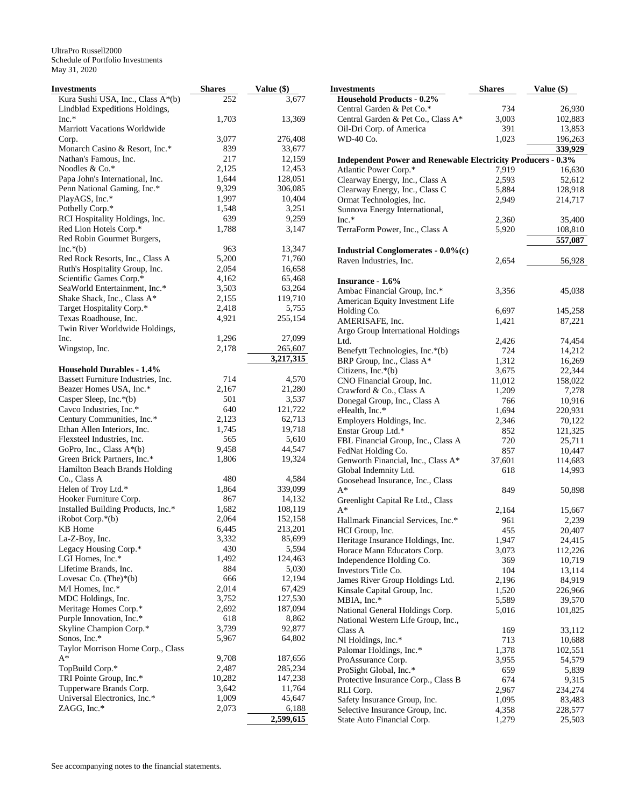| Investments                                                                      | <b>Shares</b> | Value (\$) | <b>Investments</b>                                                  | <b>Shares</b> | Value (\$) |
|----------------------------------------------------------------------------------|---------------|------------|---------------------------------------------------------------------|---------------|------------|
| Kura Sushi USA, Inc., Class A <sup>*</sup> (b)<br>Lindblad Expeditions Holdings, | 252           | 3,677      | <b>Household Products - 0.2%</b><br>Central Garden & Pet Co.*       | 734           | 26,930     |
| $Inc.*$                                                                          | 1,703         | 13,369     | Central Garden & Pet Co., Class A*                                  | 3,003         | 102,883    |
| Marriott Vacations Worldwide                                                     |               |            |                                                                     | 391           | 13,853     |
|                                                                                  |               | 276,408    | Oil-Dri Corp. of America                                            |               |            |
| Corp.                                                                            | 3,077         |            | WD-40 Co.                                                           | 1,023         | 196,263    |
| Monarch Casino & Resort, Inc.*                                                   | 839           | 33,677     |                                                                     |               | 339,929    |
| Nathan's Famous, Inc.                                                            | 217           | 12,159     | <b>Independent Power and Renewable Electricity Producers - 0.3%</b> |               |            |
| Noodles & Co.*                                                                   | 2,125         | 12,453     | Atlantic Power Corp.*                                               | 7,919         | 16,630     |
| Papa John's International, Inc.                                                  | 1,644         | 128,051    | Clearway Energy, Inc., Class A                                      | 2,593         | 52,612     |
| Penn National Gaming, Inc.*                                                      | 9,329         | 306,085    | Clearway Energy, Inc., Class C                                      | 5,884         | 128,918    |
| PlayAGS, Inc.*                                                                   | 1,997         | 10,404     | Ormat Technologies, Inc.                                            | 2,949         | 214,717    |
| Potbelly Corp.*                                                                  | 1,548         | 3,251      | Sunnova Energy International,                                       |               |            |
| RCI Hospitality Holdings, Inc.                                                   | 639           | 9,259      | $Inc.*$                                                             | 2,360         | 35,400     |
| Red Lion Hotels Corp.*                                                           | 1,788         | 3,147      | TerraForm Power, Inc., Class A                                      | 5,920         | 108,810    |
| Red Robin Gourmet Burgers,                                                       |               |            |                                                                     |               | 557,087    |
| $Inc.*(b)$                                                                       | 963           | 13,347     | Industrial Conglomerates - 0.0%(c)                                  |               |            |
| Red Rock Resorts, Inc., Class A                                                  | 5,200         | 71,760     | Raven Industries, Inc.                                              | 2,654         | 56,928     |
| Ruth's Hospitality Group, Inc.                                                   | 2,054         | 16,658     |                                                                     |               |            |
| Scientific Games Corp.*                                                          | 4,162         | 65,468     | Insurance - 1.6%                                                    |               |            |
| SeaWorld Entertainment, Inc.*                                                    | 3,503         | 63,264     | Ambac Financial Group, Inc.*                                        | 3,356         | 45,038     |
| Shake Shack, Inc., Class A*                                                      | 2,155         | 119,710    |                                                                     |               |            |
| Target Hospitality Corp.*                                                        | 2,418         | 5,755      | American Equity Investment Life<br>Holding Co.                      | 6,697         | 145,258    |
| Texas Roadhouse, Inc.                                                            | 4,921         | 255,154    |                                                                     |               |            |
| Twin River Worldwide Holdings,                                                   |               |            | AMERISAFE, Inc.                                                     | 1,421         | 87,221     |
| Inc.                                                                             | 1,296         | 27,099     | Argo Group International Holdings                                   |               |            |
| Wingstop, Inc.                                                                   | 2,178         | 265,607    | Ltd.                                                                | 2,426         | 74,454     |
|                                                                                  |               |            | Benefytt Technologies, Inc.*(b)                                     | 724           | 14,212     |
|                                                                                  |               | 3,217,315  | BRP Group, Inc., Class A*                                           | 1,312         | 16,269     |
| <b>Household Durables - 1.4%</b>                                                 |               |            | Citizens, Inc.*(b)                                                  | 3,675         | 22,344     |
| Bassett Furniture Industries, Inc.                                               | 714           | 4,570      | CNO Financial Group, Inc.                                           | 11,012        | 158,022    |
| Beazer Homes USA, Inc.*                                                          | 2,167         | 21,280     | Crawford & Co., Class A                                             | 1,209         | 7,278      |
| Casper Sleep, Inc.*(b)                                                           | 501           | 3,537      | Donegal Group, Inc., Class A                                        | 766           | 10,916     |
| Cavco Industries, Inc.*                                                          | 640           | 121,722    | eHealth, Inc.*                                                      | 1,694         | 220,931    |
| Century Communities, Inc.*                                                       | 2,123         | 62,713     | Employers Holdings, Inc.                                            | 2,346         | 70,122     |
| Ethan Allen Interiors, Inc.                                                      | 1,745         | 19,718     | Enstar Group Ltd.*                                                  | 852           | 121,325    |
| Flexsteel Industries, Inc.                                                       | 565           | 5,610      | FBL Financial Group, Inc., Class A                                  | 720           | 25,711     |
| GoPro, Inc., Class $A^*(b)$                                                      | 9,458         | 44,547     | FedNat Holding Co.                                                  | 857           | 10,447     |
| Green Brick Partners, Inc.*                                                      | 1,806         | 19,324     | Genworth Financial, Inc., Class A*                                  | 37,601        | 114,683    |
| Hamilton Beach Brands Holding                                                    |               |            | Global Indemnity Ltd.                                               | 618           | 14,993     |
| Co., Class A                                                                     | 480           | 4,584      | Goosehead Insurance, Inc., Class                                    |               |            |
| Helen of Troy Ltd.*                                                              | 1,864         | 339,099    | $A^*$                                                               | 849           | 50,898     |
| Hooker Furniture Corp.                                                           | 867           | 14,132     | Greenlight Capital Re Ltd., Class                                   |               |            |
| Installed Building Products, Inc.*                                               | 1,682         | 108,119    | $A^*$                                                               | 2,164         | 15,667     |
| iRobot Corp.*(b)                                                                 | 2,064         | 152,158    | Hallmark Financial Services, Inc.*                                  | 961           | 2,239      |
| KB Home                                                                          | 6,445         | 213,201    | HCI Group, Inc.                                                     | 455           | 20,407     |
| La-Z-Boy, Inc.                                                                   | 3,332         | 85,699     | Heritage Insurance Holdings, Inc.                                   | 1,947         | 24,415     |
| Legacy Housing Corp.*                                                            | 430           | 5,594      |                                                                     |               |            |
| LGI Homes, Inc.*                                                                 | 1,492         | 124,463    | Horace Mann Educators Corp.                                         | 3,073         | 112,226    |
| Lifetime Brands, Inc.                                                            | 884           | 5,030      | Independence Holding Co.                                            | 369           | 10,719     |
|                                                                                  | 666           |            | Investors Title Co.                                                 | 104           | 13,114     |
| Lovesac Co. $(The)*(b)$                                                          |               | 12,194     | James River Group Holdings Ltd.                                     | 2,196         | 84,919     |
| M/I Homes, Inc.*                                                                 | 2,014         | 67,429     | Kinsale Capital Group, Inc.                                         | 1,520         | 226,966    |
| MDC Holdings, Inc.                                                               | 3,752         | 127,530    | MBIA, Inc.*                                                         | 5,589         | 39,570     |
| Meritage Homes Corp.*                                                            | 2,692         | 187,094    | National General Holdings Corp.                                     | 5,016         | 101,825    |
| Purple Innovation, Inc.*                                                         | 618           | 8,862      | National Western Life Group, Inc.,                                  |               |            |
| Skyline Champion Corp.*                                                          | 3,739         | 92,877     | Class A                                                             | 169           | 33,112     |
| Sonos, Inc.*                                                                     | 5,967         | 64,802     | NI Holdings, Inc.*                                                  | 713           | 10,688     |
| Taylor Morrison Home Corp., Class                                                |               |            | Palomar Holdings, Inc.*                                             | 1,378         | 102,551    |
| A*                                                                               | 9,708         | 187,656    | ProAssurance Corp.                                                  | 3,955         | 54,579     |
| TopBuild Corp.*                                                                  | 2,487         | 285,234    | ProSight Global, Inc.*                                              | 659           | 5,839      |
| TRI Pointe Group, Inc.*                                                          | 10,282        | 147,238    | Protective Insurance Corp., Class B                                 | 674           | 9,315      |
| Tupperware Brands Corp.                                                          | 3,642         | 11,764     | RLI Corp.                                                           | 2,967         | 234,274    |
| Universal Electronics, Inc.*                                                     | 1,009         | 45,647     | Safety Insurance Group, Inc.                                        | 1,095         | 83,483     |
| ZAGG, Inc.*                                                                      | 2,073         | 6,188      | Selective Insurance Group, Inc.                                     | 4,358         | 228,577    |
|                                                                                  |               | 2,599,615  | State Auto Financial Corp.                                          | 1,279         | 25,503     |
|                                                                                  |               |            |                                                                     |               |            |

108,810 **557,087**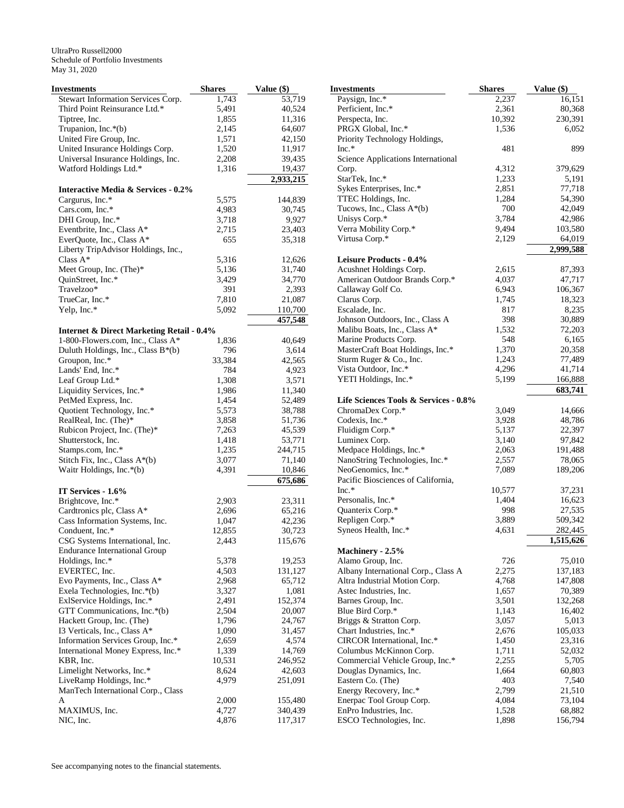| Investments                                                                               | <b>Shares</b> | Value (\$)           |
|-------------------------------------------------------------------------------------------|---------------|----------------------|
| Stewart Information Services Corp.                                                        | 1,743         | 53,719               |
| Third Point Reinsurance Ltd.*                                                             | 5,491         | 40,524               |
| Tiptree, Inc.                                                                             | 1,855         | 11,316               |
| Trupanion, Inc.*(b)                                                                       | 2,145         | 64,607               |
| United Fire Group, Inc.                                                                   | 1,571         | 42,150               |
| United Insurance Holdings Corp.                                                           | 1,520         | 11,917               |
| Universal Insurance Holdings, Inc.                                                        | 2,208         | 39,435               |
| Watford Holdings Ltd.*                                                                    | 1,316         | 19,437               |
|                                                                                           |               | 2,933,215            |
| <b>Interactive Media &amp; Services - 0.2%</b>                                            |               |                      |
| Cargurus, Inc.*                                                                           | 5,575         | 144,839              |
| Cars.com, Inc.*                                                                           | 4,983         | 30,745               |
| DHI Group, Inc.*                                                                          | 3,718         | 9,927                |
| Eventbrite, Inc., Class A*                                                                | 2,715         | 23,403               |
| EverQuote, Inc., Class A*                                                                 | 655           | 35,318               |
| Liberty TripAdvisor Holdings, Inc.,                                                       |               |                      |
| Class $A^*$                                                                               | 5,316         | 12,626               |
| Meet Group, Inc. (The)*                                                                   | 5,136         | 31,740               |
| QuinStreet, Inc.*                                                                         | 3,429         | 34,770               |
| Travelzoo*                                                                                | 391           | 2,393                |
| TrueCar, Inc.*                                                                            | 7,810         | 21,087               |
| Yelp, Inc.*                                                                               | 5,092         | 110,700              |
|                                                                                           |               | $\overline{457,}548$ |
| <b>Internet &amp; Direct Marketing Retail - 0.4%</b><br>1-800-Flowers.com, Inc., Class A* |               |                      |
|                                                                                           | 1,836         | 40,649               |
| Duluth Holdings, Inc., Class B*(b)                                                        | 796           | 3,614                |
| Groupon, Inc.*                                                                            | 33,384        | 42,565               |
| Lands' End, Inc.*                                                                         | 784           | 4,923                |
| Leaf Group Ltd.*                                                                          | 1,308         | 3,571                |
| Liquidity Services, Inc.*                                                                 | 1,986         | 11,340               |
| PetMed Express, Inc.                                                                      | 1,454         | 52,489               |
| Quotient Technology, Inc.*                                                                | 5,573         | 38,788               |
| RealReal, Inc. (The)*                                                                     | 3,858         | 51,736               |
| Rubicon Project, Inc. (The)*                                                              | 7,263         | 45,539               |
| Shutterstock, Inc.                                                                        | 1,418         | 53,771               |
| Stamps.com, Inc.*                                                                         | 1,235         | 244,715              |
| Stitch Fix, Inc., Class A*(b)                                                             | 3,077         | 71,140               |
| Waitr Holdings, Inc.*(b)                                                                  | 4,391         | 10,846<br>675,686    |
| IT Services - 1.6%                                                                        |               |                      |
| Brightcove, Inc.*                                                                         | 2,903         | 23,311               |
| Cardtronics plc, Class A*                                                                 | 2,696         | 65,216               |
| Cass Information Systems, Inc.                                                            | 1,047         | 42,236               |
| Conduent, Inc.*                                                                           | 12,855        | 30,723               |
| CSG Systems International, Inc.                                                           | 2,443         | 115,676              |
| <b>Endurance International Group</b>                                                      |               |                      |
| Holdings, Inc.*                                                                           | 5,378         | 19,253               |
| EVERTEC, Inc.                                                                             | 4,503         | 131,127              |
| Evo Payments, Inc., Class A*                                                              | 2,968         | 65,712               |
| Exela Technologies, Inc.*(b)                                                              | 3,327         | 1,081                |
| ExlService Holdings, Inc.*                                                                | 2,491         | 152,374              |
| GTT Communications, Inc.*(b)                                                              | 2,504         | 20,007               |
| Hackett Group, Inc. (The)                                                                 | 1,796         | 24,767               |
| I3 Verticals, Inc., Class A*                                                              | 1,090         | 31,457               |
| Information Services Group, Inc.*                                                         | 2,659         | 4,574                |
| International Money Express, Inc.*                                                        | 1,339         | 14,769               |
| KBR, Inc.                                                                                 | 10,531        | 246,952              |
| Limelight Networks, Inc.*                                                                 | 8,624         | 42,603               |
| LiveRamp Holdings, Inc.*                                                                  | 4,979         | 251,091              |
| ManTech International Corp., Class                                                        |               |                      |
| A                                                                                         | 2,000         | 155,480              |
| MAXIMUS, Inc.                                                                             | 4,727         | 340,439              |
| NIC, Inc.                                                                                 | 4,876         | 117,317              |

| Investments                             | <b>Shares</b>  | Value (\$) |
|-----------------------------------------|----------------|------------|
| Paysign, Inc.*                          | 2,237          | 16,151     |
| Perficient, Inc.*                       | 2,361          | 80,368     |
| Perspecta, Inc.                         | 10,392         | 230,391    |
| PRGX Global, Inc.*                      | 1,536          | 6,052      |
| Priority Technology Holdings,           |                |            |
| $Inc.*$                                 | 481            | 899        |
| Science Applications International      |                |            |
| Corp.                                   | 4,312          | 379,629    |
| StarTek, Inc.*                          | 1,233          | 5,191      |
| Sykes Enterprises, Inc.*                | 2,851          | 77,718     |
| TTEC Holdings, Inc.                     | 1,284          | 54,390     |
| Tucows, Inc., Class A*(b)               | 700            | 42,049     |
| Unisys Corp.*                           | 3,784          | 42,986     |
| Verra Mobility Corp.*                   | 9,494          | 103,580    |
| Virtusa Corp.*                          | 2,129          | 64,019     |
|                                         |                | 2,999,588  |
| Leisure Products - 0.4%                 |                |            |
| Acushnet Holdings Corp.                 | 2,615          | 87,393     |
| American Outdoor Brands Corp.*          | 4,037          | 47,717     |
| Callaway Golf Co.                       | 6,943          | 106,367    |
| Clarus Corp.                            | 1,745          | 18,323     |
| Escalade, Inc.                          | 817            | 8,235      |
| Johnson Outdoors, Inc., Class A         | 398            | 30,889     |
| Malibu Boats, Inc., Class A*            | 1,532          | 72,203     |
| Marine Products Corp.                   | 548            | 6,165      |
| MasterCraft Boat Holdings, Inc.*        | 1,370          | 20,358     |
| Sturm Ruger & Co., Inc.                 | 1,243          | 77,489     |
| Vista Outdoor, Inc.*                    | 4,296          | 41,714     |
| YETI Holdings, Inc.*                    | 5,199          | 166,888    |
|                                         |                | 683,741    |
| Life Sciences Tools & Services - 0.8%   |                |            |
| ChromaDex Corp.*                        | 3,049          | 14,666     |
| Codexis, Inc.*                          |                | 48,786     |
| Fluidigm Corp.*                         | 3,928<br>5,137 | 22,397     |
| Luminex Corp.                           | 3,140          | 97,842     |
| Medpace Holdings, Inc.*                 | 2,063          | 191,488    |
| NanoString Technologies, Inc.*          |                | 78,065     |
| NeoGenomics, Inc.*                      | 2,557<br>7,089 | 189,206    |
| Pacific Biosciences of California,      |                |            |
| $Inc.*$                                 | 10,577         | 37,231     |
| Personalis, Inc.*                       |                | 16,623     |
|                                         | 1,404          |            |
| Quanterix Corp.*                        | 998            | 27,535     |
| Repligen Corp.*<br>Syneos Health, Inc.* | 3,889          | 509,342    |
|                                         | 4,631          | 282,445    |
|                                         |                | 1,515,626  |
| Machinery - 2.5%                        |                |            |
| Alamo Group, Inc.                       | 726            | 75,010     |
| Albany International Corp., Class A     | 2,275          | 137,183    |
| Altra Industrial Motion Corp.           | 4,768          | 147,808    |
| Astec Industries, Inc.                  | 1,657          | 70,389     |
| Barnes Group, Inc.                      | 3,501          | 132,268    |
| Blue Bird Corp.*                        | 1,143          | 16,402     |
| Briggs & Stratton Corp.                 | 3,057          | 5,013      |
| Chart Industries, Inc.*                 | 2,676          | 105,033    |
| CIRCOR International, Inc.*             | 1,450          | 23,316     |
| Columbus McKinnon Corp.                 | 1,711          | 52,032     |
| Commercial Vehicle Group, Inc.*         | 2,255          | 5,705      |
| Douglas Dynamics, Inc.                  | 1,664          | 60,803     |
| Eastern Co. (The)                       | 403            | 7,540      |
| Energy Recovery, Inc.*                  | 2,799          | 21,510     |
| Enerpac Tool Group Corp.                | 4,084          | 73,104     |
| EnPro Industries, Inc.                  | 1,528          | 68,882     |
| ESCO Technologies, Inc.                 | 1,898          | 156,794    |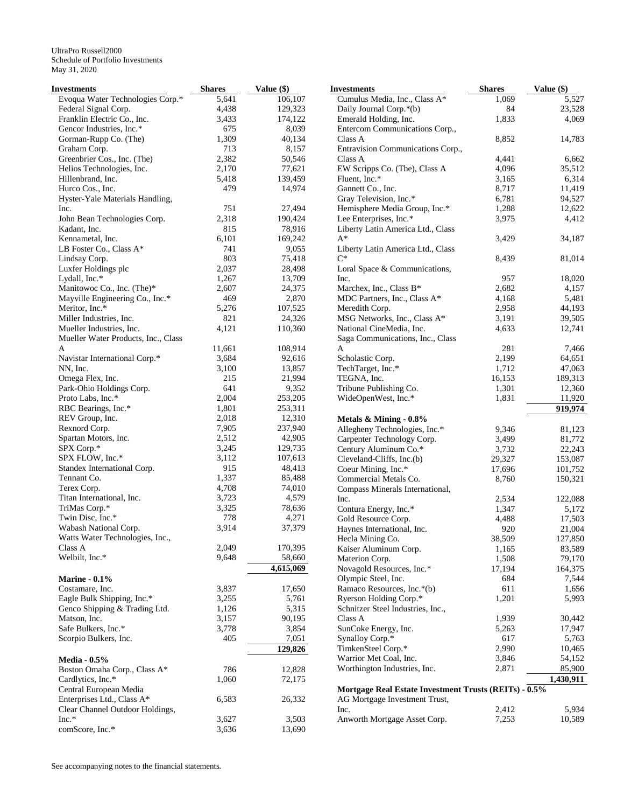| Investments                                       | <b>Shares</b> | Value (\$)        | <b>Investments</b>                                    | <b>Shares</b>  | Value (\$)      |
|---------------------------------------------------|---------------|-------------------|-------------------------------------------------------|----------------|-----------------|
| Evoqua Water Technologies Corp.*                  | 5,641         | 106,107           | Cumulus Media, Inc., Class A*                         | 1,069          | 5,527           |
| Federal Signal Corp.                              | 4,438         | 129,323           | Daily Journal Corp.*(b)                               | 84             | 23,528          |
| Franklin Electric Co., Inc.                       | 3,433         | 174,122           | Emerald Holding, Inc.                                 | 1,833          | 4,069           |
| Gencor Industries, Inc.*                          | 675           | 8,039             | Entercom Communications Corp.,                        |                |                 |
| Gorman-Rupp Co. (The)                             | 1,309         | 40,134            | Class A                                               | 8,852          | 14,783          |
| Graham Corp.                                      | 713           | 8,157             | Entravision Communications Corp.,                     |                |                 |
| Greenbrier Cos., Inc. (The)                       | 2,382         | 50,546            | Class A                                               | 4,441          | 6,662           |
| Helios Technologies, Inc.                         | 2,170         | 77,621            | EW Scripps Co. (The), Class A                         | 4,096          | 35,512          |
| Hillenbrand, Inc.                                 | 5,418         | 139,459           | Fluent, Inc.*                                         | 3,165          | 6,314           |
| Hurco Cos., Inc.                                  | 479           | 14,974            | Gannett Co., Inc.                                     | 8,717          | 11,419          |
| Hyster-Yale Materials Handling,                   |               |                   | Gray Television, Inc.*                                | 6,781          | 94,527          |
| Inc.                                              | 751           | 27,494            | Hemisphere Media Group, Inc.*                         | 1,288          | 12,622          |
| John Bean Technologies Corp.                      | 2,318         | 190,424           | Lee Enterprises, Inc.*                                | 3,975          | 4,412           |
| Kadant, Inc.                                      | 815           | 78,916            | Liberty Latin America Ltd., Class                     |                |                 |
| Kennametal, Inc.                                  | 6,101         | 169,242           | A*                                                    | 3,429          | 34,187          |
| LB Foster Co., Class A*                           | 741           | 9,055             | Liberty Latin America Ltd., Class<br>$C^*$            |                |                 |
| Lindsay Corp.                                     | 803           | 75,418            |                                                       | 8,439          | 81,014          |
| Luxfer Holdings plc                               | 2,037         | 28,498            | Loral Space & Communications,                         |                |                 |
| Lydall, Inc.*                                     | 1,267         | 13,709            | Inc.                                                  | 957            | 18,020          |
| Manitowoc Co., Inc. (The)*                        | 2,607         | 24,375            | Marchex, Inc., Class B*                               | 2,682          | 4,157           |
| Mayville Engineering Co., Inc.*<br>Meritor, Inc.* | 469           | 2,870             | MDC Partners, Inc., Class A*<br>Meredith Corp.        | 4,168<br>2,958 | 5,481<br>44,193 |
| Miller Industries, Inc.                           | 5,276<br>821  | 107,525<br>24,326 | MSG Networks, Inc., Class A*                          | 3,191          | 39,505          |
| Mueller Industries, Inc.                          | 4,121         |                   | National CineMedia, Inc.                              | 4,633          | 12,741          |
|                                                   |               | 110,360           |                                                       |                |                 |
| Mueller Water Products, Inc., Class<br>A          | 11,661        | 108,914           | Saga Communications, Inc., Class<br>A                 | 281            | 7,466           |
| Navistar International Corp.*                     | 3,684         | 92,616            | Scholastic Corp.                                      | 2,199          | 64,651          |
| NN, Inc.                                          | 3,100         | 13,857            | TechTarget, Inc.*                                     | 1,712          | 47,063          |
| Omega Flex, Inc.                                  | 215           | 21,994            | TEGNA, Inc.                                           | 16,153         | 189,313         |
| Park-Ohio Holdings Corp.                          | 641           | 9,352             | Tribune Publishing Co.                                | 1,301          | 12,360          |
| Proto Labs, Inc.*                                 | 2,004         | 253,205           | WideOpenWest, Inc.*                                   | 1,831          | 11,920          |
| RBC Bearings, Inc.*                               | 1,801         | 253,311           |                                                       |                | 919,974         |
| REV Group, Inc.                                   | 2,018         | 12,310            | Metals & Mining - 0.8%                                |                |                 |
| Rexnord Corp.                                     | 7,905         | 237,940           | Allegheny Technologies, Inc.*                         | 9,346          | 81,123          |
| Spartan Motors, Inc.                              | 2,512         | 42,905            | Carpenter Technology Corp.                            | 3,499          | 81,772          |
| SPX Corp.*                                        | 3,245         | 129,735           | Century Aluminum Co.*                                 | 3,732          | 22,243          |
| SPX FLOW, Inc.*                                   | 3,112         | 107,613           | Cleveland-Cliffs, Inc.(b)                             | 29,327         | 153,087         |
| Standex International Corp.                       | 915           | 48,413            | Coeur Mining, Inc.*                                   | 17,696         | 101,752         |
| Tennant Co.                                       | 1,337         | 85,488            | Commercial Metals Co.                                 | 8,760          | 150,321         |
| Terex Corp.                                       | 4,708         | 74,010            | Compass Minerals International,                       |                |                 |
| Titan International, Inc.                         | 3,723         | 4,579             | Inc.                                                  | 2,534          | 122,088         |
| TriMas Corp.*                                     | 3,325         | 78,636            | Contura Energy, Inc.*                                 | 1,347          | 5,172           |
| Twin Disc, Inc.*                                  | 778           | 4,271             | Gold Resource Corp.                                   | 4,488          | 17,503          |
| Wabash National Corp.                             | 3,914         | 37,379            | Haynes International, Inc.                            | 920            | 21,004          |
| Watts Water Technologies, Inc.,                   |               |                   | Hecla Mining Co.                                      | 38,509         | 127,850         |
| Class A                                           | 2,049         | 170,395           | Kaiser Aluminum Corp.                                 | 1,165          | 83,589          |
| Welbilt, Inc.*                                    | 9,648         | 58,660            | Materion Corp.                                        | 1,508          | 79,170          |
|                                                   |               | 4,615,069         | Novagold Resources, Inc.*                             | 17,194         | 164,375         |
| <b>Marine - 0.1%</b>                              |               |                   | Olympic Steel, Inc.                                   | 684            | 7,544           |
| Costamare, Inc.                                   | 3,837         | 17,650            | Ramaco Resources, Inc.*(b)                            | 611            | 1,656           |
| Eagle Bulk Shipping, Inc.*                        | 3,255         | 5,761             | Ryerson Holding Corp.*                                | 1,201          | 5,993           |
| Genco Shipping & Trading Ltd.                     | 1,126         | 5,315             | Schnitzer Steel Industries, Inc.,                     |                |                 |
| Matson, Inc.                                      | 3,157         | 90,195            | Class A                                               | 1,939          | 30,442          |
| Safe Bulkers, Inc.*                               | 3,778         | 3,854             | SunCoke Energy, Inc.                                  | 5,263          | 17,947          |
| Scorpio Bulkers, Inc.                             | 405           | 7,051             | Synalloy Corp.*                                       | 617            | 5,763           |
|                                                   |               | 129,826           | TimkenSteel Corp.*                                    | 2,990          | 10,465          |
| <b>Media - 0.5%</b>                               |               |                   | Warrior Met Coal, Inc.                                | 3,846          | 54,152          |
| Boston Omaha Corp., Class A*                      | 786           | 12,828            | Worthington Industries, Inc.                          | 2,871          | 85,900          |
| Cardlytics, Inc.*                                 | 1,060         | 72,175            |                                                       |                | 1,430,911       |
| Central European Media                            |               |                   | Mortgage Real Estate Investment Trusts (REITs) - 0.5% |                |                 |
| Enterprises Ltd., Class A*                        | 6,583         | 26,332            | AG Mortgage Investment Trust,                         |                |                 |
| Clear Channel Outdoor Holdings,                   |               |                   | Inc.                                                  | 2,412          | 5,934           |
| $Inc.*$                                           | 3,627         | 3,503             | Anworth Mortgage Asset Corp.                          | 7,253          | 10,589          |
| comScore, Inc.*                                   | 3,636         | 13,690            |                                                       |                |                 |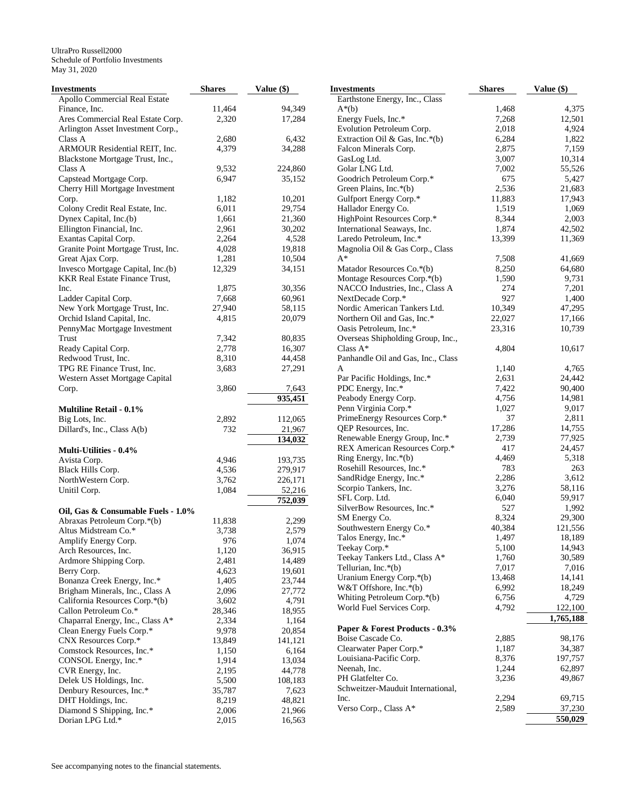| Investments                           | <b>Shares</b> | Value (\$) | <b>Investments</b>                       | <b>Shares</b> | Value (\$) |
|---------------------------------------|---------------|------------|------------------------------------------|---------------|------------|
| Apollo Commercial Real Estate         |               |            | Earthstone Energy, Inc., Class           |               |            |
| Finance, Inc.                         | 11,464        | 94,349     | $A^*(b)$                                 | 1,468         | 4,375      |
| Ares Commercial Real Estate Corp.     | 2,320         | 17,284     | Energy Fuels, Inc.*                      | 7,268         | 12,501     |
| Arlington Asset Investment Corp.,     |               |            | Evolution Petroleum Corp.                | 2,018         | 4,924      |
| Class A                               | 2,680         | 6,432      | Extraction Oil & Gas, Inc.*(b)           | 6,284         | 1,822      |
| ARMOUR Residential REIT, Inc.         | 4,379         | 34,288     | Falcon Minerals Corp.                    | 2,875         | 7,159      |
| Blackstone Mortgage Trust, Inc.,      |               |            | GasLog Ltd.                              | 3,007         | 10,314     |
| Class A                               | 9,532         | 224,860    | Golar LNG Ltd.                           | 7,002         | 55,526     |
| Capstead Mortgage Corp.               | 6,947         | 35,152     | Goodrich Petroleum Corp.*                | 675           | 5,427      |
| Cherry Hill Mortgage Investment       |               |            | Green Plains, Inc.*(b)                   | 2,536         | 21,683     |
| Corp.                                 | 1,182         | 10,201     | Gulfport Energy Corp.*                   | 11,883        | 17,943     |
| Colony Credit Real Estate, Inc.       | 6,011         | 29,754     | Hallador Energy Co.                      | 1,519         | 1,069      |
| Dynex Capital, Inc.(b)                | 1,661         | 21,360     | HighPoint Resources Corp.*               | 8,344         | 2,003      |
| Ellington Financial, Inc.             | 2,961         | 30,202     | International Seaways, Inc.              | 1,874         | 42,502     |
| Exantas Capital Corp.                 | 2,264         | 4,528      | Laredo Petroleum, Inc.*                  | 13,399        | 11,369     |
|                                       |               |            |                                          |               |            |
| Granite Point Mortgage Trust, Inc.    | 4,028         | 19,818     | Magnolia Oil & Gas Corp., Class<br>$A^*$ |               |            |
| Great Ajax Corp.                      | 1,281         | 10,504     |                                          | 7,508         | 41,669     |
| Invesco Mortgage Capital, Inc.(b)     | 12,329        | 34,151     | Matador Resources Co.*(b)                | 8,250         | 64,680     |
| <b>KKR Real Estate Finance Trust,</b> |               |            | Montage Resources Corp.*(b)              | 1,590         | 9,731      |
| Inc.                                  | 1,875         | 30,356     | NACCO Industries, Inc., Class A          | 274           | 7,201      |
| Ladder Capital Corp.                  | 7,668         | 60,961     | NextDecade Corp.*                        | 927           | 1,400      |
| New York Mortgage Trust, Inc.         | 27,940        | 58,115     | Nordic American Tankers Ltd.             | 10,349        | 47,295     |
| Orchid Island Capital, Inc.           | 4,815         | 20,079     | Northern Oil and Gas, Inc.*              | 22,027        | 17,166     |
| PennyMac Mortgage Investment          |               |            | Oasis Petroleum, Inc.*                   | 23,316        | 10,739     |
| Trust                                 | 7,342         | 80,835     | Overseas Shipholding Group, Inc.,        |               |            |
| Ready Capital Corp.                   | 2,778         | 16,307     | Class $A^*$                              | 4,804         | 10,617     |
| Redwood Trust, Inc.                   | 8,310         | 44,458     | Panhandle Oil and Gas, Inc., Class       |               |            |
| TPG RE Finance Trust, Inc.            | 3,683         | 27,291     | A                                        | 1,140         | 4,765      |
| Western Asset Mortgage Capital        |               |            | Par Pacific Holdings, Inc.*              | 2,631         | 24,442     |
| Corp.                                 | 3,860         | 7,643      | PDC Energy, Inc.*                        | 7,422         | 90,400     |
|                                       |               | 935,451    | Peabody Energy Corp.                     | 4,756         | 14,981     |
| <b>Multiline Retail - 0.1%</b>        |               |            | Penn Virginia Corp.*                     | 1,027         | 9,017      |
| Big Lots, Inc.                        | 2,892         | 112,065    | PrimeEnergy Resources Corp.*             | 37            | 2,811      |
| Dillard's, Inc., Class A(b)           | 732           | 21,967     | QEP Resources, Inc.                      | 17,286        | 14,755     |
|                                       |               | 134,032    | Renewable Energy Group, Inc.*            | 2,739         | 77,925     |
|                                       |               |            | REX American Resources Corp.*            | 417           | 24,457     |
| <b>Multi-Utilities - 0.4%</b>         |               |            | Ring Energy, Inc.*(b)                    | 4,469         | 5,318      |
| Avista Corp.                          | 4,946         | 193,735    | Rosehill Resources, Inc.*                | 783           | 263        |
| Black Hills Corp.                     | 4,536         | 279,917    | SandRidge Energy, Inc.*                  | 2,286         | 3,612      |
| NorthWestern Corp.                    | 3,762         | 226,171    | Scorpio Tankers, Inc.                    | 3,276         | 58,116     |
| Unitil Corp.                          | 1,084         | 52,216     |                                          | 6,040         | 59,917     |
|                                       |               | 752,039    | SFL Corp. Ltd.                           |               |            |
| Oil, Gas & Consumable Fuels - 1.0%    |               |            | SilverBow Resources, Inc.*               | 527           | 1,992      |
| Abraxas Petroleum Corp.*(b)           | 11,838        | 2,299      | SM Energy Co.                            | 8,324         | 29,300     |
| Altus Midstream Co.*                  | 3,738         | 2,579      | Southwestern Energy Co.*                 | 40,384        | 121,556    |
| Amplify Energy Corp.                  | 976           | 1,074      | Talos Energy, Inc.*                      | 1,497         | 18,189     |
| Arch Resources, Inc.                  | 1,120         | 36,915     | Teekay Corp.*                            | 5,100         | 14,943     |
| Ardmore Shipping Corp.                | 2,481         | 14,489     | Teekay Tankers Ltd., Class A*            | 1,760         | 30,589     |
| Berry Corp.                           | 4,623         | 19,601     | Tellurian, Inc.*(b)                      | 7,017         | 7,016      |
| Bonanza Creek Energy, Inc.*           | 1,405         | 23,744     | Uranium Energy Corp.*(b)                 | 13,468        | 14,141     |
| Brigham Minerals, Inc., Class A       | 2,096         | 27,772     | W&T Offshore, Inc.*(b)                   | 6,992         | 18,249     |
| California Resources Corp.*(b)        | 3,602         | 4,791      | Whiting Petroleum Corp.*(b)              | 6,756         | 4,729      |
| Callon Petroleum Co.*                 | 28,346        | 18,955     | World Fuel Services Corp.                | 4,792         | 122,100    |
| Chaparral Energy, Inc., Class A*      | 2,334         | 1,164      |                                          |               | 1,765,188  |
| Clean Energy Fuels Corp.*             | 9,978         | 20,854     | Paper & Forest Products - 0.3%           |               |            |
| CNX Resources Corp.*                  | 13,849        | 141,121    | Boise Cascade Co.                        | 2,885         | 98,176     |
| Comstock Resources, Inc.*             | 1,150         | 6,164      | Clearwater Paper Corp.*                  | 1,187         | 34,387     |
| CONSOL Energy, Inc.*                  | 1,914         | 13,034     | Louisiana-Pacific Corp.                  | 8,376         | 197,757    |
| CVR Energy, Inc.                      | 2,195         | 44,778     | Neenah, Inc.                             | 1,244         | 62,897     |
| Delek US Holdings, Inc.               | 5,500         | 108,183    | PH Glatfelter Co.                        | 3,236         | 49,867     |
| Denbury Resources, Inc.*              | 35,787        | 7,623      | Schweitzer-Mauduit International,        |               |            |
| DHT Holdings, Inc.                    | 8,219         | 48,821     | Inc.                                     | 2,294         | 69,715     |
| Diamond S Shipping, Inc.*             | 2,006         | 21,966     | Verso Corp., Class A*                    | 2,589         | 37,230     |
| Dorian LPG Ltd.*                      | 2,015         |            |                                          |               | 550,029    |
|                                       |               | 16,563     |                                          |               |            |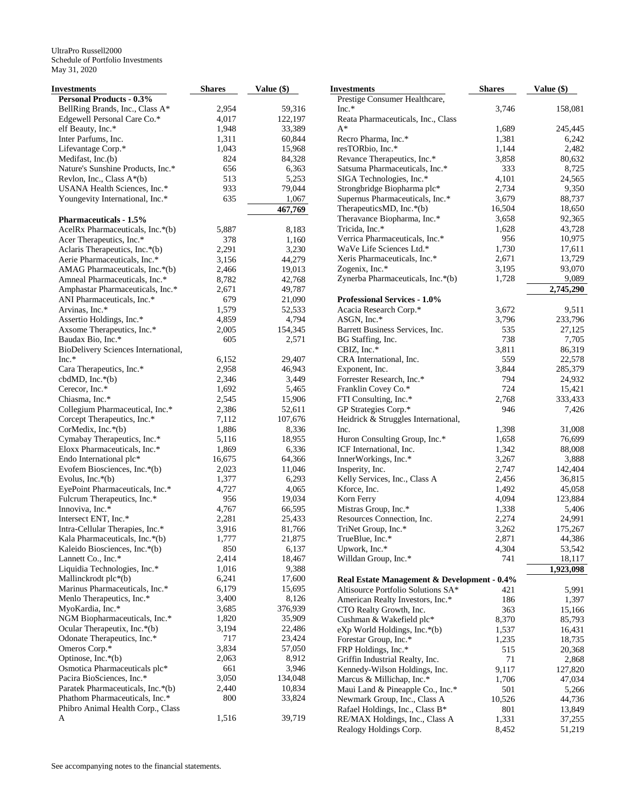| Investments                         | <b>Shares</b> | Value $(\$)$ | <b>Investments</b>                          | <b>Shares</b> | Value $(\$)$ |
|-------------------------------------|---------------|--------------|---------------------------------------------|---------------|--------------|
| <b>Personal Products - 0.3%</b>     |               |              | Prestige Consumer Healthcare,               |               |              |
| BellRing Brands, Inc., Class A*     | 2,954         | 59,316       | $Inc.*$                                     | 3,746         | 158,081      |
| Edgewell Personal Care Co.*         | 4,017         | 122,197      | Reata Pharmaceuticals, Inc., Class          |               |              |
| elf Beauty, Inc.*                   | 1,948         | 33,389       | $A^*$                                       | 1,689         | 245,445      |
| Inter Parfums, Inc.                 | 1,311         | 60,844       | Recro Pharma, Inc.*                         | 1,381         | 6,242        |
| Lifevantage Corp.*                  | 1,043         | 15,968       | resTORbio, Inc.*                            | 1,144         | 2,482        |
| Medifast, Inc.(b)                   | 824           | 84,328       | Revance Therapeutics, Inc.*                 | 3,858         | 80,632       |
| Nature's Sunshine Products, Inc.*   | 656           | 6,363        | Satsuma Pharmaceuticals, Inc.*              | 333           | 8,725        |
| Revlon, Inc., Class A*(b)           | 513           | 5,253        | SIGA Technologies, Inc.*                    | 4,101         | 24,565       |
| USANA Health Sciences, Inc.*        | 933           | 79,044       | Strongbridge Biopharma plc*                 | 2,734         | 9,350        |
| Youngevity International, Inc.*     | 635           | 1,067        | Supernus Pharmaceuticals, Inc.*             | 3,679         | 88,737       |
|                                     |               | 467,769      | TherapeuticsMD, Inc.*(b)                    | 16,504        | 18,650       |
| <b>Pharmaceuticals - 1.5%</b>       |               |              | Theravance Biopharma, Inc.*                 | 3,658         | 92,365       |
| AcelRx Pharmaceuticals, Inc.*(b)    | 5,887         | 8,183        | Tricida, Inc.*                              | 1,628         | 43,728       |
| Acer Therapeutics, Inc.*            | 378           | 1,160        | Verrica Pharmaceuticals, Inc.*              | 956           | 10,975       |
| Aclaris Therapeutics, Inc.*(b)      | 2,291         | 3,230        | WaVe Life Sciences Ltd.*                    | 1,730         | 17,611       |
| Aerie Pharmaceuticals, Inc.*        | 3,156         | 44,279       | Xeris Pharmaceuticals, Inc.*                | 2,671         | 13,729       |
| AMAG Pharmaceuticals, Inc.*(b)      | 2,466         | 19,013       | Zogenix, Inc.*                              | 3,195         | 93,070       |
| Amneal Pharmaceuticals, Inc.*       | 8,782         | 42,768       | Zynerba Pharmaceuticals, Inc.*(b)           | 1,728         | 9,089        |
| Amphastar Pharmaceuticals, Inc.*    | 2,671         | 49,787       |                                             |               | 2,745,290    |
| ANI Pharmaceuticals, Inc.*          | 679           | 21,090       | <b>Professional Services - 1.0%</b>         |               |              |
| Arvinas, Inc.*                      | 1,579         | 52,533       | Acacia Research Corp.*                      | 3,672         | 9,511        |
| Assertio Holdings, Inc.*            | 4,859         | 4,794        | ASGN, Inc.*                                 | 3,796         | 233,796      |
| Axsome Therapeutics, Inc.*          | 2,005         | 154,345      | Barrett Business Services, Inc.             | 535           | 27,125       |
| Baudax Bio, Inc.*                   | 605           | 2,571        | BG Staffing, Inc.                           | 738           | 7,705        |
| BioDelivery Sciences International, |               |              | CBIZ, Inc.*                                 | 3,811         | 86,319       |
| $Inc.*$                             | 6,152         | 29,407       | CRA International, Inc.                     | 559           | 22,578       |
| Cara Therapeutics, Inc.*            | 2,958         | 46,943       | Exponent, Inc.                              | 3,844         | 285,379      |
| cbdMD, $Inc.*(b)$                   | 2,346         | 3,449        | Forrester Research, Inc.*                   | 794           | 24,932       |
| Cerecor, Inc.*                      | 1,692         | 5,465        | Franklin Covey Co.*                         | 724           | 15,421       |
| Chiasma, Inc.*                      | 2,545         | 15,906       | FTI Consulting, Inc.*                       | 2,768         | 333,433      |
| Collegium Pharmaceutical, Inc.*     | 2,386         | 52,611       | GP Strategies Corp.*                        | 946           | 7,426        |
| Corcept Therapeutics, Inc.*         | 7,112         | 107,676      | Heidrick & Struggles International,         |               |              |
| CorMedix, Inc.*(b)                  | 1,886         | 8,336        | Inc.                                        | 1,398         | 31,008       |
| Cymabay Therapeutics, Inc.*         | 5,116         | 18,955       | Huron Consulting Group, Inc.*               | 1,658         | 76,699       |
| Eloxx Pharmaceuticals, Inc.*        | 1,869         | 6,336        | ICF International, Inc.                     | 1,342         | 88,008       |
| Endo International plc*             | 16,675        | 64,366       | InnerWorkings, Inc.*                        | 3,267         | 3,888        |
| Evofem Biosciences, Inc.*(b)        | 2,023         | 11,046       | Insperity, Inc.                             | 2,747         | 142,404      |
| Evolus, Inc. $*(b)$                 | 1,377         | 6,293        | Kelly Services, Inc., Class A               | 2,456         | 36,815       |
| EyePoint Pharmaceuticals, Inc.*     | 4,727         | 4,065        | Kforce, Inc.                                | 1,492         | 45,058       |
| Fulcrum Therapeutics, Inc.*         | 956           | 19,034       | Korn Ferry                                  | 4,094         | 123,884      |
| Innoviva, Inc.*                     | 4,767         | 66,595       | Mistras Group, Inc.*                        | 1,338         | 5,406        |
| Intersect ENT, Inc.*                | 2,281         | 25,433       | Resources Connection, Inc.                  | 2,274         | 24,991       |
| Intra-Cellular Therapies, Inc.*     | 3,916         | 81,766       | TriNet Group, Inc.*                         | 3,262         | 175,267      |
| Kala Pharmaceuticals, Inc.*(b)      | 1,777         | 21,875       | TrueBlue, Inc.*                             | 2,871         | 44,386       |
| Kaleido Biosciences, Inc.*(b)       | 850           | 6,137        | Upwork, Inc.*                               | 4,304         | 53,542       |
| Lannett Co., Inc.*                  | 2,414         | 18,467       | Willdan Group, Inc.*                        | 741           | 18,117       |
| Liquidia Technologies, Inc.*        | 1,016         | 9,388        |                                             |               | 1,923,098    |
| Mallinckrodt plc*(b)                | 6,241         | 17,600       | Real Estate Management & Development - 0.4% |               |              |
| Marinus Pharmaceuticals, Inc.*      | 6,179         | 15,695       | Altisource Portfolio Solutions SA*          | 421           | 5,991        |
| Menlo Therapeutics, Inc.*           | 3,400         | 8,126        | American Realty Investors, Inc.*            | 186           | 1,397        |
| MyoKardia, Inc.*                    | 3,685         | 376,939      | CTO Realty Growth, Inc.                     | 363           | 15,166       |
| NGM Biopharmaceuticals, Inc.*       | 1,820         | 35,909       | Cushman & Wakefield plc*                    | 8,370         | 85,793       |
| Ocular Therapeutix, Inc.*(b)        | 3,194         | 22,486       | eXp World Holdings, Inc.*(b)                | 1,537         | 16,431       |
| Odonate Therapeutics, Inc.*         | 717           | 23,424       | Forestar Group, Inc.*                       | 1,235         | 18,735       |
| Omeros Corp.*                       | 3,834         | 57,050       | FRP Holdings, Inc.*                         | 515           | 20,368       |
| Optinose, Inc.*(b)                  | 2,063         | 8,912        | Griffin Industrial Realty, Inc.             | 71            | 2,868        |
| Osmotica Pharmaceuticals plc*       | 661           | 3,946        | Kennedy-Wilson Holdings, Inc.               | 9,117         | 127,820      |
| Pacira BioSciences, Inc.*           | 3,050         | 134,048      | Marcus & Millichap, Inc.*                   | 1,706         | 47,034       |
| Paratek Pharmaceuticals, Inc.*(b)   | 2,440         | 10,834       | Maui Land & Pineapple Co., Inc.*            | 501           | 5,266        |
| Phathom Pharmaceuticals, Inc.*      | 800           | 33,824       | Newmark Group, Inc., Class A                | 10,526        | 44,736       |
| Phibro Animal Health Corp., Class   |               |              | Rafael Holdings, Inc., Class B*             | 801           | 13,849       |
| A                                   | 1,516         | 39,719       | RE/MAX Holdings, Inc., Class A              | 1,331         | 37,255       |
|                                     |               |              | Realogy Holdings Corp.                      | 8,452         | 51,219       |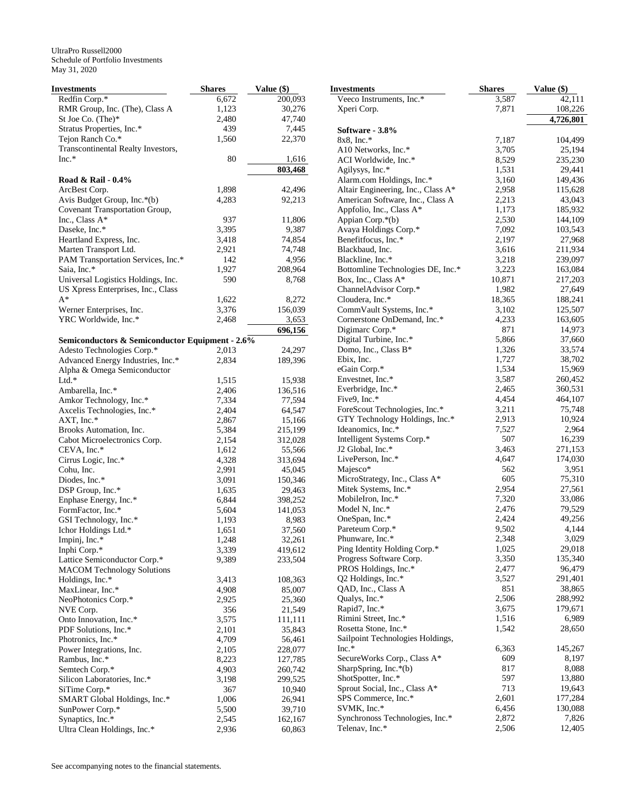| Investments                                     | <b>Shares</b>  | Value (\$)         |
|-------------------------------------------------|----------------|--------------------|
| Redfin Corp.*                                   | 6,672          | 200,093            |
| RMR Group, Inc. (The), Class A                  | 1,123          | 30,276             |
| St Joe Co. (The)*                               | 2,480          | 47,740             |
| Stratus Properties, Inc.*                       | 439            | 7,445              |
| Tejon Ranch Co.*                                | 1,560          | 22,370             |
| Transcontinental Realty Investors,              |                |                    |
| $Inc.*$                                         | 80             | 1,616              |
|                                                 |                | 803,468            |
| Road & Rail - 0.4%                              |                |                    |
| ArcBest Corp.                                   | 1,898          | 42,496             |
| Avis Budget Group, Inc.*(b)                     | 4,283          | 92,213             |
| Covenant Transportation Group,                  |                |                    |
| Inc., Class A*                                  | 937            | 11,806             |
| Daseke, Inc.*                                   | 3,395          | 9,387              |
| Heartland Express, Inc.                         | 3,418          | 74,854             |
| Marten Transport Ltd.                           | 2,921          | 74,748             |
| PAM Transportation Services, Inc.*              | 142            | 4,956              |
| Saia, Inc.*                                     | 1,927          | 208,964            |
| Universal Logistics Holdings, Inc.              | 590            | 8,768              |
| US Xpress Enterprises, Inc., Class              |                |                    |
| A*                                              | 1,622          | 8,272              |
| Werner Enterprises, Inc.                        | 3,376          | 156,039            |
| YRC Worldwide, Inc.*                            | 2,468          | 3,653              |
|                                                 |                | 696,156            |
| Semiconductors & Semiconductor Equipment - 2.6% |                |                    |
| Adesto Technologies Corp.*                      | 2,013          | 24,297             |
| Advanced Energy Industries, Inc.*               | 2,834          | 189,396            |
| Alpha & Omega Semiconductor                     |                |                    |
| $Ltd.*$                                         | 1,515          | 15,938             |
| Ambarella, Inc.*                                | 2,406          | 136,516            |
| Amkor Technology, Inc.*                         | 7,334          | 77,594             |
| Axcelis Technologies, Inc.*                     | 2,404          | 64,547             |
| AXT, Inc.*                                      | 2,867          | 15,166             |
| Brooks Automation, Inc.                         | 5,384          | 215,199            |
| Cabot Microelectronics Corp.                    | 2,154          | 312,028            |
| CEVA, Inc.*                                     | 1,612          | 55,566             |
| Cirrus Logic, Inc.*                             | 4,328          | 313,694            |
| Cohu, Inc.                                      | 2,991          | 45,045             |
| Diodes, Inc.*                                   | 3,091          | 150,346            |
| DSP Group, Inc.*                                | 1,635          | 29,463             |
| Enphase Energy, Inc.*                           | 6,844          | 398,252<br>141,053 |
| FormFactor, Inc.*                               | 5,604          |                    |
| GSI Technology, Inc.*                           | 1,193          | 8,983              |
| Ichor Holdings Ltd.*                            | 1,651          | 37,560             |
| Impinj, Inc.*<br>Inphi Corp.*                   | 1,248<br>3,339 | 32,261<br>419,612  |
| Lattice Semiconductor Corp.*                    | 9,389          | 233,504            |
| <b>MACOM Technology Solutions</b>               |                |                    |
| Holdings, Inc.*                                 | 3,413          | 108,363            |
| MaxLinear, Inc.*                                | 4,908          | 85,007             |
| NeoPhotonics Corp.*                             | 2,925          | 25,360             |
| NVE Corp.                                       | 356            | 21,549             |
| Onto Innovation, Inc.*                          | 3,575          | 111,111            |
| PDF Solutions, Inc.*                            | 2,101          | 35,843             |
| Photronics, Inc.*                               | 4,709          | 56,461             |
| Power Integrations, Inc.                        | 2,105          | 228,077            |
| Rambus, Inc.*                                   | 8,223          | 127,785            |
| Semtech Corp.*                                  | 4,903          | 260,742            |
| Silicon Laboratories, Inc.*                     | 3,198          | 299,525            |
| SiTime Corp.*                                   | 367            | 10,940             |
| SMART Global Holdings, Inc.*                    | 1,006          | 26,941             |
| SunPower Corp.*                                 | 5,500          | 39,710             |
| Synaptics, Inc.*                                | 2,545          | 162,167            |
| Ultra Clean Holdings, Inc.*                     | 2,936          | 60,863             |
|                                                 |                |                    |

| <b>Investments</b>                                              | <b>Shares</b>  | Value (\$)        |
|-----------------------------------------------------------------|----------------|-------------------|
| Veeco Instruments, Inc.*                                        | 3,587          | 42,111            |
| Xperi Corp.                                                     | 7,871          | 108,226           |
|                                                                 |                | 4,726,801         |
| Software - 3.8%                                                 |                |                   |
| $8x8$ , Inc.*                                                   | 7,187          | 104,499           |
| A10 Networks, Inc.*                                             | 3,705          | 25,194            |
| ACI Worldwide, Inc.*                                            | 8,529          | 235,230           |
| Agilysys, Inc.*                                                 | 1,531          | 29,441            |
| Alarm.com Holdings, Inc.*                                       | 3,160          | 149,436           |
| Altair Engineering, Inc., Class A*                              | 2,958          | 115,628           |
| American Software, Inc., Class A<br>Appfolio, Inc., Class A*    | 2,213<br>1,173 | 43,043<br>185,932 |
| Appian Corp.*(b)                                                | 2,530          | 144,109           |
| Avaya Holdings Corp.*                                           | 7,092          | 103,543           |
| Benefitfocus, Inc.*                                             | 2,197          | 27,968            |
| Blackbaud, Inc.                                                 | 3,616          | 211,934           |
| Blackline, Inc.*                                                | 3,218          | 239,097           |
| Bottomline Technologies DE, Inc.*                               | 3,223          | 163,084           |
| Box, Inc., Class A*                                             | 10,871         | 217,203           |
| ChannelAdvisor Corp.*                                           | 1,982          | 27,649            |
| Cloudera, Inc.*                                                 | 18,365         | 188,241           |
| CommVault Systems, Inc.*                                        | 3,102          | 125,507           |
| Cornerstone OnDemand, Inc.*                                     | 4,233          | 163,605           |
| Digimarc Corp.*                                                 | 871            | 14,973            |
| Digital Turbine, Inc.*                                          | 5,866          | 37,660            |
| Domo, Inc., Class B*                                            | 1,326          | 33,574            |
| Ebix, Inc.                                                      | 1,727          | 38,702            |
| eGain Corp.*                                                    | 1,534          | 15,969            |
| Envestnet, Inc.*                                                | 3,587          | 260,452           |
| Everbridge, Inc.*                                               | 2,465          | 360,531           |
| Five9, Inc.*                                                    | 4,454<br>3,211 | 464,107<br>75,748 |
| ForeScout Technologies, Inc.*<br>GTY Technology Holdings, Inc.* | 2,913          | 10,924            |
| Ideanomics, Inc.*                                               | 7,527          | 2,964             |
| Intelligent Systems Corp.*                                      | 507            | 16,239            |
| J2 Global, Inc.*                                                | 3,463          | 271,153           |
| LivePerson, Inc.*                                               | 4,647          | 174,030           |
| Majesco*                                                        | 562            | 3,951             |
| MicroStrategy, Inc., Class A*                                   | 605            | 75,310            |
| Mitek Systems, Inc.*                                            | 2,954          | 27,561            |
| MobileIron, Inc.*                                               | 7,320          | 33,086            |
| Model N, Inc.*                                                  | 2,476          | 79,529            |
| OneSpan, Inc.*                                                  | 2,424          | 49,256            |
| Pareteum Corp.*                                                 | 9,502          | 4,144             |
| Phunware, Inc.*                                                 | 2,348          | 3,029             |
| Ping Identity Holding Corp.*                                    | 1,025          | 29,018            |
| Progress Software Corp.                                         | 3,350          | 135,340           |
| PROS Holdings, Inc.*                                            | 2,477<br>3,527 | 96,479            |
| Q2 Holdings, Inc.*<br>QAD, Inc., Class A                        | 851            | 291,401<br>38,865 |
| Qualys, Inc.*                                                   | 2,506          | 288,992           |
| Rapid7, Inc.*                                                   | 3,675          | 179,671           |
| Rimini Street, Inc.*                                            | 1,516          | 6,989             |
| Rosetta Stone, Inc.*                                            | 1,542          | 28,650            |
| Sailpoint Technologies Holdings,                                |                |                   |
| $Inc.*$                                                         | 6,363          | 145,267           |
| SecureWorks Corp., Class A*                                     | 609            | 8,197             |
| SharpSpring, Inc.*(b)                                           | 817            | 8,088             |
| ShotSpotter, Inc.*                                              | 597            | 13,880            |
| Sprout Social, Inc., Class A*                                   | 713            | 19,643            |
| SPS Commerce, Inc.*                                             | 2,601          | 177,284           |
| SVMK, Inc.*                                                     | 6,456          | 130,088           |
| Synchronoss Technologies, Inc.*                                 | 2,872          | 7,826             |
| Telenav, Inc.*                                                  | 2,506          | 12,405            |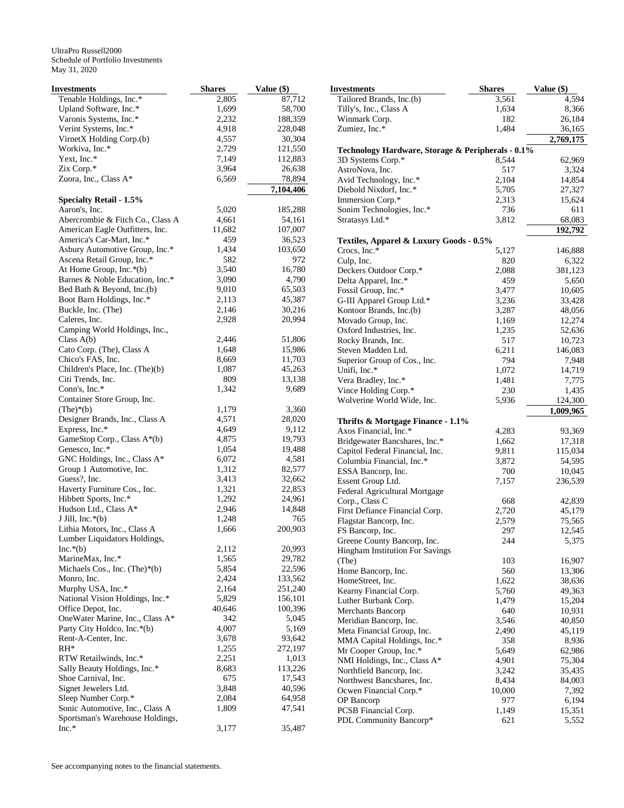| <b>Investments</b>                       | <b>Shares</b>  | Value (\$)       | <b>Investments</b>                   |
|------------------------------------------|----------------|------------------|--------------------------------------|
| Tenable Holdings, Inc.*                  | 2,805          | 87,712           | Tailored Brands,                     |
| Upland Software, Inc.*                   | 1,699          | 58,700           | Tilly's, Inc., Class                 |
| Varonis Systems, Inc.*                   | 2,232          | 188,359          | Winmark Corp.                        |
| Verint Systems, Inc.*                    | 4,918          | 228,048          | Zumiez, Inc.*                        |
| VirnetX Holding Corp.(b)                 | 4,557          | 30,304           |                                      |
| Workiva, Inc.*                           | 2,729          | 121,550          | <b>Technology Hard</b>               |
| Yext, Inc.*                              | 7,149          | 112,883          | 3D Systems Corp                      |
| Zix Corp.*                               | 3,964          | 26,638           | AstroNova, Inc.                      |
| Zuora, Inc., Class A*                    | 6,569          | 78,894           | Avid Technology                      |
|                                          |                | 7,104,406        | Diebold Nixdorf,                     |
| <b>Specialty Retail - 1.5%</b>           |                |                  | Immersion Corp. <sup>8</sup>         |
| Aaron's, Inc.                            | 5,020          | 185,288          | Sonim Technolog                      |
| Abercrombie & Fitch Co., Class A         | 4,661          | 54,161           | Stratasys Ltd.*                      |
| American Eagle Outfitters, Inc.          | 11,682         | 107,007          |                                      |
| America's Car-Mart, Inc.*                | 459            | 36,523           | <b>Textiles, Appare</b>              |
| Asbury Automotive Group, Inc.*           | 1,434          | 103,650          | Crocs, Inc.*                         |
| Ascena Retail Group, Inc.*               | 582            | 972              | Culp, Inc.                           |
| At Home Group, Inc.*(b)                  | 3,540          | 16,780           | Deckers Outdoor                      |
| Barnes & Noble Education, Inc.*          | 3,090          | 4,790            | Delta Apparel, Ind                   |
| Bed Bath & Beyond, Inc.(b)               | 9,010          | 65,503           | Fossil Group, Inc.                   |
| Boot Barn Holdings, Inc.*                | 2,113          | 45,387           | G-III Apparel Gro                    |
| Buckle, Inc. (The)                       | 2,146          | 30,216           | Kontoor Brands, I                    |
| Caleres, Inc.                            | 2,928          | 20,994           | Movado Group, In                     |
| Camping World Holdings, Inc.,            |                |                  | Oxford Industries                    |
| Class $A(b)$                             | 2,446          | 51,806           | Rocky Brands, In                     |
| Cato Corp. (The), Class A                | 1,648          | 15,986           | Steven Madden L                      |
| Chico's FAS, Inc.                        | 8,669          | 11,703           | Superior Group of                    |
| Children's Place, Inc. (The)(b)          | 1,087          | 45,263           | Unifi, Inc.*                         |
| Citi Trends, Inc.                        | 809            | 13,138           | Vera Bradley, Inc.                   |
| Conn's, Inc.*                            | 1,342          | 9,689            | Vince Holding Co                     |
| Container Store Group, Inc.              |                |                  | Wolverine World                      |
| $(The)*(b)$                              | 1,179          | 3,360            |                                      |
| Designer Brands, Inc., Class A           | 4,571          | 28,020           | Thrifts & Mortg                      |
| Express, Inc.*                           | 4,649          | 9,112            | Axos Financial, In                   |
| GameStop Corp., Class A*(b)              | 4,875          | 19,793           | <b>Bridgewater Band</b>              |
| Genesco, Inc.*                           | 1,054          | 19,488           | Capitol Federal F                    |
| GNC Holdings, Inc., Class A*             | 6,072          | 4,581            | Columbia Financi                     |
| Group 1 Automotive, Inc.<br>Guess?, Inc. | 1,312          | 82,577           | ESSA Bancorp, In                     |
| Haverty Furniture Cos., Inc.             | 3,413<br>1,321 | 32,662<br>22,853 | <b>Essent Group Ltd</b>              |
| Hibbett Sports, Inc.*                    | 1,292          | 24,961           | Federal Agricultu                    |
| Hudson Ltd., Class A*                    | 2,946          | 14,848           | Corp., Class C                       |
| J Jill, Inc. $*(b)$                      | 1,248          | 765              | First Defiance Fir                   |
| Lithia Motors, Inc., Class A             | 1,666          | 200,903          | Flagstar Bancorp,                    |
| Lumber Liquidators Holdings,             |                |                  | FS Bancorp, Inc.                     |
| $Inc.*(b)$                               | 2,112          | 20,993           | Greene County B                      |
| MarineMax, Inc.*                         | 1,565          | 29,782           | Hingham Instituti                    |
| Michaels Cos., Inc. (The) $*(b)$         | 5,854          | 22,596           | (The)                                |
| Monro, Inc.                              | 2,424          | 133,562          | Home Bancorp, In                     |
| Murphy USA, Inc.*                        | 2,164          | 251,240          | HomeStreet, Inc.<br>Kearny Financial |
| National Vision Holdings, Inc.*          | 5,829          | 156,101          | Luther Burbank C                     |
| Office Depot, Inc.                       | 40,646         | 100,396          | <b>Merchants Banco</b>               |
| OneWater Marine, Inc., Class A*          | 342            | 5,045            | Meridian Bancorp                     |
| Party City Holdco, Inc.*(b)              | 4,007          | 5,169            | Meta Financial G                     |
| Rent-A-Center, Inc.                      | 3,678          | 93,642           | MMA Capital Ho                       |
| $RH^*$                                   | 1,255          | 272,197          | Mr Cooper Group                      |
| RTW Retailwinds, Inc.*                   | 2,251          | 1,013            | NMI Holdings, In                     |
| Sally Beauty Holdings, Inc.*             | 8,683          | 113,226          | Northfield Bancor                    |
| Shoe Carnival, Inc.                      | 675            | 17,543           | <b>Northwest Bancsl</b>              |
| Signet Jewelers Ltd.                     | 3,848          | 40,596           | Ocwen Financial                      |
| Sleep Number Corp.*                      | 2,084          | 64,958           | OP Bancorp                           |
| Sonic Automotive, Inc., Class A          | 1,809          | 47,541           | <b>PCSB</b> Financial C              |
| Sportsman's Warehouse Holdings,          |                |                  | <b>PDL Community</b>                 |
| $Inc.*$                                  | 3,177          | 35,487           |                                      |

| Investments                                       | <b>Shares</b> | Value (\$) |
|---------------------------------------------------|---------------|------------|
| Tailored Brands, Inc.(b)                          | 3,561         | 4,594      |
| Tilly's, Inc., Class A                            | 1,634         | 8,366      |
| Winmark Corp.                                     | 182           | 26,184     |
| Zumiez, Inc.*                                     | 1,484         | 36,165     |
|                                                   |               | 2,769,175  |
| Technology Hardware, Storage & Peripherals - 0.1% |               |            |
| 3D Systems Corp.*                                 | 8,544         | 62,969     |
| AstroNova, Inc.                                   | 517           | 3,324      |
| Avid Technology, Inc.*                            | 2,104         | 14,854     |
| Diebold Nixdorf, Inc.*                            | 5,705         | 27,327     |
| Immersion Corp.*                                  | 2,313         | 15,624     |
| Sonim Technologies, Inc.*                         | 736           | 611        |
| Stratasys Ltd.*                                   | 3,812         | 68,083     |
|                                                   |               | 192,792    |
| Textiles, Apparel & Luxury Goods - 0.5%           |               |            |
| Crocs, $Inc.*$                                    | 5,127         | 146,888    |
| Culp, Inc.                                        | 820           | 6,322      |
| Deckers Outdoor Corp.*                            | 2,088         | 381,123    |
| Delta Apparel, Inc.*                              | 459           | 5,650      |
| Fossil Group, Inc.*                               | 3,477         | 10,605     |
| G-III Apparel Group Ltd.*                         | 3,236         | 33,428     |
| Kontoor Brands, Inc.(b)                           | 3,287         | 48,056     |
| Movado Group, Inc.                                | 1,169         | 12,274     |
| Oxford Industries, Inc.                           | 1,235         | 52,636     |
| Rocky Brands, Inc.                                | 517           | 10,723     |
| Steven Madden Ltd.                                | 6,211         | 146,083    |
| Superior Group of Cos., Inc.                      | 794           | 7,948      |
| Unifi, Inc.*                                      | 1,072         | 14,719     |
| Vera Bradley, Inc.*                               | 1,481         | 7,775      |
| Vince Holding Corp.*                              | 230           | 1,435      |
| Wolverine World Wide, Inc.                        | 5,936         | 124,300    |
|                                                   |               | 1,009,965  |
| Thrifts & Mortgage Finance - 1.1%                 |               |            |
| Axos Financial, Inc.*                             | 4,283         | 93,369     |
| Bridgewater Bancshares, Inc.*                     | 1,662         | 17,318     |
| Capitol Federal Financial, Inc.                   | 9,811         | 115,034    |
| Columbia Financial, Inc.*                         | 3,872         | 54,595     |
| ESSA Bancorp, Inc.                                | 700           | 10,045     |
| Essent Group Ltd.                                 | 7,157         | 236,539    |
| Federal Agricultural Mortgage                     |               |            |
| Corp., Class C                                    | 668           | 42,839     |
| First Defiance Financial Corp.                    | 2,720         | 45,179     |
| Flagstar Bancorp, Inc.                            | 2,579         | 75,565     |
| FS Bancorp, Inc.                                  | 297           | 12,545     |
| Greene County Bancorp, Inc.                       | 244           | 5,375      |
| Hingham Institution For Savings                   |               |            |
| (The)                                             | 103           | 16,907     |
| Home Bancorp, Inc.                                | 560           | 13,306     |
| HomeStreet, Inc.                                  | 1,622         | 38,636     |
| Kearny Financial Corp.                            | 5,760         | 49,363     |
| Luther Burbank Corp.                              | 1,479         | 15,204     |
| Merchants Bancorp                                 | 640           | 10,931     |
| Meridian Bancorp, Inc.                            | 3,546         | 40,850     |
| Meta Financial Group, Inc.                        | 2,490         | 45,119     |
| MMA Capital Holdings, Inc.*                       | 358           | 8,936      |
| Mr Cooper Group, Inc.*                            | 5,649         | 62,986     |
| NMI Holdings, Inc., Class A*                      | 4,901         | 75,304     |
| Northfield Bancorp, Inc.                          | 3,242         | 35,435     |
| Northwest Bancshares, Inc.                        | 8,434         | 84,003     |
| Ocwen Financial Corp.*                            | 10,000        | 7,392      |
| OP Bancorp                                        | 977           | 6,194      |
| PCSB Financial Corp.                              | 1,149         | 15,351     |
| PDL Community Bancorp*                            | 621           | 5,552      |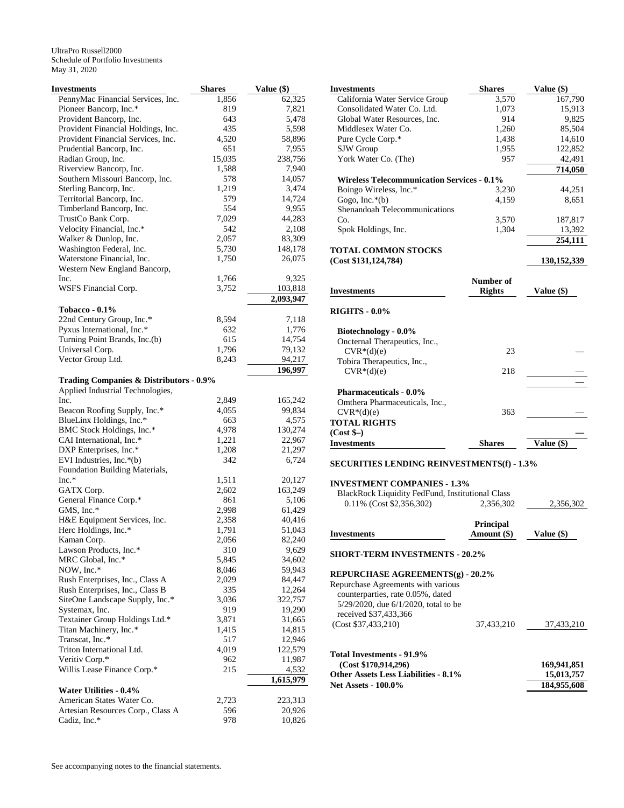| Investments                                                    | <b>Shares</b>   | Value (\$)        |
|----------------------------------------------------------------|-----------------|-------------------|
| PennyMac Financial Services, Inc.                              | 1,856           | 62,325            |
| Pioneer Bancorp, Inc.*                                         | 819             | 7,821             |
| Provident Bancorp, Inc.                                        | 643             | 5,478             |
| Provident Financial Holdings, Inc.                             | 435             | 5,598             |
| Provident Financial Services, Inc.                             | 4,520           | 58,896            |
| Prudential Bancorp, Inc.                                       | 651             | 7,955             |
| Radian Group, Inc.<br>Riverview Bancorp, Inc.                  | 15,035<br>1,588 | 238,756<br>7,940  |
| Southern Missouri Bancorp, Inc.                                | 578             | 14,057            |
| Sterling Bancorp, Inc.                                         | 1,219           | 3,474             |
| Territorial Bancorp, Inc.                                      | 579             | 14,724            |
| Timberland Bancorp, Inc.                                       | 554             | 9,955             |
| TrustCo Bank Corp.                                             | 7,029           | 44,283            |
| Velocity Financial, Inc.*                                      | 542             | 2,108             |
| Walker & Dunlop, Inc.                                          | 2,057           | 83,309            |
| Washington Federal, Inc.                                       | 5,730           | 148,178           |
| Waterstone Financial, Inc.                                     | 1,750           | 26,075            |
| Western New England Bancorp,                                   |                 |                   |
| Inc.                                                           | 1,766           | 9,325             |
| WSFS Financial Corp.                                           | 3,752           | 103,818           |
|                                                                |                 | 2,093,947         |
| Tobacco - $0.1\%$                                              |                 |                   |
| 22nd Century Group, Inc.*                                      | 8,594           | 7,118             |
| Pyxus International, Inc.*                                     | 632             | 1,776             |
| Turning Point Brands, Inc.(b)                                  | 615             | 14,754            |
| Universal Corp.                                                | 1,796           | 79,132            |
| Vector Group Ltd.                                              | 8,243           | 94,217<br>196,997 |
| Trading Companies & Distributors - 0.9%                        |                 |                   |
| Applied Industrial Technologies,                               |                 |                   |
| Inc.                                                           | 2,849           | 165,242           |
| Beacon Roofing Supply, Inc.*                                   | 4,055           | 99,834            |
| BlueLinx Holdings, Inc.*                                       | 663             | 4,575             |
| BMC Stock Holdings, Inc.*                                      | 4,978           | 130,274           |
| CAI International, Inc.*                                       | 1,221           | 22,967            |
| DXP Enterprises, Inc.*                                         | 1,208           | 21,297            |
| EVI Industries, Inc.*(b)                                       | 342             | 6,724             |
| Foundation Building Materials,                                 |                 |                   |
| $Inc.*$                                                        | 1,511           | 20,127            |
| GATX Corp.                                                     | 2,602           | 163,249           |
| General Finance Corp.*                                         | 861             | 5,106             |
| GMS, Inc.*                                                     | 2,998           | 61,429            |
| H&E Equipment Services, Inc.                                   | 2,358           | 40,416            |
| Herc Holdings, Inc.*                                           | 1,791<br>2,056  | 51,043            |
| Kaman Corp.<br>Lawson Products, Inc.*                          | 310             | 82,240<br>9,629   |
| MRC Global, Inc.*                                              | 5,845           | 34,602            |
| NOW, Inc.*                                                     | 8,046           | 59,943            |
| Rush Enterprises, Inc., Class A                                | 2,029           | 84,447            |
| Rush Enterprises, Inc., Class B                                | 335             | 12,264            |
| SiteOne Landscape Supply, Inc.*                                | 3,036           | 322,757           |
| Systemax, Inc.                                                 | 919             | 19,290            |
| Textainer Group Holdings Ltd.*                                 | 3,871           | 31,665            |
| Titan Machinery, Inc.*                                         | 1,415           | 14,815            |
| Transcat, Inc.*                                                | 517             | 12,946            |
| Triton International Ltd.                                      | 4,019           | 122,579           |
| Veritiv Corp.*                                                 | 962             | 11,987            |
| Willis Lease Finance Corp.*                                    | 215             | 4,532             |
|                                                                |                 | 1,615,979         |
| <b>Water Utilities - 0.4%</b>                                  |                 |                   |
| American States Water Co.<br>Artesian Resources Corp., Class A | 2,723<br>596    | 223,313<br>20,926 |
| Cadiz, Inc.*                                                   | 978             | 10,826            |
|                                                                |                 |                   |

| ie (\$)   | Investments                                       | <b>Shares</b>    | Value (\$)  |
|-----------|---------------------------------------------------|------------------|-------------|
| 62,325    | California Water Service Group                    | 3,570            | 167,790     |
| 7,821     | Consolidated Water Co. Ltd.                       | 1,073            | 15,913      |
| 5,478     | Global Water Resources, Inc.                      | 914              | 9,825       |
| 5,598     | Middlesex Water Co.                               | 1,260            | 85,504      |
| 58,896    | Pure Cycle Corp.*                                 | 1,438            | 14,610      |
| 7,955     | SJW Group                                         | 1,955            | 122,852     |
| 238,756   | York Water Co. (The)                              | 957              | 42,491      |
| 7,940     |                                                   |                  | 714,050     |
| 14,057    | <b>Wireless Telecommunication Services - 0.1%</b> |                  |             |
| 3,474     |                                                   |                  |             |
| 14,724    | Boingo Wireless, Inc.*                            | 3,230            | 44,251      |
| 9,955     | Gogo, Inc. $*(b)$                                 | 4,159            | 8,651       |
|           | Shenandoah Telecommunications                     |                  |             |
| 44,283    | Co.                                               | 3,570            | 187,817     |
| 2,108     | Spok Holdings, Inc.                               | 1,304            | 13,392      |
| 83,309    |                                                   |                  | 254,111     |
| 148,178   | <b>TOTAL COMMON STOCKS</b>                        |                  |             |
| 26,075    | (Cost \$131, 124, 784)                            |                  | 130,152,339 |
|           |                                                   |                  |             |
| 9,325     |                                                   | Number of        |             |
| 103,818   | <b>Investments</b>                                | <b>Rights</b>    | Value (\$)  |
| 2,093,947 |                                                   |                  |             |
|           | <b>RIGHTS - 0.0%</b>                              |                  |             |
| 7,118     |                                                   |                  |             |
| 1,776     | Biotechnology - 0.0%                              |                  |             |
| 14,754    | Oncternal Therapeutics, Inc.,                     |                  |             |
| 79,132    | $CVR*(d)(e)$                                      | 23               |             |
| 94,217    | Tobira Therapeutics, Inc.,                        |                  |             |
| 196,997   | $CVR*(d)(e)$                                      | 218              |             |
|           |                                                   |                  |             |
|           |                                                   |                  |             |
| 165,242   | <b>Pharmaceuticals - 0.0%</b>                     |                  |             |
| 99,834    | Omthera Pharmaceuticals, Inc.,                    |                  |             |
| 4,575     | $CVR*(d)(e)$                                      | 363              |             |
| 130,274   | <b>TOTAL RIGHTS</b>                               |                  |             |
|           | $(Cost$ \$-)                                      |                  |             |
| 22,967    | <b>Investments</b>                                | <b>Shares</b>    | Value (\$)  |
| 21,297    |                                                   |                  |             |
| 6,724     | <b>SECURITIES LENDING REINVESTMENTS(f) - 1.3%</b> |                  |             |
|           |                                                   |                  |             |
| 20,127    | <b>INVESTMENT COMPANIES - 1.3%</b>                |                  |             |
| 163,249   | BlackRock Liquidity FedFund, Institutional Class  |                  |             |
| 5,106     | 0.11% (Cost \$2,356,302)                          | 2,356,302        | 2,356,302   |
| 61,429    |                                                   |                  |             |
| 40,416    |                                                   | <b>Principal</b> |             |
| 51,043    | <b>Investments</b>                                | Amount (\$)      | Value (\$)  |
| 82,240    |                                                   |                  |             |
| 9,629     | <b>SHORT-TERM INVESTMENTS - 20.2%</b>             |                  |             |
| 34,602    |                                                   |                  |             |
| 59,943    | REPURCHASE AGREEMENTS(g) - 20.2%                  |                  |             |
| 84,447    |                                                   |                  |             |
| 12,264    | Repurchase Agreements with various                |                  |             |
| 322,757   | counterparties, rate 0.05%, dated                 |                  |             |
| 19,290    | 5/29/2020, due 6/1/2020, total to be              |                  |             |
| 31,665    | received \$37,433,366                             |                  |             |
| 14,815    | (Cost \$37,433,210)                               | 37,433,210       | 37,433,210  |
| 12,946    |                                                   |                  |             |
| 122,579   |                                                   |                  |             |
|           | Total Investments - 91.9%                         |                  |             |
| 11,987    | (Cost \$170,914,296)                              |                  | 169,941,851 |
| 4,532     | $4a$ L and L $3a$ , $124$ , $a$ D $10/$           |                  | $E$ 012.757 |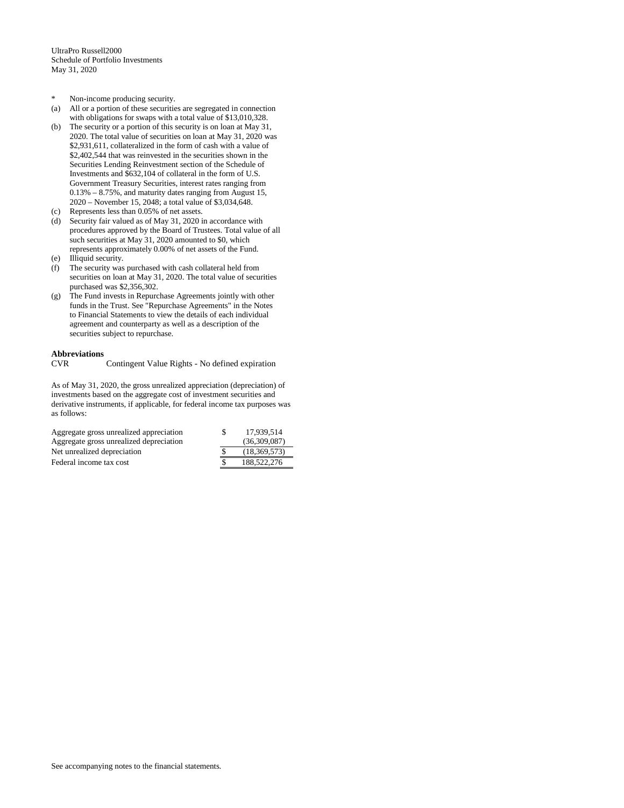- \* Non-income producing security.
- (a) All or a portion of these securities are segregated in connection with obligations for swaps with a total value of \$13,010,328.
- (b) The security or a portion of this security is on loan at May 31, 2020. The total value of securities on loan at May 31, 2020 was \$2,931,611, collateralized in the form of cash with a value of \$2,402,544 that was reinvested in the securities shown in the Securities Lending Reinvestment section of the Schedule of Investments and \$632,104 of collateral in the form of U.S. Government Treasury Securities, interest rates ranging from 0.13% – 8.75%, and maturity dates ranging from August 15, 2020 – November 15, 2048; a total value of \$3,034,648.
- (c) Represents less than 0.05% of net assets.
- (d) Security fair valued as of May 31, 2020 in accordance with procedures approved by the Board of Trustees. Total value of all such securities at May 31, 2020 amounted to \$0, which represents approximately 0.00% of net assets of the Fund.
- (e) Illiquid security.
- (f) The security was purchased with cash collateral held from securities on loan at May 31, 2020. The total value of securities purchased was \$2,356,302.
- (g) The Fund invests in Repurchase Agreements jointly with other funds in the Trust. See "Repurchase Agreements" in the Notes to Financial Statements to view the details of each individual agreement and counterparty as well as a description of the securities subject to repurchase.

**Abbreviations**  Contingent Value Rights - No defined expiration

As of May 31, 2020, the gross unrealized appreciation (depreciation) of investments based on the aggregate cost of investment securities and derivative instruments, if applicable, for federal income tax purposes was as follows:

| Aggregate gross unrealized appreciation | <b>S</b> | 17.939.514   |
|-----------------------------------------|----------|--------------|
| Aggregate gross unrealized depreciation |          | (36,309,087) |
| Net unrealized depreciation             |          | (18.369.573) |
| Federal income tax cost                 |          | 188,522,276  |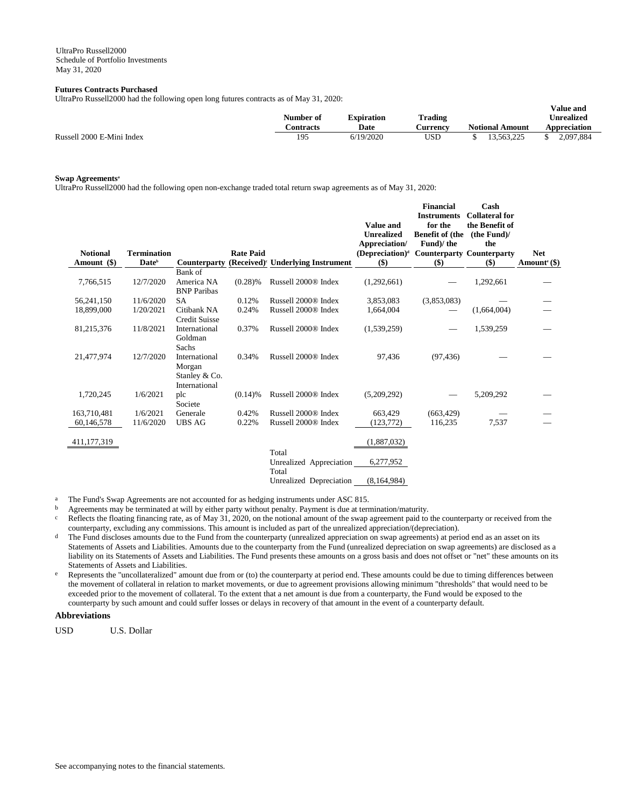## **Futures Contracts Purchased**

UltraPro Russell2000 had the following open long futures contracts as of May 31, 2020:

|                           | Number of | <b>Expiration</b> | <b>Trading</b> |                        | v alue allu<br><b>Unrealized</b> |
|---------------------------|-----------|-------------------|----------------|------------------------|----------------------------------|
|                           | `ontracts | Date              | ∴urrencv       | <b>Notional Amount</b> | Appreciation                     |
| Russell 2000 E-Mini Index | 195       | 6/19/2020         | USD            | 13.563.225             | 2.097.884                        |

**Value and** 

## **Swap Agreements<sup>a</sup>**

UltraPro Russell2000 had the following open non-exchange traded total return swap agreements as of May 31, 2020:

| <b>Notional</b> | <b>Termination</b> |                        | <b>Rate Paid</b> |                                      | <b>Value and</b><br><b>Unrealized</b><br>Appreciation/<br>(Depreciation) <sup>d</sup> | <b>Financial</b><br><b>Instruments</b><br>for the<br><b>Benefit of (the</b><br>Fund)/the<br><b>Counterparty Counterparty</b> | Cash<br><b>Collateral for</b><br>the Benefit of<br>(the Fund)<br>the | <b>Net</b>               |
|-----------------|--------------------|------------------------|------------------|--------------------------------------|---------------------------------------------------------------------------------------|------------------------------------------------------------------------------------------------------------------------------|----------------------------------------------------------------------|--------------------------|
| Amount (\$)     | Date <sup>b</sup>  | <b>Counterparty</b>    |                  | $(Received)^c$ Underlying Instrument | \$)                                                                                   | \$)                                                                                                                          | \$)                                                                  | Amount <sup>e</sup> (\$) |
|                 |                    | Bank of                |                  |                                      |                                                                                       |                                                                                                                              |                                                                      |                          |
| 7,766,515       | 12/7/2020          | America NA             | (0.28)%          | Russell 2000 <sup>®</sup> Index      | (1,292,661)                                                                           |                                                                                                                              | 1,292,661                                                            |                          |
|                 |                    | <b>BNP</b> Paribas     |                  |                                      |                                                                                       |                                                                                                                              |                                                                      |                          |
| 56,241,150      | 11/6/2020          | <b>SA</b>              | 0.12%            | Russell 2000 <sup>®</sup> Index      | 3,853,083                                                                             | (3,853,083)                                                                                                                  |                                                                      |                          |
| 18,899,000      | 1/20/2021          | Citibank NA            | 0.24%            | Russell 2000® Index                  | 1,664,004                                                                             |                                                                                                                              | (1,664,004)                                                          |                          |
|                 |                    | <b>Credit Suisse</b>   |                  |                                      |                                                                                       |                                                                                                                              |                                                                      |                          |
| 81,215,376      | 11/8/2021          | International          | 0.37%            | Russell 2000® Index                  | (1,539,259)                                                                           |                                                                                                                              | 1,539,259                                                            |                          |
|                 |                    | Goldman                |                  |                                      |                                                                                       |                                                                                                                              |                                                                      |                          |
| 21,477,974      | 12/7/2020          | Sachs<br>International | 0.34%            | Russell 2000® Index                  | 97,436                                                                                | (97, 436)                                                                                                                    |                                                                      |                          |
|                 |                    | Morgan                 |                  |                                      |                                                                                       |                                                                                                                              |                                                                      |                          |
|                 |                    | Stanley & Co.          |                  |                                      |                                                                                       |                                                                                                                              |                                                                      |                          |
|                 |                    | International          |                  |                                      |                                                                                       |                                                                                                                              |                                                                      |                          |
| 1,720,245       | 1/6/2021           | plc                    | $(0.14)$ %       | Russell 2000 <sup>®</sup> Index      | (5,209,292)                                                                           |                                                                                                                              | 5,209,292                                                            |                          |
|                 |                    | Societe                |                  |                                      |                                                                                       |                                                                                                                              |                                                                      |                          |
| 163,710,481     | 1/6/2021           | Generale               | 0.42%            | Russell 2000® Index                  | 663.429                                                                               | (663, 429)                                                                                                                   |                                                                      |                          |
| 60,146,578      | 11/6/2020          | <b>UBS AG</b>          | 0.22%            | Russell 2000® Index                  | (123, 772)                                                                            | 116,235                                                                                                                      | 7,537                                                                |                          |
|                 |                    |                        |                  |                                      |                                                                                       |                                                                                                                              |                                                                      |                          |
| 411, 177, 319   |                    |                        |                  |                                      | (1,887,032)                                                                           |                                                                                                                              |                                                                      |                          |
|                 |                    |                        |                  | Total                                |                                                                                       |                                                                                                                              |                                                                      |                          |
|                 |                    |                        |                  | Unrealized Appreciation              | 6,277,952                                                                             |                                                                                                                              |                                                                      |                          |
|                 |                    |                        |                  | Total                                |                                                                                       |                                                                                                                              |                                                                      |                          |
|                 |                    |                        |                  | Unrealized Depreciation              | (8,164,984)                                                                           |                                                                                                                              |                                                                      |                          |

<sup>a</sup> The Fund's Swap Agreements are not accounted for as hedging instruments under ASC 815.

b Agreements may be terminated at will by either party without penalty. Payment is due at termination/maturity.

- $c$  Reflects the floating financing rate, as of May 31, 2020, on the notional amount of the swap agreement paid to the counterparty or received from the counterparty, excluding any commissions. This amount is included as part of the unrealized appreciation/(depreciation).
- The Fund discloses amounts due to the Fund from the counterparty (unrealized appreciation on swap agreements) at period end as an asset on its Statements of Assets and Liabilities. Amounts due to the counterparty from the Fund (unrealized depreciation on swap agreements) are disclosed as a liability on its Statements of Assets and Liabilities. The Fund presents these amounts on a gross basis and does not offset or "net" these amounts on its Statements of Assets and Liabilities.
- e Represents the "uncollateralized" amount due from or (to) the counterparty at period end. These amounts could be due to timing differences between the movement of collateral in relation to market movements, or due to agreement provisions allowing minimum "thresholds" that would need to be exceeded prior to the movement of collateral. To the extent that a net amount is due from a counterparty, the Fund would be exposed to the counterparty by such amount and could suffer losses or delays in recovery of that amount in the event of a counterparty default.

# **Abbreviations**

USD U.S. Dollar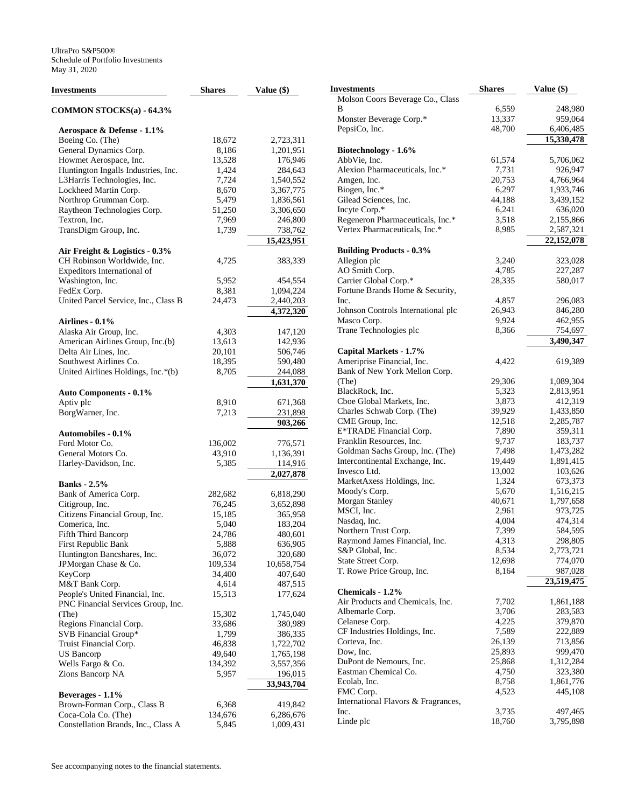| <b>Investments</b>                       | <b>Shares</b>    | Value (\$)           |
|------------------------------------------|------------------|----------------------|
| <b>COMMON STOCKS(a) - 64.3%</b>          |                  |                      |
| Aerospace & Defense - 1.1%               |                  |                      |
| Boeing Co. (The)                         | 18,672           | 2,723,311            |
| General Dynamics Corp.                   | 8,186            | 1,201,951            |
| Howmet Aerospace, Inc.                   | 13,528           | 176,946              |
| Huntington Ingalls Industries, Inc.      | 1,424            | 284,643              |
| L3Harris Technologies, Inc.              | 7,724            | 1,540,552            |
| Lockheed Martin Corp.                    | 8,670            | 3,367,775            |
| Northrop Grumman Corp.                   | 5,479            | 1,836,561            |
| Raytheon Technologies Corp.              | 51,250           | 3,306,650            |
| Textron, Inc.                            | 7,969            | 246,800              |
| TransDigm Group, Inc.                    | 1,739            | 738,762              |
|                                          |                  | 15,423,951           |
| Air Freight & Logistics - 0.3%           |                  |                      |
| CH Robinson Worldwide, Inc.              | 4,725            | 383,339              |
| Expeditors International of              |                  |                      |
| Washington, Inc.                         | 5,952            | 454,554              |
| FedEx Corp.                              | 8,381            | 1,094,224            |
| United Parcel Service, Inc., Class B     | 24,473           | 2,440,203            |
|                                          |                  | 4,372,320            |
| <b>Airlines - 0.1%</b>                   |                  |                      |
| Alaska Air Group, Inc.                   | 4,303            | 147,120              |
| American Airlines Group, Inc.(b)         | 13,613           | 142,936              |
| Delta Air Lines, Inc.                    | 20,101           | 506,746              |
| Southwest Airlines Co.                   | 18,395           | 590,480              |
| United Airlines Holdings, Inc.*(b)       | 8,705            | 244,088              |
|                                          |                  |                      |
| <b>Auto Components - 0.1%</b>            |                  | 1,631,370            |
| Aptiv plc                                | 8,910            | 671,368              |
| BorgWarner, Inc.                         | 7,213            |                      |
|                                          |                  | 231,898<br>903,266   |
| <b>Automobiles - 0.1%</b>                |                  |                      |
| Ford Motor Co.                           | 136,002          | 776,571              |
| General Motors Co.                       | 43,910           | 1,136,391            |
| Harley-Davidson, Inc.                    | 5,385            | 114,916              |
|                                          |                  | 2,027,878            |
| <b>Banks</b> - 2.5%                      |                  |                      |
|                                          |                  |                      |
| Bank of America Corp.<br>Citigroup, Inc. | 282,682          | 6,818,290            |
| Citizens Financial Group, Inc.           | 76,245<br>15,185 | 3,652,898<br>365,958 |
| Comerica, Inc.                           | 5,040            | 183,204              |
| Fifth Third Bancorp                      | 24,786           | 480,601              |
|                                          |                  | 636,905              |
| First Republic Bank                      | 5,888            |                      |
| Huntington Bancshares, Inc.              | 36,072           | 320,680              |
| JPMorgan Chase & Co.<br>KeyCorp          | 109,534          | 10,658,754           |
|                                          | 34,400           | 407,640              |
| M&T Bank Corp.                           | 4,614            | 487,515              |
| People's United Financial, Inc.          | 15,513           | 177,624              |
| PNC Financial Services Group, Inc.       |                  |                      |
| (The)                                    | 15,302           | 1,745,040            |
| Regions Financial Corp.                  | 33,686           | 380,989              |
| SVB Financial Group*                     | 1,799            | 386,335              |
| Truist Financial Corp.                   | 46,838           | 1,722,702            |
| US Bancorp                               | 49,640           | 1,765,198            |
| Wells Fargo & Co.                        | 134,392          | 3,557,356            |
| Zions Bancorp NA                         | 5,957            | 196,015              |
|                                          |                  | 33,943,704           |
| Beverages - 1.1%                         |                  |                      |
| Brown-Forman Corp., Class B              | 6,368            | 419,842              |
| Coca-Cola Co. (The)                      | 134,676          | 6,286,676            |
| Constellation Brands, Inc., Class A      | 5,845            | 1,009,431            |

| Investments                            | <b>Shares</b> | Value (\$) |
|----------------------------------------|---------------|------------|
| Molson Coors Beverage Co., Class       |               |            |
| В                                      | 6,559         | 248,980    |
| Monster Beverage Corp.*                | 13,337        | 959,064    |
| PepsiCo, Inc.                          | 48,700        | 6,406,485  |
|                                        |               | 15,330,478 |
| Biotechnology - 1.6%                   |               |            |
| AbbVie, Inc.                           | 61,574        | 5,706,062  |
| Alexion Pharmaceuticals, Inc.*         | 7,731         | 926,947    |
| Amgen, Inc.                            | 20,753        | 4,766,964  |
| Biogen, Inc.*                          | 6,297         | 1,933,746  |
| Gilead Sciences, Inc.                  | 44,188        | 3,439,152  |
| Incyte Corp.*                          | 6,241         | 636,020    |
| Regeneron Pharmaceuticals, Inc.*       | 3,518         | 2,155,866  |
| Vertex Pharmaceuticals, Inc.*          | 8,985         | 2,587,321  |
|                                        |               | 22,152,078 |
| <b>Building Products - 0.3%</b>        |               |            |
| Allegion plc                           | 3,240         | 323,028    |
| AO Smith Corp.                         | 4,785         | 227,287    |
| Carrier Global Corp.*                  | 28,335        | 580,017    |
| Fortune Brands Home & Security,        |               |            |
| Inc.                                   | 4,857         | 296,083    |
| Johnson Controls International plc     | 26,943        | 846,280    |
| Masco Corp.                            | 9,924         | 462,955    |
| Trane Technologies plc                 | 8,366         | 754,697    |
|                                        |               | 3,490,347  |
| Capital Markets - 1.7%                 |               |            |
| Ameriprise Financial, Inc.             | 4,422         | 619,389    |
| Bank of New York Mellon Corp.<br>(The) | 29,306        | 1,089,304  |
| BlackRock, Inc.                        | 5,323         | 2,813,951  |
| Cboe Global Markets, Inc.              | 3,873         | 412,319    |
| Charles Schwab Corp. (The)             | 39,929        | 1,433,850  |
| CME Group, Inc.                        | 12,518        | 2,285,787  |
| E*TRADE Financial Corp.                | 7,890         | 359,311    |
| Franklin Resources, Inc.               | 9,737         | 183,737    |
| Goldman Sachs Group, Inc. (The)        | 7,498         | 1,473,282  |
| Intercontinental Exchange, Inc.        | 19,449        | 1,891,415  |
| Invesco Ltd.                           | 13,002        | 103,626    |
| MarketAxess Holdings, Inc.             | 1,324         | 673,373    |
| Moody's Corp.                          | 5,670         | 1,516,215  |
| Morgan Stanley                         | 40,671        | 1,797,658  |
| MSCI, Inc.                             | 2,961         | 973,725    |
| Nasdaq, Inc.                           | 4,004         | 474,314    |
| Northern Trust Corp.                   | 7,399         | 584,595    |
| Raymond James Financial, Inc.          | 4,313         | 298,805    |
| S&P Global, Inc.                       | 8,534         | 2,773,721  |
| State Street Corp.                     | 12,698        | 774,070    |
| T. Rowe Price Group, Inc.              | 8,164         | 987,028    |
|                                        |               | 23,519,475 |
| Chemicals - 1.2%                       |               |            |
| Air Products and Chemicals, Inc.       | 7,702         | 1,861,188  |
| Albemarle Corp.                        | 3,706         | 283,583    |
| Celanese Corp.                         | 4,225         | 379,870    |
| CF Industries Holdings, Inc.           | 7,589         | 222,889    |
| Corteva, Inc.                          | 26,139        | 713,856    |
| Dow, Inc.                              | 25,893        | 999,470    |
| DuPont de Nemours, Inc.                | 25,868        | 1,312,284  |
| Eastman Chemical Co.                   | 4,750         | 323,380    |
| Ecolab, Inc.                           | 8,758         | 1,861,776  |
| FMC Corp.                              | 4,523         | 445,108    |
| International Flavors & Fragrances,    |               |            |
| Inc.                                   | 3,735         | 497,465    |
| Linde plc                              | 18,760        | 3,795,898  |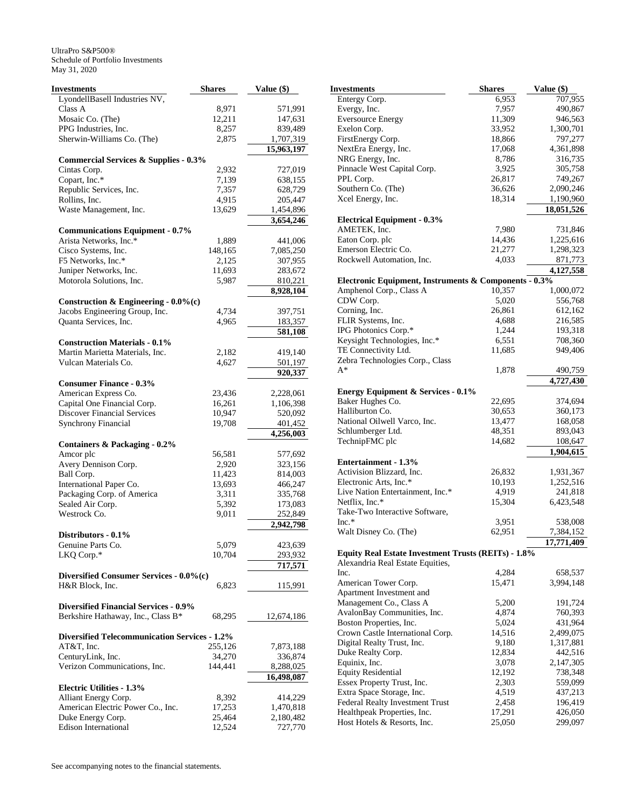| Investments                                              | <b>Shares</b>    | Value (\$)             |
|----------------------------------------------------------|------------------|------------------------|
| LyondellBasell Industries NV,                            |                  |                        |
| Class A                                                  | 8,971            | 571,991                |
| Mosaic Co. (The)                                         | 12,211           | 147,631                |
| PPG Industries, Inc.                                     | 8,257            | 839,489                |
| Sherwin-Williams Co. (The)                               | 2,875            | 1,707,319              |
|                                                          |                  | 15,963,197             |
| <b>Commercial Services &amp; Supplies - 0.3%</b>         |                  |                        |
| Cintas Corp.                                             | 2,932            | 727,019                |
| Copart, Inc.*                                            | 7,139            | 638,155                |
| Republic Services, Inc.                                  | 7,357            | 628,729                |
| Rollins, Inc.                                            | 4,915            | 205,447                |
| Waste Management, Inc.                                   | 13,629           | 1,454,896<br>3,654,246 |
| <b>Communications Equipment - 0.7%</b>                   |                  |                        |
| Arista Networks, Inc.*                                   | 1,889            | 441,006                |
| Cisco Systems, Inc.                                      | 148,165          | 7,085,250              |
| F5 Networks, Inc.*                                       | 2,125            | 307,955                |
| Juniper Networks, Inc.                                   | 11,693           | 283,672                |
| Motorola Solutions, Inc.                                 | 5,987            | 810,221                |
|                                                          |                  | 8,928,104              |
| Construction & Engineering - $0.0\%$ (c)                 |                  |                        |
| Jacobs Engineering Group, Inc.                           | 4,734            | 397,751                |
| Quanta Services, Inc.                                    | 4,965            | 183,357                |
|                                                          |                  | 581,108                |
| <b>Construction Materials - 0.1%</b>                     |                  |                        |
| Martin Marietta Materials, Inc.                          | 2,182            | 419,140                |
| Vulcan Materials Co.                                     | 4,627            | 501,197                |
|                                                          |                  | 920,337                |
| <b>Consumer Finance - 0.3%</b>                           |                  |                        |
| American Express Co.<br>Capital One Financial Corp.      | 23,436<br>16,261 | 2,228,061              |
| <b>Discover Financial Services</b>                       |                  | 1,106,398              |
|                                                          | 10,947<br>19,708 | 520,092                |
| <b>Synchrony Financial</b>                               |                  | 401,452<br>4,256,003   |
| <b>Containers &amp; Packaging - 0.2%</b>                 |                  |                        |
| Amcor plc                                                | 56,581           | 577,692                |
| Avery Dennison Corp.                                     | 2,920            | 323,156                |
| Ball Corp.                                               | 11,423           | 814,003                |
| International Paper Co.                                  | 13,693           | 466,247                |
| Packaging Corp. of America                               | 3,311            | 335,768                |
| Sealed Air Corp.                                         | 5,392            | 173,083                |
| Westrock Co.                                             | 9,011            | 252,849                |
|                                                          |                  | 2,942,798              |
| Distributors - 0.1%                                      |                  |                        |
| Genuine Parts Co.                                        | 5,079            | 423,639                |
| LKQ Corp.*                                               | 10,704           | 293,932                |
|                                                          |                  | 717,571                |
| Diversified Consumer Services - 0.0%(c)                  |                  |                        |
| H&R Block, Inc.                                          | 6,823            | 115,991                |
| <b>Diversified Financial Services - 0.9%</b>             |                  |                        |
| Berkshire Hathaway, Inc., Class B*                       | 68,295           | 12,674,186             |
|                                                          |                  |                        |
| <b>Diversified Telecommunication Services - 1.2%</b>     |                  |                        |
| AT&T, Inc.                                               | 255,126          | 7,873,188              |
| CenturyLink, Inc.                                        | 34,270           | 336,874                |
| Verizon Communications, Inc.                             | 144,441          | 8,288,025              |
|                                                          |                  | 16,498,087             |
| <b>Electric Utilities - 1.3%</b><br>Alliant Energy Corp. | 8,392            | 414,229                |
| American Electric Power Co., Inc.                        | 17,253           | 1,470,818              |
| Duke Energy Corp.                                        | 25,464           | 2,180,482              |
| <b>Edison International</b>                              | 12,524           | 727,770                |
|                                                          |                  |                        |

| Investments                                           | <b>Shares</b> | Value (\$) |
|-------------------------------------------------------|---------------|------------|
| Entergy Corp.                                         | 6,953         | 707,955    |
| Evergy, Inc.                                          | 7,957         | 490,867    |
| <b>Eversource Energy</b>                              | 11,309        | 946,563    |
| Exelon Corp.                                          | 33,952        | 1,300,701  |
| FirstEnergy Corp.                                     | 18,866        | 797,277    |
| NextEra Energy, Inc.                                  | 17,068        | 4,361,898  |
| NRG Energy, Inc.                                      | 8,786         | 316,735    |
| Pinnacle West Capital Corp.                           | 3,925         | 305,758    |
| PPL Corp.                                             | 26,817        | 749,267    |
| Southern Co. (The)                                    | 36,626        | 2,090,246  |
| Xcel Energy, Inc.                                     | 18,314        | 1,190,960  |
|                                                       |               | 18,051,526 |
| <b>Electrical Equipment - 0.3%</b>                    |               |            |
| AMETEK, Inc.                                          | 7,980         | 731,846    |
| Eaton Corp. plc                                       | 14,436        | 1,225,616  |
| Emerson Electric Co.                                  | 21,277        | 1,298,323  |
| Rockwell Automation, Inc.                             | 4,033         | 871,773    |
|                                                       |               | 4,127,558  |
| Electronic Equipment, Instruments & Components - 0.3% |               |            |
| Amphenol Corp., Class A                               | 10,357        | 1,000,072  |
| CDW Corp.                                             | 5,020         | 556,768    |
| Corning, Inc.                                         | 26,861        | 612,162    |
| FLIR Systems, Inc.                                    | 4,688         | 216,585    |
| IPG Photonics Corp.*                                  | 1,244         | 193,318    |
| Keysight Technologies, Inc.*                          | 6,551         | 708,360    |
| TE Connectivity Ltd.                                  | 11,685        | 949,406    |
| Zebra Technologies Corp., Class                       |               |            |
| $A^*$                                                 | 1,878         | 490,759    |
|                                                       |               | 4,727,430  |
| <b>Energy Equipment &amp; Services - 0.1%</b>         |               |            |
| Baker Hughes Co.                                      | 22,695        | 374,694    |
| Halliburton Co.                                       | 30,653        | 360,173    |
| National Oilwell Varco, Inc.                          | 13,477        | 168,058    |
| Schlumberger Ltd.                                     | 48,351        | 893,043    |
| TechnipFMC plc                                        | 14,682        | 108,647    |
|                                                       |               | 1,904,615  |
| <b>Entertainment - 1.3%</b>                           |               |            |
| Activision Blizzard, Inc.                             | 26,832        | 1,931,367  |
| Electronic Arts, Inc.*                                | 10,193        | 1,252,516  |
| Live Nation Entertainment, Inc.*                      | 4,919         | 241,818    |
| Netflix, Inc.*                                        | 15,304        | 6,423,548  |
| Take-Two Interactive Software,                        |               |            |
| $Inc.*$                                               | 3,951         | 538,008    |
| Walt Disney Co. (The)                                 | 62,951        | 7,384,152  |
|                                                       |               | 17,771,409 |
| Equity Real Estate Investment Trusts (REITs) - 1.8%   |               |            |
| Alexandria Real Estate Equities,                      |               |            |
| Inc.                                                  | 4,284         | 658,537    |
| American Tower Corp.                                  | 15,471        | 3,994,148  |
| Apartment Investment and                              |               |            |
| Management Co., Class A                               | 5,200         | 191,724    |
| AvalonBay Communities, Inc.                           | 4,874         | 760,393    |
| Boston Properties, Inc.                               | 5,024         | 431,964    |
| Crown Castle International Corp.                      | 14,516        | 2,499,075  |
| Digital Realty Trust, Inc.                            | 9,180         | 1,317,881  |
| Duke Realty Corp.                                     | 12,834        | 442,516    |
| Equinix, Inc.                                         | 3,078         | 2,147,305  |
| <b>Equity Residential</b>                             | 12,192        | 738,348    |
| Essex Property Trust, Inc.                            | 2,303         | 559,099    |
| Extra Space Storage, Inc.                             | 4,519         | 437,213    |
| Federal Realty Investment Trust                       | 2,458         | 196,419    |
| Healthpeak Properties, Inc.                           | 17,291        | 426,050    |
| Host Hotels & Resorts, Inc.                           | 25,050        | 299,097    |
|                                                       |               |            |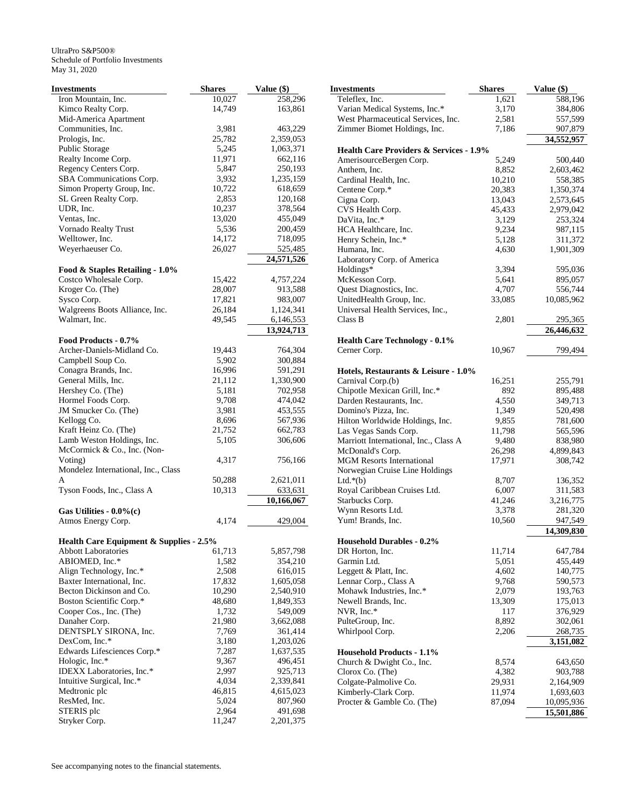| Investments                             | <b>Shares</b>  | Value (\$)           |
|-----------------------------------------|----------------|----------------------|
| Iron Mountain, Inc.                     | 10,027         | 258,296              |
| Kimco Realty Corp.                      | 14,749         | 163,861              |
| Mid-America Apartment                   |                |                      |
| Communities, Inc.                       | 3,981          | 463,229              |
| Prologis, Inc.                          | 25,782         | 2,359,053            |
| Public Storage                          | 5,245          | 1,063,371            |
| Realty Income Corp.                     | 11,971         | 662,116              |
| Regency Centers Corp.                   | 5,847          | 250,193              |
| SBA Communications Corp.                | 3,932          | 1,235,159            |
| Simon Property Group, Inc.              | 10,722         | 618,659              |
| SL Green Realty Corp.                   | 2,853          | 120,168              |
| UDR, Inc.                               | 10,237         | 378,564              |
| Ventas, Inc.                            | 13,020         | 455,049              |
| Vornado Realty Trust                    | 5,536          | 200,459              |
| Welltower, Inc.                         | 14,172         | 718,095              |
| Weyerhaeuser Co.                        | 26,027         | 525,485              |
|                                         |                | 24,571,526           |
| Food & Staples Retailing - 1.0%         |                |                      |
| Costco Wholesale Corp.                  | 15,422         | 4,757,224            |
| Kroger Co. (The)                        | 28,007         | 913,588              |
| Sysco Corp.                             | 17,821         | 983,007              |
| Walgreens Boots Alliance, Inc.          | 26,184         | 1,124,341            |
| Walmart, Inc.                           | 49,545         | 6,146,553            |
|                                         |                | 13,924,713           |
| Food Products - 0.7%                    |                |                      |
| Archer-Daniels-Midland Co.              | 19,443         | 764,304              |
| Campbell Soup Co.                       | 5,902          | 300,884              |
| Conagra Brands, Inc.                    | 16,996         | 591,291              |
| General Mills, Inc.                     | 21,112         | 1,330,900            |
| Hershey Co. (The)                       | 5,181          | 702,958              |
| Hormel Foods Corp.                      | 9,708          | 474,042              |
| JM Smucker Co. (The)                    | 3,981          | 453,555              |
| Kellogg Co.                             | 8,696          | 567,936              |
| Kraft Heinz Co. (The)                   | 21,752         | 662,783              |
| Lamb Weston Holdings, Inc.              | 5,105          | 306,606              |
| McCormick & Co., Inc. (Non-             |                |                      |
| Voting)                                 | 4,317          | 756,166              |
| Mondelez International, Inc., Class     |                |                      |
| A                                       | 50,288         | 2,621,011            |
| Tyson Foods, Inc., Class A              | 10,313         | 633,631              |
|                                         |                | 10,166,067           |
| Gas Utilities - $0.0\%$ (c)             |                |                      |
| Atmos Energy Corp.                      | 4,174          | 429,004              |
| Health Care Equipment & Supplies - 2.5% |                |                      |
| <b>Abbott Laboratories</b>              | 61,713         | 5,857,798            |
| ABIOMED, Inc.*                          | 1,582          | 354,210              |
| Align Technology, Inc.*                 | 2,508          | 616,015              |
| Baxter International, Inc.              | 17,832         | 1,605,058            |
| Becton Dickinson and Co.                | 10,290         | 2,540,910            |
| Boston Scientific Corp.*                | 48,680         | 1,849,353            |
| Cooper Cos., Inc. (The)                 | 1,732          | 549,009              |
| Danaher Corp.                           | 21,980         | 3,662,088            |
| DENTSPLY SIRONA, Inc.                   | 7,769          | 361,414              |
| DexCom, Inc.*                           | 3,180          | 1,203,026            |
| Edwards Lifesciences Corp.*             | 7,287          | 1,637,535            |
| Hologic, Inc.*                          | 9,367          | 496,451              |
| IDEXX Laboratories, Inc.*               |                |                      |
| Intuitive Surgical, Inc.*               | 2,997<br>4,034 | 925,713<br>2,339,841 |
| Medtronic plc                           | 46,815         | 4,615,023            |
| ResMed, Inc.                            | 5,024          |                      |
| STERIS plc                              | 2,964          | 807,960<br>491,698   |
| Stryker Corp.                           | 11,247         | 2,201,375            |
|                                         |                |                      |

| Investments                                                                   | <b>Shares</b>    | Value (\$)            |
|-------------------------------------------------------------------------------|------------------|-----------------------|
| Teleflex, Inc.                                                                | 1,621            | 588,196               |
| Varian Medical Systems, Inc.*                                                 | 3,170            | 384,806               |
| West Pharmaceutical Services, Inc.                                            | 2,581            | 557,599               |
| Zimmer Biomet Holdings, Inc.                                                  | 7,186            | 907,879               |
|                                                                               |                  | 34,552,957            |
| <b>Health Care Providers &amp; Services - 1.9%</b><br>AmerisourceBergen Corp. | 5,249            | 500,440               |
| Anthem, Inc.                                                                  | 8,852            | 2,603,462             |
| Cardinal Health, Inc.                                                         | 10,210           | 558,385               |
| Centene Corp.*                                                                | 20,383           | 1,350,374             |
| Cigna Corp.                                                                   | 13,043           | 2,573,645             |
| CVS Health Corp.                                                              | 45,433           | 2,979,042             |
| DaVita, Inc.*                                                                 | 3,129            | 253,324               |
| HCA Healthcare, Inc.                                                          | 9,234            | 987,115               |
| Henry Schein, Inc.*                                                           | 5,128            | 311,372               |
| Humana, Inc.                                                                  | 4,630            | 1,901,309             |
| Laboratory Corp. of America                                                   |                  |                       |
| Holdings*                                                                     | 3,394            | 595,036               |
| McKesson Corp.                                                                | 5,641            | 895,057               |
| Quest Diagnostics, Inc.                                                       | 4,707            | 556,744               |
| UnitedHealth Group, Inc.                                                      | 33,085           | 10,085,962            |
| Universal Health Services, Inc.,                                              |                  |                       |
| Class B                                                                       | 2,801            | 295,365<br>26,446,632 |
| <b>Health Care Technology - 0.1%</b>                                          |                  |                       |
| Cerner Corp.                                                                  | 10,967           | 799,494               |
|                                                                               |                  |                       |
| Hotels, Restaurants & Leisure - 1.0%                                          |                  |                       |
| Carnival Corp.(b)                                                             | 16,251           | 255,791               |
| Chipotle Mexican Grill, Inc.*                                                 | 892              | 895,488               |
| Darden Restaurants, Inc.                                                      | 4,550            | 349,713               |
| Domino's Pizza, Inc.                                                          | 1,349            | 520,498               |
| Hilton Worldwide Holdings, Inc.                                               | 9,855            | 781,600               |
| Las Vegas Sands Corp.<br>Marriott International, Inc., Class A                | 11,798           | 565,596               |
| McDonald's Corp.                                                              | 9,480            | 838,980<br>4,899,843  |
| <b>MGM Resorts International</b>                                              | 26,298<br>17,971 | 308,742               |
| Norwegian Cruise Line Holdings                                                |                  |                       |
| Ltd. $*(b)$                                                                   | 8,707            | 136,352               |
| Royal Caribbean Cruises Ltd.                                                  | 6,007            | 311,583               |
| Starbucks Corp.                                                               | 41,246           | 3,216,775             |
| Wynn Resorts Ltd.                                                             | 3,378            | 281,320               |
| Yum! Brands, Inc.                                                             | 10,560           | 947,549               |
| <b>Household Durables - 0.2%</b>                                              |                  | 14,309,830            |
| DR Horton, Inc.                                                               | 11,714           | 647,784               |
| Garmin Ltd.                                                                   | 5,051            | 455,449               |
| Leggett & Platt, Inc.                                                         | 4,602            | 140,775               |
| Lennar Corp., Class A                                                         | 9,768            | 590,573               |
| Mohawk Industries, Inc.*                                                      | 2,079            | 193,763               |
| Newell Brands, Inc.                                                           | 13,309           | 175,013               |
| NVR, Inc.*                                                                    | 117              | 376,929               |
| PulteGroup, Inc.                                                              | 8,892            | 302,061               |
| Whirlpool Corp.                                                               | 2,206            | 268,735               |
| <b>Household Products - 1.1%</b>                                              |                  | 3,151,082             |
| Church & Dwight Co., Inc.                                                     | 8,574            | 643,650               |
| Clorox Co. (The)                                                              | 4,382            | 903,788               |
| Colgate-Palmolive Co.                                                         | 29,931           | 2,164,909             |
| Kimberly-Clark Corp.                                                          | 11,974           | 1,693,603             |
| Procter & Gamble Co. (The)                                                    | 87,094           | 10,095,936            |
|                                                                               |                  | 15,501,886            |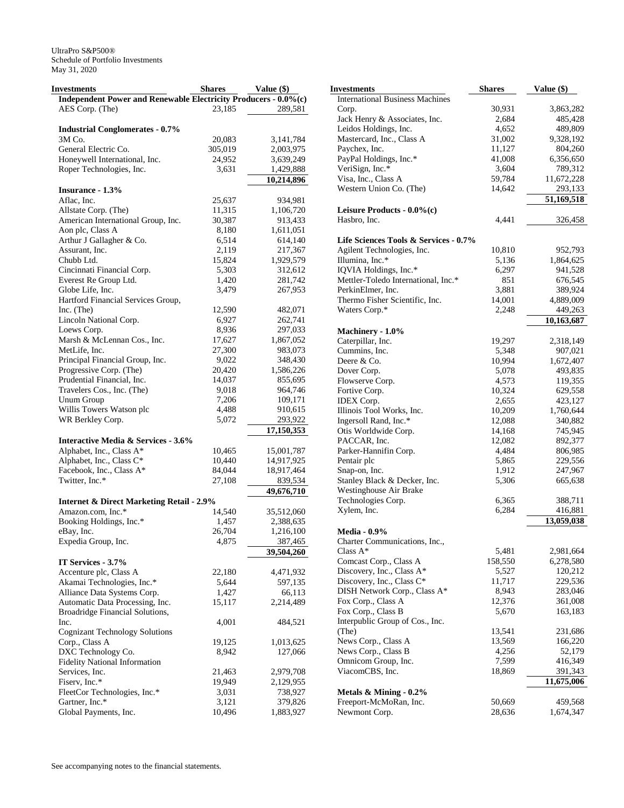| Investments                                                     | <b>Shares</b>   | Value (\$)           |
|-----------------------------------------------------------------|-----------------|----------------------|
| Independent Power and Renewable Electricity Producers - 0.0%(c) |                 |                      |
| AES Corp. (The)                                                 | 23.185          | 289,581              |
|                                                                 |                 |                      |
| <b>Industrial Conglomerates - 0.7%</b>                          |                 |                      |
| 3M Co.                                                          | 20,083          | 3, 141, 784          |
| General Electric Co.                                            | 305,019         | 2,003,975            |
| Honeywell International, Inc.                                   | 24,952          | 3,639,249            |
| Roper Technologies, Inc.                                        | 3,631           | 1,429,888            |
|                                                                 |                 | 10,214,896           |
| Insurance - 1.3%                                                |                 |                      |
| Aflac, Inc.                                                     | 25,637          | 934,981              |
| Allstate Corp. (The)                                            | 11,315          | 1,106,720            |
| American International Group, Inc.                              | 30,387          | 913,433              |
| Aon plc, Class A                                                | 8,180           | 1,611,051            |
| Arthur J Gallagher & Co.                                        | 6,514           | 614,140              |
| Assurant, Inc.                                                  | 2,119           | 217,367              |
| Chubb Ltd.                                                      | 15,824          | 1,929,579            |
| Cincinnati Financial Corp.                                      | 5,303           | 312,612              |
| Everest Re Group Ltd.                                           | 1,420           | 281,742              |
| Globe Life, Inc.                                                | 3,479           | 267,953              |
| Hartford Financial Services Group,                              |                 |                      |
| Inc. (The)                                                      | 12,590          | 482,071              |
| Lincoln National Corp.                                          | 6,927           | 262,741              |
| Loews Corp.                                                     | 8,936           | 297,033              |
| Marsh & McLennan Cos., Inc.                                     | 17,627          | 1,867,052            |
| MetLife, Inc.                                                   | 27,300          | 983,073              |
| Principal Financial Group, Inc.                                 | 9,022           | 348,430              |
| Progressive Corp. (The)                                         | 20,420          | 1,586,226            |
| Prudential Financial, Inc.                                      | 14,037          | 855,695              |
| Travelers Cos., Inc. (The)                                      | 9,018           | 964,746              |
| Unum Group                                                      | 7,206           | 109,171              |
| Willis Towers Watson plc                                        | 4,488           | 910,615              |
| WR Berkley Corp.                                                | 5,072           | 293,922              |
|                                                                 |                 | 17,150,353           |
| Interactive Media & Services - 3.6%                             |                 |                      |
| Alphabet, Inc., Class A*                                        | 10,465          | 15,001,787           |
| Alphabet, Inc., Class C*                                        | 10,440          | 14,917,925           |
| Facebook, Inc., Class A*                                        | 84,044          | 18,917,464           |
| Twitter, Inc.*                                                  | 27,108          | 839,534              |
|                                                                 |                 | 49,676,710           |
| <b>Internet &amp; Direct Marketing Retail - 2.9%</b>            |                 |                      |
| Amazon.com, Inc.*                                               | 14,540          | 35,512,060           |
| Booking Holdings, Inc.*                                         | 1,457           | 2,388,635            |
| eBay, Inc.                                                      | 26,704          | 1,216,100            |
| Expedia Group, Inc.                                             | 4,875           | <u>387,465</u>       |
|                                                                 |                 | 39,504,260           |
| IT Services - 3.7%                                              |                 |                      |
| Accenture plc, Class A                                          | 22,180          | 4,471,932            |
| Akamai Technologies, Inc.*                                      | 5,644           | 597,135              |
| Alliance Data Systems Corp.                                     | 1,427           | 66,113               |
| Automatic Data Processing, Inc.                                 | 15,117          | 2,214,489            |
| Broadridge Financial Solutions,                                 |                 |                      |
| Inc.                                                            | 4,001           | 484,521              |
| <b>Cognizant Technology Solutions</b>                           |                 |                      |
| Corp., Class A                                                  | 19,125          | 1,013,625            |
| DXC Technology Co.                                              |                 |                      |
| <b>Fidelity National Information</b>                            | 8,942           | 127,066              |
| Services, Inc.                                                  |                 | 2,979,708            |
| Fiserv, Inc.*                                                   | 21,463          |                      |
| FleetCor Technologies, Inc.*                                    | 19,949<br>3,031 | 2,129,955<br>738,927 |
| Gartner, Inc.*                                                  |                 |                      |
| Global Payments, Inc.                                           | 3,121<br>10,496 | 379,826<br>1,883,927 |
|                                                                 |                 |                      |

| <b>Investments</b>                         | <b>Shares</b> | Value (\$) |
|--------------------------------------------|---------------|------------|
| <b>International Business Machines</b>     |               |            |
| Corp.                                      | 30,931        | 3,863,282  |
| Jack Henry & Associates, Inc.              | 2,684         | 485,428    |
| Leidos Holdings, Inc.                      | 4,652         | 489,809    |
| Mastercard, Inc., Class A                  | 31,002        | 9,328,192  |
| Paychex, Inc.                              | 11,127        | 804,260    |
| PayPal Holdings, Inc.*                     | 41,008        | 6,356,650  |
| VeriSign, Inc.*                            | 3,604         | 789,312    |
| Visa, Inc., Class A                        | 59,784        | 11,672,228 |
| Western Union Co. (The)                    | 14,642        | 293,133    |
|                                            |               | 51,169,518 |
| Leisure Products - 0.0%(c)<br>Hasbro, Inc. | 4,441         | 326,458    |
|                                            |               |            |
| Life Sciences Tools & Services - 0.7%      |               |            |
| Agilent Technologies, Inc.                 | 10,810        | 952,793    |
| Illumina, Inc.*                            | 5,136         | 1,864,625  |
| IQVIA Holdings, Inc.*                      | 6,297         | 941,528    |
| Mettler-Toledo International, Inc.*        | 851           | 676,545    |
| PerkinElmer, Inc.                          | 3,881         | 389,924    |
| Thermo Fisher Scientific, Inc.             | 14,001        | 4,889,009  |
| Waters Corp.*                              | 2,248         | 449,263    |
|                                            |               | 10,163,687 |
| Machinery - 1.0%<br>Caterpillar, Inc.      | 19,297        | 2,318,149  |
| Cummins, Inc.                              | 5,348         | 907,021    |
| Deere & Co.                                | 10,994        | 1,672,407  |
| Dover Corp.                                | 5,078         | 493,835    |
| Flowserve Corp.                            | 4,573         | 119,355    |
| Fortive Corp.                              | 10,324        | 629,558    |
| <b>IDEX Corp.</b>                          | 2,655         | 423,127    |
| Illinois Tool Works, Inc.                  | 10,209        | 1,760,644  |
| Ingersoll Rand, Inc.*                      | 12,088        | 340,882    |
| Otis Worldwide Corp.                       | 14,168        | 745,945    |
| PACCAR, Inc.                               | 12,082        | 892,377    |
| Parker-Hannifin Corp.                      | 4,484         | 806,985    |
| Pentair plc                                | 5,865         | 229,556    |
| Snap-on, Inc.                              | 1,912         | 247,967    |
| Stanley Black & Decker, Inc.               | 5,306         | 665,638    |
| Westinghouse Air Brake                     |               |            |
| Technologies Corp.                         | 6,365         | 388,711    |
| Xylem, Inc.                                | 6,284         | 416,881    |
|                                            |               | 13,059,038 |
| <b>Media - 0.9%</b>                        |               |            |
| Charter Communications, Inc.,              |               |            |
| Class A*                                   | 5,481         | 2,981,664  |
| Comcast Corp., Class A                     | 158,550       | 6,278,580  |
| Discovery, Inc., Class A*                  | 5,527         | 120,212    |
| Discovery, Inc., Class C*                  | 11,717        | 229,536    |
| DISH Network Corp., Class A*               | 8,943         | 283,046    |
| Fox Corp., Class A                         | 12,376        | 361,008    |
| Fox Corp., Class B                         | 5,670         | 163,183    |
| Interpublic Group of Cos., Inc.            |               |            |
| (The)                                      | 13,541        | 231,686    |
| News Corp., Class A                        | 13,569        | 166,220    |
| News Corp., Class B                        | 4,256         | 52,179     |
| Omnicom Group, Inc.                        | 7,599         | 416,349    |
| ViacomCBS, Inc.                            | 18,869        | 391,343    |
|                                            |               | 11,675,006 |
| Metals & Mining - 0.2%                     |               |            |
| Freeport-McMoRan, Inc.                     | 50,669        | 459,568    |
| Newmont Corp.                              | 28,636        | 1,674,347  |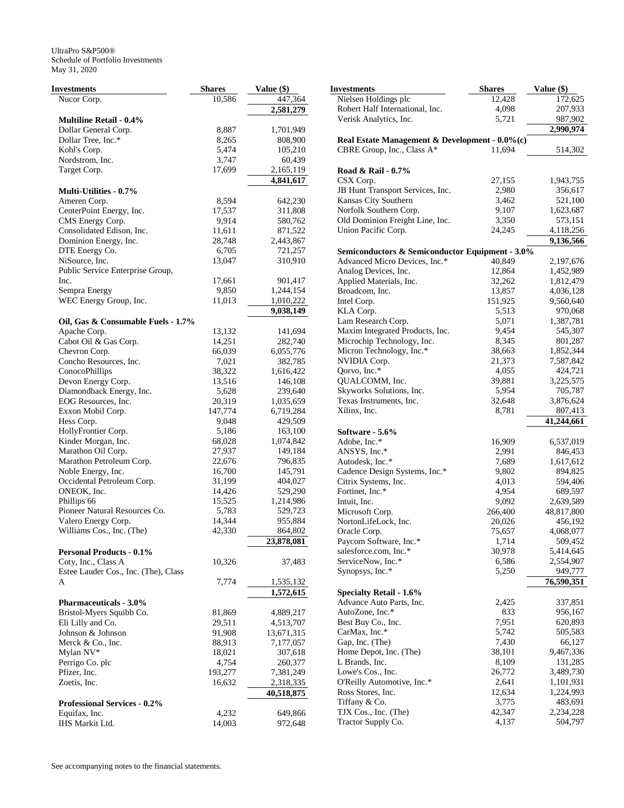| Investments                                    | <b>Shares</b>   | Value (\$)           |
|------------------------------------------------|-----------------|----------------------|
| Nucor Corp.                                    | 10,586          | 447,364              |
|                                                |                 | 2,581,279            |
| <b>Multiline Retail - 0.4%</b>                 |                 |                      |
| Dollar General Corp.                           | 8,887           | 1,701,949            |
| Dollar Tree, Inc.*                             | 8,265           | 808,900              |
| Kohl's Corp.                                   | 5,474           | 105,210              |
| Nordstrom, Inc.                                | 3,747           | 60,439               |
| Target Corp.                                   | 17,699          | 2,165,119            |
|                                                |                 | 4,841,617            |
| <b>Multi-Utilities - 0.7%</b>                  |                 |                      |
| Ameren Corp.                                   | 8,594           | 642,230              |
| CenterPoint Energy, Inc.                       | 17,537          | 311,808              |
| CMS Energy Corp.                               | 9,914           | 580,762              |
| Consolidated Edison, Inc.                      | 11,611          | 871,522              |
| Dominion Energy, Inc.                          | 28,748          | 2,443,867            |
| DTE Energy Co.                                 | 6,705           | 721,257              |
| NiSource, Inc.                                 | 13,047          | 310,910              |
| Public Service Enterprise Group,               |                 |                      |
| Inc.                                           | 17,661          | 901,417              |
| Sempra Energy                                  | 9,850           | 1,244,154            |
| WEC Energy Group, Inc.                         | 11,013          | 1,010,222            |
|                                                |                 | 9,038,149            |
| Oil, Gas & Consumable Fuels - 1.7%             |                 |                      |
| Apache Corp.                                   | 13,132          | 141,694              |
| Cabot Oil & Gas Corp.                          | 14,251          | 282,740              |
| Chevron Corp.                                  | 66,039          | 6,055,776            |
| Concho Resources, Inc.                         | 7,021           | 382,785              |
| ConocoPhillips                                 | 38,322          | 1,616,422            |
| Devon Energy Corp.<br>Diamondback Energy, Inc. | 13,516          | 146,108              |
| EOG Resources, Inc.                            | 5,628<br>20,319 | 239,640<br>1,035,659 |
| Exxon Mobil Corp.                              |                 |                      |
| Hess Corp.                                     | 147,774         | 6,719,284<br>429,509 |
| HollyFrontier Corp.                            | 9,048<br>5,186  | 163,100              |
| Kinder Morgan, Inc.                            | 68,028          | 1,074,842            |
| Marathon Oil Corp.                             | 27,937          | 149,184              |
| Marathon Petroleum Corp.                       | 22,676          | 796,835              |
| Noble Energy, Inc.                             | 16,700          | 145,791              |
| Occidental Petroleum Corp.                     | 31,199          | 404,027              |
| ONEOK, Inc.                                    | 14,426          | 529,290              |
| Phillips 66                                    | 15,525          | 1,214,986            |
| Pioneer Natural Resources Co.                  | 5,783           | 529,723              |
| Valero Energy Corp.                            | 14,344          | 955,884              |
| Williams Cos., Inc. (The)                      | 42,330          | 864,802              |
|                                                |                 | 23,878,081           |
| <b>Personal Products - 0.1%</b>                |                 |                      |
| Coty, Inc., Class A                            | 10,326          | 37,483               |
| Estee Lauder Cos., Inc. (The), Class           |                 |                      |
| A                                              | 7,774           | 1,535,132            |
|                                                |                 | 1,572,615            |
| <b>Pharmaceuticals - 3.0%</b>                  |                 |                      |
| Bristol-Myers Squibb Co.                       | 81,869          | 4,889,217            |
| Eli Lilly and Co.                              | 29,511          | 4,513,707            |
| Johnson & Johnson                              | 91,908          | 13,671,315           |
| Merck & Co., Inc.                              | 88,913          | 7,177,057            |
| Mylan NV*                                      | 18,021          | 307,618              |
| Perrigo Co. plc                                | 4,754           | 260,377              |
| Pfizer, Inc.                                   | 193,277         | 7,381,249            |
| Zoetis, Inc.                                   | 16,632          | 2,318,335            |
|                                                |                 | 40,518,875           |
| <b>Professional Services - 0.2%</b>            |                 |                      |
| Equifax, Inc.                                  | 4,232           | 649,866              |
| IHS Markit Ltd.                                | 14,003          | 972,648              |
|                                                |                 |                      |

| Investments                                     | <b>Shares</b> | Value (\$) |
|-------------------------------------------------|---------------|------------|
| Nielsen Holdings plc                            | 12,428        | 172,625    |
| Robert Half International, Inc.                 | 4,098         | 207,933    |
| Verisk Analytics, Inc.                          | 5,721         | 987,902    |
|                                                 |               | 2,990,974  |
| Real Estate Management & Development - 0.0%(c)  |               |            |
| CBRE Group, Inc., Class A*                      | 11,694        | 514,302    |
|                                                 |               |            |
| Road & Rail - 0.7%                              |               |            |
| CSX Corp.                                       | 27,155        | 1,943,755  |
| JB Hunt Transport Services, Inc.                | 2,980         | 356,617    |
| Kansas City Southern                            | 3,462         | 521,100    |
| Norfolk Southern Corp.                          | 9,107         | 1,623,687  |
| Old Dominion Freight Line, Inc.                 | 3,350         | 573,151    |
| Union Pacific Corp.                             | 24,245        | 4,118,256  |
|                                                 |               | 9,136,566  |
| Semiconductors & Semiconductor Equipment - 3.0% |               |            |
| Advanced Micro Devices, Inc.*                   | 40,849        | 2,197,676  |
| Analog Devices, Inc.                            | 12,864        | 1,452,989  |
| Applied Materials, Inc.                         | 32,262        | 1,812,479  |
| Broadcom, Inc.                                  | 13,857        | 4,036,128  |
| Intel Corp.                                     | 151,925       | 9,560,640  |
| KLA Corp.                                       | 5,513         | 970,068    |
| Lam Research Corp.                              | 5,071         | 1,387,781  |
| Maxim Integrated Products, Inc.                 | 9,454         | 545,307    |
| Microchip Technology, Inc.                      | 8,345         | 801,287    |
| Micron Technology, Inc.*                        | 38,663        | 1,852,344  |
| NVIDIA Corp.                                    | 21,373        | 7,587,842  |
| Qorvo, Inc.*                                    | 4,055         | 424,721    |
| QUALCOMM, Inc.                                  | 39,881        | 3,225,575  |
| Skyworks Solutions, Inc.                        | 5,954         | 705,787    |
| Texas Instruments, Inc.                         | 32,648        | 3,876,624  |
| Xilinx, Inc.                                    | 8,781         | 807,413    |
|                                                 |               | 41,244,661 |
| Software - 5.6%                                 |               |            |
| Adobe, Inc.*                                    | 16,909        | 6,537,019  |
| ANSYS, Inc.*                                    | 2,991         | 846,453    |
| Autodesk, Inc.*                                 | 7,689         | 1,617,612  |
| Cadence Design Systems, Inc.*                   | 9,802         | 894,825    |
| Citrix Systems, Inc.                            | 4,013         | 594,406    |
| Fortinet, Inc.*                                 | 4,954         | 689,597    |
| Intuit, Inc.                                    | 9,092         | 2,639,589  |
| Microsoft Corp.                                 | 266,400       | 48,817,800 |
| NortonLifeLock, Inc.                            | 20,026        | 456,192    |
| Oracle Corp.                                    | 75,657        | 4,068,077  |
| Paycom Software, Inc.*                          | 1,714         | 509,452    |
| salesforce.com, Inc.*                           | 30,978        | 5,414,645  |
| ServiceNow, Inc.*                               | 6,586         | 2,554,907  |
| Synopsys, Inc.*                                 | 5,250         | 949,777    |
|                                                 |               | 76,590,351 |
| <b>Specialty Retail - 1.6%</b>                  |               |            |
| Advance Auto Parts, Inc.                        | 2,425         | 337,851    |
| AutoZone, Inc.*                                 | 833           | 956,167    |
| Best Buy Co., Inc.                              | 7,951         | 620,893    |
| CarMax, Inc.*                                   | 5,742         | 505,583    |
| Gap, Inc. (The)                                 | 7,430         | 66,127     |
| Home Depot, Inc. (The)                          | 38,101        | 9,467,336  |
| L Brands, Inc.                                  | 8,109         | 131,285    |
| Lowe's Cos., Inc.                               | 26,772        | 3,489,730  |
| O'Reilly Automotive, Inc.*                      | 2,641         | 1,101,931  |
| Ross Stores, Inc.                               | 12,634        | 1,224,993  |
| Tiffany & Co.                                   | 3,775         | 483,691    |
| TJX Cos., Inc. (The)                            | 42,347        | 2,234,228  |
| Tractor Supply Co.                              | 4,137         | 504,797    |
|                                                 |               |            |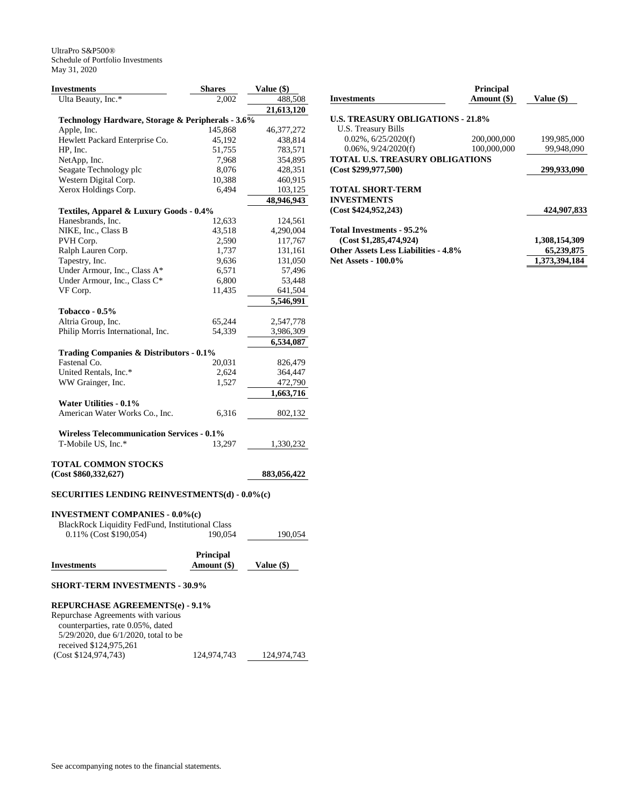| <b>Investments</b>                                   | <b>Shares</b> | Value (\$)   |
|------------------------------------------------------|---------------|--------------|
| Ulta Beauty, Inc.*                                   | 2,002         | 488,508      |
|                                                      |               | 21,613,120   |
| Technology Hardware, Storage & Peripherals - 3.6%    |               |              |
| Apple, Inc.                                          | 145,868       | 46, 377, 272 |
| Hewlett Packard Enterprise Co.                       | 45,192        | 438,814      |
| HP, Inc.                                             | 51,755        | 783,571      |
| NetApp, Inc.                                         | 7,968         | 354,895      |
| Seagate Technology plc                               | 8,076         | 428,351      |
| Western Digital Corp.                                | 10,388        | 460,915      |
| Xerox Holdings Corp.                                 | 6,494         | 103,125      |
|                                                      |               | 48,946,943   |
| Textiles, Apparel & Luxury Goods - 0.4%              |               |              |
| Hanesbrands, Inc.                                    | 12,633        | 124,561      |
| NIKE, Inc., Class B                                  | 43,518        | 4,290,004    |
| PVH Corp.                                            | 2,590         | 117,767      |
| Ralph Lauren Corp.                                   | 1,737         | 131,161      |
| Tapestry, Inc.                                       | 9,636         | 131,050      |
| Under Armour, Inc., Class A*                         | 6,571         | 57,496       |
| Under Armour, Inc., Class C*                         | 6,800         | 53,448       |
| VF Corp.                                             | 11,435        | 641,504      |
|                                                      |               | 5,546,991    |
| Tobacco - $0.5\%$                                    |               |              |
| Altria Group, Inc.                                   | 65,244        | 2,547,778    |
| Philip Morris International, Inc.                    | 54,339        | 3,986,309    |
|                                                      |               | 6,534,087    |
| Trading Companies & Distributors - 0.1%              |               |              |
| Fastenal Co.                                         | 20,031        | 826,479      |
| United Rentals, Inc.*                                | 2,624         | 364,447      |
| WW Grainger, Inc.                                    | 1,527         | 472,790      |
|                                                      |               | 1,663,716    |
| Water Utilities - 0.1%                               |               |              |
| American Water Works Co., Inc.                       | 6,316         | 802,132      |
|                                                      |               |              |
| <b>Wireless Telecommunication Services - 0.1%</b>    |               |              |
| T-Mobile US, Inc.*                                   | 13,297        | 1,330,232    |
|                                                      |               |              |
| TOTAL COMMON STOCKS                                  |               |              |
| (Cost \$860, 332, 627)                               |               | 883,056,422  |
|                                                      |               |              |
| <b>SECURITIES LENDING REINVESTMENTS(d) - 0.0%(c)</b> |               |              |
|                                                      |               |              |
| <b>INVESTMENT COMPANIES - 0.0%(c)</b>                |               |              |
| BlackRock Liquidity FedFund, Institutional Class     |               |              |
| 0.11% (Cost \$190,054)                               | 190,054       | 190,054      |
|                                                      |               |              |
|                                                      | Principal     |              |
| Investments                                          | Amount (\$)   | Value (\$)   |
|                                                      |               |              |

# **SHORT-TERM INVESTMENTS - 30.9%**

| <b>REPURCHASE AGREEMENTS(e) - 9.1%</b>     |             |             |  |  |  |  |
|--------------------------------------------|-------------|-------------|--|--|--|--|
| Repurchase Agreements with various         |             |             |  |  |  |  |
| counterparties, rate 0.05%, dated          |             |             |  |  |  |  |
| $5/29/2020$ , due $6/1/2020$ , total to be |             |             |  |  |  |  |
| received \$124,975,261                     |             |             |  |  |  |  |
| (Cost \$124, 974, 743)                     | 124,974,743 | 124,974,743 |  |  |  |  |

| <b>Investments</b>                          | <b>Principal</b><br>Amount (\$) | Value (\$)    |
|---------------------------------------------|---------------------------------|---------------|
| <b>U.S. TREASURY OBLIGATIONS - 21.8%</b>    |                                 |               |
| U.S. Treasury Bills                         |                                 |               |
| $0.02\%$ , $6/25/2020(f)$                   | 200,000,000                     | 199,985,000   |
| $0.06\%$ , $9/24/2020(f)$                   | 100,000,000                     | 99.948.090    |
| TOTAL U.S. TREASURY OBLIGATIONS             |                                 |               |
| (Cost \$299,977,500)                        |                                 | 299,933,090   |
| TOTAL SHORT-TERM                            |                                 |               |
| <b>INVESTMENTS</b>                          |                                 |               |
| (Cost \$424,952,243)                        |                                 | 424,907,833   |
| Total Investments - 95.2%                   |                                 |               |
| (Cost \$1,285,474,924)                      |                                 | 1,308,154,309 |
| <b>Other Assets Less Liabilities - 4.8%</b> |                                 | 65,239,875    |
| <b>Net Assets - 100.0%</b>                  |                                 | 1,373,394,184 |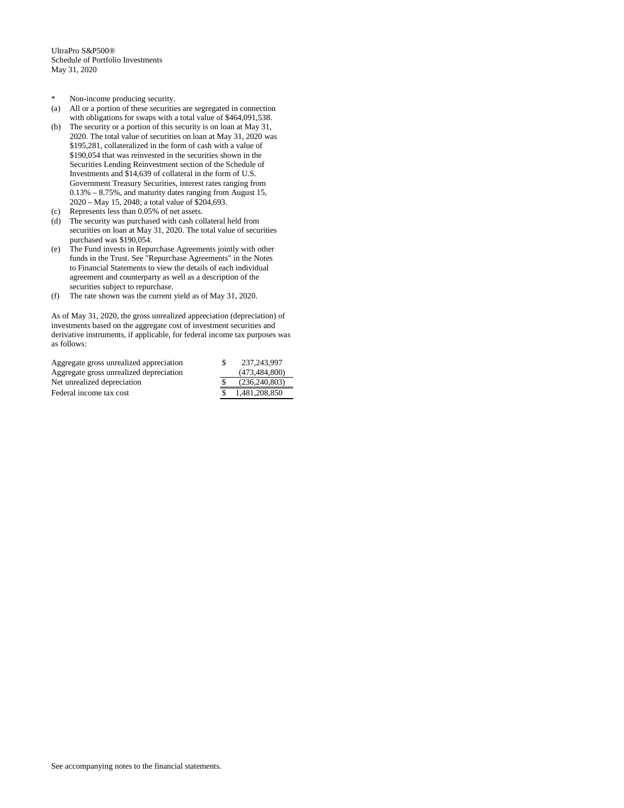- \* Non-income producing security.
- (a) All or a portion of these securities are segregated in connection with obligations for swaps with a total value of \$464,091,538.
- (b) The security or a portion of this security is on loan at May 31, 2020. The total value of securities on loan at May 31, 2020 was \$195,281, collateralized in the form of cash with a value of \$190,054 that was reinvested in the securities shown in the Securities Lending Reinvestment section of the Schedule of Investments and \$14,639 of collateral in the form of U.S. Government Treasury Securities, interest rates ranging from 0.13% – 8.75%, and maturity dates ranging from August 15, 2020 – May 15, 2048; a total value of \$204,693.
- (c) Represents less than 0.05% of net assets.
- (d) The security was purchased with cash collateral held from securities on loan at May 31, 2020. The total value of securities purchased was \$190,054.
- (e) The Fund invests in Repurchase Agreements jointly with other funds in the Trust. See "Repurchase Agreements" in the Notes to Financial Statements to view the details of each individual agreement and counterparty as well as a description of the securities subject to repurchase.
- (f) The rate shown was the current yield as of May 31, 2020.

As of May 31, 2020, the gross unrealized appreciation (depreciation) of investments based on the aggregate cost of investment securities and derivative instruments, if applicable, for federal income tax purposes was as follows:

| 237, 243, 997 |
|---------------|
| (473.484.800) |
| (236.240.803) |
| 1.481.208.850 |
|               |